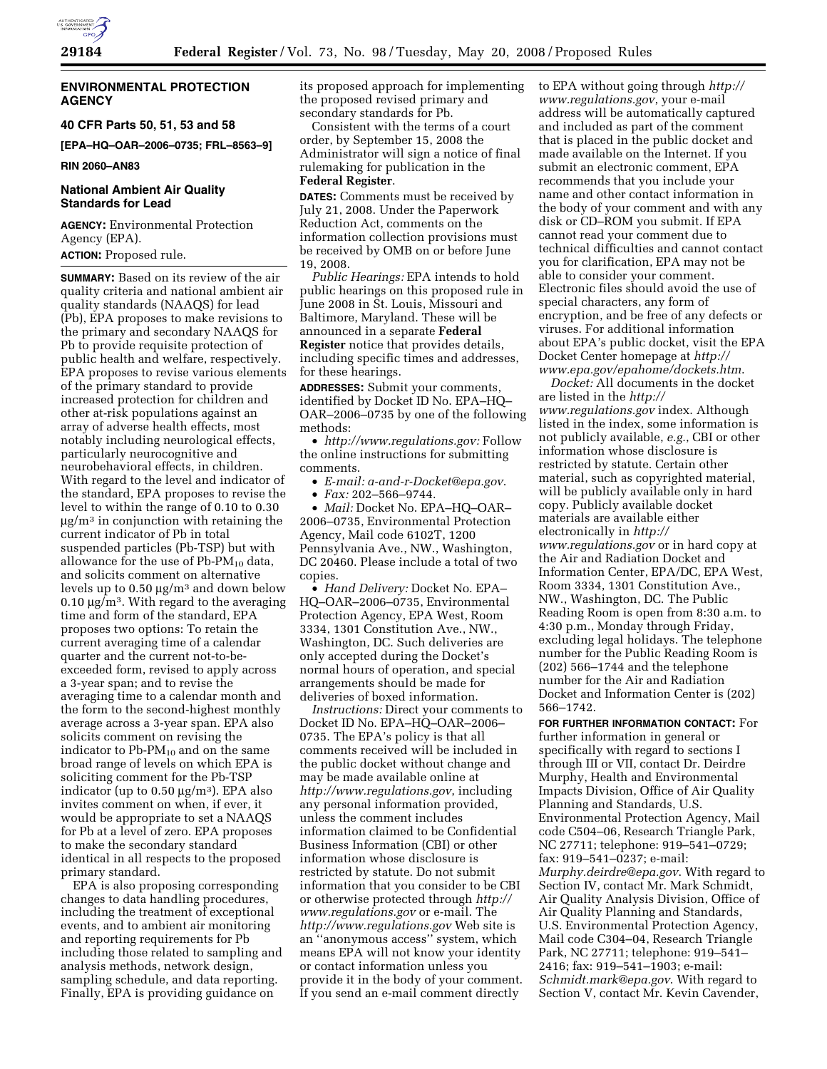

## **ENVIRONMENTAL PROTECTION AGENCY**

**40 CFR Parts 50, 51, 53 and 58** 

**[EPA–HQ–OAR–2006–0735; FRL–8563–9]** 

**RIN 2060–AN83** 

### **National Ambient Air Quality Standards for Lead**

**AGENCY:** Environmental Protection Agency (EPA). **ACTION:** Proposed rule.

**SUMMARY:** Based on its review of the air quality criteria and national ambient air quality standards (NAAQS) for lead (Pb), EPA proposes to make revisions to the primary and secondary NAAQS for Pb to provide requisite protection of public health and welfare, respectively. EPA proposes to revise various elements of the primary standard to provide increased protection for children and other at-risk populations against an array of adverse health effects, most notably including neurological effects, particularly neurocognitive and neurobehavioral effects, in children. With regard to the level and indicator of the standard, EPA proposes to revise the level to within the range of 0.10 to 0.30 µg/m3 in conjunction with retaining the current indicator of Pb in total suspended particles (Pb-TSP) but with allowance for the use of  $Pb-PM_{10}$  data, and solicits comment on alternative levels up to  $0.50 \mu g/m^3$  and down below  $0.10 \mu g/m<sup>3</sup>$ . With regard to the averaging time and form of the standard, EPA proposes two options: To retain the current averaging time of a calendar quarter and the current not-to-beexceeded form, revised to apply across a 3-year span; and to revise the averaging time to a calendar month and the form to the second-highest monthly average across a 3-year span. EPA also solicits comment on revising the indicator to  $Pb-PM_{10}$  and on the same broad range of levels on which EPA is soliciting comment for the Pb-TSP indicator (up to  $0.50 \mu g/m^3$ ). EPA also invites comment on when, if ever, it would be appropriate to set a NAAQS for Pb at a level of zero. EPA proposes to make the secondary standard identical in all respects to the proposed primary standard.

EPA is also proposing corresponding changes to data handling procedures, including the treatment of exceptional events, and to ambient air monitoring and reporting requirements for Pb including those related to sampling and analysis methods, network design, sampling schedule, and data reporting. Finally, EPA is providing guidance on

its proposed approach for implementing the proposed revised primary and secondary standards for Pb.

Consistent with the terms of a court order, by September 15, 2008 the Administrator will sign a notice of final rulemaking for publication in the **Federal Register**.

**DATES:** Comments must be received by July 21, 2008. Under the Paperwork Reduction Act, comments on the information collection provisions must be received by OMB on or before June 19, 2008.

*Public Hearings:* EPA intends to hold public hearings on this proposed rule in June 2008 in St. Louis, Missouri and Baltimore, Maryland. These will be announced in a separate **Federal Register** notice that provides details, including specific times and addresses, for these hearings.

**ADDRESSES:** Submit your comments, identified by Docket ID No. EPA–HQ– OAR–2006–0735 by one of the following methods: • *http://www.regulations.gov:* Follow

the online instructions for submitting comments.

- *E-mail: a-and-r-Docket@epa.gov*.
- *Fax:* 202–566–9744.

• *Mail:* Docket No. EPA–HQ–OAR– 2006–0735, Environmental Protection Agency, Mail code 6102T, 1200 Pennsylvania Ave., NW., Washington, DC 20460. Please include a total of two copies.

• *Hand Delivery:* Docket No. EPA– HQ–OAR–2006–0735, Environmental Protection Agency, EPA West, Room 3334, 1301 Constitution Ave., NW., Washington, DC. Such deliveries are only accepted during the Docket's normal hours of operation, and special arrangements should be made for deliveries of boxed information.

*Instructions:* Direct your comments to Docket ID No. EPA–HQ–OAR–2006– 0735. The EPA's policy is that all comments received will be included in the public docket without change and may be made available online at *http://www.regulations.gov*, including any personal information provided, unless the comment includes information claimed to be Confidential Business Information (CBI) or other information whose disclosure is restricted by statute. Do not submit information that you consider to be CBI or otherwise protected through *http:// www.regulations.gov* or e-mail. The *http://www.regulations.gov* Web site is an ''anonymous access'' system, which means EPA will not know your identity or contact information unless you provide it in the body of your comment. If you send an e-mail comment directly

to EPA without going through *http:// www.regulations.gov*, your e-mail address will be automatically captured and included as part of the comment that is placed in the public docket and made available on the Internet. If you submit an electronic comment, EPA recommends that you include your name and other contact information in the body of your comment and with any disk or CD–ROM you submit. If EPA cannot read your comment due to technical difficulties and cannot contact you for clarification, EPA may not be able to consider your comment. Electronic files should avoid the use of special characters, any form of encryption, and be free of any defects or viruses. For additional information about EPA's public docket, visit the EPA Docket Center homepage at *http:// www.epa.gov/epahome/dockets.htm*.

*Docket:* All documents in the docket are listed in the *http:// www.regulations.gov* index. Although listed in the index, some information is not publicly available, *e.g.*, CBI or other information whose disclosure is restricted by statute. Certain other material, such as copyrighted material, will be publicly available only in hard copy. Publicly available docket materials are available either electronically in *http:// www.regulations.gov* or in hard copy at the Air and Radiation Docket and Information Center, EPA/DC, EPA West, Room 3334, 1301 Constitution Ave., NW., Washington, DC. The Public Reading Room is open from 8:30 a.m. to 4:30 p.m., Monday through Friday, excluding legal holidays. The telephone number for the Public Reading Room is (202) 566–1744 and the telephone number for the Air and Radiation Docket and Information Center is (202) 566–1742.

**FOR FURTHER INFORMATION CONTACT:** For further information in general or specifically with regard to sections I through III or VII, contact Dr. Deirdre Murphy, Health and Environmental Impacts Division, Office of Air Quality Planning and Standards, U.S. Environmental Protection Agency, Mail code C504–06, Research Triangle Park, NC 27711; telephone: 919–541–0729; fax: 919–541–0237; e-mail: *Murphy.deirdre@epa.gov*. With regard to Section IV, contact Mr. Mark Schmidt, Air Quality Analysis Division, Office of Air Quality Planning and Standards, U.S. Environmental Protection Agency, Mail code C304–04, Research Triangle Park, NC 27711; telephone: 919–541– 2416; fax: 919–541–1903; e-mail: *Schmidt.mark@epa.gov*. With regard to Section V, contact Mr. Kevin Cavender,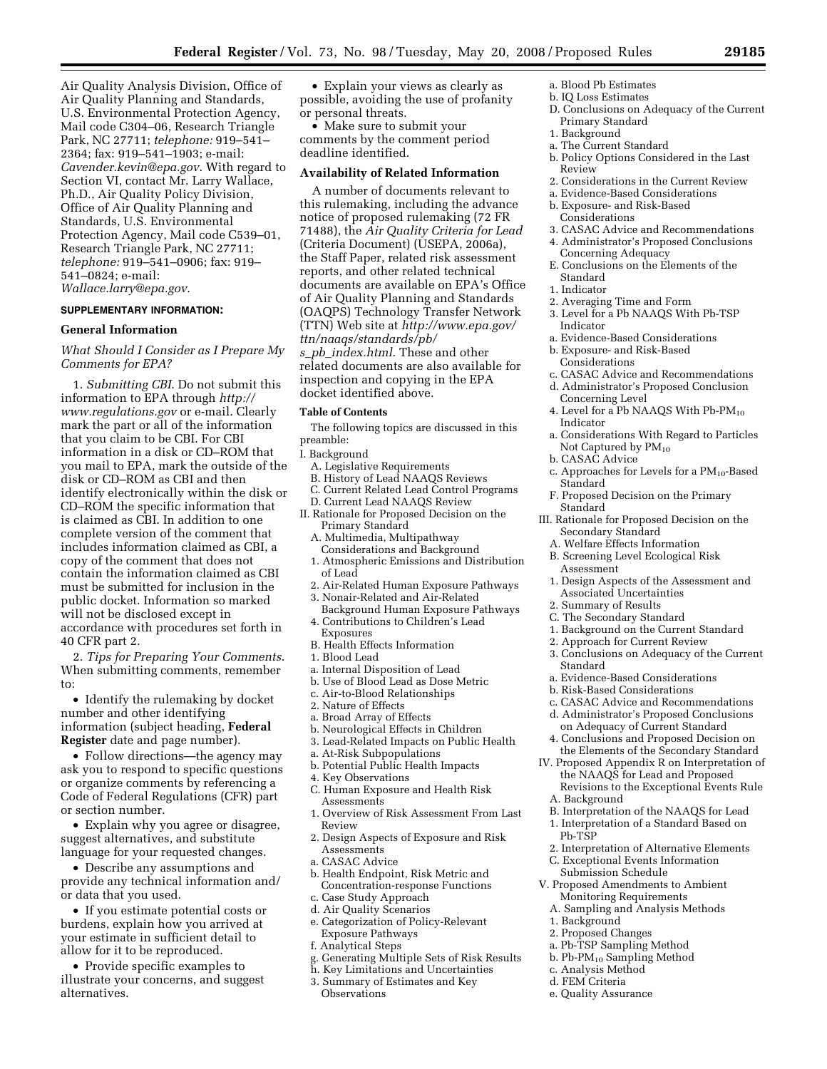Air Quality Analysis Division, Office of Air Quality Planning and Standards, U.S. Environmental Protection Agency, Mail code C304–06, Research Triangle Park, NC 27711; *telephone:* 919–541– 2364; fax: 919–541–1903; e-mail: *Cavender.kevin@epa.gov*. With regard to Section VI, contact Mr. Larry Wallace, Ph.D., Air Quality Policy Division, Office of Air Quality Planning and Standards, U.S. Environmental Protection Agency, Mail code C539–01, Research Triangle Park, NC 27711; *telephone:* 919–541–0906; fax: 919– 541–0824; e-mail: *Wallace.larry@epa.gov*.

# **SUPPLEMENTARY INFORMATION:**

#### **General Information**

### *What Should I Consider as I Prepare My Comments for EPA?*

1. *Submitting CBI*. Do not submit this information to EPA through *http:// www.regulations.gov* or e-mail. Clearly mark the part or all of the information that you claim to be CBI. For CBI information in a disk or CD–ROM that you mail to EPA, mark the outside of the disk or CD–ROM as CBI and then identify electronically within the disk or CD–ROM the specific information that is claimed as CBI. In addition to one complete version of the comment that includes information claimed as CBI, a copy of the comment that does not contain the information claimed as CBI must be submitted for inclusion in the public docket. Information so marked will not be disclosed except in accordance with procedures set forth in 40 CFR part 2.

2. *Tips for Preparing Your Comments*. When submitting comments, remember to:

• Identify the rulemaking by docket number and other identifying information (subject heading, **Federal Register** date and page number).

• Follow directions—the agency may ask you to respond to specific questions or organize comments by referencing a Code of Federal Regulations (CFR) part or section number.

• Explain why you agree or disagree, suggest alternatives, and substitute language for your requested changes.

• Describe any assumptions and provide any technical information and/ or data that you used.

• If you estimate potential costs or burdens, explain how you arrived at your estimate in sufficient detail to allow for it to be reproduced.

• Provide specific examples to illustrate your concerns, and suggest alternatives.

• Explain your views as clearly as possible, avoiding the use of profanity or personal threats.

• Make sure to submit your comments by the comment period deadline identified.

#### **Availability of Related Information**

A number of documents relevant to this rulemaking, including the advance notice of proposed rulemaking (72 FR 71488), the *Air Quality Criteria for Lead*  (Criteria Document) (USEPA, 2006a), the Staff Paper, related risk assessment reports, and other related technical documents are available on EPA's Office of Air Quality Planning and Standards (OAQPS) Technology Transfer Network (TTN) Web site at *http://www.epa.gov/ ttn/naaqs/standards/pb/ s*\_*pb*\_*index.html*. These and other related documents are also available for inspection and copying in the EPA docket identified above.

#### **Table of Contents**

The following topics are discussed in this preamble:

I. Background

- A. Legislative Requirements
- B. History of Lead NAAQS Reviews
- C. Current Related Lead Control Programs D. Current Lead NAAQS Review
- II. Rationale for Proposed Decision on the Primary Standard
	- A. Multimedia, Multipathway Considerations and Background
	- 1. Atmospheric Emissions and Distribution of Lead
- 2. Air-Related Human Exposure Pathways
- 3. Nonair-Related and Air-Related
- Background Human Exposure Pathways 4. Contributions to Children's Lead
- Exposures B. Health Effects Information
- 1. Blood Lead
- a. Internal Disposition of Lead
- b. Use of Blood Lead as Dose Metric
- c. Air-to-Blood Relationships
- 2. Nature of Effects
- a. Broad Array of Effects
- b. Neurological Effects in Children
- 3. Lead-Related Impacts on Public Health
- a. At-Risk Subpopulations
- b. Potential Public Health Impacts
- 4. Key Observations
- C. Human Exposure and Health Risk **Assessments**
- 1. Overview of Risk Assessment From Last Review
- 2. Design Aspects of Exposure and Risk Assessments
- a. CASAC Advice
- b. Health Endpoint, Risk Metric and Concentration-response Functions
- c. Case Study Approach
- d. Air Quality Scenarios
- e. Categorization of Policy-Relevant Exposure Pathways
- f. Analytical Steps
- g. Generating Multiple Sets of Risk Results
- h. Key Limitations and Uncertainties
- 3. Summary of Estimates and Key **Observations**
- a. Blood Pb Estimates
- b. IQ Loss Estimates
- D. Conclusions on Adequacy of the Current Primary Standard
- 1. Background
- a. The Current Standard
- b. Policy Options Considered in the Last Review
- 2. Considerations in the Current Review
- a. Evidence-Based Considerations b. Exposure- and Risk-Based
	- Considerations
- 3. CASAC Advice and Recommendations 4. Administrator's Proposed Conclusions
- Concerning Adequacy
- E. Conclusions on the Elements of the Standard 1. Indicator
- 
- 2. Averaging Time and Form 3. Level for a Pb NAAQS With Pb-TSP Indicator
- a. Evidence-Based Considerations
- b. Exposure- and Risk-Based
- Considerations c. CASAC Advice and Recommendations
- d. Administrator's Proposed Conclusion Concerning Level
- 4. Level for a Pb NAAQS With  $Pb-PM_{10}$ Indicator
- a. Considerations With Regard to Particles Not Captured by  $PM_{10}$
- b. CASAC Advice
- c. Approaches for Levels for a PM10-Based Standard
- F. Proposed Decision on the Primary Standard
- III. Rationale for Proposed Decision on the Secondary Standard
	- A. Welfare Effects Information
	- B. Screening Level Ecological Risk Assessment
	- 1. Design Aspects of the Assessment and Associated Uncertainties
	- 2. Summary of Results
- C. The Secondary Standard
- 1. Background on the Current Standard
- 2. Approach for Current Review
- 3. Conclusions on Adequacy of the Current Standard
- a. Evidence-Based Considerations
- b. Risk-Based Considerations
- c. CASAC Advice and Recommendations
- d. Administrator's Proposed Conclusions on Adequacy of Current Standard
- 4. Conclusions and Proposed Decision on the Elements of the Secondary Standard
- IV. Proposed Appendix R on Interpretation of the NAAQS for Lead and Proposed Revisions to the Exceptional Events Rule
	- A. Background
	- B. Interpretation of the NAAQS for Lead 1. Interpretation of a Standard Based on
	- Pb-TSP
	- 2. Interpretation of Alternative Elements
	- C. Exceptional Events Information
- Submission Schedule V. Proposed Amendments to Ambient
	- Monitoring Requirements A. Sampling and Analysis Methods
	- 1. Background
	- 2. Proposed Changes

c. Analysis Method d. FEM Criteria e. Quality Assurance

a. Pb-TSP Sampling Method b. Pb-PM10 Sampling Method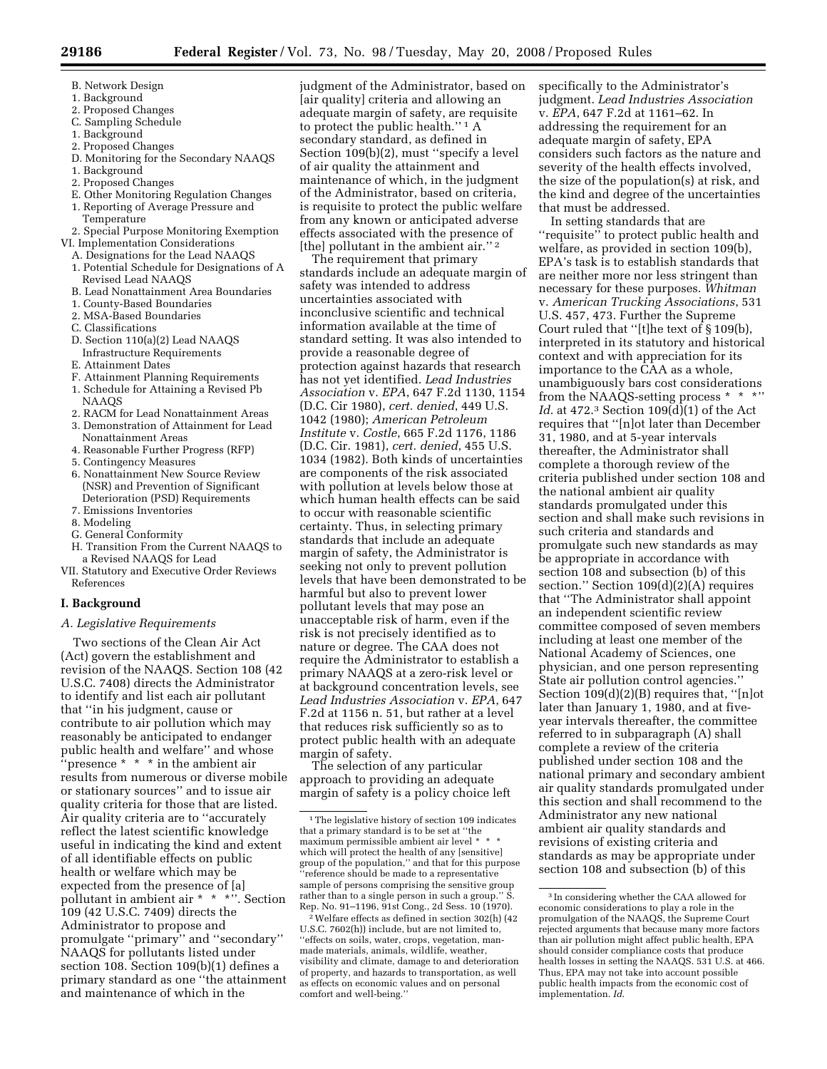#### B. Network Design

- 1. Background
- 2. Proposed Changes
- C. Sampling Schedule
- 1. Background
- 2. Proposed Changes
- D. Monitoring for the Secondary NAAQS
- 1. Background
- 2. Proposed Changes
- E. Other Monitoring Regulation Changes 1. Reporting of Average Pressure and
- Temperature 2. Special Purpose Monitoring Exemption
- VI. Implementation Considerations
	- A. Designations for the Lead NAAQS
	- 1. Potential Schedule for Designations of A
	- Revised Lead NAAQS B. Lead Nonattainment Area Boundaries
	- 1. County-Based Boundaries
	- 2. MSA-Based Boundaries
	- C. Classifications
	- D. Section 110(a)(2) Lead NAAQS Infrastructure Requirements
	- E. Attainment Dates
	- F. Attainment Planning Requirements
	- 1. Schedule for Attaining a Revised Pb NAAQS
	- 2. RACM for Lead Nonattainment Areas
	- 3. Demonstration of Attainment for Lead Nonattainment Areas
	- 4. Reasonable Further Progress (RFP)
	- 5. Contingency Measures
	- 6. Nonattainment New Source Review (NSR) and Prevention of Significant Deterioration (PSD) Requirements
	- 7. Emissions Inventories
	- 8. Modeling
	- G. General Conformity
	- H. Transition From the Current NAAQS to a Revised NAAQS for Lead
- VII. Statutory and Executive Order Reviews References

#### **I. Background**

#### *A. Legislative Requirements*

Two sections of the Clean Air Act (Act) govern the establishment and revision of the NAAQS. Section 108 (42 U.S.C. 7408) directs the Administrator to identify and list each air pollutant that ''in his judgment, cause or contribute to air pollution which may reasonably be anticipated to endanger public health and welfare'' and whose ''presence \* \* \* in the ambient air results from numerous or diverse mobile or stationary sources'' and to issue air quality criteria for those that are listed. Air quality criteria are to ''accurately reflect the latest scientific knowledge useful in indicating the kind and extent of all identifiable effects on public health or welfare which may be expected from the presence of [a] pollutant in ambient air \* \* \*''. Section 109 (42 U.S.C. 7409) directs the Administrator to propose and promulgate ''primary'' and ''secondary'' NAAQS for pollutants listed under section 108. Section 109(b)(1) defines a primary standard as one ''the attainment and maintenance of which in the

judgment of the Administrator, based on [air quality] criteria and allowing an adequate margin of safety, are requisite to protect the public health.'' 1 A secondary standard, as defined in Section 109(b)(2), must ''specify a level of air quality the attainment and maintenance of which, in the judgment of the Administrator, based on criteria, is requisite to protect the public welfare from any known or anticipated adverse effects associated with the presence of [the] pollutant in the ambient air."<sup>2</sup>

The requirement that primary standards include an adequate margin of safety was intended to address uncertainties associated with inconclusive scientific and technical information available at the time of standard setting. It was also intended to provide a reasonable degree of protection against hazards that research has not yet identified. *Lead Industries Association* v. *EPA*, 647 F.2d 1130, 1154 (D.C. Cir 1980), *cert. denied*, 449 U.S. 1042 (1980); *American Petroleum Institute* v. *Costle*, 665 F.2d 1176, 1186 (D.C. Cir. 1981), *cert. denied*, 455 U.S. 1034 (1982). Both kinds of uncertainties are components of the risk associated with pollution at levels below those at which human health effects can be said to occur with reasonable scientific certainty. Thus, in selecting primary standards that include an adequate margin of safety, the Administrator is seeking not only to prevent pollution levels that have been demonstrated to be harmful but also to prevent lower pollutant levels that may pose an unacceptable risk of harm, even if the risk is not precisely identified as to nature or degree. The CAA does not require the Administrator to establish a primary NAAQS at a zero-risk level or at background concentration levels, see *Lead Industries Association* v. *EPA*, 647 F.2d at 1156 n. 51, but rather at a level that reduces risk sufficiently so as to protect public health with an adequate margin of safety.

The selection of any particular approach to providing an adequate margin of safety is a policy choice left specifically to the Administrator's judgment. *Lead Industries Association*  v. *EPA*, 647 F.2d at 1161–62. In addressing the requirement for an adequate margin of safety, EPA considers such factors as the nature and severity of the health effects involved, the size of the population(s) at risk, and the kind and degree of the uncertainties that must be addressed.

In setting standards that are ''requisite'' to protect public health and welfare, as provided in section 109(b), EPA's task is to establish standards that are neither more nor less stringent than necessary for these purposes. *Whitman*  v. *American Trucking Associations*, 531 U.S. 457, 473. Further the Supreme Court ruled that ''[t]he text of § 109(b), interpreted in its statutory and historical context and with appreciation for its importance to the CAA as a whole, unambiguously bars cost considerations from the NAAQS-setting process \* \* \*'' *Id.* at 472.<sup>3</sup> Section 109(d)(1) of the Act requires that ''[n]ot later than December 31, 1980, and at 5-year intervals thereafter, the Administrator shall complete a thorough review of the criteria published under section 108 and the national ambient air quality standards promulgated under this section and shall make such revisions in such criteria and standards and promulgate such new standards as may be appropriate in accordance with section 108 and subsection (b) of this section.'' Section 109(d)(2)(A) requires that ''The Administrator shall appoint an independent scientific review committee composed of seven members including at least one member of the National Academy of Sciences, one physician, and one person representing State air pollution control agencies.'' Section 109(d)(2)(B) requires that, ''[n]ot later than January 1, 1980, and at fiveyear intervals thereafter, the committee referred to in subparagraph (A) shall complete a review of the criteria published under section 108 and the national primary and secondary ambient air quality standards promulgated under this section and shall recommend to the Administrator any new national ambient air quality standards and revisions of existing criteria and standards as may be appropriate under section 108 and subsection (b) of this

<sup>&</sup>lt;sup>1</sup>The legislative history of section 109 indicates that a primary standard is to be set at ''the maximum permissible ambient air level \* which will protect the health of any [sensitive] group of the population,'' and that for this purpose ''reference should be made to a representative sample of persons comprising the sensitive group rather than to a single person in such a group.'' S. Rep. No. 91–1196, 91st Cong., 2d Sess. 10 (1970).

<sup>2</sup>Welfare effects as defined in section 302(h) (42 U.S.C. 7602(h)) include, but are not limited to, ''effects on soils, water, crops, vegetation, manmade materials, animals, wildlife, weather, visibility and climate, damage to and deterioration of property, and hazards to transportation, as well as effects on economic values and on personal comfort and well-being.''

<sup>3</sup> In considering whether the CAA allowed for economic considerations to play a role in the promulgation of the NAAQS, the Supreme Court rejected arguments that because many more factors than air pollution might affect public health, EPA should consider compliance costs that produce health losses in setting the NAAQS. 531 U.S. at 466. Thus, EPA may not take into account possible public health impacts from the economic cost of implementation. *Id*.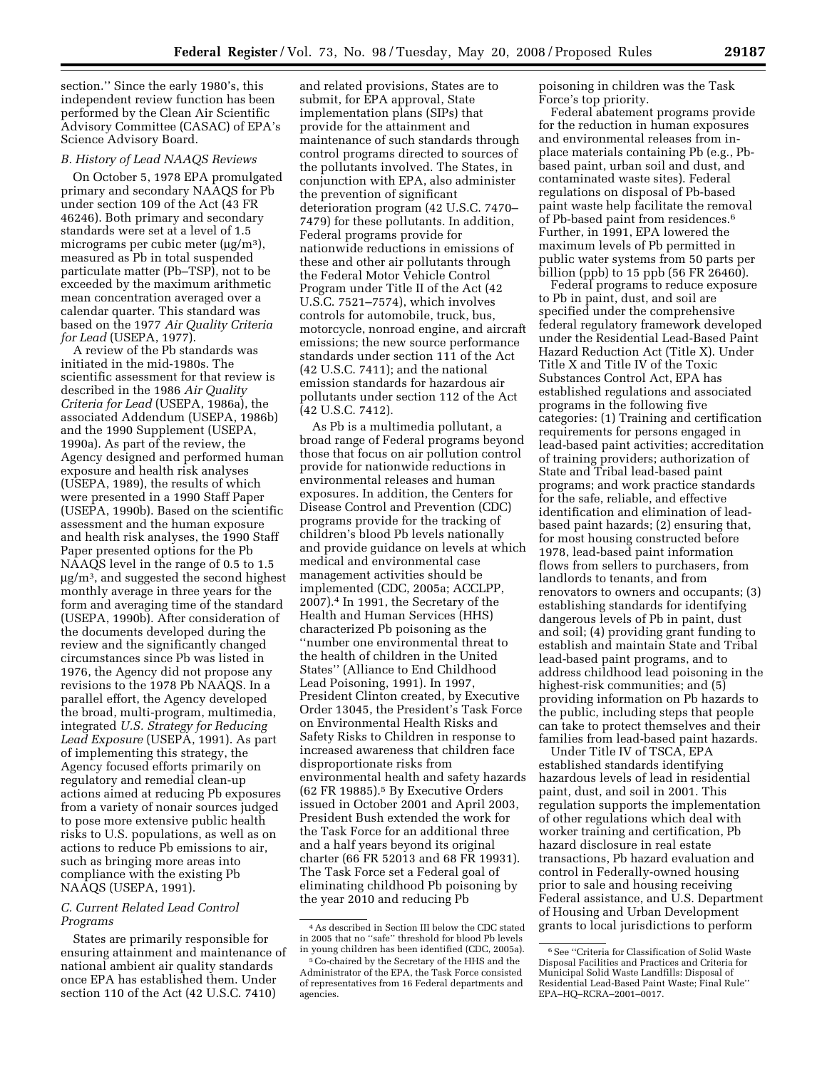section.'' Since the early 1980's, this independent review function has been performed by the Clean Air Scientific Advisory Committee (CASAC) of EPA's Science Advisory Board.

# *B. History of Lead NAAQS Reviews*

On October 5, 1978 EPA promulgated primary and secondary NAAQS for Pb under section 109 of the Act (43 FR 46246). Both primary and secondary standards were set at a level of 1.5 micrograms per cubic meter  $(\mu g/m^3)$ , measured as Pb in total suspended particulate matter (Pb–TSP), not to be exceeded by the maximum arithmetic mean concentration averaged over a calendar quarter. This standard was based on the 1977 *Air Quality Criteria for Lead* (USEPA, 1977).

A review of the Pb standards was initiated in the mid-1980s. The scientific assessment for that review is described in the 1986 *Air Quality Criteria for Lead* (USEPA, 1986a), the associated Addendum (USEPA, 1986b) and the 1990 Supplement (USEPA, 1990a). As part of the review, the Agency designed and performed human exposure and health risk analyses (USEPA, 1989), the results of which were presented in a 1990 Staff Paper (USEPA, 1990b). Based on the scientific assessment and the human exposure and health risk analyses, the 1990 Staff Paper presented options for the Pb NAAQS level in the range of 0.5 to 1.5 µg/m3, and suggested the second highest monthly average in three years for the form and averaging time of the standard (USEPA, 1990b). After consideration of the documents developed during the review and the significantly changed circumstances since Pb was listed in 1976, the Agency did not propose any revisions to the 1978 Pb NAAQS. In a parallel effort, the Agency developed the broad, multi-program, multimedia, integrated *U.S. Strategy for Reducing Lead Exposure* (USEPA, 1991). As part of implementing this strategy, the Agency focused efforts primarily on regulatory and remedial clean-up actions aimed at reducing Pb exposures from a variety of nonair sources judged to pose more extensive public health risks to U.S. populations, as well as on actions to reduce Pb emissions to air, such as bringing more areas into compliance with the existing Pb NAAQS (USEPA, 1991).

## *C. Current Related Lead Control Programs*

States are primarily responsible for ensuring attainment and maintenance of national ambient air quality standards once EPA has established them. Under section 110 of the Act (42 U.S.C. 7410)

and related provisions, States are to submit, for EPA approval, State implementation plans (SIPs) that provide for the attainment and maintenance of such standards through control programs directed to sources of the pollutants involved. The States, in conjunction with EPA, also administer the prevention of significant deterioration program (42 U.S.C. 7470– 7479) for these pollutants. In addition, Federal programs provide for nationwide reductions in emissions of these and other air pollutants through the Federal Motor Vehicle Control Program under Title II of the Act (42 U.S.C. 7521–7574), which involves controls for automobile, truck, bus, motorcycle, nonroad engine, and aircraft emissions; the new source performance standards under section 111 of the Act (42 U.S.C. 7411); and the national emission standards for hazardous air pollutants under section 112 of the Act (42 U.S.C. 7412).

As Pb is a multimedia pollutant, a broad range of Federal programs beyond those that focus on air pollution control provide for nationwide reductions in environmental releases and human exposures. In addition, the Centers for Disease Control and Prevention (CDC) programs provide for the tracking of children's blood Pb levels nationally and provide guidance on levels at which medical and environmental case management activities should be implemented (CDC, 2005a; ACCLPP, 2007).4 In 1991, the Secretary of the Health and Human Services (HHS) characterized Pb poisoning as the ''number one environmental threat to the health of children in the United States'' (Alliance to End Childhood Lead Poisoning, 1991). In 1997, President Clinton created, by Executive Order 13045, the President's Task Force on Environmental Health Risks and Safety Risks to Children in response to increased awareness that children face disproportionate risks from environmental health and safety hazards (62 FR 19885).5 By Executive Orders issued in October 2001 and April 2003, President Bush extended the work for the Task Force for an additional three and a half years beyond its original charter (66 FR 52013 and 68 FR 19931). The Task Force set a Federal goal of eliminating childhood Pb poisoning by the year 2010 and reducing Pb

poisoning in children was the Task Force's top priority.

Federal abatement programs provide for the reduction in human exposures and environmental releases from inplace materials containing Pb (e.g., Pbbased paint, urban soil and dust, and contaminated waste sites). Federal regulations on disposal of Pb-based paint waste help facilitate the removal of Pb-based paint from residences.6 Further, in 1991, EPA lowered the maximum levels of Pb permitted in public water systems from 50 parts per billion (ppb) to 15 ppb (56 FR 26460).

Federal programs to reduce exposure to Pb in paint, dust, and soil are specified under the comprehensive federal regulatory framework developed under the Residential Lead-Based Paint Hazard Reduction Act (Title X). Under Title X and Title IV of the Toxic Substances Control Act, EPA has established regulations and associated programs in the following five categories: (1) Training and certification requirements for persons engaged in lead-based paint activities; accreditation of training providers; authorization of State and Tribal lead-based paint programs; and work practice standards for the safe, reliable, and effective identification and elimination of leadbased paint hazards; (2) ensuring that, for most housing constructed before 1978, lead-based paint information flows from sellers to purchasers, from landlords to tenants, and from renovators to owners and occupants; (3) establishing standards for identifying dangerous levels of Pb in paint, dust and soil; (4) providing grant funding to establish and maintain State and Tribal lead-based paint programs, and to address childhood lead poisoning in the highest-risk communities; and (5) providing information on Pb hazards to the public, including steps that people can take to protect themselves and their families from lead-based paint hazards.

Under Title IV of TSCA, EPA established standards identifying hazardous levels of lead in residential paint, dust, and soil in 2001. This regulation supports the implementation of other regulations which deal with worker training and certification, Pb hazard disclosure in real estate transactions, Pb hazard evaluation and control in Federally-owned housing prior to sale and housing receiving Federal assistance, and U.S. Department of Housing and Urban Development grants to local jurisdictions to perform

<sup>4</sup>As described in Section III below the CDC stated in 2005 that no ''safe'' threshold for blood Pb levels in young children has been identified (CDC, 2005a).

<sup>5</sup>Co-chaired by the Secretary of the HHS and the Administrator of the EPA, the Task Force consisted of representatives from 16 Federal departments and agencies.

<sup>&</sup>lt;sup>6</sup> See "Criteria for Classification of Solid Waste Disposal Facilities and Practices and Criteria for Municipal Solid Waste Landfills: Disposal of Residential Lead-Based Paint Waste; Final Rule'' EPA–HQ–RCRA–2001–0017.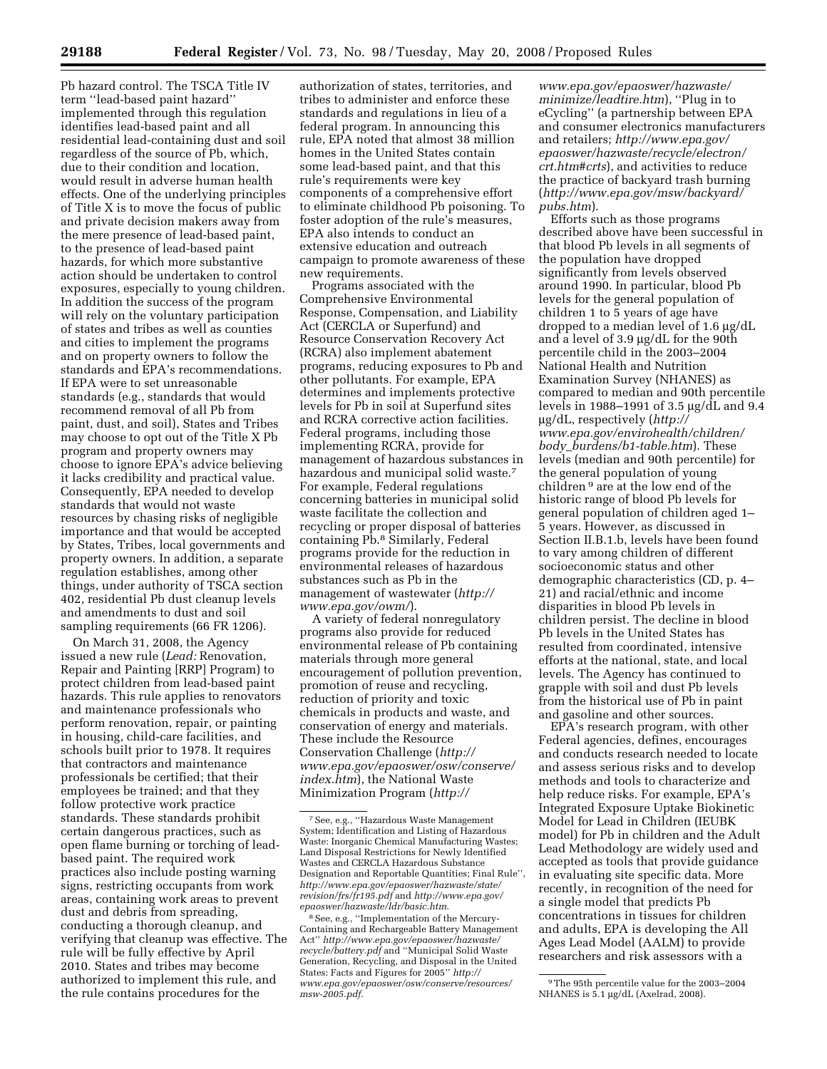Pb hazard control. The TSCA Title IV term ''lead-based paint hazard'' implemented through this regulation identifies lead-based paint and all residential lead-containing dust and soil regardless of the source of Pb, which, due to their condition and location, would result in adverse human health effects. One of the underlying principles of Title X is to move the focus of public and private decision makers away from the mere presence of lead-based paint, to the presence of lead-based paint hazards, for which more substantive action should be undertaken to control exposures, especially to young children. In addition the success of the program will rely on the voluntary participation of states and tribes as well as counties and cities to implement the programs and on property owners to follow the standards and EPA's recommendations. If EPA were to set unreasonable standards (e.g., standards that would recommend removal of all Pb from paint, dust, and soil), States and Tribes may choose to opt out of the Title X Pb program and property owners may choose to ignore EPA's advice believing it lacks credibility and practical value. Consequently, EPA needed to develop standards that would not waste resources by chasing risks of negligible importance and that would be accepted by States, Tribes, local governments and property owners. In addition, a separate regulation establishes, among other things, under authority of TSCA section 402, residential Pb dust cleanup levels and amendments to dust and soil sampling requirements (66 FR 1206).

On March 31, 2008, the Agency issued a new rule (*Lead:* Renovation, Repair and Painting [RRP] Program) to protect children from lead-based paint hazards. This rule applies to renovators and maintenance professionals who perform renovation, repair, or painting in housing, child-care facilities, and schools built prior to 1978. It requires that contractors and maintenance professionals be certified; that their employees be trained; and that they follow protective work practice standards. These standards prohibit certain dangerous practices, such as open flame burning or torching of leadbased paint. The required work practices also include posting warning signs, restricting occupants from work areas, containing work areas to prevent dust and debris from spreading, conducting a thorough cleanup, and verifying that cleanup was effective. The rule will be fully effective by April 2010. States and tribes may become authorized to implement this rule, and the rule contains procedures for the

authorization of states, territories, and tribes to administer and enforce these standards and regulations in lieu of a federal program. In announcing this rule, EPA noted that almost 38 million homes in the United States contain some lead-based paint, and that this rule's requirements were key components of a comprehensive effort to eliminate childhood Pb poisoning. To foster adoption of the rule's measures, EPA also intends to conduct an extensive education and outreach campaign to promote awareness of these new requirements.

Programs associated with the Comprehensive Environmental Response, Compensation, and Liability Act (CERCLA or Superfund) and Resource Conservation Recovery Act (RCRA) also implement abatement programs, reducing exposures to Pb and other pollutants. For example, EPA determines and implements protective levels for Pb in soil at Superfund sites and RCRA corrective action facilities. Federal programs, including those implementing RCRA, provide for management of hazardous substances in hazardous and municipal solid waste.7 For example, Federal regulations concerning batteries in municipal solid waste facilitate the collection and recycling or proper disposal of batteries containing Pb.8 Similarly, Federal programs provide for the reduction in environmental releases of hazardous substances such as Pb in the management of wastewater (*http:// www.epa.gov/owm/*).

A variety of federal nonregulatory programs also provide for reduced environmental release of Pb containing materials through more general encouragement of pollution prevention, promotion of reuse and recycling, reduction of priority and toxic chemicals in products and waste, and conservation of energy and materials. These include the Resource Conservation Challenge (*http:// www.epa.gov/epaoswer/osw/conserve/ index.htm*), the National Waste Minimization Program (*http://* 

*www.epa.gov/epaoswer/hazwaste/ minimize/leadtire.htm*), ''Plug in to eCycling'' (a partnership between EPA and consumer electronics manufacturers and retailers; *http://www.epa.gov/ epaoswer/hazwaste/recycle/electron/ crt.htm#crts*), and activities to reduce the practice of backyard trash burning (*http://www.epa.gov/msw/backyard/ pubs.htm*).

Efforts such as those programs described above have been successful in that blood Pb levels in all segments of the population have dropped significantly from levels observed around 1990. In particular, blood Pb levels for the general population of children 1 to 5 years of age have dropped to a median level of 1.6 µg/dL and a level of 3.9 µg/dL for the 90th percentile child in the 2003–2004 National Health and Nutrition Examination Survey (NHANES) as compared to median and 90th percentile levels in 1988–1991 of 3.5 µg/dL and 9.4 µg/dL, respectively (*http:// www.epa.gov/envirohealth/children/ body*\_*burdens/b1-table.htm*). These levels (median and 90th percentile) for the general population of young children 9 are at the low end of the historic range of blood Pb levels for general population of children aged 1– 5 years. However, as discussed in Section II.B.1.b, levels have been found to vary among children of different socioeconomic status and other demographic characteristics (CD, p. 4– 21) and racial/ethnic and income disparities in blood Pb levels in children persist. The decline in blood Pb levels in the United States has resulted from coordinated, intensive efforts at the national, state, and local levels. The Agency has continued to grapple with soil and dust Pb levels from the historical use of Pb in paint and gasoline and other sources.

EPA's research program, with other Federal agencies, defines, encourages and conducts research needed to locate and assess serious risks and to develop methods and tools to characterize and help reduce risks. For example, EPA's Integrated Exposure Uptake Biokinetic Model for Lead in Children (IEUBK model) for Pb in children and the Adult Lead Methodology are widely used and accepted as tools that provide guidance in evaluating site specific data. More recently, in recognition of the need for a single model that predicts Pb concentrations in tissues for children and adults, EPA is developing the All Ages Lead Model (AALM) to provide researchers and risk assessors with a

<sup>7</sup>See, e.g., ''Hazardous Waste Management System; Identification and Listing of Hazardous Waste: Inorganic Chemical Manufacturing Wastes; Land Disposal Restrictions for Newly Identified Wastes and CERCLA Hazardous Substance Designation and Reportable Quantities; Final Rule'', *http://www.epa.gov/epaoswer/hazwaste/state/ revision/frs/fr195.pdf* and *http://www.epa.gov/ epaoswer/hazwaste/ldr/basic.htm*.

<sup>8</sup>See, e.g., ''Implementation of the Mercury-Containing and Rechargeable Battery Management Act'' *http://www.epa.gov/epaoswer/hazwaste/ recycle/battery.pdf* and ''Municipal Solid Waste Generation, Recycling, and Disposal in the United States: Facts and Figures for 2005'' *http:// www.epa.gov/epaoswer/osw/conserve/resources/ msw-2005.pdf*.

<sup>9</sup>The 95th percentile value for the 2003–2004 NHANES is 5.1 µg/dL (Axelrad, 2008).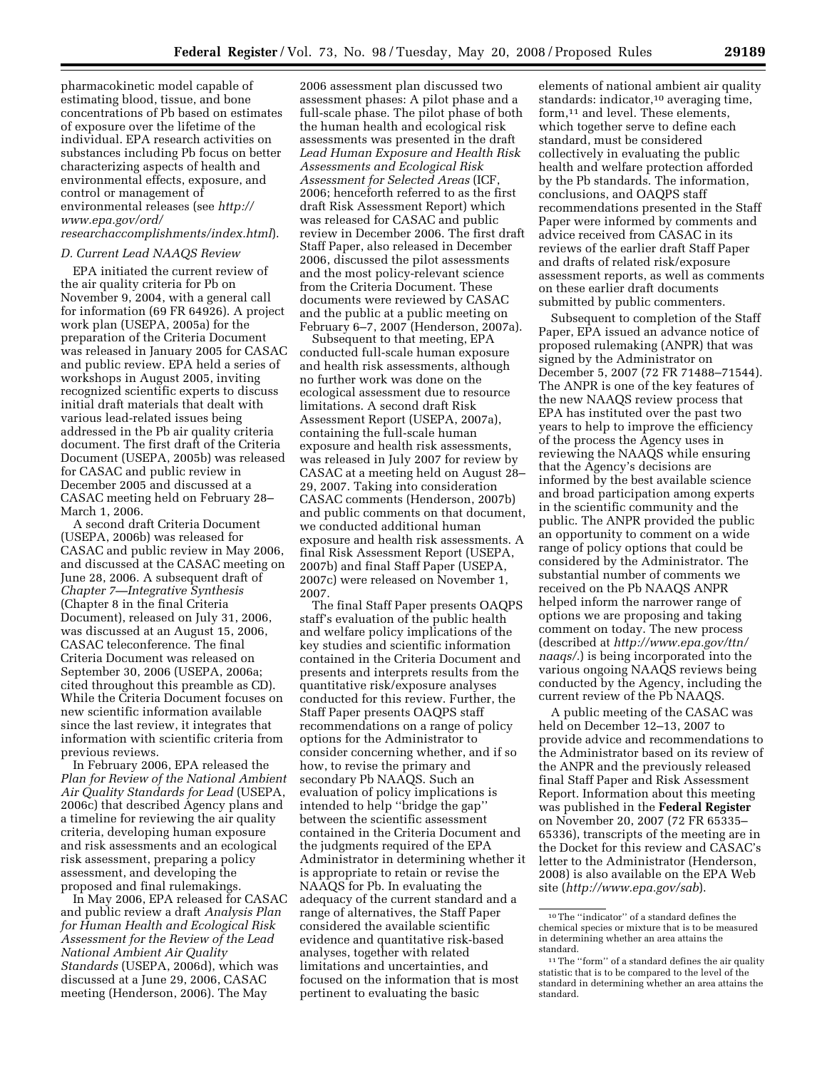pharmacokinetic model capable of estimating blood, tissue, and bone concentrations of Pb based on estimates of exposure over the lifetime of the individual. EPA research activities on substances including Pb focus on better characterizing aspects of health and environmental effects, exposure, and control or management of environmental releases (see *http:// www.epa.gov/ord/*

## *researchaccomplishments/index.html*).

## *D. Current Lead NAAQS Review*

EPA initiated the current review of the air quality criteria for Pb on November 9, 2004, with a general call for information (69 FR 64926). A project work plan (USEPA, 2005a) for the preparation of the Criteria Document was released in January 2005 for CASAC and public review. EPA held a series of workshops in August 2005, inviting recognized scientific experts to discuss initial draft materials that dealt with various lead-related issues being addressed in the Pb air quality criteria document. The first draft of the Criteria Document (USEPA, 2005b) was released for CASAC and public review in December 2005 and discussed at a CASAC meeting held on February 28– March 1, 2006.

A second draft Criteria Document (USEPA, 2006b) was released for CASAC and public review in May 2006, and discussed at the CASAC meeting on June 28, 2006. A subsequent draft of *Chapter 7—Integrative Synthesis*  (Chapter 8 in the final Criteria Document), released on July 31, 2006, was discussed at an August 15, 2006, CASAC teleconference. The final Criteria Document was released on September 30, 2006 (USEPA, 2006a; cited throughout this preamble as CD). While the Criteria Document focuses on new scientific information available since the last review, it integrates that information with scientific criteria from previous reviews.

In February 2006, EPA released the *Plan for Review of the National Ambient Air Quality Standards for Lead* (USEPA, 2006c) that described Agency plans and a timeline for reviewing the air quality criteria, developing human exposure and risk assessments and an ecological risk assessment, preparing a policy assessment, and developing the proposed and final rulemakings.

In May 2006, EPA released for CASAC and public review a draft *Analysis Plan for Human Health and Ecological Risk Assessment for the Review of the Lead National Ambient Air Quality Standards* (USEPA, 2006d), which was discussed at a June 29, 2006, CASAC meeting (Henderson, 2006). The May

2006 assessment plan discussed two assessment phases: A pilot phase and a full-scale phase. The pilot phase of both the human health and ecological risk assessments was presented in the draft *Lead Human Exposure and Health Risk Assessments and Ecological Risk Assessment for Selected Areas* (ICF, 2006; henceforth referred to as the first draft Risk Assessment Report) which was released for CASAC and public review in December 2006. The first draft Staff Paper, also released in December 2006, discussed the pilot assessments and the most policy-relevant science from the Criteria Document. These documents were reviewed by CASAC and the public at a public meeting on February 6–7, 2007 (Henderson, 2007a).

Subsequent to that meeting, EPA conducted full-scale human exposure and health risk assessments, although no further work was done on the ecological assessment due to resource limitations. A second draft Risk Assessment Report (USEPA, 2007a), containing the full-scale human exposure and health risk assessments, was released in July 2007 for review by CASAC at a meeting held on August 28– 29, 2007. Taking into consideration CASAC comments (Henderson, 2007b) and public comments on that document, we conducted additional human exposure and health risk assessments. A final Risk Assessment Report (USEPA, 2007b) and final Staff Paper (USEPA, 2007c) were released on November 1, 2007.

The final Staff Paper presents OAQPS staff's evaluation of the public health and welfare policy implications of the key studies and scientific information contained in the Criteria Document and presents and interprets results from the quantitative risk/exposure analyses conducted for this review. Further, the Staff Paper presents OAQPS staff recommendations on a range of policy options for the Administrator to consider concerning whether, and if so how, to revise the primary and secondary Pb NAAQS. Such an evaluation of policy implications is intended to help ''bridge the gap'' between the scientific assessment contained in the Criteria Document and the judgments required of the EPA Administrator in determining whether it is appropriate to retain or revise the NAAQS for Pb. In evaluating the adequacy of the current standard and a range of alternatives, the Staff Paper considered the available scientific evidence and quantitative risk-based analyses, together with related limitations and uncertainties, and focused on the information that is most pertinent to evaluating the basic

elements of national ambient air quality standards: indicator,<sup>10</sup> averaging time, form,11 and level. These elements, which together serve to define each standard, must be considered collectively in evaluating the public health and welfare protection afforded by the Pb standards. The information, conclusions, and OAQPS staff recommendations presented in the Staff Paper were informed by comments and advice received from CASAC in its reviews of the earlier draft Staff Paper and drafts of related risk/exposure assessment reports, as well as comments on these earlier draft documents submitted by public commenters.

Subsequent to completion of the Staff Paper, EPA issued an advance notice of proposed rulemaking (ANPR) that was signed by the Administrator on December 5, 2007 (72 FR 71488–71544). The ANPR is one of the key features of the new NAAQS review process that EPA has instituted over the past two years to help to improve the efficiency of the process the Agency uses in reviewing the NAAQS while ensuring that the Agency's decisions are informed by the best available science and broad participation among experts in the scientific community and the public. The ANPR provided the public an opportunity to comment on a wide range of policy options that could be considered by the Administrator. The substantial number of comments we received on the Pb NAAQS ANPR helped inform the narrower range of options we are proposing and taking comment on today. The new process (described at *http://www.epa.gov/ttn/ naaqs/.*) is being incorporated into the various ongoing NAAQS reviews being conducted by the Agency, including the current review of the Pb NAAQS.

A public meeting of the CASAC was held on December 12–13, 2007 to provide advice and recommendations to the Administrator based on its review of the ANPR and the previously released final Staff Paper and Risk Assessment Report. Information about this meeting was published in the **Federal Register**  on November 20, 2007 (72 FR 65335– 65336), transcripts of the meeting are in the Docket for this review and CASAC's letter to the Administrator (Henderson, 2008) is also available on the EPA Web site (*http://www.epa.gov/sab*).

<sup>10</sup>The ''indicator'' of a standard defines the chemical species or mixture that is to be measured in determining whether an area attains the standard.

<sup>11</sup>The ''form'' of a standard defines the air quality statistic that is to be compared to the level of the standard in determining whether an area attains the standard.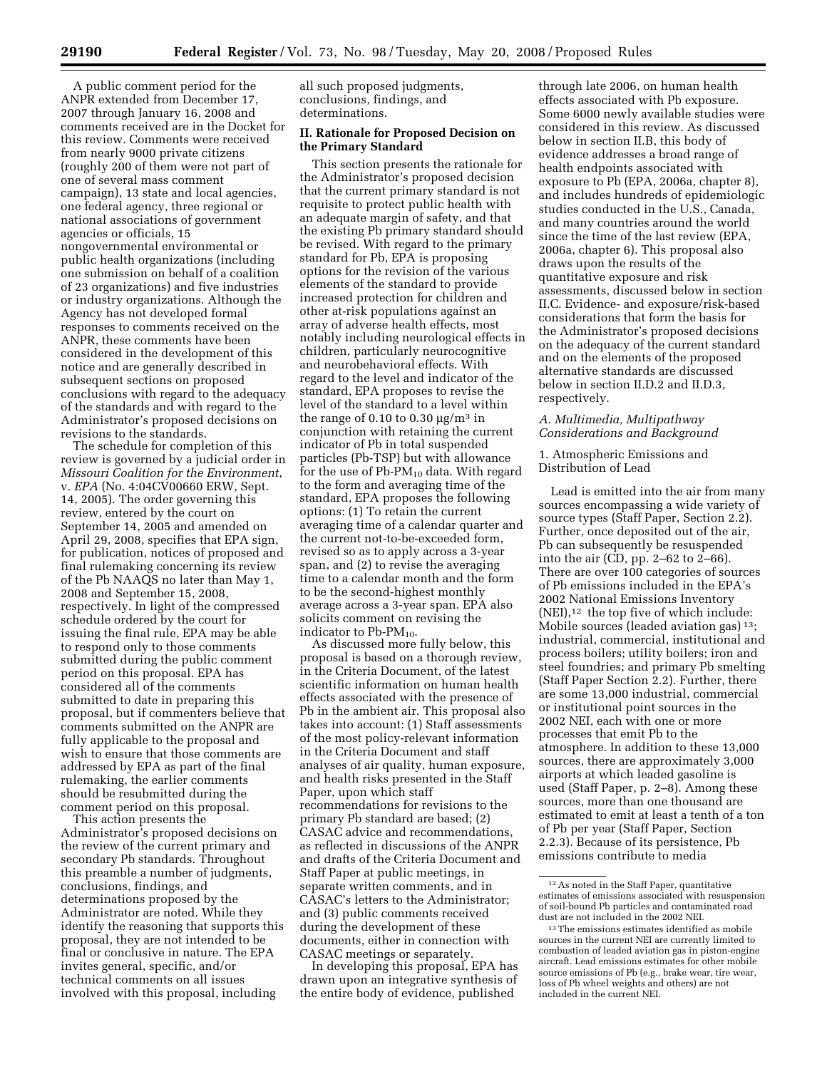A public comment period for the ANPR extended from December 17, 2007 through January 16, 2008 and comments received are in the Docket for this review. Comments were received from nearly 9000 private citizens (roughly 200 of them were not part of one of several mass comment campaign), 13 state and local agencies, one federal agency, three regional or national associations of government agencies or officials, 15 nongovernmental environmental or public health organizations (including one submission on behalf of a coalition of 23 organizations) and five industries or industry organizations. Although the Agency has not developed formal responses to comments received on the ANPR, these comments have been considered in the development of this notice and are generally described in subsequent sections on proposed conclusions with regard to the adequacy of the standards and with regard to the Administrator's proposed decisions on revisions to the standards.

The schedule for completion of this review is governed by a judicial order in *Missouri Coalition for the Environment*, v. *EPA* (No. 4:04CV00660 ERW, Sept. 14, 2005). The order governing this review, entered by the court on September 14, 2005 and amended on April 29, 2008, specifies that EPA sign, for publication, notices of proposed and final rulemaking concerning its review of the Pb NAAQS no later than May 1, 2008 and September 15, 2008, respectively. In light of the compressed schedule ordered by the court for issuing the final rule, EPA may be able to respond only to those comments submitted during the public comment period on this proposal. EPA has considered all of the comments submitted to date in preparing this proposal, but if commenters believe that comments submitted on the ANPR are fully applicable to the proposal and wish to ensure that those comments are addressed by EPA as part of the final rulemaking, the earlier comments should be resubmitted during the comment period on this proposal.

This action presents the Administrator's proposed decisions on the review of the current primary and secondary Pb standards. Throughout this preamble a number of judgments, conclusions, findings, and determinations proposed by the Administrator are noted. While they identify the reasoning that supports this proposal, they are not intended to be final or conclusive in nature. The EPA invites general, specific, and/or technical comments on all issues involved with this proposal, including

all such proposed judgments, conclusions, findings, and determinations.

# **II. Rationale for Proposed Decision on the Primary Standard**

This section presents the rationale for the Administrator's proposed decision that the current primary standard is not requisite to protect public health with an adequate margin of safety, and that the existing Pb primary standard should be revised. With regard to the primary standard for Pb, EPA is proposing options for the revision of the various elements of the standard to provide increased protection for children and other at-risk populations against an array of adverse health effects, most notably including neurological effects in children, particularly neurocognitive and neurobehavioral effects. With regard to the level and indicator of the standard, EPA proposes to revise the level of the standard to a level within the range of 0.10 to 0.30  $\mu$ g/m<sup>3</sup> in conjunction with retaining the current indicator of Pb in total suspended particles (Pb-TSP) but with allowance for the use of  $Pb-PM_{10}$  data. With regard to the form and averaging time of the standard, EPA proposes the following options: (1) To retain the current averaging time of a calendar quarter and the current not-to-be-exceeded form, revised so as to apply across a 3-year span, and (2) to revise the averaging time to a calendar month and the form to be the second-highest monthly average across a 3-year span. EPA also solicits comment on revising the indicator to Pb-PM10.

As discussed more fully below, this proposal is based on a thorough review, in the Criteria Document, of the latest scientific information on human health effects associated with the presence of Pb in the ambient air. This proposal also takes into account: (1) Staff assessments of the most policy-relevant information in the Criteria Document and staff analyses of air quality, human exposure, and health risks presented in the Staff Paper, upon which staff recommendations for revisions to the primary Pb standard are based; (2) CASAC advice and recommendations, as reflected in discussions of the ANPR and drafts of the Criteria Document and Staff Paper at public meetings, in separate written comments, and in CASAC's letters to the Administrator; and (3) public comments received during the development of these documents, either in connection with CASAC meetings or separately.

In developing this proposal, EPA has drawn upon an integrative synthesis of the entire body of evidence, published

through late 2006, on human health effects associated with Pb exposure. Some 6000 newly available studies were considered in this review. As discussed below in section II.B, this body of evidence addresses a broad range of health endpoints associated with exposure to Pb (EPA, 2006a, chapter 8), and includes hundreds of epidemiologic studies conducted in the U.S., Canada, and many countries around the world since the time of the last review (EPA, 2006a, chapter 6). This proposal also draws upon the results of the quantitative exposure and risk assessments, discussed below in section II.C. Evidence- and exposure/risk-based considerations that form the basis for the Administrator's proposed decisions on the adequacy of the current standard and on the elements of the proposed alternative standards are discussed below in section II.D.2 and II.D.3, respectively.

#### *A. Multimedia, Multipathway Considerations and Background*

1. Atmospheric Emissions and Distribution of Lead

Lead is emitted into the air from many sources encompassing a wide variety of source types (Staff Paper, Section 2.2). Further, once deposited out of the air, Pb can subsequently be resuspended into the air (CD, pp. 2–62 to 2–66). There are over 100 categories of sources of Pb emissions included in the EPA's 2002 National Emissions Inventory  $(NEI),<sup>12</sup>$  the top five of which include: Mobile sources (leaded aviation gas) 13; industrial, commercial, institutional and process boilers; utility boilers; iron and steel foundries; and primary Pb smelting (Staff Paper Section 2.2). Further, there are some 13,000 industrial, commercial or institutional point sources in the 2002 NEI, each with one or more processes that emit Pb to the atmosphere. In addition to these 13,000 sources, there are approximately 3,000 airports at which leaded gasoline is used (Staff Paper, p. 2–8). Among these sources, more than one thousand are estimated to emit at least a tenth of a ton of Pb per year (Staff Paper, Section 2.2.3). Because of its persistence, Pb emissions contribute to media

<sup>12</sup>As noted in the Staff Paper, quantitative estimates of emissions associated with resuspension of soil-bound Pb particles and contaminated road dust are not included in the 2002 NEI.

<sup>13</sup>The emissions estimates identified as mobile sources in the current NEI are currently limited to combustion of leaded aviation gas in piston-engine aircraft. Lead emissions estimates for other mobile source emissions of Pb (e.g., brake wear, tire wear, loss of Pb wheel weights and others) are not included in the current NEI.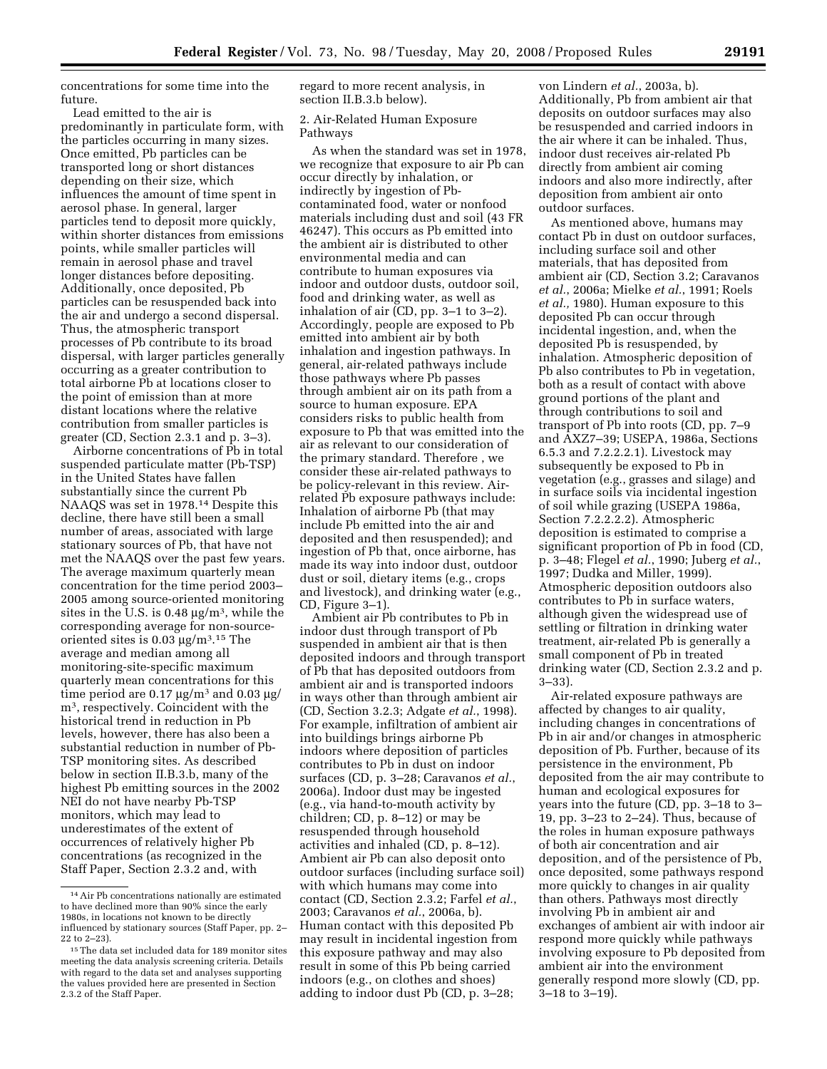concentrations for some time into the future.

Lead emitted to the air is predominantly in particulate form, with the particles occurring in many sizes. Once emitted, Pb particles can be transported long or short distances depending on their size, which influences the amount of time spent in aerosol phase. In general, larger particles tend to deposit more quickly, within shorter distances from emissions points, while smaller particles will remain in aerosol phase and travel longer distances before depositing. Additionally, once deposited, Pb particles can be resuspended back into the air and undergo a second dispersal. Thus, the atmospheric transport processes of Pb contribute to its broad dispersal, with larger particles generally occurring as a greater contribution to total airborne Pb at locations closer to the point of emission than at more distant locations where the relative contribution from smaller particles is greater (CD, Section 2.3.1 and p. 3–3).

Airborne concentrations of Pb in total suspended particulate matter (Pb-TSP) in the United States have fallen substantially since the current Pb NAAQS was set in 1978.14 Despite this decline, there have still been a small number of areas, associated with large stationary sources of Pb, that have not met the NAAQS over the past few years. The average maximum quarterly mean concentration for the time period 2003– 2005 among source-oriented monitoring sites in the U.S. is  $0.48 \mu g/m^3$ , while the corresponding average for non-sourceoriented sites is 0.03 µg/m3.15 The average and median among all monitoring-site-specific maximum quarterly mean concentrations for this time period are  $0.17 \mu g/m^3$  and  $0.03 \mu g/m$ m3, respectively. Coincident with the historical trend in reduction in Pb levels, however, there has also been a substantial reduction in number of Pb-TSP monitoring sites. As described below in section II.B.3.b, many of the highest Pb emitting sources in the 2002 NEI do not have nearby Pb-TSP monitors, which may lead to underestimates of the extent of occurrences of relatively higher Pb concentrations (as recognized in the Staff Paper, Section 2.3.2 and, with

regard to more recent analysis, in section II.B.3.b below).

### 2. Air-Related Human Exposure Pathways

As when the standard was set in 1978, we recognize that exposure to air Pb can occur directly by inhalation, or indirectly by ingestion of Pbcontaminated food, water or nonfood materials including dust and soil (43 FR 46247). This occurs as Pb emitted into the ambient air is distributed to other environmental media and can contribute to human exposures via indoor and outdoor dusts, outdoor soil, food and drinking water, as well as inhalation of air (CD, pp. 3–1 to 3–2). Accordingly, people are exposed to Pb emitted into ambient air by both inhalation and ingestion pathways. In general, air-related pathways include those pathways where Pb passes through ambient air on its path from a source to human exposure. EPA considers risks to public health from exposure to Pb that was emitted into the air as relevant to our consideration of the primary standard. Therefore , we consider these air-related pathways to be policy-relevant in this review. Airrelated Pb exposure pathways include: Inhalation of airborne Pb (that may include Pb emitted into the air and deposited and then resuspended); and ingestion of Pb that, once airborne, has made its way into indoor dust, outdoor dust or soil, dietary items (e.g., crops and livestock), and drinking water (e.g., CD, Figure 3–1).

Ambient air Pb contributes to Pb in indoor dust through transport of Pb suspended in ambient air that is then deposited indoors and through transport of Pb that has deposited outdoors from ambient air and is transported indoors in ways other than through ambient air (CD, Section 3.2.3; Adgate *et al.*, 1998). For example, infiltration of ambient air into buildings brings airborne Pb indoors where deposition of particles contributes to Pb in dust on indoor surfaces (CD, p. 3–28; Caravanos *et al.*, 2006a). Indoor dust may be ingested (e.g., via hand-to-mouth activity by children; CD, p. 8–12) or may be resuspended through household activities and inhaled (CD, p. 8–12). Ambient air Pb can also deposit onto outdoor surfaces (including surface soil) with which humans may come into contact (CD, Section 2.3.2; Farfel *et al.*, 2003; Caravanos *et al.*, 2006a, b). Human contact with this deposited Pb may result in incidental ingestion from this exposure pathway and may also result in some of this Pb being carried indoors (e.g., on clothes and shoes) adding to indoor dust Pb (CD, p. 3–28;

von Lindern *et al.*, 2003a, b). Additionally, Pb from ambient air that deposits on outdoor surfaces may also be resuspended and carried indoors in the air where it can be inhaled. Thus, indoor dust receives air-related Pb directly from ambient air coming indoors and also more indirectly, after deposition from ambient air onto outdoor surfaces.

As mentioned above, humans may contact Pb in dust on outdoor surfaces, including surface soil and other materials, that has deposited from ambient air (CD, Section 3.2; Caravanos *et al.*, 2006a; Mielke *et al.*, 1991; Roels *et al.,* 1980). Human exposure to this deposited Pb can occur through incidental ingestion, and, when the deposited Pb is resuspended, by inhalation. Atmospheric deposition of Pb also contributes to Pb in vegetation, both as a result of contact with above ground portions of the plant and through contributions to soil and transport of Pb into roots (CD, pp. 7–9 and AXZ7–39; USEPA, 1986a, Sections 6.5.3 and 7.2.2.2.1). Livestock may subsequently be exposed to Pb in vegetation (e.g., grasses and silage) and in surface soils via incidental ingestion of soil while grazing (USEPA 1986a, Section 7.2.2.2.2). Atmospheric deposition is estimated to comprise a significant proportion of Pb in food (CD, p. 3–48; Flegel *et al.*, 1990; Juberg *et al.*, 1997; Dudka and Miller, 1999). Atmospheric deposition outdoors also contributes to Pb in surface waters, although given the widespread use of settling or filtration in drinking water treatment, air-related Pb is generally a small component of Pb in treated drinking water (CD, Section 2.3.2 and p. 3–33).

Air-related exposure pathways are affected by changes to air quality, including changes in concentrations of Pb in air and/or changes in atmospheric deposition of Pb. Further, because of its persistence in the environment, Pb deposited from the air may contribute to human and ecological exposures for years into the future (CD, pp. 3–18 to 3– 19, pp. 3–23 to 2–24). Thus, because of the roles in human exposure pathways of both air concentration and air deposition, and of the persistence of Pb, once deposited, some pathways respond more quickly to changes in air quality than others. Pathways most directly involving Pb in ambient air and exchanges of ambient air with indoor air respond more quickly while pathways involving exposure to Pb deposited from ambient air into the environment generally respond more slowly (CD, pp. 3–18 to 3–19).

<sup>14</sup>Air Pb concentrations nationally are estimated to have declined more than 90% since the early 1980s, in locations not known to be directly influenced by stationary sources (Staff Paper, pp. 2– 22 to 2–23).

<sup>15</sup>The data set included data for 189 monitor sites meeting the data analysis screening criteria. Details with regard to the data set and analyses supporting the values provided here are presented in Section 2.3.2 of the Staff Paper.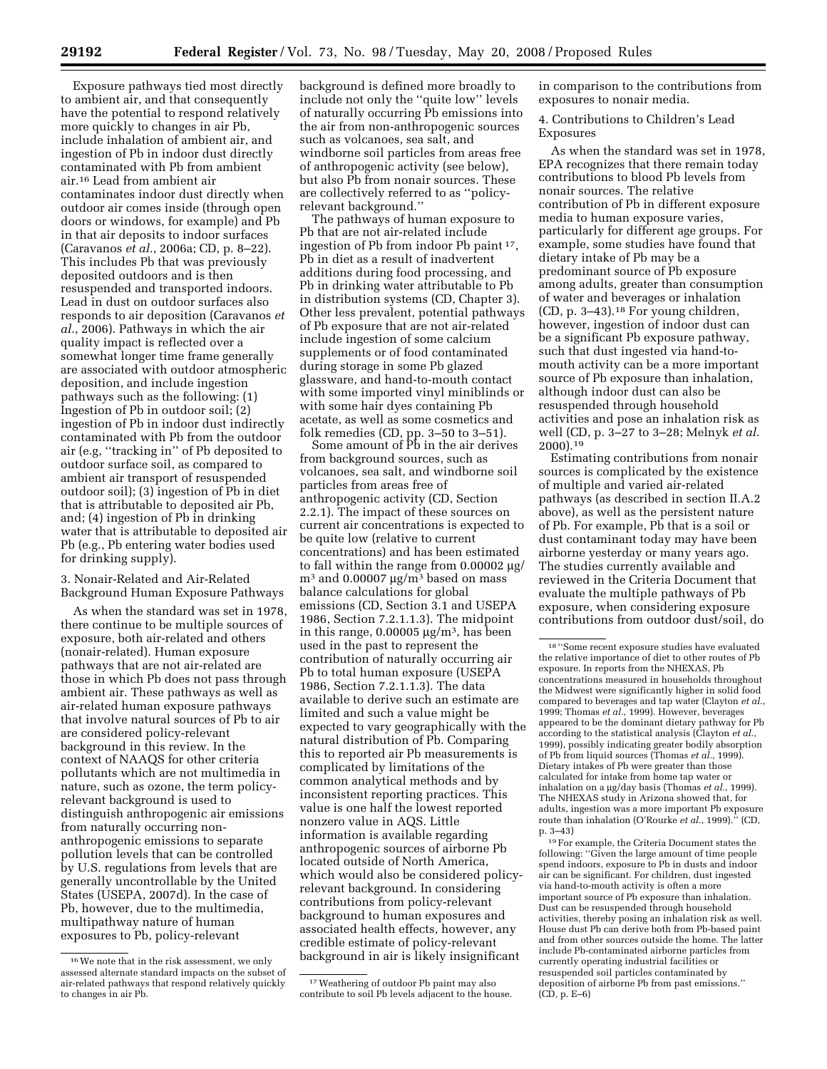Exposure pathways tied most directly to ambient air, and that consequently have the potential to respond relatively more quickly to changes in air Pb, include inhalation of ambient air, and ingestion of Pb in indoor dust directly contaminated with Pb from ambient air.16 Lead from ambient air contaminates indoor dust directly when outdoor air comes inside (through open doors or windows, for example) and Pb in that air deposits to indoor surfaces (Caravanos *et al.*, 2006a; CD, p. 8–22). This includes Pb that was previously deposited outdoors and is then resuspended and transported indoors. Lead in dust on outdoor surfaces also responds to air deposition (Caravanos *et al.*, 2006). Pathways in which the air quality impact is reflected over a somewhat longer time frame generally are associated with outdoor atmospheric deposition, and include ingestion pathways such as the following: (1) Ingestion of Pb in outdoor soil; (2) ingestion of Pb in indoor dust indirectly contaminated with Pb from the outdoor air (e.g, ''tracking in'' of Pb deposited to outdoor surface soil, as compared to ambient air transport of resuspended outdoor soil); (3) ingestion of Pb in diet that is attributable to deposited air Pb, and; (4) ingestion of Pb in drinking water that is attributable to deposited air Pb (e.g., Pb entering water bodies used for drinking supply).

3. Nonair-Related and Air-Related Background Human Exposure Pathways

As when the standard was set in 1978, there continue to be multiple sources of exposure, both air-related and others (nonair-related). Human exposure pathways that are not air-related are those in which Pb does not pass through ambient air. These pathways as well as air-related human exposure pathways that involve natural sources of Pb to air are considered policy-relevant background in this review. In the context of NAAQS for other criteria pollutants which are not multimedia in nature, such as ozone, the term policyrelevant background is used to distinguish anthropogenic air emissions from naturally occurring nonanthropogenic emissions to separate pollution levels that can be controlled by U.S. regulations from levels that are generally uncontrollable by the United States (USEPA, 2007d). In the case of Pb, however, due to the multimedia, multipathway nature of human exposures to Pb, policy-relevant

background is defined more broadly to include not only the ''quite low'' levels of naturally occurring Pb emissions into the air from non-anthropogenic sources such as volcanoes, sea salt, and windborne soil particles from areas free of anthropogenic activity (see below), but also Pb from nonair sources. These are collectively referred to as ''policyrelevant background.''

The pathways of human exposure to Pb that are not air-related include ingestion of Pb from indoor Pb paint 17, Pb in diet as a result of inadvertent additions during food processing, and Pb in drinking water attributable to Pb in distribution systems (CD, Chapter 3). Other less prevalent, potential pathways of Pb exposure that are not air-related include ingestion of some calcium supplements or of food contaminated during storage in some Pb glazed glassware, and hand-to-mouth contact with some imported vinyl miniblinds or with some hair dyes containing Pb acetate, as well as some cosmetics and folk remedies (CD, pp. 3–50 to 3–51).

Some amount of Pb in the air derives from background sources, such as volcanoes, sea salt, and windborne soil particles from areas free of anthropogenic activity (CD, Section 2.2.1). The impact of these sources on current air concentrations is expected to be quite low (relative to current concentrations) and has been estimated to fall within the range from 0.00002 µg/  $m<sup>3</sup>$  and 0.00007  $\mu$ g/m<sup>3</sup> based on mass balance calculations for global emissions (CD, Section 3.1 and USEPA 1986, Section 7.2.1.1.3). The midpoint in this range,  $0.00005 \mu g/m^3$ , has been used in the past to represent the contribution of naturally occurring air Pb to total human exposure (USEPA 1986, Section 7.2.1.1.3). The data available to derive such an estimate are limited and such a value might be expected to vary geographically with the natural distribution of Pb. Comparing this to reported air Pb measurements is complicated by limitations of the common analytical methods and by inconsistent reporting practices. This value is one half the lowest reported nonzero value in AQS. Little information is available regarding anthropogenic sources of airborne Pb located outside of North America, which would also be considered policyrelevant background. In considering contributions from policy-relevant background to human exposures and associated health effects, however, any credible estimate of policy-relevant background in air is likely insignificant

17Weathering of outdoor Pb paint may also contribute to soil Pb levels adjacent to the house. in comparison to the contributions from exposures to nonair media.

4. Contributions to Children's Lead Exposures

As when the standard was set in 1978, EPA recognizes that there remain today contributions to blood Pb levels from nonair sources. The relative contribution of Pb in different exposure media to human exposure varies, particularly for different age groups. For example, some studies have found that dietary intake of Pb may be a predominant source of Pb exposure among adults, greater than consumption of water and beverages or inhalation (CD, p. 3–43).18 For young children, however, ingestion of indoor dust can be a significant Pb exposure pathway, such that dust ingested via hand-tomouth activity can be a more important source of Pb exposure than inhalation, although indoor dust can also be resuspended through household activities and pose an inhalation risk as well (CD, p. 3–27 to 3–28; Melnyk *et al.*  2000).19

Estimating contributions from nonair sources is complicated by the existence of multiple and varied air-related pathways (as described in section II.A.2 above), as well as the persistent nature of Pb. For example, Pb that is a soil or dust contaminant today may have been airborne yesterday or many years ago. The studies currently available and reviewed in the Criteria Document that evaluate the multiple pathways of Pb exposure, when considering exposure contributions from outdoor dust/soil, do

19For example, the Criteria Document states the following: ''Given the large amount of time people spend indoors, exposure to Pb in dusts and indoor air can be significant. For children, dust ingested via hand-to-mouth activity is often a more important source of Pb exposure than inhalation. Dust can be resuspended through household activities, thereby posing an inhalation risk as well. House dust Pb can derive both from Pb-based paint and from other sources outside the home. The latter include Pb-contaminated airborne particles from currently operating industrial facilities or resuspended soil particles contaminated by deposition of airborne Pb from past emissions.'' (CD, p. E–6)

<sup>16</sup>We note that in the risk assessment, we only assessed alternate standard impacts on the subset of air-related pathways that respond relatively quickly to changes in air Pb.

<sup>18</sup> ''Some recent exposure studies have evaluated the relative importance of diet to other routes of Pb exposure. In reports from the NHEXAS, Pb concentrations measured in households throughout the Midwest were significantly higher in solid food compared to beverages and tap water (Clayton *et al.*, 1999; Thomas *et al.*, 1999). However, beverages appeared to be the dominant dietary pathway for Pb according to the statistical analysis (Clayton *et al.*, 1999), possibly indicating greater bodily absorption of Pb from liquid sources (Thomas *et al.*, 1999). Dietary intakes of Pb were greater than those calculated for intake from home tap water or inhalation on a µg/day basis (Thomas *et al.*, 1999). The NHEXAS study in Arizona showed that, for adults, ingestion was a more important Pb exposure route than inhalation (O'Rourke *et al.*, 1999)." (CD, p. 3–43)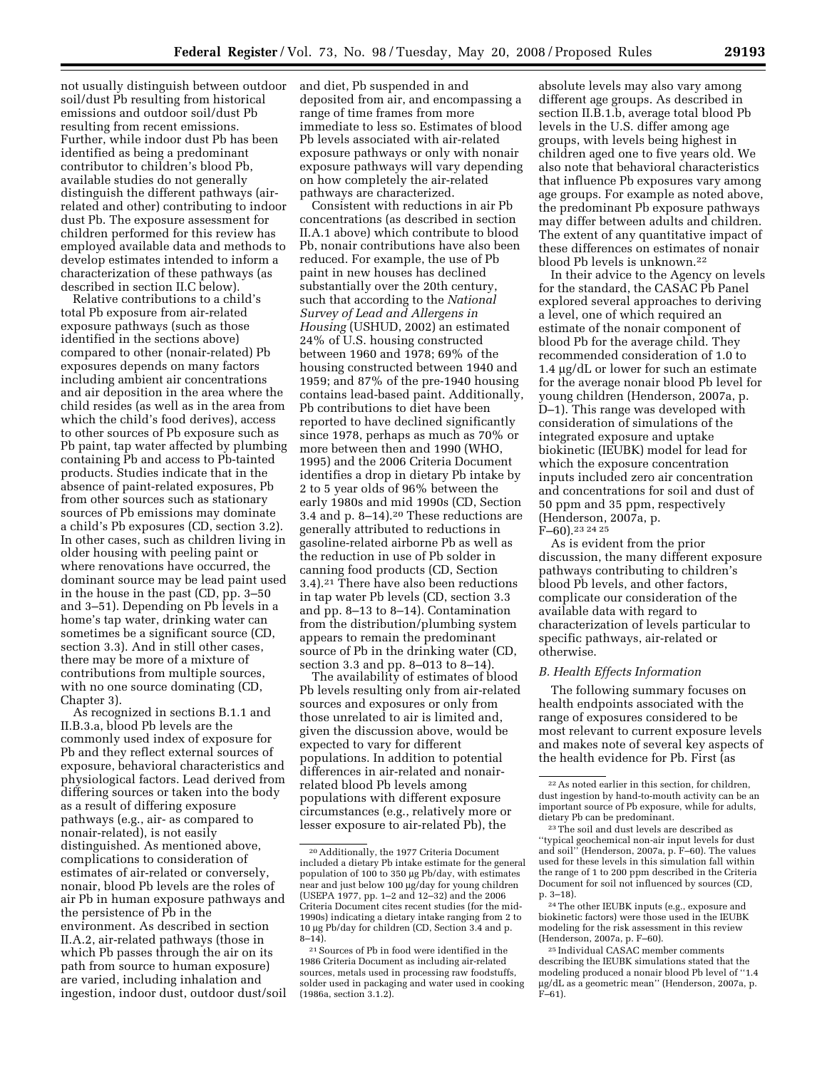not usually distinguish between outdoor soil/dust Pb resulting from historical emissions and outdoor soil/dust Pb resulting from recent emissions. Further, while indoor dust Pb has been identified as being a predominant contributor to children's blood Pb, available studies do not generally distinguish the different pathways (airrelated and other) contributing to indoor dust Pb. The exposure assessment for children performed for this review has employed available data and methods to develop estimates intended to inform a characterization of these pathways (as described in section II.C below).

Relative contributions to a child's total Pb exposure from air-related exposure pathways (such as those identified in the sections above) compared to other (nonair-related) Pb exposures depends on many factors including ambient air concentrations and air deposition in the area where the child resides (as well as in the area from which the child's food derives), access to other sources of Pb exposure such as Pb paint, tap water affected by plumbing containing Pb and access to Pb-tainted products. Studies indicate that in the absence of paint-related exposures, Pb from other sources such as stationary sources of Pb emissions may dominate a child's Pb exposures (CD, section 3.2). In other cases, such as children living in older housing with peeling paint or where renovations have occurred, the dominant source may be lead paint used in the house in the past (CD, pp. 3–50 and 3–51). Depending on Pb levels in a home's tap water, drinking water can sometimes be a significant source (CD, section 3.3). And in still other cases, there may be more of a mixture of contributions from multiple sources, with no one source dominating (CD, Chapter 3).

As recognized in sections B.1.1 and II.B.3.a, blood Pb levels are the commonly used index of exposure for Pb and they reflect external sources of exposure, behavioral characteristics and physiological factors. Lead derived from differing sources or taken into the body as a result of differing exposure pathways (e.g., air- as compared to nonair-related), is not easily distinguished. As mentioned above, complications to consideration of estimates of air-related or conversely, nonair, blood Pb levels are the roles of air Pb in human exposure pathways and the persistence of Pb in the environment. As described in section II.A.2, air-related pathways (those in which Pb passes through the air on its path from source to human exposure) are varied, including inhalation and ingestion, indoor dust, outdoor dust/soil

and diet, Pb suspended in and deposited from air, and encompassing a range of time frames from more immediate to less so. Estimates of blood Pb levels associated with air-related exposure pathways or only with nonair exposure pathways will vary depending on how completely the air-related pathways are characterized.

Consistent with reductions in air Pb concentrations (as described in section II.A.1 above) which contribute to blood Pb, nonair contributions have also been reduced. For example, the use of Pb paint in new houses has declined substantially over the 20th century, such that according to the *National Survey of Lead and Allergens in Housing* (USHUD, 2002) an estimated 24% of U.S. housing constructed between 1960 and 1978; 69% of the housing constructed between 1940 and 1959; and 87% of the pre-1940 housing contains lead-based paint. Additionally, Pb contributions to diet have been reported to have declined significantly since 1978, perhaps as much as 70% or more between then and 1990 (WHO, 1995) and the 2006 Criteria Document identifies a drop in dietary Pb intake by 2 to 5 year olds of 96% between the early 1980s and mid 1990s (CD, Section 3.4 and p. 8–14).20 These reductions are generally attributed to reductions in gasoline-related airborne Pb as well as the reduction in use of Pb solder in canning food products (CD, Section 3.4).21 There have also been reductions in tap water Pb levels (CD, section 3.3 and pp. 8–13 to 8–14). Contamination from the distribution/plumbing system appears to remain the predominant source of Pb in the drinking water (CD, section 3.3 and pp. 8–013 to 8–14).

The availability of estimates of blood Pb levels resulting only from air-related sources and exposures or only from those unrelated to air is limited and, given the discussion above, would be expected to vary for different populations. In addition to potential differences in air-related and nonairrelated blood Pb levels among populations with different exposure circumstances (e.g., relatively more or lesser exposure to air-related Pb), the

absolute levels may also vary among different age groups. As described in section II.B.1.b, average total blood Pb levels in the U.S. differ among age groups, with levels being highest in children aged one to five years old. We also note that behavioral characteristics that influence Pb exposures vary among age groups. For example as noted above, the predominant Pb exposure pathways may differ between adults and children. The extent of any quantitative impact of these differences on estimates of nonair blood Pb levels is unknown.22

In their advice to the Agency on levels for the standard, the CASAC Pb Panel explored several approaches to deriving a level, one of which required an estimate of the nonair component of blood Pb for the average child. They recommended consideration of 1.0 to 1.4 µg/dL or lower for such an estimate for the average nonair blood Pb level for young children (Henderson, 2007a, p. D–1). This range was developed with consideration of simulations of the integrated exposure and uptake biokinetic (IEUBK) model for lead for which the exposure concentration inputs included zero air concentration and concentrations for soil and dust of 50 ppm and 35 ppm, respectively (Henderson, 2007a, p. F–60).23 24 25

As is evident from the prior discussion, the many different exposure pathways contributing to children's blood Pb levels, and other factors, complicate our consideration of the available data with regard to characterization of levels particular to specific pathways, air-related or otherwise.

#### *B. Health Effects Information*

The following summary focuses on health endpoints associated with the range of exposures considered to be most relevant to current exposure levels and makes note of several key aspects of the health evidence for Pb. First (as

<sup>20</sup>Additionally, the 1977 Criteria Document included a dietary Pb intake estimate for the general population of 100 to 350 µg Pb/day, with estimates near and just below 100 µg/day for young children (USEPA 1977, pp. 1–2 and 12–32) and the 2006 Criteria Document cites recent studies (for the mid-1990s) indicating a dietary intake ranging from 2 to 10 µg Pb/day for children (CD, Section 3.4 and p. 8–14).

<sup>21</sup>Sources of Pb in food were identified in the 1986 Criteria Document as including air-related sources, metals used in processing raw foodstuffs, solder used in packaging and water used in cooking (1986a, section 3.1.2).

<sup>22</sup>As noted earlier in this section, for children, dust ingestion by hand-to-mouth activity can be an important source of Pb exposure, while for adults, dietary Pb can be predominant.

<sup>23</sup>The soil and dust levels are described as ''typical geochemical non-air input levels for dust and soil'' (Henderson, 2007a, p. F–60). The values used for these levels in this simulation fall within the range of 1 to 200 ppm described in the Criteria Document for soil not influenced by sources (CD, p. 3–18).

<sup>24</sup>The other IEUBK inputs (e.g., exposure and biokinetic factors) were those used in the IEUBK modeling for the risk assessment in this review (Henderson, 2007a, p. F–60).

<sup>25</sup> Individual CASAC member comments describing the IEUBK simulations stated that the modeling produced a nonair blood Pb level of ''1.4 µg/dL as a geometric mean'' (Henderson, 2007a, p. .<br>F–61).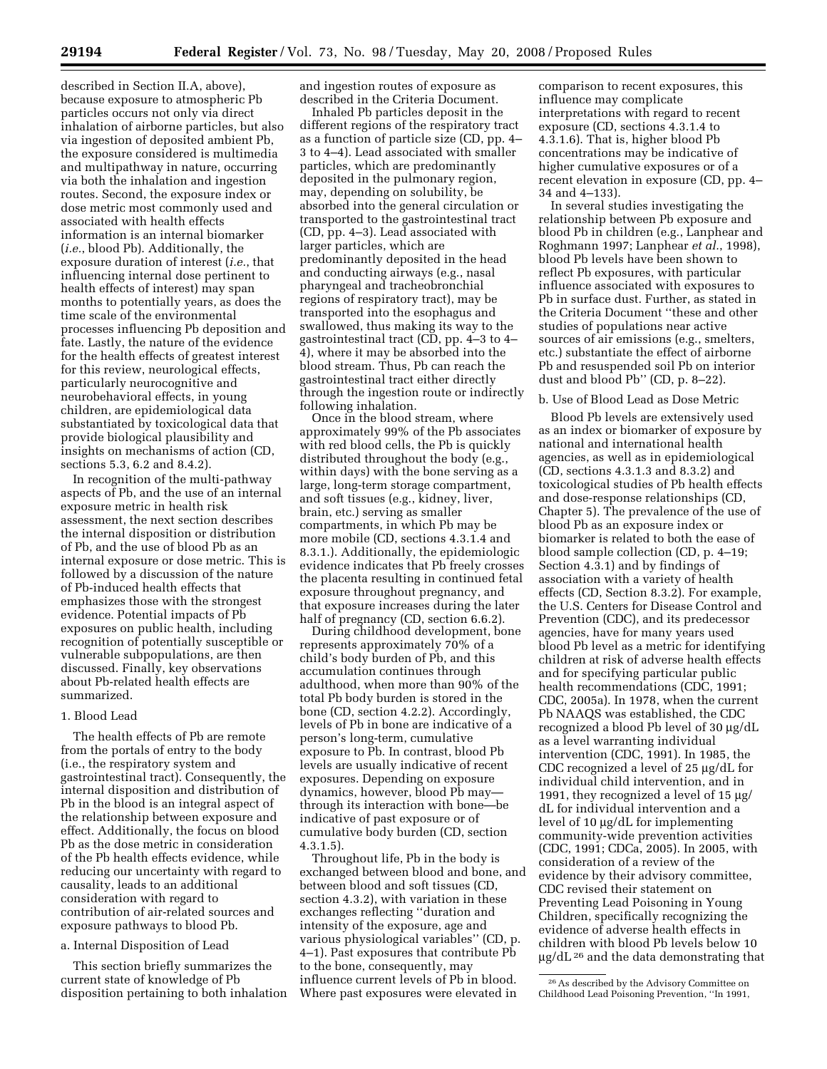described in Section II.A, above), because exposure to atmospheric Pb particles occurs not only via direct inhalation of airborne particles, but also via ingestion of deposited ambient Pb, the exposure considered is multimedia and multipathway in nature, occurring via both the inhalation and ingestion routes. Second, the exposure index or dose metric most commonly used and associated with health effects information is an internal biomarker (*i.e.*, blood Pb). Additionally, the exposure duration of interest (*i.e.*, that influencing internal dose pertinent to health effects of interest) may span months to potentially years, as does the time scale of the environmental processes influencing Pb deposition and fate. Lastly, the nature of the evidence for the health effects of greatest interest for this review, neurological effects, particularly neurocognitive and neurobehavioral effects, in young children, are epidemiological data substantiated by toxicological data that provide biological plausibility and insights on mechanisms of action (CD, sections 5.3, 6.2 and 8.4.2).

In recognition of the multi-pathway aspects of Pb, and the use of an internal exposure metric in health risk assessment, the next section describes the internal disposition or distribution of Pb, and the use of blood Pb as an internal exposure or dose metric. This is followed by a discussion of the nature of Pb-induced health effects that emphasizes those with the strongest evidence. Potential impacts of Pb exposures on public health, including recognition of potentially susceptible or vulnerable subpopulations, are then discussed. Finally, key observations about Pb-related health effects are summarized.

#### 1. Blood Lead

The health effects of Pb are remote from the portals of entry to the body (i.e., the respiratory system and gastrointestinal tract). Consequently, the internal disposition and distribution of Pb in the blood is an integral aspect of the relationship between exposure and effect. Additionally, the focus on blood Pb as the dose metric in consideration of the Pb health effects evidence, while reducing our uncertainty with regard to causality, leads to an additional consideration with regard to contribution of air-related sources and exposure pathways to blood Pb.

#### a. Internal Disposition of Lead

This section briefly summarizes the current state of knowledge of Pb disposition pertaining to both inhalation and ingestion routes of exposure as described in the Criteria Document.

Inhaled Pb particles deposit in the different regions of the respiratory tract as a function of particle size (CD, pp. 4– 3 to 4–4). Lead associated with smaller particles, which are predominantly deposited in the pulmonary region, may, depending on solubility, be absorbed into the general circulation or transported to the gastrointestinal tract (CD, pp. 4–3). Lead associated with larger particles, which are predominantly deposited in the head and conducting airways (e.g., nasal pharyngeal and tracheobronchial regions of respiratory tract), may be transported into the esophagus and swallowed, thus making its way to the gastrointestinal tract (CD, pp. 4–3 to 4– 4), where it may be absorbed into the blood stream. Thus, Pb can reach the gastrointestinal tract either directly through the ingestion route or indirectly following inhalation.

Once in the blood stream, where approximately 99% of the Pb associates with red blood cells, the Pb is quickly distributed throughout the body (e.g., within days) with the bone serving as a large, long-term storage compartment, and soft tissues (e.g., kidney, liver, brain, etc.) serving as smaller compartments, in which Pb may be more mobile (CD, sections 4.3.1.4 and 8.3.1.). Additionally, the epidemiologic evidence indicates that Pb freely crosses the placenta resulting in continued fetal exposure throughout pregnancy, and that exposure increases during the later half of pregnancy (CD, section 6.6.2).

During childhood development, bone represents approximately 70% of a child's body burden of Pb, and this accumulation continues through adulthood, when more than 90% of the total Pb body burden is stored in the bone (CD, section 4.2.2). Accordingly, levels of Pb in bone are indicative of a person's long-term, cumulative exposure to Pb. In contrast, blood Pb levels are usually indicative of recent exposures. Depending on exposure dynamics, however, blood Pb may through its interaction with bone—be indicative of past exposure or of cumulative body burden (CD, section 4.3.1.5).

Throughout life, Pb in the body is exchanged between blood and bone, and between blood and soft tissues (CD, section 4.3.2), with variation in these exchanges reflecting ''duration and intensity of the exposure, age and various physiological variables'' (CD, p. 4–1). Past exposures that contribute Pb to the bone, consequently, may influence current levels of Pb in blood. Where past exposures were elevated in

comparison to recent exposures, this influence may complicate interpretations with regard to recent exposure (CD, sections 4.3.1.4 to 4.3.1.6). That is, higher blood Pb concentrations may be indicative of higher cumulative exposures or of a recent elevation in exposure (CD, pp. 4– 34 and 4–133).

In several studies investigating the relationship between Pb exposure and blood Pb in children (e.g., Lanphear and Roghmann 1997; Lanphear *et al.*, 1998), blood Pb levels have been shown to reflect Pb exposures, with particular influence associated with exposures to Pb in surface dust. Further, as stated in the Criteria Document ''these and other studies of populations near active sources of air emissions (e.g., smelters, etc.) substantiate the effect of airborne Pb and resuspended soil Pb on interior dust and blood Pb'' (CD, p. 8–22).

### b. Use of Blood Lead as Dose Metric

Blood Pb levels are extensively used as an index or biomarker of exposure by national and international health agencies, as well as in epidemiological (CD, sections 4.3.1.3 and 8.3.2) and toxicological studies of Pb health effects and dose-response relationships (CD, Chapter 5). The prevalence of the use of blood Pb as an exposure index or biomarker is related to both the ease of blood sample collection (CD, p. 4–19; Section 4.3.1) and by findings of association with a variety of health effects (CD, Section 8.3.2). For example, the U.S. Centers for Disease Control and Prevention (CDC), and its predecessor agencies, have for many years used blood Pb level as a metric for identifying children at risk of adverse health effects and for specifying particular public health recommendations (CDC, 1991; CDC, 2005a). In 1978, when the current Pb NAAQS was established, the CDC recognized a blood Pb level of 30 µg/dL as a level warranting individual intervention (CDC, 1991). In 1985, the CDC recognized a level of 25 µg/dL for individual child intervention, and in 1991, they recognized a level of 15 µg/ dL for individual intervention and a level of 10 µg/dL for implementing community-wide prevention activities (CDC, 1991; CDCa, 2005). In 2005, with consideration of a review of the evidence by their advisory committee, CDC revised their statement on Preventing Lead Poisoning in Young Children, specifically recognizing the evidence of adverse health effects in children with blood Pb levels below 10 µg/dL 26 and the data demonstrating that

<sup>26</sup>As described by the Advisory Committee on Childhood Lead Poisoning Prevention, ''In 1991,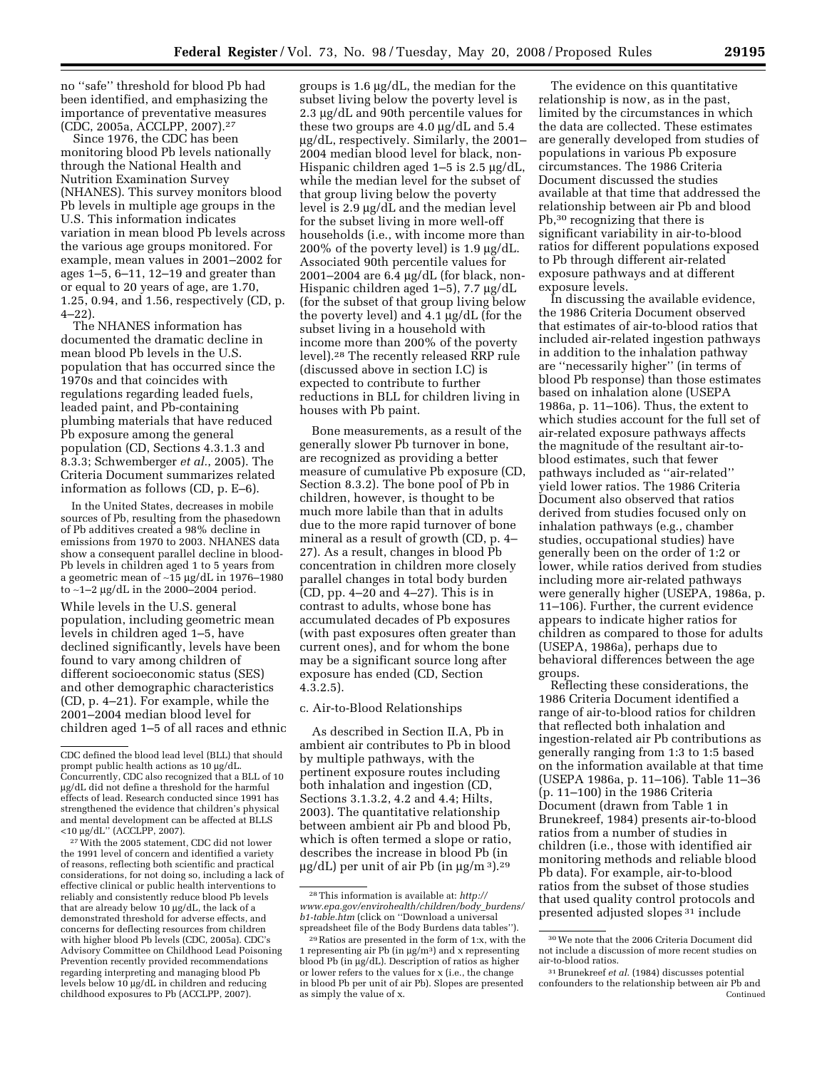no ''safe'' threshold for blood Pb had been identified, and emphasizing the importance of preventative measures (CDC, 2005a, ACCLPP, 2007).27

Since 1976, the CDC has been monitoring blood Pb levels nationally through the National Health and Nutrition Examination Survey (NHANES). This survey monitors blood Pb levels in multiple age groups in the U.S. This information indicates variation in mean blood Pb levels across the various age groups monitored. For example, mean values in 2001–2002 for ages 1–5, 6–11, 12–19 and greater than or equal to 20 years of age, are 1.70, 1.25, 0.94, and 1.56, respectively (CD, p. 4–22).

The NHANES information has documented the dramatic decline in mean blood Pb levels in the U.S. population that has occurred since the 1970s and that coincides with regulations regarding leaded fuels, leaded paint, and Pb-containing plumbing materials that have reduced Pb exposure among the general population (CD, Sections 4.3.1.3 and 8.3.3; Schwemberger *et al.*, 2005). The Criteria Document summarizes related information as follows (CD, p. E–6).

In the United States, decreases in mobile sources of Pb, resulting from the phasedown of Pb additives created a 98% decline in emissions from 1970 to 2003. NHANES data show a consequent parallel decline in blood-Pb levels in children aged 1 to 5 years from a geometric mean of ∼15 µg/dL in 1976–1980 to ∼1–2 µg/dL in the 2000–2004 period.

While levels in the U.S. general population, including geometric mean levels in children aged 1–5, have declined significantly, levels have been found to vary among children of different socioeconomic status (SES) and other demographic characteristics (CD, p. 4–21). For example, while the 2001–2004 median blood level for children aged 1–5 of all races and ethnic

27With the 2005 statement, CDC did not lower the 1991 level of concern and identified a variety of reasons, reflecting both scientific and practical considerations, for not doing so, including a lack of effective clinical or public health interventions to reliably and consistently reduce blood Pb levels that are already below 10 µg/dL, the lack of a demonstrated threshold for adverse effects, and concerns for deflecting resources from children with higher blood Pb levels (CDC, 2005a). CDC's Advisory Committee on Childhood Lead Poisoning Prevention recently provided recommendations regarding interpreting and managing blood Pb levels below 10 µg/dL in children and reducing childhood exposures to Pb (ACCLPP, 2007).

groups is 1.6 µg/dL, the median for the subset living below the poverty level is 2.3 µg/dL and 90th percentile values for these two groups are 4.0 µg/dL and 5.4 µg/dL, respectively. Similarly, the 2001– 2004 median blood level for black, non-Hispanic children aged 1–5 is 2.5 µg/dL, while the median level for the subset of that group living below the poverty level is 2.9 µg/dL and the median level for the subset living in more well-off households (i.e., with income more than 200% of the poverty level) is 1.9 µg/dL. Associated 90th percentile values for  $2001-2004$  are  $6.4 \mu g/dL$  (for black, non-Hispanic children aged 1–5), 7.7 µg/dL (for the subset of that group living below the poverty level) and 4.1 µg/dL (for the subset living in a household with income more than 200% of the poverty level).28 The recently released RRP rule (discussed above in section I.C) is expected to contribute to further reductions in BLL for children living in houses with Pb paint.

Bone measurements, as a result of the generally slower Pb turnover in bone, are recognized as providing a better measure of cumulative Pb exposure (CD, Section 8.3.2). The bone pool of Pb in children, however, is thought to be much more labile than that in adults due to the more rapid turnover of bone mineral as a result of growth (CD, p. 4– 27). As a result, changes in blood Pb concentration in children more closely parallel changes in total body burden (CD, pp. 4–20 and 4–27). This is in contrast to adults, whose bone has accumulated decades of Pb exposures (with past exposures often greater than current ones), and for whom the bone may be a significant source long after exposure has ended (CD, Section 4.3.2.5).

### c. Air-to-Blood Relationships

As described in Section II.A, Pb in ambient air contributes to Pb in blood by multiple pathways, with the pertinent exposure routes including both inhalation and ingestion (CD, Sections 3.1.3.2, 4.2 and 4.4; Hilts, 2003). The quantitative relationship between ambient air Pb and blood Pb, which is often termed a slope or ratio, describes the increase in blood Pb (in µg/dL) per unit of air Pb (in µg/m 3).29

The evidence on this quantitative relationship is now, as in the past, limited by the circumstances in which the data are collected. These estimates are generally developed from studies of populations in various Pb exposure circumstances. The 1986 Criteria Document discussed the studies available at that time that addressed the relationship between air Pb and blood Pb,30 recognizing that there is significant variability in air-to-blood ratios for different populations exposed to Pb through different air-related exposure pathways and at different exposure levels.

In discussing the available evidence, the 1986 Criteria Document observed that estimates of air-to-blood ratios that included air-related ingestion pathways in addition to the inhalation pathway are ''necessarily higher'' (in terms of blood Pb response) than those estimates based on inhalation alone (USEPA 1986a, p. 11–106). Thus, the extent to which studies account for the full set of air-related exposure pathways affects the magnitude of the resultant air-toblood estimates, such that fewer pathways included as ''air-related'' yield lower ratios. The 1986 Criteria Document also observed that ratios derived from studies focused only on inhalation pathways (e.g., chamber studies, occupational studies) have generally been on the order of 1:2 or lower, while ratios derived from studies including more air-related pathways were generally higher (USEPA, 1986a, p. 11–106). Further, the current evidence appears to indicate higher ratios for children as compared to those for adults (USEPA, 1986a), perhaps due to behavioral differences between the age groups.

Reflecting these considerations, the 1986 Criteria Document identified a range of air-to-blood ratios for children that reflected both inhalation and ingestion-related air Pb contributions as generally ranging from 1:3 to 1:5 based on the information available at that time (USEPA 1986a, p. 11–106). Table 11–36 (p. 11–100) in the 1986 Criteria Document (drawn from Table 1 in Brunekreef, 1984) presents air-to-blood ratios from a number of studies in children (i.e., those with identified air monitoring methods and reliable blood Pb data). For example, air-to-blood ratios from the subset of those studies that used quality control protocols and presented adjusted slopes 31 include

CDC defined the blood lead level (BLL) that should prompt public health actions as 10 µg/dL. Concurrently, CDC also recognized that a BLL of 10 µg/dL did not define a threshold for the harmful effects of lead. Research conducted since 1991 has strengthened the evidence that children's physical and mental development can be affected at BLLS <10 µg/dL'' (ACCLPP, 2007).

<sup>28</sup>This information is available at: *http:// www.epa.gov/envirohealth/children/body*\_*burdens/ b1-table.htm* (click on ''Download a universal spreadsheet file of the Body Burdens data tables'').

<sup>29</sup>Ratios are presented in the form of 1:x, with the 1 representing air Pb (in  $\mu$ g/m<sup>3</sup>) and x representing blood Pb (in µg/dL). Description of ratios as higher or lower refers to the values for x (i.e., the change in blood Pb per unit of air Pb). Slopes are presented as simply the value of x.

<sup>30</sup>We note that the 2006 Criteria Document did not include a discussion of more recent studies on

<sup>&</sup>lt;sup>31</sup> Brunekreef *et al.* (1984) discusses potential confounders to the relationship between air Pb and Continued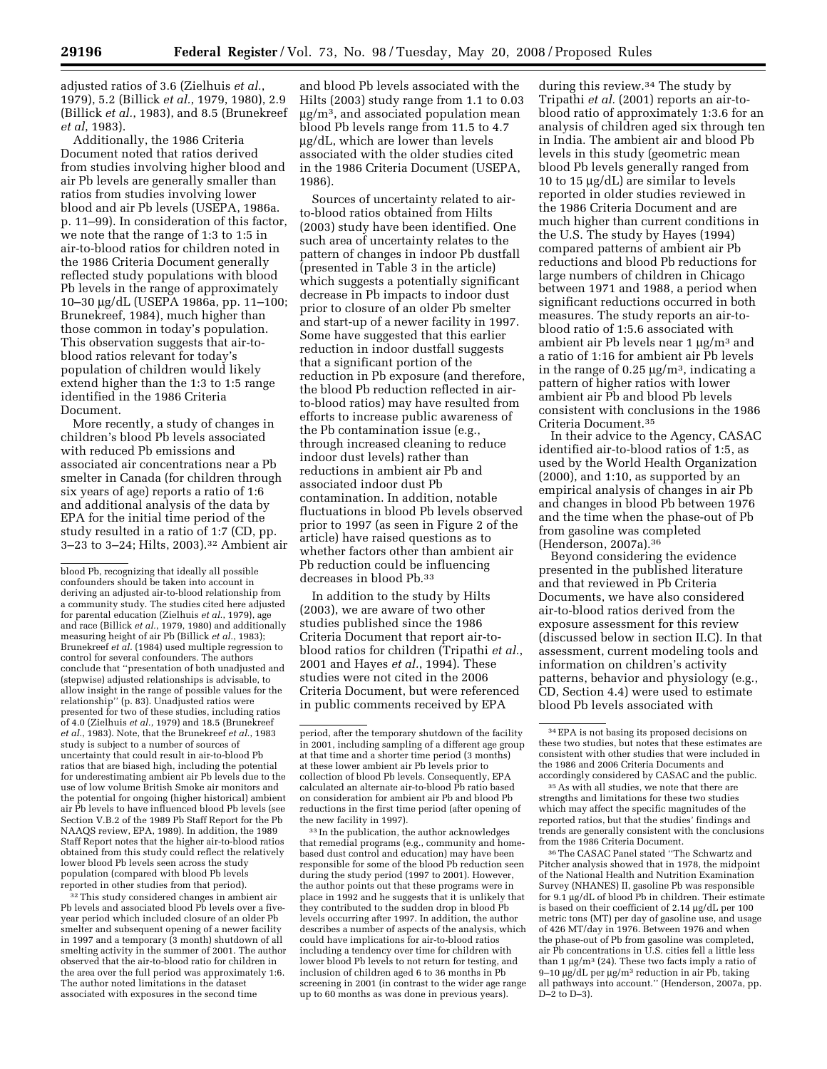adjusted ratios of 3.6 (Zielhuis *et al.*, 1979), 5.2 (Billick *et al.*, 1979, 1980), 2.9 (Billick *et al.*, 1983), and 8.5 (Brunekreef *et al*, 1983).

Additionally, the 1986 Criteria Document noted that ratios derived from studies involving higher blood and air Pb levels are generally smaller than ratios from studies involving lower blood and air Pb levels (USEPA, 1986a. p. 11–99). In consideration of this factor, we note that the range of 1:3 to 1:5 in air-to-blood ratios for children noted in the 1986 Criteria Document generally reflected study populations with blood Pb levels in the range of approximately 10–30 µg/dL (USEPA 1986a, pp. 11–100; Brunekreef, 1984), much higher than those common in today's population. This observation suggests that air-toblood ratios relevant for today's population of children would likely extend higher than the 1:3 to 1:5 range identified in the 1986 Criteria Document.

More recently, a study of changes in children's blood Pb levels associated with reduced Pb emissions and associated air concentrations near a Pb smelter in Canada (for children through six years of age) reports a ratio of 1:6 and additional analysis of the data by EPA for the initial time period of the study resulted in a ratio of 1:7 (CD, pp. 3–23 to 3–24; Hilts, 2003).32 Ambient air

32This study considered changes in ambient air Pb levels and associated blood Pb levels over a fiveyear period which included closure of an older Pb smelter and subsequent opening of a newer facility in 1997 and a temporary (3 month) shutdown of all smelting activity in the summer of 2001. The author observed that the air-to-blood ratio for children in the area over the full period was approximately 1:6. The author noted limitations in the dataset associated with exposures in the second time

and blood Pb levels associated with the Hilts (2003) study range from 1.1 to 0.03  $\mu$ g/m<sup>3</sup>, and associated population mean blood Pb levels range from 11.5 to 4.7 µg/dL, which are lower than levels associated with the older studies cited in the 1986 Criteria Document (USEPA, 1986).

Sources of uncertainty related to airto-blood ratios obtained from Hilts (2003) study have been identified. One such area of uncertainty relates to the pattern of changes in indoor Pb dustfall (presented in Table 3 in the article) which suggests a potentially significant decrease in Pb impacts to indoor dust prior to closure of an older Pb smelter and start-up of a newer facility in 1997. Some have suggested that this earlier reduction in indoor dustfall suggests that a significant portion of the reduction in Pb exposure (and therefore, the blood Pb reduction reflected in airto-blood ratios) may have resulted from efforts to increase public awareness of the Pb contamination issue (e.g., through increased cleaning to reduce indoor dust levels) rather than reductions in ambient air Pb and associated indoor dust Pb contamination. In addition, notable fluctuations in blood Pb levels observed prior to 1997 (as seen in Figure 2 of the article) have raised questions as to whether factors other than ambient air Pb reduction could be influencing decreases in blood Pb.33

In addition to the study by Hilts (2003), we are aware of two other studies published since the 1986 Criteria Document that report air-toblood ratios for children (Tripathi *et al.*, 2001 and Hayes *et al.*, 1994). These studies were not cited in the 2006 Criteria Document, but were referenced in public comments received by EPA

33 In the publication, the author acknowledges that remedial programs (e.g., community and homebased dust control and education) may have been responsible for some of the blood Pb reduction seen during the study period (1997 to 2001). However, the author points out that these programs were in place in 1992 and he suggests that it is unlikely that they contributed to the sudden drop in blood Pb levels occurring after 1997. In addition, the author describes a number of aspects of the analysis, which could have implications for air-to-blood ratios including a tendency over time for children with lower blood Pb levels to not return for testing, and inclusion of children aged 6 to 36 months in Pb screening in 2001 (in contrast to the wider age range up to 60 months as was done in previous years).

during this review.34 The study by Tripathi *et al.* (2001) reports an air-toblood ratio of approximately 1:3.6 for an analysis of children aged six through ten in India. The ambient air and blood Pb levels in this study (geometric mean blood Pb levels generally ranged from 10 to 15 µg/dL) are similar to levels reported in older studies reviewed in the 1986 Criteria Document and are much higher than current conditions in the U.S. The study by Hayes (1994) compared patterns of ambient air Pb reductions and blood Pb reductions for large numbers of children in Chicago between 1971 and 1988, a period when significant reductions occurred in both measures. The study reports an air-toblood ratio of 1:5.6 associated with ambient air Pb levels near 1  $\mu$ g/m<sup>3</sup> and a ratio of 1:16 for ambient air Pb levels in the range of  $0.25 \mu g/m^3$ , indicating a pattern of higher ratios with lower ambient air Pb and blood Pb levels consistent with conclusions in the 1986 Criteria Document.35

In their advice to the Agency, CASAC identified air-to-blood ratios of 1:5, as used by the World Health Organization (2000), and 1:10, as supported by an empirical analysis of changes in air Pb and changes in blood Pb between 1976 and the time when the phase-out of Pb from gasoline was completed (Henderson, 2007a).36

Beyond considering the evidence presented in the published literature and that reviewed in Pb Criteria Documents, we have also considered air-to-blood ratios derived from the exposure assessment for this review (discussed below in section II.C). In that assessment, current modeling tools and information on children's activity patterns, behavior and physiology (e.g., CD, Section 4.4) were used to estimate blood Pb levels associated with

36The CASAC Panel stated ''The Schwartz and Pitcher analysis showed that in 1978, the midpoint of the National Health and Nutrition Examination Survey (NHANES) II, gasoline Pb was responsible for 9.1 µg/dL of blood Pb in children. Their estimate is based on their coefficient of 2.14 µg/dL per 100 metric tons (MT) per day of gasoline use, and usage of 426 MT/day in 1976. Between 1976 and when the phase-out of Pb from gasoline was completed, air Pb concentrations in U.S. cities fell a little less than  $1 \mu g/m^3$  (24). These two facts imply a ratio of 9–10 µg/dL per µg/m3 reduction in air Pb, taking all pathways into account.'' (Henderson, 2007a, pp.  $D-2$  to  $D-3$ ).

blood Pb, recognizing that ideally all possible confounders should be taken into account in deriving an adjusted air-to-blood relationship from a community study. The studies cited here adjusted for parental education (Zielhuis *et al.*, 1979), age and race (Billick *et al.*, 1979, 1980) and additionally measuring height of air Pb (Billick *et al.*, 1983); Brunekreef *et al.* (1984) used multiple regression to control for several confounders. The authors conclude that ''presentation of both unadjusted and (stepwise) adjusted relationships is advisable, to allow insight in the range of possible values for the relationship'' (p. 83). Unadjusted ratios were presented for two of these studies, including ratios of 4.0 (Zielhuis *et al.*, 1979) and 18.5 (Brunekreef *et al.*, 1983). Note, that the Brunekreef *et al.*, 1983 study is subject to a number of sources of uncertainty that could result in air-to-blood Pb ratios that are biased high, including the potential for underestimating ambient air Pb levels due to the use of low volume British Smoke air monitors and the potential for ongoing (higher historical) ambient air Pb levels to have influenced blood Pb levels (see Section V.B.2 of the 1989 Pb Staff Report for the Pb NAAQS review, EPA, 1989). In addition, the 1989 Staff Report notes that the higher air-to-blood ratios obtained from this study could reflect the relatively lower blood Pb levels seen across the study population (compared with blood Pb levels reported in other studies from that period).

period, after the temporary shutdown of the facility in 2001, including sampling of a different age group at that time and a shorter time period (3 months) at these lower ambient air Pb levels prior to collection of blood Pb levels. Consequently, EPA calculated an alternate air-to-blood Pb ratio based on consideration for ambient air Pb and blood Pb reductions in the first time period (after opening of the new facility in 1997).

<sup>34</sup>EPA is not basing its proposed decisions on these two studies, but notes that these estimates are consistent with other studies that were included in the 1986 and 2006 Criteria Documents and accordingly considered by CASAC and the public.

<sup>35</sup>As with all studies, we note that there are strengths and limitations for these two studies which may affect the specific magnitudes of the reported ratios, but that the studies' findings and trends are generally consistent with the conclusions from the 1986 Criteria Document.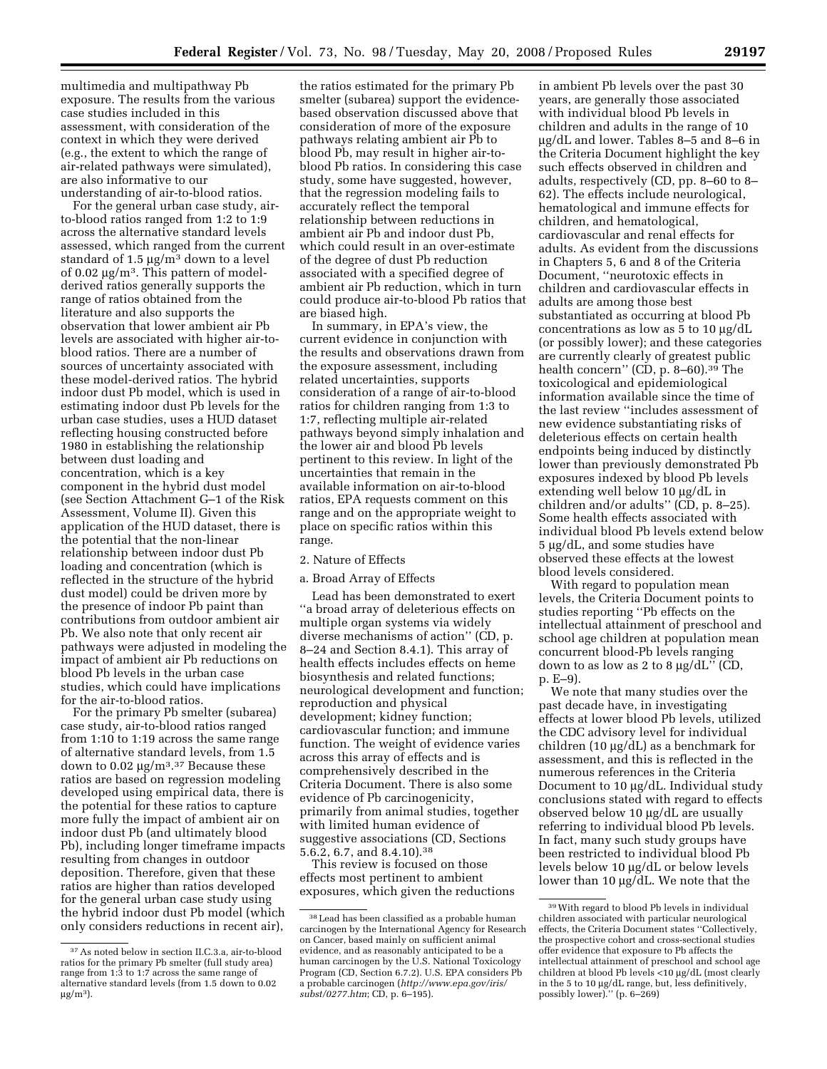multimedia and multipathway Pb exposure. The results from the various case studies included in this assessment, with consideration of the context in which they were derived (e.g., the extent to which the range of air-related pathways were simulated), are also informative to our understanding of air-to-blood ratios.

For the general urban case study, airto-blood ratios ranged from 1:2 to 1:9 across the alternative standard levels assessed, which ranged from the current standard of  $1.5 \mu g/m^3$  down to a level of 0.02  $\mu$ g/m<sup>3</sup>. This pattern of modelderived ratios generally supports the range of ratios obtained from the literature and also supports the observation that lower ambient air Pb levels are associated with higher air-toblood ratios. There are a number of sources of uncertainty associated with these model-derived ratios. The hybrid indoor dust Pb model, which is used in estimating indoor dust Pb levels for the urban case studies, uses a HUD dataset reflecting housing constructed before 1980 in establishing the relationship between dust loading and concentration, which is a key component in the hybrid dust model (see Section Attachment G–1 of the Risk Assessment, Volume II). Given this application of the HUD dataset, there is the potential that the non-linear relationship between indoor dust Pb loading and concentration (which is reflected in the structure of the hybrid dust model) could be driven more by the presence of indoor Pb paint than contributions from outdoor ambient air Pb. We also note that only recent air pathways were adjusted in modeling the impact of ambient air Pb reductions on blood Pb levels in the urban case studies, which could have implications for the air-to-blood ratios.

For the primary Pb smelter (subarea) case study, air-to-blood ratios ranged from 1:10 to 1:19 across the same range of alternative standard levels, from 1.5 down to 0.02 µg/m3.37 Because these ratios are based on regression modeling developed using empirical data, there is the potential for these ratios to capture more fully the impact of ambient air on indoor dust Pb (and ultimately blood Pb), including longer timeframe impacts resulting from changes in outdoor deposition. Therefore, given that these ratios are higher than ratios developed for the general urban case study using the hybrid indoor dust Pb model (which only considers reductions in recent air),

the ratios estimated for the primary Pb smelter (subarea) support the evidencebased observation discussed above that consideration of more of the exposure pathways relating ambient air Pb to blood Pb, may result in higher air-toblood Pb ratios. In considering this case study, some have suggested, however, that the regression modeling fails to accurately reflect the temporal relationship between reductions in ambient air Pb and indoor dust Pb, which could result in an over-estimate of the degree of dust Pb reduction associated with a specified degree of ambient air Pb reduction, which in turn could produce air-to-blood Pb ratios that are biased high.

In summary, in EPA's view, the current evidence in conjunction with the results and observations drawn from the exposure assessment, including related uncertainties, supports consideration of a range of air-to-blood ratios for children ranging from 1:3 to 1:7, reflecting multiple air-related pathways beyond simply inhalation and the lower air and blood Pb levels pertinent to this review. In light of the uncertainties that remain in the available information on air-to-blood ratios, EPA requests comment on this range and on the appropriate weight to place on specific ratios within this range.

2. Nature of Effects

a. Broad Array of Effects

Lead has been demonstrated to exert ''a broad array of deleterious effects on multiple organ systems via widely diverse mechanisms of action'' (CD, p. 8–24 and Section 8.4.1). This array of health effects includes effects on heme biosynthesis and related functions; neurological development and function; reproduction and physical development; kidney function; cardiovascular function; and immune function. The weight of evidence varies across this array of effects and is comprehensively described in the Criteria Document. There is also some evidence of Pb carcinogenicity, primarily from animal studies, together with limited human evidence of suggestive associations (CD, Sections 5.6.2, 6.7, and 8.4.10).38

This review is focused on those effects most pertinent to ambient exposures, which given the reductions

in ambient Pb levels over the past 30 years, are generally those associated with individual blood Pb levels in children and adults in the range of 10 µg/dL and lower. Tables 8–5 and 8–6 in the Criteria Document highlight the key such effects observed in children and adults, respectively (CD, pp. 8–60 to 8– 62). The effects include neurological, hematological and immune effects for children, and hematological, cardiovascular and renal effects for adults. As evident from the discussions in Chapters 5, 6 and 8 of the Criteria Document, ''neurotoxic effects in children and cardiovascular effects in adults are among those best substantiated as occurring at blood Pb concentrations as low as 5 to 10 µg/dL (or possibly lower); and these categories are currently clearly of greatest public health concern'' (CD, p. 8–60).39 The toxicological and epidemiological information available since the time of the last review ''includes assessment of new evidence substantiating risks of deleterious effects on certain health endpoints being induced by distinctly lower than previously demonstrated Pb exposures indexed by blood Pb levels extending well below 10 µg/dL in children and/or adults'' (CD, p. 8–25). Some health effects associated with individual blood Pb levels extend below 5 µg/dL, and some studies have observed these effects at the lowest blood levels considered.

With regard to population mean levels, the Criteria Document points to studies reporting ''Pb effects on the intellectual attainment of preschool and school age children at population mean concurrent blood-Pb levels ranging down to as low as 2 to 8 µg/dL'' (CD, p. E–9).

We note that many studies over the past decade have, in investigating effects at lower blood Pb levels, utilized the CDC advisory level for individual children (10 µg/dL) as a benchmark for assessment, and this is reflected in the numerous references in the Criteria Document to 10 µg/dL. Individual study conclusions stated with regard to effects observed below 10 µg/dL are usually referring to individual blood Pb levels. In fact, many such study groups have been restricted to individual blood Pb levels below 10 µg/dL or below levels lower than 10 µg/dL. We note that the

<sup>37</sup>As noted below in section II.C.3.a, air-to-blood ratios for the primary Pb smelter (full study area) range from 1:3 to 1:7 across the same range of alternative standard levels (from 1.5 down to 0.02  $\mu g/m^3$ ).

<sup>38</sup>Lead has been classified as a probable human carcinogen by the International Agency for Research on Cancer, based mainly on sufficient animal evidence, and as reasonably anticipated to be a human carcinogen by the U.S. National Toxicology Program (CD, Section 6.7.2). U.S. EPA considers Pb a probable carcinogen (*http://www.epa.gov/iris/ subst/0277.htm*; CD, p. 6–195).

<sup>39</sup>With regard to blood Pb levels in individual children associated with particular neurological effects, the Criteria Document states ''Collectively, the prospective cohort and cross-sectional studies offer evidence that exposure to Pb affects the intellectual attainment of preschool and school age children at blood Pb levels <10 µg/dL (most clearly in the 5 to 10 µg/dL range, but, less definitively, possibly lower).'' (p. 6–269)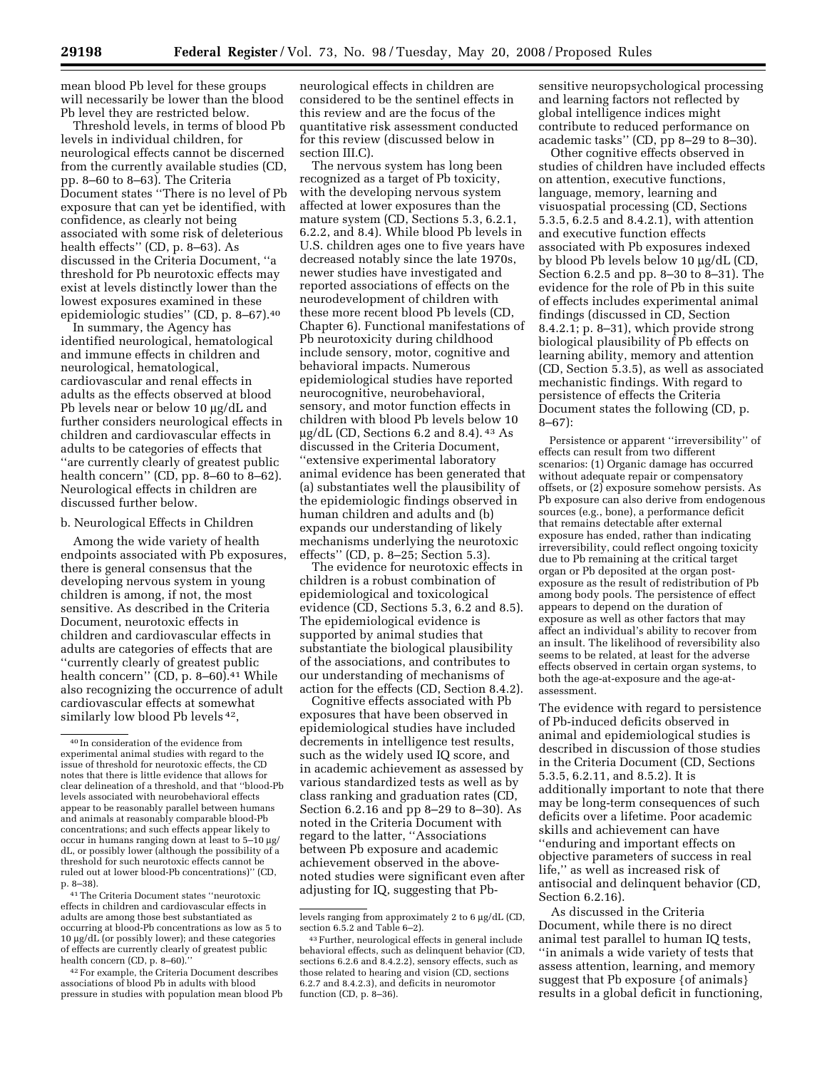mean blood Pb level for these groups will necessarily be lower than the blood Pb level they are restricted below.

Threshold levels, in terms of blood Pb levels in individual children, for neurological effects cannot be discerned from the currently available studies (CD, pp. 8–60 to 8–63). The Criteria Document states ''There is no level of Pb exposure that can yet be identified, with confidence, as clearly not being associated with some risk of deleterious health effects'' (CD, p. 8–63). As discussed in the Criteria Document, ''a threshold for Pb neurotoxic effects may exist at levels distinctly lower than the lowest exposures examined in these epidemiologic studies'' (CD, p. 8–67).40

In summary, the Agency has identified neurological, hematological and immune effects in children and neurological, hematological, cardiovascular and renal effects in adults as the effects observed at blood Pb levels near or below 10 µg/dL and further considers neurological effects in children and cardiovascular effects in adults to be categories of effects that ''are currently clearly of greatest public health concern'' (CD, pp. 8–60 to 8–62). Neurological effects in children are discussed further below.

b. Neurological Effects in Children

Among the wide variety of health endpoints associated with Pb exposures, there is general consensus that the developing nervous system in young children is among, if not, the most sensitive. As described in the Criteria Document, neurotoxic effects in children and cardiovascular effects in adults are categories of effects that are ''currently clearly of greatest public health concern" (CD, p. 8–60).<sup>41</sup> While also recognizing the occurrence of adult cardiovascular effects at somewhat similarly low blood Pb levels<sup>42</sup>,

41The Criteria Document states ''neurotoxic effects in children and cardiovascular effects in adults are among those best substantiated as occurring at blood-Pb concentrations as low as 5 to 10 µg/dL (or possibly lower); and these categories of effects are currently clearly of greatest public health concern (CD, p. 8–60).''

42For example, the Criteria Document describes associations of blood Pb in adults with blood pressure in studies with population mean blood Pb

neurological effects in children are considered to be the sentinel effects in this review and are the focus of the quantitative risk assessment conducted for this review (discussed below in section III.C).

The nervous system has long been recognized as a target of Pb toxicity, with the developing nervous system affected at lower exposures than the mature system (CD, Sections 5.3, 6.2.1, 6.2.2, and 8.4). While blood Pb levels in U.S. children ages one to five years have decreased notably since the late 1970s, newer studies have investigated and reported associations of effects on the neurodevelopment of children with these more recent blood Pb levels (CD, Chapter 6). Functional manifestations of Pb neurotoxicity during childhood include sensory, motor, cognitive and behavioral impacts. Numerous epidemiological studies have reported neurocognitive, neurobehavioral, sensory, and motor function effects in children with blood Pb levels below 10  $\mu$ g/dL (CD, Sections 6.2 and 8.4).  $43$  As discussed in the Criteria Document, ''extensive experimental laboratory animal evidence has been generated that (a) substantiates well the plausibility of the epidemiologic findings observed in human children and adults and (b) expands our understanding of likely mechanisms underlying the neurotoxic effects'' (CD, p. 8–25; Section 5.3).

The evidence for neurotoxic effects in children is a robust combination of epidemiological and toxicological evidence (CD, Sections 5.3, 6.2 and 8.5). The epidemiological evidence is supported by animal studies that substantiate the biological plausibility of the associations, and contributes to our understanding of mechanisms of action for the effects (CD, Section 8.4.2).

Cognitive effects associated with Pb exposures that have been observed in epidemiological studies have included decrements in intelligence test results, such as the widely used IQ score, and in academic achievement as assessed by various standardized tests as well as by class ranking and graduation rates (CD, Section 6.2.16 and pp 8–29 to 8–30). As noted in the Criteria Document with regard to the latter, ''Associations between Pb exposure and academic achievement observed in the abovenoted studies were significant even after adjusting for IQ, suggesting that Pb-

sensitive neuropsychological processing and learning factors not reflected by global intelligence indices might contribute to reduced performance on academic tasks'' (CD, pp 8–29 to 8–30).

Other cognitive effects observed in studies of children have included effects on attention, executive functions, language, memory, learning and visuospatial processing (CD, Sections 5.3.5, 6.2.5 and 8.4.2.1), with attention and executive function effects associated with Pb exposures indexed by blood Pb levels below 10 µg/dL (CD, Section 6.2.5 and pp. 8–30 to 8–31). The evidence for the role of Pb in this suite of effects includes experimental animal findings (discussed in CD, Section 8.4.2.1; p. 8–31), which provide strong biological plausibility of Pb effects on learning ability, memory and attention (CD, Section 5.3.5), as well as associated mechanistic findings. With regard to persistence of effects the Criteria Document states the following (CD, p. 8–67):

Persistence or apparent ''irreversibility'' of effects can result from two different scenarios: (1) Organic damage has occurred without adequate repair or compensatory offsets, or (2) exposure somehow persists. As Pb exposure can also derive from endogenous sources (e.g., bone), a performance deficit that remains detectable after external exposure has ended, rather than indicating irreversibility, could reflect ongoing toxicity due to Pb remaining at the critical target organ or Pb deposited at the organ postexposure as the result of redistribution of Pb among body pools. The persistence of effect appears to depend on the duration of exposure as well as other factors that may affect an individual's ability to recover from an insult. The likelihood of reversibility also seems to be related, at least for the adverse effects observed in certain organ systems, to both the age-at-exposure and the age-atassessment.

The evidence with regard to persistence of Pb-induced deficits observed in animal and epidemiological studies is described in discussion of those studies in the Criteria Document (CD, Sections 5.3.5, 6.2.11, and 8.5.2). It is additionally important to note that there may be long-term consequences of such deficits over a lifetime. Poor academic skills and achievement can have ''enduring and important effects on objective parameters of success in real life,'' as well as increased risk of antisocial and delinquent behavior (CD, Section 6.2.16).

As discussed in the Criteria Document, while there is no direct animal test parallel to human IQ tests, ''in animals a wide variety of tests that assess attention, learning, and memory suggest that Pb exposure {of animals} results in a global deficit in functioning,

<sup>40</sup> In consideration of the evidence from experimental animal studies with regard to the issue of threshold for neurotoxic effects, the CD notes that there is little evidence that allows for clear delineation of a threshold, and that ''blood-Pb levels associated with neurobehavioral effects appear to be reasonably parallel between humans and animals at reasonably comparable blood-Pb concentrations; and such effects appear likely to occur in humans ranging down at least to 5–10 µg/ dL, or possibly lower (although the possibility of a threshold for such neurotoxic effects cannot be ruled out at lower blood-Pb concentrations)'' (CD, p. 8–38).

levels ranging from approximately 2 to 6 µg/dL (CD, section 6.5.2 and Table 6–2).

<sup>43</sup>Further, neurological effects in general include behavioral effects, such as delinquent behavior (CD, sections 6.2.6 and 8.4.2.2), sensory effects, such as those related to hearing and vision (CD, sections 6.2.7 and 8.4.2.3), and deficits in neuromotor function (CD, p. 8–36).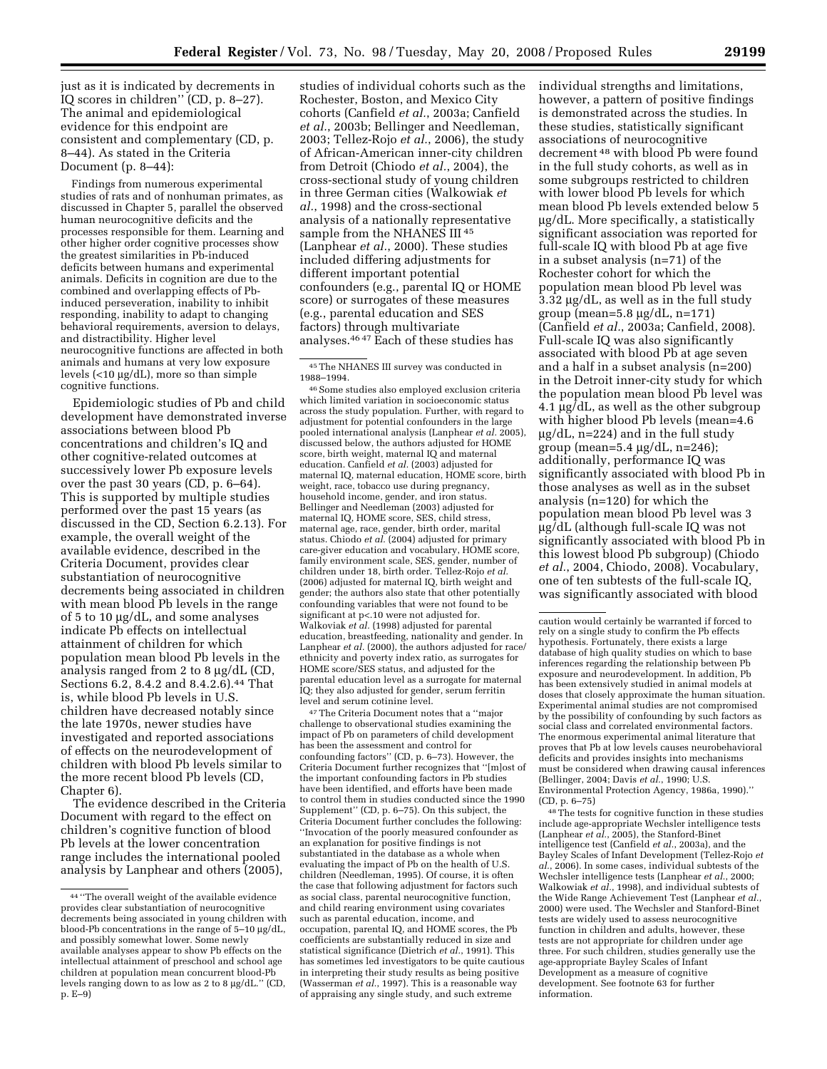just as it is indicated by decrements in IQ scores in children'' (CD, p. 8–27). The animal and epidemiological evidence for this endpoint are consistent and complementary (CD, p. 8–44). As stated in the Criteria Document (p. 8–44):

Findings from numerous experimental studies of rats and of nonhuman primates, as discussed in Chapter 5, parallel the observed human neurocognitive deficits and the processes responsible for them. Learning and other higher order cognitive processes show the greatest similarities in Pb-induced deficits between humans and experimental animals. Deficits in cognition are due to the combined and overlapping effects of Pbinduced perseveration, inability to inhibit responding, inability to adapt to changing behavioral requirements, aversion to delays, and distractibility. Higher level neurocognitive functions are affected in both animals and humans at very low exposure levels (<10 µg/dL), more so than simple cognitive functions.

Epidemiologic studies of Pb and child development have demonstrated inverse associations between blood Pb concentrations and children's IQ and other cognitive-related outcomes at successively lower Pb exposure levels over the past 30 years (CD, p. 6–64). This is supported by multiple studies performed over the past 15 years (as discussed in the CD, Section 6.2.13). For example, the overall weight of the available evidence, described in the Criteria Document, provides clear substantiation of neurocognitive decrements being associated in children with mean blood Pb levels in the range of 5 to 10 µg/dL, and some analyses indicate Pb effects on intellectual attainment of children for which population mean blood Pb levels in the analysis ranged from 2 to 8 µg/dL (CD, Sections 6.2, 8.4.2 and 8.4.2.6).<sup>44</sup> That is, while blood Pb levels in U.S. children have decreased notably since the late 1970s, newer studies have investigated and reported associations of effects on the neurodevelopment of children with blood Pb levels similar to the more recent blood Pb levels (CD, Chapter 6).

The evidence described in the Criteria Document with regard to the effect on children's cognitive function of blood Pb levels at the lower concentration range includes the international pooled analysis by Lanphear and others (2005),

studies of individual cohorts such as the Rochester, Boston, and Mexico City cohorts (Canfield *et al.*, 2003a; Canfield *et al.*, 2003b; Bellinger and Needleman, 2003; Tellez-Rojo *et al.*, 2006), the study of African-American inner-city children from Detroit (Chiodo *et al.*, 2004), the cross-sectional study of young children in three German cities (Walkowiak *et al.*, 1998) and the cross-sectional analysis of a nationally representative sample from the NHANES III 45 (Lanphear *et al.*, 2000). These studies included differing adjustments for different important potential confounders (e.g., parental IQ or HOME score) or surrogates of these measures (e.g., parental education and SES factors) through multivariate analyses.46 47 Each of these studies has

45The NHANES III survey was conducted in 1988–1994.

46Some studies also employed exclusion criteria which limited variation in socioeconomic status across the study population. Further, with regard to adjustment for potential confounders in the large pooled international analysis (Lanphear *et al.* 2005), discussed below, the authors adjusted for HOME score, birth weight, maternal IQ and maternal education. Canfield *et al.* (2003) adjusted for maternal IQ, maternal education, HOME score, birth weight, race, tobacco use during pregnancy, household income, gender, and iron status. Bellinger and Needleman (2003) adjusted for maternal IQ, HOME score, SES, child stress, maternal age, race, gender, birth order, marital status. Chiodo *et al.* (2004) adjusted for primary care-giver education and vocabulary, HOME score, family environment scale, SES, gender, number of children under 18, birth order. Tellez-Rojo *et al.*  (2006) adjusted for maternal IQ, birth weight and gender; the authors also state that other potentially confounding variables that were not found to be significant at p<.10 were not adjusted for. Walkoviak *et al.* (1998) adjusted for parental education, breastfeeding, nationality and gender. In Lanphear *et al.* (2000), the authors adjusted for race/ ethnicity and poverty index ratio, as surrogates for HOME score/SES status, and adjusted for the parental education level as a surrogate for maternal IQ; they also adjusted for gender, serum ferritin level and serum cotinine level.

47The Criteria Document notes that a ''major challenge to observational studies examining the impact of Pb on parameters of child development has been the assessment and control for confounding factors'' (CD, p. 6–73). However, the Criteria Document further recognizes that ''[m]ost of the important confounding factors in Pb studies have been identified, and efforts have been made to control them in studies conducted since the 1990 Supplement'' (CD, p. 6–75). On this subject, the Criteria Document further concludes the following: ''Invocation of the poorly measured confounder as an explanation for positive findings is not substantiated in the database as a whole when evaluating the impact of Pb on the health of U.S. children (Needleman, 1995). Of course, it is often the case that following adjustment for factors such as social class, parental neurocognitive function, and child rearing environment using covariates such as parental education, income, and occupation, parental IQ, and HOME scores, the Pb coefficients are substantially reduced in size and statistical significance (Dietrich *et al.*, 1991). This has sometimes led investigators to be quite cautious in interpreting their study results as being positive (Wasserman *et al.*, 1997). This is a reasonable way of appraising any single study, and such extreme

individual strengths and limitations, however, a pattern of positive findings is demonstrated across the studies. In these studies, statistically significant associations of neurocognitive decrement 48 with blood Pb were found in the full study cohorts, as well as in some subgroups restricted to children with lower blood Pb levels for which mean blood Pb levels extended below 5 µg/dL. More specifically, a statistically significant association was reported for full-scale IQ with blood Pb at age five in a subset analysis (n=71) of the Rochester cohort for which the population mean blood Pb level was 3.32 µg/dL, as well as in the full study group (mean= $5.8 \mu$ g/dL, n= $171$ ) (Canfield *et al.*, 2003a; Canfield, 2008). Full-scale IQ was also significantly associated with blood Pb at age seven and a half in a subset analysis (n=200) in the Detroit inner-city study for which the population mean blood Pb level was 4.1 µg/dL, as well as the other subgroup with higher blood Pb levels (mean=4.6  $\mu$ g/dL, n=224) and in the full study group (mean=5.4  $\mu$ g/dL, n=246); additionally, performance IQ was significantly associated with blood Pb in those analyses as well as in the subset analysis (n=120) for which the population mean blood Pb level was 3 µg/dL (although full-scale IQ was not significantly associated with blood Pb in this lowest blood Pb subgroup) (Chiodo *et al.*, 2004, Chiodo, 2008). Vocabulary, one of ten subtests of the full-scale IQ, was significantly associated with blood

48The tests for cognitive function in these studies include age-appropriate Wechsler intelligence tests (Lanphear *et al.*, 2005), the Stanford-Binet intelligence test (Canfield *et al.*, 2003a), and the Bayley Scales of Infant Development (Tellez-Rojo *et al.*, 2006). In some cases, individual subtests of the Wechsler intelligence tests (Lanphear *et al.*, 2000; Walkowiak *et al.*, 1998), and individual subtests of the Wide Range Achievement Test (Lanphear *et al.*, 2000) were used. The Wechsler and Stanford-Binet tests are widely used to assess neurocognitive function in children and adults, however, these tests are not appropriate for children under age three. For such children, studies generally use the age-appropriate Bayley Scales of Infant Development as a measure of cognitive development. See footnote 63 for further information.

<sup>44</sup> ''The overall weight of the available evidence provides clear substantiation of neurocognitive decrements being associated in young children with blood-Pb concentrations in the range of 5–10 µg/dL, and possibly somewhat lower. Some newly available analyses appear to show Pb effects on the intellectual attainment of preschool and school age children at population mean concurrent blood-Pb levels ranging down to as low as 2 to 8 µg/dL.'' (CD, p. E–9)

caution would certainly be warranted if forced to rely on a single study to confirm the Pb effects hypothesis. Fortunately, there exists a large database of high quality studies on which to base inferences regarding the relationship between Pb exposure and neurodevelopment. In addition, Pb has been extensively studied in animal models at doses that closely approximate the human situation. Experimental animal studies are not compromised by the possibility of confounding by such factors as social class and correlated environmental factors. The enormous experimental animal literature that proves that Pb at low levels causes neurobehavioral deficits and provides insights into mechanisms must be considered when drawing causal inferences (Bellinger, 2004; Davis *et al.*, 1990; U.S. Environmental Protection Agency, 1986a, 1990).'' (CD, p. 6–75)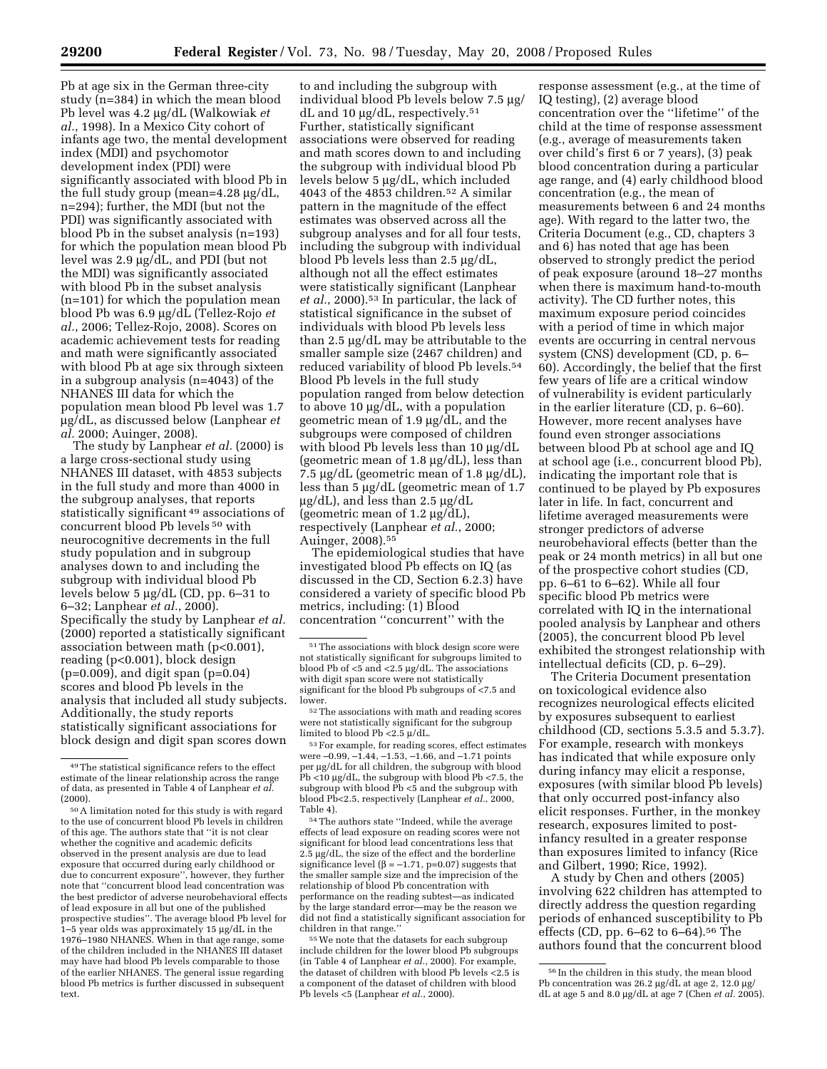Pb at age six in the German three-city study (n=384) in which the mean blood Pb level was 4.2 µg/dL (Walkowiak *et al.*, 1998). In a Mexico City cohort of infants age two, the mental development index (MDI) and psychomotor development index (PDI) were significantly associated with blood Pb in the full study group (mean=4.28 µg/dL, n=294); further, the MDI (but not the PDI) was significantly associated with blood Pb in the subset analysis (n=193) for which the population mean blood Pb level was 2.9 µg/dL, and PDI (but not the MDI) was significantly associated with blood Pb in the subset analysis (n=101) for which the population mean blood Pb was 6.9 µg/dL (Tellez-Rojo *et al.*, 2006; Tellez-Rojo, 2008). Scores on academic achievement tests for reading and math were significantly associated with blood Pb at age six through sixteen in a subgroup analysis (n=4043) of the NHANES III data for which the population mean blood Pb level was 1.7 µg/dL, as discussed below (Lanphear *et al.* 2000; Auinger, 2008).

The study by Lanphear *et al.* (2000) is a large cross-sectional study using NHANES III dataset, with 4853 subjects in the full study and more than 4000 in the subgroup analyses, that reports statistically significant 49 associations of concurrent blood Pb levels 50 with neurocognitive decrements in the full study population and in subgroup analyses down to and including the subgroup with individual blood Pb levels below 5 µg/dL (CD, pp. 6–31 to 6–32; Lanphear *et al.*, 2000). Specifically the study by Lanphear *et al.*  (2000) reported a statistically significant association between math (p<0.001), reading (p<0.001), block design  $(p=0.009)$ , and digit span  $(p=0.04)$ scores and blood Pb levels in the analysis that included all study subjects. Additionally, the study reports statistically significant associations for block design and digit span scores down

to and including the subgroup with individual blood Pb levels below 7.5 µg/ dL and 10 µg/dL, respectively.51 Further, statistically significant associations were observed for reading and math scores down to and including the subgroup with individual blood Pb levels below 5 µg/dL, which included 4043 of the 4853 children.52 A similar pattern in the magnitude of the effect estimates was observed across all the subgroup analyses and for all four tests, including the subgroup with individual blood Pb levels less than 2.5 µg/dL, although not all the effect estimates were statistically significant (Lanphear *et al.*, 2000).53 In particular, the lack of statistical significance in the subset of individuals with blood Pb levels less than 2.5 µg/dL may be attributable to the smaller sample size (2467 children) and reduced variability of blood Pb levels.54 Blood Pb levels in the full study population ranged from below detection to above 10 µg/dL, with a population geometric mean of 1.9 µg/dL, and the subgroups were composed of children with blood Pb levels less than 10  $\mu$ g/dL (geometric mean of 1.8 µg/dL), less than 7.5 µg/dL (geometric mean of 1.8 µg/dL), less than 5 µg/dL (geometric mean of 1.7  $\mu$ g/dL), and less than 2.5  $\mu$ g/dL (geometric mean of 1.2 µg/dL), respectively (Lanphear *et al.*, 2000; Auinger, 2008).55

The epidemiological studies that have investigated blood Pb effects on IQ (as discussed in the CD, Section 6.2.3) have considered a variety of specific blood Pb metrics, including: (1) Blood concentration ''concurrent'' with the

52The associations with math and reading scores were not statistically significant for the subgroup limited to blood Pb <2.5 µ/dL.

53For example, for reading scores, effect estimates were  $-0.99, -1.44, -1.53, -1.66,$  and  $-1.71$  points per µg/dL for all children, the subgroup with blood Pb <10 µg/dL, the subgroup with blood Pb <7.5, the subgroup with blood  $\overrightarrow{Pb}$  <5 and the subgroup with blood Pb<2.5, respectively (Lanphear *et al.*, 2000, Table 4).

54The authors state ''Indeed, while the average effects of lead exposure on reading scores were not significant for blood lead concentrations less that 2.5 µg/dL, the size of the effect and the borderline significance level (β =  $-1.71$ , p=0.07) suggests that the smaller sample size and the imprecision of the relationship of blood Pb concentration with performance on the reading subtest—as indicated by the large standard error—may be the reason we did not find a statistically significant association for children in that range.''

55We note that the datasets for each subgroup include children for the lower blood Pb subgroups (in Table 4 of Lanphear *et al.*, 2000). For example, the dataset of children with blood Pb levels <2.5 is a component of the dataset of children with blood Pb levels <5 (Lanphear *et al.*, 2000).

response assessment (e.g., at the time of IQ testing), (2) average blood concentration over the ''lifetime'' of the child at the time of response assessment (e.g., average of measurements taken over child's first 6 or 7 years), (3) peak blood concentration during a particular age range, and (4) early childhood blood concentration (e.g., the mean of measurements between 6 and 24 months age). With regard to the latter two, the Criteria Document (e.g., CD, chapters 3 and 6) has noted that age has been observed to strongly predict the period of peak exposure (around 18–27 months when there is maximum hand-to-mouth activity). The CD further notes, this maximum exposure period coincides with a period of time in which major events are occurring in central nervous system (CNS) development (CD, p. 6– 60). Accordingly, the belief that the first few years of life are a critical window of vulnerability is evident particularly in the earlier literature (CD, p. 6–60). However, more recent analyses have found even stronger associations between blood Pb at school age and IQ at school age (i.e., concurrent blood Pb), indicating the important role that is continued to be played by Pb exposures later in life. In fact, concurrent and lifetime averaged measurements were stronger predictors of adverse neurobehavioral effects (better than the peak or 24 month metrics) in all but one of the prospective cohort studies (CD, pp. 6–61 to 6–62). While all four specific blood Pb metrics were correlated with IQ in the international pooled analysis by Lanphear and others (2005), the concurrent blood Pb level exhibited the strongest relationship with intellectual deficits (CD, p. 6–29).

The Criteria Document presentation on toxicological evidence also recognizes neurological effects elicited by exposures subsequent to earliest childhood (CD, sections 5.3.5 and 5.3.7). For example, research with monkeys has indicated that while exposure only during infancy may elicit a response, exposures (with similar blood Pb levels) that only occurred post-infancy also elicit responses. Further, in the monkey research, exposures limited to postinfancy resulted in a greater response than exposures limited to infancy (Rice and Gilbert, 1990; Rice, 1992).

A study by Chen and others (2005) involving 622 children has attempted to directly address the question regarding periods of enhanced susceptibility to Pb effects (CD, pp. 6–62 to 6–64).56 The authors found that the concurrent blood

<sup>49</sup>The statistical significance refers to the effect estimate of the linear relationship across the range of data, as presented in Table 4 of Lanphear *et al.*  (2000).

<sup>50</sup>A limitation noted for this study is with regard to the use of concurrent blood Pb levels in children of this age. The authors state that ''it is not clear whether the cognitive and academic deficits observed in the present analysis are due to lead exposure that occurred during early childhood or due to concurrent exposure'', however, they further note that ''concurrent blood lead concentration was the best predictor of adverse neurobehavioral effects of lead exposure in all but one of the published prospective studies''. The average blood Pb level for 1–5 year olds was approximately 15 µg/dL in the 1976–1980 NHANES. When in that age range, some of the children included in the NHANES III dataset may have had blood Pb levels comparable to those of the earlier NHANES. The general issue regarding blood Pb metrics is further discussed in subsequent text.

<sup>51</sup>The associations with block design score were not statistically significant for subgroups limited to blood Pb of <5 and <2.5 µg/dL. The associations with digit span score were not statistically significant for the blood Pb subgroups of <7.5 and lower.

<sup>56</sup> In the children in this study, the mean blood Pb concentration was  $26.2 \mu$ g/dL at age 2, 12.0  $\mu$ g/ dL at age 5 and 8.0 µg/dL at age 7 (Chen *et al.* 2005).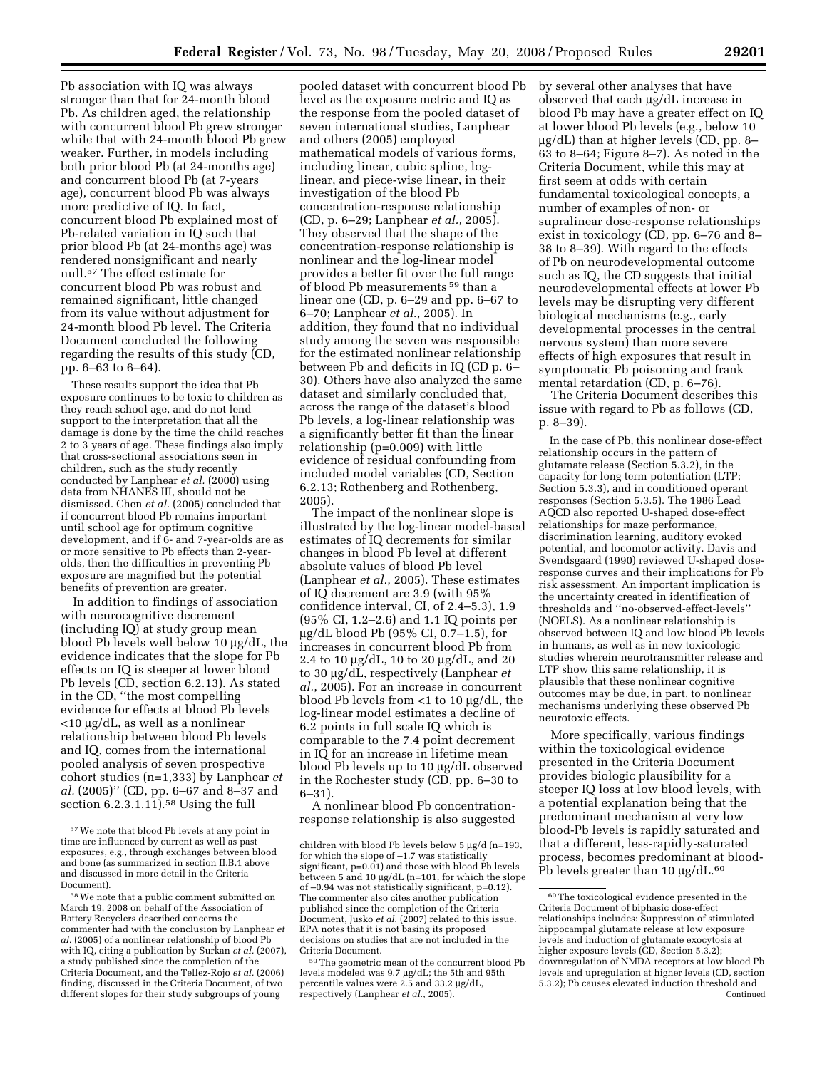Pb association with IQ was always stronger than that for 24-month blood Pb. As children aged, the relationship with concurrent blood Pb grew stronger while that with 24-month blood Pb grew weaker. Further, in models including both prior blood Pb (at 24-months age) and concurrent blood Pb (at 7-years age), concurrent blood Pb was always more predictive of IQ. In fact, concurrent blood Pb explained most of Pb-related variation in IQ such that prior blood Pb (at 24-months age) was rendered nonsignificant and nearly null.57 The effect estimate for concurrent blood Pb was robust and remained significant, little changed from its value without adjustment for 24-month blood Pb level. The Criteria Document concluded the following regarding the results of this study (CD, pp. 6–63 to 6–64).

These results support the idea that Pb exposure continues to be toxic to children as they reach school age, and do not lend support to the interpretation that all the damage is done by the time the child reaches 2 to 3 years of age. These findings also imply that cross-sectional associations seen in children, such as the study recently conducted by Lanphear *et al.* (2000) using data from NHANES III, should not be dismissed. Chen *et al.* (2005) concluded that if concurrent blood Pb remains important until school age for optimum cognitive development, and if 6- and 7-year-olds are as or more sensitive to Pb effects than 2-yearolds, then the difficulties in preventing Pb exposure are magnified but the potential benefits of prevention are greater.

In addition to findings of association with neurocognitive decrement (including IQ) at study group mean blood Pb levels well below 10 µg/dL, the evidence indicates that the slope for Pb effects on IQ is steeper at lower blood Pb levels (CD, section 6.2.13). As stated in the CD, ''the most compelling evidence for effects at blood Pb levels <10 µg/dL, as well as a nonlinear relationship between blood Pb levels and IQ, comes from the international pooled analysis of seven prospective cohort studies (n=1,333) by Lanphear *et al.* (2005)'' (CD, pp. 6–67 and 8–37 and section 6.2.3.1.11).58 Using the full

pooled dataset with concurrent blood Pb level as the exposure metric and IQ as the response from the pooled dataset of seven international studies, Lanphear and others (2005) employed mathematical models of various forms, including linear, cubic spline, loglinear, and piece-wise linear, in their investigation of the blood Pb concentration-response relationship (CD, p. 6–29; Lanphear *et al.*, 2005). They observed that the shape of the concentration-response relationship is nonlinear and the log-linear model provides a better fit over the full range of blood Pb measurements 59 than a linear one (CD, p. 6–29 and pp. 6–67 to 6–70; Lanphear *et al.*, 2005). In addition, they found that no individual study among the seven was responsible for the estimated nonlinear relationship between Pb and deficits in IQ (CD p. 6– 30). Others have also analyzed the same dataset and similarly concluded that, across the range of the dataset's blood Pb levels, a log-linear relationship was a significantly better fit than the linear relationship (p=0.009) with little evidence of residual confounding from included model variables (CD, Section 6.2.13; Rothenberg and Rothenberg, 2005).

The impact of the nonlinear slope is illustrated by the log-linear model-based estimates of IQ decrements for similar changes in blood Pb level at different absolute values of blood Pb level (Lanphear *et al.*, 2005). These estimates of IQ decrement are 3.9 (with 95% confidence interval, CI, of 2.4–5.3), 1.9 (95% CI, 1.2–2.6) and 1.1 IQ points per µg/dL blood Pb (95% CI, 0.7–1.5), for increases in concurrent blood Pb from 2.4 to 10 µg/dL, 10 to 20 µg/dL, and 20 to 30 µg/dL, respectively (Lanphear *et al.*, 2005). For an increase in concurrent blood Pb levels from <1 to 10 µg/dL, the log-linear model estimates a decline of 6.2 points in full scale IQ which is comparable to the 7.4 point decrement in IQ for an increase in lifetime mean blood Pb levels up to 10 µg/dL observed in the Rochester study (CD, pp. 6–30 to 6–31).

A nonlinear blood Pb concentrationresponse relationship is also suggested by several other analyses that have observed that each µg/dL increase in blood Pb may have a greater effect on IQ at lower blood Pb levels (e.g., below 10 µg/dL) than at higher levels (CD, pp. 8– 63 to 8–64; Figure 8–7). As noted in the Criteria Document, while this may at first seem at odds with certain fundamental toxicological concepts, a number of examples of non- or supralinear dose-response relationships exist in toxicology (CD, pp. 6–76 and 8– 38 to 8–39). With regard to the effects of Pb on neurodevelopmental outcome such as IQ, the CD suggests that initial neurodevelopmental effects at lower Pb levels may be disrupting very different biological mechanisms (e.g., early developmental processes in the central nervous system) than more severe effects of high exposures that result in symptomatic Pb poisoning and frank mental retardation (CD, p. 6–76).

The Criteria Document describes this issue with regard to Pb as follows (CD, p. 8–39).

In the case of Pb, this nonlinear dose-effect relationship occurs in the pattern of glutamate release (Section 5.3.2), in the capacity for long term potentiation (LTP; Section 5.3.3), and in conditioned operant responses (Section 5.3.5). The 1986 Lead AQCD also reported U-shaped dose-effect relationships for maze performance, discrimination learning, auditory evoked potential, and locomotor activity. Davis and Svendsgaard (1990) reviewed U-shaped doseresponse curves and their implications for Pb risk assessment. An important implication is the uncertainty created in identification of thresholds and ''no-observed-effect-levels'' (NOELS). As a nonlinear relationship is observed between IQ and low blood Pb levels in humans, as well as in new toxicologic studies wherein neurotransmitter release and LTP show this same relationship, it is plausible that these nonlinear cognitive outcomes may be due, in part, to nonlinear mechanisms underlying these observed Pb neurotoxic effects.

More specifically, various findings within the toxicological evidence presented in the Criteria Document provides biologic plausibility for a steeper IQ loss at low blood levels, with a potential explanation being that the predominant mechanism at very low blood-Pb levels is rapidly saturated and that a different, less-rapidly-saturated process, becomes predominant at blood-Pb levels greater than 10  $\mu$ g/dL.<sup>60</sup>

<sup>57</sup>We note that blood Pb levels at any point in time are influenced by current as well as past exposures, e.g., through exchanges between blood and bone (as summarized in section II.B.1 above and discussed in more detail in the Criteria Document).

<sup>58</sup>We note that a public comment submitted on March 19, 2008 on behalf of the Association of Battery Recyclers described concerns the commenter had with the conclusion by Lanphear *et al.* (2005) of a nonlinear relationship of blood Pb with IQ, citing a publication by Surkan *et al.* (2007), a study published since the completion of the Criteria Document, and the Tellez-Rojo *et al.* (2006) finding, discussed in the Criteria Document, of two different slopes for their study subgroups of young

children with blood Pb levels below 5 µg/d (n=193, for which the slope of –1.7 was statistically significant,  $p=0.01$  and those with blood Pb levels between 5 and 10 µg/dL (n=101, for which the slope of –0.94 was not statistically significant, p=0.12). The commenter also cites another publication published since the completion of the Criteria Document, Jusko *et al.* (2007) related to this issue. EPA notes that it is not basing its proposed decisions on studies that are not included in the

<sup>59</sup> The geometric mean of the concurrent blood Pb levels modeled was 9.7 µg/dL; the 5th and 95th percentile values were 2.5 and 33.2 µg/dL, respectively (Lanphear *et al.*, 2005).

<sup>60</sup>The toxicological evidence presented in the Criteria Document of biphasic dose-effect relationships includes: Suppression of stimulated hippocampal glutamate release at low exposure levels and induction of glutamate exocytosis at higher exposure levels (CD, Section 5.3.2); downregulation of NMDA receptors at low blood Pb levels and upregulation at higher levels (CD, section 5.3.2); Pb causes elevated induction threshold and Continued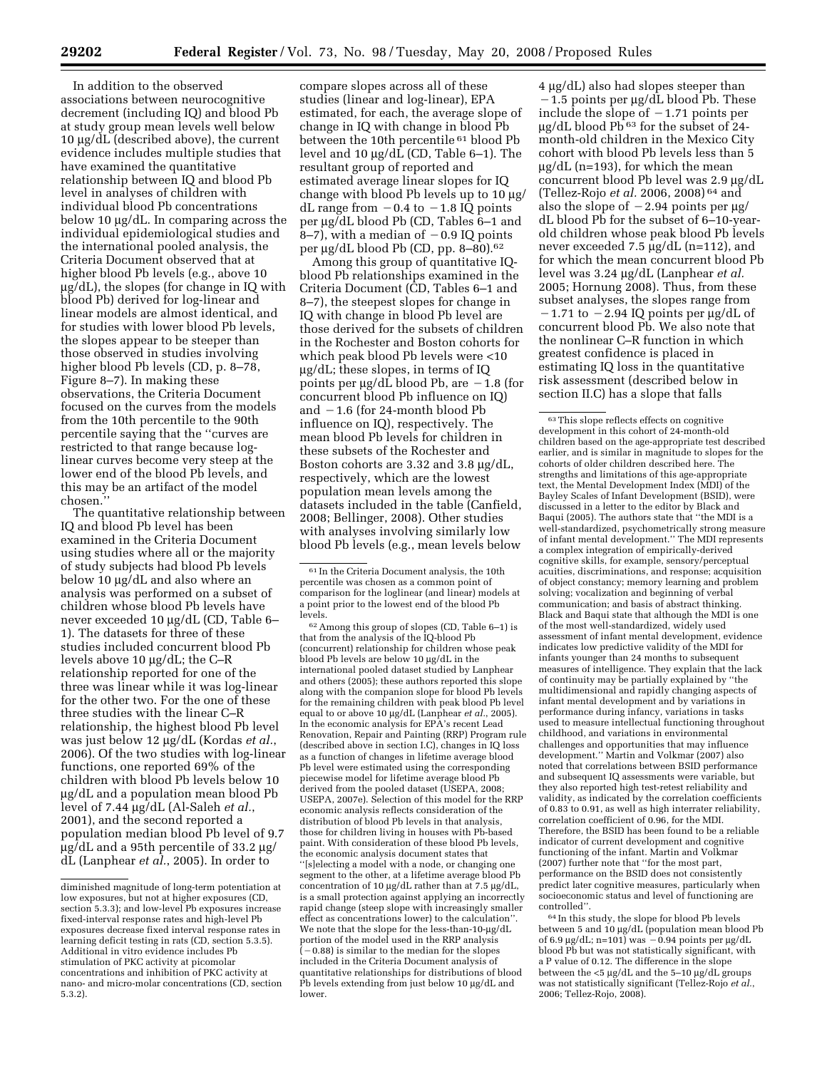In addition to the observed associations between neurocognitive decrement (including IQ) and blood Pb at study group mean levels well below 10 µg/dL (described above), the current evidence includes multiple studies that have examined the quantitative relationship between IQ and blood Pb level in analyses of children with individual blood Pb concentrations below 10 µg/dL. In comparing across the individual epidemiological studies and the international pooled analysis, the Criteria Document observed that at higher blood Pb levels (e.g., above 10 µg/dL), the slopes (for change in IQ with blood Pb) derived for log-linear and linear models are almost identical, and for studies with lower blood Pb levels, the slopes appear to be steeper than those observed in studies involving higher blood Pb levels (CD, p. 8–78, Figure 8–7). In making these observations, the Criteria Document focused on the curves from the models from the 10th percentile to the 90th percentile saying that the ''curves are restricted to that range because loglinear curves become very steep at the lower end of the blood Pb levels, and this may be an artifact of the model chosen.''

The quantitative relationship between IQ and blood Pb level has been examined in the Criteria Document using studies where all or the majority of study subjects had blood Pb levels below 10 µg/dL and also where an analysis was performed on a subset of children whose blood Pb levels have never exceeded 10 µg/dL (CD, Table 6– 1). The datasets for three of these studies included concurrent blood Pb levels above 10 µg/dL; the C–R relationship reported for one of the three was linear while it was log-linear for the other two. For the one of these three studies with the linear C–R relationship, the highest blood Pb level was just below 12 µg/dL (Kordas *et al.*, 2006). Of the two studies with log-linear functions, one reported 69% of the children with blood Pb levels below 10 µg/dL and a population mean blood Pb level of 7.44 µg/dL (Al-Saleh *et al.*, 2001), and the second reported a population median blood Pb level of 9.7 µg/dL and a 95th percentile of 33.2 µg/ dL (Lanphear *et al.*, 2005). In order to

compare slopes across all of these studies (linear and log-linear), EPA estimated, for each, the average slope of change in IQ with change in blood Pb between the 10th percentile 61 blood Pb level and 10  $\mu$ g/dL (CD, Table 6–1). The resultant group of reported and estimated average linear slopes for IQ change with blood Pb levels up to 10 µg/ dL range from  $-0.4$  to  $-1.8$  IQ points per µg/dL blood Pb (CD, Tables 6–1 and 8–7), with a median of  $-0.9$  IQ points per  $\mu$ g/dL blood Pb (CD, pp. 8–80).<sup>62</sup>

Among this group of quantitative IQblood Pb relationships examined in the Criteria Document (CD, Tables 6–1 and 8–7), the steepest slopes for change in IQ with change in blood Pb level are those derived for the subsets of children in the Rochester and Boston cohorts for which peak blood Pb levels were <10 µg/dL; these slopes, in terms of IQ points per  $\mu$ g/dL blood Pb, are  $-1.8$  (for concurrent blood Pb influence on IQ) and  $-1.6$  (for 24-month blood Pb influence on IQ), respectively. The mean blood Pb levels for children in these subsets of the Rochester and Boston cohorts are 3.32 and 3.8 µg/dL, respectively, which are the lowest population mean levels among the datasets included in the table (Canfield, 2008; Bellinger, 2008). Other studies with analyses involving similarly low blood Pb levels (e.g., mean levels below

62Among this group of slopes (CD, Table 6–1) is that from the analysis of the IQ-blood Pb (concurrent) relationship for children whose peak blood Pb levels are below 10 µg/dL in the international pooled dataset studied by Lanphear and others (2005); these authors reported this slope along with the companion slope for blood Pb levels for the remaining children with peak blood Pb level equal to or above 10 µg/dL (Lanphear *et al.*, 2005). In the economic analysis for EPA's recent Lead Renovation, Repair and Painting (RRP) Program rule (described above in section I.C), changes in IQ loss as a function of changes in lifetime average blood Pb level were estimated using the corresponding piecewise model for lifetime average blood Pb derived from the pooled dataset (USEPA, 2008; USEPA, 2007e). Selection of this model for the RRP economic analysis reflects consideration of the distribution of blood Pb levels in that analysis, those for children living in houses with Pb-based paint. With consideration of these blood Pb levels, the economic analysis document states that ''[s]electing a model with a node, or changing one segment to the other, at a lifetime average blood Pb concentration of 10 µg/dL rather than at 7.5 µg/dL, is a small protection against applying an incorrectly rapid change (steep slope with increasingly smaller effect as concentrations lower) to the calculation''. We note that the slope for the less-than-10-µg/dL portion of the model used in the RRP analysis  $(-0.88)$  is similar to the median for the slopes included in the Criteria Document analysis of quantitative relationships for distributions of blood Pb levels extending from just below 10  $\mu$ g/dL and lower.

4 µg/dL) also had slopes steeper than  $-1.5$  points per  $\mu$ g/dL blood Pb. These include the slope of  $-1.71$  points per µg/dL blood Pb 63 for the subset of 24 month-old children in the Mexico City cohort with blood Pb levels less than 5  $\mu$ g/dL (n=193), for which the mean concurrent blood Pb level was 2.9 µg/dL (Tellez-Rojo *et al.* 2006, 2008) 64 and also the slope of  $-2.94$  points per  $\mu$ g/ dL blood Pb for the subset of 6–10-yearold children whose peak blood Pb levels never exceeded 7.5 µg/dL (n=112), and for which the mean concurrent blood Pb level was 3.24 µg/dL (Lanphear *et al.*  2005; Hornung 2008). Thus, from these subset analyses, the slopes range from  $-1.71$  to  $-2.94$  IQ points per  $\mu$ g/dL of concurrent blood Pb. We also note that the nonlinear C–R function in which greatest confidence is placed in estimating IQ loss in the quantitative risk assessment (described below in section II.C) has a slope that falls

63This slope reflects effects on cognitive development in this cohort of 24-month-old children based on the age-appropriate test described earlier, and is similar in magnitude to slopes for the cohorts of older children described here. The strengths and limitations of this age-appropriate text, the Mental Development Index (MDI) of the Bayley Scales of Infant Development (BSID), were discussed in a letter to the editor by Black and Baqui (2005). The authors state that ''the MDI is a well-standardized, psychometrically strong measure of infant mental development.'' The MDI represents a complex integration of empirically-derived cognitive skills, for example, sensory/perceptual acuities, discriminations, and response; acquisition of object constancy; memory learning and problem solving; vocalization and beginning of verbal communication; and basis of abstract thinking. Black and Baqui state that although the MDI is one of the most well-standardized, widely used assessment of infant mental development, evidence indicates low predictive validity of the MDI for infants younger than 24 months to subsequent measures of intelligence. They explain that the lack of continuity may be partially explained by ''the multidimensional and rapidly changing aspects of infant mental development and by variations in performance during infancy, variations in tasks used to measure intellectual functioning throughout childhood, and variations in environmental challenges and opportunities that may influence development.'' Martin and Volkmar (2007) also noted that correlations between BSID performance and subsequent IQ assessments were variable, but they also reported high test-retest reliability and validity, as indicated by the correlation coefficients of 0.83 to 0.91, as well as high interrater reliability, correlation coefficient of 0.96, for the MDI. Therefore, the BSID has been found to be a reliable indicator of current development and cognitive functioning of the infant. Martin and Volkmar (2007) further note that ''for the most part, performance on the BSID does not consistently predict later cognitive measures, particularly when socioeconomic status and level of functioning are controlled''.

64 In this study, the slope for blood Pb levels between 5 and 10 µg/dL (population mean blood Pb of 6.9  $\mu$ g/dL; n=101) was -0.94 points per  $\mu$ g/dL blood Pb but was not statistically significant, with a P value of 0.12. The difference in the slope between the <5 µg/dL and the 5–10 µg/dL groups was not statistically significant (Tellez-Rojo *et al.*, 2006; Tellez-Rojo, 2008).

diminished magnitude of long-term potentiation at low exposures, but not at higher exposures (CD, section 5.3.3); and low-level Pb exposures increase fixed-interval response rates and high-level Pb exposures decrease fixed interval response rates in learning deficit testing in rats (CD, section 5.3.5). Additional in vitro evidence includes Pb stimulation of PKC activity at picomolar concentrations and inhibition of PKC activity at nano- and micro-molar concentrations (CD, section 5.3.2).

<sup>61</sup> In the Criteria Document analysis, the 10th percentile was chosen as a common point of comparison for the loglinear (and linear) models at a point prior to the lowest end of the blood Pb levels.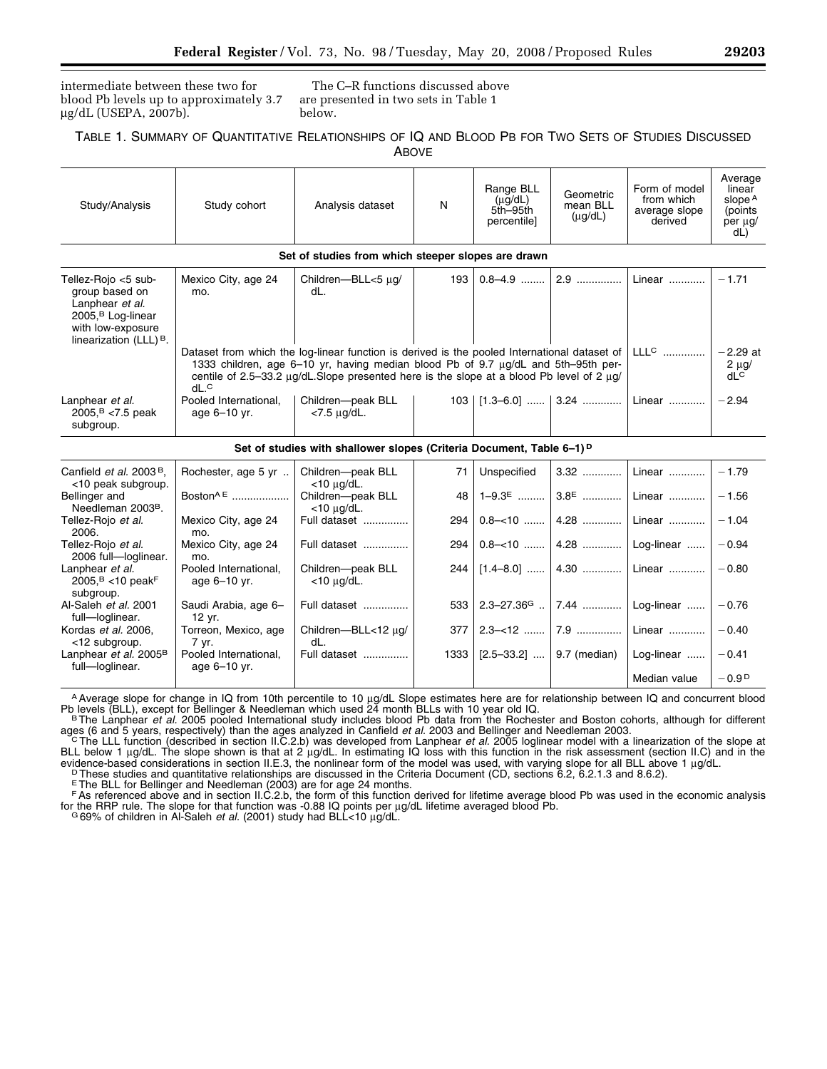intermediate between these two for blood Pb levels up to approximately 3.7 µg/dL (USEPA, 2007b).

The C–R functions discussed above are presented in two sets in Table 1 below.

## TABLE 1. SUMMARY OF QUANTITATIVE RELATIONSHIPS OF IQ AND BLOOD PB FOR TWO SETS OF STUDIES DISCUSSED ABOVE

| Study/Analysis                                                                                                                           | Study cohort                                                                                                                                                                                                                                                                                    | Analysis dataset                                                                 | N   | Range BLL<br>(µg/dL)<br>5th–95th<br>percentile] | Geometric<br>mean BLL<br>$(\mu g/dL)$ | Form of model<br>from which<br>average slope<br>derived | Average<br>linear<br>slope A<br>(points<br>per $\mu$ g/<br>$dL$ ) |  |  |  |
|------------------------------------------------------------------------------------------------------------------------------------------|-------------------------------------------------------------------------------------------------------------------------------------------------------------------------------------------------------------------------------------------------------------------------------------------------|----------------------------------------------------------------------------------|-----|-------------------------------------------------|---------------------------------------|---------------------------------------------------------|-------------------------------------------------------------------|--|--|--|
|                                                                                                                                          |                                                                                                                                                                                                                                                                                                 | Set of studies from which steeper slopes are drawn                               |     |                                                 |                                       |                                                         |                                                                   |  |  |  |
| Tellez-Rojo <5 sub-<br>group based on<br>Lanphear et al.<br>2005, <sup>B</sup> Log-linear<br>with low-exposure<br>linearization (LLL) B. | Mexico City, age 24<br>mo.                                                                                                                                                                                                                                                                      | Children-BLL<5 µg/<br>dL.                                                        |     | $193 \mid 0.8 - 4.9 \dots \dots$                |                                       | Linear                                                  | $-1.71$                                                           |  |  |  |
|                                                                                                                                          | $LLLC$<br>Dataset from which the log-linear function is derived is the pooled International dataset of<br>1333 children, age 6-10 yr, having median blood Pb of 9.7 µg/dL and 5th-95th per-<br>centile of 2.5–33.2 μg/dL.Slope presented here is the slope at a blood Pb level of 2 μg/<br>dL.C |                                                                                  |     |                                                 |                                       |                                                         |                                                                   |  |  |  |
| Lanphear et al.<br>$2005$ , $B < 7.5$ peak<br>subgroup.                                                                                  | Pooled International.<br>age 6-10 yr.                                                                                                                                                                                                                                                           | Children-peak BLL<br>$<$ 7.5 $\mu$ g/dL.                                         |     | $103$   [1.3–6.0]    3.24                       |                                       | Linear                                                  | $-2.94$                                                           |  |  |  |
|                                                                                                                                          |                                                                                                                                                                                                                                                                                                 | Set of studies with shallower slopes (Criteria Document, Table 6-1) <sup>D</sup> |     |                                                 |                                       |                                                         |                                                                   |  |  |  |
| Canfield et al. 2003 <sup>B</sup> ,<br><10 peak subgroup.                                                                                | Rochester, age 5 yr                                                                                                                                                                                                                                                                             | Children-peak BLL<br>$<$ 10 $\mu$ g/dL.                                          | 71  | Unspecified                                     |                                       | Linear                                                  | $-1.79$                                                           |  |  |  |
| Bellinger and<br>Needleman 2003 <sup>B</sup> .                                                                                           | Boston <sup>AE</sup>                                                                                                                                                                                                                                                                            | Children-peak BLL<br>$<$ 10 $\mu$ g/dL.                                          |     |                                                 |                                       | $48$   $1-9.3$ <sup>E</sup>   3.8 <sup>E</sup>   Linear | $-1.56$                                                           |  |  |  |
| Tellez-Rojo et al.<br>2006.                                                                                                              | Mexico City, age 24<br>mo.                                                                                                                                                                                                                                                                      | Full dataset                                                                     | 294 |                                                 |                                       | 0.8-<10  4.28    Linear                                 | $-1.04$                                                           |  |  |  |
| Tellez-Rojo et al.<br>2006 full-loglinear.                                                                                               | Mexico City, age 24<br>mo.                                                                                                                                                                                                                                                                      | Full dataset                                                                     | 294 |                                                 |                                       | 0.8-<10    4.28    Log-linear                           | $-0.94$                                                           |  |  |  |
| Lanphear et al.<br>$2005$ <sup>B</sup> <10 peak <sup>F</sup><br>subgroup.                                                                | Pooled International,<br>age 6-10 yr.                                                                                                                                                                                                                                                           | Children-peak BLL<br>$<$ 10 $\mu$ g/dL.                                          | 244 |                                                 |                                       | $[1.4-8.0]$ 4.30  Linear                                | $-0.80$                                                           |  |  |  |
| Al-Saleh et al. 2001<br>full-loglinear.                                                                                                  | Saudi Arabia, age 6-<br>12 yr.                                                                                                                                                                                                                                                                  | Full dataset                                                                     |     |                                                 |                                       | 533 2.3-27.36 <sup>G</sup> 7.44  Log-linear             | $-0.76$                                                           |  |  |  |
| Kordas et al. 2006,<br><12 subgroup.                                                                                                     | Torreon, Mexico, age<br>7 yr.                                                                                                                                                                                                                                                                   | Children-BLL<12 µg/<br>$dL$ .                                                    |     |                                                 |                                       | 377 2.3-<12  7.9  Linear                                | $-0.40$                                                           |  |  |  |
| Lanphear et al. 2005 <sup>B</sup><br>full-loglinear.                                                                                     | Pooled International,<br>age 6-10 yr.                                                                                                                                                                                                                                                           | Full dataset                                                                     |     | 1333 $(2.5-33.2)$   9.7 (median)                |                                       | $Log-linear$                                            | $-0.41$                                                           |  |  |  |
|                                                                                                                                          |                                                                                                                                                                                                                                                                                                 |                                                                                  |     |                                                 |                                       | Median value                                            | $-0.9D$                                                           |  |  |  |

A Average slope for change in IQ from 10th percentile to 10 µg/dL Slope estimates here are for relationship between IQ and concurrent blood<br>Pb levels (BLL), except for Bellinger & Needleman which used 24 month BLLs with 10

BLL below 1 µg/dL. The slope shown is that at 2 µg/dL. In estimating IQ loss with this function in the risk assessment (section II.C) and in the evidence-based considerations in section II.E.3, the nonlinear form of the model was used, with varying slope for all BLL above 1 μg/dL.<br>PThese studies and quantitative relationships are discussed in the Criteria Document

E The BLL for Bellinger and Needleman (2003) are for age 24 months.

FAs referenced above and in section II.C.2.b, the form of this function derived for lifetime average blood Pb was used in the economic analysis for the RRP rule. The slope for that function was -0.88 IQ points per µg/dL lifetime averaged blood Pb. G 69% of children in Al-Saleh *et al.* (2001) study had BLL<10 µg/dL.

<sup>&</sup>lt;sup>B</sup> The Lanphear et al. 2005 pooled International study includes blood Pb data from the Rochester and Boston cohorts, although for different ages (6 and 5 years, respectively) than the ages analyzed in Canfield *et al.* 2003 and Bellinger and Needleman 2003.<br><sup>C</sup>The LLL function (described in section II.C.2.b) was developed from Lanphear *et al.* 2005 loglinear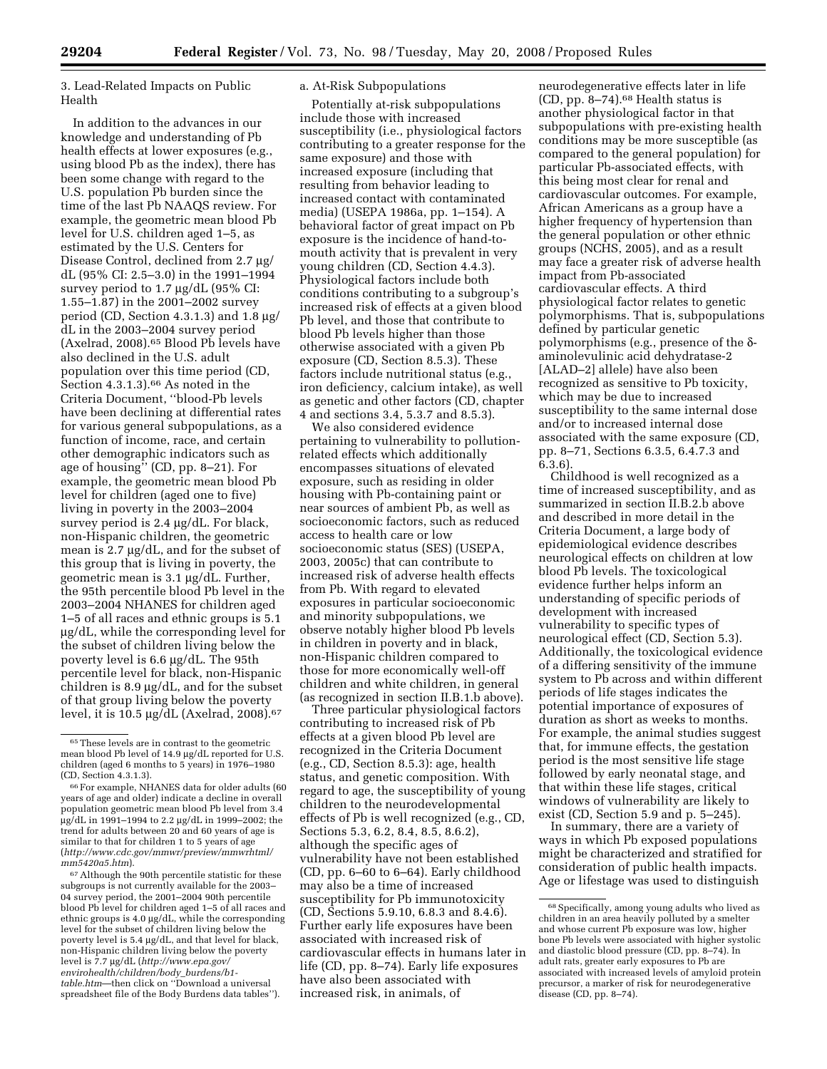3. Lead-Related Impacts on Public Health

In addition to the advances in our knowledge and understanding of Pb health effects at lower exposures (e.g., using blood Pb as the index), there has been some change with regard to the U.S. population Pb burden since the time of the last Pb NAAQS review. For example, the geometric mean blood Pb level for U.S. children aged 1–5, as estimated by the U.S. Centers for Disease Control, declined from 2.7 µg/ dL (95% CI: 2.5–3.0) in the 1991–1994 survey period to 1.7  $\mu$ g/dL (95% CI: 1.55–1.87) in the 2001–2002 survey period (CD, Section 4.3.1.3) and 1.8 µg/ dL in the 2003–2004 survey period  $(Axelrad, 2008)$ .<sup>65</sup> Blood Pb levels have also declined in the U.S. adult population over this time period (CD, Section 4.3.1.3).<sup>66</sup> As noted in the Criteria Document, ''blood-Pb levels have been declining at differential rates for various general subpopulations, as a function of income, race, and certain other demographic indicators such as age of housing'' (CD, pp. 8–21). For example, the geometric mean blood Pb level for children (aged one to five) living in poverty in the 2003–2004 survey period is 2.4 µg/dL. For black, non-Hispanic children, the geometric mean is 2.7 µg/dL, and for the subset of this group that is living in poverty, the geometric mean is 3.1 µg/dL. Further, the 95th percentile blood Pb level in the 2003–2004 NHANES for children aged 1–5 of all races and ethnic groups is 5.1 µg/dL, while the corresponding level for the subset of children living below the poverty level is 6.6 µg/dL. The 95th percentile level for black, non-Hispanic children is 8.9 µg/dL, and for the subset of that group living below the poverty level, it is 10.5 μg/dL (Axelrad, 2008).<sup>67</sup>

67Although the 90th percentile statistic for these subgroups is not currently available for the 2003– 04 survey period, the 2001–2004 90th percentile blood Pb level for children aged 1–5 of all races and ethnic groups is 4.0 µg/dL, while the corresponding level for the subset of children living below the poverty level is 5.4 µg/dL, and that level for black, non-Hispanic children living below the poverty level is 7.7 µg/dL (*http://www.epa.gov/ envirohealth/children/body*\_*burdens/b1 table.htm*—then click on ''Download a universal spreadsheet file of the Body Burdens data tables'').

## a. At-Risk Subpopulations

Potentially at-risk subpopulations include those with increased susceptibility (i.e., physiological factors contributing to a greater response for the same exposure) and those with increased exposure (including that resulting from behavior leading to increased contact with contaminated media) (USEPA 1986a, pp. 1–154). A behavioral factor of great impact on Pb exposure is the incidence of hand-tomouth activity that is prevalent in very young children (CD, Section 4.4.3). Physiological factors include both conditions contributing to a subgroup's increased risk of effects at a given blood Pb level, and those that contribute to blood Pb levels higher than those otherwise associated with a given Pb exposure (CD, Section 8.5.3). These factors include nutritional status (e.g., iron deficiency, calcium intake), as well as genetic and other factors (CD, chapter 4 and sections 3.4, 5.3.7 and 8.5.3).

We also considered evidence pertaining to vulnerability to pollutionrelated effects which additionally encompasses situations of elevated exposure, such as residing in older housing with Pb-containing paint or near sources of ambient Pb, as well as socioeconomic factors, such as reduced access to health care or low socioeconomic status (SES) (USEPA, 2003, 2005c) that can contribute to increased risk of adverse health effects from Pb. With regard to elevated exposures in particular socioeconomic and minority subpopulations, we observe notably higher blood Pb levels in children in poverty and in black, non-Hispanic children compared to those for more economically well-off children and white children, in general (as recognized in section II.B.1.b above).

Three particular physiological factors contributing to increased risk of Pb effects at a given blood Pb level are recognized in the Criteria Document (e.g., CD, Section 8.5.3): age, health status, and genetic composition. With regard to age, the susceptibility of young children to the neurodevelopmental effects of Pb is well recognized (e.g., CD, Sections 5.3, 6.2, 8.4, 8.5, 8.6.2), although the specific ages of vulnerability have not been established (CD, pp. 6–60 to 6–64). Early childhood may also be a time of increased susceptibility for Pb immunotoxicity (CD, Sections 5.9.10, 6.8.3 and 8.4.6). Further early life exposures have been associated with increased risk of cardiovascular effects in humans later in life (CD, pp. 8–74). Early life exposures have also been associated with increased risk, in animals, of

neurodegenerative effects later in life (CD, pp. 8–74).68 Health status is another physiological factor in that subpopulations with pre-existing health conditions may be more susceptible (as compared to the general population) for particular Pb-associated effects, with this being most clear for renal and cardiovascular outcomes. For example, African Americans as a group have a higher frequency of hypertension than the general population or other ethnic groups (NCHS, 2005), and as a result may face a greater risk of adverse health impact from Pb-associated cardiovascular effects. A third physiological factor relates to genetic polymorphisms. That is, subpopulations defined by particular genetic polymorphisms (e.g., presence of the  $\delta$ aminolevulinic acid dehydratase-2 [ALAD–2] allele) have also been recognized as sensitive to Pb toxicity, which may be due to increased susceptibility to the same internal dose and/or to increased internal dose associated with the same exposure (CD, pp. 8–71, Sections 6.3.5, 6.4.7.3 and 6.3.6).

Childhood is well recognized as a time of increased susceptibility, and as summarized in section II.B.2.b above and described in more detail in the Criteria Document, a large body of epidemiological evidence describes neurological effects on children at low blood Pb levels. The toxicological evidence further helps inform an understanding of specific periods of development with increased vulnerability to specific types of neurological effect (CD, Section 5.3). Additionally, the toxicological evidence of a differing sensitivity of the immune system to Pb across and within different periods of life stages indicates the potential importance of exposures of duration as short as weeks to months. For example, the animal studies suggest that, for immune effects, the gestation period is the most sensitive life stage followed by early neonatal stage, and that within these life stages, critical windows of vulnerability are likely to exist (CD, Section 5.9 and p. 5–245).

In summary, there are a variety of ways in which Pb exposed populations might be characterized and stratified for consideration of public health impacts. Age or lifestage was used to distinguish

<sup>65</sup>These levels are in contrast to the geometric mean blood Pb level of 14.9 µg/dL reported for U.S. children (aged 6 months to 5 years) in 1976–1980 (CD, Section 4.3.1.3).

<sup>66</sup>For example, NHANES data for older adults (60 years of age and older) indicate a decline in overall population geometric mean blood Pb level from 3.4 µg/dL in 1991–1994 to 2.2 µg/dL in 1999–2002; the trend for adults between 20 and 60 years of age is similar to that for children 1 to 5 years of age (*http://www.cdc.gov/mmwr/preview/mmwrhtml/ mm5420a5.htm*).

<sup>68</sup>Specifically, among young adults who lived as children in an area heavily polluted by a smelter and whose current Pb exposure was low, higher bone Pb levels were associated with higher systolic and diastolic blood pressure (CD, pp. 8–74). In adult rats, greater early exposures to Pb are associated with increased levels of amyloid protein precursor, a marker of risk for neurodegenerative disease (CD, pp. 8–74).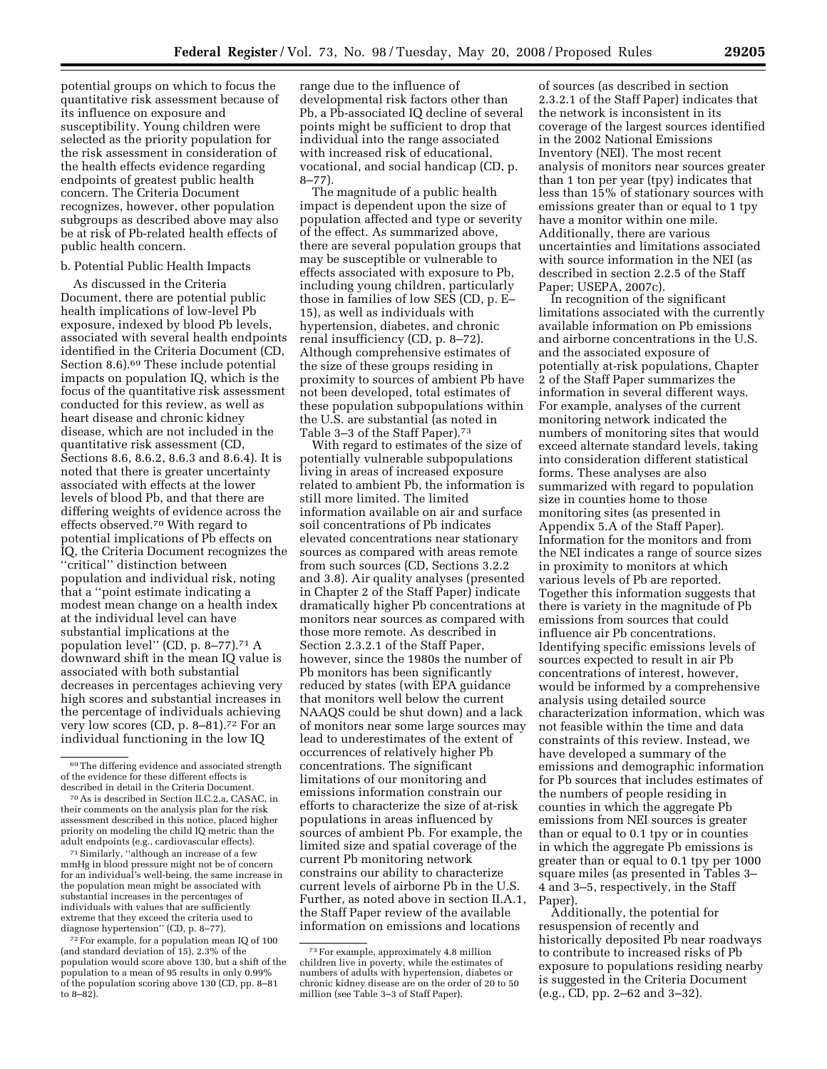potential groups on which to focus the quantitative risk assessment because of its influence on exposure and susceptibility. Young children were selected as the priority population for the risk assessment in consideration of the health effects evidence regarding endpoints of greatest public health concern. The Criteria Document recognizes, however, other population subgroups as described above may also be at risk of Pb-related health effects of public health concern.

## b. Potential Public Health Impacts

As discussed in the Criteria Document, there are potential public health implications of low-level Pb exposure, indexed by blood Pb levels, associated with several health endpoints identified in the Criteria Document (CD, Section 8.6).<sup>69</sup> These include potential impacts on population IQ, which is the focus of the quantitative risk assessment conducted for this review, as well as heart disease and chronic kidney disease, which are not included in the quantitative risk assessment (CD, Sections 8.6, 8.6.2, 8.6.3 and 8.6.4). It is noted that there is greater uncertainty associated with effects at the lower levels of blood Pb, and that there are differing weights of evidence across the effects observed.70 With regard to potential implications of Pb effects on IQ, the Criteria Document recognizes the ''critical'' distinction between population and individual risk, noting that a ''point estimate indicating a modest mean change on a health index at the individual level can have substantial implications at the population level'' (CD, p. 8–77).71 A downward shift in the mean IQ value is associated with both substantial decreases in percentages achieving very high scores and substantial increases in the percentage of individuals achieving very low scores (CD, p. 8–81).72 For an individual functioning in the low IQ

71Similarly, ''although an increase of a few mmHg in blood pressure might not be of concern for an individual's well-being, the same increase in the population mean might be associated with substantial increases in the percentages of individuals with values that are sufficiently extreme that they exceed the criteria used to diagnose hypertension'' (CD, p. 8–77).

72For example, for a population mean IQ of 100 (and standard deviation of 15), 2.3% of the population would score above 130, but a shift of the population to a mean of 95 results in only 0.99% of the population scoring above 130 (CD, pp. 8–81 to  $8 - 82$ ).

range due to the influence of developmental risk factors other than Pb, a Pb-associated IQ decline of several points might be sufficient to drop that individual into the range associated with increased risk of educational, vocational, and social handicap (CD, p. 8–77).

The magnitude of a public health impact is dependent upon the size of population affected and type or severity of the effect. As summarized above, there are several population groups that may be susceptible or vulnerable to effects associated with exposure to Pb, including young children, particularly those in families of low SES (CD, p. E– 15), as well as individuals with hypertension, diabetes, and chronic renal insufficiency (CD, p. 8–72). Although comprehensive estimates of the size of these groups residing in proximity to sources of ambient Pb have not been developed, total estimates of these population subpopulations within the U.S. are substantial (as noted in Table 3–3 of the Staff Paper).73

With regard to estimates of the size of potentially vulnerable subpopulations living in areas of increased exposure related to ambient Pb, the information is still more limited. The limited information available on air and surface soil concentrations of Pb indicates elevated concentrations near stationary sources as compared with areas remote from such sources (CD, Sections 3.2.2 and 3.8). Air quality analyses (presented in Chapter 2 of the Staff Paper) indicate dramatically higher Pb concentrations at monitors near sources as compared with those more remote. As described in Section 2.3.2.1 of the Staff Paper, however, since the 1980s the number of Pb monitors has been significantly reduced by states (with EPA guidance that monitors well below the current NAAQS could be shut down) and a lack of monitors near some large sources may lead to underestimates of the extent of occurrences of relatively higher Pb concentrations. The significant limitations of our monitoring and emissions information constrain our efforts to characterize the size of at-risk populations in areas influenced by sources of ambient Pb. For example, the limited size and spatial coverage of the current Pb monitoring network constrains our ability to characterize current levels of airborne Pb in the U.S. Further, as noted above in section II.A.1, the Staff Paper review of the available information on emissions and locations

of sources (as described in section 2.3.2.1 of the Staff Paper) indicates that the network is inconsistent in its coverage of the largest sources identified in the 2002 National Emissions Inventory (NEI). The most recent analysis of monitors near sources greater than 1 ton per year (tpy) indicates that less than 15% of stationary sources with emissions greater than or equal to 1 tpy have a monitor within one mile. Additionally, there are various uncertainties and limitations associated with source information in the NEI (as described in section 2.2.5 of the Staff Paper; USEPA, 2007c).

In recognition of the significant limitations associated with the currently available information on Pb emissions and airborne concentrations in the U.S. and the associated exposure of potentially at-risk populations, Chapter 2 of the Staff Paper summarizes the information in several different ways. For example, analyses of the current monitoring network indicated the numbers of monitoring sites that would exceed alternate standard levels, taking into consideration different statistical forms. These analyses are also summarized with regard to population size in counties home to those monitoring sites (as presented in Appendix 5.A of the Staff Paper). Information for the monitors and from the NEI indicates a range of source sizes in proximity to monitors at which various levels of Pb are reported. Together this information suggests that there is variety in the magnitude of Pb emissions from sources that could influence air Pb concentrations. Identifying specific emissions levels of sources expected to result in air Pb concentrations of interest, however, would be informed by a comprehensive analysis using detailed source characterization information, which was not feasible within the time and data constraints of this review. Instead, we have developed a summary of the emissions and demographic information for Pb sources that includes estimates of the numbers of people residing in counties in which the aggregate Pb emissions from NEI sources is greater than or equal to 0.1 tpy or in counties in which the aggregate Pb emissions is greater than or equal to 0.1 tpy per 1000 square miles (as presented in Tables 3– 4 and 3–5, respectively, in the Staff Paper).

Additionally, the potential for resuspension of recently and historically deposited Pb near roadways to contribute to increased risks of Pb exposure to populations residing nearby is suggested in the Criteria Document (e.g., CD, pp. 2–62 and 3–32).

<sup>69</sup>The differing evidence and associated strength of the evidence for these different effects is described in detail in the Criteria Document.

<sup>70</sup>As is described in Section II.C.2.a, CASAC, in their comments on the analysis plan for the risk assessment described in this notice, placed higher priority on modeling the child IQ metric than the adult endpoints (e.g., cardiovascular effects).

<sup>73</sup>For example, approximately 4.8 million children live in poverty, while the estimates of numbers of adults with hypertension, diabetes or chronic kidney disease are on the order of 20 to 50 million (see Table 3–3 of Staff Paper).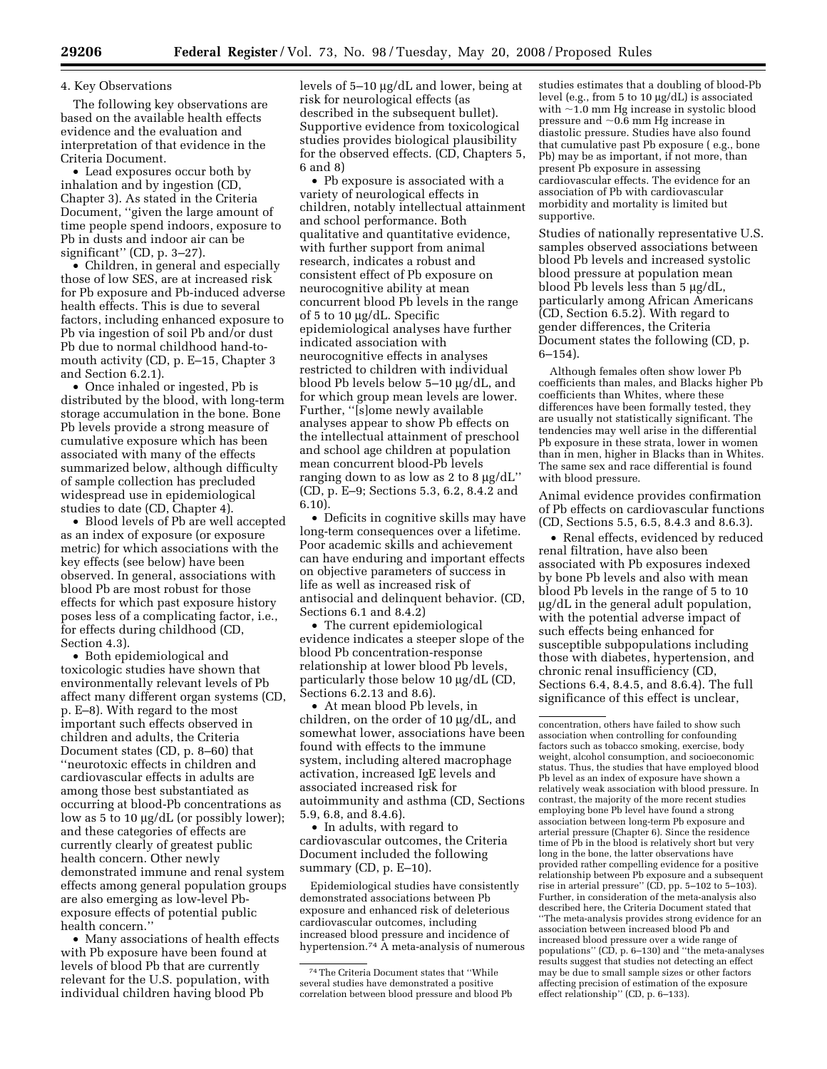#### 4. Key Observations

The following key observations are based on the available health effects evidence and the evaluation and interpretation of that evidence in the Criteria Document.

• Lead exposures occur both by inhalation and by ingestion (CD, Chapter 3). As stated in the Criteria Document, ''given the large amount of time people spend indoors, exposure to Pb in dusts and indoor air can be significant'' (CD, p. 3–27).

• Children, in general and especially those of low SES, are at increased risk for Pb exposure and Pb-induced adverse health effects. This is due to several factors, including enhanced exposure to Pb via ingestion of soil Pb and/or dust Pb due to normal childhood hand-tomouth activity (CD, p. E–15, Chapter 3 and Section 6.2.1).

• Once inhaled or ingested, Pb is distributed by the blood, with long-term storage accumulation in the bone. Bone Pb levels provide a strong measure of cumulative exposure which has been associated with many of the effects summarized below, although difficulty of sample collection has precluded widespread use in epidemiological studies to date (CD, Chapter 4).

• Blood levels of Pb are well accepted as an index of exposure (or exposure metric) for which associations with the key effects (see below) have been observed. In general, associations with blood Pb are most robust for those effects for which past exposure history poses less of a complicating factor, i.e., for effects during childhood (CD, Section 4.3).

• Both epidemiological and toxicologic studies have shown that environmentally relevant levels of Pb affect many different organ systems (CD, p. E–8). With regard to the most important such effects observed in children and adults, the Criteria Document states (CD, p. 8–60) that ''neurotoxic effects in children and cardiovascular effects in adults are among those best substantiated as occurring at blood-Pb concentrations as low as 5 to 10 µg/dL (or possibly lower); and these categories of effects are currently clearly of greatest public health concern. Other newly demonstrated immune and renal system effects among general population groups are also emerging as low-level Pbexposure effects of potential public health concern.''

• Many associations of health effects with Pb exposure have been found at levels of blood Pb that are currently relevant for the U.S. population, with individual children having blood Pb

levels of 5–10 µg/dL and lower, being at risk for neurological effects (as described in the subsequent bullet). Supportive evidence from toxicological studies provides biological plausibility for the observed effects. (CD, Chapters 5, 6 and 8)

• Pb exposure is associated with a variety of neurological effects in children, notably intellectual attainment and school performance. Both qualitative and quantitative evidence, with further support from animal research, indicates a robust and consistent effect of Pb exposure on neurocognitive ability at mean concurrent blood Pb levels in the range of 5 to 10 µg/dL. Specific epidemiological analyses have further indicated association with neurocognitive effects in analyses restricted to children with individual blood Pb levels below 5–10 µg/dL, and for which group mean levels are lower. Further, ''[s]ome newly available analyses appear to show Pb effects on the intellectual attainment of preschool and school age children at population mean concurrent blood-Pb levels ranging down to as low as 2 to 8 µg/dL'' (CD, p. E–9; Sections 5.3, 6.2, 8.4.2 and 6.10).

• Deficits in cognitive skills may have long-term consequences over a lifetime. Poor academic skills and achievement can have enduring and important effects on objective parameters of success in life as well as increased risk of antisocial and delinquent behavior. (CD, Sections 6.1 and 8.4.2)

• The current epidemiological evidence indicates a steeper slope of the blood Pb concentration-response relationship at lower blood Pb levels, particularly those below 10 µg/dL (CD, Sections 6.2.13 and 8.6).

• At mean blood Pb levels, in children, on the order of 10 µg/dL, and somewhat lower, associations have been found with effects to the immune system, including altered macrophage activation, increased IgE levels and associated increased risk for autoimmunity and asthma (CD, Sections 5.9, 6.8, and 8.4.6).

• In adults, with regard to cardiovascular outcomes, the Criteria Document included the following summary (CD, p. E–10).

Epidemiological studies have consistently demonstrated associations between Pb exposure and enhanced risk of deleterious cardiovascular outcomes, including increased blood pressure and incidence of hypertension.74 A meta-analysis of numerous studies estimates that a doubling of blood-Pb level (e.g., from 5 to 10 µg/dL) is associated with ~1.0 mm Hg increase in systolic blood pressure and ~0.6 mm Hg increase in diastolic pressure. Studies have also found that cumulative past Pb exposure ( e.g., bone Pb) may be as important, if not more, than present Pb exposure in assessing cardiovascular effects. The evidence for an association of Pb with cardiovascular morbidity and mortality is limited but supportive.

Studies of nationally representative U.S. samples observed associations between blood Pb levels and increased systolic blood pressure at population mean blood Pb levels less than 5 µg/dL, particularly among African Americans (CD, Section 6.5.2). With regard to gender differences, the Criteria Document states the following (CD, p. 6–154).

Although females often show lower Pb coefficients than males, and Blacks higher Pb coefficients than Whites, where these differences have been formally tested, they are usually not statistically significant. The tendencies may well arise in the differential Pb exposure in these strata, lower in women than in men, higher in Blacks than in Whites. The same sex and race differential is found with blood pressure.

Animal evidence provides confirmation of Pb effects on cardiovascular functions (CD, Sections 5.5, 6.5, 8.4.3 and 8.6.3).

• Renal effects, evidenced by reduced renal filtration, have also been associated with Pb exposures indexed by bone Pb levels and also with mean blood Pb levels in the range of 5 to 10 µg/dL in the general adult population, with the potential adverse impact of such effects being enhanced for susceptible subpopulations including those with diabetes, hypertension, and chronic renal insufficiency (CD, Sections 6.4, 8.4.5, and 8.6.4). The full significance of this effect is unclear,

<sup>74</sup>The Criteria Document states that ''While several studies have demonstrated a positive correlation between blood pressure and blood Pb

concentration, others have failed to show such association when controlling for confounding factors such as tobacco smoking, exercise, body weight, alcohol consumption, and socioeconomic status. Thus, the studies that have employed blood Pb level as an index of exposure have shown a relatively weak association with blood pressure. In contrast, the majority of the more recent studies employing bone Pb level have found a strong association between long-term Pb exposure and arterial pressure (Chapter 6). Since the residence time of Pb in the blood is relatively short but very long in the bone, the latter observations have provided rather compelling evidence for a positive relationship between Pb exposure and a subsequent rise in arterial pressure'' (CD, pp. 5–102 to 5–103). Further, in consideration of the meta-analysis also described here, the Criteria Document stated that ''The meta-analysis provides strong evidence for an association between increased blood Pb and increased blood pressure over a wide range of populations" (CD, p. 6-130) and "the meta-analyses results suggest that studies not detecting an effect may be due to small sample sizes or other factors affecting precision of estimation of the exposure effect relationship'' (CD, p. 6–133).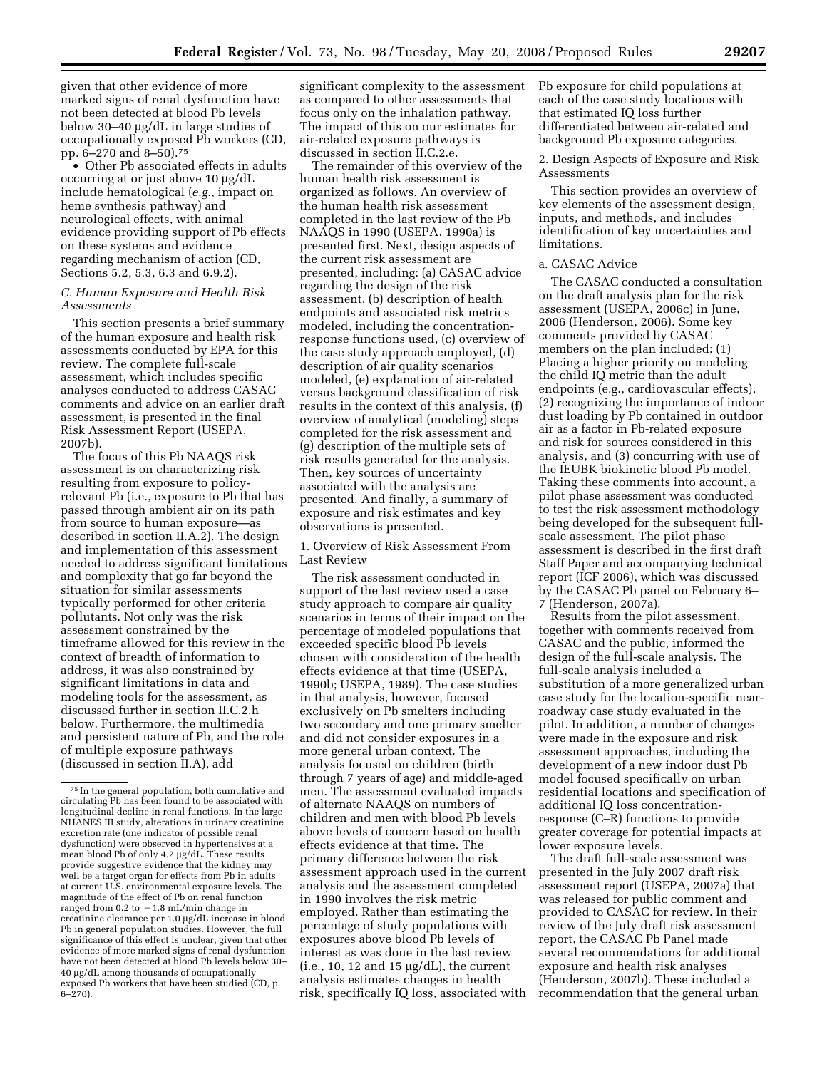given that other evidence of more marked signs of renal dysfunction have not been detected at blood Pb levels below 30–40 µg/dL in large studies of occupationally exposed Pb workers (CD, pp. 6–270 and 8–50).75

• Other Pb associated effects in adults occurring at or just above 10 µg/dL include hematological (*e.g.*, impact on heme synthesis pathway) and neurological effects, with animal evidence providing support of Pb effects on these systems and evidence regarding mechanism of action (CD, Sections 5.2, 5.3, 6.3 and 6.9.2).

### *C. Human Exposure and Health Risk Assessments*

This section presents a brief summary of the human exposure and health risk assessments conducted by EPA for this review. The complete full-scale assessment, which includes specific analyses conducted to address CASAC comments and advice on an earlier draft assessment, is presented in the final Risk Assessment Report (USEPA, 2007b).

The focus of this Pb NAAQS risk assessment is on characterizing risk resulting from exposure to policyrelevant Pb (i.e., exposure to Pb that has passed through ambient air on its path from source to human exposure—as described in section II.A.2). The design and implementation of this assessment needed to address significant limitations and complexity that go far beyond the situation for similar assessments typically performed for other criteria pollutants. Not only was the risk assessment constrained by the timeframe allowed for this review in the context of breadth of information to address, it was also constrained by significant limitations in data and modeling tools for the assessment, as discussed further in section II.C.2.h below. Furthermore, the multimedia and persistent nature of Pb, and the role of multiple exposure pathways (discussed in section II.A), add

significant complexity to the assessment as compared to other assessments that focus only on the inhalation pathway. The impact of this on our estimates for air-related exposure pathways is discussed in section II.C.2.e.

The remainder of this overview of the human health risk assessment is organized as follows. An overview of the human health risk assessment completed in the last review of the Pb NAAQS in 1990 (USEPA, 1990a) is presented first. Next, design aspects of the current risk assessment are presented, including: (a) CASAC advice regarding the design of the risk assessment, (b) description of health endpoints and associated risk metrics modeled, including the concentrationresponse functions used, (c) overview of the case study approach employed, (d) description of air quality scenarios modeled, (e) explanation of air-related versus background classification of risk results in the context of this analysis, (f) overview of analytical (modeling) steps completed for the risk assessment and (g) description of the multiple sets of risk results generated for the analysis. Then, key sources of uncertainty associated with the analysis are presented. And finally, a summary of exposure and risk estimates and key observations is presented.

1. Overview of Risk Assessment From Last Review

The risk assessment conducted in support of the last review used a case study approach to compare air quality scenarios in terms of their impact on the percentage of modeled populations that exceeded specific blood Pb levels chosen with consideration of the health effects evidence at that time (USEPA, 1990b; USEPA, 1989). The case studies in that analysis, however, focused exclusively on Pb smelters including two secondary and one primary smelter and did not consider exposures in a more general urban context. The analysis focused on children (birth through 7 years of age) and middle-aged men. The assessment evaluated impacts of alternate NAAQS on numbers of children and men with blood Pb levels above levels of concern based on health effects evidence at that time. The primary difference between the risk assessment approach used in the current analysis and the assessment completed in 1990 involves the risk metric employed. Rather than estimating the percentage of study populations with exposures above blood Pb levels of interest as was done in the last review  $(i.e., 10, 12 \text{ and } 15 \text{ µg/dL})$ , the current analysis estimates changes in health risk, specifically IQ loss, associated with

Pb exposure for child populations at each of the case study locations with that estimated IQ loss further differentiated between air-related and background Pb exposure categories.

2. Design Aspects of Exposure and Risk Assessments

This section provides an overview of key elements of the assessment design, inputs, and methods, and includes identification of key uncertainties and limitations.

## a. CASAC Advice

The CASAC conducted a consultation on the draft analysis plan for the risk assessment (USEPA, 2006c) in June, 2006 (Henderson, 2006). Some key comments provided by CASAC members on the plan included: (1) Placing a higher priority on modeling the child IQ metric than the adult endpoints (e.g., cardiovascular effects), (2) recognizing the importance of indoor dust loading by Pb contained in outdoor air as a factor in Pb-related exposure and risk for sources considered in this analysis, and (3) concurring with use of the IEUBK biokinetic blood Pb model. Taking these comments into account, a pilot phase assessment was conducted to test the risk assessment methodology being developed for the subsequent fullscale assessment. The pilot phase assessment is described in the first draft Staff Paper and accompanying technical report (ICF 2006), which was discussed by the CASAC Pb panel on February 6– 7 (Henderson, 2007a).

Results from the pilot assessment, together with comments received from CASAC and the public, informed the design of the full-scale analysis. The full-scale analysis included a substitution of a more generalized urban case study for the location-specific nearroadway case study evaluated in the pilot. In addition, a number of changes were made in the exposure and risk assessment approaches, including the development of a new indoor dust Pb model focused specifically on urban residential locations and specification of additional IQ loss concentrationresponse (C–R) functions to provide greater coverage for potential impacts at lower exposure levels.

The draft full-scale assessment was presented in the July 2007 draft risk assessment report (USEPA, 2007a) that was released for public comment and provided to CASAC for review. In their review of the July draft risk assessment report, the CASAC Pb Panel made several recommendations for additional exposure and health risk analyses (Henderson, 2007b). These included a recommendation that the general urban

<sup>75</sup> In the general population, both cumulative and circulating Pb has been found to be associated with longitudinal decline in renal functions. In the large NHANES III study, alterations in urinary creatinine excretion rate (one indicator of possible renal dysfunction) were observed in hypertensives at a mean blood Pb of only 4.2 µg/dL. These results provide suggestive evidence that the kidney may well be a target organ for effects from Pb in adults at current U.S. environmental exposure levels. The magnitude of the effect of Pb on renal function ranged from  $0.2$  to  $-1.8$  mL/min change in creatinine clearance per 1.0 µg/dL increase in blood Pb in general population studies. However, the full significance of this effect is unclear, given that other evidence of more marked signs of renal dysfunction have not been detected at blood Pb levels below 30– 40 µg/dL among thousands of occupationally exposed Pb workers that have been studied (CD, p.  $6 - 270$ .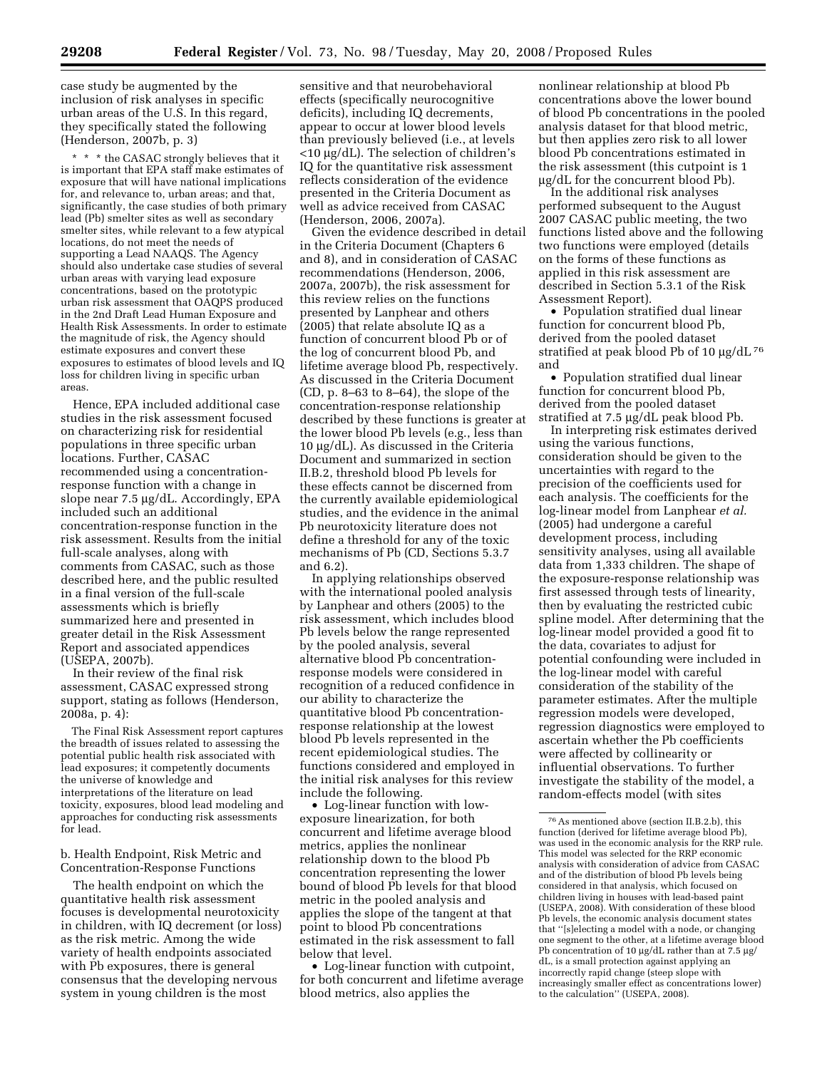case study be augmented by the inclusion of risk analyses in specific urban areas of the U.S. In this regard, they specifically stated the following (Henderson, 2007b, p. 3)

\* \* \* the CASAC strongly believes that it is important that EPA staff make estimates of exposure that will have national implications for, and relevance to, urban areas; and that, significantly, the case studies of both primary lead (Pb) smelter sites as well as secondary smelter sites, while relevant to a few atypical locations, do not meet the needs of supporting a Lead NAAQS. The Agency should also undertake case studies of several urban areas with varying lead exposure concentrations, based on the prototypic urban risk assessment that OAQPS produced in the 2nd Draft Lead Human Exposure and Health Risk Assessments. In order to estimate the magnitude of risk, the Agency should estimate exposures and convert these exposures to estimates of blood levels and IQ loss for children living in specific urban areas.

Hence, EPA included additional case studies in the risk assessment focused on characterizing risk for residential populations in three specific urban locations. Further, CASAC recommended using a concentrationresponse function with a change in slope near 7.5 µg/dL. Accordingly, EPA included such an additional concentration-response function in the risk assessment. Results from the initial full-scale analyses, along with comments from CASAC, such as those described here, and the public resulted in a final version of the full-scale assessments which is briefly summarized here and presented in greater detail in the Risk Assessment Report and associated appendices (USEPA, 2007b).

In their review of the final risk assessment, CASAC expressed strong support, stating as follows (Henderson, 2008a, p. 4):

The Final Risk Assessment report captures the breadth of issues related to assessing the potential public health risk associated with lead exposures; it competently documents the universe of knowledge and interpretations of the literature on lead toxicity, exposures, blood lead modeling and approaches for conducting risk assessments for lead.

### b. Health Endpoint, Risk Metric and Concentration-Response Functions

The health endpoint on which the quantitative health risk assessment focuses is developmental neurotoxicity in children, with IQ decrement (or loss) as the risk metric. Among the wide variety of health endpoints associated with Pb exposures, there is general consensus that the developing nervous system in young children is the most

sensitive and that neurobehavioral effects (specifically neurocognitive deficits), including IQ decrements, appear to occur at lower blood levels than previously believed (i.e., at levels <10 µg/dL). The selection of children's IQ for the quantitative risk assessment reflects consideration of the evidence presented in the Criteria Document as well as advice received from CASAC (Henderson, 2006, 2007a).

Given the evidence described in detail in the Criteria Document (Chapters 6 and 8), and in consideration of CASAC recommendations (Henderson, 2006, 2007a, 2007b), the risk assessment for this review relies on the functions presented by Lanphear and others (2005) that relate absolute IQ as a function of concurrent blood Pb or of the log of concurrent blood Pb, and lifetime average blood Pb, respectively. As discussed in the Criteria Document (CD, p. 8–63 to 8–64), the slope of the concentration-response relationship described by these functions is greater at the lower blood Pb levels (e.g., less than 10 µg/dL). As discussed in the Criteria Document and summarized in section II.B.2, threshold blood Pb levels for these effects cannot be discerned from the currently available epidemiological studies, and the evidence in the animal Pb neurotoxicity literature does not define a threshold for any of the toxic mechanisms of Pb (CD, Sections 5.3.7 and 6.2).

In applying relationships observed with the international pooled analysis by Lanphear and others (2005) to the risk assessment, which includes blood Pb levels below the range represented by the pooled analysis, several alternative blood Pb concentrationresponse models were considered in recognition of a reduced confidence in our ability to characterize the quantitative blood Pb concentrationresponse relationship at the lowest blood Pb levels represented in the recent epidemiological studies. The functions considered and employed in the initial risk analyses for this review include the following.

• Log-linear function with lowexposure linearization, for both concurrent and lifetime average blood metrics, applies the nonlinear relationship down to the blood Pb concentration representing the lower bound of blood Pb levels for that blood metric in the pooled analysis and applies the slope of the tangent at that point to blood Pb concentrations estimated in the risk assessment to fall below that level.

• Log-linear function with cutpoint, for both concurrent and lifetime average blood metrics, also applies the

nonlinear relationship at blood Pb concentrations above the lower bound of blood Pb concentrations in the pooled analysis dataset for that blood metric, but then applies zero risk to all lower blood Pb concentrations estimated in the risk assessment (this cutpoint is 1 µg/dL for the concurrent blood Pb).

In the additional risk analyses performed subsequent to the August 2007 CASAC public meeting, the two functions listed above and the following two functions were employed (details on the forms of these functions as applied in this risk assessment are described in Section 5.3.1 of the Risk Assessment Report).

• Population stratified dual linear function for concurrent blood Pb, derived from the pooled dataset stratified at peak blood Pb of 10 µg/dL<sup>76</sup> and

• Population stratified dual linear function for concurrent blood Pb, derived from the pooled dataset stratified at 7.5 µg/dL peak blood Pb.

In interpreting risk estimates derived using the various functions, consideration should be given to the uncertainties with regard to the precision of the coefficients used for each analysis. The coefficients for the log-linear model from Lanphear *et al.*  (2005) had undergone a careful development process, including sensitivity analyses, using all available data from 1,333 children. The shape of the exposure-response relationship was first assessed through tests of linearity, then by evaluating the restricted cubic spline model. After determining that the log-linear model provided a good fit to the data, covariates to adjust for potential confounding were included in the log-linear model with careful consideration of the stability of the parameter estimates. After the multiple regression models were developed, regression diagnostics were employed to ascertain whether the Pb coefficients were affected by collinearity or influential observations. To further investigate the stability of the model, a random-effects model (with sites

<sup>76</sup>As mentioned above (section II.B.2.b), this function (derived for lifetime average blood Pb), was used in the economic analysis for the RRP rule. This model was selected for the RRP economic analysis with consideration of advice from CASAC and of the distribution of blood Pb levels being considered in that analysis, which focused on children living in houses with lead-based paint (USEPA, 2008). With consideration of these blood Pb levels, the economic analysis document states that ''[s]electing a model with a node, or changing one segment to the other, at a lifetime average blood Pb concentration of 10 µg/dL rather than at 7.5 µg/ dL, is a small protection against applying an incorrectly rapid change (steep slope with increasingly smaller effect as concentrations lower) to the calculation'' (USEPA, 2008).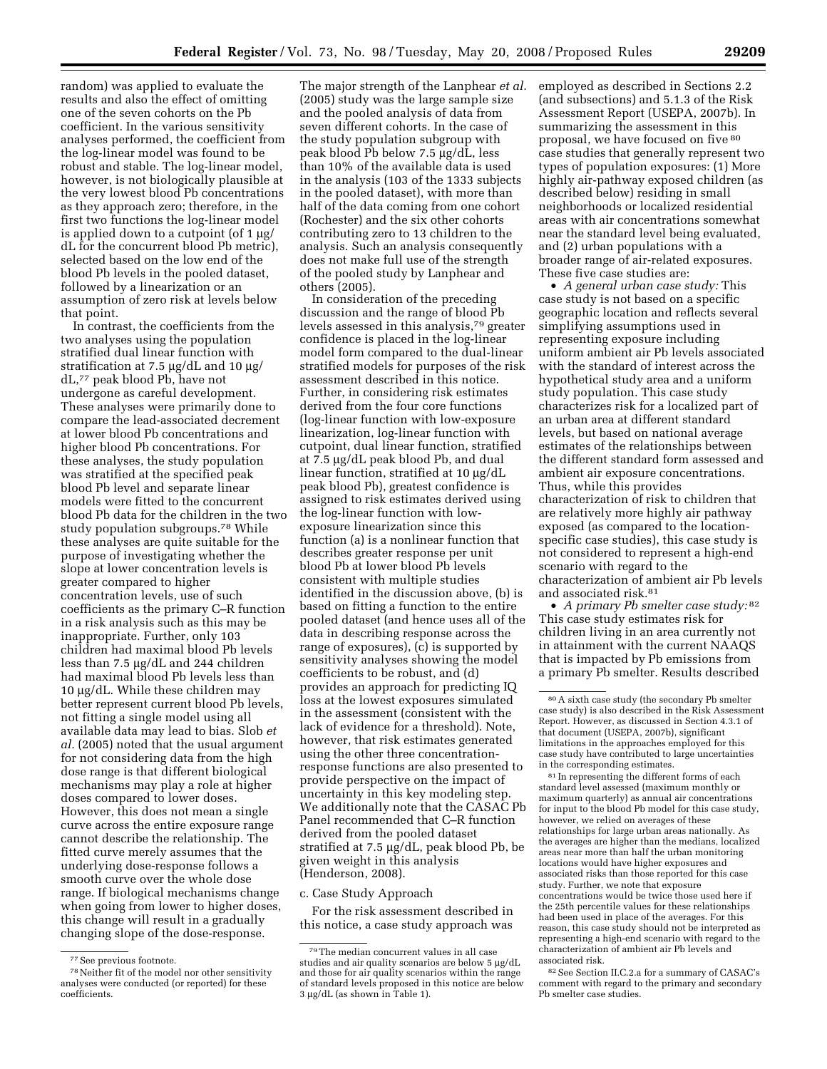random) was applied to evaluate the results and also the effect of omitting one of the seven cohorts on the Pb coefficient. In the various sensitivity analyses performed, the coefficient from the log-linear model was found to be robust and stable. The log-linear model, however, is not biologically plausible at the very lowest blood Pb concentrations as they approach zero; therefore, in the first two functions the log-linear model is applied down to a cutpoint (of 1 µg/ dL for the concurrent blood Pb metric), selected based on the low end of the blood Pb levels in the pooled dataset, followed by a linearization or an assumption of zero risk at levels below that point.

In contrast, the coefficients from the two analyses using the population stratified dual linear function with stratification at 7.5  $\mu$ g/dL and 10  $\mu$ g/ dL,77 peak blood Pb, have not undergone as careful development. These analyses were primarily done to compare the lead-associated decrement at lower blood Pb concentrations and higher blood Pb concentrations. For these analyses, the study population was stratified at the specified peak blood Pb level and separate linear models were fitted to the concurrent blood Pb data for the children in the two study population subgroups.78 While these analyses are quite suitable for the purpose of investigating whether the slope at lower concentration levels is greater compared to higher concentration levels, use of such coefficients as the primary C–R function in a risk analysis such as this may be inappropriate. Further, only 103 children had maximal blood Pb levels less than 7.5 µg/dL and 244 children had maximal blood Pb levels less than 10 µg/dL. While these children may better represent current blood Pb levels, not fitting a single model using all available data may lead to bias. Slob *et al.* (2005) noted that the usual argument for not considering data from the high dose range is that different biological mechanisms may play a role at higher doses compared to lower doses. However, this does not mean a single curve across the entire exposure range cannot describe the relationship. The fitted curve merely assumes that the underlying dose-response follows a smooth curve over the whole dose range. If biological mechanisms change when going from lower to higher doses, this change will result in a gradually changing slope of the dose-response.

The major strength of the Lanphear *et al.*  (2005) study was the large sample size and the pooled analysis of data from seven different cohorts. In the case of the study population subgroup with peak blood Pb below 7.5 µg/dL, less than 10% of the available data is used in the analysis (103 of the 1333 subjects in the pooled dataset), with more than half of the data coming from one cohort (Rochester) and the six other cohorts contributing zero to 13 children to the analysis. Such an analysis consequently does not make full use of the strength of the pooled study by Lanphear and others (2005).

In consideration of the preceding discussion and the range of blood Pb levels assessed in this analysis,79 greater confidence is placed in the log-linear model form compared to the dual-linear stratified models for purposes of the risk assessment described in this notice. Further, in considering risk estimates derived from the four core functions (log-linear function with low-exposure linearization, log-linear function with cutpoint, dual linear function, stratified at 7.5 µg/dL peak blood Pb, and dual linear function, stratified at 10 µg/dL peak blood Pb), greatest confidence is assigned to risk estimates derived using the log-linear function with lowexposure linearization since this function (a) is a nonlinear function that describes greater response per unit blood Pb at lower blood Pb levels consistent with multiple studies identified in the discussion above, (b) is based on fitting a function to the entire pooled dataset (and hence uses all of the data in describing response across the range of exposures), (c) is supported by sensitivity analyses showing the model coefficients to be robust, and (d) provides an approach for predicting IQ loss at the lowest exposures simulated in the assessment (consistent with the lack of evidence for a threshold). Note, however, that risk estimates generated using the other three concentrationresponse functions are also presented to provide perspective on the impact of uncertainty in this key modeling step. We additionally note that the CASAC Pb Panel recommended that C–R function derived from the pooled dataset stratified at 7.5 µg/dL, peak blood Pb, be given weight in this analysis (Henderson, 2008).

#### c. Case Study Approach

For the risk assessment described in this notice, a case study approach was

employed as described in Sections 2.2 (and subsections) and 5.1.3 of the Risk Assessment Report (USEPA, 2007b). In summarizing the assessment in this proposal, we have focused on five 80 case studies that generally represent two types of population exposures: (1) More highly air-pathway exposed children (as described below) residing in small neighborhoods or localized residential areas with air concentrations somewhat near the standard level being evaluated, and (2) urban populations with a broader range of air-related exposures. These five case studies are:

• *A general urban case study:* This case study is not based on a specific geographic location and reflects several simplifying assumptions used in representing exposure including uniform ambient air Pb levels associated with the standard of interest across the hypothetical study area and a uniform study population. This case study characterizes risk for a localized part of an urban area at different standard levels, but based on national average estimates of the relationships between the different standard form assessed and ambient air exposure concentrations. Thus, while this provides characterization of risk to children that are relatively more highly air pathway exposed (as compared to the locationspecific case studies), this case study is not considered to represent a high-end scenario with regard to the characterization of ambient air Pb levels and associated risk.81

• *A primary Pb smelter case study:* 82 This case study estimates risk for children living in an area currently not in attainment with the current NAAQS that is impacted by Pb emissions from a primary Pb smelter. Results described

81 In representing the different forms of each standard level assessed (maximum monthly or maximum quarterly) as annual air concentrations for input to the blood Pb model for this case study, however, we relied on averages of these relationships for large urban areas nationally. As the averages are higher than the medians, localized areas near more than half the urban monitoring locations would have higher exposures and associated risks than those reported for this case study. Further, we note that exposure concentrations would be twice those used here if the 25th percentile values for these relationships had been used in place of the averages. For this reason, this case study should not be interpreted as representing a high-end scenario with regard to the characterization of ambient air Pb levels and associated risk.

82See Section II.C.2.a for a summary of CASAC's comment with regard to the primary and secondary Pb smelter case studies.

<sup>77</sup>See previous footnote.

<sup>78</sup>Neither fit of the model nor other sensitivity analyses were conducted (or reported) for these coefficients.

<sup>79</sup>The median concurrent values in all case studies and air quality scenarios are below 5 µg/dL and those for air quality scenarios within the range of standard levels proposed in this notice are below 3 µg/dL (as shown in Table 1).

<sup>80</sup>A sixth case study (the secondary Pb smelter case study) is also described in the Risk Assessment Report. However, as discussed in Section 4.3.1 of that document (USEPA, 2007b), significant limitations in the approaches employed for this case study have contributed to large uncertainties in the corresponding estimates.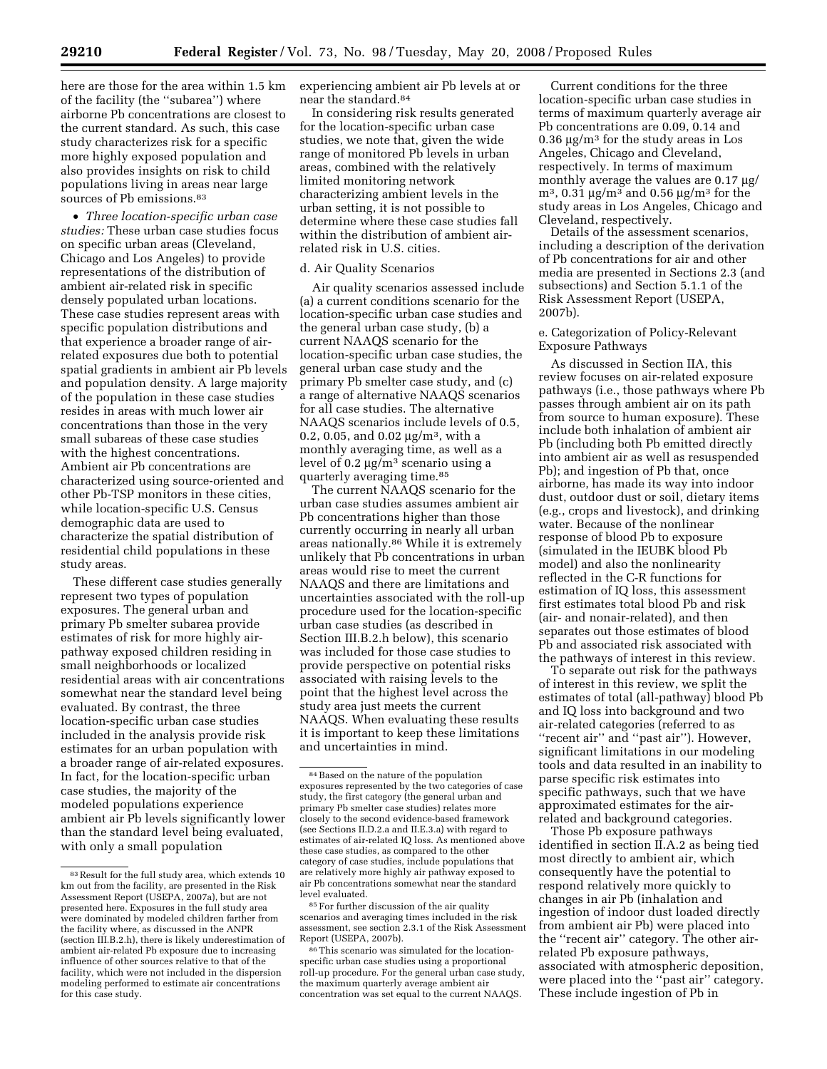here are those for the area within 1.5 km of the facility (the ''subarea'') where airborne Pb concentrations are closest to the current standard. As such, this case study characterizes risk for a specific more highly exposed population and also provides insights on risk to child populations living in areas near large sources of Pb emissions.<sup>83</sup>

• *Three location-specific urban case studies:* These urban case studies focus on specific urban areas (Cleveland, Chicago and Los Angeles) to provide representations of the distribution of ambient air-related risk in specific densely populated urban locations. These case studies represent areas with specific population distributions and that experience a broader range of airrelated exposures due both to potential spatial gradients in ambient air Pb levels and population density. A large majority of the population in these case studies resides in areas with much lower air concentrations than those in the very small subareas of these case studies with the highest concentrations. Ambient air Pb concentrations are characterized using source-oriented and other Pb-TSP monitors in these cities, while location-specific U.S. Census demographic data are used to characterize the spatial distribution of residential child populations in these study areas.

These different case studies generally represent two types of population exposures. The general urban and primary Pb smelter subarea provide estimates of risk for more highly airpathway exposed children residing in small neighborhoods or localized residential areas with air concentrations somewhat near the standard level being evaluated. By contrast, the three location-specific urban case studies included in the analysis provide risk estimates for an urban population with a broader range of air-related exposures. In fact, for the location-specific urban case studies, the majority of the modeled populations experience ambient air Pb levels significantly lower than the standard level being evaluated, with only a small population

experiencing ambient air Pb levels at or near the standard.84

In considering risk results generated for the location-specific urban case studies, we note that, given the wide range of monitored Pb levels in urban areas, combined with the relatively limited monitoring network characterizing ambient levels in the urban setting, it is not possible to determine where these case studies fall within the distribution of ambient airrelated risk in U.S. cities.

#### d. Air Quality Scenarios

Air quality scenarios assessed include (a) a current conditions scenario for the location-specific urban case studies and the general urban case study, (b) a current NAAQS scenario for the location-specific urban case studies, the general urban case study and the primary Pb smelter case study, and (c) a range of alternative NAAQS scenarios for all case studies. The alternative NAAQS scenarios include levels of 0.5, 0.2, 0.05, and 0.02  $\mu$ g/m<sup>3</sup>, with a monthly averaging time, as well as a level of 0.2  $\mu$ g/m<sup>3</sup> scenario using a quarterly averaging time.85

The current NAAQS scenario for the urban case studies assumes ambient air Pb concentrations higher than those currently occurring in nearly all urban areas nationally.86 While it is extremely unlikely that Pb concentrations in urban areas would rise to meet the current NAAQS and there are limitations and uncertainties associated with the roll-up procedure used for the location-specific urban case studies (as described in Section III.B.2.h below), this scenario was included for those case studies to provide perspective on potential risks associated with raising levels to the point that the highest level across the study area just meets the current NAAQS. When evaluating these results it is important to keep these limitations and uncertainties in mind.

<sup>85</sup> For further discussion of the air quality scenarios and averaging times included in the risk assessment, see section 2.3.1 of the Risk Assessment Report (USEPA, 2007b).

Current conditions for the three location-specific urban case studies in terms of maximum quarterly average air Pb concentrations are 0.09, 0.14 and 0.36 µg/m3 for the study areas in Los Angeles, Chicago and Cleveland, respectively. In terms of maximum monthly average the values are 0.17 µg/ m<sup>3</sup>, 0.31  $\mu$ g/m<sup>3</sup> and 0.56  $\mu$ g/m<sup>3</sup> for the study areas in Los Angeles, Chicago and Cleveland, respectively.

Details of the assessment scenarios, including a description of the derivation of Pb concentrations for air and other media are presented in Sections 2.3 (and subsections) and Section 5.1.1 of the Risk Assessment Report (USEPA, 2007b).

e. Categorization of Policy-Relevant Exposure Pathways

As discussed in Section IIA, this review focuses on air-related exposure pathways (i.e., those pathways where Pb passes through ambient air on its path from source to human exposure). These include both inhalation of ambient air Pb (including both Pb emitted directly into ambient air as well as resuspended Pb); and ingestion of Pb that, once airborne, has made its way into indoor dust, outdoor dust or soil, dietary items (e.g., crops and livestock), and drinking water. Because of the nonlinear response of blood Pb to exposure (simulated in the IEUBK blood Pb model) and also the nonlinearity reflected in the C-R functions for estimation of IQ loss, this assessment first estimates total blood Pb and risk (air- and nonair-related), and then separates out those estimates of blood Pb and associated risk associated with the pathways of interest in this review.

To separate out risk for the pathways of interest in this review, we split the estimates of total (all-pathway) blood Pb and IQ loss into background and two air-related categories (referred to as ''recent air'' and ''past air''). However, significant limitations in our modeling tools and data resulted in an inability to parse specific risk estimates into specific pathways, such that we have approximated estimates for the airrelated and background categories.

Those Pb exposure pathways identified in section II.A.2 as being tied most directly to ambient air, which consequently have the potential to respond relatively more quickly to changes in air Pb (inhalation and ingestion of indoor dust loaded directly from ambient air Pb) were placed into the ''recent air'' category. The other airrelated Pb exposure pathways, associated with atmospheric deposition, were placed into the ''past air'' category. These include ingestion of Pb in

<sup>83</sup>Result for the full study area, which extends 10 km out from the facility, are presented in the Risk Assessment Report (USEPA, 2007a), but are not presented here. Exposures in the full study area were dominated by modeled children farther from the facility where, as discussed in the ANPR (section III.B.2.h), there is likely underestimation of ambient air-related Pb exposure due to increasing influence of other sources relative to that of the facility, which were not included in the dispersion modeling performed to estimate air concentrations for this case study.

<sup>84</sup>Based on the nature of the population exposures represented by the two categories of case study, the first category (the general urban and primary Pb smelter case studies) relates more closely to the second evidence-based framework (see Sections II.D.2.a and II.E.3.a) with regard to estimates of air-related IQ loss. As mentioned above these case studies, as compared to the other category of case studies, include populations that are relatively more highly air pathway exposed to air Pb concentrations somewhat near the standard level evaluated.

<sup>86</sup>This scenario was simulated for the locationspecific urban case studies using a proportional roll-up procedure. For the general urban case study, the maximum quarterly average ambient air concentration was set equal to the current NAAQS.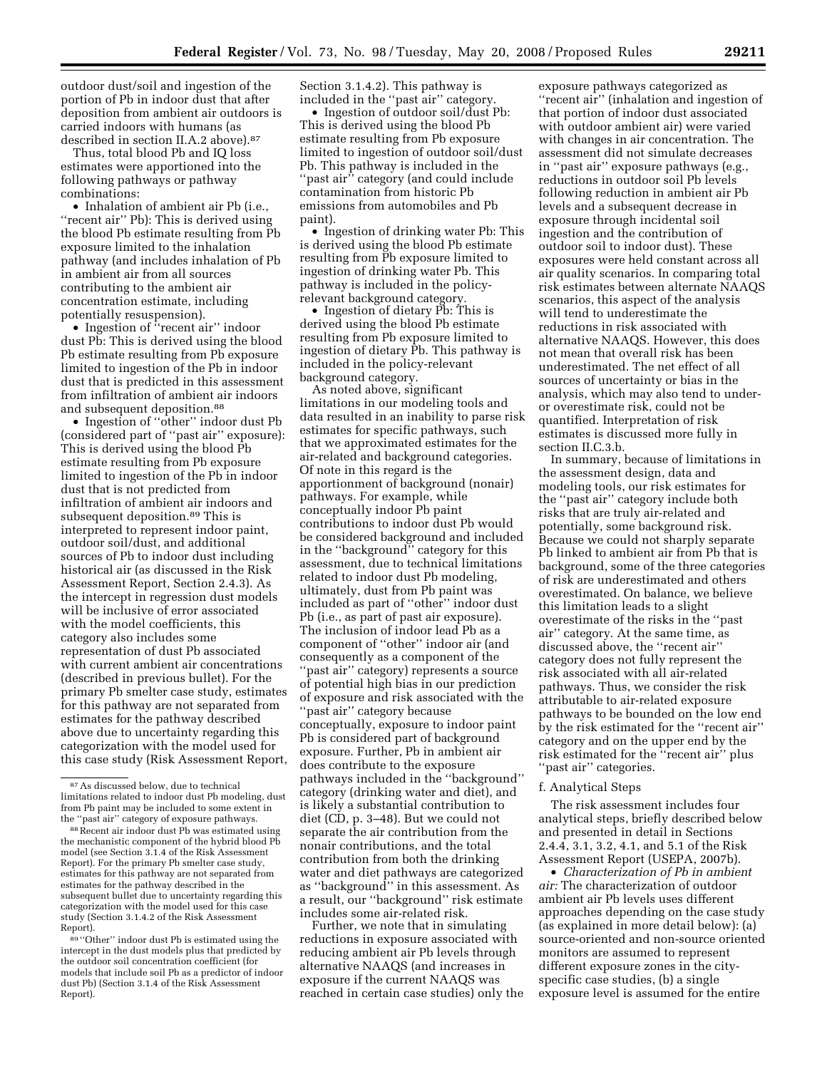outdoor dust/soil and ingestion of the portion of Pb in indoor dust that after deposition from ambient air outdoors is carried indoors with humans (as described in section II.A.2 above).87

Thus, total blood Pb and IQ loss estimates were apportioned into the following pathways or pathway combinations:

• Inhalation of ambient air Pb (i.e., ''recent air'' Pb): This is derived using the blood Pb estimate resulting from Pb exposure limited to the inhalation pathway (and includes inhalation of Pb in ambient air from all sources contributing to the ambient air concentration estimate, including potentially resuspension).

• Ingestion of ''recent air'' indoor dust Pb: This is derived using the blood Pb estimate resulting from Pb exposure limited to ingestion of the Pb in indoor dust that is predicted in this assessment from infiltration of ambient air indoors and subsequent deposition.88

• Ingestion of ''other'' indoor dust Pb (considered part of ''past air'' exposure): This is derived using the blood Pb estimate resulting from Pb exposure limited to ingestion of the Pb in indoor dust that is not predicted from infiltration of ambient air indoors and subsequent deposition.<sup>89</sup> This is interpreted to represent indoor paint, outdoor soil/dust, and additional sources of Pb to indoor dust including historical air (as discussed in the Risk Assessment Report, Section 2.4.3). As the intercept in regression dust models will be inclusive of error associated with the model coefficients, this category also includes some representation of dust Pb associated with current ambient air concentrations (described in previous bullet). For the primary Pb smelter case study, estimates for this pathway are not separated from estimates for the pathway described above due to uncertainty regarding this categorization with the model used for this case study (Risk Assessment Report, Section 3.1.4.2). This pathway is included in the ''past air'' category.

• Ingestion of outdoor soil/dust Pb: This is derived using the blood Pb estimate resulting from Pb exposure limited to ingestion of outdoor soil/dust Pb. This pathway is included in the ''past air'' category (and could include contamination from historic Pb emissions from automobiles and Pb paint).

• Ingestion of drinking water Pb: This is derived using the blood Pb estimate resulting from Pb exposure limited to ingestion of drinking water Pb. This pathway is included in the policyrelevant background category.

• Ingestion of dietary Pb: This is derived using the blood Pb estimate resulting from Pb exposure limited to ingestion of dietary Pb. This pathway is included in the policy-relevant background category.

As noted above, significant limitations in our modeling tools and data resulted in an inability to parse risk estimates for specific pathways, such that we approximated estimates for the air-related and background categories. Of note in this regard is the apportionment of background (nonair) pathways. For example, while conceptually indoor Pb paint contributions to indoor dust Pb would be considered background and included in the ''background'' category for this assessment, due to technical limitations related to indoor dust Pb modeling, ultimately, dust from Pb paint was included as part of ''other'' indoor dust Pb (i.e., as part of past air exposure). The inclusion of indoor lead Pb as a component of ''other'' indoor air (and consequently as a component of the ''past air'' category) represents a source of potential high bias in our prediction of exposure and risk associated with the ''past air'' category because conceptually, exposure to indoor paint Pb is considered part of background exposure. Further, Pb in ambient air does contribute to the exposure pathways included in the ''background'' category (drinking water and diet), and is likely a substantial contribution to diet (CD, p. 3–48). But we could not separate the air contribution from the nonair contributions, and the total contribution from both the drinking water and diet pathways are categorized as ''background'' in this assessment. As a result, our ''background'' risk estimate includes some air-related risk.

Further, we note that in simulating reductions in exposure associated with reducing ambient air Pb levels through alternative NAAQS (and increases in exposure if the current NAAQS was reached in certain case studies) only the

exposure pathways categorized as ''recent air'' (inhalation and ingestion of that portion of indoor dust associated with outdoor ambient air) were varied with changes in air concentration. The assessment did not simulate decreases in ''past air'' exposure pathways (e.g., reductions in outdoor soil Pb levels following reduction in ambient air Pb levels and a subsequent decrease in exposure through incidental soil ingestion and the contribution of outdoor soil to indoor dust). These exposures were held constant across all air quality scenarios. In comparing total risk estimates between alternate NAAQS scenarios, this aspect of the analysis will tend to underestimate the reductions in risk associated with alternative NAAQS. However, this does not mean that overall risk has been underestimated. The net effect of all sources of uncertainty or bias in the analysis, which may also tend to underor overestimate risk, could not be quantified. Interpretation of risk estimates is discussed more fully in section II.C.3.b.

In summary, because of limitations in the assessment design, data and modeling tools, our risk estimates for the ''past air'' category include both risks that are truly air-related and potentially, some background risk. Because we could not sharply separate Pb linked to ambient air from Pb that is background, some of the three categories of risk are underestimated and others overestimated. On balance, we believe this limitation leads to a slight overestimate of the risks in the ''past air'' category. At the same time, as discussed above, the ''recent air'' category does not fully represent the risk associated with all air-related pathways. Thus, we consider the risk attributable to air-related exposure pathways to be bounded on the low end by the risk estimated for the ''recent air'' category and on the upper end by the risk estimated for the ''recent air'' plus "past air" categories.

### f. Analytical Steps

The risk assessment includes four analytical steps, briefly described below and presented in detail in Sections 2.4.4, 3.1, 3.2, 4.1, and 5.1 of the Risk Assessment Report (USEPA, 2007b).

• *Characterization of Pb in ambient air:* The characterization of outdoor ambient air Pb levels uses different approaches depending on the case study (as explained in more detail below): (a) source-oriented and non-source oriented monitors are assumed to represent different exposure zones in the cityspecific case studies, (b) a single exposure level is assumed for the entire

<sup>87</sup>As discussed below, due to technical limitations related to indoor dust Pb modeling, dust from Pb paint may be included to some extent in the ''past air'' category of exposure pathways.

<sup>88</sup>Recent air indoor dust Pb was estimated using the mechanistic component of the hybrid blood Pb model (see Section 3.1.4 of the Risk Assessment Report). For the primary Pb smelter case study, estimates for this pathway are not separated from estimates for the pathway described in the subsequent bullet due to uncertainty regarding this categorization with the model used for this case study (Section 3.1.4.2 of the Risk Assessment Report).

<sup>89</sup> ''Other'' indoor dust Pb is estimated using the intercept in the dust models plus that predicted by the outdoor soil concentration coefficient (for models that include soil Pb as a predictor of indoor dust Pb) (Section 3.1.4 of the Risk Assessment Report).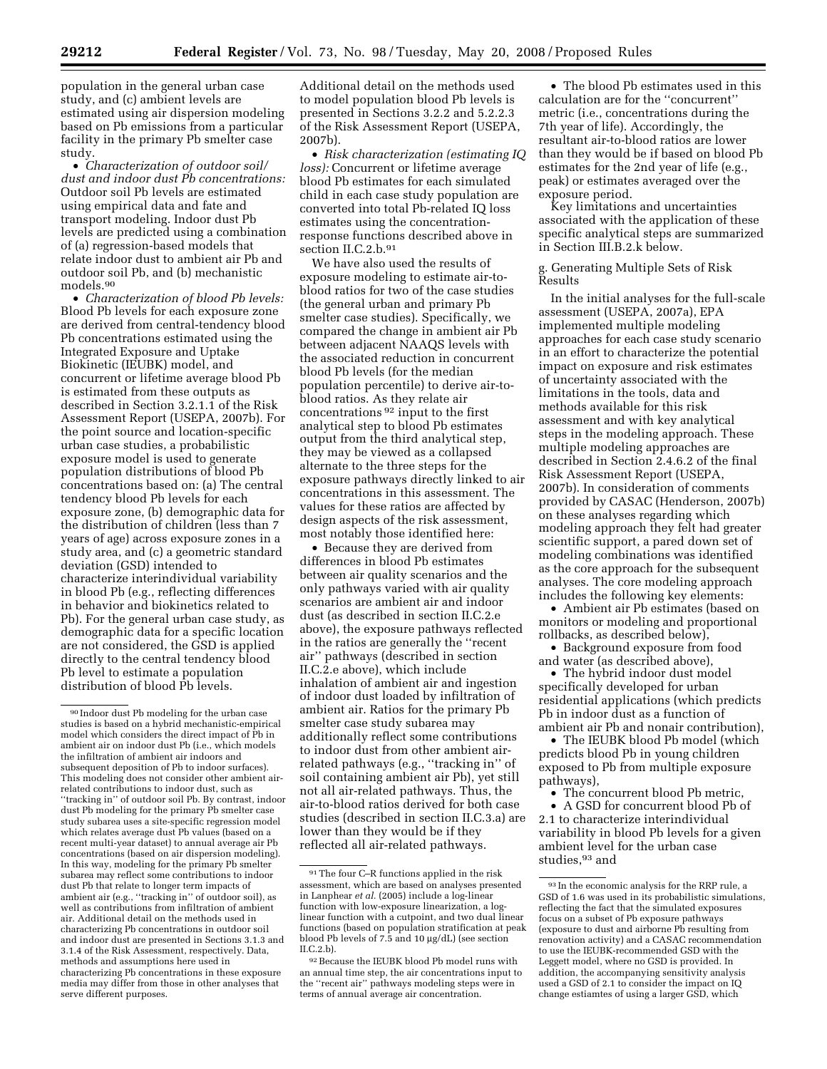population in the general urban case study, and (c) ambient levels are estimated using air dispersion modeling based on Pb emissions from a particular facility in the primary Pb smelter case study.

• *Characterization of outdoor soil/ dust and indoor dust Pb concentrations:*  Outdoor soil Pb levels are estimated using empirical data and fate and transport modeling. Indoor dust Pb levels are predicted using a combination of (a) regression-based models that relate indoor dust to ambient air Pb and outdoor soil Pb, and (b) mechanistic models.90

• *Characterization of blood Pb levels:*  Blood Pb levels for each exposure zone are derived from central-tendency blood Pb concentrations estimated using the Integrated Exposure and Uptake Biokinetic (IEUBK) model, and concurrent or lifetime average blood Pb is estimated from these outputs as described in Section 3.2.1.1 of the Risk Assessment Report (USEPA, 2007b). For the point source and location-specific urban case studies, a probabilistic exposure model is used to generate population distributions of blood Pb concentrations based on: (a) The central tendency blood Pb levels for each exposure zone, (b) demographic data for the distribution of children (less than 7 years of age) across exposure zones in a study area, and (c) a geometric standard deviation (GSD) intended to characterize interindividual variability in blood Pb (e.g., reflecting differences in behavior and biokinetics related to Pb). For the general urban case study, as demographic data for a specific location are not considered, the GSD is applied directly to the central tendency blood Pb level to estimate a population distribution of blood Pb levels.

Additional detail on the methods used to model population blood Pb levels is presented in Sections 3.2.2 and 5.2.2.3 of the Risk Assessment Report (USEPA, 2007b).

• *Risk characterization (estimating IQ loss):* Concurrent or lifetime average blood Pb estimates for each simulated child in each case study population are converted into total Pb-related IQ loss estimates using the concentrationresponse functions described above in section II.C.2.b.<sup>91</sup>

We have also used the results of exposure modeling to estimate air-toblood ratios for two of the case studies (the general urban and primary Pb smelter case studies). Specifically, we compared the change in ambient air Pb between adjacent NAAQS levels with the associated reduction in concurrent blood Pb levels (for the median population percentile) to derive air-toblood ratios. As they relate air concentrations 92 input to the first analytical step to blood Pb estimates output from the third analytical step, they may be viewed as a collapsed alternate to the three steps for the exposure pathways directly linked to air concentrations in this assessment. The values for these ratios are affected by design aspects of the risk assessment, most notably those identified here:

• Because they are derived from differences in blood Pb estimates between air quality scenarios and the only pathways varied with air quality scenarios are ambient air and indoor dust (as described in section II.C.2.e above), the exposure pathways reflected in the ratios are generally the ''recent air'' pathways (described in section II.C.2.e above), which include inhalation of ambient air and ingestion of indoor dust loaded by infiltration of ambient air. Ratios for the primary Pb smelter case study subarea may additionally reflect some contributions to indoor dust from other ambient airrelated pathways (e.g., ''tracking in'' of soil containing ambient air Pb), yet still not all air-related pathways. Thus, the air-to-blood ratios derived for both case studies (described in section II.C.3.a) are lower than they would be if they reflected all air-related pathways.

• The blood Pb estimates used in this calculation are for the ''concurrent'' metric (i.e., concentrations during the 7th year of life). Accordingly, the resultant air-to-blood ratios are lower than they would be if based on blood Pb estimates for the 2nd year of life (e.g., peak) or estimates averaged over the exposure period.

Key limitations and uncertainties associated with the application of these specific analytical steps are summarized in Section III.B.2.k below.

g. Generating Multiple Sets of Risk Results

In the initial analyses for the full-scale assessment (USEPA, 2007a), EPA implemented multiple modeling approaches for each case study scenario in an effort to characterize the potential impact on exposure and risk estimates of uncertainty associated with the limitations in the tools, data and methods available for this risk assessment and with key analytical steps in the modeling approach. These multiple modeling approaches are described in Section 2.4.6.2 of the final Risk Assessment Report (USEPA, 2007b). In consideration of comments provided by CASAC (Henderson, 2007b) on these analyses regarding which modeling approach they felt had greater scientific support, a pared down set of modeling combinations was identified as the core approach for the subsequent analyses. The core modeling approach includes the following key elements:

• Ambient air Pb estimates (based on monitors or modeling and proportional rollbacks, as described below),

• Background exposure from food and water (as described above),

• The hybrid indoor dust model specifically developed for urban residential applications (which predicts Pb in indoor dust as a function of ambient air Pb and nonair contribution),

• The IEUBK blood Pb model (which predicts blood Pb in young children exposed to Pb from multiple exposure pathways),

• The concurrent blood Pb metric,

• A GSD for concurrent blood Pb of 2.1 to characterize interindividual variability in blood Pb levels for a given ambient level for the urban case studies,<sup>93</sup> and

<sup>90</sup> Indoor dust Pb modeling for the urban case studies is based on a hybrid mechanistic-empirical model which considers the direct impact of Pb in ambient air on indoor dust Pb (i.e., which models the infiltration of ambient air indoors and subsequent deposition of Pb to indoor surfaces). This modeling does not consider other ambient airrelated contributions to indoor dust, such as ''tracking in'' of outdoor soil Pb. By contrast, indoor dust Pb modeling for the primary Pb smelter case study subarea uses a site-specific regression model which relates average dust Pb values (based on a recent multi-year dataset) to annual average air Pb concentrations (based on air dispersion modeling). In this way, modeling for the primary Pb smelter subarea may reflect some contributions to indoor dust Pb that relate to longer term impacts of ambient air (e.g., ''tracking in'' of outdoor soil), as well as contributions from infiltration of ambient air. Additional detail on the methods used in characterizing Pb concentrations in outdoor soil and indoor dust are presented in Sections 3.1.3 and 3.1.4 of the Risk Assessment, respectively. Data, methods and assumptions here used in characterizing Pb concentrations in these exposure media may differ from those in other analyses that serve different purposes.

 $\ensuremath{^{91}}$  The four C–R functions applied in the risk assessment, which are based on analyses presented in Lanphear *et al.* (2005) include a log-linear function with low-exposure linearization, a loglinear function with a cutpoint, and two dual linear functions (based on population stratification at peak blood Pb levels of 7.5 and 10 µg/dL) (see section II.C.2.b).

<sup>92</sup>Because the IEUBK blood Pb model runs with an annual time step, the air concentrations input to the ''recent air'' pathways modeling steps were in terms of annual average air concentration.

<sup>93</sup> In the economic analysis for the RRP rule, a GSD of 1.6 was used in its probabilistic simulations, reflecting the fact that the simulated exposures focus on a subset of Pb exposure pathways (exposure to dust and airborne Pb resulting from renovation activity) and a CASAC recommendation to use the IEUBK-recommended GSD with the Leggett model, where no GSD is provided. In addition, the accompanying sensitivity analysis used a GSD of 2.1 to consider the impact on IQ change estiamtes of using a larger GSD, which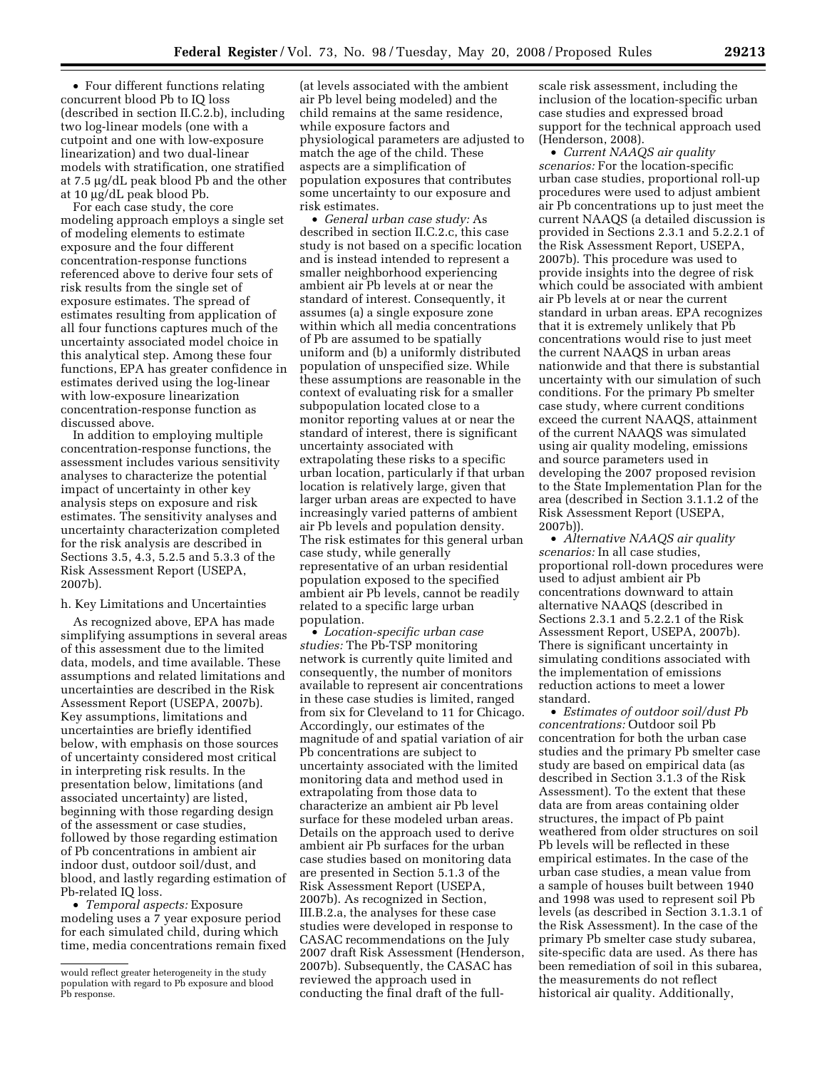• Four different functions relating concurrent blood Pb to IQ loss (described in section II.C.2.b), including two log-linear models (one with a cutpoint and one with low-exposure linearization) and two dual-linear models with stratification, one stratified at 7.5 µg/dL peak blood Pb and the other at 10 µg/dL peak blood Pb.

For each case study, the core modeling approach employs a single set of modeling elements to estimate exposure and the four different concentration-response functions referenced above to derive four sets of risk results from the single set of exposure estimates. The spread of estimates resulting from application of all four functions captures much of the uncertainty associated model choice in this analytical step. Among these four functions, EPA has greater confidence in estimates derived using the log-linear with low-exposure linearization concentration-response function as discussed above.

In addition to employing multiple concentration-response functions, the assessment includes various sensitivity analyses to characterize the potential impact of uncertainty in other key analysis steps on exposure and risk estimates. The sensitivity analyses and uncertainty characterization completed for the risk analysis are described in Sections 3.5, 4.3, 5.2.5 and 5.3.3 of the Risk Assessment Report (USEPA, 2007b).

#### h. Key Limitations and Uncertainties

As recognized above, EPA has made simplifying assumptions in several areas of this assessment due to the limited data, models, and time available. These assumptions and related limitations and uncertainties are described in the Risk Assessment Report (USEPA, 2007b). Key assumptions, limitations and uncertainties are briefly identified below, with emphasis on those sources of uncertainty considered most critical in interpreting risk results. In the presentation below, limitations (and associated uncertainty) are listed, beginning with those regarding design of the assessment or case studies, followed by those regarding estimation of Pb concentrations in ambient air indoor dust, outdoor soil/dust, and blood, and lastly regarding estimation of Pb-related IQ loss.

• *Temporal aspects:* Exposure modeling uses a 7 year exposure period for each simulated child, during which time, media concentrations remain fixed

(at levels associated with the ambient air Pb level being modeled) and the child remains at the same residence, while exposure factors and physiological parameters are adjusted to match the age of the child. These aspects are a simplification of population exposures that contributes some uncertainty to our exposure and risk estimates.

• *General urban case study:* As described in section II.C.2.c, this case study is not based on a specific location and is instead intended to represent a smaller neighborhood experiencing ambient air Pb levels at or near the standard of interest. Consequently, it assumes (a) a single exposure zone within which all media concentrations of Pb are assumed to be spatially uniform and (b) a uniformly distributed population of unspecified size. While these assumptions are reasonable in the context of evaluating risk for a smaller subpopulation located close to a monitor reporting values at or near the standard of interest, there is significant uncertainty associated with extrapolating these risks to a specific urban location, particularly if that urban location is relatively large, given that larger urban areas are expected to have increasingly varied patterns of ambient air Pb levels and population density. The risk estimates for this general urban case study, while generally representative of an urban residential population exposed to the specified ambient air Pb levels, cannot be readily related to a specific large urban population.

• *Location-specific urban case studies:* The Pb-TSP monitoring network is currently quite limited and consequently, the number of monitors available to represent air concentrations in these case studies is limited, ranged from six for Cleveland to 11 for Chicago. Accordingly, our estimates of the magnitude of and spatial variation of air Pb concentrations are subject to uncertainty associated with the limited monitoring data and method used in extrapolating from those data to characterize an ambient air Pb level surface for these modeled urban areas. Details on the approach used to derive ambient air Pb surfaces for the urban case studies based on monitoring data are presented in Section 5.1.3 of the Risk Assessment Report (USEPA, 2007b). As recognized in Section, III.B.2.a, the analyses for these case studies were developed in response to CASAC recommendations on the July 2007 draft Risk Assessment (Henderson, 2007b). Subsequently, the CASAC has reviewed the approach used in conducting the final draft of the full-

scale risk assessment, including the inclusion of the location-specific urban case studies and expressed broad support for the technical approach used (Henderson, 2008).

• *Current NAAQS air quality scenarios:* For the location-specific urban case studies, proportional roll-up procedures were used to adjust ambient air Pb concentrations up to just meet the current NAAQS (a detailed discussion is provided in Sections 2.3.1 and 5.2.2.1 of the Risk Assessment Report, USEPA, 2007b). This procedure was used to provide insights into the degree of risk which could be associated with ambient air Pb levels at or near the current standard in urban areas. EPA recognizes that it is extremely unlikely that Pb concentrations would rise to just meet the current NAAQS in urban areas nationwide and that there is substantial uncertainty with our simulation of such conditions. For the primary Pb smelter case study, where current conditions exceed the current NAAQS, attainment of the current NAAQS was simulated using air quality modeling, emissions and source parameters used in developing the 2007 proposed revision to the State Implementation Plan for the area (described in Section 3.1.1.2 of the Risk Assessment Report (USEPA, 2007b)).

• *Alternative NAAQS air quality scenarios:* In all case studies, proportional roll-down procedures were used to adjust ambient air Pb concentrations downward to attain alternative NAAQS (described in Sections 2.3.1 and 5.2.2.1 of the Risk Assessment Report, USEPA, 2007b). There is significant uncertainty in simulating conditions associated with the implementation of emissions reduction actions to meet a lower standard.

• *Estimates of outdoor soil/dust Pb concentrations:* Outdoor soil Pb concentration for both the urban case studies and the primary Pb smelter case study are based on empirical data (as described in Section 3.1.3 of the Risk Assessment). To the extent that these data are from areas containing older structures, the impact of Pb paint weathered from older structures on soil Pb levels will be reflected in these empirical estimates. In the case of the urban case studies, a mean value from a sample of houses built between 1940 and 1998 was used to represent soil Pb levels (as described in Section 3.1.3.1 of the Risk Assessment). In the case of the primary Pb smelter case study subarea, site-specific data are used. As there has been remediation of soil in this subarea, the measurements do not reflect historical air quality. Additionally,

would reflect greater heterogeneity in the study population with regard to Pb exposure and blood Pb response.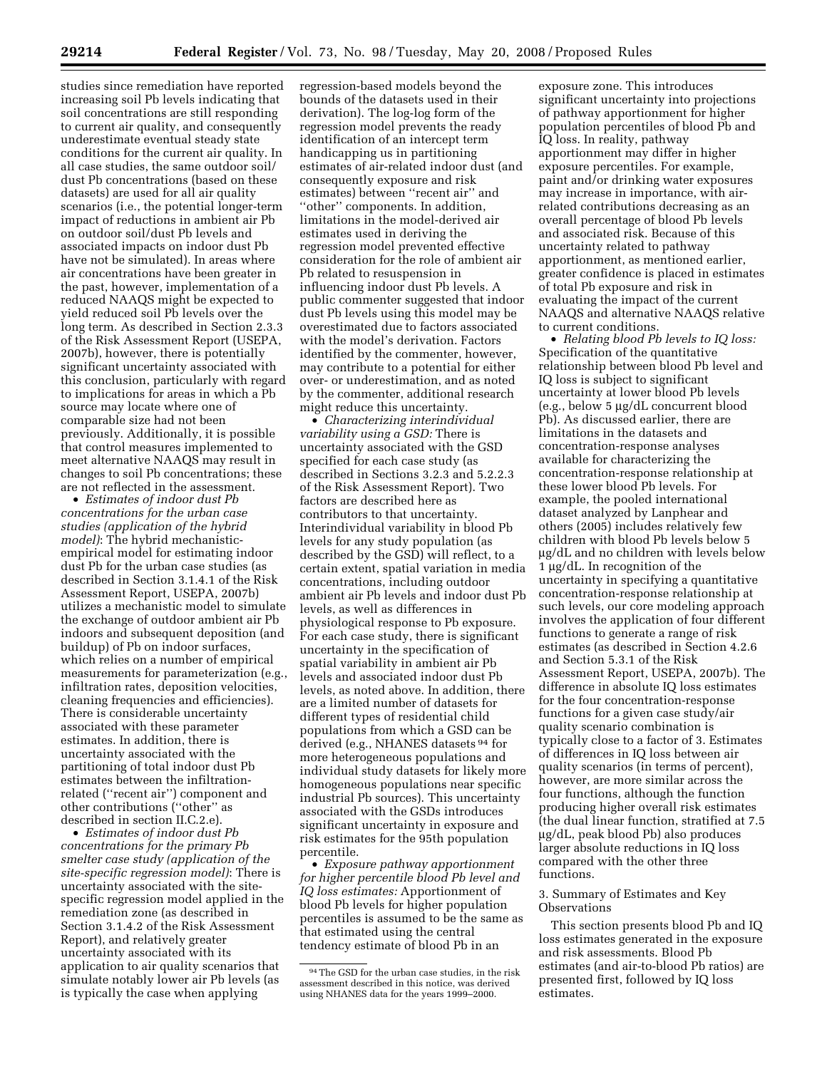studies since remediation have reported increasing soil Pb levels indicating that soil concentrations are still responding to current air quality, and consequently underestimate eventual steady state conditions for the current air quality. In all case studies, the same outdoor soil/ dust Pb concentrations (based on these datasets) are used for all air quality scenarios (i.e., the potential longer-term impact of reductions in ambient air Pb on outdoor soil/dust Pb levels and associated impacts on indoor dust Pb have not be simulated). In areas where air concentrations have been greater in the past, however, implementation of a reduced NAAQS might be expected to yield reduced soil Pb levels over the long term. As described in Section 2.3.3 of the Risk Assessment Report (USEPA, 2007b), however, there is potentially significant uncertainty associated with this conclusion, particularly with regard to implications for areas in which a Pb source may locate where one of comparable size had not been previously. Additionally, it is possible that control measures implemented to meet alternative NAAQS may result in changes to soil Pb concentrations; these are not reflected in the assessment.

• *Estimates of indoor dust Pb concentrations for the urban case studies (application of the hybrid model)*: The hybrid mechanisticempirical model for estimating indoor dust Pb for the urban case studies (as described in Section 3.1.4.1 of the Risk Assessment Report, USEPA, 2007b) utilizes a mechanistic model to simulate the exchange of outdoor ambient air Pb indoors and subsequent deposition (and buildup) of Pb on indoor surfaces, which relies on a number of empirical measurements for parameterization (e.g., infiltration rates, deposition velocities, cleaning frequencies and efficiencies). There is considerable uncertainty associated with these parameter estimates. In addition, there is uncertainty associated with the partitioning of total indoor dust Pb estimates between the infiltrationrelated (''recent air'') component and other contributions (''other'' as described in section II.C.2.e).

• *Estimates of indoor dust Pb concentrations for the primary Pb smelter case study (application of the site-specific regression model)*: There is uncertainty associated with the sitespecific regression model applied in the remediation zone (as described in Section 3.1.4.2 of the Risk Assessment Report), and relatively greater uncertainty associated with its application to air quality scenarios that simulate notably lower air Pb levels (as is typically the case when applying

regression-based models beyond the bounds of the datasets used in their derivation). The log-log form of the regression model prevents the ready identification of an intercept term handicapping us in partitioning estimates of air-related indoor dust (and consequently exposure and risk estimates) between ''recent air'' and ''other'' components. In addition, limitations in the model-derived air estimates used in deriving the regression model prevented effective consideration for the role of ambient air Pb related to resuspension in influencing indoor dust Pb levels. A public commenter suggested that indoor dust Pb levels using this model may be overestimated due to factors associated with the model's derivation. Factors identified by the commenter, however, may contribute to a potential for either over- or underestimation, and as noted by the commenter, additional research might reduce this uncertainty.

• *Characterizing interindividual variability using a GSD:* There is uncertainty associated with the GSD specified for each case study (as described in Sections 3.2.3 and 5.2.2.3 of the Risk Assessment Report). Two factors are described here as contributors to that uncertainty. Interindividual variability in blood Pb levels for any study population (as described by the GSD) will reflect, to a certain extent, spatial variation in media concentrations, including outdoor ambient air Pb levels and indoor dust Pb levels, as well as differences in physiological response to Pb exposure. For each case study, there is significant uncertainty in the specification of spatial variability in ambient air Pb levels and associated indoor dust Pb levels, as noted above. In addition, there are a limited number of datasets for different types of residential child populations from which a GSD can be derived (e.g., NHANES datasets 94 for more heterogeneous populations and individual study datasets for likely more homogeneous populations near specific industrial Pb sources). This uncertainty associated with the GSDs introduces significant uncertainty in exposure and risk estimates for the 95th population percentile.

• *Exposure pathway apportionment for higher percentile blood Pb level and IQ loss estimates:* Apportionment of blood Pb levels for higher population percentiles is assumed to be the same as that estimated using the central tendency estimate of blood Pb in an

exposure zone. This introduces significant uncertainty into projections of pathway apportionment for higher population percentiles of blood Pb and IQ loss. In reality, pathway apportionment may differ in higher exposure percentiles. For example, paint and/or drinking water exposures may increase in importance, with airrelated contributions decreasing as an overall percentage of blood Pb levels and associated risk. Because of this uncertainty related to pathway apportionment, as mentioned earlier, greater confidence is placed in estimates of total Pb exposure and risk in evaluating the impact of the current NAAQS and alternative NAAQS relative to current conditions.

• *Relating blood Pb levels to IQ loss:*  Specification of the quantitative relationship between blood Pb level and IQ loss is subject to significant uncertainty at lower blood Pb levels (e.g., below 5 µg/dL concurrent blood Pb). As discussed earlier, there are limitations in the datasets and concentration-response analyses available for characterizing the concentration-response relationship at these lower blood Pb levels. For example, the pooled international dataset analyzed by Lanphear and others (2005) includes relatively few children with blood Pb levels below 5 µg/dL and no children with levels below 1 µg/dL. In recognition of the uncertainty in specifying a quantitative concentration-response relationship at such levels, our core modeling approach involves the application of four different functions to generate a range of risk estimates (as described in Section 4.2.6 and Section 5.3.1 of the Risk Assessment Report, USEPA, 2007b). The difference in absolute IQ loss estimates for the four concentration-response functions for a given case study/air quality scenario combination is typically close to a factor of 3. Estimates of differences in IQ loss between air quality scenarios (in terms of percent), however, are more similar across the four functions, although the function producing higher overall risk estimates (the dual linear function, stratified at 7.5 µg/dL, peak blood Pb) also produces larger absolute reductions in IQ loss compared with the other three functions.

3. Summary of Estimates and Key Observations

This section presents blood Pb and IQ loss estimates generated in the exposure and risk assessments. Blood Pb estimates (and air-to-blood Pb ratios) are presented first, followed by IQ loss estimates.

<sup>94</sup>The GSD for the urban case studies, in the risk assessment described in this notice, was derived using NHANES data for the years 1999–2000.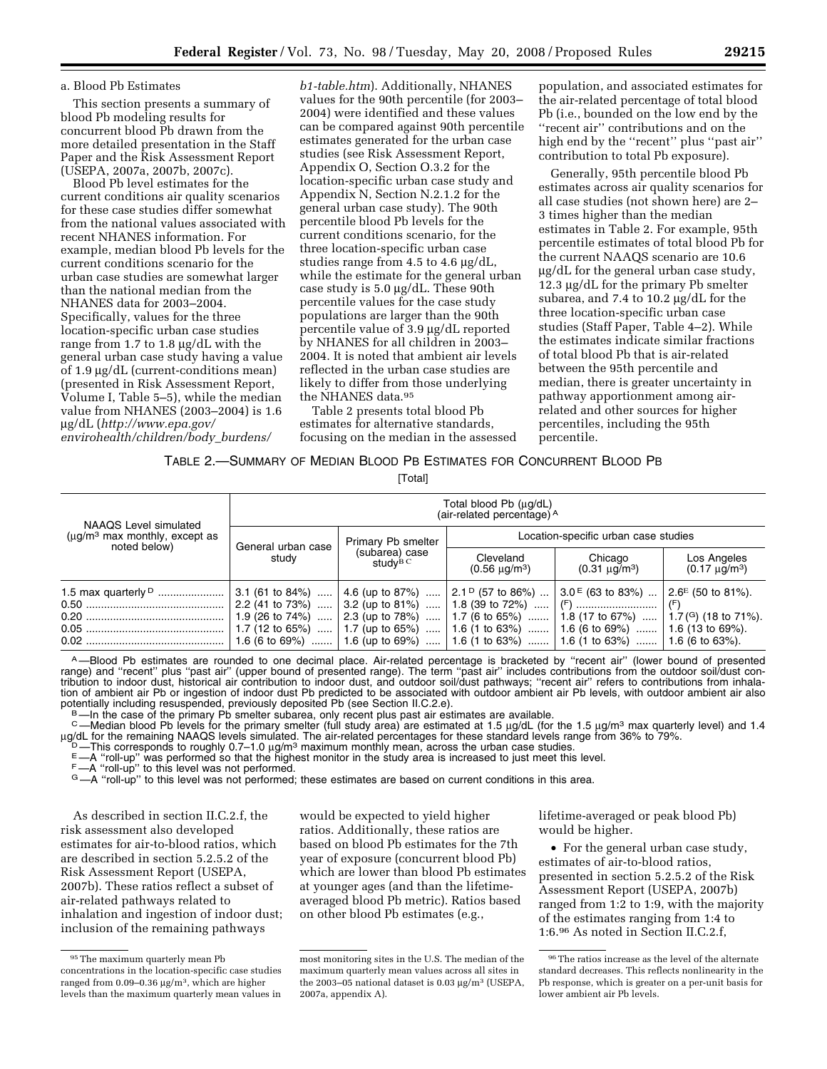a. Blood Pb Estimates

This section presents a summary of blood Pb modeling results for concurrent blood Pb drawn from the more detailed presentation in the Staff Paper and the Risk Assessment Report (USEPA, 2007a, 2007b, 2007c).

Blood Pb level estimates for the current conditions air quality scenarios for these case studies differ somewhat from the national values associated with recent NHANES information. For example, median blood Pb levels for the current conditions scenario for the urban case studies are somewhat larger than the national median from the NHANES data for 2003–2004. Specifically, values for the three location-specific urban case studies range from 1.7 to 1.8 µg/dL with the general urban case study having a value of 1.9 µg/dL (current-conditions mean) (presented in Risk Assessment Report, Volume I, Table 5–5), while the median value from NHANES (2003–2004) is 1.6 µg/dL (*http://www.epa.gov/ envirohealth/children/body*\_*burdens/* 

*b1-table.htm*). Additionally, NHANES values for the 90th percentile (for 2003– 2004) were identified and these values can be compared against 90th percentile estimates generated for the urban case studies (see Risk Assessment Report, Appendix O, Section O.3.2 for the location-specific urban case study and Appendix N, Section N.2.1.2 for the general urban case study). The 90th percentile blood Pb levels for the current conditions scenario, for the three location-specific urban case studies range from 4.5 to 4.6 µg/dL, while the estimate for the general urban case study is 5.0 µg/dL. These 90th percentile values for the case study populations are larger than the 90th percentile value of 3.9 µg/dL reported by NHANES for all children in 2003– 2004. It is noted that ambient air levels reflected in the urban case studies are likely to differ from those underlying the NHANES data.95

Table 2 presents total blood Pb estimates for alternative standards, focusing on the median in the assessed

population, and associated estimates for the air-related percentage of total blood Pb (i.e., bounded on the low end by the ''recent air'' contributions and on the high end by the ''recent'' plus ''past air'' contribution to total Pb exposure).

Generally, 95th percentile blood Pb estimates across air quality scenarios for all case studies (not shown here) are 2– 3 times higher than the median estimates in Table 2. For example, 95th percentile estimates of total blood Pb for the current NAAQS scenario are 10.6 µg/dL for the general urban case study, 12.3 µg/dL for the primary Pb smelter subarea, and 7.4 to 10.2  $\mu$ g/dL for the three location-specific urban case studies (Staff Paper, Table 4–2). While the estimates indicate similar fractions of total blood Pb that is air-related between the 95th percentile and median, there is greater uncertainty in pathway apportionment among airrelated and other sources for higher percentiles, including the 95th percentile.

TABLE 2.—SUMMARY OF MEDIAN BLOOD PB ESTIMATES FOR CONCURRENT BLOOD PB

[Total]

| NAAQS Level simulated                                         | Total blood Pb (µg/dL)<br>(air-related percentage) A                                         |                                                                                 |                                                                                                                                             |                                                                           |                                                                                                         |  |  |  |
|---------------------------------------------------------------|----------------------------------------------------------------------------------------------|---------------------------------------------------------------------------------|---------------------------------------------------------------------------------------------------------------------------------------------|---------------------------------------------------------------------------|---------------------------------------------------------------------------------------------------------|--|--|--|
| $\mu$ g/m <sup>3</sup> max monthly, except as<br>noted below) | General urban case                                                                           | Primary Pb smelter                                                              | Location-specific urban case studies                                                                                                        |                                                                           |                                                                                                         |  |  |  |
|                                                               | study                                                                                        | (subarea) case<br>studv $B C$                                                   | Cleveland<br>$(0.56 \text{ µg/m}^3)$                                                                                                        | Chicago<br>$(0.31 \text{ µg/m}^3)$                                        | Los Angeles<br>$(0.17 \mu g/m^3)$                                                                       |  |  |  |
|                                                               | $3.1$ (61 to 84%)<br>$2.2$ (41 to 73%)<br>1.9 (26 to $74\%$ )<br>$\cdots$<br>1.7 (12 to 65%) | 4.6 (up to 87%)<br>3.2 (up to $81\%$ )<br>2.3 (up to $78%$ )<br>1.7 (up to 65%) | $2.1\,\mathrm{P}$ (57 to 86%)<br>1.8 (39 to 72%)<br>1.7 (6 to 65%)<br>1.6 (6 to 69%)    1.6 (up to 69%)    1.6 (1 to 63%)    1.6 (1 to 63%) | $3.0E$ (63 to 83%)<br>1.8 (17 to 67%)<br>1.6 (1 to 63%)    1.6 (6 to 69%) | $2.6^E$ (50 to 81%).<br>(F)<br>1.7 ( <sup>G</sup> ) (18 to 71%).<br>1.6 (13 to 69%).<br>1.6 (6 to 63%). |  |  |  |

A-Blood Pb estimates are rounded to one decimal place. Air-related percentage is bracketed by "recent air" (lower bound of presented range) and ''recent'' plus ''past air'' (upper bound of presented range). The term ''past air'' includes contributions from the outdoor soil/dust contribution to indoor dust, historical air contribution to indoor dust, and outdoor soil/dust pathways; ''recent air'' refers to contributions from inhalation of ambient air Pb or ingestion of indoor dust Pb predicted to be associated with outdoor ambient air Pb levels, with outdoor ambient air also

potentially including resuspended, previously deposited Pb (see Section II.C.2.e).<br><sup>B</sup>—In the case of the primary Pb smelter subarea, only recent plus past air estimates are available.<br><sup>C</sup>—Median blood Pb levels for the pr µg/dL for the remaining NAAQS levels simulated. The air-related percentages for these standard levels range from 36% to 79%.<br><sup>D</sup>—This corresponds to roughly 0.7–1.0 µg/m<sup>3</sup> maximum monthly mean, across the urban case studi

 $E$  -A "roll-up" was performed so that the highest monitor in the study area is increased to just meet this level.<br> $E$ -A "roll-up" to this level was not performed.<br> $G$ -A "roll-up" to this level was not performed; these es

As described in section II.C.2.f, the risk assessment also developed estimates for air-to-blood ratios, which are described in section 5.2.5.2 of the Risk Assessment Report (USEPA, 2007b). These ratios reflect a subset of air-related pathways related to inhalation and ingestion of indoor dust; inclusion of the remaining pathways

would be expected to yield higher ratios. Additionally, these ratios are based on blood Pb estimates for the 7th year of exposure (concurrent blood Pb) which are lower than blood Pb estimates at younger ages (and than the lifetimeaveraged blood Pb metric). Ratios based on other blood Pb estimates (e.g.,

lifetime-averaged or peak blood Pb) would be higher.

• For the general urban case study, estimates of air-to-blood ratios, presented in section 5.2.5.2 of the Risk Assessment Report (USEPA, 2007b) ranged from 1:2 to 1:9, with the majority of the estimates ranging from 1:4 to 1:6.96 As noted in Section II.C.2.f,

<sup>95</sup>The maximum quarterly mean Pb concentrations in the location-specific case studies ranged from 0.09–0.36 µg/m3, which are higher levels than the maximum quarterly mean values in

most monitoring sites in the U.S. The median of the maximum quarterly mean values across all sites in the 2003–05 national dataset is 0.03 µg/m3 (USEPA, 2007a, appendix A).

<sup>96</sup>The ratios increase as the level of the alternate standard decreases. This reflects nonlinearity in the Pb response, which is greater on a per-unit basis for lower ambient air Pb levels.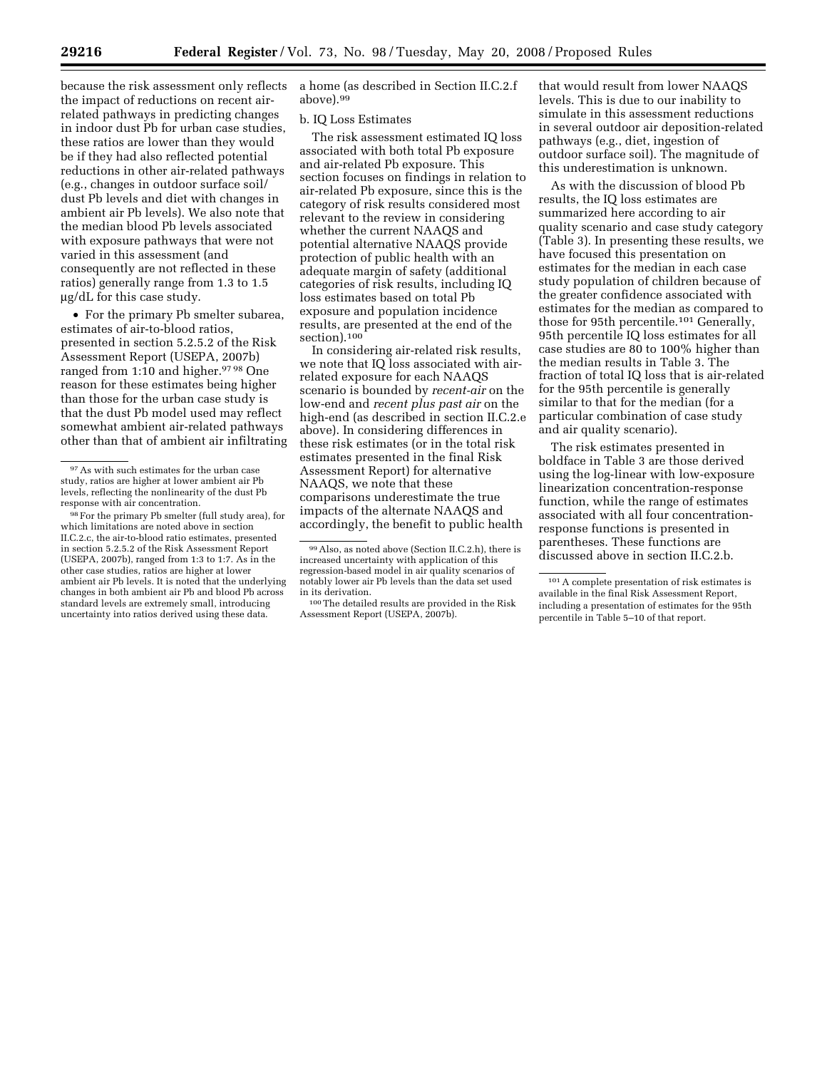because the risk assessment only reflects the impact of reductions on recent airrelated pathways in predicting changes in indoor dust Pb for urban case studies, these ratios are lower than they would be if they had also reflected potential reductions in other air-related pathways (e.g., changes in outdoor surface soil/ dust Pb levels and diet with changes in ambient air Pb levels). We also note that the median blood Pb levels associated with exposure pathways that were not varied in this assessment (and consequently are not reflected in these ratios) generally range from 1.3 to 1.5 µg/dL for this case study.

• For the primary Pb smelter subarea, estimates of air-to-blood ratios, presented in section 5.2.5.2 of the Risk Assessment Report (USEPA, 2007b) ranged from 1:10 and higher.<sup>97 98</sup> One reason for these estimates being higher than those for the urban case study is that the dust Pb model used may reflect somewhat ambient air-related pathways other than that of ambient air infiltrating a home (as described in Section II.C.2.f above).99

### b. IQ Loss Estimates

The risk assessment estimated IQ loss associated with both total Pb exposure and air-related Pb exposure. This section focuses on findings in relation to air-related Pb exposure, since this is the category of risk results considered most relevant to the review in considering whether the current NAAQS and potential alternative NAAQS provide protection of public health with an adequate margin of safety (additional categories of risk results, including IQ loss estimates based on total Pb exposure and population incidence results, are presented at the end of the section).100

In considering air-related risk results, we note that IQ loss associated with airrelated exposure for each NAAQS scenario is bounded by *recent-air* on the low-end and *recent plus past air* on the high-end (as described in section II.C.2.e above). In considering differences in these risk estimates (or in the total risk estimates presented in the final Risk Assessment Report) for alternative NAAQS, we note that these comparisons underestimate the true impacts of the alternate NAAQS and accordingly, the benefit to public health

that would result from lower NAAQS levels. This is due to our inability to simulate in this assessment reductions in several outdoor air deposition-related pathways (e.g., diet, ingestion of outdoor surface soil). The magnitude of this underestimation is unknown.

As with the discussion of blood Pb results, the IQ loss estimates are summarized here according to air quality scenario and case study category (Table 3). In presenting these results, we have focused this presentation on estimates for the median in each case study population of children because of the greater confidence associated with estimates for the median as compared to those for 95th percentile.101 Generally, 95th percentile IQ loss estimates for all case studies are 80 to 100% higher than the median results in Table 3. The fraction of total IQ loss that is air-related for the 95th percentile is generally similar to that for the median (for a particular combination of case study and air quality scenario).

The risk estimates presented in boldface in Table 3 are those derived using the log-linear with low-exposure linearization concentration-response function, while the range of estimates associated with all four concentrationresponse functions is presented in parentheses. These functions are discussed above in section II.C.2.b.

<sup>97</sup>As with such estimates for the urban case study, ratios are higher at lower ambient air Pb levels, reflecting the nonlinearity of the dust Pb response with air concentration.

<sup>98</sup>For the primary Pb smelter (full study area), for which limitations are noted above in section II.C.2.c, the air-to-blood ratio estimates, presented in section 5.2.5.2 of the Risk Assessment Report (USEPA, 2007b), ranged from 1:3 to 1:7. As in the other case studies, ratios are higher at lower ambient air Pb levels. It is noted that the underlying changes in both ambient air Pb and blood Pb across standard levels are extremely small, introducing uncertainty into ratios derived using these data.

<sup>99</sup>Also, as noted above (Section II.C.2.h), there is increased uncertainty with application of this regression-based model in air quality scenarios of notably lower air Pb levels than the data set used

 $^{\rm 100}\rm{The}$  detailed results are provided in the Risk Assessment Report (USEPA, 2007b).

<sup>101</sup>A complete presentation of risk estimates is available in the final Risk Assessment Report, including a presentation of estimates for the 95th percentile in Table 5–10 of that report.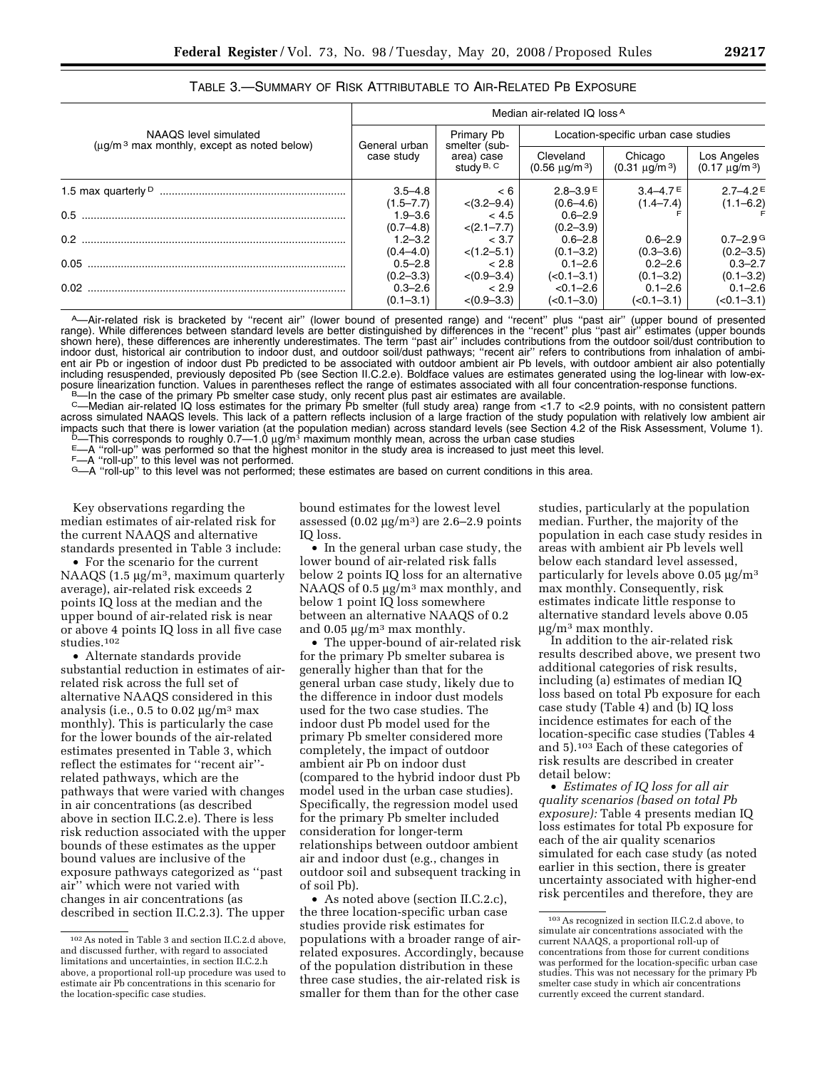|                                                                                     | Median air-related IQ loss A |                                     |                                              |                                 |                                         |  |  |  |
|-------------------------------------------------------------------------------------|------------------------------|-------------------------------------|----------------------------------------------|---------------------------------|-----------------------------------------|--|--|--|
| NAAQS level simulated<br>$\mu$ g/m <sup>3</sup> max monthly, except as noted below) | General urban                | Primary Pb<br>smelter (sub-         | Location-specific urban case studies         |                                 |                                         |  |  |  |
|                                                                                     | case study                   | area) case<br>study <sup>B, C</sup> | Cleveland<br>$(0.56 \,\mathrm{\upmu g/m^3})$ | Chicago<br>$(0.31 \,\mu g/m^3)$ | Los Angeles<br>$(0.17 \mu\text{g/m}^3)$ |  |  |  |
|                                                                                     | $3.5 - 4.8$                  | < 6                                 | $2.8 - 3.9$ <sup>E</sup>                     | $3.4 - 4.7$ <sup>E</sup>        | $2.7 - 4.2$ <sup>E</sup>                |  |  |  |
|                                                                                     | $(1.5 - 7.7)$                | $< (3.2 - 9.4)$                     | $(0.6 - 4.6)$                                | $(1.4 - 7.4)$                   | $(1.1 - 6.2)$                           |  |  |  |
|                                                                                     | $1.9 - 3.6$                  | < 4.5                               | $0.6 - 2.9$                                  |                                 |                                         |  |  |  |
|                                                                                     | $(0.7 - 4.8)$                | $< (2.1 - 7.7)$                     | $(0.2 - 3.9)$                                |                                 |                                         |  |  |  |
|                                                                                     | $1.2 - 3.2$                  | $<$ 3.7                             | $0.6 - 2.8$                                  | $0.6 - 2.9$                     | $0.7 - 2.9$ G                           |  |  |  |
|                                                                                     | $(0.4 - 4.0)$                | $< (1.2 - 5.1)$                     | $(0.1 - 3.2)$                                | $(0.3 - 3.6)$                   | $(0.2 - 3.5)$                           |  |  |  |
|                                                                                     | $0.5 - 2.8$                  | < 2.8                               | $0.1 - 2.6$                                  | $0.2 - 2.6$                     | $0.3 - 2.7$                             |  |  |  |
|                                                                                     | $(0.2 - 3.3)$                | $< (0.9 - 3.4)$                     | $(<0.1 - 3.1)$                               | $(0.1 - 3.2)$                   | $(0.1 - 3.2)$                           |  |  |  |
|                                                                                     | $0.3 - 2.6$                  | < 2.9                               | $<$ 0.1–2.6                                  | $0.1 - 2.6$                     | $0.1 - 2.6$                             |  |  |  |
|                                                                                     | $(0.1 - 3.1)$                | $< (0.9 - 3.3)$                     | $(<0.1 - 3.0)$                               | $(<0.1 - 3.1)$                  | $(<0.1 - 3.1)$                          |  |  |  |

## TABLE 3.—SUMMARY OF RISK ATTRIBUTABLE TO AIR-RELATED PB EXPOSURE

A—Air-related risk is bracketed by ''recent air'' (lower bound of presented range) and ''recent'' plus ''past air'' (upper bound of presented range). While differences between standard levels are better distinguished by differences in the ''recent'' plus ''past air'' estimates (upper bounds shown here), these differences are inherently underestimates. The term ''past air'' includes contributions from the outdoor soil/dust contribution to indoor dust, historical air contribution to indoor dust, and outdoor soil/dust pathways; ''recent air'' refers to contributions from inhalation of ambient air Pb or ingestion of indoor dust Pb predicted to be associated with outdoor ambient air Pb levels, with outdoor ambient air also potentially including resuspended, previously deposited Pb (see Section II.C.2.e). Boldface values are estimates generated using the log-linear with low-exposure linearization function. Values in parentheses reflect the range of estimates associated with all four concentration-response functions.<br>- In the case of the primary Pb smelter case study, only recent plus past air e

across simulated NAAQS levels. This lack of a pattern reflects inclusion of a large fraction of the study population with relatively low ambient air impacts such that there is lower variation (at the population median) ac

 $F-A$  "roll-up" was performed so that the highest monitor in the study area is increased to just meet this level.<br>F—A "roll-up" to this level was not performed.<br>G—A "roll-up" to this level was not performed; these estimate

Key observations regarding the median estimates of air-related risk for the current NAAQS and alternative standards presented in Table 3 include:

• For the scenario for the current NAAQS (1.5 µg/m<sup>3</sup>, maximum quarterly average), air-related risk exceeds 2 points IQ loss at the median and the upper bound of air-related risk is near or above 4 points IQ loss in all five case studies.102

• Alternate standards provide substantial reduction in estimates of airrelated risk across the full set of alternative NAAQS considered in this analysis (i.e.,  $0.5$  to  $0.02 \mu g/m^3$  max monthly). This is particularly the case for the lower bounds of the air-related estimates presented in Table 3, which reflect the estimates for ''recent air'' related pathways, which are the pathways that were varied with changes in air concentrations (as described above in section II.C.2.e). There is less risk reduction associated with the upper bounds of these estimates as the upper bound values are inclusive of the exposure pathways categorized as ''past air'' which were not varied with changes in air concentrations (as described in section II.C.2.3). The upper

bound estimates for the lowest level assessed  $(0.02 \text{ µg/m}^3)$  are 2.6–2.9 points IQ loss.

• In the general urban case study, the lower bound of air-related risk falls below 2 points IQ loss for an alternative NAAQS of 0.5 µg/m<sup>3</sup> max monthly, and below 1 point IQ loss somewhere between an alternative NAAQS of 0.2 and  $0.05 \mu g/m^3$  max monthly.

• The upper-bound of air-related risk for the primary Pb smelter subarea is generally higher than that for the general urban case study, likely due to the difference in indoor dust models used for the two case studies. The indoor dust Pb model used for the primary Pb smelter considered more completely, the impact of outdoor ambient air Pb on indoor dust (compared to the hybrid indoor dust Pb model used in the urban case studies). Specifically, the regression model used for the primary Pb smelter included consideration for longer-term relationships between outdoor ambient air and indoor dust (e.g., changes in outdoor soil and subsequent tracking in of soil Pb).

• As noted above (section II.C.2.c), the three location-specific urban case studies provide risk estimates for populations with a broader range of airrelated exposures. Accordingly, because of the population distribution in these three case studies, the air-related risk is smaller for them than for the other case

studies, particularly at the population median. Further, the majority of the population in each case study resides in areas with ambient air Pb levels well below each standard level assessed, particularly for levels above  $0.05 \mu g/m^3$ max monthly. Consequently, risk estimates indicate little response to alternative standard levels above 0.05 µg/m3 max monthly.

In addition to the air-related risk results described above, we present two additional categories of risk results, including (a) estimates of median IQ loss based on total Pb exposure for each case study (Table 4) and (b) IQ loss incidence estimates for each of the location-specific case studies (Tables 4 and 5).103 Each of these categories of risk results are described in creater detail below:

• *Estimates of IQ loss for all air quality scenarios (based on total Pb exposure):* Table 4 presents median IQ loss estimates for total Pb exposure for each of the air quality scenarios simulated for each case study (as noted earlier in this section, there is greater uncertainty associated with higher-end risk percentiles and therefore, they are

<sup>102</sup>As noted in Table 3 and section II.C.2.d above, and discussed further, with regard to associated limitations and uncertainties, in section II.C.2.h above, a proportional roll-up procedure was used to estimate air Pb concentrations in this scenario for the location-specific case studies.

<sup>103</sup>As recognized in section II.C.2.d above, to simulate air concentrations associated with the current NAAQS, a proportional roll-up of concentrations from those for current conditions was performed for the location-specific urban case studies. This was not necessary for the primary Pb smelter case study in which air concentrations currently exceed the current standard.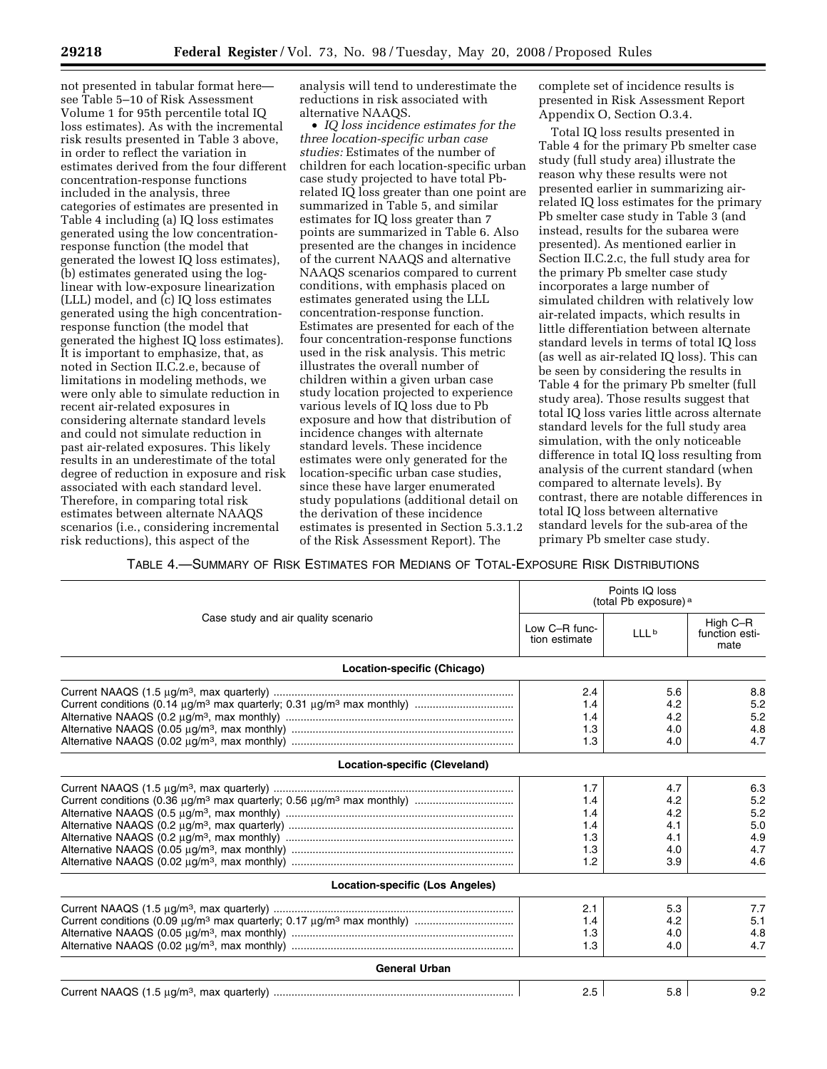not presented in tabular format here see Table 5–10 of Risk Assessment Volume 1 for 95th percentile total IQ loss estimates). As with the incremental risk results presented in Table 3 above, in order to reflect the variation in estimates derived from the four different concentration-response functions included in the analysis, three categories of estimates are presented in Table 4 including (a) IQ loss estimates generated using the low concentrationresponse function (the model that generated the lowest IQ loss estimates), (b) estimates generated using the loglinear with low-exposure linearization (LLL) model, and (c) IQ loss estimates generated using the high concentrationresponse function (the model that generated the highest IQ loss estimates). It is important to emphasize, that, as noted in Section II.C.2.e, because of limitations in modeling methods, we were only able to simulate reduction in recent air-related exposures in considering alternate standard levels and could not simulate reduction in past air-related exposures. This likely results in an underestimate of the total degree of reduction in exposure and risk associated with each standard level. Therefore, in comparing total risk estimates between alternate NAAQS scenarios (i.e., considering incremental risk reductions), this aspect of the

analysis will tend to underestimate the reductions in risk associated with alternative NAAQS.

• *IQ loss incidence estimates for the three location-specific urban case studies:* Estimates of the number of children for each location-specific urban case study projected to have total Pbrelated IQ loss greater than one point are summarized in Table 5, and similar estimates for IQ loss greater than 7 points are summarized in Table 6. Also presented are the changes in incidence of the current NAAQS and alternative NAAQS scenarios compared to current conditions, with emphasis placed on estimates generated using the LLL concentration-response function. Estimates are presented for each of the four concentration-response functions used in the risk analysis. This metric illustrates the overall number of children within a given urban case study location projected to experience various levels of IQ loss due to Pb exposure and how that distribution of incidence changes with alternate standard levels. These incidence estimates were only generated for the location-specific urban case studies, since these have larger enumerated study populations (additional detail on the derivation of these incidence estimates is presented in Section 5.3.1.2 of the Risk Assessment Report). The

complete set of incidence results is presented in Risk Assessment Report Appendix O, Section O.3.4.

Total IQ loss results presented in Table 4 for the primary Pb smelter case study (full study area) illustrate the reason why these results were not presented earlier in summarizing airrelated IQ loss estimates for the primary Pb smelter case study in Table 3 (and instead, results for the subarea were presented). As mentioned earlier in Section II.C.2.c, the full study area for the primary Pb smelter case study incorporates a large number of simulated children with relatively low air-related impacts, which results in little differentiation between alternate standard levels in terms of total IQ loss (as well as air-related IQ loss). This can be seen by considering the results in Table 4 for the primary Pb smelter (full study area). Those results suggest that total IQ loss varies little across alternate standard levels for the full study area simulation, with the only noticeable difference in total IQ loss resulting from analysis of the current standard (when compared to alternate levels). By contrast, there are notable differences in total IQ loss between alternative standard levels for the sub-area of the primary Pb smelter case study.

TABLE 4.—SUMMARY OF RISK ESTIMATES FOR MEDIANS OF TOTAL-EXPOSURE RISK DISTRIBUTIONS

|                                     | Points IQ loss<br>(total Pb exposure) <sup>a</sup> |                                               |                                               |  |
|-------------------------------------|----------------------------------------------------|-----------------------------------------------|-----------------------------------------------|--|
| Case study and air quality scenario | Low C-R func-<br>tion estimate                     | LLL <sup>b</sup>                              | High C-R<br>function esti-<br>mate            |  |
| Location-specific (Chicago)         |                                                    |                                               |                                               |  |
|                                     | 2.4<br>1.4<br>1.4<br>1.3<br>1.3                    | 5.6<br>4.2<br>4.2<br>4.0<br>4.0               | 8.8<br>5.2<br>5.2<br>4.8<br>4.7               |  |
| Location-specific (Cleveland)       |                                                    |                                               |                                               |  |
|                                     | 1.7<br>1.4<br>1.4<br>1.4<br>1.3<br>1.3<br>1.2      | 4.7<br>4.2<br>4.2<br>4.1<br>4.1<br>4.0<br>3.9 | 6.3<br>5.2<br>5.2<br>5.0<br>4.9<br>4.7<br>4.6 |  |
| Location-specific (Los Angeles)     |                                                    |                                               |                                               |  |
|                                     | 2.1<br>1.4<br>1.3<br>1.3                           | 5.3<br>4.2<br>4.0<br>4.0                      | 7.7<br>5.1<br>4.8<br>4.7                      |  |
| <b>General Urban</b>                |                                                    |                                               |                                               |  |
|                                     | 2.5                                                | 5.8                                           | 9.2                                           |  |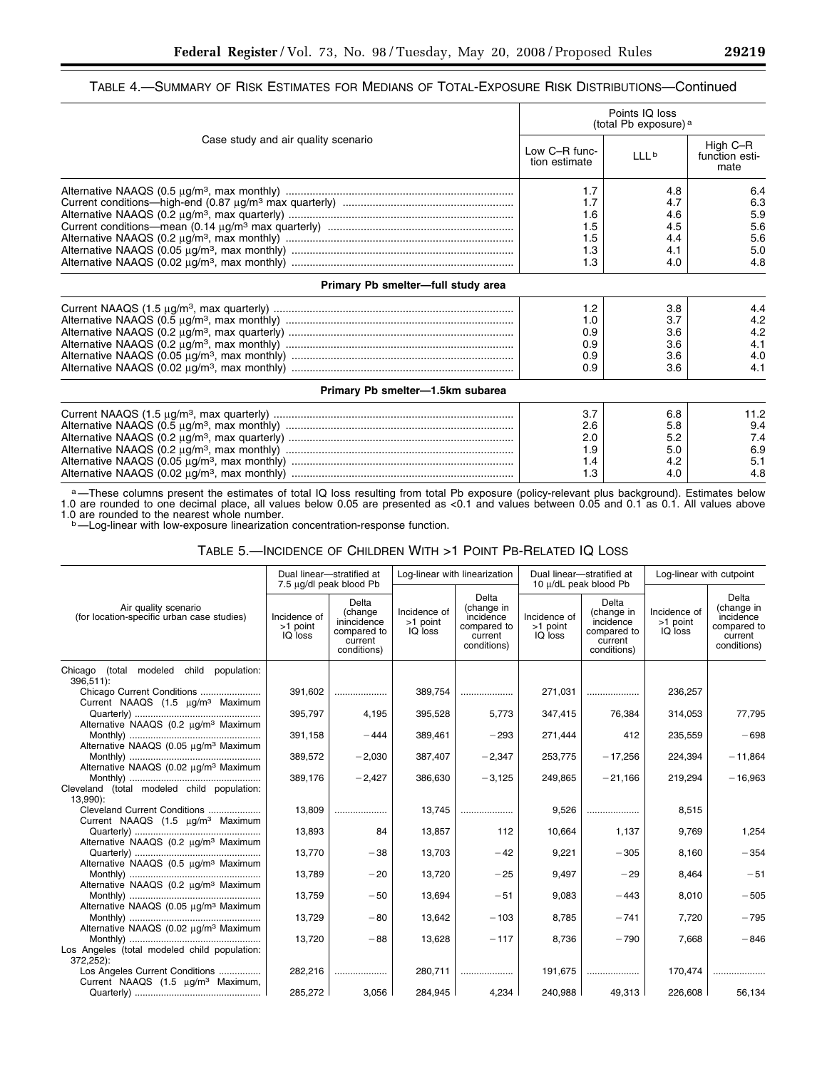# TABLE 4.—SUMMARY OF RISK ESTIMATES FOR MEDIANS OF TOTAL-EXPOSURE RISK DISTRIBUTIONS—Continued

|                                     | Points IQ loss<br>(total Pb exposure) <sup>a</sup> |                                               |                                               |  |
|-------------------------------------|----------------------------------------------------|-----------------------------------------------|-----------------------------------------------|--|
| Case study and air quality scenario | Low C-R func-<br>tion estimate                     | LLL <sub>b</sub>                              | High C-R<br>function esti-<br>mate            |  |
|                                     | 1.7<br>1.7<br>1.6<br>1.5<br>1.5<br>1.3<br>1.3      | 4.8<br>4.7<br>4.6<br>4.5<br>4.4<br>4.1<br>4.0 | 6.4<br>6.3<br>5.9<br>5.6<br>5.6<br>5.0<br>4.8 |  |
| Primary Pb smelter-full study area  |                                                    |                                               |                                               |  |
|                                     | 1.2<br>1.0<br>0.9<br>0.9<br>0.9<br>0.9             | 3.8<br>3.7<br>3.6<br>3.6<br>3.6<br>3.6        | 4.4<br>4.2<br>4.2<br>4.1<br>4.0<br>4.1        |  |
| Primary Pb smelter-1.5km subarea    |                                                    |                                               |                                               |  |
|                                     | 3.7<br>2.6<br>2.0<br>1.9<br>1.4<br>1.3             | 6.8<br>5.8<br>5.2<br>5.0<br>4.2<br>4.0        | 11.2<br>9.4<br>7.4<br>6.9<br>5.1<br>4.8       |  |

a-These columns present the estimates of total IQ loss resulting from total Pb exposure (policy-relevant plus background). Estimates below 1.0 are rounded to one decimal place, all values below 0.05 are presented as <0.1 and values between 0.05 and 0.1 as 0.1. All values above

1.0 are rounded to the nearest whole number.<br>b—Log-linear with low-exposure linearization concentration-response function.

# TABLE 5.—INCIDENCE OF CHILDREN WITH >1 POINT PB-RELATED IQ LOSS

|                                                                                 | Dual linear-stratified at<br>7.5 µg/dl peak blood Pb |                                                                          | Log-linear with linearization       |                                                                           | Dual linear-stratified at<br>10 µ/dL peak blood Pb |                                                                           | Log-linear with cutpoint            |                                                                           |
|---------------------------------------------------------------------------------|------------------------------------------------------|--------------------------------------------------------------------------|-------------------------------------|---------------------------------------------------------------------------|----------------------------------------------------|---------------------------------------------------------------------------|-------------------------------------|---------------------------------------------------------------------------|
| Air quality scenario<br>(for location-specific urban case studies)              | Incidence of<br>>1 point<br>IQ loss                  | Delta<br>(change<br>inincidence<br>compared to<br>current<br>conditions) | Incidence of<br>>1 point<br>IQ loss | Delta<br>(change in<br>incidence<br>compared to<br>current<br>conditions) | Incidence of<br>>1 point<br>IQ loss                | Delta<br>(change in<br>incidence<br>compared to<br>current<br>conditions) | Incidence of<br>>1 point<br>IQ loss | Delta<br>(change in<br>incidence<br>compared to<br>current<br>conditions) |
| Chicago (total modeled child population:<br>$396,511$ :                         |                                                      |                                                                          |                                     |                                                                           |                                                    |                                                                           |                                     |                                                                           |
| Chicago Current Conditions<br>Current NAAQS (1.5 µg/m <sup>3</sup> Maximum      | 391,602                                              |                                                                          | 389,754                             |                                                                           | 271,031                                            |                                                                           | 236,257                             |                                                                           |
| Alternative NAAQS (0.2 µg/m <sup>3</sup> Maximum                                | 395.797                                              | 4.195                                                                    | 395,528                             | 5.773                                                                     | 347,415                                            | 76,384                                                                    | 314,053                             | 77,795                                                                    |
| Alternative NAAQS (0.05 µg/m <sup>3</sup> Maximum                               | 391,158                                              | $-444$                                                                   | 389,461                             | $-293$                                                                    | 271,444                                            | 412                                                                       | 235,559                             | $-698$                                                                    |
| Alternative NAAQS (0.02 µg/m <sup>3</sup> Maximum                               | 389,572                                              | $-2,030$                                                                 | 387,407                             | $-2,347$                                                                  | 253,775                                            | $-17,256$                                                                 | 224,394                             | $-11,864$                                                                 |
| Cleveland (total modeled child population:                                      | 389,176                                              | $-2,427$                                                                 | 386,630                             | $-3,125$                                                                  | 249,865                                            | $-21,166$                                                                 | 219,294                             | $-16,963$                                                                 |
| $13,990$ :                                                                      |                                                      |                                                                          |                                     |                                                                           |                                                    |                                                                           |                                     |                                                                           |
| Cleveland Current Conditions<br>Current NAAQS (1.5 µg/m <sup>3</sup> Maximum    | 13,809                                               |                                                                          | 13,745                              | .                                                                         | 9,526                                              |                                                                           | 8,515                               |                                                                           |
| Alternative NAAQS (0.2 µg/m <sup>3</sup> Maximum                                | 13,893                                               | 84                                                                       | 13,857                              | 112                                                                       | 10,664                                             | 1,137                                                                     | 9,769                               | 1,254                                                                     |
| Alternative NAAQS (0.5 µg/m <sup>3</sup> Maximum                                | 13,770                                               | $-38$                                                                    | 13,703                              | $-42$                                                                     | 9,221                                              | $-305$                                                                    | 8,160                               | $-354$                                                                    |
| Alternative NAAQS (0.2 µg/m <sup>3</sup> Maximum                                | 13.789                                               | $-20$                                                                    | 13,720                              | $-25$                                                                     | 9,497                                              | $-29$                                                                     | 8,464                               | $-51$                                                                     |
| Alternative NAAQS (0.05 µg/m <sup>3</sup> Maximum                               | 13.759                                               | $-50$                                                                    | 13,694                              | $-51$                                                                     | 9,083                                              | $-443$                                                                    | 8,010                               | $-505$                                                                    |
| Alternative NAAQS (0.02 µg/m <sup>3</sup> Maximum                               | 13,729                                               | $-80$                                                                    | 13,642                              | $-103$                                                                    | 8,785                                              | $-741$                                                                    | 7,720                               | $-795$                                                                    |
| Los Angeles (total modeled child population:<br>372,252):                       | 13.720                                               | $-88$                                                                    | 13,628                              | $-117$                                                                    | 8,736                                              | $-790$                                                                    | 7,668                               | $-846$                                                                    |
| Los Angeles Current Conditions<br>Current NAAQS (1.5 µg/m <sup>3</sup> Maximum, | 282,216                                              |                                                                          | 280,711                             |                                                                           | 191,675                                            |                                                                           | 170,474                             |                                                                           |
|                                                                                 | 285,272                                              | 3,056                                                                    | 284,945                             | 4,234                                                                     | 240,988                                            | 49,313                                                                    | 226,608                             | 56,134                                                                    |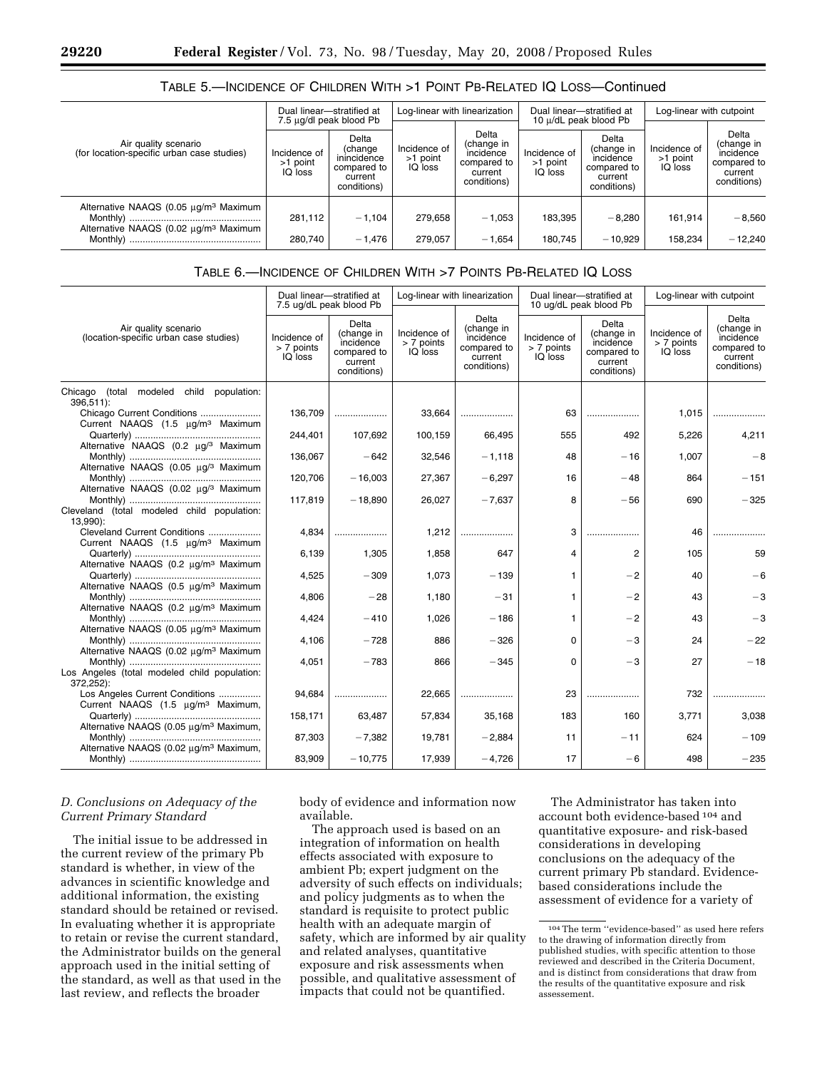# TABLE 5.—INCIDENCE OF CHILDREN WITH >1 POINT PB-RELATED IQ LOSS—Continued

|                                                                                                             | Dual linear-stratified at<br>7.5 µg/dl peak blood Pb |                                                                          | Log-linear with linearization       |                                                                           | Dual linear-stratified at<br>10 µ/dL peak blood Pb |                                                                           | Log-linear with cutpoint            |                                                                           |
|-------------------------------------------------------------------------------------------------------------|------------------------------------------------------|--------------------------------------------------------------------------|-------------------------------------|---------------------------------------------------------------------------|----------------------------------------------------|---------------------------------------------------------------------------|-------------------------------------|---------------------------------------------------------------------------|
| Air quality scenario<br>(for location-specific urban case studies)                                          | Incidence of<br>>1 point<br>IQ loss                  | Delta<br>(change<br>inincidence<br>compared to<br>current<br>conditions) | Incidence of<br>>1 point<br>IQ loss | Delta<br>(change in<br>incidence<br>compared to<br>current<br>conditions) | Incidence of<br>>1 point<br>IQ loss                | Delta<br>(change in<br>incidence<br>compared to<br>current<br>conditions) | Incidence of<br>>1 point<br>IQ loss | Delta<br>(change in<br>incidence<br>compared to<br>current<br>conditions) |
| Alternative NAAQS (0.05 $\mu$ g/m <sup>3</sup> Maximum<br>Alternative NAAQS (0.02 µg/m <sup>3</sup> Maximum | 281,112<br>280.740                                   | $-1,104$<br>$-1.476$                                                     | 279.658<br>279.057                  | $-1.053$<br>$-1.654$                                                      | 183.395<br>180.745                                 | $-8.280$<br>$-10.929$                                                     | 161.914<br>158.234                  | $-8,560$<br>$-12.240$                                                     |

# TABLE 6.—INCIDENCE OF CHILDREN WITH >7 POINTS PB-RELATED IQ LOSS

|                                                                                                   | Dual linear-stratified at<br>7.5 ug/dL peak blood Pb |                                                                           | Log-linear with linearization         |                                                                           | Dual linear-stratified at<br>10 ug/dL peak blood Pb |                                                                           | Log-linear with cutpoint              |                                                                           |
|---------------------------------------------------------------------------------------------------|------------------------------------------------------|---------------------------------------------------------------------------|---------------------------------------|---------------------------------------------------------------------------|-----------------------------------------------------|---------------------------------------------------------------------------|---------------------------------------|---------------------------------------------------------------------------|
| Air quality scenario<br>(location-specific urban case studies)                                    | Incidence of<br>> 7 points<br>IQ loss                | Delta<br>(change in<br>incidence<br>compared to<br>current<br>conditions) | Incidence of<br>> 7 points<br>IQ loss | Delta<br>(change in<br>incidence<br>compared to<br>current<br>conditions) | Incidence of<br>> 7 points<br>IQ loss               | Delta<br>(change in<br>incidence<br>compared to<br>current<br>conditions) | Incidence of<br>> 7 points<br>IQ loss | Delta<br>(change in<br>incidence<br>compared to<br>current<br>conditions) |
| (total modeled child population:<br>Chicago<br>$396,511$ :                                        |                                                      |                                                                           |                                       |                                                                           |                                                     |                                                                           |                                       |                                                                           |
| Chicago Current Conditions<br>Current NAAQS (1.5 µg/m <sup>3</sup> Maximum                        | 136,709                                              |                                                                           | 33,664                                | .                                                                         | 63                                                  |                                                                           | 1,015                                 |                                                                           |
| Alternative NAAQS (0.2 µg/3 Maximum                                                               | 244,401                                              | 107,692                                                                   | 100,159                               | 66,495                                                                    | 555                                                 | 492                                                                       | 5,226                                 | 4,211                                                                     |
| Alternative NAAQS (0.05 µg/3 Maximum                                                              | 136,067                                              | $-642$                                                                    | 32,546                                | $-1,118$                                                                  | 48                                                  | $-16$                                                                     | 1,007                                 | $-8$                                                                      |
|                                                                                                   | 120,706                                              | $-16,003$                                                                 | 27,367                                | $-6,297$                                                                  | 16                                                  | $-48$                                                                     | 864                                   | $-151$                                                                    |
| Alternative NAAQS (0.02 µg/3 Maximum<br>Cleveland (total modeled child population:                | 117,819                                              | $-18,890$                                                                 | 26,027                                | $-7,637$                                                                  | 8                                                   | $-56$                                                                     | 690                                   | $-325$                                                                    |
| $13,990$ :                                                                                        |                                                      |                                                                           |                                       |                                                                           |                                                     |                                                                           |                                       |                                                                           |
| Cleveland Current Conditions<br>Current NAAQS (1.5 µg/m <sup>3</sup> Maximum                      | 4,834                                                |                                                                           | 1,212                                 | .                                                                         | 3                                                   |                                                                           | 46                                    |                                                                           |
| Alternative NAAQS (0.2 µg/m <sup>3</sup> Maximum                                                  | 6,139                                                | 1,305                                                                     | 1,858                                 | 647                                                                       | 4                                                   | 2                                                                         | 105                                   | 59                                                                        |
|                                                                                                   | 4,525                                                | $-309$                                                                    | 1,073                                 | $-139$                                                                    | 1.                                                  | $-2$                                                                      | 40                                    | $-6$                                                                      |
| Alternative NAAQS (0.5 µg/m <sup>3</sup> Maximum                                                  | 4,806                                                | $-28$                                                                     | 1,180                                 | $-31$                                                                     | 1                                                   | $-2$                                                                      | 43                                    | $-3$                                                                      |
| Alternative NAAQS (0.2 µg/m <sup>3</sup> Maximum                                                  | 4,424                                                | $-410$                                                                    | 1,026                                 | $-186$                                                                    | 1                                                   | $-2$                                                                      | 43                                    | $-3$                                                                      |
| Alternative NAAQS (0.05 µg/m <sup>3</sup> Maximum                                                 | 4,106                                                | $-728$                                                                    | 886                                   | $-326$                                                                    | $\Omega$                                            | $-3$                                                                      | 24                                    | $-22$                                                                     |
| Alternative NAAQS (0.02 µg/m <sup>3</sup> Maximum<br>Los Angeles (total modeled child population: | 4,051                                                | $-783$                                                                    | 866                                   | $-345$                                                                    | 0                                                   | -3                                                                        | 27                                    | $-18$                                                                     |
| 372,252):                                                                                         |                                                      |                                                                           |                                       |                                                                           |                                                     |                                                                           |                                       |                                                                           |
| Los Angeles Current Conditions<br>Current NAAQS (1.5 µg/m <sup>3</sup> Maximum,                   | 94,684                                               |                                                                           | 22,665                                | .                                                                         | 23                                                  |                                                                           | 732                                   |                                                                           |
| Alternative NAAQS (0.05 µg/m <sup>3</sup> Maximum,                                                | 158,171                                              | 63,487                                                                    | 57,834                                | 35,168                                                                    | 183                                                 | 160                                                                       | 3,771                                 | 3,038                                                                     |
|                                                                                                   | 87,303                                               | $-7,382$                                                                  | 19,781                                | $-2,884$                                                                  | 11                                                  | $-11$                                                                     | 624                                   | $-109$                                                                    |
| Alternative NAAQS (0.02 µg/m <sup>3</sup> Maximum,                                                | 83,909                                               | $-10,775$                                                                 | 17,939                                | $-4,726$                                                                  | 17                                                  | -6                                                                        | 498                                   | $-235$                                                                    |

# *D. Conclusions on Adequacy of the Current Primary Standard*

The initial issue to be addressed in the current review of the primary Pb standard is whether, in view of the advances in scientific knowledge and additional information, the existing standard should be retained or revised. In evaluating whether it is appropriate to retain or revise the current standard, the Administrator builds on the general approach used in the initial setting of the standard, as well as that used in the last review, and reflects the broader

body of evidence and information now available.

The approach used is based on an integration of information on health effects associated with exposure to ambient Pb; expert judgment on the adversity of such effects on individuals; and policy judgments as to when the standard is requisite to protect public health with an adequate margin of safety, which are informed by air quality and related analyses, quantitative exposure and risk assessments when possible, and qualitative assessment of impacts that could not be quantified.

The Administrator has taken into account both evidence-based 104 and quantitative exposure- and risk-based considerations in developing conclusions on the adequacy of the current primary Pb standard. Evidencebased considerations include the assessment of evidence for a variety of

<sup>104</sup>The term ''evidence-based'' as used here refers to the drawing of information directly from published studies, with specific attention to those reviewed and described in the Criteria Document, and is distinct from considerations that draw from the results of the quantitative exposure and risk assessement.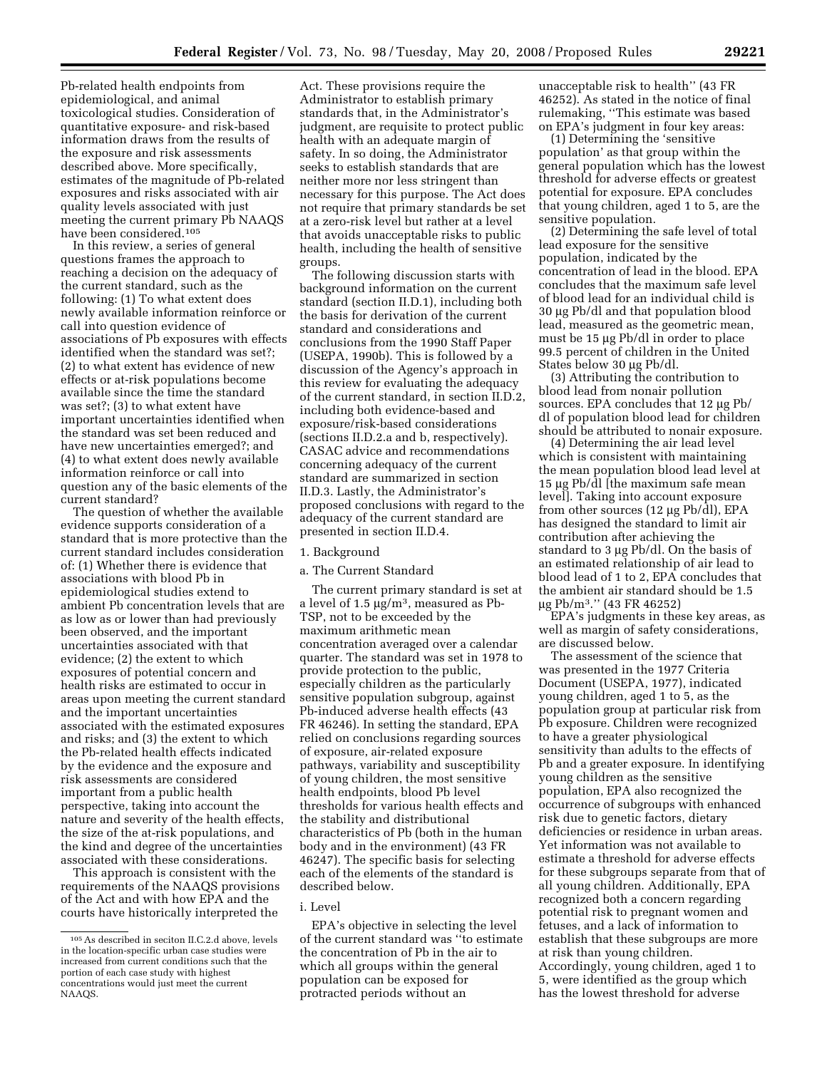Pb-related health endpoints from epidemiological, and animal toxicological studies. Consideration of quantitative exposure- and risk-based information draws from the results of the exposure and risk assessments described above. More specifically, estimates of the magnitude of Pb-related exposures and risks associated with air quality levels associated with just meeting the current primary Pb NAAQS have been considered.105

In this review, a series of general questions frames the approach to reaching a decision on the adequacy of the current standard, such as the following: (1) To what extent does newly available information reinforce or call into question evidence of associations of Pb exposures with effects identified when the standard was set?; (2) to what extent has evidence of new effects or at-risk populations become available since the time the standard was set?; (3) to what extent have important uncertainties identified when the standard was set been reduced and have new uncertainties emerged?; and (4) to what extent does newly available information reinforce or call into question any of the basic elements of the current standard?

The question of whether the available evidence supports consideration of a standard that is more protective than the current standard includes consideration of: (1) Whether there is evidence that associations with blood Pb in epidemiological studies extend to ambient Pb concentration levels that are as low as or lower than had previously been observed, and the important uncertainties associated with that evidence; (2) the extent to which exposures of potential concern and health risks are estimated to occur in areas upon meeting the current standard and the important uncertainties associated with the estimated exposures and risks; and (3) the extent to which the Pb-related health effects indicated by the evidence and the exposure and risk assessments are considered important from a public health perspective, taking into account the nature and severity of the health effects, the size of the at-risk populations, and the kind and degree of the uncertainties associated with these considerations.

This approach is consistent with the requirements of the NAAQS provisions of the Act and with how EPA and the courts have historically interpreted the

Act. These provisions require the Administrator to establish primary standards that, in the Administrator's judgment, are requisite to protect public health with an adequate margin of safety. In so doing, the Administrator seeks to establish standards that are neither more nor less stringent than necessary for this purpose. The Act does not require that primary standards be set at a zero-risk level but rather at a level that avoids unacceptable risks to public health, including the health of sensitive groups.

The following discussion starts with background information on the current standard (section II.D.1), including both the basis for derivation of the current standard and considerations and conclusions from the 1990 Staff Paper (USEPA, 1990b). This is followed by a discussion of the Agency's approach in this review for evaluating the adequacy of the current standard, in section II.D.2, including both evidence-based and exposure/risk-based considerations (sections II.D.2.a and b, respectively). CASAC advice and recommendations concerning adequacy of the current standard are summarized in section II.D.3. Lastly, the Administrator's proposed conclusions with regard to the adequacy of the current standard are presented in section II.D.4.

#### 1. Background

### a. The Current Standard

The current primary standard is set at a level of 1.5 µg/m3, measured as Pb-TSP, not to be exceeded by the maximum arithmetic mean concentration averaged over a calendar quarter. The standard was set in 1978 to provide protection to the public, especially children as the particularly sensitive population subgroup, against Pb-induced adverse health effects (43 FR 46246). In setting the standard, EPA relied on conclusions regarding sources of exposure, air-related exposure pathways, variability and susceptibility of young children, the most sensitive health endpoints, blood Pb level thresholds for various health effects and the stability and distributional characteristics of Pb (both in the human body and in the environment) (43 FR 46247). The specific basis for selecting each of the elements of the standard is described below.

### i. Level

EPA's objective in selecting the level of the current standard was ''to estimate the concentration of Pb in the air to which all groups within the general population can be exposed for protracted periods without an

unacceptable risk to health'' (43 FR 46252). As stated in the notice of final rulemaking, ''This estimate was based on EPA's judgment in four key areas:

(1) Determining the 'sensitive population' as that group within the general population which has the lowest threshold for adverse effects or greatest potential for exposure. EPA concludes that young children, aged 1 to 5, are the sensitive population.

(2) Determining the safe level of total lead exposure for the sensitive population, indicated by the concentration of lead in the blood. EPA concludes that the maximum safe level of blood lead for an individual child is 30 µg Pb/dl and that population blood lead, measured as the geometric mean, must be 15 µg Pb/dl in order to place 99.5 percent of children in the United States below 30 µg Pb/dl.

(3) Attributing the contribution to blood lead from nonair pollution sources. EPA concludes that 12 µg Pb/ dl of population blood lead for children should be attributed to nonair exposure.

(4) Determining the air lead level which is consistent with maintaining the mean population blood lead level at 15 µg Pb/dl [the maximum safe mean level]. Taking into account exposure from other sources (12 µg Pb/dl), EPA has designed the standard to limit air contribution after achieving the standard to 3 µg Pb/dl. On the basis of an estimated relationship of air lead to blood lead of 1 to 2, EPA concludes that the ambient air standard should be 1.5 µg Pb/m3.'' (43 FR 46252)

EPA's judgments in these key areas, as well as margin of safety considerations, are discussed below.

The assessment of the science that was presented in the 1977 Criteria Document (USEPA, 1977), indicated young children, aged 1 to 5, as the population group at particular risk from Pb exposure. Children were recognized to have a greater physiological sensitivity than adults to the effects of Pb and a greater exposure. In identifying young children as the sensitive population, EPA also recognized the occurrence of subgroups with enhanced risk due to genetic factors, dietary deficiencies or residence in urban areas. Yet information was not available to estimate a threshold for adverse effects for these subgroups separate from that of all young children. Additionally, EPA recognized both a concern regarding potential risk to pregnant women and fetuses, and a lack of information to establish that these subgroups are more at risk than young children. Accordingly, young children, aged 1 to 5, were identified as the group which has the lowest threshold for adverse

<sup>105</sup>As described in seciton II.C.2.d above, levels in the location-specific urban case studies were increased from current conditions such that the portion of each case study with highest concentrations would just meet the current NAAQS.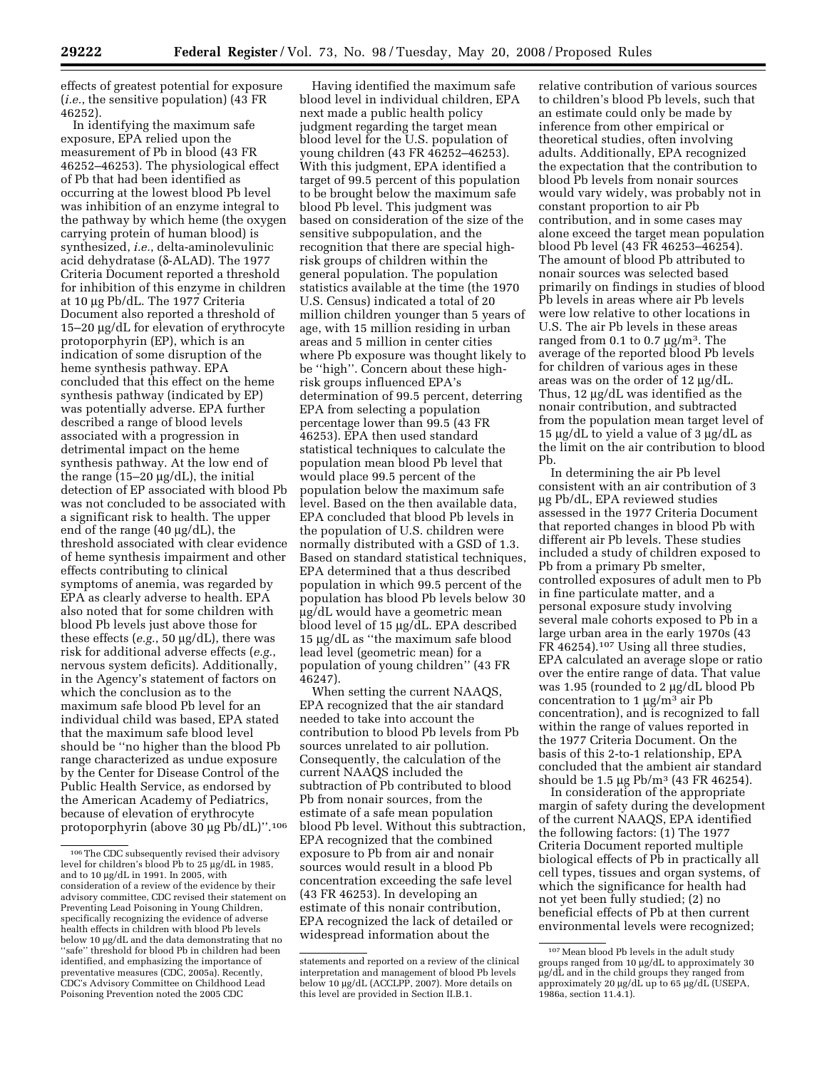effects of greatest potential for exposure (*i.e.*, the sensitive population) (43 FR 46252).

In identifying the maximum safe exposure, EPA relied upon the measurement of Pb in blood (43 FR 46252–46253). The physiological effect of Pb that had been identified as occurring at the lowest blood Pb level was inhibition of an enzyme integral to the pathway by which heme (the oxygen carrying protein of human blood) is synthesized, *i.e.*, delta-aminolevulinic acid dehydratase  $(\delta$ -ALAD). The 1977 Criteria Document reported a threshold for inhibition of this enzyme in children at 10 µg Pb/dL. The 1977 Criteria Document also reported a threshold of 15–20 µg/dL for elevation of erythrocyte protoporphyrin (EP), which is an indication of some disruption of the heme synthesis pathway. EPA concluded that this effect on the heme synthesis pathway (indicated by EP) was potentially adverse. EPA further described a range of blood levels associated with a progression in detrimental impact on the heme synthesis pathway. At the low end of the range  $(15–20 \mu g/dL)$ , the initial detection of EP associated with blood Pb was not concluded to be associated with a significant risk to health. The upper end of the range (40 µg/dL), the threshold associated with clear evidence of heme synthesis impairment and other effects contributing to clinical symptoms of anemia, was regarded by EPA as clearly adverse to health. EPA also noted that for some children with blood Pb levels just above those for these effects (*e.g.*, 50 µg/dL), there was risk for additional adverse effects (*e.g.*, nervous system deficits). Additionally, in the Agency's statement of factors on which the conclusion as to the maximum safe blood Pb level for an individual child was based, EPA stated that the maximum safe blood level should be ''no higher than the blood Pb range characterized as undue exposure by the Center for Disease Control of the Public Health Service, as endorsed by the American Academy of Pediatrics, because of elevation of erythrocyte protoporphyrin (above 30 µg Pb/dL)''.106

Having identified the maximum safe blood level in individual children, EPA next made a public health policy judgment regarding the target mean blood level for the U.S. population of young children (43 FR 46252–46253). With this judgment, EPA identified a target of 99.5 percent of this population to be brought below the maximum safe blood Pb level. This judgment was based on consideration of the size of the sensitive subpopulation, and the recognition that there are special highrisk groups of children within the general population. The population statistics available at the time (the 1970 U.S. Census) indicated a total of 20 million children younger than 5 years of age, with 15 million residing in urban areas and 5 million in center cities where Pb exposure was thought likely to be ''high''. Concern about these highrisk groups influenced EPA's determination of 99.5 percent, deterring EPA from selecting a population percentage lower than 99.5 (43 FR 46253). EPA then used standard statistical techniques to calculate the population mean blood Pb level that would place 99.5 percent of the population below the maximum safe level. Based on the then available data, EPA concluded that blood Pb levels in the population of U.S. children were normally distributed with a GSD of 1.3. Based on standard statistical techniques, EPA determined that a thus described population in which 99.5 percent of the population has blood Pb levels below 30 µg/dL would have a geometric mean blood level of 15 µg/dL. EPA described 15 µg/dL as ''the maximum safe blood lead level (geometric mean) for a population of young children'' (43 FR 46247).

When setting the current NAAQS, EPA recognized that the air standard needed to take into account the contribution to blood Pb levels from Pb sources unrelated to air pollution. Consequently, the calculation of the current NAAQS included the subtraction of Pb contributed to blood Pb from nonair sources, from the estimate of a safe mean population blood Pb level. Without this subtraction, EPA recognized that the combined exposure to Pb from air and nonair sources would result in a blood Pb concentration exceeding the safe level (43 FR 46253). In developing an estimate of this nonair contribution, EPA recognized the lack of detailed or widespread information about the

relative contribution of various sources to children's blood Pb levels, such that an estimate could only be made by inference from other empirical or theoretical studies, often involving adults. Additionally, EPA recognized the expectation that the contribution to blood Pb levels from nonair sources would vary widely, was probably not in constant proportion to air Pb contribution, and in some cases may alone exceed the target mean population blood Pb level (43 FR 46253–46254). The amount of blood Pb attributed to nonair sources was selected based primarily on findings in studies of blood Pb levels in areas where air Pb levels were low relative to other locations in U.S. The air Pb levels in these areas ranged from 0.1 to 0.7  $\mu$ g/m<sup>3</sup>. The average of the reported blood Pb levels for children of various ages in these areas was on the order of 12 µg/dL. Thus, 12 µg/dL was identified as the nonair contribution, and subtracted from the population mean target level of 15 µg/dL to yield a value of 3 µg/dL as the limit on the air contribution to blood Pb.

In determining the air Pb level consistent with an air contribution of 3 µg Pb/dL, EPA reviewed studies assessed in the 1977 Criteria Document that reported changes in blood Pb with different air Pb levels. These studies included a study of children exposed to Pb from a primary Pb smelter, controlled exposures of adult men to Pb in fine particulate matter, and a personal exposure study involving several male cohorts exposed to Pb in a large urban area in the early 1970s (43 FR 46254).107 Using all three studies, EPA calculated an average slope or ratio over the entire range of data. That value was 1.95 (rounded to 2 µg/dL blood Pb concentration to 1  $\mu$ g/m<sup>3</sup> air Pb concentration), and is recognized to fall within the range of values reported in the 1977 Criteria Document. On the basis of this 2-to-1 relationship, EPA concluded that the ambient air standard should be 1.5 µg Pb/m3 (43 FR 46254).

In consideration of the appropriate margin of safety during the development of the current NAAQS, EPA identified the following factors: (1) The 1977 Criteria Document reported multiple biological effects of Pb in practically all cell types, tissues and organ systems, of which the significance for health had not yet been fully studied; (2) no beneficial effects of Pb at then current environmental levels were recognized;

<sup>106</sup>The CDC subsequently revised their advisory level for children's blood Pb to 25 µg/dL in 1985, and to 10 µg/dL in 1991. In 2005, with consideration of a review of the evidence by their advisory committee, CDC revised their statement on Preventing Lead Poisoning in Young Children, specifically recognizing the evidence of adverse health effects in children with blood Pb levels below 10 µg/dL and the data demonstrating that no ''safe'' threshold for blood Pb in children had been identified, and emphasizing the importance of preventative measures (CDC, 2005a). Recently, CDC's Advisory Committee on Childhood Lead Poisoning Prevention noted the 2005 CDC

statements and reported on a review of the clinical interpretation and management of blood Pb levels below 10 µg/dL (ACCLPP, 2007). More details on this level are provided in Section II.B.1.

<sup>107</sup> Mean blood Pb levels in the adult study groups ranged from 10 µg/dL to approximately 30 µg/dL and in the child groups they ranged from approximately 20 µg/dL up to 65 µg/dL (USEPA, 1986a, section 11.4.1).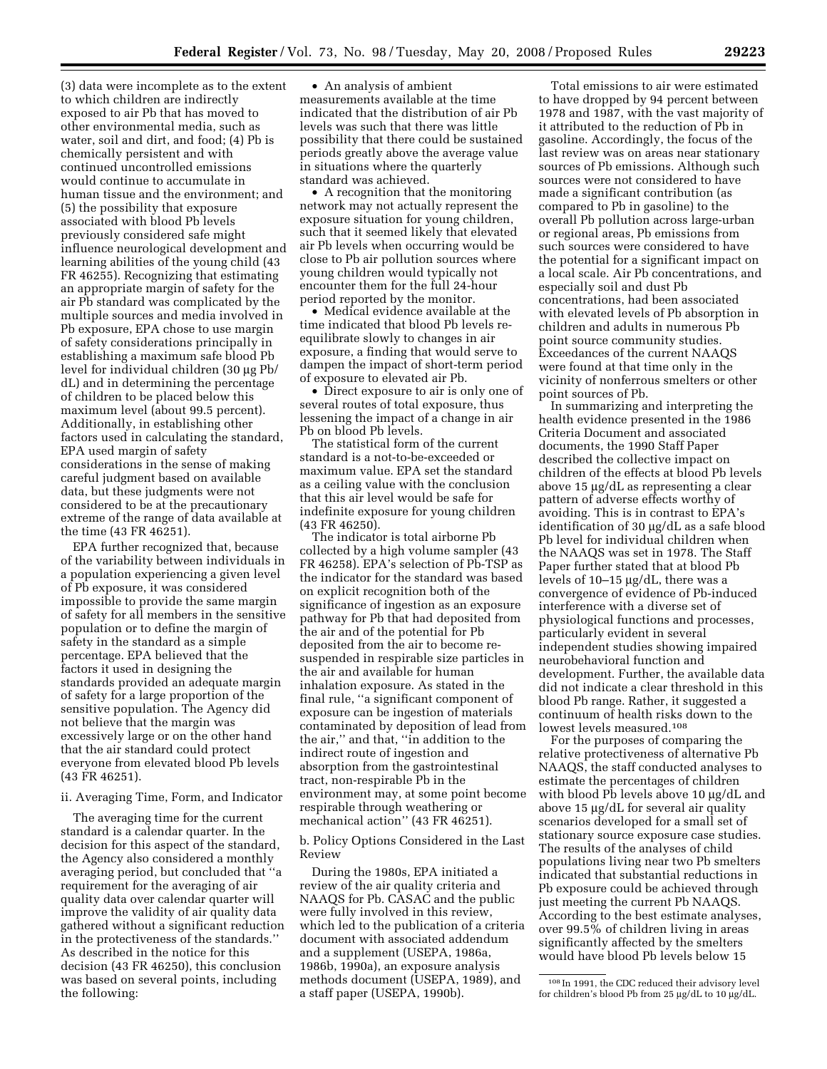(3) data were incomplete as to the extent to which children are indirectly exposed to air Pb that has moved to other environmental media, such as water, soil and dirt, and food; (4) Pb is chemically persistent and with continued uncontrolled emissions would continue to accumulate in human tissue and the environment; and (5) the possibility that exposure associated with blood Pb levels previously considered safe might influence neurological development and learning abilities of the young child (43 FR 46255). Recognizing that estimating an appropriate margin of safety for the air Pb standard was complicated by the multiple sources and media involved in Pb exposure, EPA chose to use margin of safety considerations principally in establishing a maximum safe blood Pb level for individual children (30 µg Pb/ dL) and in determining the percentage of children to be placed below this maximum level (about 99.5 percent). Additionally, in establishing other factors used in calculating the standard, EPA used margin of safety considerations in the sense of making careful judgment based on available data, but these judgments were not considered to be at the precautionary extreme of the range of data available at the time (43 FR 46251).

EPA further recognized that, because of the variability between individuals in a population experiencing a given level of Pb exposure, it was considered impossible to provide the same margin of safety for all members in the sensitive population or to define the margin of safety in the standard as a simple percentage. EPA believed that the factors it used in designing the standards provided an adequate margin of safety for a large proportion of the sensitive population. The Agency did not believe that the margin was excessively large or on the other hand that the air standard could protect everyone from elevated blood Pb levels (43 FR 46251).

ii. Averaging Time, Form, and Indicator

The averaging time for the current standard is a calendar quarter. In the decision for this aspect of the standard, the Agency also considered a monthly averaging period, but concluded that ''a requirement for the averaging of air quality data over calendar quarter will improve the validity of air quality data gathered without a significant reduction in the protectiveness of the standards.'' As described in the notice for this decision (43 FR 46250), this conclusion was based on several points, including the following:

• An analysis of ambient measurements available at the time indicated that the distribution of air Pb levels was such that there was little possibility that there could be sustained periods greatly above the average value in situations where the quarterly standard was achieved.

• A recognition that the monitoring network may not actually represent the exposure situation for young children, such that it seemed likely that elevated air Pb levels when occurring would be close to Pb air pollution sources where young children would typically not encounter them for the full 24-hour period reported by the monitor.

• Medical evidence available at the time indicated that blood Pb levels reequilibrate slowly to changes in air exposure, a finding that would serve to dampen the impact of short-term period of exposure to elevated air Pb.

• Direct exposure to air is only one of several routes of total exposure, thus lessening the impact of a change in air Pb on blood Pb levels.

The statistical form of the current standard is a not-to-be-exceeded or maximum value. EPA set the standard as a ceiling value with the conclusion that this air level would be safe for indefinite exposure for young children (43 FR 46250).

The indicator is total airborne Pb collected by a high volume sampler (43 FR 46258). EPA's selection of Pb-TSP as the indicator for the standard was based on explicit recognition both of the significance of ingestion as an exposure pathway for Pb that had deposited from the air and of the potential for Pb deposited from the air to become resuspended in respirable size particles in the air and available for human inhalation exposure. As stated in the final rule, ''a significant component of exposure can be ingestion of materials contaminated by deposition of lead from the air,'' and that, ''in addition to the indirect route of ingestion and absorption from the gastrointestinal tract, non-respirable Pb in the environment may, at some point become respirable through weathering or mechanical action'' (43 FR 46251).

b. Policy Options Considered in the Last Review

During the 1980s, EPA initiated a review of the air quality criteria and NAAQS for Pb. CASAC and the public were fully involved in this review, which led to the publication of a criteria document with associated addendum and a supplement (USEPA, 1986a, 1986b, 1990a), an exposure analysis methods document (USEPA, 1989), and a staff paper (USEPA, 1990b).

Total emissions to air were estimated to have dropped by 94 percent between 1978 and 1987, with the vast majority of it attributed to the reduction of Pb in gasoline. Accordingly, the focus of the last review was on areas near stationary sources of Pb emissions. Although such sources were not considered to have made a significant contribution (as compared to Pb in gasoline) to the overall Pb pollution across large-urban or regional areas, Pb emissions from such sources were considered to have the potential for a significant impact on a local scale. Air Pb concentrations, and especially soil and dust Pb concentrations, had been associated with elevated levels of Pb absorption in children and adults in numerous Pb point source community studies. Exceedances of the current NAAQS were found at that time only in the vicinity of nonferrous smelters or other point sources of Pb.

In summarizing and interpreting the health evidence presented in the 1986 Criteria Document and associated documents, the 1990 Staff Paper described the collective impact on children of the effects at blood Pb levels above 15 µg/dL as representing a clear pattern of adverse effects worthy of avoiding. This is in contrast to EPA's identification of 30 µg/dL as a safe blood Pb level for individual children when the NAAQS was set in 1978. The Staff Paper further stated that at blood Pb levels of 10–15 µg/dL, there was a convergence of evidence of Pb-induced interference with a diverse set of physiological functions and processes, particularly evident in several independent studies showing impaired neurobehavioral function and development. Further, the available data did not indicate a clear threshold in this blood Pb range. Rather, it suggested a continuum of health risks down to the lowest levels measured.108

For the purposes of comparing the relative protectiveness of alternative Pb NAAQS, the staff conducted analyses to estimate the percentages of children with blood Pb levels above 10  $\mu$ g/dL and above 15 µg/dL for several air quality scenarios developed for a small set of stationary source exposure case studies. The results of the analyses of child populations living near two Pb smelters indicated that substantial reductions in Pb exposure could be achieved through just meeting the current Pb NAAQS. According to the best estimate analyses, over 99.5% of children living in areas significantly affected by the smelters would have blood Pb levels below 15

<sup>108</sup> In 1991, the CDC reduced their advisory level for children's blood Pb from 25 µg/dL to 10 µg/dL.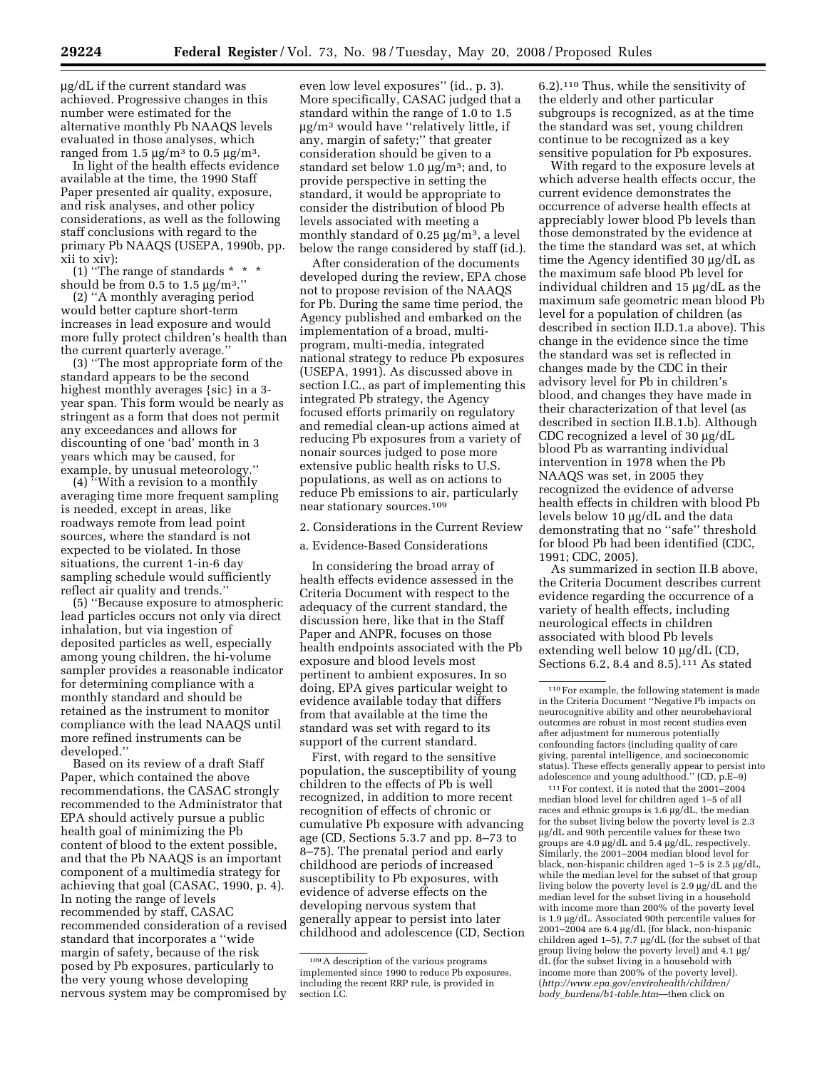µg/dL if the current standard was achieved. Progressive changes in this number were estimated for the alternative monthly Pb NAAQS levels evaluated in those analyses, which ranged from 1.5  $\mu$ g/m<sup>3</sup> to 0.5  $\mu$ g/m<sup>3</sup>.

In light of the health effects evidence available at the time, the 1990 Staff Paper presented air quality, exposure, and risk analyses, and other policy considerations, as well as the following staff conclusions with regard to the primary Pb NAAQS (USEPA, 1990b, pp. xii to xiv):

(1) ''The range of standards \* \* \* should be from  $0.5$  to  $1.5 \text{ µg/m}^3$ ."

(2) ''A monthly averaging period would better capture short-term increases in lead exposure and would more fully protect children's health than the current quarterly average.''

(3) ''The most appropriate form of the standard appears to be the second highest monthly averages {sic} in a 3 year span. This form would be nearly as stringent as a form that does not permit any exceedances and allows for discounting of one 'bad' month in 3 years which may be caused, for example, by unusual meteorology.''

(4) ''With a revision to a monthly averaging time more frequent sampling is needed, except in areas, like roadways remote from lead point sources, where the standard is not expected to be violated. In those situations, the current 1-in-6 day sampling schedule would sufficiently reflect air quality and trends.''

(5) ''Because exposure to atmospheric lead particles occurs not only via direct inhalation, but via ingestion of deposited particles as well, especially among young children, the hi-volume sampler provides a reasonable indicator for determining compliance with a monthly standard and should be retained as the instrument to monitor compliance with the lead NAAQS until more refined instruments can be developed.''

Based on its review of a draft Staff Paper, which contained the above recommendations, the CASAC strongly recommended to the Administrator that EPA should actively pursue a public health goal of minimizing the Pb content of blood to the extent possible, and that the Pb NAAQS is an important component of a multimedia strategy for achieving that goal (CASAC, 1990, p. 4). In noting the range of levels recommended by staff, CASAC recommended consideration of a revised standard that incorporates a ''wide margin of safety, because of the risk posed by Pb exposures, particularly to the very young whose developing nervous system may be compromised by

even low level exposures'' (id., p. 3). More specifically, CASAC judged that a standard within the range of 1.0 to 1.5 µg/m3 would have ''relatively little, if any, margin of safety;'' that greater consideration should be given to a standard set below 1.0  $\mu$ g/m<sup>3</sup>; and, to provide perspective in setting the standard, it would be appropriate to consider the distribution of blood Pb levels associated with meeting a monthly standard of  $0.25 \mu g/m^3$ , a level below the range considered by staff (id.).

After consideration of the documents developed during the review, EPA chose not to propose revision of the NAAQS for Pb. During the same time period, the Agency published and embarked on the implementation of a broad, multiprogram, multi-media, integrated national strategy to reduce Pb exposures (USEPA, 1991). As discussed above in section I.C., as part of implementing this integrated Pb strategy, the Agency focused efforts primarily on regulatory and remedial clean-up actions aimed at reducing Pb exposures from a variety of nonair sources judged to pose more extensive public health risks to U.S. populations, as well as on actions to reduce Pb emissions to air, particularly near stationary sources.109

2. Considerations in the Current Review

a. Evidence-Based Considerations

In considering the broad array of health effects evidence assessed in the Criteria Document with respect to the adequacy of the current standard, the discussion here, like that in the Staff Paper and ANPR, focuses on those health endpoints associated with the Pb exposure and blood levels most pertinent to ambient exposures. In so doing, EPA gives particular weight to evidence available today that differs from that available at the time the standard was set with regard to its support of the current standard.

First, with regard to the sensitive population, the susceptibility of young children to the effects of Pb is well recognized, in addition to more recent recognition of effects of chronic or cumulative Pb exposure with advancing age (CD, Sections 5.3.7 and pp. 8–73 to 8–75). The prenatal period and early childhood are periods of increased susceptibility to Pb exposures, with evidence of adverse effects on the developing nervous system that generally appear to persist into later childhood and adolescence (CD, Section

6.2).110 Thus, while the sensitivity of the elderly and other particular subgroups is recognized, as at the time the standard was set, young children continue to be recognized as a key sensitive population for Pb exposures.

With regard to the exposure levels at which adverse health effects occur, the current evidence demonstrates the occurrence of adverse health effects at appreciably lower blood Pb levels than those demonstrated by the evidence at the time the standard was set, at which time the Agency identified 30 µg/dL as the maximum safe blood Pb level for individual children and 15 µg/dL as the maximum safe geometric mean blood Pb level for a population of children (as described in section II.D.1.a above). This change in the evidence since the time the standard was set is reflected in changes made by the CDC in their advisory level for Pb in children's blood, and changes they have made in their characterization of that level (as described in section II.B.1.b). Although CDC recognized a level of 30  $\mu$ g/dL blood Pb as warranting individual intervention in 1978 when the Pb NAAQS was set, in 2005 they recognized the evidence of adverse health effects in children with blood Pb levels below 10 µg/dL and the data demonstrating that no ''safe'' threshold for blood Pb had been identified (CDC, 1991; CDC, 2005).

As summarized in section II.B above, the Criteria Document describes current evidence regarding the occurrence of a variety of health effects, including neurological effects in children associated with blood Pb levels extending well below 10 µg/dL (CD, Sections 6.2, 8.4 and 8.5).<sup>111</sup> As stated

 $^{\rm 111}$  For context, it is noted that the 2001–2004 median blood level for children aged 1–5 of all races and ethnic groups is 1.6 µg/dL, the median for the subset living below the poverty level is 2.3 µg/dL and 90th percentile values for these two groups are 4.0 µg/dL and 5.4 µg/dL, respectively. Similarly, the 2001–2004 median blood level for black, non-hispanic children aged 1–5 is 2.5 µg/dL, while the median level for the subset of that group living below the poverty level is 2.9 µg/dL and the median level for the subset living in a household with income more than 200% of the poverty level is 1.9 µg/dL. Associated 90th percentile values for 2001–2004 are 6.4 µg/dL (for black, non-hispanic children aged 1–5), 7.7 µg/dL (for the subset of that group living below the poverty level) and 4.1 µg/ dL (for the subset living in a household with income more than 200% of the poverty level). (*http://www.epa.gov/envirohealth/children/ body*\_*burdens/b1-table.htm*—then click on

<sup>109</sup>A description of the various programs implemented since 1990 to reduce Pb exposures, including the recent RRP rule, is provided in section I.C.

<sup>110</sup>For example, the following statement is made in the Criteria Document ''Negative Pb impacts on neurocognitive ability and other neurobehavioral outcomes are robust in most recent studies even after adjustment for numerous potentially confounding factors (including quality of care giving, parental intelligence, and socioeconomic status). These effects generally appear to persist into adolescence and young adulthood.'' (CD, p.E–9)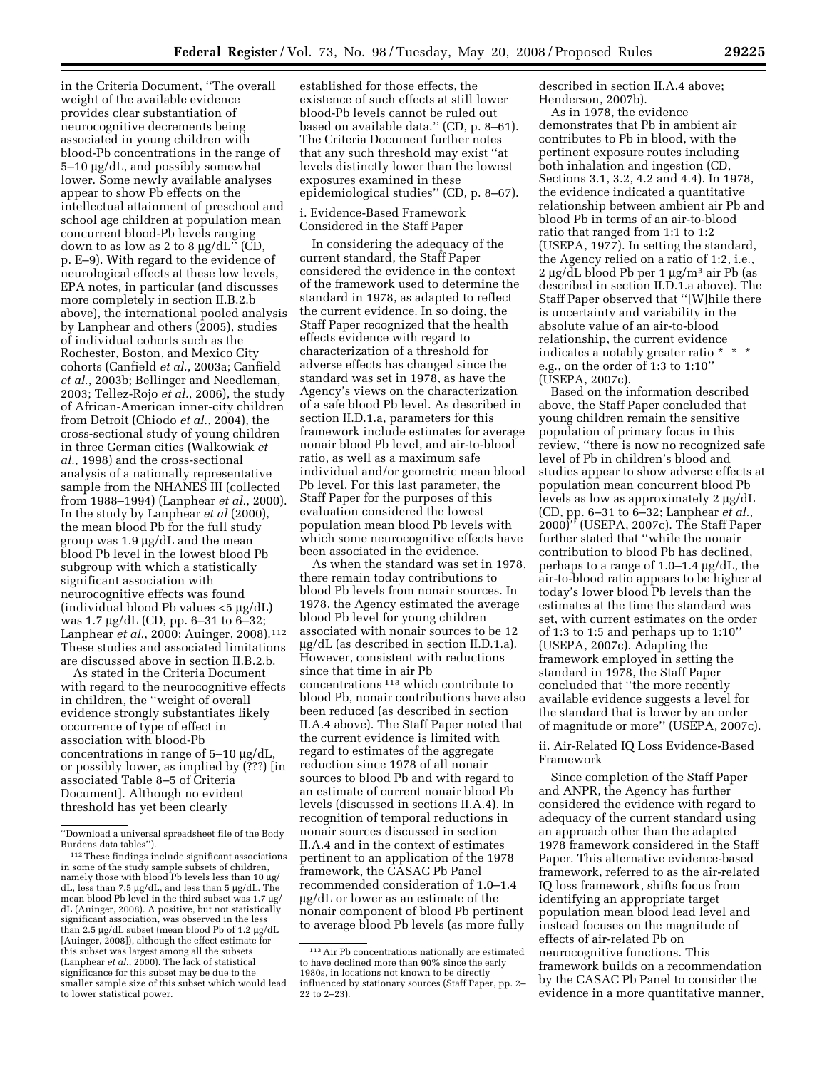in the Criteria Document, ''The overall weight of the available evidence provides clear substantiation of neurocognitive decrements being associated in young children with blood-Pb concentrations in the range of 5–10 µg/dL, and possibly somewhat lower. Some newly available analyses appear to show Pb effects on the intellectual attainment of preschool and school age children at population mean concurrent blood-Pb levels ranging down to as low as 2 to 8  $\mu$ g/dL" (CD, p. E–9). With regard to the evidence of neurological effects at these low levels, EPA notes, in particular (and discusses more completely in section II.B.2.b above), the international pooled analysis by Lanphear and others (2005), studies of individual cohorts such as the Rochester, Boston, and Mexico City cohorts (Canfield *et al.*, 2003a; Canfield *et al.*, 2003b; Bellinger and Needleman, 2003; Tellez-Rojo *et al.*, 2006), the study of African-American inner-city children from Detroit (Chiodo *et al.*, 2004), the cross-sectional study of young children in three German cities (Walkowiak *et al.*, 1998) and the cross-sectional analysis of a nationally representative sample from the NHANES III (collected from 1988–1994) (Lanphear *et al.*, 2000). In the study by Lanphear *et al* (2000), the mean blood Pb for the full study group was 1.9 µg/dL and the mean blood Pb level in the lowest blood Pb subgroup with which a statistically significant association with neurocognitive effects was found (individual blood Pb values <5 µg/dL) was 1.7 µg/dL (CD, pp. 6–31 to 6–32; Lanphear *et al.*, 2000; Auinger, 2008).<sup>112</sup> These studies and associated limitations are discussed above in section II.B.2.b.

As stated in the Criteria Document with regard to the neurocognitive effects in children, the ''weight of overall evidence strongly substantiates likely occurrence of type of effect in association with blood-Pb concentrations in range of 5–10 µg/dL, or possibly lower, as implied by (???) [in associated Table 8–5 of Criteria Document]. Although no evident threshold has yet been clearly

established for those effects, the existence of such effects at still lower blood-Pb levels cannot be ruled out based on available data.'' (CD, p. 8–61). The Criteria Document further notes that any such threshold may exist ''at levels distinctly lower than the lowest exposures examined in these epidemiological studies'' (CD, p. 8–67).

## i. Evidence-Based Framework Considered in the Staff Paper

In considering the adequacy of the current standard, the Staff Paper considered the evidence in the context of the framework used to determine the standard in 1978, as adapted to reflect the current evidence. In so doing, the Staff Paper recognized that the health effects evidence with regard to characterization of a threshold for adverse effects has changed since the standard was set in 1978, as have the Agency's views on the characterization of a safe blood Pb level. As described in section II.D.1.a, parameters for this framework include estimates for average nonair blood Pb level, and air-to-blood ratio, as well as a maximum safe individual and/or geometric mean blood Pb level. For this last parameter, the Staff Paper for the purposes of this evaluation considered the lowest population mean blood Pb levels with which some neurocognitive effects have been associated in the evidence.

As when the standard was set in 1978, there remain today contributions to blood Pb levels from nonair sources. In 1978, the Agency estimated the average blood Pb level for young children associated with nonair sources to be 12 µg/dL (as described in section II.D.1.a). However, consistent with reductions since that time in air Pb concentrations 113 which contribute to blood Pb, nonair contributions have also been reduced (as described in section II.A.4 above). The Staff Paper noted that the current evidence is limited with regard to estimates of the aggregate reduction since 1978 of all nonair sources to blood Pb and with regard to an estimate of current nonair blood Pb levels (discussed in sections II.A.4). In recognition of temporal reductions in nonair sources discussed in section II.A.4 and in the context of estimates pertinent to an application of the 1978 framework, the CASAC Pb Panel recommended consideration of 1.0–1.4 µg/dL or lower as an estimate of the nonair component of blood Pb pertinent to average blood Pb levels (as more fully

described in section II.A.4 above; Henderson, 2007b).

As in 1978, the evidence demonstrates that Pb in ambient air contributes to Pb in blood, with the pertinent exposure routes including both inhalation and ingestion (CD, Sections 3.1, 3.2, 4.2 and 4.4). In 1978, the evidence indicated a quantitative relationship between ambient air Pb and blood Pb in terms of an air-to-blood ratio that ranged from 1:1 to 1:2 (USEPA, 1977). In setting the standard, the Agency relied on a ratio of 1:2, i.e., 2 µg/dL blood Pb per 1 µg/m3 air Pb (as described in section II.D.1.a above). The Staff Paper observed that ''[W]hile there is uncertainty and variability in the absolute value of an air-to-blood relationship, the current evidence indicates a notably greater ratio \* \* \* e.g., on the order of 1:3 to 1:10'' (USEPA, 2007c).

Based on the information described above, the Staff Paper concluded that young children remain the sensitive population of primary focus in this review, ''there is now no recognized safe level of Pb in children's blood and studies appear to show adverse effects at population mean concurrent blood Pb levels as low as approximately 2 µg/dL (CD, pp. 6–31 to 6–32; Lanphear *et al.*, 2000)'' (USEPA, 2007c). The Staff Paper further stated that ''while the nonair contribution to blood Pb has declined, perhaps to a range of 1.0–1.4 µg/dL, the air-to-blood ratio appears to be higher at today's lower blood Pb levels than the estimates at the time the standard was set, with current estimates on the order of 1:3 to 1:5 and perhaps up to 1:10'' (USEPA, 2007c). Adapting the framework employed in setting the standard in 1978, the Staff Paper concluded that ''the more recently available evidence suggests a level for the standard that is lower by an order of magnitude or more'' (USEPA, 2007c).

### ii. Air-Related IQ Loss Evidence-Based Framework

Since completion of the Staff Paper and ANPR, the Agency has further considered the evidence with regard to adequacy of the current standard using an approach other than the adapted 1978 framework considered in the Staff Paper. This alternative evidence-based framework, referred to as the air-related IQ loss framework, shifts focus from identifying an appropriate target population mean blood lead level and instead focuses on the magnitude of effects of air-related Pb on neurocognitive functions. This framework builds on a recommendation by the CASAC Pb Panel to consider the evidence in a more quantitative manner,

<sup>&#</sup>x27;'Download a universal spreadsheet file of the Body

<sup>&</sup>lt;sup>112</sup> These findings include significant associations in some of the study sample subsets of children, namely those with blood Pb levels less than 10  $\mu$ g/ dL, less than 7.5 µg/dL, and less than 5 µg/dL. The mean blood Pb level in the third subset was 1.7 µg/ dL (Auinger, 2008). A positive, but not statistically significant association, was observed in the less than 2.5 µg/dL subset (mean blood Pb of 1.2 µg/dL [Auinger, 2008]), although the effect estimate for this subset was largest among all the subsets (Lanphear *et al.*, 2000). The lack of statistical significance for this subset may be due to the smaller sample size of this subset which would lead to lower statistical power.

<sup>113</sup>Air Pb concentrations nationally are estimated to have declined more than 90% since the early 1980s, in locations not known to be directly influenced by stationary sources (Staff Paper, pp. 2– 22 to 2–23).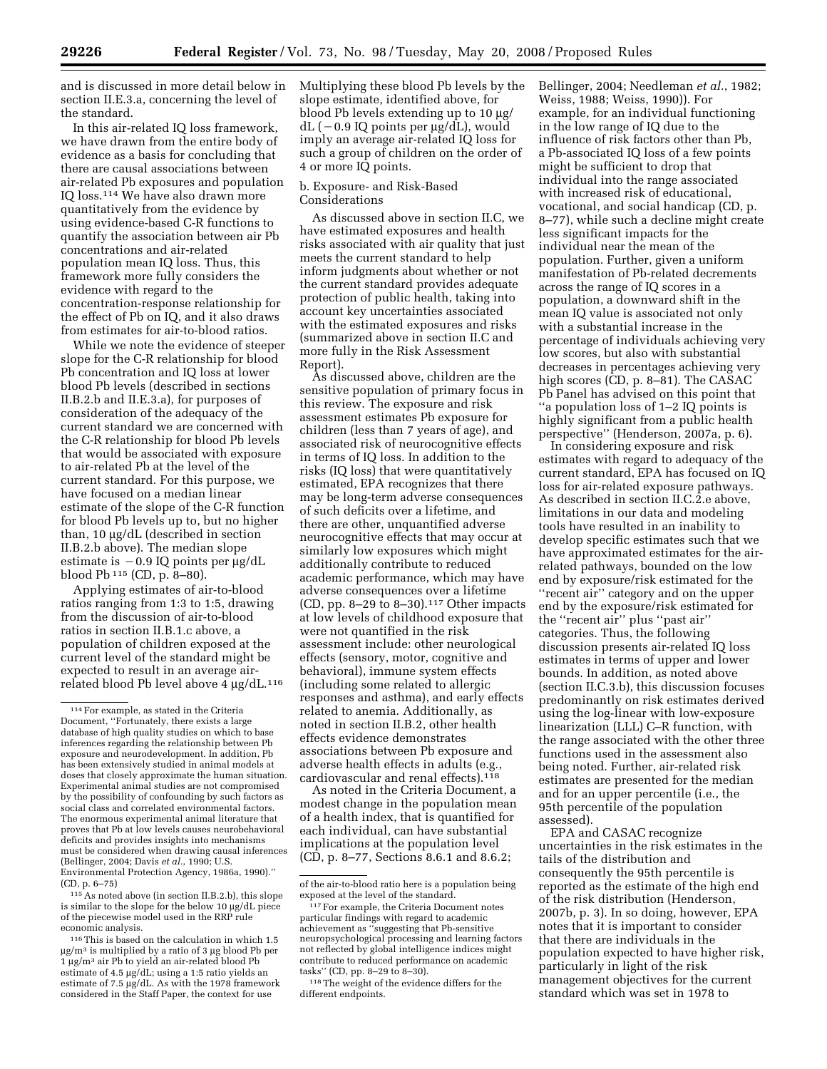and is discussed in more detail below in section II.E.3.a, concerning the level of the standard.

In this air-related IQ loss framework, we have drawn from the entire body of evidence as a basis for concluding that there are causal associations between air-related Pb exposures and population IQ loss.114 We have also drawn more quantitatively from the evidence by using evidence-based C-R functions to quantify the association between air Pb concentrations and air-related population mean IQ loss. Thus, this framework more fully considers the evidence with regard to the concentration-response relationship for the effect of Pb on IQ, and it also draws from estimates for air-to-blood ratios.

While we note the evidence of steeper slope for the C-R relationship for blood Pb concentration and IQ loss at lower blood Pb levels (described in sections II.B.2.b and II.E.3.a), for purposes of consideration of the adequacy of the current standard we are concerned with the C-R relationship for blood Pb levels that would be associated with exposure to air-related Pb at the level of the current standard. For this purpose, we have focused on a median linear estimate of the slope of the C-R function for blood Pb levels up to, but no higher than, 10 µg/dL (described in section II.B.2.b above). The median slope estimate is  $-0.9$  IQ points per  $\mu$ g/dL blood Pb 115 (CD, p. 8–80).

Applying estimates of air-to-blood ratios ranging from 1:3 to 1:5, drawing from the discussion of air-to-blood ratios in section II.B.1.c above, a population of children exposed at the current level of the standard might be expected to result in an average airrelated blood Pb level above 4 µg/dL.116

115As noted above (in section II.B.2.b), this slope is similar to the slope for the below 10 µg/dL piece of the piecewise model used in the RRP rule economic analysis.

Multiplying these blood Pb levels by the slope estimate, identified above, for blood Pb levels extending up to 10 µg/  $dL$  ( $-0.9$  IQ points per  $\mu$ g/dL), would imply an average air-related IQ loss for such a group of children on the order of 4 or more IQ points.

### b. Exposure- and Risk-Based Considerations

As discussed above in section II.C, we have estimated exposures and health risks associated with air quality that just meets the current standard to help inform judgments about whether or not the current standard provides adequate protection of public health, taking into account key uncertainties associated with the estimated exposures and risks (summarized above in section II.C and more fully in the Risk Assessment Report).

As discussed above, children are the sensitive population of primary focus in this review. The exposure and risk assessment estimates Pb exposure for children (less than 7 years of age), and associated risk of neurocognitive effects in terms of IQ loss. In addition to the risks (IQ loss) that were quantitatively estimated, EPA recognizes that there may be long-term adverse consequences of such deficits over a lifetime, and there are other, unquantified adverse neurocognitive effects that may occur at similarly low exposures which might additionally contribute to reduced academic performance, which may have adverse consequences over a lifetime (CD, pp. 8–29 to 8–30).117 Other impacts at low levels of childhood exposure that were not quantified in the risk assessment include: other neurological effects (sensory, motor, cognitive and behavioral), immune system effects (including some related to allergic responses and asthma), and early effects related to anemia. Additionally, as noted in section II.B.2, other health effects evidence demonstrates associations between Pb exposure and adverse health effects in adults (e.g., cardiovascular and renal effects).118

As noted in the Criteria Document, a modest change in the population mean of a health index, that is quantified for each individual, can have substantial implications at the population level (CD, p. 8–77, Sections 8.6.1 and 8.6.2;

Bellinger, 2004; Needleman *et al.*, 1982; Weiss, 1988; Weiss, 1990)). For example, for an individual functioning in the low range of IQ due to the influence of risk factors other than Pb, a Pb-associated IQ loss of a few points might be sufficient to drop that individual into the range associated with increased risk of educational, vocational, and social handicap (CD, p. 8–77), while such a decline might create less significant impacts for the individual near the mean of the population. Further, given a uniform manifestation of Pb-related decrements across the range of IQ scores in a population, a downward shift in the mean IQ value is associated not only with a substantial increase in the percentage of individuals achieving very low scores, but also with substantial decreases in percentages achieving very high scores (CD, p. 8–81). The CASAC Pb Panel has advised on this point that ''a population loss of 1–2 IQ points is highly significant from a public health perspective'' (Henderson, 2007a, p. 6).

In considering exposure and risk estimates with regard to adequacy of the current standard, EPA has focused on IQ loss for air-related exposure pathways. As described in section II.C.2.e above, limitations in our data and modeling tools have resulted in an inability to develop specific estimates such that we have approximated estimates for the airrelated pathways, bounded on the low end by exposure/risk estimated for the ''recent air'' category and on the upper end by the exposure/risk estimated for the ''recent air'' plus ''past air'' categories. Thus, the following discussion presents air-related IQ loss estimates in terms of upper and lower bounds. In addition, as noted above (section II.C.3.b), this discussion focuses predominantly on risk estimates derived using the log-linear with low-exposure linearization (LLL) C–R function, with the range associated with the other three functions used in the assessment also being noted. Further, air-related risk estimates are presented for the median and for an upper percentile (i.e., the 95th percentile of the population assessed).

EPA and CASAC recognize uncertainties in the risk estimates in the tails of the distribution and consequently the 95th percentile is reported as the estimate of the high end of the risk distribution (Henderson, 2007b, p. 3). In so doing, however, EPA notes that it is important to consider that there are individuals in the population expected to have higher risk, particularly in light of the risk management objectives for the current standard which was set in 1978 to

<sup>114</sup>For example, as stated in the Criteria Document, ''Fortunately, there exists a large database of high quality studies on which to base inferences regarding the relationship between Pb exposure and neurodevelopment. In addition, Pb has been extensively studied in animal models at doses that closely approximate the human situation. Experimental animal studies are not compromised by the possibility of confounding by such factors as social class and correlated environmental factors. The enormous experimental animal literature that proves that Pb at low levels causes neurobehavioral deficits and provides insights into mechanisms must be considered when drawing causal inferences (Bellinger, 2004; Davis *et al.*, 1990; U.S. Environmental Protection Agency, 1986a, 1990).'' (CD, p. 6–75)

<sup>116</sup>This is based on the calculation in which 1.5 µg/m3 is multiplied by a ratio of 3 µg blood Pb per 1 µg/m3 air Pb to yield an air-related blood Pb estimate of 4.5 µg/dL; using a 1:5 ratio yields an estimate of 7.5 µg/dL. As with the 1978 framework considered in the Staff Paper, the context for use

of the air-to-blood ratio here is a population being exposed at the level of the standard.

<sup>117</sup>For example, the Criteria Document notes particular findings with regard to academic achievement as ''suggesting that Pb-sensitive neuropsychological processing and learning factors not reflected by global intelligence indices might contribute to reduced performance on academic tasks'' (CD, pp. 8–29 to 8–30).

<sup>118</sup>The weight of the evidence differs for the different endpoints.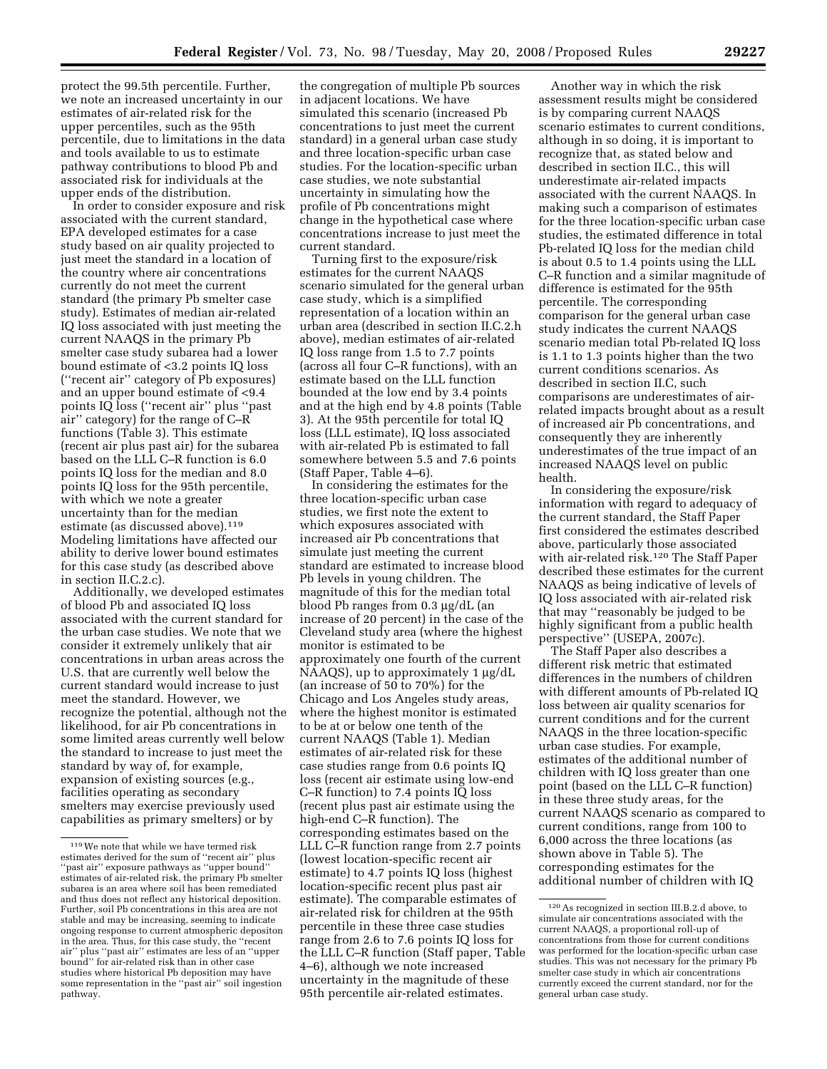protect the 99.5th percentile. Further, we note an increased uncertainty in our estimates of air-related risk for the upper percentiles, such as the 95th percentile, due to limitations in the data and tools available to us to estimate pathway contributions to blood Pb and associated risk for individuals at the upper ends of the distribution.

In order to consider exposure and risk associated with the current standard, EPA developed estimates for a case study based on air quality projected to just meet the standard in a location of the country where air concentrations currently do not meet the current standard (the primary Pb smelter case study). Estimates of median air-related IQ loss associated with just meeting the current NAAQS in the primary Pb smelter case study subarea had a lower bound estimate of <3.2 points IQ loss (''recent air'' category of Pb exposures) and an upper bound estimate of <9.4 points IQ loss (''recent air'' plus ''past air'' category) for the range of C–R functions (Table 3). This estimate (recent air plus past air) for the subarea based on the LLL C–R function is 6.0 points IQ loss for the median and 8.0 points IQ loss for the 95th percentile, with which we note a greater uncertainty than for the median estimate (as discussed above).119 Modeling limitations have affected our ability to derive lower bound estimates for this case study (as described above in section II.C.2.c).

Additionally, we developed estimates of blood Pb and associated IQ loss associated with the current standard for the urban case studies. We note that we consider it extremely unlikely that air concentrations in urban areas across the U.S. that are currently well below the current standard would increase to just meet the standard. However, we recognize the potential, although not the likelihood, for air Pb concentrations in some limited areas currently well below the standard to increase to just meet the standard by way of, for example, expansion of existing sources (e.g., facilities operating as secondary smelters may exercise previously used capabilities as primary smelters) or by

the congregation of multiple Pb sources in adjacent locations. We have simulated this scenario (increased Pb concentrations to just meet the current standard) in a general urban case study and three location-specific urban case studies. For the location-specific urban case studies, we note substantial uncertainty in simulating how the profile of Pb concentrations might change in the hypothetical case where concentrations increase to just meet the current standard.

Turning first to the exposure/risk estimates for the current NAAQS scenario simulated for the general urban case study, which is a simplified representation of a location within an urban area (described in section II.C.2.h above), median estimates of air-related IQ loss range from 1.5 to 7.7 points (across all four C–R functions), with an estimate based on the LLL function bounded at the low end by 3.4 points and at the high end by 4.8 points (Table 3). At the 95th percentile for total IQ loss (LLL estimate), IQ loss associated with air-related Pb is estimated to fall somewhere between 5.5 and 7.6 points (Staff Paper, Table 4–6).

In considering the estimates for the three location-specific urban case studies, we first note the extent to which exposures associated with increased air Pb concentrations that simulate just meeting the current standard are estimated to increase blood Pb levels in young children. The magnitude of this for the median total blood Pb ranges from 0.3 µg/dL (an increase of 20 percent) in the case of the Cleveland study area (where the highest monitor is estimated to be approximately one fourth of the current NAAQS), up to approximately 1  $\mu$ g/dL (an increase of 50 to 70%) for the Chicago and Los Angeles study areas, where the highest monitor is estimated to be at or below one tenth of the current NAAQS (Table 1). Median estimates of air-related risk for these case studies range from 0.6 points IQ loss (recent air estimate using low-end C–R function) to 7.4 points IQ loss (recent plus past air estimate using the high-end C–R function). The corresponding estimates based on the LLL C–R function range from 2.7 points (lowest location-specific recent air estimate) to 4.7 points IQ loss (highest location-specific recent plus past air estimate). The comparable estimates of air-related risk for children at the 95th percentile in these three case studies range from 2.6 to 7.6 points IQ loss for the LLL C–R function (Staff paper, Table 4–6), although we note increased uncertainty in the magnitude of these 95th percentile air-related estimates.

Another way in which the risk assessment results might be considered is by comparing current NAAQS scenario estimates to current conditions, although in so doing, it is important to recognize that, as stated below and described in section II.C., this will underestimate air-related impacts associated with the current NAAQS. In making such a comparison of estimates for the three location-specific urban case studies, the estimated difference in total Pb-related IQ loss for the median child is about 0.5 to 1.4 points using the LLL C–R function and a similar magnitude of difference is estimated for the 95th percentile. The corresponding comparison for the general urban case study indicates the current NAAQS scenario median total Pb-related IQ loss is 1.1 to 1.3 points higher than the two current conditions scenarios. As described in section II.C, such comparisons are underestimates of airrelated impacts brought about as a result of increased air Pb concentrations, and consequently they are inherently underestimates of the true impact of an increased NAAQS level on public health.

In considering the exposure/risk information with regard to adequacy of the current standard, the Staff Paper first considered the estimates described above, particularly those associated with air-related risk.120 The Staff Paper described these estimates for the current NAAQS as being indicative of levels of IQ loss associated with air-related risk that may ''reasonably be judged to be highly significant from a public health perspective'' (USEPA, 2007c).

The Staff Paper also describes a different risk metric that estimated differences in the numbers of children with different amounts of Pb-related IQ loss between air quality scenarios for current conditions and for the current NAAQS in the three location-specific urban case studies. For example, estimates of the additional number of children with IQ loss greater than one point (based on the LLL C–R function) in these three study areas, for the current NAAQS scenario as compared to current conditions, range from 100 to 6,000 across the three locations (as shown above in Table 5). The corresponding estimates for the additional number of children with IQ

 $^{\rm 119}\rm{We}$  note that while we have termed risk estimates derived for the sum of ''recent air'' plus ''past air'' exposure pathways as ''upper bound'' estimates of air-related risk, the primary Pb smelter subarea is an area where soil has been remediated and thus does not reflect any historical deposition. Further, soil Pb concentrations in this area are not stable and may be increasing, seeming to indicate ongoing response to current atmospheric depositon in the area. Thus, for this case study, the ''recent air'' plus ''past air'' estimates are less of an ''upper bound'' for air-related risk than in other case studies where historical Pb deposition may have some representation in the ''past air'' soil ingestion pathway.

<sup>120</sup>As recognized in section III.B.2.d above, to simulate air concentrations associated with the current NAAQS, a proportional roll-up of concentrations from those for current conditions was performed for the location-specific urban case studies. This was not necessary for the primary Pb smelter case study in which air concentrations currently exceed the current standard, nor for the general urban case study.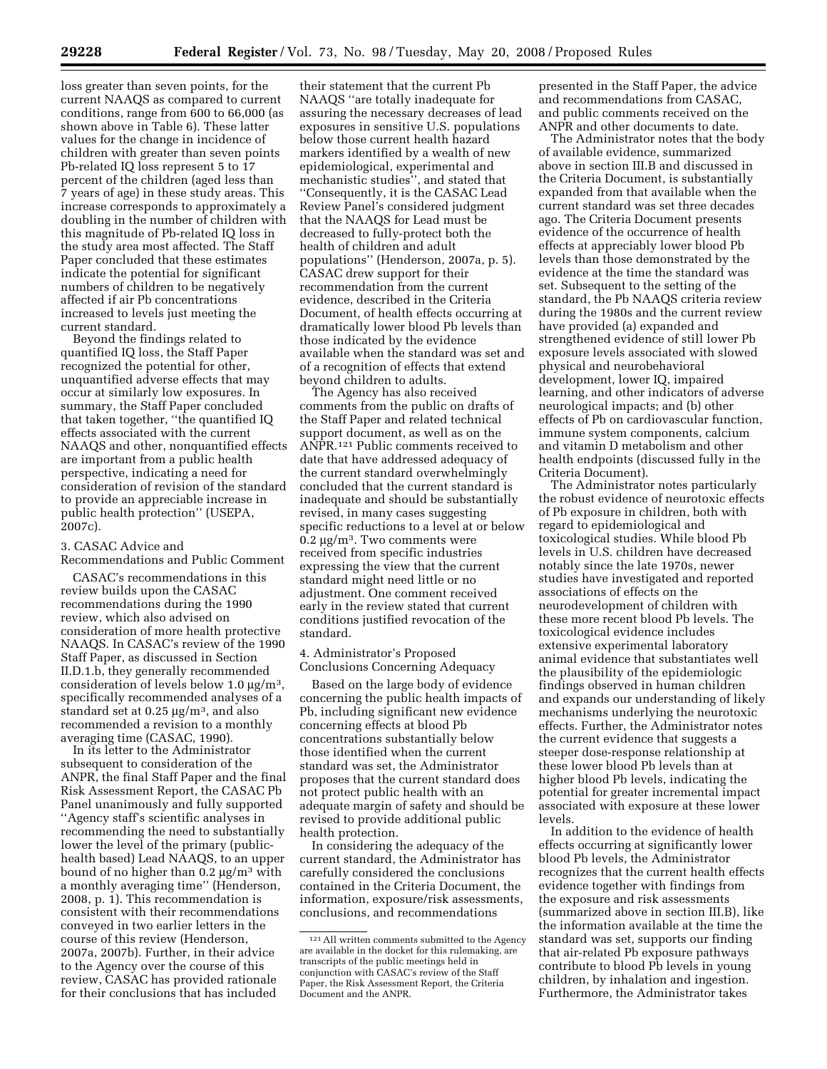loss greater than seven points, for the current NAAQS as compared to current conditions, range from 600 to 66,000 (as shown above in Table 6). These latter values for the change in incidence of children with greater than seven points Pb-related IQ loss represent 5 to 17 percent of the children (aged less than 7 years of age) in these study areas. This increase corresponds to approximately a doubling in the number of children with this magnitude of Pb-related IQ loss in the study area most affected. The Staff Paper concluded that these estimates indicate the potential for significant numbers of children to be negatively affected if air Pb concentrations increased to levels just meeting the current standard.

Beyond the findings related to quantified IQ loss, the Staff Paper recognized the potential for other, unquantified adverse effects that may occur at similarly low exposures. In summary, the Staff Paper concluded that taken together, ''the quantified IQ effects associated with the current NAAQS and other, nonquantified effects are important from a public health perspective, indicating a need for consideration of revision of the standard to provide an appreciable increase in public health protection'' (USEPA, 2007c).

#### 3. CASAC Advice and

Recommendations and Public Comment

CASAC's recommendations in this review builds upon the CASAC recommendations during the 1990 review, which also advised on consideration of more health protective NAAQS. In CASAC's review of the 1990 Staff Paper, as discussed in Section II.D.1.b, they generally recommended consideration of levels below 1.0  $\mu$ g/m<sup>3</sup>, specifically recommended analyses of a standard set at  $0.25 \mu g/m^3$ , and also recommended a revision to a monthly averaging time (CASAC, 1990).

In its letter to the Administrator subsequent to consideration of the ANPR, the final Staff Paper and the final Risk Assessment Report, the CASAC Pb Panel unanimously and fully supported ''Agency staff's scientific analyses in recommending the need to substantially lower the level of the primary (publichealth based) Lead NAAQS, to an upper bound of no higher than  $0.2 \mu g/m^3$  with a monthly averaging time'' (Henderson, 2008, p. 1). This recommendation is consistent with their recommendations conveyed in two earlier letters in the course of this review (Henderson, 2007a, 2007b). Further, in their advice to the Agency over the course of this review, CASAC has provided rationale for their conclusions that has included

their statement that the current Pb NAAQS ''are totally inadequate for assuring the necessary decreases of lead exposures in sensitive U.S. populations below those current health hazard markers identified by a wealth of new epidemiological, experimental and mechanistic studies'', and stated that ''Consequently, it is the CASAC Lead Review Panel's considered judgment that the NAAQS for Lead must be decreased to fully-protect both the health of children and adult populations'' (Henderson, 2007a, p. 5). CASAC drew support for their recommendation from the current evidence, described in the Criteria Document, of health effects occurring at dramatically lower blood Pb levels than those indicated by the evidence available when the standard was set and of a recognition of effects that extend beyond children to adults.

The Agency has also received comments from the public on drafts of the Staff Paper and related technical support document, as well as on the ANPR.121 Public comments received to date that have addressed adequacy of the current standard overwhelmingly concluded that the current standard is inadequate and should be substantially revised, in many cases suggesting specific reductions to a level at or below  $0.2 \mu g/m<sup>3</sup>$ . Two comments were received from specific industries expressing the view that the current standard might need little or no adjustment. One comment received early in the review stated that current conditions justified revocation of the standard.

4. Administrator's Proposed Conclusions Concerning Adequacy

Based on the large body of evidence concerning the public health impacts of Pb, including significant new evidence concerning effects at blood Pb concentrations substantially below those identified when the current standard was set, the Administrator proposes that the current standard does not protect public health with an adequate margin of safety and should be revised to provide additional public health protection.

In considering the adequacy of the current standard, the Administrator has carefully considered the conclusions contained in the Criteria Document, the information, exposure/risk assessments, conclusions, and recommendations

presented in the Staff Paper, the advice and recommendations from CASAC, and public comments received on the ANPR and other documents to date.

The Administrator notes that the body of available evidence, summarized above in section III.B and discussed in the Criteria Document, is substantially expanded from that available when the current standard was set three decades ago. The Criteria Document presents evidence of the occurrence of health effects at appreciably lower blood Pb levels than those demonstrated by the evidence at the time the standard was set. Subsequent to the setting of the standard, the Pb NAAQS criteria review during the 1980s and the current review have provided (a) expanded and strengthened evidence of still lower Pb exposure levels associated with slowed physical and neurobehavioral development, lower IQ, impaired learning, and other indicators of adverse neurological impacts; and (b) other effects of Pb on cardiovascular function, immune system components, calcium and vitamin D metabolism and other health endpoints (discussed fully in the Criteria Document).

The Administrator notes particularly the robust evidence of neurotoxic effects of Pb exposure in children, both with regard to epidemiological and toxicological studies. While blood Pb levels in U.S. children have decreased notably since the late 1970s, newer studies have investigated and reported associations of effects on the neurodevelopment of children with these more recent blood Pb levels. The toxicological evidence includes extensive experimental laboratory animal evidence that substantiates well the plausibility of the epidemiologic findings observed in human children and expands our understanding of likely mechanisms underlying the neurotoxic effects. Further, the Administrator notes the current evidence that suggests a steeper dose-response relationship at these lower blood Pb levels than at higher blood Pb levels, indicating the potential for greater incremental impact associated with exposure at these lower levels.

In addition to the evidence of health effects occurring at significantly lower blood Pb levels, the Administrator recognizes that the current health effects evidence together with findings from the exposure and risk assessments (summarized above in section III.B), like the information available at the time the standard was set, supports our finding that air-related Pb exposure pathways contribute to blood Pb levels in young children, by inhalation and ingestion. Furthermore, the Administrator takes

<sup>121</sup>All written comments submitted to the Agency are available in the docket for this rulemaking, are transcripts of the public meetings held in conjunction with CASAC's review of the Staff Paper, the Risk Assessment Report, the Criteria Document and the ANPR.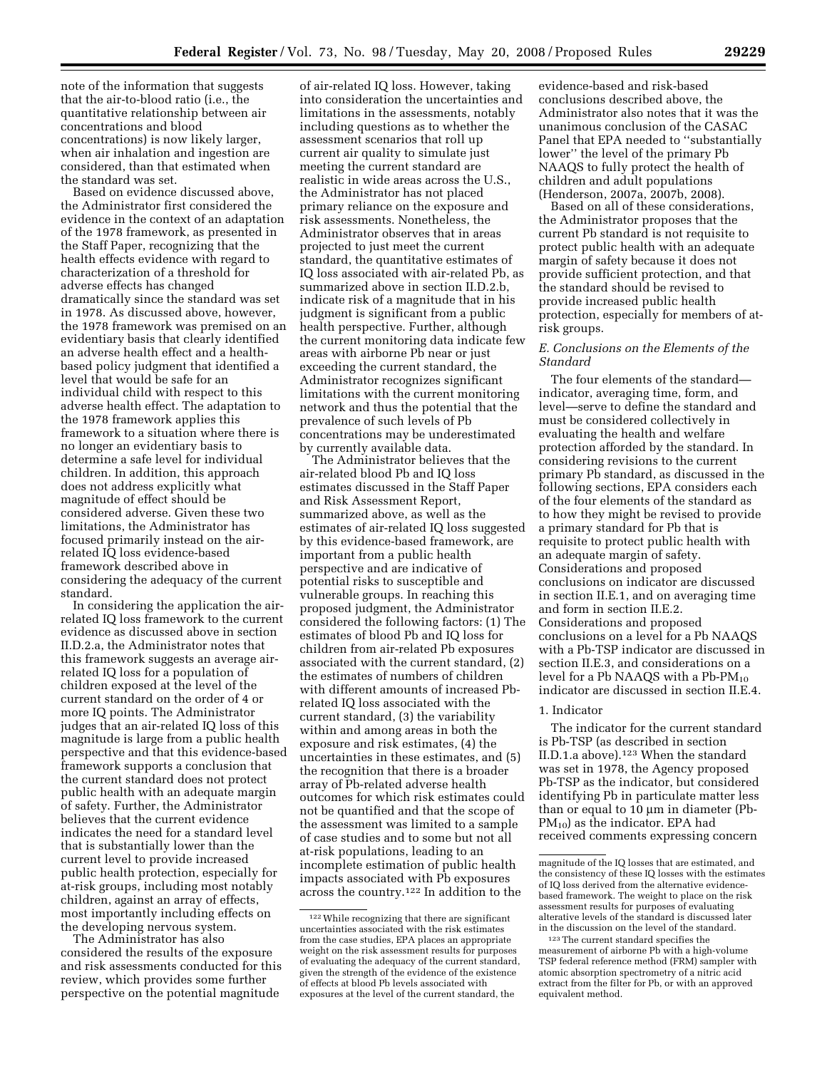note of the information that suggests that the air-to-blood ratio (i.e., the quantitative relationship between air concentrations and blood concentrations) is now likely larger, when air inhalation and ingestion are considered, than that estimated when the standard was set.

Based on evidence discussed above, the Administrator first considered the evidence in the context of an adaptation of the 1978 framework, as presented in the Staff Paper, recognizing that the health effects evidence with regard to characterization of a threshold for adverse effects has changed dramatically since the standard was set in 1978. As discussed above, however, the 1978 framework was premised on an evidentiary basis that clearly identified an adverse health effect and a healthbased policy judgment that identified a level that would be safe for an individual child with respect to this adverse health effect. The adaptation to the 1978 framework applies this framework to a situation where there is no longer an evidentiary basis to determine a safe level for individual children. In addition, this approach does not address explicitly what magnitude of effect should be considered adverse. Given these two limitations, the Administrator has focused primarily instead on the airrelated IQ loss evidence-based framework described above in considering the adequacy of the current standard.

In considering the application the airrelated IQ loss framework to the current evidence as discussed above in section II.D.2.a, the Administrator notes that this framework suggests an average airrelated IQ loss for a population of children exposed at the level of the current standard on the order of 4 or more IQ points. The Administrator judges that an air-related IQ loss of this magnitude is large from a public health perspective and that this evidence-based framework supports a conclusion that the current standard does not protect public health with an adequate margin of safety. Further, the Administrator believes that the current evidence indicates the need for a standard level that is substantially lower than the current level to provide increased public health protection, especially for at-risk groups, including most notably children, against an array of effects, most importantly including effects on the developing nervous system.

The Administrator has also considered the results of the exposure and risk assessments conducted for this review, which provides some further perspective on the potential magnitude

of air-related IQ loss. However, taking into consideration the uncertainties and limitations in the assessments, notably including questions as to whether the assessment scenarios that roll up current air quality to simulate just meeting the current standard are realistic in wide areas across the U.S., the Administrator has not placed primary reliance on the exposure and risk assessments. Nonetheless, the Administrator observes that in areas projected to just meet the current standard, the quantitative estimates of IQ loss associated with air-related Pb, as summarized above in section II.D.2.b, indicate risk of a magnitude that in his judgment is significant from a public health perspective. Further, although the current monitoring data indicate few areas with airborne Pb near or just exceeding the current standard, the Administrator recognizes significant limitations with the current monitoring network and thus the potential that the prevalence of such levels of Pb concentrations may be underestimated by currently available data.

The Administrator believes that the air-related blood Pb and IQ loss estimates discussed in the Staff Paper and Risk Assessment Report, summarized above, as well as the estimates of air-related IQ loss suggested by this evidence-based framework, are important from a public health perspective and are indicative of potential risks to susceptible and vulnerable groups. In reaching this proposed judgment, the Administrator considered the following factors: (1) The estimates of blood Pb and IQ loss for children from air-related Pb exposures associated with the current standard, (2) the estimates of numbers of children with different amounts of increased Pbrelated IQ loss associated with the current standard, (3) the variability within and among areas in both the exposure and risk estimates, (4) the uncertainties in these estimates, and (5) the recognition that there is a broader array of Pb-related adverse health outcomes for which risk estimates could not be quantified and that the scope of the assessment was limited to a sample of case studies and to some but not all at-risk populations, leading to an incomplete estimation of public health impacts associated with Pb exposures across the country.122 In addition to the

evidence-based and risk-based conclusions described above, the Administrator also notes that it was the unanimous conclusion of the CASAC Panel that EPA needed to ''substantially lower'' the level of the primary Pb NAAQS to fully protect the health of children and adult populations (Henderson, 2007a, 2007b, 2008).

Based on all of these considerations, the Administrator proposes that the current Pb standard is not requisite to protect public health with an adequate margin of safety because it does not provide sufficient protection, and that the standard should be revised to provide increased public health protection, especially for members of atrisk groups.

### *E. Conclusions on the Elements of the Standard*

The four elements of the standard indicator, averaging time, form, and level—serve to define the standard and must be considered collectively in evaluating the health and welfare protection afforded by the standard. In considering revisions to the current primary Pb standard, as discussed in the following sections, EPA considers each of the four elements of the standard as to how they might be revised to provide a primary standard for Pb that is requisite to protect public health with an adequate margin of safety. Considerations and proposed conclusions on indicator are discussed in section II.E.1, and on averaging time and form in section II.E.2. Considerations and proposed conclusions on a level for a Pb NAAQS with a Pb-TSP indicator are discussed in section II.E.3, and considerations on a level for a Pb NAAQS with a Pb- $PM_{10}$ indicator are discussed in section II.E.4.

### 1. Indicator

The indicator for the current standard is Pb-TSP (as described in section II.D.1.a above).123 When the standard was set in 1978, the Agency proposed Pb-TSP as the indicator, but considered identifying Pb in particulate matter less than or equal to 10 µm in diameter (Pb- $PM_{10}$ ) as the indicator. EPA had received comments expressing concern

<sup>122</sup>While recognizing that there are significant uncertainties associated with the risk estimates from the case studies, EPA places an appropriate weight on the risk assessment results for purposes of evaluating the adequacy of the current standard, given the strength of the evidence of the existence of effects at blood Pb levels associated with exposures at the level of the current standard, the

magnitude of the IQ losses that are estimated, and the consistency of these IQ losses with the estimates of IQ loss derived from the alternative evidencebased framework. The weight to place on the risk assessment results for purposes of evaluating alterative levels of the standard is discussed later in the discussion on the level of the standard.

<sup>123</sup>The current standard specifies the measurement of airborne Pb with a high-volume TSP federal reference method (FRM) sampler with atomic absorption spectrometry of a nitric acid extract from the filter for Pb, or with an approved equivalent method.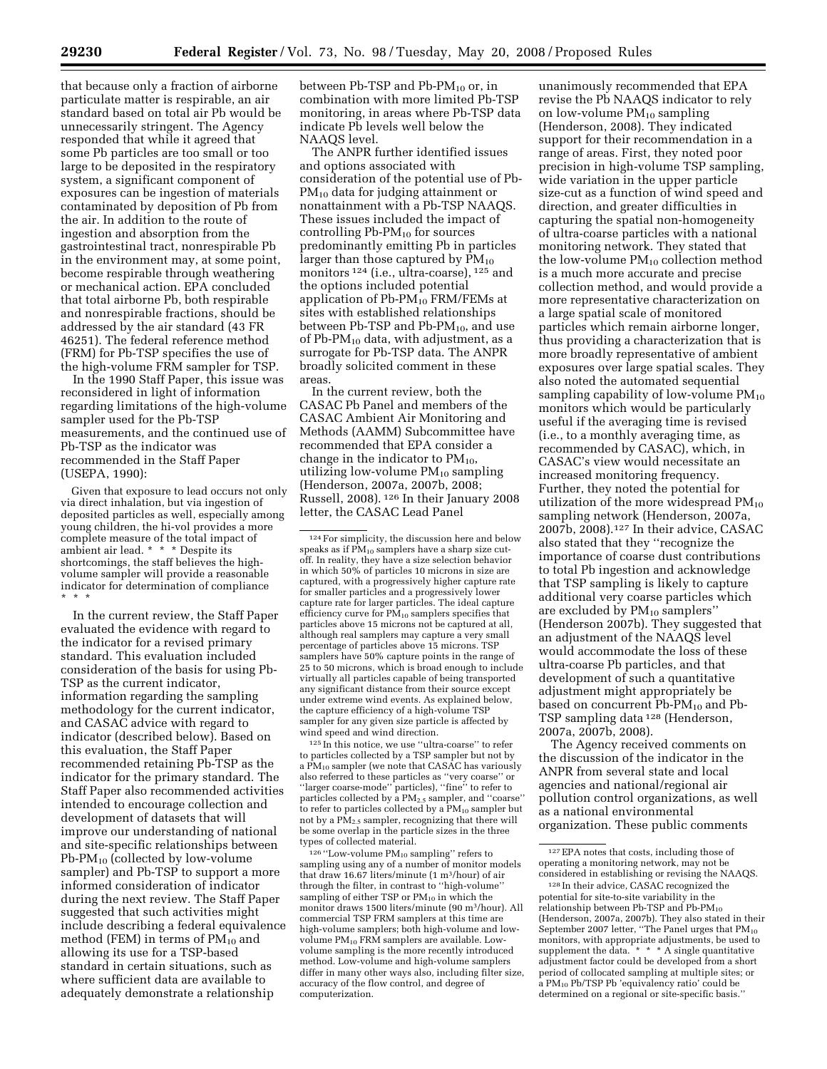that because only a fraction of airborne particulate matter is respirable, an air standard based on total air Pb would be unnecessarily stringent. The Agency responded that while it agreed that some Pb particles are too small or too large to be deposited in the respiratory system, a significant component of exposures can be ingestion of materials contaminated by deposition of Pb from the air. In addition to the route of ingestion and absorption from the gastrointestinal tract, nonrespirable Pb in the environment may, at some point, become respirable through weathering or mechanical action. EPA concluded that total airborne Pb, both respirable and nonrespirable fractions, should be addressed by the air standard (43 FR 46251). The federal reference method (FRM) for Pb-TSP specifies the use of the high-volume FRM sampler for TSP.

In the 1990 Staff Paper, this issue was reconsidered in light of information regarding limitations of the high-volume sampler used for the Pb-TSP measurements, and the continued use of Pb-TSP as the indicator was recommended in the Staff Paper (USEPA, 1990):

Given that exposure to lead occurs not only via direct inhalation, but via ingestion of deposited particles as well, especially among young children, the hi-vol provides a more complete measure of the total impact of ambient air lead. \* \* \* Despite its shortcomings, the staff believes the highvolume sampler will provide a reasonable indicator for determination of compliance \* \* \*

In the current review, the Staff Paper evaluated the evidence with regard to the indicator for a revised primary standard. This evaluation included consideration of the basis for using Pb-TSP as the current indicator, information regarding the sampling methodology for the current indicator, and CASAC advice with regard to indicator (described below). Based on this evaluation, the Staff Paper recommended retaining Pb-TSP as the indicator for the primary standard. The Staff Paper also recommended activities intended to encourage collection and development of datasets that will improve our understanding of national and site-specific relationships between  $Pb-PM_{10}$  (collected by low-volume sampler) and Pb-TSP to support a more informed consideration of indicator during the next review. The Staff Paper suggested that such activities might include describing a federal equivalence method (FEM) in terms of  $PM_{10}$  and allowing its use for a TSP-based standard in certain situations, such as where sufficient data are available to adequately demonstrate a relationship

between Pb-TSP and Pb-PM<sub>10</sub> or, in combination with more limited Pb-TSP monitoring, in areas where Pb-TSP data indicate Pb levels well below the NAAQS level.

The ANPR further identified issues and options associated with consideration of the potential use of Pb-PM<sub>10</sub> data for judging attainment or nonattainment with a Pb-TSP NAAQS. These issues included the impact of controlling Pb-PM<sub>10</sub> for sources predominantly emitting Pb in particles larger than those captured by  $PM_{10}$ monitors 124 (i.e., ultra-coarse), 125 and the options included potential application of  $Pb-PM_{10}$  FRM/FEMs at sites with established relationships between Pb-TSP and Pb- $PM_{10}$ , and use of Pb-P $M_{10}$  data, with adjustment, as a surrogate for Pb-TSP data. The ANPR broadly solicited comment in these areas.

In the current review, both the CASAC Pb Panel and members of the CASAC Ambient Air Monitoring and Methods (AAMM) Subcommittee have recommended that EPA consider a change in the indicator to  $PM_{10}$ , utilizing low-volume  $PM_{10}$  sampling (Henderson, 2007a, 2007b, 2008; Russell, 2008). 126 In their January 2008 letter, the CASAC Lead Panel

125 In this notice, we use ''ultra-coarse'' to refer to particles collected by a TSP sampler but not by a PM10 sampler (we note that CASAC has variously also referred to these particles as ''very coarse'' or ''larger coarse-mode'' particles), ''fine'' to refer to particles collected by a PM<sub>2.5</sub> sampler, and "coarse" to refer to particles collected by a  $\text{PM}_{10}$  sampler but not by a  $\tilde{PM}_{2.5}$  sampler, recognizing that there will be some overlap in the particle sizes in the three types of collected material.

<sup>126</sup> "Low-volume PM<sub>10</sub> sampling" refers to sampling using any of a number of monitor models that draw 16.67 liters/minute (1 m3/hour) of air through the filter, in contrast to ''high-volume'' sampling of either TSP or  $PM_{10}$  in which the monitor draws 1500 liters/minute (90 m3/hour). All commercial TSP FRM samplers at this time are high-volume samplers; both high-volume and lowvolume PM10 FRM samplers are available. Lowvolume sampling is the more recently introduced method. Low-volume and high-volume samplers differ in many other ways also, including filter size, accuracy of the flow control, and degree of computerization.

unanimously recommended that EPA revise the Pb NAAQS indicator to rely on low-volume  $PM_{10}$  sampling (Henderson, 2008). They indicated support for their recommendation in a range of areas. First, they noted poor precision in high-volume TSP sampling, wide variation in the upper particle size-cut as a function of wind speed and direction, and greater difficulties in capturing the spatial non-homogeneity of ultra-coarse particles with a national monitoring network. They stated that the low-volume  $PM_{10}$  collection method is a much more accurate and precise collection method, and would provide a more representative characterization on a large spatial scale of monitored particles which remain airborne longer, thus providing a characterization that is more broadly representative of ambient exposures over large spatial scales. They also noted the automated sequential sampling capability of low-volume  $PM_{10}$ monitors which would be particularly useful if the averaging time is revised (i.e., to a monthly averaging time, as recommended by CASAC), which, in CASAC's view would necessitate an increased monitoring frequency. Further, they noted the potential for utilization of the more widespread  $PM_{10}$ sampling network (Henderson, 2007a, 2007b, 2008).127 In their advice, CASAC also stated that they ''recognize the importance of coarse dust contributions to total Pb ingestion and acknowledge that TSP sampling is likely to capture additional very coarse particles which are excluded by  $PM_{10}$  samplers" (Henderson 2007b). They suggested that an adjustment of the NAAQS level would accommodate the loss of these ultra-coarse Pb particles, and that development of such a quantitative adjustment might appropriately be based on concurrent  $Pb-PM_{10}$  and  $Pb-$ TSP sampling data 128 (Henderson, 2007a, 2007b, 2008).

The Agency received comments on the discussion of the indicator in the ANPR from several state and local agencies and national/regional air pollution control organizations, as well as a national environmental organization. These public comments

<sup>124</sup>For simplicity, the discussion here and below speaks as if  $\bar{PM}_{10}$  samplers have a sharp size cutoff. In reality, they have a size selection behavior in which 50% of particles 10 microns in size are captured, with a progressively higher capture rate for smaller particles and a progressively lower capture rate for larger particles. The ideal capture efficiency curve for  $\tilde{PM}_{10}$  samplers specifies that particles above 15 microns not be captured at all, although real samplers may capture a very small percentage of particles above 15 microns. TSP samplers have 50% capture points in the range of 25 to 50 microns, which is broad enough to include virtually all particles capable of being transported any significant distance from their source except under extreme wind events. As explained below, the capture efficiency of a high-volume TSP sampler for any given size particle is affected by wind speed and wind direction.

<sup>127</sup>EPA notes that costs, including those of operating a monitoring network, may not be considered in establishing or revising the NAAQS.

<sup>128</sup> In their advice, CASAC recognized the potential for site-to-site variability in the relationship between Pb-TSP and Pb-PM10 (Henderson, 2007a, 2007b). They also stated in their September 2007 letter, "The Panel urges that  $PM_{10}$ monitors, with appropriate adjustments, be used to supplement the data.  $* * * A$  single quantitative adjustment factor could be developed from a short period of collocated sampling at multiple sites; or a PM10 Pb/TSP Pb 'equivalency ratio' could be determined on a regional or site-specific basis.''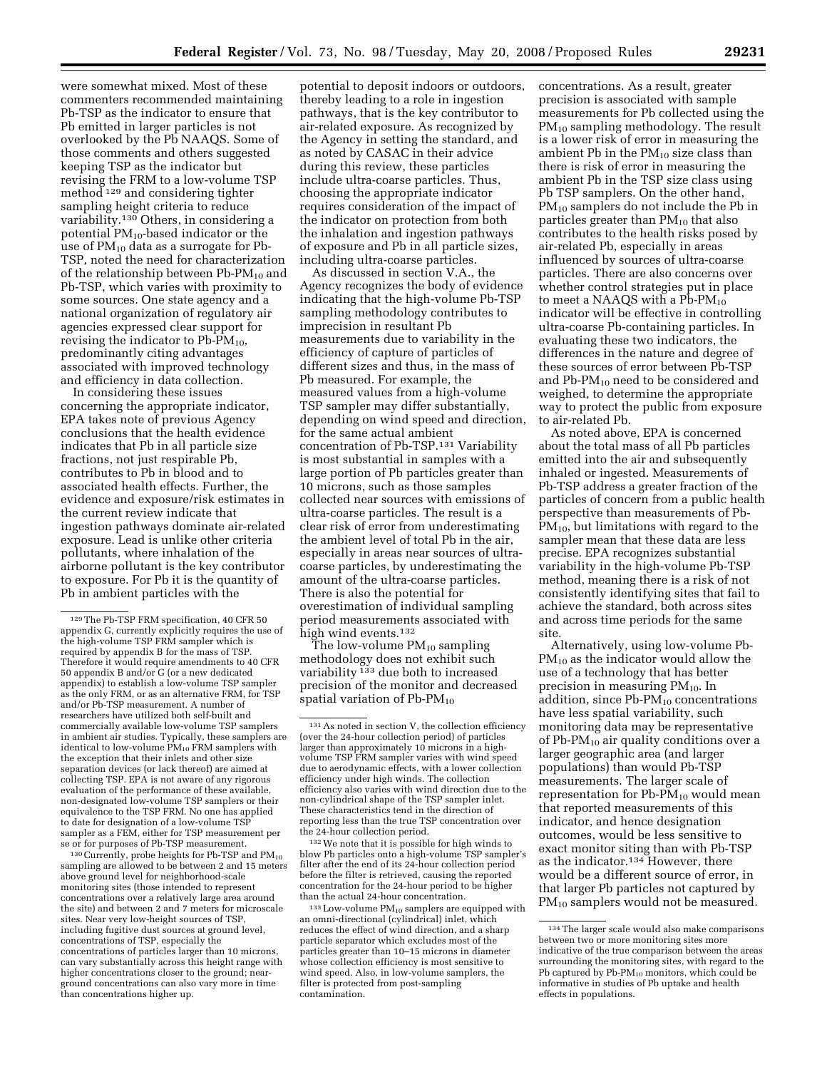were somewhat mixed. Most of these commenters recommended maintaining Pb-TSP as the indicator to ensure that Pb emitted in larger particles is not overlooked by the Pb NAAQS. Some of those comments and others suggested keeping TSP as the indicator but revising the FRM to a low-volume TSP method<sup>129</sup> and considering tighter sampling height criteria to reduce variability.130 Others, in considering a potential  $PM_{10}$ -based indicator or the use of  $PM_{10}$  data as a surrogate for Pb-TSP, noted the need for characterization of the relationship between  $Pb-PM_{10}$  and Pb-TSP, which varies with proximity to some sources. One state agency and a national organization of regulatory air agencies expressed clear support for revising the indicator to  $Pb-PM_{10}$ , predominantly citing advantages associated with improved technology and efficiency in data collection.

In considering these issues concerning the appropriate indicator, EPA takes note of previous Agency conclusions that the health evidence indicates that Pb in all particle size fractions, not just respirable Pb, contributes to Pb in blood and to associated health effects. Further, the evidence and exposure/risk estimates in the current review indicate that ingestion pathways dominate air-related exposure. Lead is unlike other criteria pollutants, where inhalation of the airborne pollutant is the key contributor to exposure. For Pb it is the quantity of Pb in ambient particles with the

<sup>130</sup> Currently, probe heights for Pb-TSP and PM<sub>10</sub> sampling are allowed to be between 2 and 15 meters above ground level for neighborhood-scale monitoring sites (those intended to represent concentrations over a relatively large area around the site) and between 2 and 7 meters for microscale sites. Near very low-height sources of TSP, including fugitive dust sources at ground level, concentrations of TSP, especially the concentrations of particles larger than 10 microns, can vary substantially across this height range with higher concentrations closer to the ground; nearground concentrations can also vary more in time than concentrations higher up.

potential to deposit indoors or outdoors, thereby leading to a role in ingestion pathways, that is the key contributor to air-related exposure. As recognized by the Agency in setting the standard, and as noted by CASAC in their advice during this review, these particles include ultra-coarse particles. Thus, choosing the appropriate indicator requires consideration of the impact of the indicator on protection from both the inhalation and ingestion pathways of exposure and Pb in all particle sizes, including ultra-coarse particles.

As discussed in section V.A., the Agency recognizes the body of evidence indicating that the high-volume Pb-TSP sampling methodology contributes to imprecision in resultant Pb measurements due to variability in the efficiency of capture of particles of different sizes and thus, in the mass of Pb measured. For example, the measured values from a high-volume TSP sampler may differ substantially, depending on wind speed and direction, for the same actual ambient concentration of Pb-TSP.131 Variability is most substantial in samples with a large portion of Pb particles greater than 10 microns, such as those samples collected near sources with emissions of ultra-coarse particles. The result is a clear risk of error from underestimating the ambient level of total Pb in the air, especially in areas near sources of ultracoarse particles, by underestimating the amount of the ultra-coarse particles. There is also the potential for overestimation of individual sampling period measurements associated with high wind events.132

The low-volume  $PM_{10}$  sampling methodology does not exhibit such variability 133 due both to increased precision of the monitor and decreased spatial variation of  $Pb-PM_{10}$ 

132We note that it is possible for high winds to blow Pb particles onto a high-volume TSP sampler's filter after the end of its 24-hour collection period before the filter is retrieved, causing the reported concentration for the 24-hour period to be higher than the actual 24-hour concentration.

 $133$  Low-volume  $PM_{10}$  samplers are equipped with an omni-directional (cylindrical) inlet, which reduces the effect of wind direction, and a sharp particle separator which excludes most of the particles greater than 10–15 microns in diameter whose collection efficiency is most sensitive to wind speed. Also, in low-volume samplers, the filter is protected from post-sampling contamination.

concentrations. As a result, greater precision is associated with sample measurements for Pb collected using the PM<sub>10</sub> sampling methodology. The result is a lower risk of error in measuring the ambient Pb in the  $PM_{10}$  size class than there is risk of error in measuring the ambient Pb in the TSP size class using Pb TSP samplers. On the other hand, PM<sub>10</sub> samplers do not include the Pb in particles greater than  $PM_{10}$  that also contributes to the health risks posed by air-related Pb, especially in areas influenced by sources of ultra-coarse particles. There are also concerns over whether control strategies put in place to meet a NAAQS with a  $Pb-PM_{10}$ indicator will be effective in controlling ultra-coarse Pb-containing particles. In evaluating these two indicators, the differences in the nature and degree of these sources of error between Pb-TSP and  $Pb-PM_{10}$  need to be considered and weighed, to determine the appropriate way to protect the public from exposure to air-related Pb.

As noted above, EPA is concerned about the total mass of all Pb particles emitted into the air and subsequently inhaled or ingested. Measurements of Pb-TSP address a greater fraction of the particles of concern from a public health perspective than measurements of Pb- $PM_{10}$ , but limitations with regard to the sampler mean that these data are less precise. EPA recognizes substantial variability in the high-volume Pb-TSP method, meaning there is a risk of not consistently identifying sites that fail to achieve the standard, both across sites and across time periods for the same site.

Alternatively, using low-volume Pb-PM<sub>10</sub> as the indicator would allow the use of a technology that has better precision in measuring  $PM_{10}$ . In addition, since  $Pb-PM_{10}$  concentrations have less spatial variability, such monitoring data may be representative of Pb-PM10 air quality conditions over a larger geographic area (and larger populations) than would Pb-TSP measurements. The larger scale of representation for  $Pb-PM_{10}$  would mean that reported measurements of this indicator, and hence designation outcomes, would be less sensitive to exact monitor siting than with Pb-TSP as the indicator.134 However, there would be a different source of error, in that larger Pb particles not captured by PM<sub>10</sub> samplers would not be measured.

<sup>129</sup>The Pb-TSP FRM specification, 40 CFR 50 appendix G, currently explicitly requires the use of the high-volume TSP FRM sampler which is required by appendix B for the mass of TSP. Therefore it would require amendments to 40 CFR 50 appendix B and/or G (or a new dedicated appendix) to establish a low-volume TSP sampler as the only FRM, or as an alternative FRM, for TSP and/or Pb-TSP measurement. A number of researchers have utilized both self-built and commercially available low-volume TSP samplers in ambient air studies. Typically, these samplers are identical to low-volume PM<sub>10</sub> FRM samplers with the exception that their inlets and other size separation devices (or lack thereof) are aimed at collecting TSP. EPA is not aware of any rigorous evaluation of the performance of these available, non-designated low-volume TSP samplers or their equivalence to the TSP FRM. No one has applied to date for designation of a low-volume TSI sampler as a FEM, either for TSP measurement per se or for purposes of Pb-TSP measurement.

<sup>131</sup>As noted in section V, the collection efficiency (over the 24-hour collection period) of particles larger than approximately 10 microns in a highvolume TSP FRM sampler varies with wind speed due to aerodynamic effects, with a lower collection efficiency under high winds. The collection efficiency also varies with wind direction due to the non-cylindrical shape of the TSP sampler inlet. These characteristics tend in the direction of reporting less than the true TSP concentration over the 24-hour collection period.

<sup>134</sup>The larger scale would also make comparisons between two or more monitoring sites more indicative of the true comparison between the areas surrounding the monitoring sites, with regard to the Pb captured by Pb-PM<sub>10</sub> monitors, which could be informative in studies of Pb uptake and health effects in populations.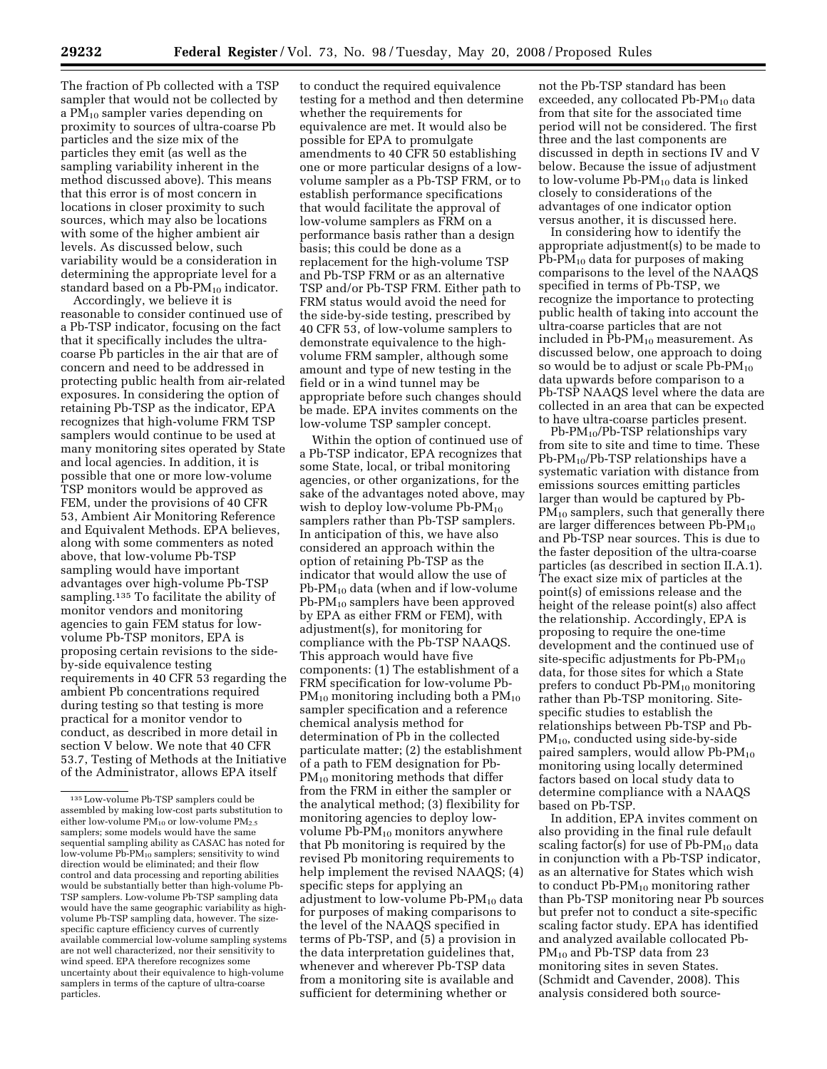The fraction of Pb collected with a TSP sampler that would not be collected by a PM<sub>10</sub> sampler varies depending on proximity to sources of ultra-coarse Pb particles and the size mix of the particles they emit (as well as the sampling variability inherent in the method discussed above). This means that this error is of most concern in locations in closer proximity to such sources, which may also be locations with some of the higher ambient air levels. As discussed below, such variability would be a consideration in determining the appropriate level for a standard based on a  $Pb-PM_{10}$  indicator.

Accordingly, we believe it is reasonable to consider continued use of a Pb-TSP indicator, focusing on the fact that it specifically includes the ultracoarse Pb particles in the air that are of concern and need to be addressed in protecting public health from air-related exposures. In considering the option of retaining Pb-TSP as the indicator, EPA recognizes that high-volume FRM TSP samplers would continue to be used at many monitoring sites operated by State and local agencies. In addition, it is possible that one or more low-volume TSP monitors would be approved as FEM, under the provisions of 40 CFR 53, Ambient Air Monitoring Reference and Equivalent Methods. EPA believes, along with some commenters as noted above, that low-volume Pb-TSP sampling would have important advantages over high-volume Pb-TSP sampling.135 To facilitate the ability of monitor vendors and monitoring agencies to gain FEM status for lowvolume Pb-TSP monitors, EPA is proposing certain revisions to the sideby-side equivalence testing requirements in 40 CFR 53 regarding the ambient Pb concentrations required during testing so that testing is more practical for a monitor vendor to conduct, as described in more detail in section V below. We note that 40 CFR 53.7, Testing of Methods at the Initiative of the Administrator, allows EPA itself

to conduct the required equivalence testing for a method and then determine whether the requirements for equivalence are met. It would also be possible for EPA to promulgate amendments to 40 CFR 50 establishing one or more particular designs of a lowvolume sampler as a Pb-TSP FRM, or to establish performance specifications that would facilitate the approval of low-volume samplers as FRM on a performance basis rather than a design basis; this could be done as a replacement for the high-volume TSP and Pb-TSP FRM or as an alternative TSP and/or Pb-TSP FRM. Either path to FRM status would avoid the need for the side-by-side testing, prescribed by 40 CFR 53, of low-volume samplers to demonstrate equivalence to the highvolume FRM sampler, although some amount and type of new testing in the field or in a wind tunnel may be appropriate before such changes should be made. EPA invites comments on the low-volume TSP sampler concept.

Within the option of continued use of a Pb-TSP indicator, EPA recognizes that some State, local, or tribal monitoring agencies, or other organizations, for the sake of the advantages noted above, may wish to deploy low-volume  $Pb-PM_{10}$ samplers rather than Pb-TSP samplers. In anticipation of this, we have also considered an approach within the option of retaining Pb-TSP as the indicator that would allow the use of Pb-PM10 data (when and if low-volume Pb-PM<sub>10</sub> samplers have been approved by EPA as either FRM or FEM), with adjustment(s), for monitoring for compliance with the Pb-TSP NAAQS. This approach would have five components: (1) The establishment of a FRM specification for low-volume Pb- $PM_{10}$  monitoring including both a  $PM_{10}$ sampler specification and a reference chemical analysis method for determination of Pb in the collected particulate matter; (2) the establishment of a path to FEM designation for Pb- $PM_{10}$  monitoring methods that differ from the FRM in either the sampler or the analytical method; (3) flexibility for monitoring agencies to deploy lowvolume Pb-PM10 monitors anywhere that Pb monitoring is required by the revised Pb monitoring requirements to help implement the revised NAAQS; (4) specific steps for applying an adjustment to low-volume  $Pb-PM_{10}$  data for purposes of making comparisons to the level of the NAAQS specified in terms of Pb-TSP, and (5) a provision in the data interpretation guidelines that, whenever and wherever Pb-TSP data from a monitoring site is available and sufficient for determining whether or

not the Pb-TSP standard has been exceeded, any collocated  $Pb-PM_{10}$  data from that site for the associated time period will not be considered. The first three and the last components are discussed in depth in sections IV and V below. Because the issue of adjustment to low-volume  $Pb-PM_{10}$  data is linked closely to considerations of the advantages of one indicator option versus another, it is discussed here.

In considering how to identify the appropriate adjustment(s) to be made to Pb-PM10 data for purposes of making comparisons to the level of the NAAQS specified in terms of Pb-TSP, we recognize the importance to protecting public health of taking into account the ultra-coarse particles that are not included in Pb-PM10 measurement. As discussed below, one approach to doing so would be to adjust or scale  $Pb-PM_{10}$ data upwards before comparison to a Pb-TSP NAAQS level where the data are collected in an area that can be expected to have ultra-coarse particles present.

Pb-PM10/Pb-TSP relationships vary from site to site and time to time. These Pb-PM10/Pb-TSP relationships have a systematic variation with distance from emissions sources emitting particles larger than would be captured by Pb-PM<sub>10</sub> samplers, such that generally there are larger differences between  $Pb-PM_{10}$ and Pb-TSP near sources. This is due to the faster deposition of the ultra-coarse particles (as described in section II.A.1). The exact size mix of particles at the point(s) of emissions release and the height of the release point(s) also affect the relationship. Accordingly, EPA is proposing to require the one-time development and the continued use of site-specific adjustments for  $Pb-PM_{10}$ data, for those sites for which a State prefers to conduct  $Pb-PM_{10}$  monitoring rather than Pb-TSP monitoring. Sitespecific studies to establish the relationships between Pb-TSP and Pb-PM10, conducted using side-by-side paired samplers, would allow Pb- $PM_{10}$ monitoring using locally determined factors based on local study data to determine compliance with a NAAQS based on Pb-TSP.

In addition, EPA invites comment on also providing in the final rule default scaling factor(s) for use of  $Pb-PM_{10}$  data in conjunction with a Pb-TSP indicator, as an alternative for States which wish to conduct  $Pb-PM_{10}$  monitoring rather than Pb-TSP monitoring near Pb sources but prefer not to conduct a site-specific scaling factor study. EPA has identified and analyzed available collocated Pb-PM10 and Pb-TSP data from 23 monitoring sites in seven States. (Schmidt and Cavender, 2008). This analysis considered both source-

<sup>135</sup>Low-volume Pb-TSP samplers could be assembled by making low-cost parts substitution to either low-volume  $PM_{10}$  or low-volume  $PM_{2.5}$ samplers; some models would have the same sequential sampling ability as CASAC has noted for low-volume  $Pb-PM_{10}$  samplers; sensitivity to wind direction would be eliminated; and their flow control and data processing and reporting abilities would be substantially better than high-volume Pb-TSP samplers. Low-volume Pb-TSP sampling data would have the same geographic variability as highvolume Pb-TSP sampling data, however. The sizespecific capture efficiency curves of currently available commercial low-volume sampling systems are not well characterized, nor their sensitivity to wind speed. EPA therefore recognizes some uncertainty about their equivalence to high-volume samplers in terms of the capture of ultra-coarse particles.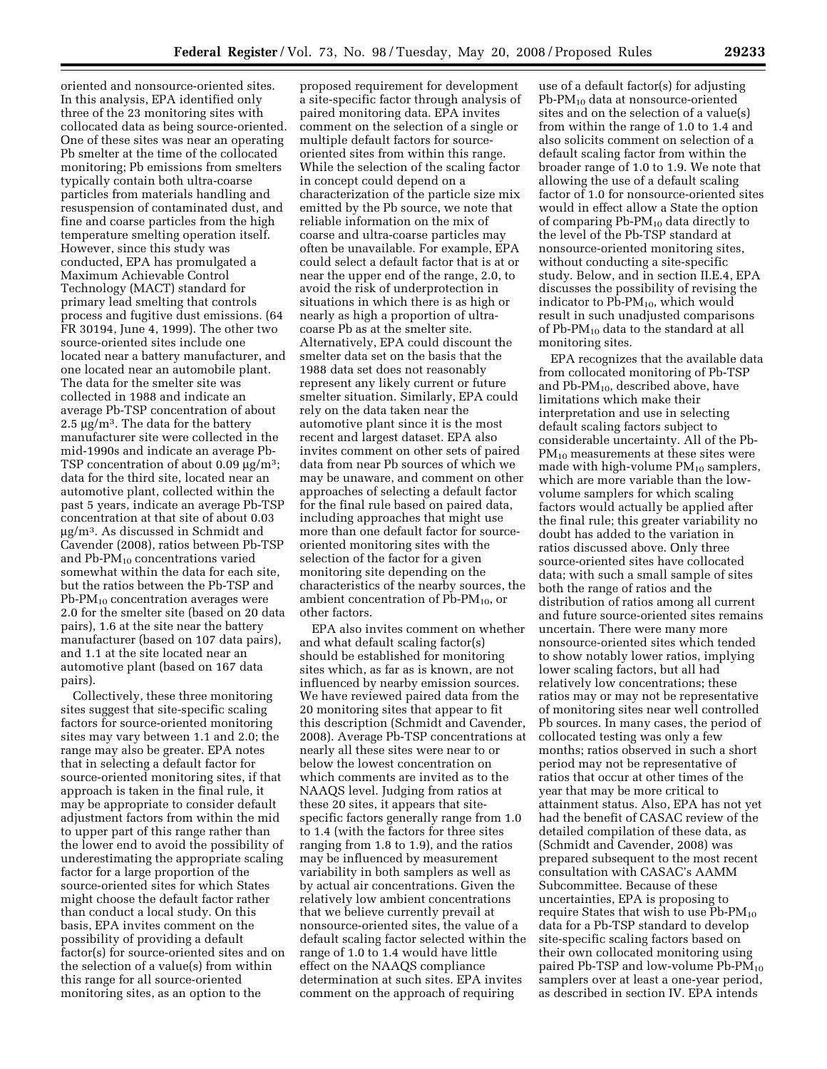oriented and nonsource-oriented sites. In this analysis, EPA identified only three of the 23 monitoring sites with collocated data as being source-oriented. One of these sites was near an operating Pb smelter at the time of the collocated monitoring; Pb emissions from smelters typically contain both ultra-coarse particles from materials handling and resuspension of contaminated dust, and fine and coarse particles from the high temperature smelting operation itself. However, since this study was conducted, EPA has promulgated a Maximum Achievable Control Technology (MACT) standard for primary lead smelting that controls process and fugitive dust emissions. (64 FR 30194, June 4, 1999). The other two source-oriented sites include one located near a battery manufacturer, and one located near an automobile plant. The data for the smelter site was collected in 1988 and indicate an average Pb-TSP concentration of about 2.5  $\mu$ g/m<sup>3</sup>. The data for the battery manufacturer site were collected in the mid-1990s and indicate an average Pb-TSP concentration of about  $0.09 \mu g/m^3$ ; data for the third site, located near an automotive plant, collected within the past 5 years, indicate an average Pb-TSP concentration at that site of about 0.03 µg/m3. As discussed in Schmidt and Cavender (2008), ratios between Pb-TSP and  $Pb-PM_{10}$  concentrations varied somewhat within the data for each site, but the ratios between the Pb-TSP and  $Pb-PM<sub>10</sub>$  concentration averages were 2.0 for the smelter site (based on 20 data pairs), 1.6 at the site near the battery manufacturer (based on 107 data pairs), and 1.1 at the site located near an automotive plant (based on 167 data pairs).

Collectively, these three monitoring sites suggest that site-specific scaling factors for source-oriented monitoring sites may vary between 1.1 and 2.0; the range may also be greater. EPA notes that in selecting a default factor for source-oriented monitoring sites, if that approach is taken in the final rule, it may be appropriate to consider default adjustment factors from within the mid to upper part of this range rather than the lower end to avoid the possibility of underestimating the appropriate scaling factor for a large proportion of the source-oriented sites for which States might choose the default factor rather than conduct a local study. On this basis, EPA invites comment on the possibility of providing a default factor(s) for source-oriented sites and on the selection of a value(s) from within this range for all source-oriented monitoring sites, as an option to the

proposed requirement for development a site-specific factor through analysis of paired monitoring data. EPA invites comment on the selection of a single or multiple default factors for sourceoriented sites from within this range. While the selection of the scaling factor in concept could depend on a characterization of the particle size mix emitted by the Pb source, we note that reliable information on the mix of coarse and ultra-coarse particles may often be unavailable. For example, EPA could select a default factor that is at or near the upper end of the range, 2.0, to avoid the risk of underprotection in situations in which there is as high or nearly as high a proportion of ultracoarse Pb as at the smelter site. Alternatively, EPA could discount the smelter data set on the basis that the 1988 data set does not reasonably represent any likely current or future smelter situation. Similarly, EPA could rely on the data taken near the automotive plant since it is the most recent and largest dataset. EPA also invites comment on other sets of paired data from near Pb sources of which we may be unaware, and comment on other approaches of selecting a default factor for the final rule based on paired data, including approaches that might use more than one default factor for sourceoriented monitoring sites with the selection of the factor for a given monitoring site depending on the characteristics of the nearby sources, the ambient concentration of  $Pb-PM_{10}$ , or other factors.

EPA also invites comment on whether and what default scaling factor(s) should be established for monitoring sites which, as far as is known, are not influenced by nearby emission sources. We have reviewed paired data from the 20 monitoring sites that appear to fit this description (Schmidt and Cavender, 2008). Average Pb-TSP concentrations at nearly all these sites were near to or below the lowest concentration on which comments are invited as to the NAAQS level. Judging from ratios at these 20 sites, it appears that sitespecific factors generally range from 1.0 to 1.4 (with the factors for three sites ranging from 1.8 to 1.9), and the ratios may be influenced by measurement variability in both samplers as well as by actual air concentrations. Given the relatively low ambient concentrations that we believe currently prevail at nonsource-oriented sites, the value of a default scaling factor selected within the range of 1.0 to 1.4 would have little effect on the NAAQS compliance determination at such sites. EPA invites comment on the approach of requiring

use of a default factor(s) for adjusting Pb-PM10 data at nonsource-oriented sites and on the selection of a value(s) from within the range of 1.0 to 1.4 and also solicits comment on selection of a default scaling factor from within the broader range of 1.0 to 1.9. We note that allowing the use of a default scaling factor of 1.0 for nonsource-oriented sites would in effect allow a State the option of comparing  $Pb-PM_{10}$  data directly to the level of the Pb-TSP standard at nonsource-oriented monitoring sites, without conducting a site-specific study. Below, and in section II.E.4, EPA discusses the possibility of revising the indicator to  $P\bar{b}$ -PM<sub>10</sub>, which would result in such unadjusted comparisons of Pb-PM10 data to the standard at all monitoring sites.

EPA recognizes that the available data from collocated monitoring of Pb-TSP and Pb-PM10, described above, have limitations which make their interpretation and use in selecting default scaling factors subject to considerable uncertainty. All of the Pb-PM<sub>10</sub> measurements at these sites were made with high-volume PM<sub>10</sub> samplers, which are more variable than the lowvolume samplers for which scaling factors would actually be applied after the final rule; this greater variability no doubt has added to the variation in ratios discussed above. Only three source-oriented sites have collocated data; with such a small sample of sites both the range of ratios and the distribution of ratios among all current and future source-oriented sites remains uncertain. There were many more nonsource-oriented sites which tended to show notably lower ratios, implying lower scaling factors, but all had relatively low concentrations; these ratios may or may not be representative of monitoring sites near well controlled Pb sources. In many cases, the period of collocated testing was only a few months; ratios observed in such a short period may not be representative of ratios that occur at other times of the year that may be more critical to attainment status. Also, EPA has not yet had the benefit of CASAC review of the detailed compilation of these data, as (Schmidt and Cavender, 2008) was prepared subsequent to the most recent consultation with CASAC's AAMM Subcommittee. Because of these uncertainties, EPA is proposing to require States that wish to use  $Pb-PM_{10}$ data for a Pb-TSP standard to develop site-specific scaling factors based on their own collocated monitoring using paired Pb-TSP and low-volume Pb-P $\rm \dot{M}_{10}$ samplers over at least a one-year period, as described in section IV. EPA intends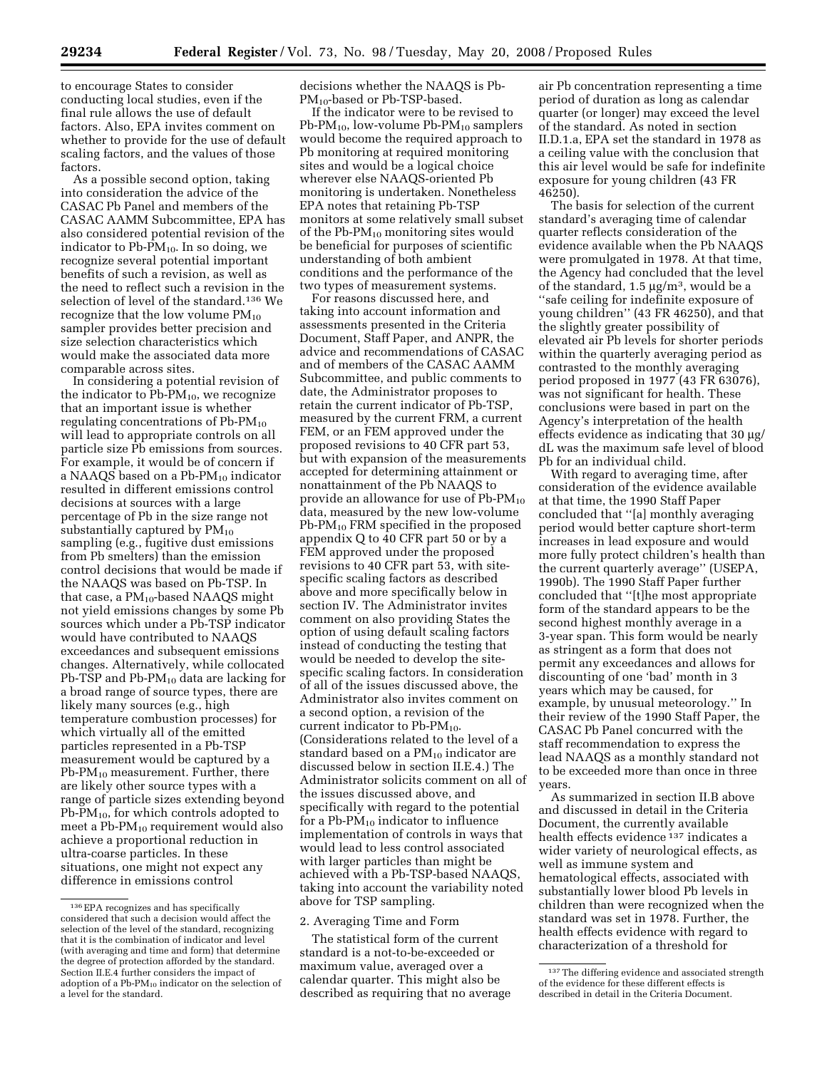to encourage States to consider conducting local studies, even if the final rule allows the use of default factors. Also, EPA invites comment on whether to provide for the use of default scaling factors, and the values of those factors.

As a possible second option, taking into consideration the advice of the CASAC Pb Panel and members of the CASAC AAMM Subcommittee, EPA has also considered potential revision of the indicator to  $Pb-PM_{10}$ . In so doing, we recognize several potential important benefits of such a revision, as well as the need to reflect such a revision in the selection of level of the standard.136 We recognize that the low volume  $PM_{10}$ sampler provides better precision and size selection characteristics which would make the associated data more comparable across sites.

In considering a potential revision of the indicator to  $Pb-PM_{10}$ , we recognize that an important issue is whether regulating concentrations of  $Pb-PM_{10}$ will lead to appropriate controls on all particle size Pb emissions from sources. For example, it would be of concern if a NAAQS based on a  $Pb-PM_{10}$  indicator resulted in different emissions control decisions at sources with a large percentage of Pb in the size range not substantially captured by  $PM_{10}$ sampling (e.g., fugitive dust emissions from Pb smelters) than the emission control decisions that would be made if the NAAQS was based on Pb-TSP. In that case, a  $PM_{10}$ -based NAAQS might not yield emissions changes by some Pb sources which under a Pb-TSP indicator would have contributed to NAAQS exceedances and subsequent emissions changes. Alternatively, while collocated Pb-TSP and  $Pb-PM_{10}$  data are lacking for a broad range of source types, there are likely many sources (e.g., high temperature combustion processes) for which virtually all of the emitted particles represented in a Pb-TSP measurement would be captured by a Pb-PM<sub>10</sub> measurement. Further, there are likely other source types with a range of particle sizes extending beyond Pb-PM10, for which controls adopted to meet a Pb-PM<sub>10</sub> requirement would also achieve a proportional reduction in ultra-coarse particles. In these situations, one might not expect any difference in emissions control

decisions whether the NAAQS is Pb-PM<sub>10</sub>-based or Pb-TSP-based.

If the indicator were to be revised to Pb-P $M_{10}$ , low-volume Pb-P $M_{10}$  samplers would become the required approach to Pb monitoring at required monitoring sites and would be a logical choice wherever else NAAQS-oriented Pb monitoring is undertaken. Nonetheless EPA notes that retaining Pb-TSP monitors at some relatively small subset of the  $Pb-PM_{10}$  monitoring sites would be beneficial for purposes of scientific understanding of both ambient conditions and the performance of the two types of measurement systems.

For reasons discussed here, and taking into account information and assessments presented in the Criteria Document, Staff Paper, and ANPR, the advice and recommendations of CASAC and of members of the CASAC AAMM Subcommittee, and public comments to date, the Administrator proposes to retain the current indicator of Pb-TSP, measured by the current FRM, a current FEM, or an FEM approved under the proposed revisions to 40 CFR part 53, but with expansion of the measurements accepted for determining attainment or nonattainment of the Pb NAAQS to provide an allowance for use of  $Pb-PM_{10}$ data, measured by the new low-volume  $Pb-PM_{10}$  FRM specified in the proposed appendix Q to 40 CFR part 50 or by a FEM approved under the proposed revisions to 40 CFR part 53, with sitespecific scaling factors as described above and more specifically below in section IV. The Administrator invites comment on also providing States the option of using default scaling factors instead of conducting the testing that would be needed to develop the sitespecific scaling factors. In consideration of all of the issues discussed above, the Administrator also invites comment on a second option, a revision of the current indicator to Pb-PM10. (Considerations related to the level of a standard based on a  $PM_{10}$  indicator are discussed below in section II.E.4.) The Administrator solicits comment on all of the issues discussed above, and specifically with regard to the potential for a  $Pb-PM_{10}$  indicator to influence implementation of controls in ways that would lead to less control associated with larger particles than might be achieved with a Pb-TSP-based NAAQS, taking into account the variability noted above for TSP sampling.

2. Averaging Time and Form

The statistical form of the current standard is a not-to-be-exceeded or maximum value, averaged over a calendar quarter. This might also be described as requiring that no average

air Pb concentration representing a time period of duration as long as calendar quarter (or longer) may exceed the level of the standard. As noted in section II.D.1.a, EPA set the standard in 1978 as a ceiling value with the conclusion that this air level would be safe for indefinite exposure for young children (43 FR 46250).

The basis for selection of the current standard's averaging time of calendar quarter reflects consideration of the evidence available when the Pb NAAQS were promulgated in 1978. At that time, the Agency had concluded that the level of the standard,  $1.5 \mu g/m^3$ , would be a ''safe ceiling for indefinite exposure of young children'' (43 FR 46250), and that the slightly greater possibility of elevated air Pb levels for shorter periods within the quarterly averaging period as contrasted to the monthly averaging period proposed in 1977 (43 FR 63076), was not significant for health. These conclusions were based in part on the Agency's interpretation of the health effects evidence as indicating that 30 µg/ dL was the maximum safe level of blood Pb for an individual child.

With regard to averaging time, after consideration of the evidence available at that time, the 1990 Staff Paper concluded that ''[a] monthly averaging period would better capture short-term increases in lead exposure and would more fully protect children's health than the current quarterly average'' (USEPA, 1990b). The 1990 Staff Paper further concluded that ''[t]he most appropriate form of the standard appears to be the second highest monthly average in a 3-year span. This form would be nearly as stringent as a form that does not permit any exceedances and allows for discounting of one 'bad' month in 3 years which may be caused, for example, by unusual meteorology.'' In their review of the 1990 Staff Paper, the CASAC Pb Panel concurred with the staff recommendation to express the lead NAAQS as a monthly standard not to be exceeded more than once in three years.

As summarized in section II.B above and discussed in detail in the Criteria Document, the currently available health effects evidence<sup>137</sup> indicates a wider variety of neurological effects, as well as immune system and hematological effects, associated with substantially lower blood Pb levels in children than were recognized when the standard was set in 1978. Further, the health effects evidence with regard to characterization of a threshold for

<sup>136</sup>EPA recognizes and has specifically considered that such a decision would affect the selection of the level of the standard, recognizing that it is the combination of indicator and level (with averaging and time and form) that determine the degree of protection afforded by the standard. Section II.E.4 further considers the impact of adoption of a  $Pb-PM_{10}$  indicator on the selection of a level for the standard.

<sup>137</sup>The differing evidence and associated strength of the evidence for these different effects is described in detail in the Criteria Document.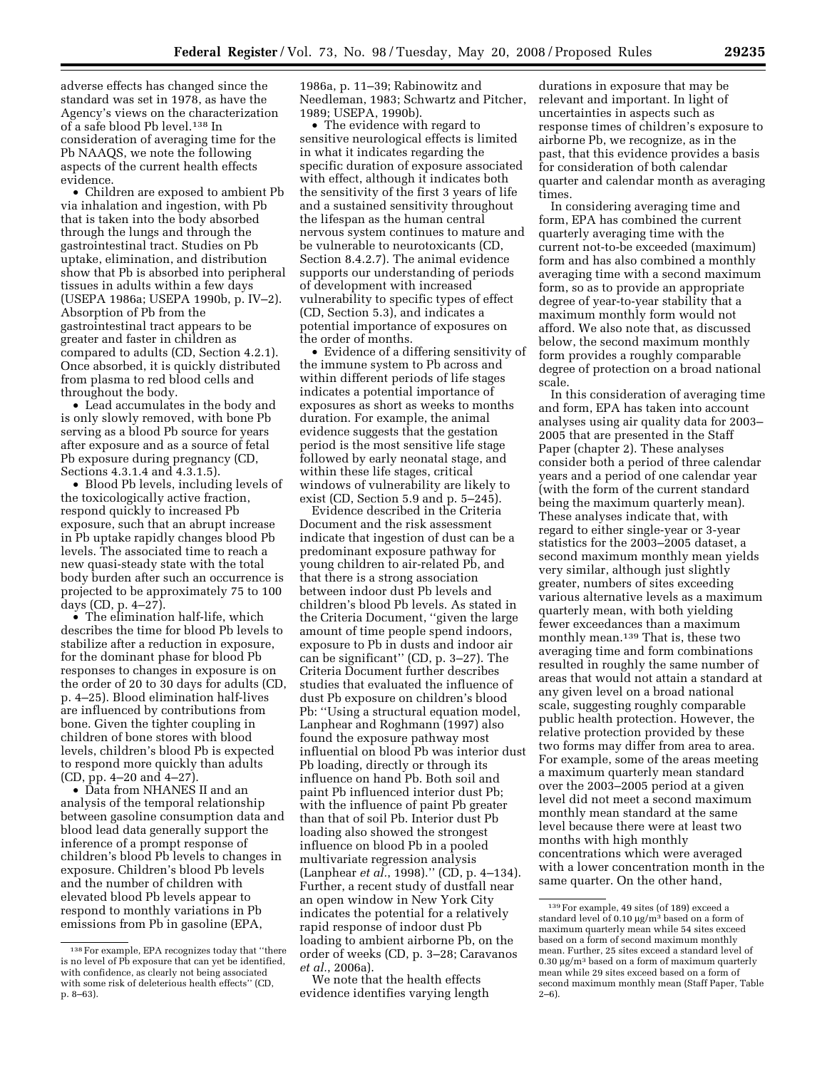adverse effects has changed since the standard was set in 1978, as have the Agency's views on the characterization of a safe blood Pb level.138 In consideration of averaging time for the Pb NAAQS, we note the following aspects of the current health effects evidence.

• Children are exposed to ambient Pb via inhalation and ingestion, with Pb that is taken into the body absorbed through the lungs and through the gastrointestinal tract. Studies on Pb uptake, elimination, and distribution show that Pb is absorbed into peripheral tissues in adults within a few days (USEPA 1986a; USEPA 1990b, p. IV–2). Absorption of Pb from the gastrointestinal tract appears to be greater and faster in children as compared to adults (CD, Section 4.2.1). Once absorbed, it is quickly distributed from plasma to red blood cells and throughout the body.

• Lead accumulates in the body and is only slowly removed, with bone Pb serving as a blood Pb source for years after exposure and as a source of fetal Pb exposure during pregnancy (CD, Sections 4.3.1.4 and 4.3.1.5).

• Blood Pb levels, including levels of the toxicologically active fraction, respond quickly to increased Pb exposure, such that an abrupt increase in Pb uptake rapidly changes blood Pb levels. The associated time to reach a new quasi-steady state with the total body burden after such an occurrence is projected to be approximately 75 to 100 days (CD, p. 4–27).

• The elimination half-life, which describes the time for blood Pb levels to stabilize after a reduction in exposure, for the dominant phase for blood Pb responses to changes in exposure is on the order of 20 to 30 days for adults (CD, p. 4–25). Blood elimination half-lives are influenced by contributions from bone. Given the tighter coupling in children of bone stores with blood levels, children's blood Pb is expected to respond more quickly than adults (CD, pp. 4–20 and 4–27).

• Data from NHANES II and an analysis of the temporal relationship between gasoline consumption data and blood lead data generally support the inference of a prompt response of children's blood Pb levels to changes in exposure. Children's blood Pb levels and the number of children with elevated blood Pb levels appear to respond to monthly variations in Pb emissions from Pb in gasoline (EPA,

1986a, p. 11–39; Rabinowitz and Needleman, 1983; Schwartz and Pitcher, 1989; USEPA, 1990b).

• The evidence with regard to sensitive neurological effects is limited in what it indicates regarding the specific duration of exposure associated with effect, although it indicates both the sensitivity of the first 3 years of life and a sustained sensitivity throughout the lifespan as the human central nervous system continues to mature and be vulnerable to neurotoxicants (CD, Section 8.4.2.7). The animal evidence supports our understanding of periods of development with increased vulnerability to specific types of effect (CD, Section 5.3), and indicates a potential importance of exposures on the order of months.

• Evidence of a differing sensitivity of the immune system to Pb across and within different periods of life stages indicates a potential importance of exposures as short as weeks to months duration. For example, the animal evidence suggests that the gestation period is the most sensitive life stage followed by early neonatal stage, and within these life stages, critical windows of vulnerability are likely to exist (CD, Section 5.9 and p. 5–245).

Evidence described in the Criteria Document and the risk assessment indicate that ingestion of dust can be a predominant exposure pathway for young children to air-related Pb, and that there is a strong association between indoor dust Pb levels and children's blood Pb levels. As stated in the Criteria Document, ''given the large amount of time people spend indoors, exposure to Pb in dusts and indoor air can be significant'' (CD, p. 3–27). The Criteria Document further describes studies that evaluated the influence of dust Pb exposure on children's blood Pb: ''Using a structural equation model, Lanphear and Roghmann (1997) also found the exposure pathway most influential on blood Pb was interior dust Pb loading, directly or through its influence on hand Pb. Both soil and paint Pb influenced interior dust Pb; with the influence of paint Pb greater than that of soil Pb. Interior dust Pb loading also showed the strongest influence on blood Pb in a pooled multivariate regression analysis (Lanphear *et al.*, 1998).'' (CD, p. 4–134). Further, a recent study of dustfall near an open window in New York City indicates the potential for a relatively rapid response of indoor dust Pb loading to ambient airborne Pb, on the order of weeks (CD, p. 3–28; Caravanos *et al.*, 2006a).

We note that the health effects evidence identifies varying length

durations in exposure that may be relevant and important. In light of uncertainties in aspects such as response times of children's exposure to airborne Pb, we recognize, as in the past, that this evidence provides a basis for consideration of both calendar quarter and calendar month as averaging times.

In considering averaging time and form, EPA has combined the current quarterly averaging time with the current not-to-be exceeded (maximum) form and has also combined a monthly averaging time with a second maximum form, so as to provide an appropriate degree of year-to-year stability that a maximum monthly form would not afford. We also note that, as discussed below, the second maximum monthly form provides a roughly comparable degree of protection on a broad national scale.

In this consideration of averaging time and form, EPA has taken into account analyses using air quality data for 2003– 2005 that are presented in the Staff Paper (chapter 2). These analyses consider both a period of three calendar years and a period of one calendar year (with the form of the current standard being the maximum quarterly mean). These analyses indicate that, with regard to either single-year or 3-year statistics for the 2003–2005 dataset, a second maximum monthly mean yields very similar, although just slightly greater, numbers of sites exceeding various alternative levels as a maximum quarterly mean, with both yielding fewer exceedances than a maximum monthly mean.139 That is, these two averaging time and form combinations resulted in roughly the same number of areas that would not attain a standard at any given level on a broad national scale, suggesting roughly comparable public health protection. However, the relative protection provided by these two forms may differ from area to area. For example, some of the areas meeting a maximum quarterly mean standard over the 2003–2005 period at a given level did not meet a second maximum monthly mean standard at the same level because there were at least two months with high monthly concentrations which were averaged with a lower concentration month in the same quarter. On the other hand,

<sup>138</sup>For example, EPA recognizes today that ''there is no level of Pb exposure that can yet be identified, with confidence, as clearly not being associated with some risk of deleterious health effects'' (CD, p. 8–63).

<sup>139</sup>For example, 49 sites (of 189) exceed a standard level of 0.10 µg/m3 based on a form of maximum quarterly mean while 54 sites exceed based on a form of second maximum monthly mean. Further, 25 sites exceed a standard level of 0.30 µg/m3 based on a form of maximum quarterly mean while 29 sites exceed based on a form of second maximum monthly mean (Staff Paper, Table  $2-6$ ).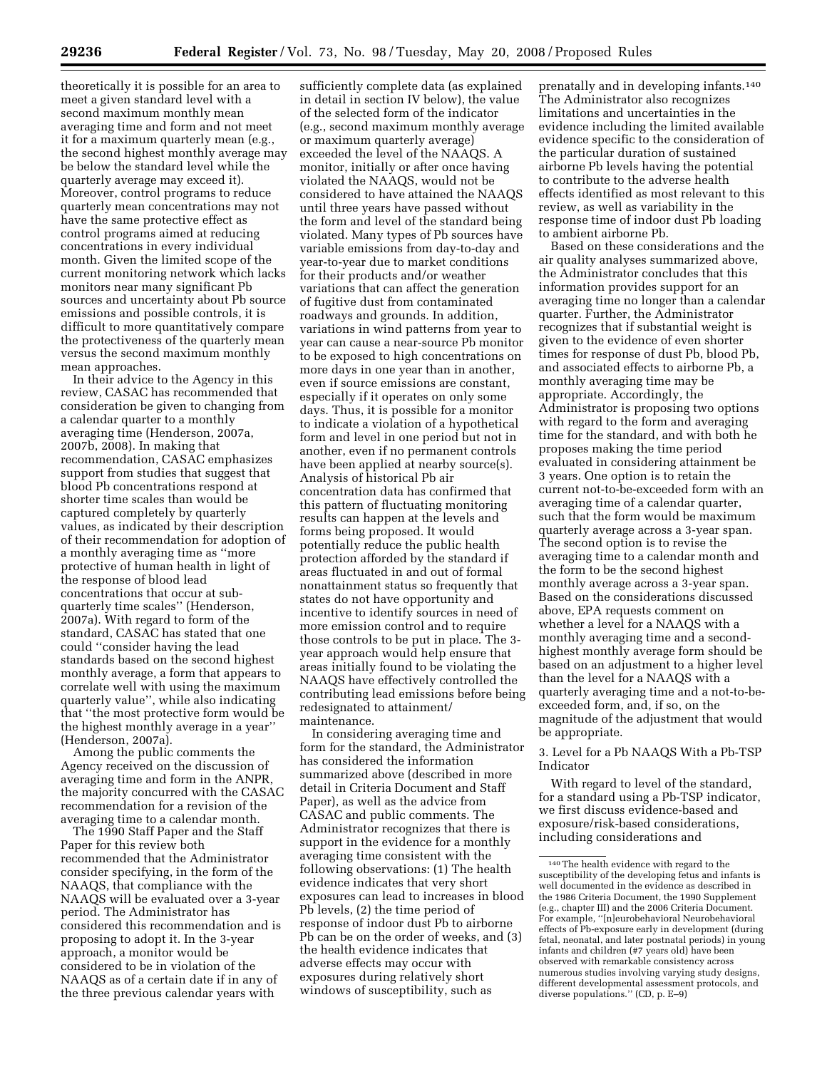theoretically it is possible for an area to meet a given standard level with a second maximum monthly mean averaging time and form and not meet it for a maximum quarterly mean (e.g., the second highest monthly average may be below the standard level while the quarterly average may exceed it). Moreover, control programs to reduce quarterly mean concentrations may not have the same protective effect as control programs aimed at reducing concentrations in every individual month. Given the limited scope of the current monitoring network which lacks monitors near many significant Pb sources and uncertainty about Pb source emissions and possible controls, it is difficult to more quantitatively compare the protectiveness of the quarterly mean versus the second maximum monthly mean approaches.

In their advice to the Agency in this review, CASAC has recommended that consideration be given to changing from a calendar quarter to a monthly averaging time (Henderson, 2007a, 2007b, 2008). In making that recommendation, CASAC emphasizes support from studies that suggest that blood Pb concentrations respond at shorter time scales than would be captured completely by quarterly values, as indicated by their description of their recommendation for adoption of a monthly averaging time as ''more protective of human health in light of the response of blood lead concentrations that occur at subquarterly time scales'' (Henderson, 2007a). With regard to form of the standard, CASAC has stated that one could ''consider having the lead standards based on the second highest monthly average, a form that appears to correlate well with using the maximum quarterly value'', while also indicating that ''the most protective form would be the highest monthly average in a year'' (Henderson, 2007a).

Among the public comments the Agency received on the discussion of averaging time and form in the ANPR, the majority concurred with the CASAC recommendation for a revision of the averaging time to a calendar month.

The 1990 Staff Paper and the Staff Paper for this review both recommended that the Administrator consider specifying, in the form of the NAAQS, that compliance with the NAAQS will be evaluated over a 3-year period. The Administrator has considered this recommendation and is proposing to adopt it. In the 3-year approach, a monitor would be considered to be in violation of the NAAQS as of a certain date if in any of the three previous calendar years with

sufficiently complete data (as explained in detail in section IV below), the value of the selected form of the indicator (e.g., second maximum monthly average or maximum quarterly average) exceeded the level of the NAAQS. A monitor, initially or after once having violated the NAAQS, would not be considered to have attained the NAAQS until three years have passed without the form and level of the standard being violated. Many types of Pb sources have variable emissions from day-to-day and year-to-year due to market conditions for their products and/or weather variations that can affect the generation of fugitive dust from contaminated roadways and grounds. In addition, variations in wind patterns from year to year can cause a near-source Pb monitor to be exposed to high concentrations on more days in one year than in another, even if source emissions are constant, especially if it operates on only some days. Thus, it is possible for a monitor to indicate a violation of a hypothetical form and level in one period but not in another, even if no permanent controls have been applied at nearby source(s). Analysis of historical Pb air concentration data has confirmed that this pattern of fluctuating monitoring results can happen at the levels and forms being proposed. It would potentially reduce the public health protection afforded by the standard if areas fluctuated in and out of formal nonattainment status so frequently that states do not have opportunity and incentive to identify sources in need of more emission control and to require those controls to be put in place. The 3 year approach would help ensure that areas initially found to be violating the NAAQS have effectively controlled the contributing lead emissions before being redesignated to attainment/ maintenance.

In considering averaging time and form for the standard, the Administrator has considered the information summarized above (described in more detail in Criteria Document and Staff Paper), as well as the advice from CASAC and public comments. The Administrator recognizes that there is support in the evidence for a monthly averaging time consistent with the following observations: (1) The health evidence indicates that very short exposures can lead to increases in blood Pb levels, (2) the time period of response of indoor dust Pb to airborne Pb can be on the order of weeks, and (3) the health evidence indicates that adverse effects may occur with exposures during relatively short windows of susceptibility, such as

prenatally and in developing infants.140 The Administrator also recognizes limitations and uncertainties in the evidence including the limited available evidence specific to the consideration of the particular duration of sustained airborne Pb levels having the potential to contribute to the adverse health effects identified as most relevant to this review, as well as variability in the response time of indoor dust Pb loading to ambient airborne Pb.

Based on these considerations and the air quality analyses summarized above, the Administrator concludes that this information provides support for an averaging time no longer than a calendar quarter. Further, the Administrator recognizes that if substantial weight is given to the evidence of even shorter times for response of dust Pb, blood Pb, and associated effects to airborne Pb, a monthly averaging time may be appropriate. Accordingly, the Administrator is proposing two options with regard to the form and averaging time for the standard, and with both he proposes making the time period evaluated in considering attainment be 3 years. One option is to retain the current not-to-be-exceeded form with an averaging time of a calendar quarter, such that the form would be maximum quarterly average across a 3-year span. The second option is to revise the averaging time to a calendar month and the form to be the second highest monthly average across a 3-year span. Based on the considerations discussed above, EPA requests comment on whether a level for a NAAQS with a monthly averaging time and a secondhighest monthly average form should be based on an adjustment to a higher level than the level for a NAAQS with a quarterly averaging time and a not-to-beexceeded form, and, if so, on the magnitude of the adjustment that would be appropriate.

3. Level for a Pb NAAQS With a Pb-TSP Indicator

With regard to level of the standard, for a standard using a Pb-TSP indicator, we first discuss evidence-based and exposure/risk-based considerations, including considerations and

<sup>140</sup>The health evidence with regard to the susceptibility of the developing fetus and infants is well documented in the evidence as described in the 1986 Criteria Document, the 1990 Supplement (e.g., chapter III) and the 2006 Criteria Document. For example, ''[n]eurobehavioral Neurobehavioral effects of Pb-exposure early in development (during fetal, neonatal, and later postnatal periods) in young infants and children (#7 years old) have been observed with remarkable consistency across numerous studies involving varying study designs, different developmental assessment protocols, and diverse populations.'' (CD, p. E–9)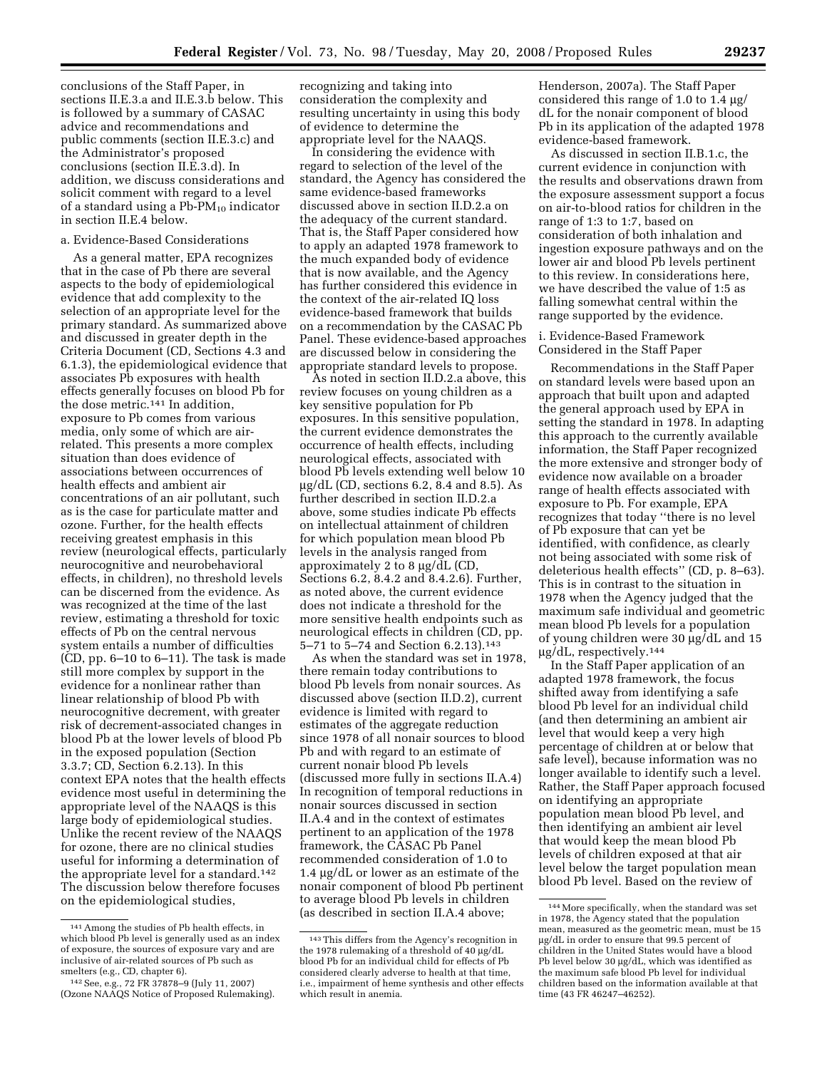conclusions of the Staff Paper, in sections II.E.3.a and II.E.3.b below. This is followed by a summary of CASAC advice and recommendations and public comments (section II.E.3.c) and the Administrator's proposed conclusions (section II.E.3.d). In addition, we discuss considerations and solicit comment with regard to a level of a standard using a  $Pb$ - $PM_{10}$  indicator in section II.E.4 below.

### a. Evidence-Based Considerations

As a general matter, EPA recognizes that in the case of Pb there are several aspects to the body of epidemiological evidence that add complexity to the selection of an appropriate level for the primary standard. As summarized above and discussed in greater depth in the Criteria Document (CD, Sections 4.3 and 6.1.3), the epidemiological evidence that associates Pb exposures with health effects generally focuses on blood Pb for the dose metric.141 In addition, exposure to Pb comes from various media, only some of which are airrelated. This presents a more complex situation than does evidence of associations between occurrences of health effects and ambient air concentrations of an air pollutant, such as is the case for particulate matter and ozone. Further, for the health effects receiving greatest emphasis in this review (neurological effects, particularly neurocognitive and neurobehavioral effects, in children), no threshold levels can be discerned from the evidence. As was recognized at the time of the last review, estimating a threshold for toxic effects of Pb on the central nervous system entails a number of difficulties (CD, pp. 6–10 to 6–11). The task is made still more complex by support in the evidence for a nonlinear rather than linear relationship of blood Pb with neurocognitive decrement, with greater risk of decrement-associated changes in blood Pb at the lower levels of blood Pb in the exposed population (Section 3.3.7; CD, Section 6.2.13). In this context EPA notes that the health effects evidence most useful in determining the appropriate level of the NAAQS is this large body of epidemiological studies. Unlike the recent review of the NAAQS for ozone, there are no clinical studies useful for informing a determination of the appropriate level for a standard.<sup>142</sup> The discussion below therefore focuses on the epidemiological studies,

recognizing and taking into consideration the complexity and resulting uncertainty in using this body of evidence to determine the appropriate level for the NAAQS.

In considering the evidence with regard to selection of the level of the standard, the Agency has considered the same evidence-based frameworks discussed above in section II.D.2.a on the adequacy of the current standard. That is, the Staff Paper considered how to apply an adapted 1978 framework to the much expanded body of evidence that is now available, and the Agency has further considered this evidence in the context of the air-related IQ loss evidence-based framework that builds on a recommendation by the CASAC Pb Panel. These evidence-based approaches are discussed below in considering the appropriate standard levels to propose.

As noted in section II.D.2.a above, this review focuses on young children as a key sensitive population for Pb exposures. In this sensitive population, the current evidence demonstrates the occurrence of health effects, including neurological effects, associated with blood Pb levels extending well below 10  $\mu$ g/dL (CD, sections 6.2, 8.4 and 8.5). As further described in section II.D.2.a above, some studies indicate Pb effects on intellectual attainment of children for which population mean blood Pb levels in the analysis ranged from approximately 2 to 8 µg/dL (CD, Sections 6.2, 8.4.2 and 8.4.2.6). Further, as noted above, the current evidence does not indicate a threshold for the more sensitive health endpoints such as neurological effects in children (CD, pp. 5–71 to 5–74 and Section 6.2.13).143

As when the standard was set in 1978, there remain today contributions to blood Pb levels from nonair sources. As discussed above (section II.D.2), current evidence is limited with regard to estimates of the aggregate reduction since 1978 of all nonair sources to blood Pb and with regard to an estimate of current nonair blood Pb levels (discussed more fully in sections II.A.4) In recognition of temporal reductions in nonair sources discussed in section II.A.4 and in the context of estimates pertinent to an application of the 1978 framework, the CASAC Pb Panel recommended consideration of 1.0 to 1.4 µg/dL or lower as an estimate of the nonair component of blood Pb pertinent to average blood Pb levels in children (as described in section II.A.4 above;

Henderson, 2007a). The Staff Paper considered this range of 1.0 to 1.4 µg/ dL for the nonair component of blood Pb in its application of the adapted 1978 evidence-based framework.

As discussed in section II.B.1.c, the current evidence in conjunction with the results and observations drawn from the exposure assessment support a focus on air-to-blood ratios for children in the range of 1:3 to 1:7, based on consideration of both inhalation and ingestion exposure pathways and on the lower air and blood Pb levels pertinent to this review. In considerations here, we have described the value of 1:5 as falling somewhat central within the range supported by the evidence.

i. Evidence-Based Framework Considered in the Staff Paper

Recommendations in the Staff Paper on standard levels were based upon an approach that built upon and adapted the general approach used by EPA in setting the standard in 1978. In adapting this approach to the currently available information, the Staff Paper recognized the more extensive and stronger body of evidence now available on a broader range of health effects associated with exposure to Pb. For example, EPA recognizes that today ''there is no level of Pb exposure that can yet be identified, with confidence, as clearly not being associated with some risk of deleterious health effects'' (CD, p. 8–63). This is in contrast to the situation in 1978 when the Agency judged that the maximum safe individual and geometric mean blood Pb levels for a population of young children were 30 µg/dL and 15 µg/dL, respectively.144

In the Staff Paper application of an adapted 1978 framework, the focus shifted away from identifying a safe blood Pb level for an individual child (and then determining an ambient air level that would keep a very high percentage of children at or below that safe level), because information was no longer available to identify such a level. Rather, the Staff Paper approach focused on identifying an appropriate population mean blood Pb level, and then identifying an ambient air level that would keep the mean blood Pb levels of children exposed at that air level below the target population mean blood Pb level. Based on the review of

<sup>141</sup>Among the studies of Pb health effects, in which blood Pb level is generally used as an index of exposure, the sources of exposure vary and are inclusive of air-related sources of Pb such as smelters (e.g., CD, chapter 6).

<sup>142</sup>See, e.g., 72 FR 37878–9 (July 11, 2007) (Ozone NAAQS Notice of Proposed Rulemaking).

<sup>143</sup>This differs from the Agency's recognition in the 1978 rulemaking of a threshold of 40 µg/dL blood Pb for an individual child for effects of Pb considered clearly adverse to health at that time, i.e., impairment of heme synthesis and other effects which result in anemia.

<sup>144</sup>More specifically, when the standard was set in 1978, the Agency stated that the population mean, measured as the geometric mean, must be 15 µg/dL in order to ensure that 99.5 percent of children in the United States would have a blood Pb level below 30 µg/dL, which was identified as the maximum safe blood Pb level for individual children based on the information available at that time (43 FR 46247–46252).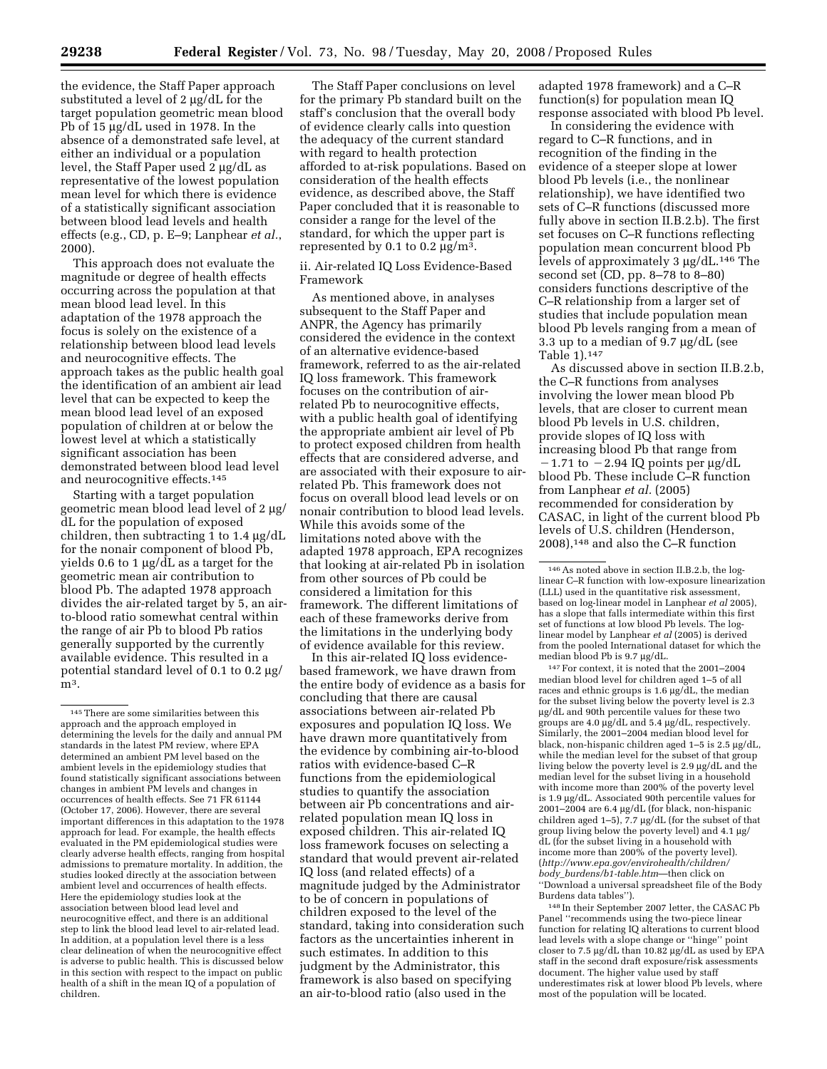the evidence, the Staff Paper approach substituted a level of 2 µg/dL for the target population geometric mean blood Pb of 15 µg/dL used in 1978. In the absence of a demonstrated safe level, at either an individual or a population level, the Staff Paper used 2 µg/dL as representative of the lowest population mean level for which there is evidence of a statistically significant association between blood lead levels and health effects (e.g., CD, p. E–9; Lanphear *et al.*, 2000).

This approach does not evaluate the magnitude or degree of health effects occurring across the population at that mean blood lead level. In this adaptation of the 1978 approach the focus is solely on the existence of a relationship between blood lead levels and neurocognitive effects. The approach takes as the public health goal the identification of an ambient air lead level that can be expected to keep the mean blood lead level of an exposed population of children at or below the lowest level at which a statistically significant association has been demonstrated between blood lead level and neurocognitive effects.145

Starting with a target population geometric mean blood lead level of 2 µg/ dL for the population of exposed children, then subtracting 1 to 1.4 µg/dL for the nonair component of blood Pb, yields 0.6 to 1 µg/dL as a target for the geometric mean air contribution to blood Pb. The adapted 1978 approach divides the air-related target by 5, an airto-blood ratio somewhat central within the range of air Pb to blood Pb ratios generally supported by the currently available evidence. This resulted in a potential standard level of 0.1 to 0.2 µg/ m3.

The Staff Paper conclusions on level for the primary Pb standard built on the staff's conclusion that the overall body of evidence clearly calls into question the adequacy of the current standard with regard to health protection afforded to at-risk populations. Based on consideration of the health effects evidence, as described above, the Staff Paper concluded that it is reasonable to consider a range for the level of the standard, for which the upper part is represented by 0.1 to 0.2  $\mu$ g/m<sup>3</sup>.

ii. Air-related IQ Loss Evidence-Based Framework

As mentioned above, in analyses subsequent to the Staff Paper and ANPR, the Agency has primarily considered the evidence in the context of an alternative evidence-based framework, referred to as the air-related IQ loss framework. This framework focuses on the contribution of airrelated Pb to neurocognitive effects, with a public health goal of identifying the appropriate ambient air level of Pb to protect exposed children from health effects that are considered adverse, and are associated with their exposure to airrelated Pb. This framework does not focus on overall blood lead levels or on nonair contribution to blood lead levels. While this avoids some of the limitations noted above with the adapted 1978 approach, EPA recognizes that looking at air-related Pb in isolation from other sources of Pb could be considered a limitation for this framework. The different limitations of each of these frameworks derive from the limitations in the underlying body of evidence available for this review.

In this air-related IQ loss evidencebased framework, we have drawn from the entire body of evidence as a basis for concluding that there are causal associations between air-related Pb exposures and population IQ loss. We have drawn more quantitatively from the evidence by combining air-to-blood ratios with evidence-based C–R functions from the epidemiological studies to quantify the association between air Pb concentrations and airrelated population mean IQ loss in exposed children. This air-related IQ loss framework focuses on selecting a standard that would prevent air-related IQ loss (and related effects) of a magnitude judged by the Administrator to be of concern in populations of children exposed to the level of the standard, taking into consideration such factors as the uncertainties inherent in such estimates. In addition to this judgment by the Administrator, this framework is also based on specifying an air-to-blood ratio (also used in the

adapted 1978 framework) and a C–R function(s) for population mean IQ response associated with blood Pb level.

In considering the evidence with regard to C–R functions, and in recognition of the finding in the evidence of a steeper slope at lower blood Pb levels (i.e., the nonlinear relationship), we have identified two sets of C–R functions (discussed more fully above in section II.B.2.b). The first set focuses on C–R functions reflecting population mean concurrent blood Pb levels of approximately 3 µg/dL.146 The second set (CD, pp. 8–78 to 8–80) considers functions descriptive of the C–R relationship from a larger set of studies that include population mean blood Pb levels ranging from a mean of 3.3 up to a median of 9.7 µg/dL (see Table 1).147

As discussed above in section II.B.2.b, the C–R functions from analyses involving the lower mean blood Pb levels, that are closer to current mean blood Pb levels in U.S. children, provide slopes of IQ loss with increasing blood Pb that range from  $-1.71$  to  $-2.94$  IQ points per  $\mu$ g/dL blood Pb. These include C–R function from Lanphear *et al.* (2005) recommended for consideration by CASAC, in light of the current blood Pb levels of U.S. children (Henderson, 2008),148 and also the C–R function

147For context, it is noted that the 2001–2004 median blood level for children aged 1–5 of all races and ethnic groups is 1.6 µg/dL, the median for the subset living below the poverty level is 2.3 µg/dL and 90th percentile values for these two groups are 4.0 µg/dL and 5.4 µg/dL, respectively. Similarly, the 2001–2004 median blood level for black, non-hispanic children aged 1–5 is 2.5 µg/dL, while the median level for the subset of that group living below the poverty level is 2.9 µg/dL and the median level for the subset living in a household with income more than 200% of the poverty level is 1.9 µg/dL. Associated 90th percentile values for 2001–2004 are 6.4 µg/dL (for black, non-hispanic children aged 1–5), 7.7 µg/dL (for the subset of that group living below the poverty level) and 4.1 µg/ dL (for the subset living in a household with income more than 200% of the poverty level). (*http://www.epa.gov/envirohealth/children/ body*\_*burdens/b1-table.htm*—then click on ''Download a universal spreadsheet file of the Body Burdens data tables'').

148 In their September 2007 letter, the CASAC Pb Panel ''recommends using the two-piece linear function for relating IQ alterations to current blood lead levels with a slope change or ''hinge'' point closer to 7.5 µg/dL than 10.82 µg/dL as used by EPA staff in the second draft exposure/risk assessments document. The higher value used by staff underestimates risk at lower blood Pb levels, where most of the population will be located.

<sup>145</sup>There are some similarities between this approach and the approach employed in determining the levels for the daily and annual PM standards in the latest PM review, where EPA determined an ambient PM level based on the ambient levels in the epidemiology studies that found statistically significant associations between changes in ambient PM levels and changes in occurrences of health effects. See 71 FR 61144 (October 17, 2006). However, there are several important differences in this adaptation to the 1978 approach for lead. For example, the health effects evaluated in the PM epidemiological studies were clearly adverse health effects, ranging from hospital admissions to premature mortality. In addition, the studies looked directly at the association between ambient level and occurrences of health effects. Here the epidemiology studies look at the association between blood lead level and neurocognitive effect, and there is an additional step to link the blood lead level to air-related lead. In addition, at a population level there is a less clear delineation of when the neurocognitive effect is adverse to public health. This is discussed below in this section with respect to the impact on public health of a shift in the mean IQ of a population of children.

<sup>146</sup>As noted above in section II.B.2.b, the loglinear C–R function with low-exposure linearization (LLL) used in the quantitative risk assessment, based on log-linear model in Lanphear *et al* 2005), has a slope that falls intermediate within this first set of functions at low blood Pb levels. The loglinear model by Lanphear *et al* (2005) is derived from the pooled International dataset for which the median blood Pb is 9.7 µg/dL.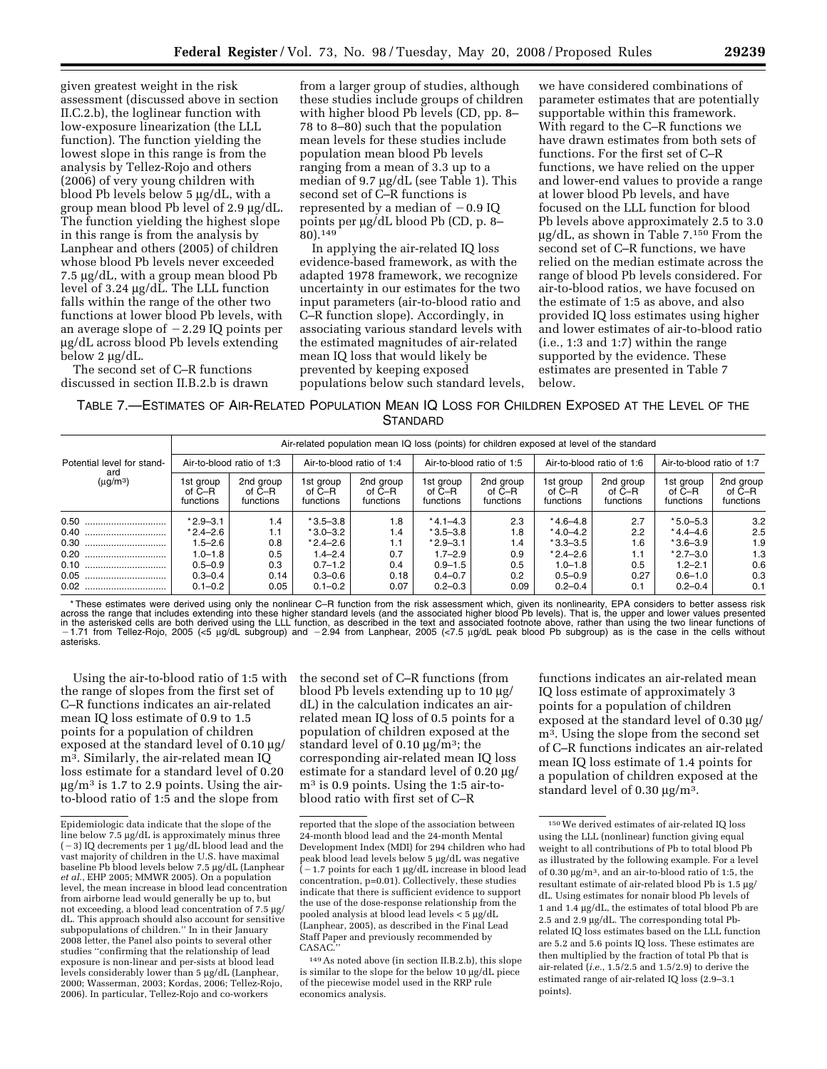given greatest weight in the risk assessment (discussed above in section II.C.2.b), the loglinear function with low-exposure linearization (the LLL function). The function yielding the lowest slope in this range is from the analysis by Tellez-Rojo and others (2006) of very young children with blood Pb levels below 5 µg/dL, with a group mean blood Pb level of 2.9 µg/dL. The function yielding the highest slope in this range is from the analysis by Lanphear and others (2005) of children whose blood Pb levels never exceeded 7.5 µg/dL, with a group mean blood Pb level of 3.24 µg/dL. The LLL function falls within the range of the other two functions at lower blood Pb levels, with an average slope of  $-2.29$  IQ points per µg/dL across blood Pb levels extending below 2 µg/dL.

The second set of C–R functions discussed in section II.B.2.b is drawn

from a larger group of studies, although these studies include groups of children with higher blood Pb levels (CD, pp. 8– 78 to 8–80) such that the population mean levels for these studies include population mean blood Pb levels ranging from a mean of 3.3 up to a median of 9.7 µg/dL (see Table 1). This second set of C–R functions is represented by a median of  $-0.9$  IQ points per µg/dL blood Pb (CD, p. 8– 80).149

In applying the air-related IQ loss evidence-based framework, as with the adapted 1978 framework, we recognize uncertainty in our estimates for the two input parameters (air-to-blood ratio and C–R function slope). Accordingly, in associating various standard levels with the estimated magnitudes of air-related mean IQ loss that would likely be prevented by keeping exposed populations below such standard levels,

we have considered combinations of parameter estimates that are potentially supportable within this framework. With regard to the C–R functions we have drawn estimates from both sets of functions. For the first set of C–R functions, we have relied on the upper and lower-end values to provide a range at lower blood Pb levels, and have focused on the LLL function for blood Pb levels above approximately 2.5 to 3.0 µg/dL, as shown in Table 7.150 From the second set of C–R functions, we have relied on the median estimate across the range of blood Pb levels considered. For air-to-blood ratios, we have focused on the estimate of 1:5 as above, and also provided IQ loss estimates using higher and lower estimates of air-to-blood ratio (i.e., 1:3 and 1:7) within the range supported by the evidence. These estimates are presented in Table 7 below.

TABLE 7.—ESTIMATES OF AIR-RELATED POPULATION MEAN IQ LOSS FOR CHILDREN EXPOSED AT THE LEVEL OF THE **STANDARD** 

|                                                    | Air-related population mean IQ loss (points) for children exposed at level of the standard |                                    |                                      |                                      |                                    |                                      |                                    |                                      |                                      |                                      |  |
|----------------------------------------------------|--------------------------------------------------------------------------------------------|------------------------------------|--------------------------------------|--------------------------------------|------------------------------------|--------------------------------------|------------------------------------|--------------------------------------|--------------------------------------|--------------------------------------|--|
| Potential level for stand-<br>ard<br>$(\mu g/m^3)$ | Air-to-blood ratio of 1:3                                                                  |                                    | Air-to-blood ratio of 1:4            |                                      |                                    | Air-to-blood ratio of 1:5            | Air-to-blood ratio of 1:6          |                                      | Air-to-blood ratio of 1:7            |                                      |  |
|                                                    | 1st group<br>of $C-R$<br>functions                                                         | 2nd group<br>of $C-R$<br>functions | 1st group<br>of $C - R$<br>functions | 2nd group<br>of $C - R$<br>functions | 1st group<br>of $C-R$<br>functions | 2nd group<br>of $C - R$<br>functions | 1st group<br>of $C-R$<br>functions | 2nd group<br>of $C - R$<br>functions | 1st group<br>of $C - R$<br>functions | 2nd group<br>of $C - R$<br>functions |  |
| 0.50                                               | $*2.9 - 3.1$                                                                               | 1.4                                | $*3.5 - 3.8$                         | 1.8                                  | $*4.1 - 4.3$                       | 2.3                                  | $*4.6 - 4.8$                       | 2.7                                  | $*5.0 - 5.3$                         | 3.2                                  |  |
| 0.40<br>                                           | $*2.4 - 2.6$                                                                               | 1.1                                | $*3.0 - 3.2$                         | 1.4                                  | $*3.5 - 3.8$                       | 1.8                                  | $*4.0 - 4.2$                       | 2.2                                  | $*4.4 - 4.6$                         | 2.5                                  |  |
| 0.30                                               | $1.5 - 2.6$                                                                                | 0.8                                | $*2.4 - 2.6$                         | 1.1                                  | $*2.9 - 3.1$                       | 1.4                                  | $*3.3 - 3.5$                       | 1.6                                  | $*3.6 - 3.9$                         | 1.9                                  |  |
| 0.20                                               | $1.0 - 1.8$                                                                                | 0.5                                | $1.4 - 2.4$                          | 0.7                                  | $1.7 - 2.9$                        | 0.9                                  | $*2.4 - 2.6$                       | 1.1                                  | $*2.7 - 3.0$                         | 1.3                                  |  |
| 0.10                                               | $0.5 - 0.9$                                                                                | 0.3                                | $0.7 - 1.2$                          | 0.4                                  | $0.9 - 1.5$                        | 0.5                                  | $1.0 - 1.8$                        | 0.5                                  | $1.2 - 2.1$                          | 0.6                                  |  |
| 0.05                                               | $0.3 - 0.4$                                                                                | 0.14                               | $0.3 - 0.6$                          | 0.18                                 | $0.4 - 0.7$                        | 0.2                                  | $0.5 - 0.9$                        | 0.27                                 | $0.6 - 1.0$                          | 0.3                                  |  |
|                                                    | $0.1 - 0.2$                                                                                | 0.05                               | $0.1 - 0.2$                          | 0.07                                 | $0.2 - 0.3$                        | 0.09                                 | $0.2 - 0.4$                        | 0.1                                  | $0.2 - 0.4$                          | 0.1                                  |  |

\*These estimates were derived using only the nonlinear C–R function from the risk assessment which, given its nonlinearity, EPA considers to better assess risk<br>across the range that includes extending into these higher sta in the asterisked cells are both derived using the LLL function, as described in the text and associated footnote above, rather than using the two linear functions of -1.71 from Tellez-Rojo, 2005 (<5 µg/dL subgroup) and -2 asterisks.

Using the air-to-blood ratio of 1:5 with the range of slopes from the first set of C–R functions indicates an air-related mean IQ loss estimate of 0.9 to 1.5 points for a population of children exposed at the standard level of 0.10 µg/ m3. Similarly, the air-related mean IQ loss estimate for a standard level of 0.20  $\mu$ g/m<sup>3</sup> is 1.7 to 2.9 points. Using the airto-blood ratio of 1:5 and the slope from

the second set of C–R functions (from blood Pb levels extending up to 10 µg/ dL) in the calculation indicates an airrelated mean IQ loss of 0.5 points for a population of children exposed at the standard level of  $0.10 \mu g/m^3$ ; the corresponding air-related mean IQ loss estimate for a standard level of 0.20 µg/ m3 is 0.9 points. Using the 1:5 air-toblood ratio with first set of C–R

functions indicates an air-related mean IQ loss estimate of approximately 3 points for a population of children exposed at the standard level of 0.30 µg/ m3. Using the slope from the second set of C–R functions indicates an air-related mean IQ loss estimate of 1.4 points for a population of children exposed at the standard level of  $0.30 \mu g/m^3$ .

Epidemiologic data indicate that the slope of the line below 7.5 µg/dL is approximately minus three  $(-3)$  IQ decrements per 1  $\mu$ g/dL blood lead and the vast majority of children in the U.S. have maximal baseline Pb blood levels below 7.5 µg/dL (Lanphear *et al.*, EHP 2005; MMWR 2005). On a population<br>level, the mean increase in blood lead concentration from airborne lead would generally be up to, but not exceeding, a blood lead concentration of 7.5 µg/ dL. This approach should also account for sensitive subpopulations of children.'' In in their January 2008 letter, the Panel also points to several other studies ''confirming that the relationship of lead exposure is non-linear and per-sists at blood lead levels considerably lower than 5 µg/dL (Lanphear, 2000; Wasserman, 2003; Kordas, 2006; Tellez-Rojo, 2006). In particular, Tellez-Rojo and co-workers

reported that the slope of the association between 24-month blood lead and the 24-month Mental Development Index (MDI) for 294 children who had peak blood lead levels below 5 µg/dL was negative  $\overline{(-1.7 \text{ points for each } 1 \text{ µg}/dL)}$  increase in blood lead concentration, p=0.01). Collectively, these studies indicate that there is sufficient evidence to support the use of the dose-response relationship from the pooled analysis at blood lead levels < 5 µg/dL (Lanphear, 2005), as described in the Final Lead Staff Paper and previously recommended by CASAC.

<sup>149</sup>As noted above (in section II.B.2.b), this slope is similar to the slope for the below 10 µg/dL piece of the piecewise model used in the RRP rule economics analysis.

<sup>150</sup>We derived estimates of air-related IQ loss using the LLL (nonlinear) function giving equal weight to all contributions of Pb to total blood Pb as illustrated by the following example. For a level of 0.30 µg/m3, and an air-to-blood ratio of 1:5, the resultant estimate of air-related blood Pb is 1.5 µg/ dL. Using estimates for nonair blood Pb levels of 1 and 1.4 µg/dL, the estimates of total blood Pb are 2.5 and 2.9 µg/dL. The corresponding total Pbrelated IQ loss estimates based on the LLL function are 5.2 and 5.6 points IQ loss. These estimates are then multiplied by the fraction of total Pb that is air-related (*i.e.*, 1.5/2.5 and 1.5/2.9) to derive the estimated range of air-related IQ loss (2.9–3.1 points).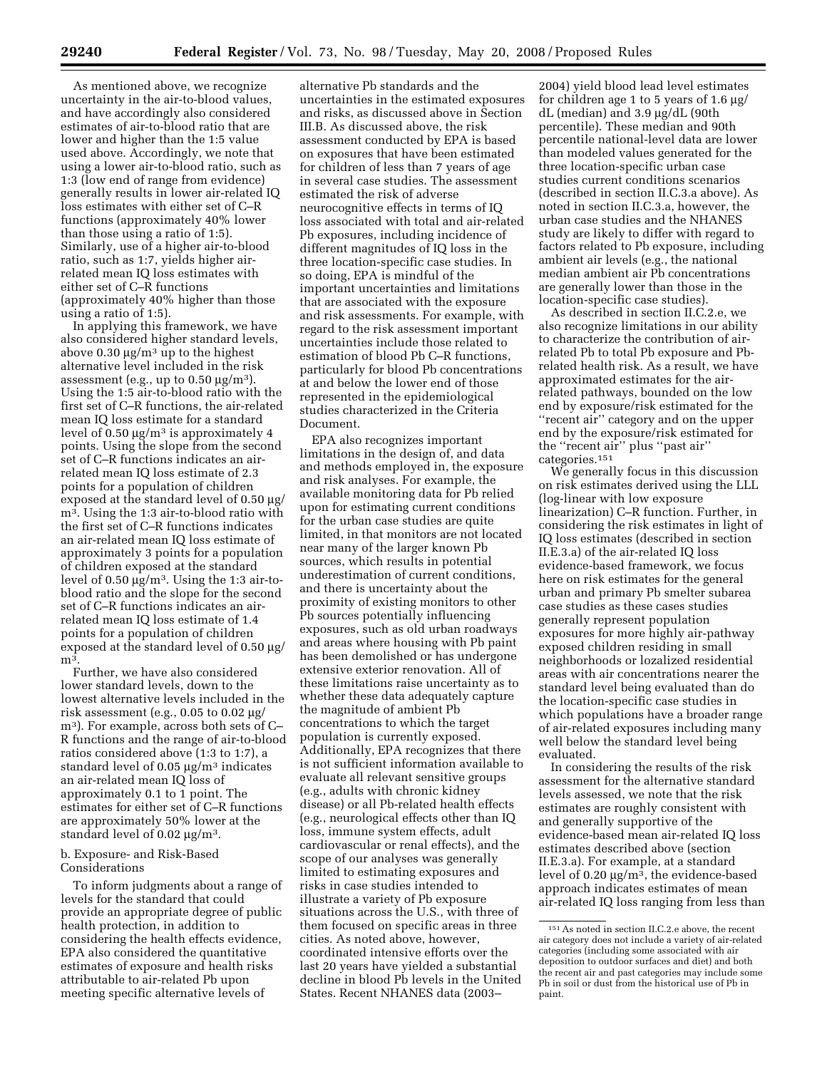As mentioned above, we recognize uncertainty in the air-to-blood values, and have accordingly also considered estimates of air-to-blood ratio that are lower and higher than the 1:5 value used above. Accordingly, we note that using a lower air-to-blood ratio, such as 1:3 (low end of range from evidence) generally results in lower air-related IQ loss estimates with either set of C–R functions (approximately 40% lower than those using a ratio of 1:5). Similarly, use of a higher air-to-blood ratio, such as 1:7, yields higher airrelated mean IQ loss estimates with either set of C–R functions (approximately 40% higher than those using a ratio of 1:5).

In applying this framework, we have also considered higher standard levels, above  $0.30 \text{ µg/m}^3$  up to the highest alternative level included in the risk assessment (e.g., up to  $0.50 \mu g/m^3$ ). Using the 1:5 air-to-blood ratio with the first set of C–R functions, the air-related mean IQ loss estimate for a standard level of 0.50 µg/m3 is approximately 4 points. Using the slope from the second set of C–R functions indicates an airrelated mean IQ loss estimate of 2.3 points for a population of children exposed at the standard level of 0.50 µg/ m3. Using the 1:3 air-to-blood ratio with the first set of C–R functions indicates an air-related mean IQ loss estimate of approximately 3 points for a population of children exposed at the standard level of  $0.50 \mu g/m^3$ . Using the 1:3 air-toblood ratio and the slope for the second set of C–R functions indicates an airrelated mean IQ loss estimate of 1.4 points for a population of children exposed at the standard level of 0.50 µg/ m<sup>3</sup>.

Further, we have also considered lower standard levels, down to the lowest alternative levels included in the risk assessment (e.g., 0.05 to 0.02 µg/ m3). For example, across both sets of C– R functions and the range of air-to-blood ratios considered above (1:3 to 1:7), a standard level of  $0.05 \mu g/m^3$  indicates an air-related mean IQ loss of approximately 0.1 to 1 point. The estimates for either set of C–R functions are approximately 50% lower at the standard level of  $0.02 \mu g/m^3$ .

### b. Exposure- and Risk-Based Considerations

To inform judgments about a range of levels for the standard that could provide an appropriate degree of public health protection, in addition to considering the health effects evidence, EPA also considered the quantitative estimates of exposure and health risks attributable to air-related Pb upon meeting specific alternative levels of

alternative Pb standards and the uncertainties in the estimated exposures and risks, as discussed above in Section III.B. As discussed above, the risk assessment conducted by EPA is based on exposures that have been estimated for children of less than 7 years of age in several case studies. The assessment estimated the risk of adverse neurocognitive effects in terms of IQ loss associated with total and air-related Pb exposures, including incidence of different magnitudes of IQ loss in the three location-specific case studies. In so doing, EPA is mindful of the important uncertainties and limitations that are associated with the exposure and risk assessments. For example, with regard to the risk assessment important uncertainties include those related to estimation of blood Pb C–R functions, particularly for blood Pb concentrations at and below the lower end of those represented in the epidemiological studies characterized in the Criteria Document.

EPA also recognizes important limitations in the design of, and data and methods employed in, the exposure and risk analyses. For example, the available monitoring data for Pb relied upon for estimating current conditions for the urban case studies are quite limited, in that monitors are not located near many of the larger known Pb sources, which results in potential underestimation of current conditions, and there is uncertainty about the proximity of existing monitors to other Pb sources potentially influencing exposures, such as old urban roadways and areas where housing with Pb paint has been demolished or has undergone extensive exterior renovation. All of these limitations raise uncertainty as to whether these data adequately capture the magnitude of ambient Pb concentrations to which the target population is currently exposed. Additionally, EPA recognizes that there is not sufficient information available to evaluate all relevant sensitive groups (e.g., adults with chronic kidney disease) or all Pb-related health effects (e.g., neurological effects other than IQ loss, immune system effects, adult cardiovascular or renal effects), and the scope of our analyses was generally limited to estimating exposures and risks in case studies intended to illustrate a variety of Pb exposure situations across the U.S., with three of them focused on specific areas in three cities. As noted above, however, coordinated intensive efforts over the last 20 years have yielded a substantial decline in blood Pb levels in the United States. Recent NHANES data (2003–

2004) yield blood lead level estimates for children age 1 to 5 years of 1.6 µg/ dL (median) and 3.9 µg/dL (90th percentile). These median and 90th percentile national-level data are lower than modeled values generated for the three location-specific urban case studies current conditions scenarios (described in section II.C.3.a above). As noted in section II.C.3.a, however, the urban case studies and the NHANES study are likely to differ with regard to factors related to Pb exposure, including ambient air levels (e.g., the national median ambient air Pb concentrations are generally lower than those in the location-specific case studies).

As described in section II.C.2.e, we also recognize limitations in our ability to characterize the contribution of airrelated Pb to total Pb exposure and Pbrelated health risk. As a result, we have approximated estimates for the airrelated pathways, bounded on the low end by exposure/risk estimated for the ''recent air'' category and on the upper end by the exposure/risk estimated for the ''recent air'' plus ''past air'' categories.151

We generally focus in this discussion on risk estimates derived using the LLL (log-linear with low exposure linearization) C–R function. Further, in considering the risk estimates in light of IQ loss estimates (described in section II.E.3.a) of the air-related IQ loss evidence-based framework, we focus here on risk estimates for the general urban and primary Pb smelter subarea case studies as these cases studies generally represent population exposures for more highly air-pathway exposed children residing in small neighborhoods or lozalized residential areas with air concentrations nearer the standard level being evaluated than do the location-specific case studies in which populations have a broader range of air-related exposures including many well below the standard level being evaluated.

In considering the results of the risk assessment for the alternative standard levels assessed, we note that the risk estimates are roughly consistent with and generally supportive of the evidence-based mean air-related IQ loss estimates described above (section II.E.3.a). For example, at a standard level of 0.20 µg/m3, the evidence-based approach indicates estimates of mean air-related IQ loss ranging from less than

<sup>151</sup>As noted in section II.C.2.e above, the recent air category does not include a variety of air-related categories (including some associated with air deposition to outdoor surfaces and diet) and both the recent air and past categories may include some Pb in soil or dust from the historical use of Pb in paint.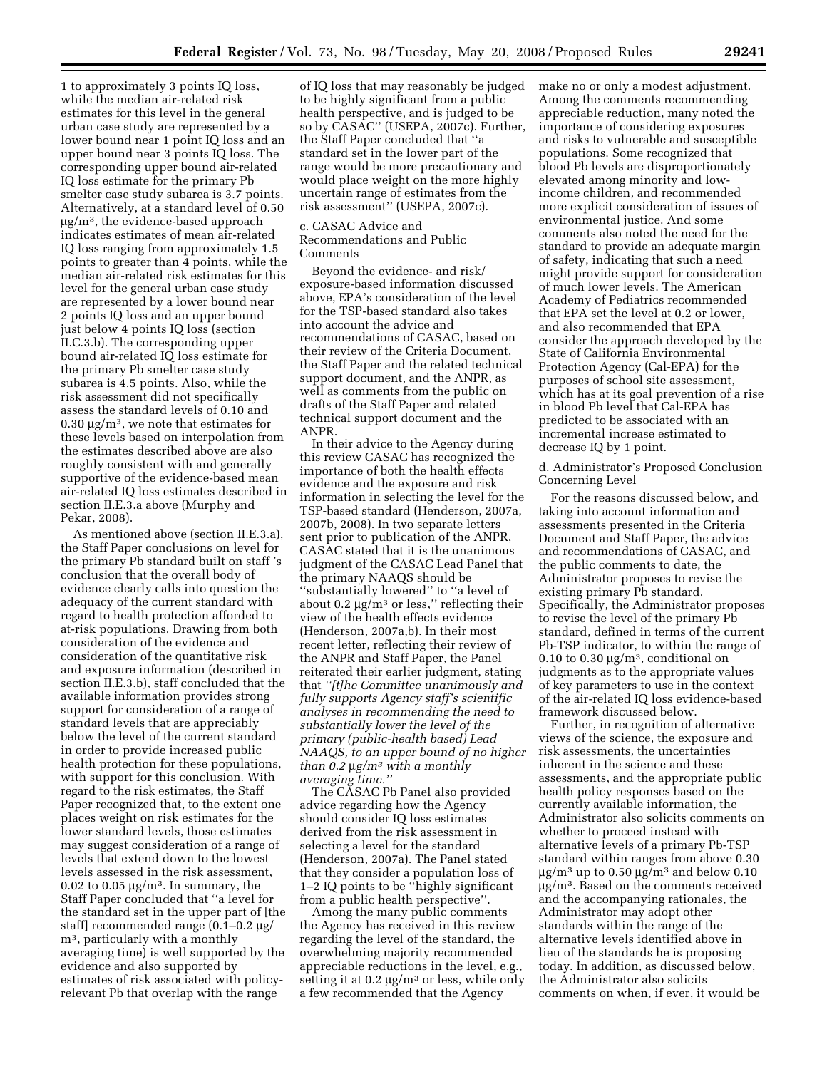1 to approximately 3 points IQ loss, while the median air-related risk estimates for this level in the general urban case study are represented by a lower bound near 1 point IQ loss and an upper bound near 3 points IQ loss. The corresponding upper bound air-related IQ loss estimate for the primary Pb smelter case study subarea is 3.7 points. Alternatively, at a standard level of 0.50 µg/m3, the evidence-based approach indicates estimates of mean air-related IQ loss ranging from approximately 1.5 points to greater than 4 points, while the median air-related risk estimates for this level for the general urban case study are represented by a lower bound near 2 points IQ loss and an upper bound just below 4 points IQ loss (section II.C.3.b). The corresponding upper bound air-related IQ loss estimate for the primary Pb smelter case study subarea is 4.5 points. Also, while the risk assessment did not specifically assess the standard levels of 0.10 and 0.30  $\mu$ g/m<sup>3</sup>, we note that estimates for these levels based on interpolation from the estimates described above are also roughly consistent with and generally supportive of the evidence-based mean air-related IQ loss estimates described in section II.E.3.a above (Murphy and Pekar, 2008).

As mentioned above (section II.E.3.a), the Staff Paper conclusions on level for the primary Pb standard built on staff 's conclusion that the overall body of evidence clearly calls into question the adequacy of the current standard with regard to health protection afforded to at-risk populations. Drawing from both consideration of the evidence and consideration of the quantitative risk and exposure information (described in section II.E.3.b), staff concluded that the available information provides strong support for consideration of a range of standard levels that are appreciably below the level of the current standard in order to provide increased public health protection for these populations, with support for this conclusion. With regard to the risk estimates, the Staff Paper recognized that, to the extent one places weight on risk estimates for the lower standard levels, those estimates may suggest consideration of a range of levels that extend down to the lowest levels assessed in the risk assessment, 0.02 to 0.05  $\mu$ g/m<sup>3</sup>. In summary, the Staff Paper concluded that ''a level for the standard set in the upper part of [the staff] recommended range (0.1–0.2 µg/ m3, particularly with a monthly averaging time) is well supported by the evidence and also supported by estimates of risk associated with policyrelevant Pb that overlap with the range

of IQ loss that may reasonably be judged to be highly significant from a public health perspective, and is judged to be so by CASAC'' (USEPA, 2007c). Further, the Staff Paper concluded that ''a standard set in the lower part of the range would be more precautionary and would place weight on the more highly uncertain range of estimates from the risk assessment'' (USEPA, 2007c).

#### c. CASAC Advice and Recommendations and Public **Comments**

Beyond the evidence- and risk/ exposure-based information discussed above, EPA's consideration of the level for the TSP-based standard also takes into account the advice and recommendations of CASAC, based on their review of the Criteria Document, the Staff Paper and the related technical support document, and the ANPR, as well as comments from the public on drafts of the Staff Paper and related technical support document and the ANPR.

In their advice to the Agency during this review CASAC has recognized the importance of both the health effects evidence and the exposure and risk information in selecting the level for the TSP-based standard (Henderson, 2007a, 2007b, 2008). In two separate letters sent prior to publication of the ANPR, CASAC stated that it is the unanimous judgment of the CASAC Lead Panel that the primary NAAQS should be ''substantially lowered'' to ''a level of about  $0.2 \ \mu g/m^3$  or less," reflecting their view of the health effects evidence (Henderson, 2007a,b). In their most recent letter, reflecting their review of the ANPR and Staff Paper, the Panel reiterated their earlier judgment, stating that *''[t]he Committee unanimously and fully supports Agency staff's scientific analyses in recommending the need to substantially lower the level of the primary (public-health based) Lead NAAQS, to an upper bound of no higher than 0.2* µ*g/m3 with a monthly averaging time.''*

The CASAC Pb Panel also provided advice regarding how the Agency should consider IQ loss estimates derived from the risk assessment in selecting a level for the standard (Henderson, 2007a). The Panel stated that they consider a population loss of 1–2 IQ points to be ''highly significant from a public health perspective''.

Among the many public comments the Agency has received in this review regarding the level of the standard, the overwhelming majority recommended appreciable reductions in the level, e.g., setting it at  $0.2 \mu g/m^3$  or less, while only a few recommended that the Agency

make no or only a modest adjustment. Among the comments recommending appreciable reduction, many noted the importance of considering exposures and risks to vulnerable and susceptible populations. Some recognized that blood Pb levels are disproportionately elevated among minority and lowincome children, and recommended more explicit consideration of issues of environmental justice. And some comments also noted the need for the standard to provide an adequate margin of safety, indicating that such a need might provide support for consideration of much lower levels. The American Academy of Pediatrics recommended that EPA set the level at 0.2 or lower, and also recommended that EPA consider the approach developed by the State of California Environmental Protection Agency (Cal-EPA) for the purposes of school site assessment, which has at its goal prevention of a rise in blood Pb level that Cal-EPA has predicted to be associated with an incremental increase estimated to decrease IQ by 1 point.

d. Administrator's Proposed Conclusion Concerning Level

For the reasons discussed below, and taking into account information and assessments presented in the Criteria Document and Staff Paper, the advice and recommendations of CASAC, and the public comments to date, the Administrator proposes to revise the existing primary Pb standard. Specifically, the Administrator proposes to revise the level of the primary Pb standard, defined in terms of the current Pb-TSP indicator, to within the range of 0.10 to 0.30  $\mu$ g/m<sup>3</sup>, conditional on judgments as to the appropriate values of key parameters to use in the context of the air-related IQ loss evidence-based framework discussed below.

Further, in recognition of alternative views of the science, the exposure and risk assessments, the uncertainties inherent in the science and these assessments, and the appropriate public health policy responses based on the currently available information, the Administrator also solicits comments on whether to proceed instead with alternative levels of a primary Pb-TSP standard within ranges from above 0.30  $\mu$ g/m<sup>3</sup> up to 0.50  $\mu$ g/m<sup>3</sup> and below 0.10 µg/m3. Based on the comments received and the accompanying rationales, the Administrator may adopt other standards within the range of the alternative levels identified above in lieu of the standards he is proposing today. In addition, as discussed below, the Administrator also solicits comments on when, if ever, it would be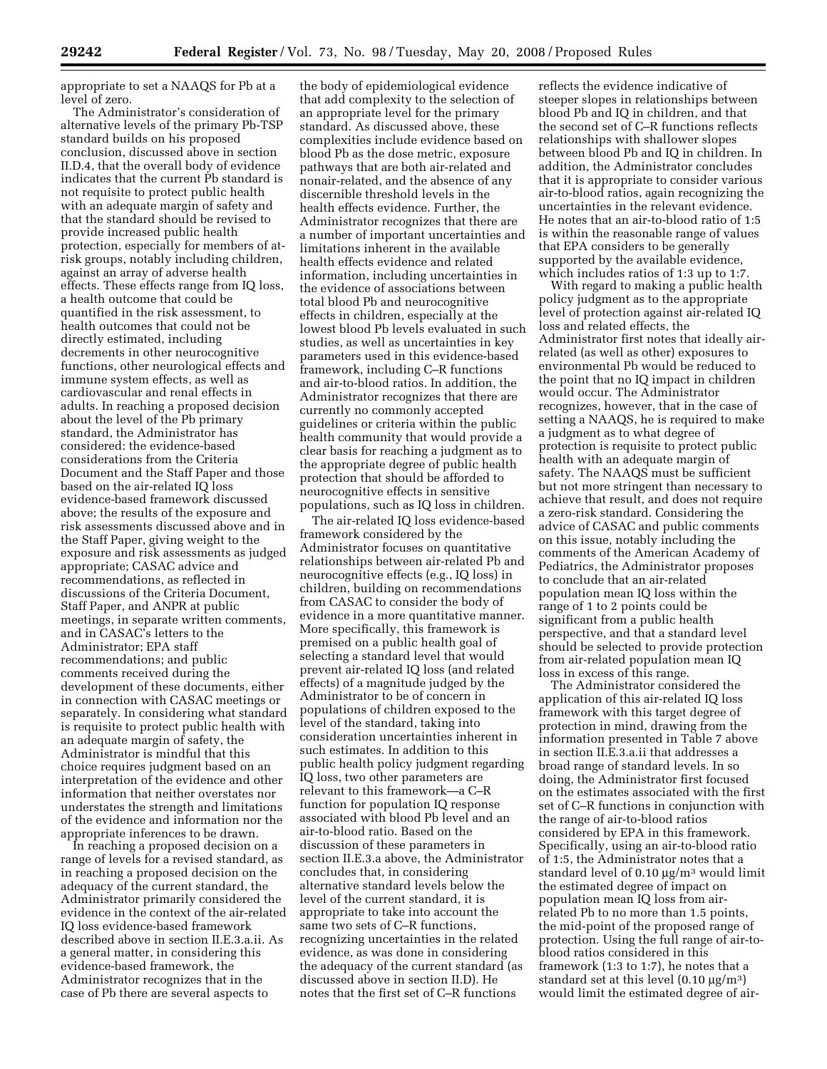appropriate to set a NAAQS for Pb at a level of zero.

The Administrator's consideration of alternative levels of the primary Pb-TSP standard builds on his proposed conclusion, discussed above in section II.D.4, that the overall body of evidence indicates that the current Pb standard is not requisite to protect public health with an adequate margin of safety and that the standard should be revised to provide increased public health protection, especially for members of atrisk groups, notably including children, against an array of adverse health effects. These effects range from IQ loss, a health outcome that could be quantified in the risk assessment, to health outcomes that could not be directly estimated, including decrements in other neurocognitive functions, other neurological effects and immune system effects, as well as cardiovascular and renal effects in adults. In reaching a proposed decision about the level of the Pb primary standard, the Administrator has considered: the evidence-based considerations from the Criteria Document and the Staff Paper and those based on the air-related IQ loss evidence-based framework discussed above; the results of the exposure and risk assessments discussed above and in the Staff Paper, giving weight to the exposure and risk assessments as judged appropriate; CASAC advice and recommendations, as reflected in discussions of the Criteria Document, Staff Paper, and ANPR at public meetings, in separate written comments, and in CASAC's letters to the Administrator; EPA staff recommendations; and public comments received during the development of these documents, either in connection with CASAC meetings or separately. In considering what standard is requisite to protect public health with an adequate margin of safety, the Administrator is mindful that this choice requires judgment based on an interpretation of the evidence and other information that neither overstates nor understates the strength and limitations of the evidence and information nor the appropriate inferences to be drawn.

In reaching a proposed decision on a range of levels for a revised standard, as in reaching a proposed decision on the adequacy of the current standard, the Administrator primarily considered the evidence in the context of the air-related IQ loss evidence-based framework described above in section II.E.3.a.ii. As a general matter, in considering this evidence-based framework, the Administrator recognizes that in the case of Pb there are several aspects to

the body of epidemiological evidence that add complexity to the selection of an appropriate level for the primary standard. As discussed above, these complexities include evidence based on blood Pb as the dose metric, exposure pathways that are both air-related and nonair-related, and the absence of any discernible threshold levels in the health effects evidence. Further, the Administrator recognizes that there are a number of important uncertainties and limitations inherent in the available health effects evidence and related information, including uncertainties in the evidence of associations between total blood Pb and neurocognitive effects in children, especially at the lowest blood Pb levels evaluated in such studies, as well as uncertainties in key parameters used in this evidence-based framework, including C–R functions and air-to-blood ratios. In addition, the Administrator recognizes that there are currently no commonly accepted guidelines or criteria within the public health community that would provide a clear basis for reaching a judgment as to the appropriate degree of public health protection that should be afforded to neurocognitive effects in sensitive populations, such as IQ loss in children.

The air-related IQ loss evidence-based framework considered by the Administrator focuses on quantitative relationships between air-related Pb and neurocognitive effects (e.g., IQ loss) in children, building on recommendations from CASAC to consider the body of evidence in a more quantitative manner. More specifically, this framework is premised on a public health goal of selecting a standard level that would prevent air-related IQ loss (and related effects) of a magnitude judged by the Administrator to be of concern in populations of children exposed to the level of the standard, taking into consideration uncertainties inherent in such estimates. In addition to this public health policy judgment regarding IQ loss, two other parameters are relevant to this framework—a C–R function for population IQ response associated with blood Pb level and an air-to-blood ratio. Based on the discussion of these parameters in section II.E.3.a above, the Administrator concludes that, in considering alternative standard levels below the level of the current standard, it is appropriate to take into account the same two sets of C–R functions, recognizing uncertainties in the related evidence, as was done in considering the adequacy of the current standard (as discussed above in section II.D). He notes that the first set of C–R functions

reflects the evidence indicative of steeper slopes in relationships between blood Pb and IQ in children, and that the second set of C–R functions reflects relationships with shallower slopes between blood Pb and IQ in children. In addition, the Administrator concludes that it is appropriate to consider various air-to-blood ratios, again recognizing the uncertainties in the relevant evidence. He notes that an air-to-blood ratio of 1:5 is within the reasonable range of values that EPA considers to be generally supported by the available evidence, which includes ratios of 1:3 up to 1:7.

With regard to making a public health policy judgment as to the appropriate level of protection against air-related IQ loss and related effects, the Administrator first notes that ideally airrelated (as well as other) exposures to environmental Pb would be reduced to the point that no IQ impact in children would occur. The Administrator recognizes, however, that in the case of setting a NAAQS, he is required to make a judgment as to what degree of protection is requisite to protect public health with an adequate margin of safety. The NAAQS must be sufficient but not more stringent than necessary to achieve that result, and does not require a zero-risk standard. Considering the advice of CASAC and public comments on this issue, notably including the comments of the American Academy of Pediatrics, the Administrator proposes to conclude that an air-related population mean IQ loss within the range of 1 to 2 points could be significant from a public health perspective, and that a standard level should be selected to provide protection from air-related population mean IQ loss in excess of this range.

The Administrator considered the application of this air-related IQ loss framework with this target degree of protection in mind, drawing from the information presented in Table 7 above in section II.E.3.a.ii that addresses a broad range of standard levels. In so doing, the Administrator first focused on the estimates associated with the first set of C–R functions in conjunction with the range of air-to-blood ratios considered by EPA in this framework. Specifically, using an air-to-blood ratio of 1:5, the Administrator notes that a standard level of  $0.10 \mu g/m^3$  would limit the estimated degree of impact on population mean IQ loss from airrelated Pb to no more than 1.5 points, the mid-point of the proposed range of protection. Using the full range of air-toblood ratios considered in this framework (1:3 to 1:7), he notes that a standard set at this level  $(0.10 \,\mathrm{\mu g/m^3})$ would limit the estimated degree of air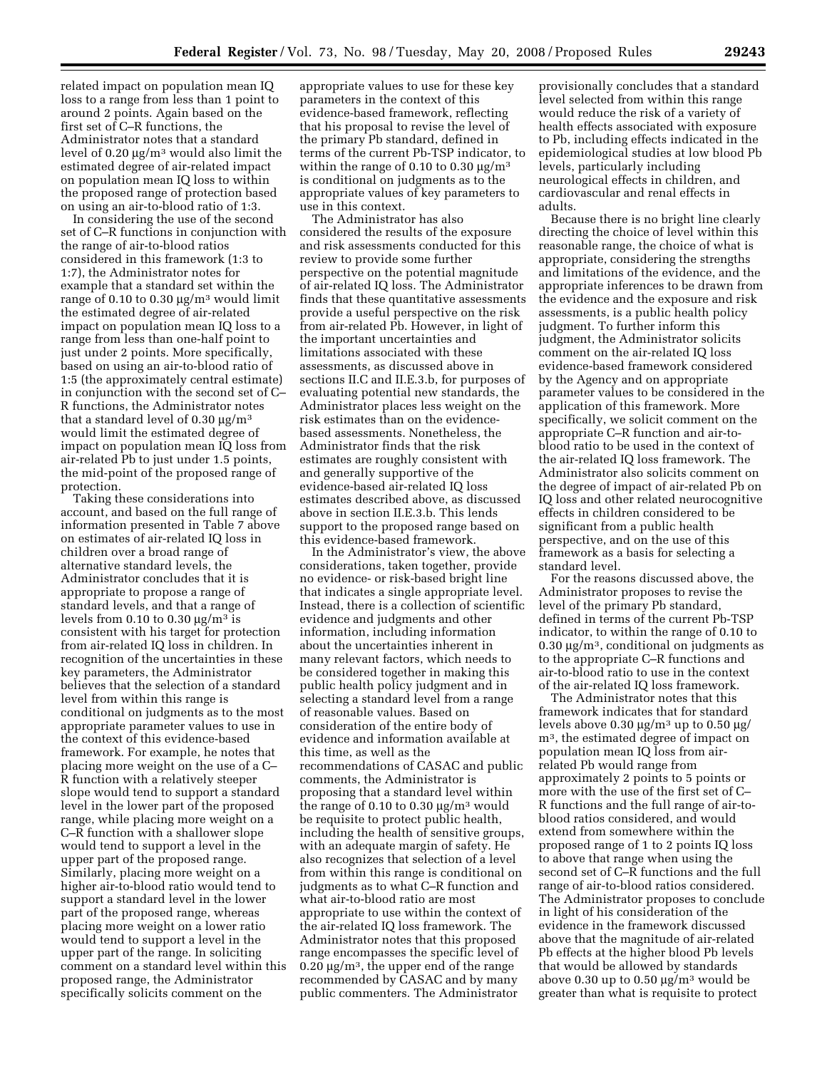related impact on population mean IQ loss to a range from less than 1 point to around 2 points. Again based on the first set of C–R functions, the Administrator notes that a standard level of  $0.20 \mu g/m^3$  would also limit the estimated degree of air-related impact on population mean IQ loss to within the proposed range of protection based on using an air-to-blood ratio of 1:3.

In considering the use of the second set of C–R functions in conjunction with the range of air-to-blood ratios considered in this framework (1:3 to 1:7), the Administrator notes for example that a standard set within the range of 0.10 to 0.30  $\mu$ g/m<sup>3</sup> would limit the estimated degree of air-related impact on population mean IQ loss to a range from less than one-half point to just under 2 points. More specifically, based on using an air-to-blood ratio of 1:5 (the approximately central estimate) in conjunction with the second set of C– R functions, the Administrator notes that a standard level of  $0.30 \mu g/m^3$ would limit the estimated degree of impact on population mean IQ loss from air-related Pb to just under 1.5 points, the mid-point of the proposed range of protection.

Taking these considerations into account, and based on the full range of information presented in Table 7 above on estimates of air-related IQ loss in children over a broad range of alternative standard levels, the Administrator concludes that it is appropriate to propose a range of standard levels, and that a range of levels from 0.10 to 0.30  $\mu$ g/m<sup>3</sup> is consistent with his target for protection from air-related IQ loss in children. In recognition of the uncertainties in these key parameters, the Administrator believes that the selection of a standard level from within this range is conditional on judgments as to the most appropriate parameter values to use in the context of this evidence-based framework. For example, he notes that placing more weight on the use of a C– R function with a relatively steeper slope would tend to support a standard level in the lower part of the proposed range, while placing more weight on a C–R function with a shallower slope would tend to support a level in the upper part of the proposed range. Similarly, placing more weight on a higher air-to-blood ratio would tend to support a standard level in the lower part of the proposed range, whereas placing more weight on a lower ratio would tend to support a level in the upper part of the range. In soliciting comment on a standard level within this proposed range, the Administrator specifically solicits comment on the

appropriate values to use for these key parameters in the context of this evidence-based framework, reflecting that his proposal to revise the level of the primary Pb standard, defined in terms of the current Pb-TSP indicator, to within the range of 0.10 to 0.30  $\mu$ g/m<sup>3</sup> is conditional on judgments as to the appropriate values of key parameters to use in this context.

The Administrator has also considered the results of the exposure and risk assessments conducted for this review to provide some further perspective on the potential magnitude of air-related IQ loss. The Administrator finds that these quantitative assessments provide a useful perspective on the risk from air-related Pb. However, in light of the important uncertainties and limitations associated with these assessments, as discussed above in sections II.C and II.E.3.b, for purposes of evaluating potential new standards, the Administrator places less weight on the risk estimates than on the evidencebased assessments. Nonetheless, the Administrator finds that the risk estimates are roughly consistent with and generally supportive of the evidence-based air-related IQ loss estimates described above, as discussed above in section II.E.3.b. This lends support to the proposed range based on this evidence-based framework.

In the Administrator's view, the above considerations, taken together, provide no evidence- or risk-based bright line that indicates a single appropriate level. Instead, there is a collection of scientific evidence and judgments and other information, including information about the uncertainties inherent in many relevant factors, which needs to be considered together in making this public health policy judgment and in selecting a standard level from a range of reasonable values. Based on consideration of the entire body of evidence and information available at this time, as well as the recommendations of CASAC and public comments, the Administrator is proposing that a standard level within the range of 0.10 to 0.30  $\mu$ g/m<sup>3</sup> would be requisite to protect public health, including the health of sensitive groups, with an adequate margin of safety. He also recognizes that selection of a level from within this range is conditional on judgments as to what C–R function and what air-to-blood ratio are most appropriate to use within the context of the air-related IQ loss framework. The Administrator notes that this proposed range encompasses the specific level of 0.20  $\mu$ g/m<sup>3</sup>, the upper end of the range recommended by CASAC and by many public commenters. The Administrator

provisionally concludes that a standard level selected from within this range would reduce the risk of a variety of health effects associated with exposure to Pb, including effects indicated in the epidemiological studies at low blood Pb levels, particularly including neurological effects in children, and cardiovascular and renal effects in adults.

Because there is no bright line clearly directing the choice of level within this reasonable range, the choice of what is appropriate, considering the strengths and limitations of the evidence, and the appropriate inferences to be drawn from the evidence and the exposure and risk assessments, is a public health policy judgment. To further inform this judgment, the Administrator solicits comment on the air-related IQ loss evidence-based framework considered by the Agency and on appropriate parameter values to be considered in the application of this framework. More specifically, we solicit comment on the appropriate C–R function and air-toblood ratio to be used in the context of the air-related IQ loss framework. The Administrator also solicits comment on the degree of impact of air-related Pb on IQ loss and other related neurocognitive effects in children considered to be significant from a public health perspective, and on the use of this framework as a basis for selecting a standard level.

For the reasons discussed above, the Administrator proposes to revise the level of the primary Pb standard, defined in terms of the current Pb-TSP indicator, to within the range of 0.10 to 0.30  $\mu$ g/m<sup>3</sup>, conditional on judgments as to the appropriate C–R functions and air-to-blood ratio to use in the context of the air-related IQ loss framework.

The Administrator notes that this framework indicates that for standard levels above  $0.30 \mu g/m^3$  up to  $0.50 \mu g/m$ m3, the estimated degree of impact on population mean IQ loss from airrelated Pb would range from approximately 2 points to 5 points or more with the use of the first set of C– R functions and the full range of air-toblood ratios considered, and would extend from somewhere within the proposed range of 1 to 2 points IQ loss to above that range when using the second set of C–R functions and the full range of air-to-blood ratios considered. The Administrator proposes to conclude in light of his consideration of the evidence in the framework discussed above that the magnitude of air-related Pb effects at the higher blood Pb levels that would be allowed by standards above 0.30 up to  $0.50 \mu g/m^3$  would be greater than what is requisite to protect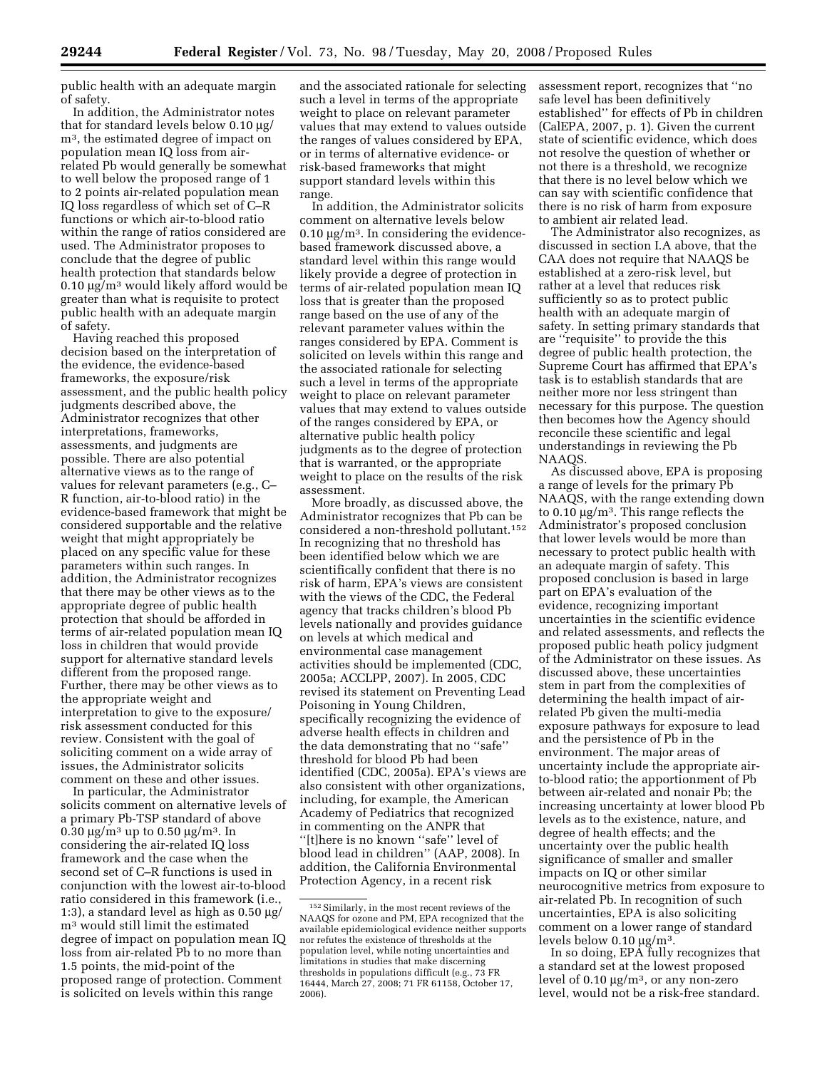public health with an adequate margin of safety.

In addition, the Administrator notes that for standard levels below 0.10 µg/ m3, the estimated degree of impact on population mean IQ loss from airrelated Pb would generally be somewhat to well below the proposed range of 1 to 2 points air-related population mean IQ loss regardless of which set of C–R functions or which air-to-blood ratio within the range of ratios considered are used. The Administrator proposes to conclude that the degree of public health protection that standards below  $0.10 \mu$ g/m<sup>3</sup> would likely afford would be greater than what is requisite to protect public health with an adequate margin of safety.

Having reached this proposed decision based on the interpretation of the evidence, the evidence-based frameworks, the exposure/risk assessment, and the public health policy judgments described above, the Administrator recognizes that other interpretations, frameworks, assessments, and judgments are possible. There are also potential alternative views as to the range of values for relevant parameters (e.g., C– R function, air-to-blood ratio) in the evidence-based framework that might be considered supportable and the relative weight that might appropriately be placed on any specific value for these parameters within such ranges. In addition, the Administrator recognizes that there may be other views as to the appropriate degree of public health protection that should be afforded in terms of air-related population mean IQ loss in children that would provide support for alternative standard levels different from the proposed range. Further, there may be other views as to the appropriate weight and interpretation to give to the exposure/ risk assessment conducted for this review. Consistent with the goal of soliciting comment on a wide array of issues, the Administrator solicits comment on these and other issues.

In particular, the Administrator solicits comment on alternative levels of a primary Pb-TSP standard of above 0.30  $\mu$ g/m<sup>3</sup> up to 0.50  $\mu$ g/m<sup>3</sup>. In considering the air-related IQ loss framework and the case when the second set of C–R functions is used in conjunction with the lowest air-to-blood ratio considered in this framework (i.e., 1:3), a standard level as high as  $0.50 \mu g$ / m3 would still limit the estimated degree of impact on population mean IQ loss from air-related Pb to no more than 1.5 points, the mid-point of the proposed range of protection. Comment is solicited on levels within this range

and the associated rationale for selecting such a level in terms of the appropriate weight to place on relevant parameter values that may extend to values outside the ranges of values considered by EPA, or in terms of alternative evidence- or risk-based frameworks that might support standard levels within this range.

In addition, the Administrator solicits comment on alternative levels below  $0.10 \mu g/m<sup>3</sup>$ . In considering the evidencebased framework discussed above, a standard level within this range would likely provide a degree of protection in terms of air-related population mean IQ loss that is greater than the proposed range based on the use of any of the relevant parameter values within the ranges considered by EPA. Comment is solicited on levels within this range and the associated rationale for selecting such a level in terms of the appropriate weight to place on relevant parameter values that may extend to values outside of the ranges considered by EPA, or alternative public health policy judgments as to the degree of protection that is warranted, or the appropriate weight to place on the results of the risk assessment.

More broadly, as discussed above, the Administrator recognizes that Pb can be considered a non-threshold pollutant.152 In recognizing that no threshold has been identified below which we are scientifically confident that there is no risk of harm, EPA's views are consistent with the views of the CDC, the Federal agency that tracks children's blood Pb levels nationally and provides guidance on levels at which medical and environmental case management activities should be implemented (CDC, 2005a; ACCLPP, 2007). In 2005, CDC revised its statement on Preventing Lead Poisoning in Young Children, specifically recognizing the evidence of adverse health effects in children and the data demonstrating that no ''safe'' threshold for blood Pb had been identified (CDC, 2005a). EPA's views are also consistent with other organizations, including, for example, the American Academy of Pediatrics that recognized in commenting on the ANPR that ''[t]here is no known ''safe'' level of blood lead in children'' (AAP, 2008). In addition, the California Environmental Protection Agency, in a recent risk

assessment report, recognizes that ''no safe level has been definitively established'' for effects of Pb in children (CalEPA, 2007, p. 1). Given the current state of scientific evidence, which does not resolve the question of whether or not there is a threshold, we recognize that there is no level below which we can say with scientific confidence that there is no risk of harm from exposure to ambient air related lead.

The Administrator also recognizes, as discussed in section I.A above, that the CAA does not require that NAAQS be established at a zero-risk level, but rather at a level that reduces risk sufficiently so as to protect public health with an adequate margin of safety. In setting primary standards that are ''requisite'' to provide the this degree of public health protection, the Supreme Court has affirmed that EPA's task is to establish standards that are neither more nor less stringent than necessary for this purpose. The question then becomes how the Agency should reconcile these scientific and legal understandings in reviewing the Pb NAAQS.

As discussed above, EPA is proposing a range of levels for the primary Pb NAAQS, with the range extending down to 0.10 µg/m3. This range reflects the Administrator's proposed conclusion that lower levels would be more than necessary to protect public health with an adequate margin of safety. This proposed conclusion is based in large part on EPA's evaluation of the evidence, recognizing important uncertainties in the scientific evidence and related assessments, and reflects the proposed public heath policy judgment of the Administrator on these issues. As discussed above, these uncertainties stem in part from the complexities of determining the health impact of airrelated Pb given the multi-media exposure pathways for exposure to lead and the persistence of Pb in the environment. The major areas of uncertainty include the appropriate airto-blood ratio; the apportionment of Pb between air-related and nonair Pb; the increasing uncertainty at lower blood Pb levels as to the existence, nature, and degree of health effects; and the uncertainty over the public health significance of smaller and smaller impacts on IQ or other similar neurocognitive metrics from exposure to air-related Pb. In recognition of such uncertainties, EPA is also soliciting comment on a lower range of standard levels below  $0.10 \mu g/m^3$ .

In so doing, EPA fully recognizes that a standard set at the lowest proposed level of  $0.10 \mu g/m^3$ , or any non-zero level, would not be a risk-free standard.

<sup>152</sup>Similarly, in the most recent reviews of the NAAQS for ozone and PM, EPA recognized that the available epidemiological evidence neither supports nor refutes the existence of thresholds at the population level, while noting uncertainties and limitations in studies that make discerning thresholds in populations difficult (e.g., 73 FR 16444, March 27, 2008; 71 FR 61158, October 17, 2006).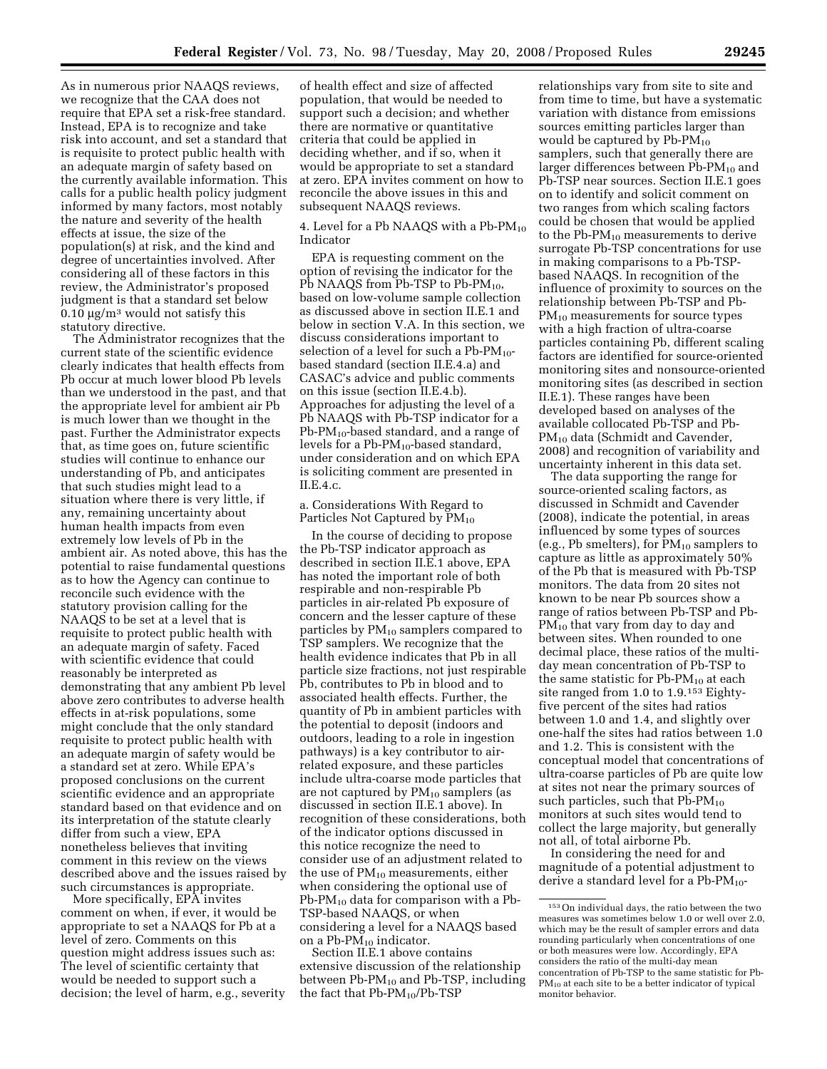As in numerous prior NAAQS reviews, we recognize that the CAA does not require that EPA set a risk-free standard. Instead, EPA is to recognize and take risk into account, and set a standard that is requisite to protect public health with an adequate margin of safety based on the currently available information. This calls for a public health policy judgment informed by many factors, most notably the nature and severity of the health effects at issue, the size of the population(s) at risk, and the kind and degree of uncertainties involved. After considering all of these factors in this review, the Administrator's proposed judgment is that a standard set below  $0.10 \mu$ g/m<sup>3</sup> would not satisfy this statutory directive.

The Administrator recognizes that the current state of the scientific evidence clearly indicates that health effects from Pb occur at much lower blood Pb levels than we understood in the past, and that the appropriate level for ambient air Pb is much lower than we thought in the past. Further the Administrator expects that, as time goes on, future scientific studies will continue to enhance our understanding of Pb, and anticipates that such studies might lead to a situation where there is very little, if any, remaining uncertainty about human health impacts from even extremely low levels of Pb in the ambient air. As noted above, this has the potential to raise fundamental questions as to how the Agency can continue to reconcile such evidence with the statutory provision calling for the NAAQS to be set at a level that is requisite to protect public health with an adequate margin of safety. Faced with scientific evidence that could reasonably be interpreted as demonstrating that any ambient Pb level above zero contributes to adverse health effects in at-risk populations, some might conclude that the only standard requisite to protect public health with an adequate margin of safety would be a standard set at zero. While EPA's proposed conclusions on the current scientific evidence and an appropriate standard based on that evidence and on its interpretation of the statute clearly differ from such a view, EPA nonetheless believes that inviting comment in this review on the views described above and the issues raised by such circumstances is appropriate.

More specifically, EPA invites comment on when, if ever, it would be appropriate to set a NAAQS for Pb at a level of zero. Comments on this question might address issues such as: The level of scientific certainty that would be needed to support such a decision; the level of harm, e.g., severity

of health effect and size of affected population, that would be needed to support such a decision; and whether there are normative or quantitative criteria that could be applied in deciding whether, and if so, when it would be appropriate to set a standard at zero. EPA invites comment on how to reconcile the above issues in this and subsequent NAAQS reviews.

4. Level for a Pb NAAQS with a Pb-P $M_{10}$ Indicator

EPA is requesting comment on the option of revising the indicator for the Pb NAAQS from Pb-TSP to Pb-P $M_{10}$ , based on low-volume sample collection as discussed above in section II.E.1 and below in section V.A. In this section, we discuss considerations important to selection of a level for such a  $Pb-PM_{10}$ based standard (section II.E.4.a) and CASAC's advice and public comments on this issue (section II.E.4.b). Approaches for adjusting the level of a Pb NAAQS with Pb-TSP indicator for a Pb-PM10-based standard, and a range of levels for a Pb-P $M_{10}$ -based standard, under consideration and on which EPA is soliciting comment are presented in II.E.4.c.

a. Considerations With Regard to Particles Not Captured by  $PM_{10}$ 

In the course of deciding to propose the Pb-TSP indicator approach as described in section II.E.1 above, EPA has noted the important role of both respirable and non-respirable Pb particles in air-related Pb exposure of concern and the lesser capture of these particles by  $PM_{10}$  samplers compared to TSP samplers. We recognize that the health evidence indicates that Pb in all particle size fractions, not just respirable Pb, contributes to Pb in blood and to associated health effects. Further, the quantity of Pb in ambient particles with the potential to deposit (indoors and outdoors, leading to a role in ingestion pathways) is a key contributor to airrelated exposure, and these particles include ultra-coarse mode particles that are not captured by  $PM_{10}$  samplers (as discussed in section II.E.1 above). In recognition of these considerations, both of the indicator options discussed in this notice recognize the need to consider use of an adjustment related to the use of  $PM_{10}$  measurements, either when considering the optional use of Pb-PM<sub>10</sub> data for comparison with a Pb-TSP-based NAAQS, or when considering a level for a NAAQS based on a Pb-P $M_{10}$  indicator.

Section II.E.1 above contains extensive discussion of the relationship between  $Pb-PM_{10}$  and  $Pb-TSP$ , including the fact that Pb-PM10/Pb-TSP

relationships vary from site to site and from time to time, but have a systematic variation with distance from emissions sources emitting particles larger than would be captured by  $Pb-PM_{10}$ samplers, such that generally there are larger differences between  $Pb-PM_{10}$  and Pb-TSP near sources. Section II.E.1 goes on to identify and solicit comment on two ranges from which scaling factors could be chosen that would be applied to the Pb-P $M_{10}$  measurements to derive surrogate Pb-TSP concentrations for use in making comparisons to a Pb-TSPbased NAAQS. In recognition of the influence of proximity to sources on the relationship between Pb-TSP and Pb-PM<sub>10</sub> measurements for source types with a high fraction of ultra-coarse particles containing Pb, different scaling factors are identified for source-oriented monitoring sites and nonsource-oriented monitoring sites (as described in section II.E.1). These ranges have been developed based on analyses of the available collocated Pb-TSP and Pb-PM<sub>10</sub> data (Schmidt and Cavender, 2008) and recognition of variability and uncertainty inherent in this data set.

The data supporting the range for source-oriented scaling factors, as discussed in Schmidt and Cavender (2008), indicate the potential, in areas influenced by some types of sources (e.g., Pb smelters), for  $PM_{10}$  samplers to capture as little as approximately 50% of the Pb that is measured with Pb-TSP monitors. The data from 20 sites not known to be near Pb sources show a range of ratios between Pb-TSP and Pb- $PM_{10}$  that vary from day to day and between sites. When rounded to one decimal place, these ratios of the multiday mean concentration of Pb-TSP to the same statistic for  $Pb-PM_{10}$  at each site ranged from 1.0 to 1.9.153 Eightyfive percent of the sites had ratios between 1.0 and 1.4, and slightly over one-half the sites had ratios between 1.0 and 1.2. This is consistent with the conceptual model that concentrations of ultra-coarse particles of Pb are quite low at sites not near the primary sources of such particles, such that  $Pb-PM_{10}$ monitors at such sites would tend to collect the large majority, but generally not all, of total airborne Pb.

In considering the need for and magnitude of a potential adjustment to derive a standard level for a  $Pb-PM_{10}$ -

<sup>153</sup>On individual days, the ratio between the two measures was sometimes below 1.0 or well over 2.0, which may be the result of sampler errors and data rounding particularly when concentrations of one or both measures were low. Accordingly, EPA considers the ratio of the multi-day mean concentration of Pb-TSP to the same statistic for Pb-PM10 at each site to be a better indicator of typical monitor behavior.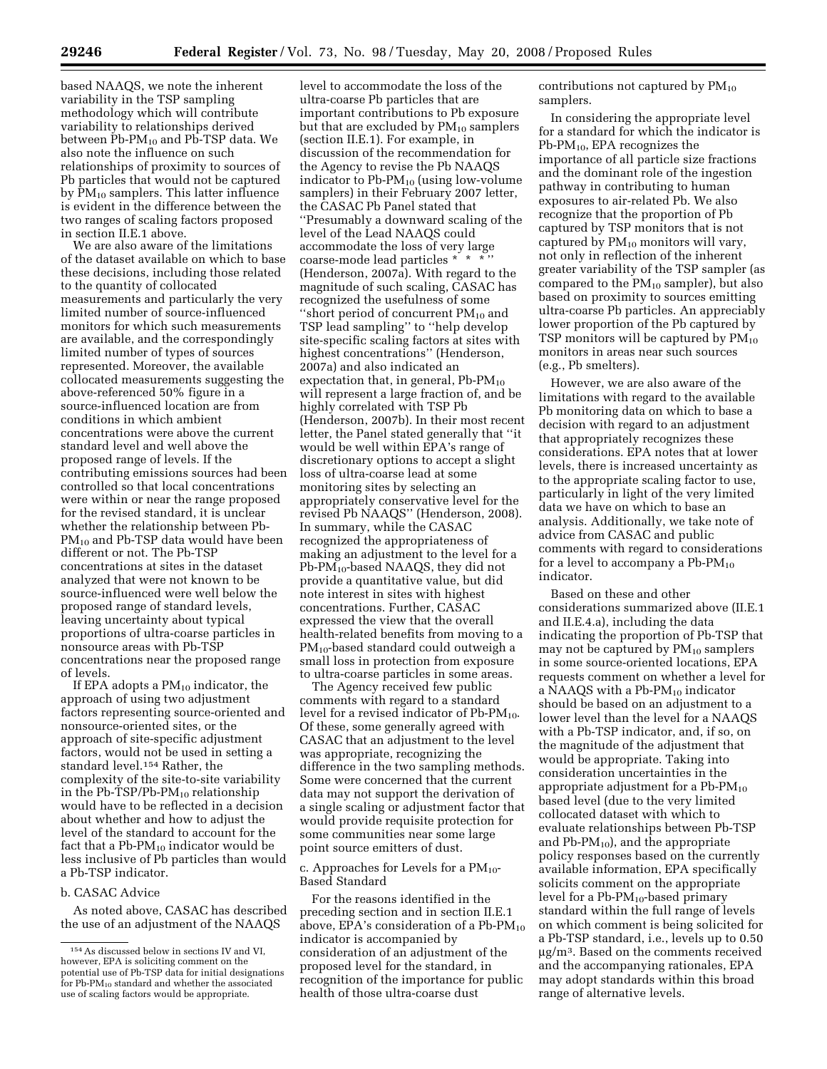based NAAQS, we note the inherent variability in the TSP sampling methodology which will contribute variability to relationships derived between  $\text{Pb-PM}_{10}$  and  $\text{Pb-TSP}$  data. We also note the influence on such relationships of proximity to sources of Pb particles that would not be captured by  $PM_{10}$  samplers. This latter influence is evident in the difference between the two ranges of scaling factors proposed in section II.E.1 above.

We are also aware of the limitations of the dataset available on which to base these decisions, including those related to the quantity of collocated measurements and particularly the very limited number of source-influenced monitors for which such measurements are available, and the correspondingly limited number of types of sources represented. Moreover, the available collocated measurements suggesting the above-referenced 50% figure in a source-influenced location are from conditions in which ambient concentrations were above the current standard level and well above the proposed range of levels. If the contributing emissions sources had been controlled so that local concentrations were within or near the range proposed for the revised standard, it is unclear whether the relationship between Pb-PM<sub>10</sub> and Pb-TSP data would have been different or not. The Pb-TSP concentrations at sites in the dataset analyzed that were not known to be source-influenced were well below the proposed range of standard levels, leaving uncertainty about typical proportions of ultra-coarse particles in nonsource areas with Pb-TSP concentrations near the proposed range of levels.

If EPA adopts a  $PM_{10}$  indicator, the approach of using two adjustment factors representing source-oriented and nonsource-oriented sites, or the approach of site-specific adjustment factors, would not be used in setting a standard level.154 Rather, the complexity of the site-to-site variability in the Pb-TSP/Pb-P $M_{10}$  relationship would have to be reflected in a decision about whether and how to adjust the level of the standard to account for the fact that a  $Pb-PM_{10}$  indicator would be less inclusive of Pb particles than would a Pb-TSP indicator.

#### b. CASAC Advice

As noted above, CASAC has described the use of an adjustment of the NAAQS

level to accommodate the loss of the ultra-coarse Pb particles that are important contributions to Pb exposure but that are excluded by  $PM_{10}$  samplers (section II.E.1). For example, in discussion of the recommendation for the Agency to revise the Pb NAAQS indicator to  $Pb-PM_{10}$  (using low-volume samplers) in their February 2007 letter, the CASAC Pb Panel stated that ''Presumably a downward scaling of the level of the Lead NAAQS could accommodate the loss of very large coarse-mode lead particles \* \* \* (Henderson, 2007a). With regard to the magnitude of such scaling, CASAC has recognized the usefulness of some "short period of concurrent  $PM_{10}$  and TSP lead sampling'' to ''help develop site-specific scaling factors at sites with highest concentrations'' (Henderson, 2007a) and also indicated an expectation that, in general,  $Pb-PM_{10}$ will represent a large fraction of, and be highly correlated with TSP Pb (Henderson, 2007b). In their most recent letter, the Panel stated generally that ''it would be well within EPA's range of discretionary options to accept a slight loss of ultra-coarse lead at some monitoring sites by selecting an appropriately conservative level for the revised Pb NAAQS'' (Henderson, 2008). In summary, while the CASAC recognized the appropriateness of making an adjustment to the level for a Pb-PM10-based NAAQS, they did not provide a quantitative value, but did note interest in sites with highest concentrations. Further, CASAC expressed the view that the overall health-related benefits from moving to a PM<sub>10</sub>-based standard could outweigh a small loss in protection from exposure to ultra-coarse particles in some areas.

The Agency received few public comments with regard to a standard level for a revised indicator of  $Pb-PM_{10}$ . Of these, some generally agreed with CASAC that an adjustment to the level was appropriate, recognizing the difference in the two sampling methods. Some were concerned that the current data may not support the derivation of a single scaling or adjustment factor that would provide requisite protection for some communities near some large point source emitters of dust.

### c. Approaches for Levels for a  $PM_{10}$ -Based Standard

For the reasons identified in the preceding section and in section II.E.1 above, EPA's consideration of a  $Pb-PM_{10}$ indicator is accompanied by consideration of an adjustment of the proposed level for the standard, in recognition of the importance for public health of those ultra-coarse dust

contributions not captured by  $PM_{10}$ samplers.

In considering the appropriate level for a standard for which the indicator is  $Pb-PM_{10}$ , EPA recognizes the importance of all particle size fractions and the dominant role of the ingestion pathway in contributing to human exposures to air-related Pb. We also recognize that the proportion of Pb captured by TSP monitors that is not captured by  $PM_{10}$  monitors will vary, not only in reflection of the inherent greater variability of the TSP sampler (as compared to the  $PM_{10}$  sampler), but also based on proximity to sources emitting ultra-coarse Pb particles. An appreciably lower proportion of the Pb captured by TSP monitors will be captured by  $PM_{10}$ monitors in areas near such sources (e.g., Pb smelters).

However, we are also aware of the limitations with regard to the available Pb monitoring data on which to base a decision with regard to an adjustment that appropriately recognizes these considerations. EPA notes that at lower levels, there is increased uncertainty as to the appropriate scaling factor to use, particularly in light of the very limited data we have on which to base an analysis. Additionally, we take note of advice from CASAC and public comments with regard to considerations for a level to accompany a  $Pb-PM_{10}$ indicator.

Based on these and other considerations summarized above (II.E.1 and II.E.4.a), including the data indicating the proportion of Pb-TSP that may not be captured by  $PM_{10}$  samplers in some source-oriented locations, EPA requests comment on whether a level for a NAAQS with a  $Pb-PM_{10}$  indicator should be based on an adjustment to a lower level than the level for a NAAQS with a Pb-TSP indicator, and, if so, on the magnitude of the adjustment that would be appropriate. Taking into consideration uncertainties in the appropriate adjustment for a  $Pb-PM_{10}$ based level (due to the very limited collocated dataset with which to evaluate relationships between Pb-TSP and  $Pb-PM_{10}$ , and the appropriate policy responses based on the currently available information, EPA specifically solicits comment on the appropriate level for a  $Pb-PM_{10}$ -based primary standard within the full range of levels on which comment is being solicited for a Pb-TSP standard, i.e., levels up to 0.50 µg/m3. Based on the comments received and the accompanying rationales, EPA may adopt standards within this broad range of alternative levels.

<sup>154</sup>As discussed below in sections IV and VI, however, EPA is soliciting comment on the potential use of Pb-TSP data for initial designations for Pb-PM<sub>10</sub> standard and whether the associated use of scaling factors would be appropriate.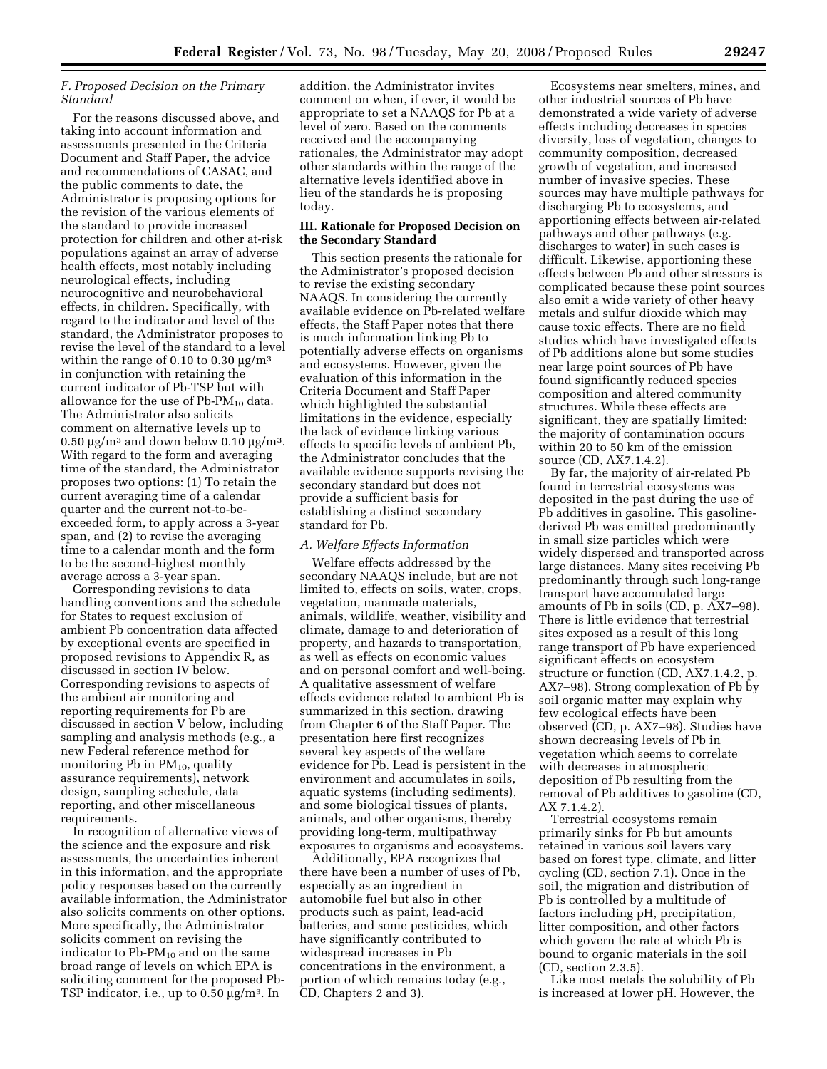### *F. Proposed Decision on the Primary Standard*

For the reasons discussed above, and taking into account information and assessments presented in the Criteria Document and Staff Paper, the advice and recommendations of CASAC, and the public comments to date, the Administrator is proposing options for the revision of the various elements of the standard to provide increased protection for children and other at-risk populations against an array of adverse health effects, most notably including neurological effects, including neurocognitive and neurobehavioral effects, in children. Specifically, with regard to the indicator and level of the standard, the Administrator proposes to revise the level of the standard to a level within the range of 0.10 to 0.30  $\mu$ g/m<sup>3</sup> in conjunction with retaining the current indicator of Pb-TSP but with allowance for the use of  $Pb-PM_{10}$  data. The Administrator also solicits comment on alternative levels up to 0.50  $\mu$ g/m<sup>3</sup> and down below 0.10  $\mu$ g/m<sup>3</sup>. With regard to the form and averaging time of the standard, the Administrator proposes two options: (1) To retain the current averaging time of a calendar quarter and the current not-to-beexceeded form, to apply across a 3-year span, and (2) to revise the averaging time to a calendar month and the form to be the second-highest monthly average across a 3-year span.

Corresponding revisions to data handling conventions and the schedule for States to request exclusion of ambient Pb concentration data affected by exceptional events are specified in proposed revisions to Appendix R, as discussed in section IV below. Corresponding revisions to aspects of the ambient air monitoring and reporting requirements for Pb are discussed in section V below, including sampling and analysis methods (e.g., a new Federal reference method for monitoring Pb in  $PM_{10}$ , quality assurance requirements), network design, sampling schedule, data reporting, and other miscellaneous requirements.

In recognition of alternative views of the science and the exposure and risk assessments, the uncertainties inherent in this information, and the appropriate policy responses based on the currently available information, the Administrator also solicits comments on other options. More specifically, the Administrator solicits comment on revising the indicator to  $Pb-PM_{10}$  and on the same broad range of levels on which EPA is soliciting comment for the proposed Pb-TSP indicator, i.e., up to  $0.50 \mu g/m^3$ . In

addition, the Administrator invites comment on when, if ever, it would be appropriate to set a NAAQS for Pb at a level of zero. Based on the comments received and the accompanying rationales, the Administrator may adopt other standards within the range of the alternative levels identified above in lieu of the standards he is proposing today.

#### **III. Rationale for Proposed Decision on the Secondary Standard**

This section presents the rationale for the Administrator's proposed decision to revise the existing secondary NAAQS. In considering the currently available evidence on Pb-related welfare effects, the Staff Paper notes that there is much information linking Pb to potentially adverse effects on organisms and ecosystems. However, given the evaluation of this information in the Criteria Document and Staff Paper which highlighted the substantial limitations in the evidence, especially the lack of evidence linking various effects to specific levels of ambient Pb, the Administrator concludes that the available evidence supports revising the secondary standard but does not provide a sufficient basis for establishing a distinct secondary standard for Pb.

### *A. Welfare Effects Information*

Welfare effects addressed by the secondary NAAQS include, but are not limited to, effects on soils, water, crops, vegetation, manmade materials, animals, wildlife, weather, visibility and climate, damage to and deterioration of property, and hazards to transportation, as well as effects on economic values and on personal comfort and well-being. A qualitative assessment of welfare effects evidence related to ambient Pb is summarized in this section, drawing from Chapter 6 of the Staff Paper. The presentation here first recognizes several key aspects of the welfare evidence for Pb. Lead is persistent in the environment and accumulates in soils, aquatic systems (including sediments), and some biological tissues of plants, animals, and other organisms, thereby providing long-term, multipathway exposures to organisms and ecosystems.

Additionally, EPA recognizes that there have been a number of uses of Pb, especially as an ingredient in automobile fuel but also in other products such as paint, lead-acid batteries, and some pesticides, which have significantly contributed to widespread increases in Pb concentrations in the environment, a portion of which remains today (e.g., CD, Chapters 2 and 3).

Ecosystems near smelters, mines, and other industrial sources of Pb have demonstrated a wide variety of adverse effects including decreases in species diversity, loss of vegetation, changes to community composition, decreased growth of vegetation, and increased number of invasive species. These sources may have multiple pathways for discharging Pb to ecosystems, and apportioning effects between air-related pathways and other pathways (e.g. discharges to water) in such cases is difficult. Likewise, apportioning these effects between Pb and other stressors is complicated because these point sources also emit a wide variety of other heavy metals and sulfur dioxide which may cause toxic effects. There are no field studies which have investigated effects of Pb additions alone but some studies near large point sources of Pb have found significantly reduced species composition and altered community structures. While these effects are significant, they are spatially limited: the majority of contamination occurs within 20 to 50 km of the emission source (CD, AX7.1.4.2).

By far, the majority of air-related Pb found in terrestrial ecosystems was deposited in the past during the use of Pb additives in gasoline. This gasolinederived Pb was emitted predominantly in small size particles which were widely dispersed and transported across large distances. Many sites receiving Pb predominantly through such long-range transport have accumulated large amounts of Pb in soils (CD, p. AX7–98). There is little evidence that terrestrial sites exposed as a result of this long range transport of Pb have experienced significant effects on ecosystem structure or function (CD, AX7.1.4.2, p. AX7–98). Strong complexation of Pb by soil organic matter may explain why few ecological effects have been observed (CD, p. AX7–98). Studies have shown decreasing levels of Pb in vegetation which seems to correlate with decreases in atmospheric deposition of Pb resulting from the removal of Pb additives to gasoline (CD, AX 7.1.4.2).

Terrestrial ecosystems remain primarily sinks for Pb but amounts retained in various soil layers vary based on forest type, climate, and litter cycling (CD, section 7.1). Once in the soil, the migration and distribution of Pb is controlled by a multitude of factors including pH, precipitation, litter composition, and other factors which govern the rate at which Pb is bound to organic materials in the soil (CD, section 2.3.5).

Like most metals the solubility of Pb is increased at lower pH. However, the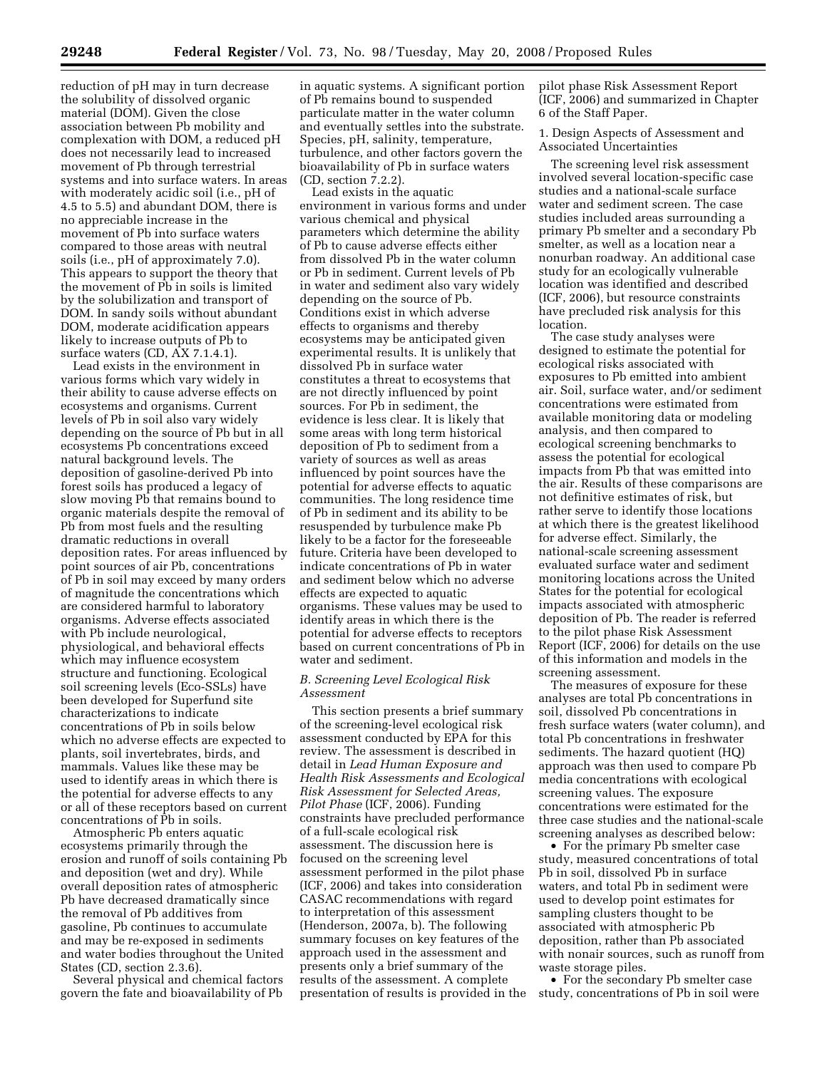reduction of pH may in turn decrease the solubility of dissolved organic material (DOM). Given the close association between Pb mobility and complexation with DOM, a reduced pH does not necessarily lead to increased movement of Pb through terrestrial systems and into surface waters. In areas with moderately acidic soil (i.e., pH of 4.5 to 5.5) and abundant DOM, there is no appreciable increase in the movement of Pb into surface waters compared to those areas with neutral soils (i.e., pH of approximately 7.0). This appears to support the theory that the movement of Pb in soils is limited by the solubilization and transport of DOM. In sandy soils without abundant DOM, moderate acidification appears likely to increase outputs of Pb to surface waters (CD, AX 7.1.4.1).

Lead exists in the environment in various forms which vary widely in their ability to cause adverse effects on ecosystems and organisms. Current levels of Pb in soil also vary widely depending on the source of Pb but in all ecosystems Pb concentrations exceed natural background levels. The deposition of gasoline-derived Pb into forest soils has produced a legacy of slow moving Pb that remains bound to organic materials despite the removal of Pb from most fuels and the resulting dramatic reductions in overall deposition rates. For areas influenced by point sources of air Pb, concentrations of Pb in soil may exceed by many orders of magnitude the concentrations which are considered harmful to laboratory organisms. Adverse effects associated with Pb include neurological, physiological, and behavioral effects which may influence ecosystem structure and functioning. Ecological soil screening levels (Eco-SSLs) have been developed for Superfund site characterizations to indicate concentrations of Pb in soils below which no adverse effects are expected to plants, soil invertebrates, birds, and mammals. Values like these may be used to identify areas in which there is the potential for adverse effects to any or all of these receptors based on current concentrations of Pb in soils.

Atmospheric Pb enters aquatic ecosystems primarily through the erosion and runoff of soils containing Pb and deposition (wet and dry). While overall deposition rates of atmospheric Pb have decreased dramatically since the removal of Pb additives from gasoline, Pb continues to accumulate and may be re-exposed in sediments and water bodies throughout the United States (CD, section 2.3.6).

Several physical and chemical factors govern the fate and bioavailability of Pb

in aquatic systems. A significant portion of Pb remains bound to suspended particulate matter in the water column and eventually settles into the substrate. Species, pH, salinity, temperature, turbulence, and other factors govern the bioavailability of Pb in surface waters (CD, section 7.2.2).

Lead exists in the aquatic environment in various forms and under various chemical and physical parameters which determine the ability of Pb to cause adverse effects either from dissolved Pb in the water column or Pb in sediment. Current levels of Pb in water and sediment also vary widely depending on the source of Pb. Conditions exist in which adverse effects to organisms and thereby ecosystems may be anticipated given experimental results. It is unlikely that dissolved Pb in surface water constitutes a threat to ecosystems that are not directly influenced by point sources. For Pb in sediment, the evidence is less clear. It is likely that some areas with long term historical deposition of Pb to sediment from a variety of sources as well as areas influenced by point sources have the potential for adverse effects to aquatic communities. The long residence time of Pb in sediment and its ability to be resuspended by turbulence make Pb likely to be a factor for the foreseeable future. Criteria have been developed to indicate concentrations of Pb in water and sediment below which no adverse effects are expected to aquatic organisms. These values may be used to identify areas in which there is the potential for adverse effects to receptors based on current concentrations of Pb in water and sediment.

### *B. Screening Level Ecological Risk Assessment*

This section presents a brief summary of the screening-level ecological risk assessment conducted by EPA for this review. The assessment is described in detail in *Lead Human Exposure and Health Risk Assessments and Ecological Risk Assessment for Selected Areas, Pilot Phase* (ICF, 2006). Funding constraints have precluded performance of a full-scale ecological risk assessment. The discussion here is focused on the screening level assessment performed in the pilot phase (ICF, 2006) and takes into consideration CASAC recommendations with regard to interpretation of this assessment (Henderson, 2007a, b). The following summary focuses on key features of the approach used in the assessment and presents only a brief summary of the results of the assessment. A complete presentation of results is provided in the pilot phase Risk Assessment Report (ICF, 2006) and summarized in Chapter 6 of the Staff Paper.

1. Design Aspects of Assessment and Associated Uncertainties

The screening level risk assessment involved several location-specific case studies and a national-scale surface water and sediment screen. The case studies included areas surrounding a primary Pb smelter and a secondary Pb smelter, as well as a location near a nonurban roadway. An additional case study for an ecologically vulnerable location was identified and described (ICF, 2006), but resource constraints have precluded risk analysis for this location.

The case study analyses were designed to estimate the potential for ecological risks associated with exposures to Pb emitted into ambient air. Soil, surface water, and/or sediment concentrations were estimated from available monitoring data or modeling analysis, and then compared to ecological screening benchmarks to assess the potential for ecological impacts from Pb that was emitted into the air. Results of these comparisons are not definitive estimates of risk, but rather serve to identify those locations at which there is the greatest likelihood for adverse effect. Similarly, the national-scale screening assessment evaluated surface water and sediment monitoring locations across the United States for the potential for ecological impacts associated with atmospheric deposition of Pb. The reader is referred to the pilot phase Risk Assessment Report (ICF, 2006) for details on the use of this information and models in the screening assessment.

The measures of exposure for these analyses are total Pb concentrations in soil, dissolved Pb concentrations in fresh surface waters (water column), and total Pb concentrations in freshwater sediments. The hazard quotient (HQ) approach was then used to compare Pb media concentrations with ecological screening values. The exposure concentrations were estimated for the three case studies and the national-scale screening analyses as described below:

• For the primary Pb smelter case study, measured concentrations of total Pb in soil, dissolved Pb in surface waters, and total Pb in sediment were used to develop point estimates for sampling clusters thought to be associated with atmospheric Pb deposition, rather than Pb associated with nonair sources, such as runoff from waste storage piles.

• For the secondary Pb smelter case study, concentrations of Pb in soil were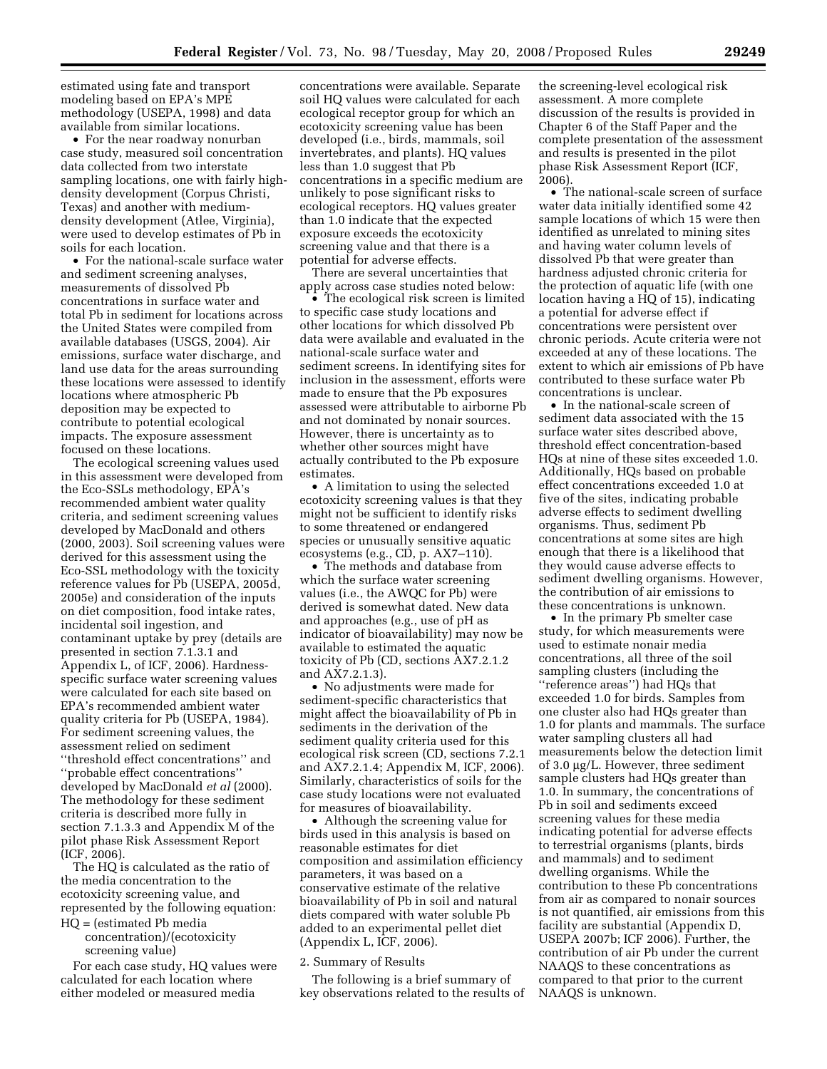estimated using fate and transport modeling based on EPA's MPE methodology (USEPA, 1998) and data available from similar locations.

• For the near roadway nonurban case study, measured soil concentration data collected from two interstate sampling locations, one with fairly highdensity development (Corpus Christi, Texas) and another with mediumdensity development (Atlee, Virginia), were used to develop estimates of Pb in soils for each location.

• For the national-scale surface water and sediment screening analyses, measurements of dissolved Pb concentrations in surface water and total Pb in sediment for locations across the United States were compiled from available databases (USGS, 2004). Air emissions, surface water discharge, and land use data for the areas surrounding these locations were assessed to identify locations where atmospheric Pb deposition may be expected to contribute to potential ecological impacts. The exposure assessment focused on these locations.

The ecological screening values used in this assessment were developed from the Eco-SSLs methodology, EPA's recommended ambient water quality criteria, and sediment screening values developed by MacDonald and others (2000, 2003). Soil screening values were derived for this assessment using the Eco-SSL methodology with the toxicity reference values for Pb (USEPA, 2005d, 2005e) and consideration of the inputs on diet composition, food intake rates, incidental soil ingestion, and contaminant uptake by prey (details are presented in section 7.1.3.1 and Appendix L, of ICF, 2006). Hardnessspecific surface water screening values were calculated for each site based on EPA's recommended ambient water quality criteria for Pb (USEPA, 1984). For sediment screening values, the assessment relied on sediment ''threshold effect concentrations'' and ''probable effect concentrations'' developed by MacDonald *et al* (2000). The methodology for these sediment criteria is described more fully in section 7.1.3.3 and Appendix M of the pilot phase Risk Assessment Report (ICF, 2006).

The HQ is calculated as the ratio of the media concentration to the ecotoxicity screening value, and represented by the following equation: HQ = (estimated Pb media

concentration)/(ecotoxicity screening value)

For each case study, HQ values were calculated for each location where either modeled or measured media

concentrations were available. Separate soil HQ values were calculated for each ecological receptor group for which an ecotoxicity screening value has been developed (i.e., birds, mammals, soil invertebrates, and plants). HQ values less than 1.0 suggest that Pb concentrations in a specific medium are unlikely to pose significant risks to ecological receptors. HQ values greater than 1.0 indicate that the expected exposure exceeds the ecotoxicity screening value and that there is a potential for adverse effects.

There are several uncertainties that apply across case studies noted below:

• The ecological risk screen is limited to specific case study locations and other locations for which dissolved Pb data were available and evaluated in the national-scale surface water and sediment screens. In identifying sites for inclusion in the assessment, efforts were made to ensure that the Pb exposures assessed were attributable to airborne Pb and not dominated by nonair sources. However, there is uncertainty as to whether other sources might have actually contributed to the Pb exposure estimates.

• A limitation to using the selected ecotoxicity screening values is that they might not be sufficient to identify risks to some threatened or endangered species or unusually sensitive aquatic ecosystems (e.g., CD, p. AX7–110).

• The methods and database from which the surface water screening values (i.e., the AWQC for Pb) were derived is somewhat dated. New data and approaches (e.g., use of pH as indicator of bioavailability) may now be available to estimated the aquatic toxicity of Pb (CD, sections AX7.2.1.2 and AX7.2.1.3).

• No adjustments were made for sediment-specific characteristics that might affect the bioavailability of Pb in sediments in the derivation of the sediment quality criteria used for this ecological risk screen (CD, sections 7.2.1 and AX7.2.1.4; Appendix M, ICF, 2006). Similarly, characteristics of soils for the case study locations were not evaluated for measures of bioavailability.

• Although the screening value for birds used in this analysis is based on reasonable estimates for diet composition and assimilation efficiency parameters, it was based on a conservative estimate of the relative bioavailability of Pb in soil and natural diets compared with water soluble Pb added to an experimental pellet diet (Appendix L, ICF, 2006).

### 2. Summary of Results

The following is a brief summary of key observations related to the results of the screening-level ecological risk assessment. A more complete discussion of the results is provided in Chapter 6 of the Staff Paper and the complete presentation of the assessment and results is presented in the pilot phase Risk Assessment Report (ICF, 2006).

• The national-scale screen of surface water data initially identified some 42 sample locations of which 15 were then identified as unrelated to mining sites and having water column levels of dissolved Pb that were greater than hardness adjusted chronic criteria for the protection of aquatic life (with one location having a HQ of 15), indicating a potential for adverse effect if concentrations were persistent over chronic periods. Acute criteria were not exceeded at any of these locations. The extent to which air emissions of Pb have contributed to these surface water Pb concentrations is unclear.

• In the national-scale screen of sediment data associated with the 15 surface water sites described above, threshold effect concentration-based HQs at nine of these sites exceeded 1.0. Additionally, HQs based on probable effect concentrations exceeded 1.0 at five of the sites, indicating probable adverse effects to sediment dwelling organisms. Thus, sediment Pb concentrations at some sites are high enough that there is a likelihood that they would cause adverse effects to sediment dwelling organisms. However, the contribution of air emissions to these concentrations is unknown.

• In the primary Pb smelter case study, for which measurements were used to estimate nonair media concentrations, all three of the soil sampling clusters (including the ''reference areas'') had HQs that exceeded 1.0 for birds. Samples from one cluster also had HQs greater than 1.0 for plants and mammals. The surface water sampling clusters all had measurements below the detection limit of 3.0 µg/L. However, three sediment sample clusters had HQs greater than 1.0. In summary, the concentrations of Pb in soil and sediments exceed screening values for these media indicating potential for adverse effects to terrestrial organisms (plants, birds and mammals) and to sediment dwelling organisms. While the contribution to these Pb concentrations from air as compared to nonair sources is not quantified, air emissions from this facility are substantial (Appendix D, USEPA 2007b; ICF 2006). Further, the contribution of air Pb under the current NAAQS to these concentrations as compared to that prior to the current NAAQS is unknown.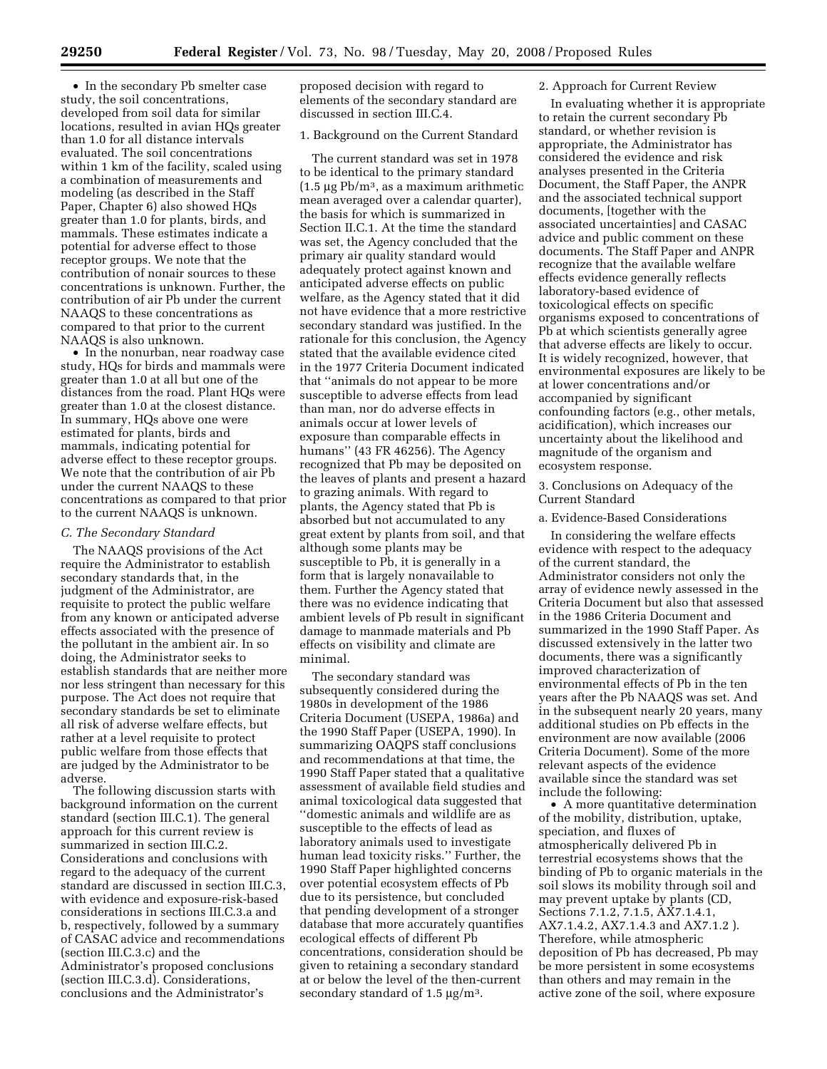• In the secondary Pb smelter case study, the soil concentrations, developed from soil data for similar locations, resulted in avian HQs greater than 1.0 for all distance intervals evaluated. The soil concentrations within 1 km of the facility, scaled using a combination of measurements and modeling (as described in the Staff Paper, Chapter 6) also showed HQs greater than 1.0 for plants, birds, and mammals. These estimates indicate a potential for adverse effect to those receptor groups. We note that the contribution of nonair sources to these concentrations is unknown. Further, the contribution of air Pb under the current NAAQS to these concentrations as compared to that prior to the current NAAQS is also unknown.

• In the nonurban, near roadway case study, HQs for birds and mammals were greater than 1.0 at all but one of the distances from the road. Plant HQs were greater than 1.0 at the closest distance. In summary, HQs above one were estimated for plants, birds and mammals, indicating potential for adverse effect to these receptor groups. We note that the contribution of air Pb under the current NAAQS to these concentrations as compared to that prior to the current NAAQS is unknown.

#### *C. The Secondary Standard*

The NAAQS provisions of the Act require the Administrator to establish secondary standards that, in the judgment of the Administrator, are requisite to protect the public welfare from any known or anticipated adverse effects associated with the presence of the pollutant in the ambient air. In so doing, the Administrator seeks to establish standards that are neither more nor less stringent than necessary for this purpose. The Act does not require that secondary standards be set to eliminate all risk of adverse welfare effects, but rather at a level requisite to protect public welfare from those effects that are judged by the Administrator to be adverse.

The following discussion starts with background information on the current standard (section III.C.1). The general approach for this current review is summarized in section III.C.2. Considerations and conclusions with regard to the adequacy of the current standard are discussed in section III.C.3, with evidence and exposure-risk-based considerations in sections III.C.3.a and b, respectively, followed by a summary of CASAC advice and recommendations (section III.C.3.c) and the Administrator's proposed conclusions (section III.C.3.d). Considerations, conclusions and the Administrator's

proposed decision with regard to elements of the secondary standard are discussed in section III.C.4.

## 1. Background on the Current Standard

The current standard was set in 1978 to be identical to the primary standard  $(1.5 \mu g \, Pb/m<sup>3</sup>)$ , as a maximum arithmetic mean averaged over a calendar quarter), the basis for which is summarized in Section II.C.1. At the time the standard was set, the Agency concluded that the primary air quality standard would adequately protect against known and anticipated adverse effects on public welfare, as the Agency stated that it did not have evidence that a more restrictive secondary standard was justified. In the rationale for this conclusion, the Agency stated that the available evidence cited in the 1977 Criteria Document indicated that ''animals do not appear to be more susceptible to adverse effects from lead than man, nor do adverse effects in animals occur at lower levels of exposure than comparable effects in humans'' (43 FR 46256). The Agency recognized that Pb may be deposited on the leaves of plants and present a hazard to grazing animals. With regard to plants, the Agency stated that Pb is absorbed but not accumulated to any great extent by plants from soil, and that although some plants may be susceptible to Pb, it is generally in a form that is largely nonavailable to them. Further the Agency stated that there was no evidence indicating that ambient levels of Pb result in significant damage to manmade materials and Pb effects on visibility and climate are minimal.

The secondary standard was subsequently considered during the 1980s in development of the 1986 Criteria Document (USEPA, 1986a) and the 1990 Staff Paper (USEPA, 1990). In summarizing OAQPS staff conclusions and recommendations at that time, the 1990 Staff Paper stated that a qualitative assessment of available field studies and animal toxicological data suggested that ''domestic animals and wildlife are as susceptible to the effects of lead as laboratory animals used to investigate human lead toxicity risks.'' Further, the 1990 Staff Paper highlighted concerns over potential ecosystem effects of Pb due to its persistence, but concluded that pending development of a stronger database that more accurately quantifies ecological effects of different Pb concentrations, consideration should be given to retaining a secondary standard at or below the level of the then-current secondary standard of 1.5  $\mu$ g/m<sup>3</sup>.

#### 2. Approach for Current Review

In evaluating whether it is appropriate to retain the current secondary Pb standard, or whether revision is appropriate, the Administrator has considered the evidence and risk analyses presented in the Criteria Document, the Staff Paper, the ANPR and the associated technical support documents, [together with the associated uncertainties] and CASAC advice and public comment on these documents. The Staff Paper and ANPR recognize that the available welfare effects evidence generally reflects laboratory-based evidence of toxicological effects on specific organisms exposed to concentrations of Pb at which scientists generally agree that adverse effects are likely to occur. It is widely recognized, however, that environmental exposures are likely to be at lower concentrations and/or accompanied by significant confounding factors (e.g., other metals, acidification), which increases our uncertainty about the likelihood and magnitude of the organism and ecosystem response.

3. Conclusions on Adequacy of the Current Standard

### a. Evidence-Based Considerations

In considering the welfare effects evidence with respect to the adequacy of the current standard, the Administrator considers not only the array of evidence newly assessed in the Criteria Document but also that assessed in the 1986 Criteria Document and summarized in the 1990 Staff Paper. As discussed extensively in the latter two documents, there was a significantly improved characterization of environmental effects of Pb in the ten years after the Pb NAAQS was set. And in the subsequent nearly 20 years, many additional studies on Pb effects in the environment are now available (2006 Criteria Document). Some of the more relevant aspects of the evidence available since the standard was set include the following:

• A more quantitative determination of the mobility, distribution, uptake, speciation, and fluxes of atmospherically delivered Pb in terrestrial ecosystems shows that the binding of Pb to organic materials in the soil slows its mobility through soil and may prevent uptake by plants (CD, Sections 7.1.2, 7.1.5, AX7.1.4.1, AX7.1.4.2, AX7.1.4.3 and AX7.1.2 ). Therefore, while atmospheric deposition of Pb has decreased, Pb may be more persistent in some ecosystems than others and may remain in the active zone of the soil, where exposure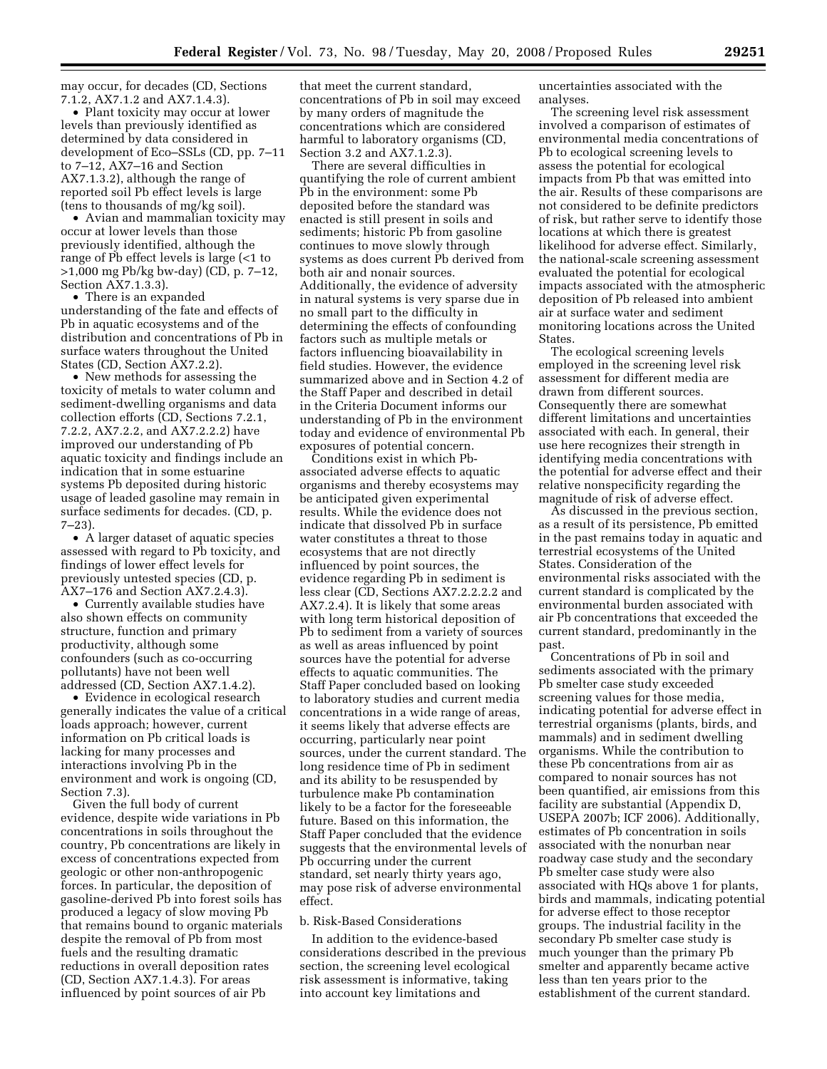may occur, for decades (CD, Sections 7.1.2, AX7.1.2 and AX7.1.4.3).

• Plant toxicity may occur at lower levels than previously identified as determined by data considered in development of Eco–SSLs (CD, pp. 7–11 to 7–12, AX7–16 and Section AX7.1.3.2), although the range of reported soil Pb effect levels is large (tens to thousands of mg/kg soil).

• Avian and mammalian toxicity may occur at lower levels than those previously identified, although the range of Pb effect levels is large (<1 to >1,000 mg Pb/kg bw-day) (CD, p. 7–12, Section AX7.1.3.3).

• There is an expanded understanding of the fate and effects of Pb in aquatic ecosystems and of the distribution and concentrations of Pb in surface waters throughout the United States (CD, Section AX7.2.2).

• New methods for assessing the toxicity of metals to water column and sediment-dwelling organisms and data collection efforts (CD, Sections 7.2.1, 7.2.2, AX7.2.2, and AX7.2.2.2) have improved our understanding of Pb aquatic toxicity and findings include an indication that in some estuarine systems Pb deposited during historic usage of leaded gasoline may remain in surface sediments for decades. (CD, p. 7–23).

• A larger dataset of aquatic species assessed with regard to Pb toxicity, and findings of lower effect levels for previously untested species (CD, p. AX7–176 and Section AX7.2.4.3).

• Currently available studies have also shown effects on community structure, function and primary productivity, although some confounders (such as co-occurring pollutants) have not been well addressed (CD, Section AX7.1.4.2).

• Evidence in ecological research generally indicates the value of a critical loads approach; however, current information on Pb critical loads is lacking for many processes and interactions involving Pb in the environment and work is ongoing (CD, Section 7.3).

Given the full body of current evidence, despite wide variations in Pb concentrations in soils throughout the country, Pb concentrations are likely in excess of concentrations expected from geologic or other non-anthropogenic forces. In particular, the deposition of gasoline-derived Pb into forest soils has produced a legacy of slow moving Pb that remains bound to organic materials despite the removal of Pb from most fuels and the resulting dramatic reductions in overall deposition rates (CD, Section AX7.1.4.3). For areas influenced by point sources of air Pb

that meet the current standard, concentrations of Pb in soil may exceed by many orders of magnitude the concentrations which are considered harmful to laboratory organisms (CD, Section 3.2 and AX7.1.2.3).

There are several difficulties in quantifying the role of current ambient Pb in the environment: some Pb deposited before the standard was enacted is still present in soils and sediments; historic Pb from gasoline continues to move slowly through systems as does current Pb derived from both air and nonair sources. Additionally, the evidence of adversity in natural systems is very sparse due in no small part to the difficulty in determining the effects of confounding factors such as multiple metals or factors influencing bioavailability in field studies. However, the evidence summarized above and in Section 4.2 of the Staff Paper and described in detail in the Criteria Document informs our understanding of Pb in the environment today and evidence of environmental Pb exposures of potential concern.

Conditions exist in which Pbassociated adverse effects to aquatic organisms and thereby ecosystems may be anticipated given experimental results. While the evidence does not indicate that dissolved Pb in surface water constitutes a threat to those ecosystems that are not directly influenced by point sources, the evidence regarding Pb in sediment is less clear (CD, Sections AX7.2.2.2.2 and AX7.2.4). It is likely that some areas with long term historical deposition of Pb to sediment from a variety of sources as well as areas influenced by point sources have the potential for adverse effects to aquatic communities. The Staff Paper concluded based on looking to laboratory studies and current media concentrations in a wide range of areas, it seems likely that adverse effects are occurring, particularly near point sources, under the current standard. The long residence time of Pb in sediment and its ability to be resuspended by turbulence make Pb contamination likely to be a factor for the foreseeable future. Based on this information, the Staff Paper concluded that the evidence suggests that the environmental levels of Pb occurring under the current standard, set nearly thirty years ago, may pose risk of adverse environmental effect.

### b. Risk-Based Considerations

In addition to the evidence-based considerations described in the previous section, the screening level ecological risk assessment is informative, taking into account key limitations and

uncertainties associated with the analyses.

The screening level risk assessment involved a comparison of estimates of environmental media concentrations of Pb to ecological screening levels to assess the potential for ecological impacts from Pb that was emitted into the air. Results of these comparisons are not considered to be definite predictors of risk, but rather serve to identify those locations at which there is greatest likelihood for adverse effect. Similarly, the national-scale screening assessment evaluated the potential for ecological impacts associated with the atmospheric deposition of Pb released into ambient air at surface water and sediment monitoring locations across the United States.

The ecological screening levels employed in the screening level risk assessment for different media are drawn from different sources. Consequently there are somewhat different limitations and uncertainties associated with each. In general, their use here recognizes their strength in identifying media concentrations with the potential for adverse effect and their relative nonspecificity regarding the magnitude of risk of adverse effect.

As discussed in the previous section, as a result of its persistence, Pb emitted in the past remains today in aquatic and terrestrial ecosystems of the United States. Consideration of the environmental risks associated with the current standard is complicated by the environmental burden associated with air Pb concentrations that exceeded the current standard, predominantly in the past.

Concentrations of Pb in soil and sediments associated with the primary Pb smelter case study exceeded screening values for those media, indicating potential for adverse effect in terrestrial organisms (plants, birds, and mammals) and in sediment dwelling organisms. While the contribution to these Pb concentrations from air as compared to nonair sources has not been quantified, air emissions from this facility are substantial (Appendix D, USEPA 2007b; ICF 2006). Additionally, estimates of Pb concentration in soils associated with the nonurban near roadway case study and the secondary Pb smelter case study were also associated with HQs above 1 for plants, birds and mammals, indicating potential for adverse effect to those receptor groups. The industrial facility in the secondary Pb smelter case study is much younger than the primary Pb smelter and apparently became active less than ten years prior to the establishment of the current standard.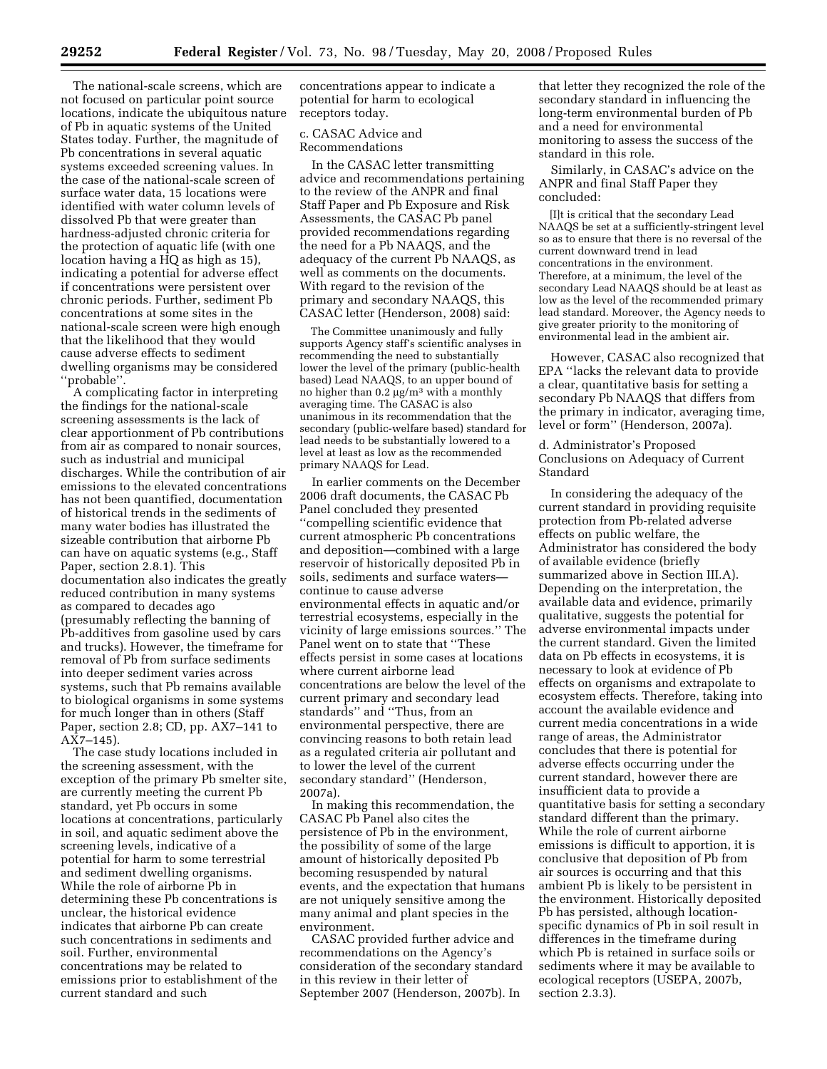The national-scale screens, which are not focused on particular point source locations, indicate the ubiquitous nature of Pb in aquatic systems of the United States today. Further, the magnitude of Pb concentrations in several aquatic systems exceeded screening values. In the case of the national-scale screen of surface water data, 15 locations were identified with water column levels of dissolved Pb that were greater than hardness-adjusted chronic criteria for the protection of aquatic life (with one location having a HQ as high as 15), indicating a potential for adverse effect if concentrations were persistent over chronic periods. Further, sediment Pb concentrations at some sites in the national-scale screen were high enough that the likelihood that they would cause adverse effects to sediment dwelling organisms may be considered ''probable''.

A complicating factor in interpreting the findings for the national-scale screening assessments is the lack of clear apportionment of Pb contributions from air as compared to nonair sources, such as industrial and municipal discharges. While the contribution of air emissions to the elevated concentrations has not been quantified, documentation of historical trends in the sediments of many water bodies has illustrated the sizeable contribution that airborne Pb can have on aquatic systems (e.g., Staff Paper, section 2.8.1). This documentation also indicates the greatly reduced contribution in many systems as compared to decades ago (presumably reflecting the banning of Pb-additives from gasoline used by cars and trucks). However, the timeframe for removal of Pb from surface sediments into deeper sediment varies across systems, such that Pb remains available to biological organisms in some systems for much longer than in others (Staff Paper, section 2.8; CD, pp. AX7–141 to  $A\bar{X}$ 7–145).

The case study locations included in the screening assessment, with the exception of the primary Pb smelter site, are currently meeting the current Pb standard, yet Pb occurs in some locations at concentrations, particularly in soil, and aquatic sediment above the screening levels, indicative of a potential for harm to some terrestrial and sediment dwelling organisms. While the role of airborne Pb in determining these Pb concentrations is unclear, the historical evidence indicates that airborne Pb can create such concentrations in sediments and soil. Further, environmental concentrations may be related to emissions prior to establishment of the current standard and such

concentrations appear to indicate a potential for harm to ecological receptors today.

### c. CASAC Advice and Recommendations

In the CASAC letter transmitting advice and recommendations pertaining to the review of the ANPR and final Staff Paper and Pb Exposure and Risk Assessments, the CASAC Pb panel provided recommendations regarding the need for a Pb NAAQS, and the adequacy of the current Pb NAAQS, as well as comments on the documents. With regard to the revision of the primary and secondary NAAQS, this CASAC letter (Henderson, 2008) said:

The Committee unanimously and fully supports Agency staff's scientific analyses in recommending the need to substantially lower the level of the primary (public-health based) Lead NAAQS, to an upper bound of no higher than  $0.2 \mu g/m^3$  with a monthly averaging time. The CASAC is also unanimous in its recommendation that the secondary (public-welfare based) standard for lead needs to be substantially lowered to a level at least as low as the recommended primary NAAQS for Lead.

In earlier comments on the December 2006 draft documents, the CASAC Pb Panel concluded they presented ''compelling scientific evidence that current atmospheric Pb concentrations and deposition—combined with a large reservoir of historically deposited Pb in soils, sediments and surface waters continue to cause adverse environmental effects in aquatic and/or terrestrial ecosystems, especially in the vicinity of large emissions sources.'' The Panel went on to state that ''These effects persist in some cases at locations where current airborne lead concentrations are below the level of the current primary and secondary lead standards'' and ''Thus, from an environmental perspective, there are convincing reasons to both retain lead as a regulated criteria air pollutant and to lower the level of the current secondary standard'' (Henderson, 2007a).

In making this recommendation, the CASAC Pb Panel also cites the persistence of Pb in the environment, the possibility of some of the large amount of historically deposited Pb becoming resuspended by natural events, and the expectation that humans are not uniquely sensitive among the many animal and plant species in the environment.

CASAC provided further advice and recommendations on the Agency's consideration of the secondary standard in this review in their letter of September 2007 (Henderson, 2007b). In

that letter they recognized the role of the secondary standard in influencing the long-term environmental burden of Pb and a need for environmental monitoring to assess the success of the standard in this role.

Similarly, in CASAC's advice on the ANPR and final Staff Paper they concluded:

[I]t is critical that the secondary Lead NAAQS be set at a sufficiently-stringent level so as to ensure that there is no reversal of the current downward trend in lead concentrations in the environment. Therefore, at a minimum, the level of the secondary Lead NAAQS should be at least as low as the level of the recommended primary lead standard. Moreover, the Agency needs to give greater priority to the monitoring of environmental lead in the ambient air.

However, CASAC also recognized that EPA ''lacks the relevant data to provide a clear, quantitative basis for setting a secondary Pb NAAQS that differs from the primary in indicator, averaging time, level or form'' (Henderson, 2007a).

d. Administrator's Proposed Conclusions on Adequacy of Current Standard

In considering the adequacy of the current standard in providing requisite protection from Pb-related adverse effects on public welfare, the Administrator has considered the body of available evidence (briefly summarized above in Section III.A). Depending on the interpretation, the available data and evidence, primarily qualitative, suggests the potential for adverse environmental impacts under the current standard. Given the limited data on Pb effects in ecosystems, it is necessary to look at evidence of Pb effects on organisms and extrapolate to ecosystem effects. Therefore, taking into account the available evidence and current media concentrations in a wide range of areas, the Administrator concludes that there is potential for adverse effects occurring under the current standard, however there are insufficient data to provide a quantitative basis for setting a secondary standard different than the primary. While the role of current airborne emissions is difficult to apportion, it is conclusive that deposition of Pb from air sources is occurring and that this ambient Pb is likely to be persistent in the environment. Historically deposited Pb has persisted, although locationspecific dynamics of Pb in soil result in differences in the timeframe during which Pb is retained in surface soils or sediments where it may be available to ecological receptors (USEPA, 2007b, section 2.3.3).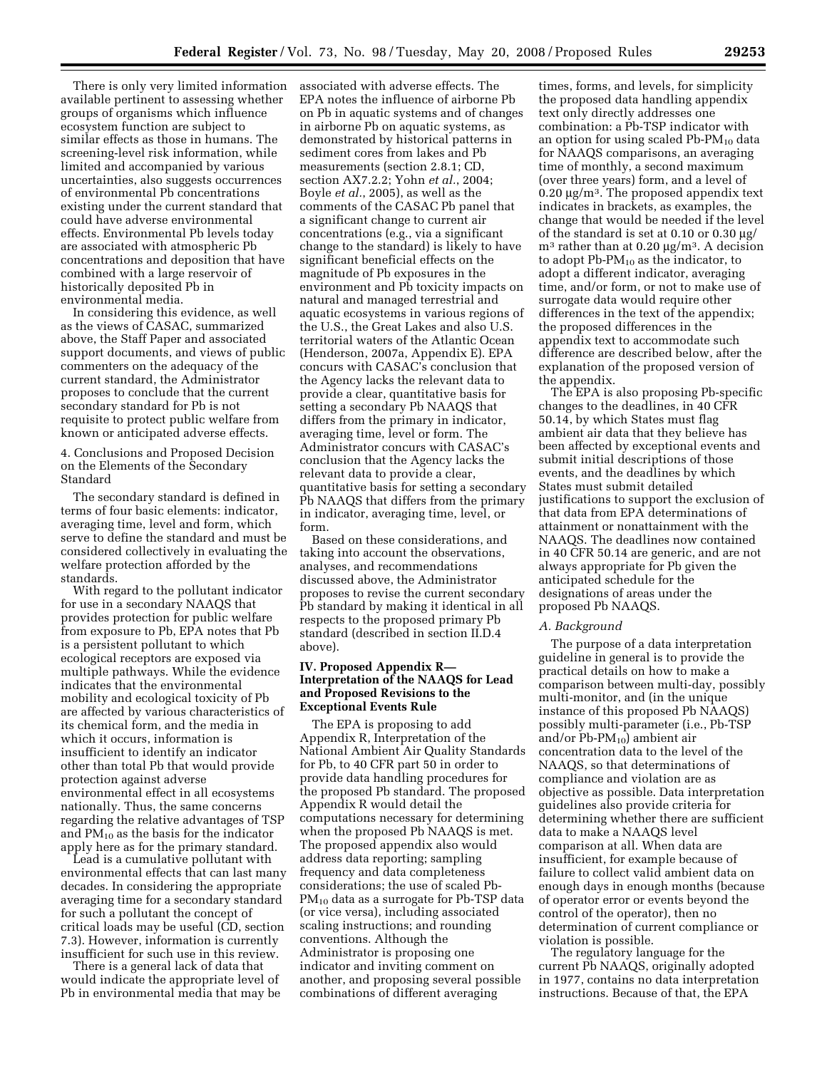There is only very limited information available pertinent to assessing whether groups of organisms which influence ecosystem function are subject to similar effects as those in humans. The screening-level risk information, while limited and accompanied by various uncertainties, also suggests occurrences of environmental Pb concentrations existing under the current standard that could have adverse environmental effects. Environmental Pb levels today are associated with atmospheric Pb concentrations and deposition that have combined with a large reservoir of historically deposited Pb in environmental media.

In considering this evidence, as well as the views of CASAC, summarized above, the Staff Paper and associated support documents, and views of public commenters on the adequacy of the current standard, the Administrator proposes to conclude that the current secondary standard for Pb is not requisite to protect public welfare from known or anticipated adverse effects.

4. Conclusions and Proposed Decision on the Elements of the Secondary Standard

The secondary standard is defined in terms of four basic elements: indicator, averaging time, level and form, which serve to define the standard and must be considered collectively in evaluating the welfare protection afforded by the standards.

With regard to the pollutant indicator for use in a secondary NAAQS that provides protection for public welfare from exposure to Pb, EPA notes that Pb is a persistent pollutant to which ecological receptors are exposed via multiple pathways. While the evidence indicates that the environmental mobility and ecological toxicity of Pb are affected by various characteristics of its chemical form, and the media in which it occurs, information is insufficient to identify an indicator other than total Pb that would provide protection against adverse environmental effect in all ecosystems nationally. Thus, the same concerns regarding the relative advantages of TSP and  $PM_{10}$  as the basis for the indicator apply here as for the primary standard.

Lead is a cumulative pollutant with environmental effects that can last many decades. In considering the appropriate averaging time for a secondary standard for such a pollutant the concept of critical loads may be useful (CD, section 7.3). However, information is currently insufficient for such use in this review.

There is a general lack of data that would indicate the appropriate level of Pb in environmental media that may be associated with adverse effects. The EPA notes the influence of airborne Pb on Pb in aquatic systems and of changes in airborne Pb on aquatic systems, as demonstrated by historical patterns in sediment cores from lakes and Pb measurements (section 2.8.1; CD, section AX7.2.2; Yohn *et al.*, 2004; Boyle *et al.*, 2005), as well as the comments of the CASAC Pb panel that a significant change to current air concentrations (e.g., via a significant change to the standard) is likely to have significant beneficial effects on the magnitude of Pb exposures in the environment and Pb toxicity impacts on natural and managed terrestrial and aquatic ecosystems in various regions of the U.S., the Great Lakes and also U.S. territorial waters of the Atlantic Ocean (Henderson, 2007a, Appendix E). EPA concurs with CASAC's conclusion that the Agency lacks the relevant data to provide a clear, quantitative basis for setting a secondary Pb NAAQS that differs from the primary in indicator, averaging time, level or form. The Administrator concurs with CASAC's conclusion that the Agency lacks the relevant data to provide a clear, quantitative basis for setting a secondary Pb NAAQS that differs from the primary in indicator, averaging time, level, or form.

Based on these considerations, and taking into account the observations, analyses, and recommendations discussed above, the Administrator proposes to revise the current secondary Pb standard by making it identical in all respects to the proposed primary Pb standard (described in section II.D.4 above).

## **IV. Proposed Appendix R— Interpretation of the NAAQS for Lead and Proposed Revisions to the Exceptional Events Rule**

The EPA is proposing to add Appendix R, Interpretation of the National Ambient Air Quality Standards for Pb, to 40 CFR part 50 in order to provide data handling procedures for the proposed Pb standard. The proposed Appendix R would detail the computations necessary for determining when the proposed Pb NAAQS is met. The proposed appendix also would address data reporting; sampling frequency and data completeness considerations; the use of scaled Pb-PM<sub>10</sub> data as a surrogate for Pb-TSP data (or vice versa), including associated scaling instructions; and rounding conventions. Although the Administrator is proposing one indicator and inviting comment on another, and proposing several possible combinations of different averaging

times, forms, and levels, for simplicity the proposed data handling appendix text only directly addresses one combination: a Pb-TSP indicator with an option for using scaled Pb-P $M_{10}$  data for NAAQS comparisons, an averaging time of monthly, a second maximum (over three years) form, and a level of 0.20  $\mu$ g/m<sup>3</sup>. The proposed appendix text indicates in brackets, as examples, the change that would be needed if the level of the standard is set at 0.10 or 0.30 µg/  $m<sup>3</sup>$  rather than at 0.20  $\mu$ g/m<sup>3</sup>. A decision to adopt  $Pb-PM_{10}$  as the indicator, to adopt a different indicator, averaging time, and/or form, or not to make use of surrogate data would require other differences in the text of the appendix; the proposed differences in the appendix text to accommodate such difference are described below, after the explanation of the proposed version of the appendix.

The EPA is also proposing Pb-specific changes to the deadlines, in 40 CFR 50.14, by which States must flag ambient air data that they believe has been affected by exceptional events and submit initial descriptions of those events, and the deadlines by which States must submit detailed justifications to support the exclusion of that data from EPA determinations of attainment or nonattainment with the NAAQS. The deadlines now contained in 40 CFR 50.14 are generic, and are not always appropriate for Pb given the anticipated schedule for the designations of areas under the proposed Pb NAAQS.

#### *A. Background*

The purpose of a data interpretation guideline in general is to provide the practical details on how to make a comparison between multi-day, possibly multi-monitor, and (in the unique instance of this proposed Pb NAAQS) possibly multi-parameter (i.e., Pb-TSP and/or  $Pb-PM_{10}$  ambient air concentration data to the level of the NAAQS, so that determinations of compliance and violation are as objective as possible. Data interpretation guidelines also provide criteria for determining whether there are sufficient data to make a NAAQS level comparison at all. When data are insufficient, for example because of failure to collect valid ambient data on enough days in enough months (because of operator error or events beyond the control of the operator), then no determination of current compliance or violation is possible.

The regulatory language for the current Pb NAAQS, originally adopted in 1977, contains no data interpretation instructions. Because of that, the EPA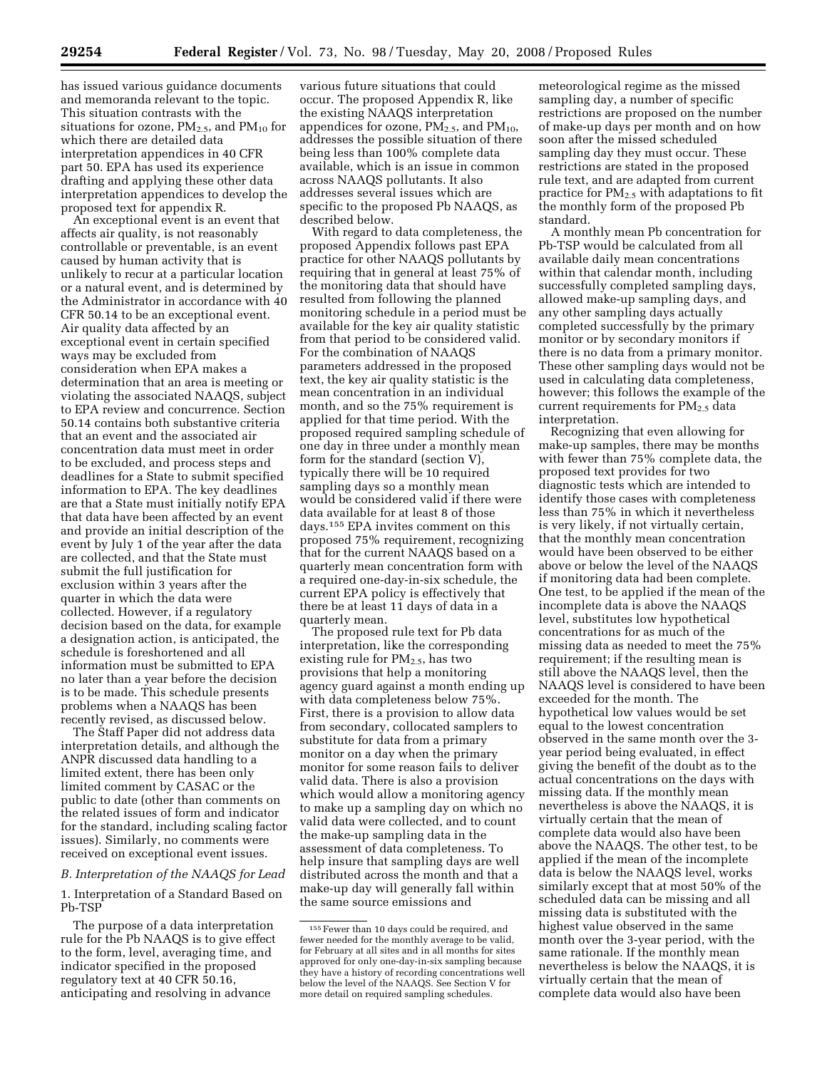has issued various guidance documents and memoranda relevant to the topic. This situation contrasts with the situations for ozone,  $PM_{2.5}$ , and  $PM_{10}$  for which there are detailed data interpretation appendices in 40 CFR part 50. EPA has used its experience drafting and applying these other data interpretation appendices to develop the proposed text for appendix R.

An exceptional event is an event that affects air quality, is not reasonably controllable or preventable, is an event caused by human activity that is unlikely to recur at a particular location or a natural event, and is determined by the Administrator in accordance with 40 CFR 50.14 to be an exceptional event. Air quality data affected by an exceptional event in certain specified ways may be excluded from consideration when EPA makes a determination that an area is meeting or violating the associated NAAQS, subject to EPA review and concurrence. Section 50.14 contains both substantive criteria that an event and the associated air concentration data must meet in order to be excluded, and process steps and deadlines for a State to submit specified information to EPA. The key deadlines are that a State must initially notify EPA that data have been affected by an event and provide an initial description of the event by July 1 of the year after the data are collected, and that the State must submit the full justification for exclusion within 3 years after the quarter in which the data were collected. However, if a regulatory decision based on the data, for example a designation action, is anticipated, the schedule is foreshortened and all information must be submitted to EPA no later than a year before the decision is to be made. This schedule presents problems when a NAAQS has been recently revised, as discussed below.

The Staff Paper did not address data interpretation details, and although the ANPR discussed data handling to a limited extent, there has been only limited comment by CASAC or the public to date (other than comments on the related issues of form and indicator for the standard, including scaling factor issues). Similarly, no comments were received on exceptional event issues.

### *B. Interpretation of the NAAQS for Lead*

1. Interpretation of a Standard Based on Pb-TSP

The purpose of a data interpretation rule for the Pb NAAQS is to give effect to the form, level, averaging time, and indicator specified in the proposed regulatory text at 40 CFR 50.16, anticipating and resolving in advance

various future situations that could occur. The proposed Appendix R, like the existing NAAQS interpretation appendices for ozone,  $PM_{2.5}$ , and  $PM_{10}$ , addresses the possible situation of there being less than 100% complete data available, which is an issue in common across NAAQS pollutants. It also addresses several issues which are specific to the proposed Pb NAAQS, as described below.

With regard to data completeness, the proposed Appendix follows past EPA practice for other NAAQS pollutants by requiring that in general at least 75% of the monitoring data that should have resulted from following the planned monitoring schedule in a period must be available for the key air quality statistic from that period to be considered valid. For the combination of NAAQS parameters addressed in the proposed text, the key air quality statistic is the mean concentration in an individual month, and so the 75% requirement is applied for that time period. With the proposed required sampling schedule of one day in three under a monthly mean form for the standard (section V), typically there will be 10 required sampling days so a monthly mean would be considered valid if there were data available for at least 8 of those days.155 EPA invites comment on this proposed 75% requirement, recognizing that for the current NAAQS based on a quarterly mean concentration form with a required one-day-in-six schedule, the current EPA policy is effectively that there be at least 11 days of data in a quarterly mean.

The proposed rule text for Pb data interpretation, like the corresponding existing rule for  $PM<sub>2.5</sub>$ , has two provisions that help a monitoring agency guard against a month ending up with data completeness below 75%. First, there is a provision to allow data from secondary, collocated samplers to substitute for data from a primary monitor on a day when the primary monitor for some reason fails to deliver valid data. There is also a provision which would allow a monitoring agency to make up a sampling day on which no valid data were collected, and to count the make-up sampling data in the assessment of data completeness. To help insure that sampling days are well distributed across the month and that a make-up day will generally fall within the same source emissions and

meteorological regime as the missed sampling day, a number of specific restrictions are proposed on the number of make-up days per month and on how soon after the missed scheduled sampling day they must occur. These restrictions are stated in the proposed rule text, and are adapted from current practice for PM2.5 with adaptations to fit the monthly form of the proposed Pb standard.

A monthly mean Pb concentration for Pb-TSP would be calculated from all available daily mean concentrations within that calendar month, including successfully completed sampling days, allowed make-up sampling days, and any other sampling days actually completed successfully by the primary monitor or by secondary monitors if there is no data from a primary monitor. These other sampling days would not be used in calculating data completeness, however; this follows the example of the current requirements for  $PM_{2.5}$  data interpretation.

Recognizing that even allowing for make-up samples, there may be months with fewer than 75% complete data, the proposed text provides for two diagnostic tests which are intended to identify those cases with completeness less than 75% in which it nevertheless is very likely, if not virtually certain, that the monthly mean concentration would have been observed to be either above or below the level of the NAAQS if monitoring data had been complete. One test, to be applied if the mean of the incomplete data is above the NAAQS level, substitutes low hypothetical concentrations for as much of the missing data as needed to meet the 75% requirement; if the resulting mean is still above the NAAQS level, then the NAAQS level is considered to have been exceeded for the month. The hypothetical low values would be set equal to the lowest concentration observed in the same month over the 3 year period being evaluated, in effect giving the benefit of the doubt as to the actual concentrations on the days with missing data. If the monthly mean nevertheless is above the NAAQS, it is virtually certain that the mean of complete data would also have been above the NAAQS. The other test, to be applied if the mean of the incomplete data is below the NAAQS level, works similarly except that at most 50% of the scheduled data can be missing and all missing data is substituted with the highest value observed in the same month over the 3-year period, with the same rationale. If the monthly mean nevertheless is below the NAAQS, it is virtually certain that the mean of complete data would also have been

<sup>155</sup>Fewer than 10 days could be required, and fewer needed for the monthly average to be valid, for February at all sites and in all months for sites approved for only one-day-in-six sampling because they have a history of recording concentrations well below the level of the NAAQS. See Section V for more detail on required sampling schedules.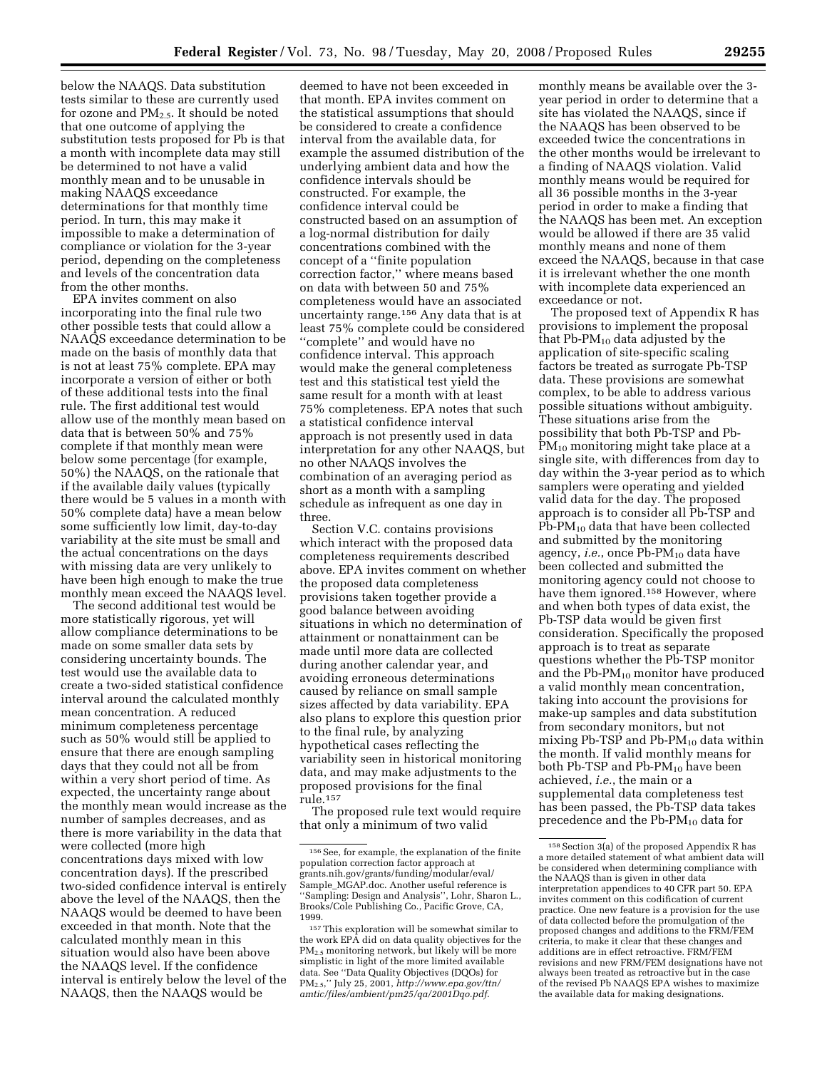below the NAAQS. Data substitution tests similar to these are currently used for ozone and  $PM_{2.5}$ . It should be noted that one outcome of applying the substitution tests proposed for Pb is that a month with incomplete data may still be determined to not have a valid monthly mean and to be unusable in making NAAQS exceedance determinations for that monthly time period. In turn, this may make it impossible to make a determination of compliance or violation for the 3-year period, depending on the completeness and levels of the concentration data from the other months.

EPA invites comment on also incorporating into the final rule two other possible tests that could allow a NAAQS exceedance determination to be made on the basis of monthly data that is not at least 75% complete. EPA may incorporate a version of either or both of these additional tests into the final rule. The first additional test would allow use of the monthly mean based on data that is between 50% and 75% complete if that monthly mean were below some percentage (for example, 50%) the NAAQS, on the rationale that if the available daily values (typically there would be 5 values in a month with 50% complete data) have a mean below some sufficiently low limit, day-to-day variability at the site must be small and the actual concentrations on the days with missing data are very unlikely to have been high enough to make the true monthly mean exceed the NAAQS level.

The second additional test would be more statistically rigorous, yet will allow compliance determinations to be made on some smaller data sets by considering uncertainty bounds. The test would use the available data to create a two-sided statistical confidence interval around the calculated monthly mean concentration. A reduced minimum completeness percentage such as 50% would still be applied to ensure that there are enough sampling days that they could not all be from within a very short period of time. As expected, the uncertainty range about the monthly mean would increase as the number of samples decreases, and as there is more variability in the data that were collected (more high concentrations days mixed with low concentration days). If the prescribed two-sided confidence interval is entirely above the level of the NAAQS, then the NAAQS would be deemed to have been exceeded in that month. Note that the calculated monthly mean in this situation would also have been above the NAAQS level. If the confidence interval is entirely below the level of the NAAQS, then the NAAQS would be

deemed to have not been exceeded in that month. EPA invites comment on the statistical assumptions that should be considered to create a confidence interval from the available data, for example the assumed distribution of the underlying ambient data and how the confidence intervals should be constructed. For example, the confidence interval could be constructed based on an assumption of a log-normal distribution for daily concentrations combined with the concept of a ''finite population correction factor,'' where means based on data with between 50 and 75% completeness would have an associated uncertainty range.156 Any data that is at least 75% complete could be considered ''complete'' and would have no confidence interval. This approach would make the general completeness test and this statistical test yield the same result for a month with at least 75% completeness. EPA notes that such a statistical confidence interval approach is not presently used in data interpretation for any other NAAQS, but no other NAAQS involves the combination of an averaging period as short as a month with a sampling schedule as infrequent as one day in three.

Section V.C. contains provisions which interact with the proposed data completeness requirements described above. EPA invites comment on whether the proposed data completeness provisions taken together provide a good balance between avoiding situations in which no determination of attainment or nonattainment can be made until more data are collected during another calendar year, and avoiding erroneous determinations caused by reliance on small sample sizes affected by data variability. EPA also plans to explore this question prior to the final rule, by analyzing hypothetical cases reflecting the variability seen in historical monitoring data, and may make adjustments to the proposed provisions for the final rule.157

The proposed rule text would require that only a minimum of two valid

monthly means be available over the 3 year period in order to determine that a site has violated the NAAQS, since if the NAAQS has been observed to be exceeded twice the concentrations in the other months would be irrelevant to a finding of NAAQS violation. Valid monthly means would be required for all 36 possible months in the 3-year period in order to make a finding that the NAAQS has been met. An exception would be allowed if there are 35 valid monthly means and none of them exceed the NAAQS, because in that case it is irrelevant whether the one month with incomplete data experienced an exceedance or not.

The proposed text of Appendix R has provisions to implement the proposal that  $Pb-PM_{10}$  data adjusted by the application of site-specific scaling factors be treated as surrogate Pb-TSP data. These provisions are somewhat complex, to be able to address various possible situations without ambiguity. These situations arise from the possibility that both Pb-TSP and Pb-PM<sub>10</sub> monitoring might take place at a single site, with differences from day to day within the 3-year period as to which samplers were operating and yielded valid data for the day. The proposed approach is to consider all Pb-TSP and Pb-PM10 data that have been collected and submitted by the monitoring agency, *i.e.*, once Pb-PM<sub>10</sub> data have been collected and submitted the monitoring agency could not choose to have them ignored.158 However, where and when both types of data exist, the Pb-TSP data would be given first consideration. Specifically the proposed approach is to treat as separate questions whether the Pb-TSP monitor and the Pb-PM<sub>10</sub> monitor have produced a valid monthly mean concentration, taking into account the provisions for make-up samples and data substitution from secondary monitors, but not mixing Pb-TSP and Pb- $PM_{10}$  data within the month. If valid monthly means for both Pb-TSP and Pb-P $M_{10}$  have been achieved, *i.e.*, the main or a supplemental data completeness test has been passed, the Pb-TSP data takes precedence and the Pb-PM10 data for

<sup>156</sup>See, for example, the explanation of the finite population correction factor approach at grants.nih.gov/grants/funding/modular/eval/ Sample\_MGAP.doc. Another useful reference is ''Sampling: Design and Analysis'', Lohr, Sharon L., Brooks/Cole Publishing Co., Pacific Grove, CA, 1999.

<sup>157</sup>This exploration will be somewhat similar to the work EPA did on data quality objectives for the PM2.5 monitoring network, but likely will be more simplistic in light of the more limited available data. See ''Data Quality Objectives (DQOs) for PM2.5,'' July 25, 2001, *http://www.epa.gov/ttn/ amtic/files/ambient/pm25/qa/2001Dqo.pdf.* 

 $^{158}\,$  Section 3(a) of the proposed Appendix R has a more detailed statement of what ambient data will be considered when determining compliance with the NAAQS than is given in other data interpretation appendices to 40 CFR part 50. EPA invites comment on this codification of current practice. One new feature is a provision for the use of data collected before the promulgation of the proposed changes and additions to the FRM/FEM criteria, to make it clear that these changes and additions are in effect retroactive. FRM/FEM revisions and new FRM/FEM designations have not always been treated as retroactive but in the case of the revised Pb NAAQS EPA wishes to maximize the available data for making designations.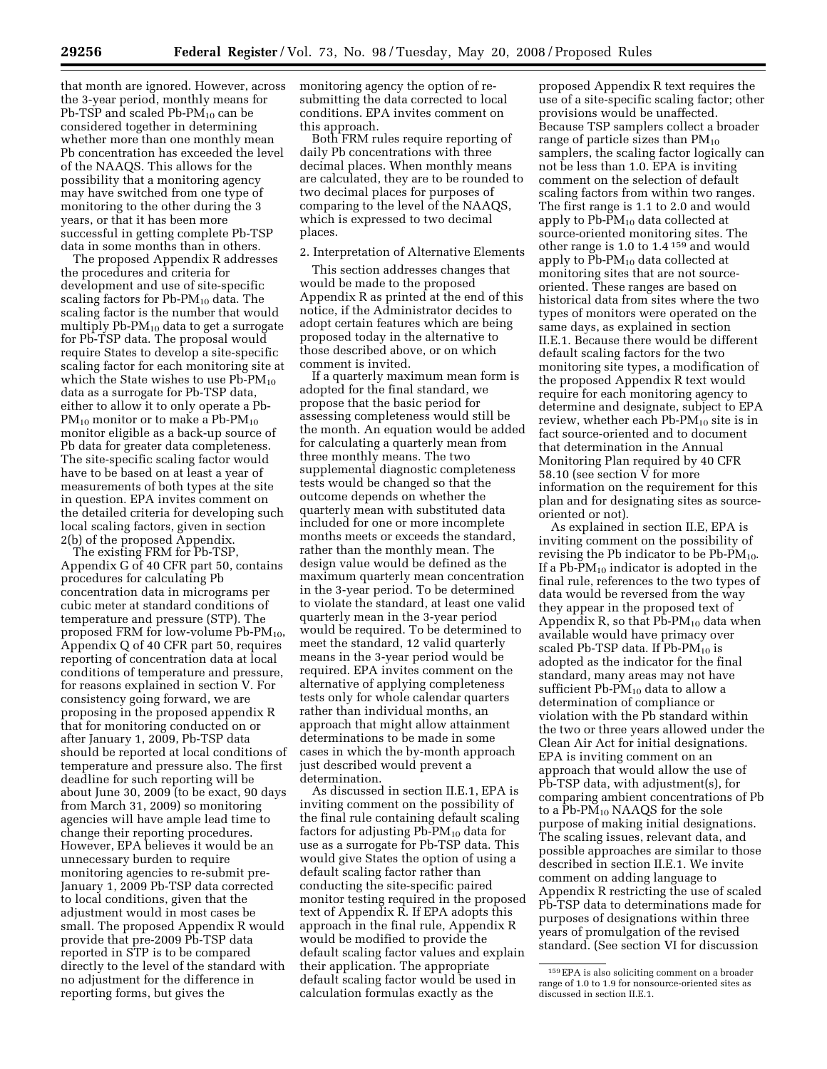that month are ignored. However, across the 3-year period, monthly means for Pb-TSP and scaled Pb- $PM_{10}$  can be considered together in determining whether more than one monthly mean Pb concentration has exceeded the level of the NAAQS. This allows for the possibility that a monitoring agency may have switched from one type of monitoring to the other during the 3 years, or that it has been more successful in getting complete Pb-TSP data in some months than in others.

The proposed Appendix R addresses the procedures and criteria for development and use of site-specific scaling factors for  $Pb-PM_{10}$  data. The scaling factor is the number that would multiply Pb-PM<sub>10</sub> data to get a surrogate for Pb-TSP data. The proposal would require States to develop a site-specific scaling factor for each monitoring site at which the State wishes to use  $Pb-PM_{10}$ data as a surrogate for Pb-TSP data, either to allow it to only operate a Pb- $PM_{10}$  monitor or to make a Pb-PM<sub>10</sub> monitor eligible as a back-up source of Pb data for greater data completeness. The site-specific scaling factor would have to be based on at least a year of measurements of both types at the site in question. EPA invites comment on the detailed criteria for developing such local scaling factors, given in section 2(b) of the proposed Appendix.

The existing FRM for Pb-TSP, Appendix G of 40 CFR part 50, contains procedures for calculating Pb concentration data in micrograms per cubic meter at standard conditions of temperature and pressure (STP). The proposed FRM for low-volume Pb- $PM_{10}$ , Appendix Q of 40 CFR part 50, requires reporting of concentration data at local conditions of temperature and pressure, for reasons explained in section V. For consistency going forward, we are proposing in the proposed appendix R that for monitoring conducted on or after January 1, 2009, Pb-TSP data should be reported at local conditions of temperature and pressure also. The first deadline for such reporting will be about June 30, 2009 (to be exact, 90 days from March 31, 2009) so monitoring agencies will have ample lead time to change their reporting procedures. However, EPA believes it would be an unnecessary burden to require monitoring agencies to re-submit pre-January 1, 2009 Pb-TSP data corrected to local conditions, given that the adjustment would in most cases be small. The proposed Appendix R would provide that pre-2009 Pb-TSP data reported in STP is to be compared directly to the level of the standard with no adjustment for the difference in reporting forms, but gives the

monitoring agency the option of resubmitting the data corrected to local conditions. EPA invites comment on this approach.

Both FRM rules require reporting of daily Pb concentrations with three decimal places. When monthly means are calculated, they are to be rounded to two decimal places for purposes of comparing to the level of the NAAQS, which is expressed to two decimal places.

2. Interpretation of Alternative Elements

This section addresses changes that would be made to the proposed Appendix R as printed at the end of this notice, if the Administrator decides to adopt certain features which are being proposed today in the alternative to those described above, or on which comment is invited.

If a quarterly maximum mean form is adopted for the final standard, we propose that the basic period for assessing completeness would still be the month. An equation would be added for calculating a quarterly mean from three monthly means. The two supplemental diagnostic completeness tests would be changed so that the outcome depends on whether the quarterly mean with substituted data included for one or more incomplete months meets or exceeds the standard, rather than the monthly mean. The design value would be defined as the maximum quarterly mean concentration in the 3-year period. To be determined to violate the standard, at least one valid quarterly mean in the 3-year period would be required. To be determined to meet the standard, 12 valid quarterly means in the 3-year period would be required. EPA invites comment on the alternative of applying completeness tests only for whole calendar quarters rather than individual months, an approach that might allow attainment determinations to be made in some cases in which the by-month approach just described would prevent a determination.

As discussed in section II.E.1, EPA is inviting comment on the possibility of the final rule containing default scaling factors for adjusting  $Pb-PM_{10}$  data for use as a surrogate for Pb-TSP data. This would give States the option of using a default scaling factor rather than conducting the site-specific paired monitor testing required in the proposed text of Appendix R. If EPA adopts this approach in the final rule, Appendix R would be modified to provide the default scaling factor values and explain their application. The appropriate default scaling factor would be used in calculation formulas exactly as the

proposed Appendix R text requires the use of a site-specific scaling factor; other provisions would be unaffected. Because TSP samplers collect a broader range of particle sizes than  $PM_{10}$ samplers, the scaling factor logically can not be less than 1.0. EPA is inviting comment on the selection of default scaling factors from within two ranges. The first range is 1.1 to 2.0 and would apply to Pb-PM10 data collected at source-oriented monitoring sites. The other range is 1.0 to 1.4 159 and would apply to  $Pb-PM_{10}$  data collected at monitoring sites that are not sourceoriented. These ranges are based on historical data from sites where the two types of monitors were operated on the same days, as explained in section II.E.1. Because there would be different default scaling factors for the two monitoring site types, a modification of the proposed Appendix R text would require for each monitoring agency to determine and designate, subject to EPA review, whether each Pb-PM10 site is in fact source-oriented and to document that determination in the Annual Monitoring Plan required by 40 CFR 58.10 (see section V for more information on the requirement for this plan and for designating sites as sourceoriented or not).

As explained in section II.E, EPA is inviting comment on the possibility of revising the Pb indicator to be  $Pb-PM_{10}$ . If a  $Pb-PM_{10}$  indicator is adopted in the final rule, references to the two types of data would be reversed from the way they appear in the proposed text of Appendix R, so that  $Pb-PM_{10}$  data when available would have primacy over scaled Pb-TSP data. If  $Pb-PM_{10}$  is adopted as the indicator for the final standard, many areas may not have sufficient  $Pb-PM_{10}$  data to allow a determination of compliance or violation with the Pb standard within the two or three years allowed under the Clean Air Act for initial designations. EPA is inviting comment on an approach that would allow the use of Pb-TSP data, with adjustment(s), for comparing ambient concentrations of Pb to a  $Pb-PM_{10}$  NAAQS for the sole purpose of making initial designations. The scaling issues, relevant data, and possible approaches are similar to those described in section II.E.1. We invite comment on adding language to Appendix R restricting the use of scaled Pb-TSP data to determinations made for purposes of designations within three years of promulgation of the revised standard. (See section VI for discussion

<sup>159</sup>EPA is also soliciting comment on a broader range of 1.0 to 1.9 for nonsource-oriented sites as discussed in section II.E.1.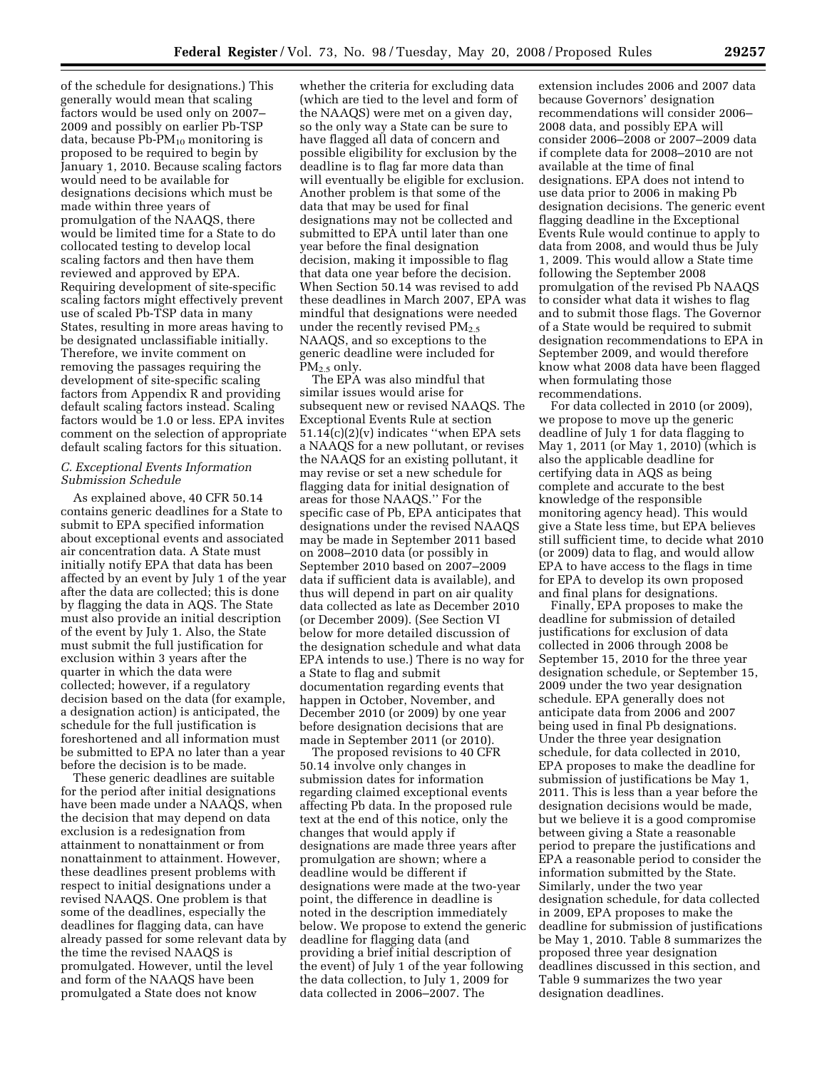of the schedule for designations.) This generally would mean that scaling factors would be used only on 2007– 2009 and possibly on earlier Pb-TSP data, because Pb-P $M_{10}$  monitoring is proposed to be required to begin by January 1, 2010. Because scaling factors would need to be available for designations decisions which must be made within three years of promulgation of the NAAQS, there would be limited time for a State to do collocated testing to develop local scaling factors and then have them reviewed and approved by EPA. Requiring development of site-specific scaling factors might effectively prevent use of scaled Pb-TSP data in many States, resulting in more areas having to be designated unclassifiable initially. Therefore, we invite comment on removing the passages requiring the development of site-specific scaling factors from Appendix R and providing default scaling factors instead. Scaling factors would be 1.0 or less. EPA invites comment on the selection of appropriate default scaling factors for this situation.

### *C. Exceptional Events Information Submission Schedule*

As explained above, 40 CFR 50.14 contains generic deadlines for a State to submit to EPA specified information about exceptional events and associated air concentration data. A State must initially notify EPA that data has been affected by an event by July 1 of the year after the data are collected; this is done by flagging the data in AQS. The State must also provide an initial description of the event by July 1. Also, the State must submit the full justification for exclusion within 3 years after the quarter in which the data were collected; however, if a regulatory decision based on the data (for example, a designation action) is anticipated, the schedule for the full justification is foreshortened and all information must be submitted to EPA no later than a year before the decision is to be made.

These generic deadlines are suitable for the period after initial designations have been made under a NAAQS, when the decision that may depend on data exclusion is a redesignation from attainment to nonattainment or from nonattainment to attainment. However, these deadlines present problems with respect to initial designations under a revised NAAQS. One problem is that some of the deadlines, especially the deadlines for flagging data, can have already passed for some relevant data by the time the revised NAAQS is promulgated. However, until the level and form of the NAAQS have been promulgated a State does not know

whether the criteria for excluding data (which are tied to the level and form of the NAAQS) were met on a given day, so the only way a State can be sure to have flagged all data of concern and possible eligibility for exclusion by the deadline is to flag far more data than will eventually be eligible for exclusion. Another problem is that some of the data that may be used for final designations may not be collected and submitted to EPA until later than one year before the final designation decision, making it impossible to flag that data one year before the decision. When Section 50.14 was revised to add these deadlines in March 2007, EPA was mindful that designations were needed under the recently revised  $PM_{2.5}$ NAAQS, and so exceptions to the generic deadline were included for  $PM<sub>2</sub>$ , only.

The EPA was also mindful that similar issues would arise for subsequent new or revised NAAQS. The Exceptional Events Rule at section 51.14(c)(2)(v) indicates ''when EPA sets a NAAQS for a new pollutant, or revises the NAAQS for an existing pollutant, it may revise or set a new schedule for flagging data for initial designation of areas for those NAAQS.'' For the specific case of Pb, EPA anticipates that designations under the revised NAAQS may be made in September 2011 based on 2008–2010 data (or possibly in September 2010 based on 2007–2009 data if sufficient data is available), and thus will depend in part on air quality data collected as late as December 2010 (or December 2009). (See Section VI below for more detailed discussion of the designation schedule and what data EPA intends to use.) There is no way for a State to flag and submit documentation regarding events that happen in October, November, and December 2010 (or 2009) by one year before designation decisions that are made in September 2011 (or 2010).

The proposed revisions to 40 CFR 50.14 involve only changes in submission dates for information regarding claimed exceptional events affecting Pb data. In the proposed rule text at the end of this notice, only the changes that would apply if designations are made three years after promulgation are shown; where a deadline would be different if designations were made at the two-year point, the difference in deadline is noted in the description immediately below. We propose to extend the generic deadline for flagging data (and providing a brief initial description of the event) of July 1 of the year following the data collection, to July 1, 2009 for data collected in 2006–2007. The

extension includes 2006 and 2007 data because Governors' designation recommendations will consider 2006– 2008 data, and possibly EPA will consider 2006–2008 or 2007–2009 data if complete data for 2008–2010 are not available at the time of final designations. EPA does not intend to use data prior to 2006 in making Pb designation decisions. The generic event flagging deadline in the Exceptional Events Rule would continue to apply to data from 2008, and would thus be July 1, 2009. This would allow a State time following the September 2008 promulgation of the revised Pb NAAQS to consider what data it wishes to flag and to submit those flags. The Governor of a State would be required to submit designation recommendations to EPA in September 2009, and would therefore know what 2008 data have been flagged when formulating those recommendations.

For data collected in 2010 (or 2009), we propose to move up the generic deadline of July 1 for data flagging to May 1, 2011 (or May 1, 2010) (which is also the applicable deadline for certifying data in AQS as being complete and accurate to the best knowledge of the responsible monitoring agency head). This would give a State less time, but EPA believes still sufficient time, to decide what 2010 (or 2009) data to flag, and would allow EPA to have access to the flags in time for EPA to develop its own proposed and final plans for designations.

Finally, EPA proposes to make the deadline for submission of detailed justifications for exclusion of data collected in 2006 through 2008 be September 15, 2010 for the three year designation schedule, or September 15, 2009 under the two year designation schedule. EPA generally does not anticipate data from 2006 and 2007 being used in final Pb designations. Under the three year designation schedule, for data collected in 2010, EPA proposes to make the deadline for submission of justifications be May 1, 2011. This is less than a year before the designation decisions would be made, but we believe it is a good compromise between giving a State a reasonable period to prepare the justifications and EPA a reasonable period to consider the information submitted by the State. Similarly, under the two year designation schedule, for data collected in 2009, EPA proposes to make the deadline for submission of justifications be May 1, 2010. Table 8 summarizes the proposed three year designation deadlines discussed in this section, and Table 9 summarizes the two year designation deadlines.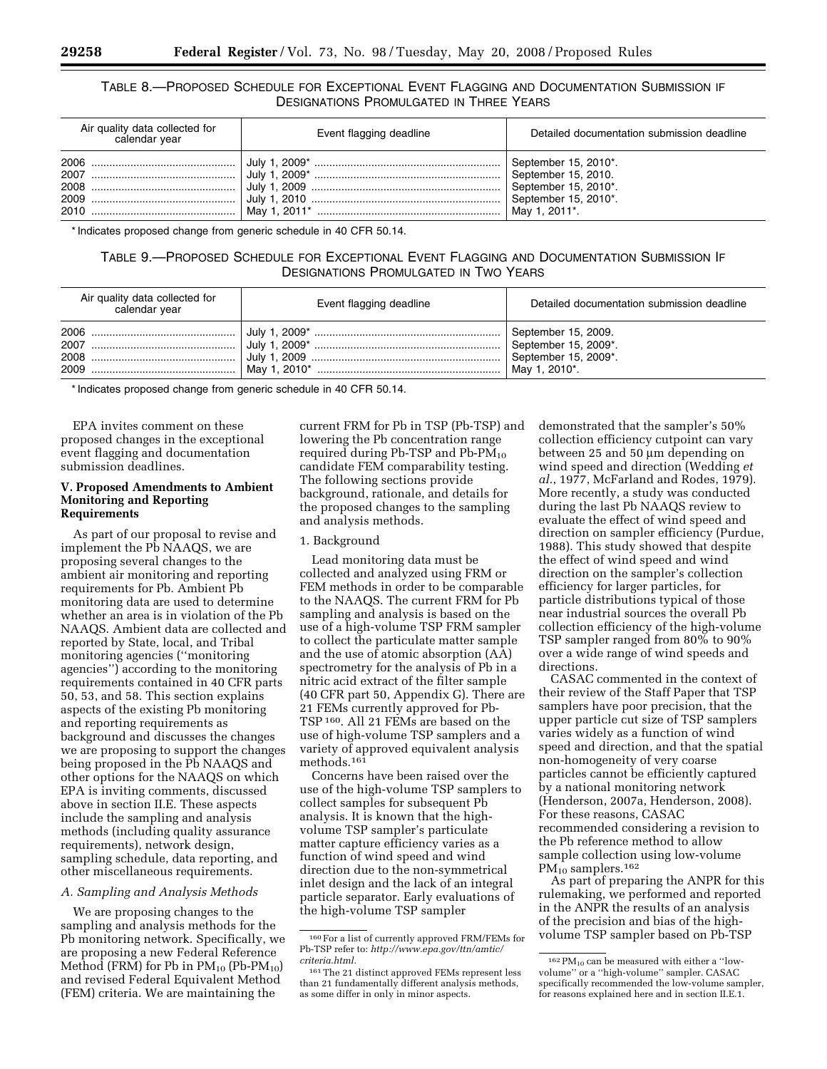# TABLE 8.—PROPOSED SCHEDULE FOR EXCEPTIONAL EVENT FLAGGING AND DOCUMENTATION SUBMISSION IF DESIGNATIONS PROMULGATED IN THREE YEARS

| Air quality data collected for<br>calendar year | Event flagging deadline | Detailed documentation submission deadline |
|-------------------------------------------------|-------------------------|--------------------------------------------|
|                                                 |                         | May 1, 2011*.                              |

\* Indicates proposed change from generic schedule in 40 CFR 50.14.

## TABLE 9.—PROPOSED SCHEDULE FOR EXCEPTIONAL EVENT FLAGGING AND DOCUMENTATION SUBMISSION IF DESIGNATIONS PROMULGATED IN TWO YEARS

| Air quality data collected for<br>calendar year | Event flagging deadline | Detailed documentation submission deadline                   |
|-------------------------------------------------|-------------------------|--------------------------------------------------------------|
|                                                 |                         | September 15, 2009.<br>September 15, 2009*.<br>May 1, 2010*. |

\* Indicates proposed change from generic schedule in 40 CFR 50.14.

EPA invites comment on these proposed changes in the exceptional event flagging and documentation submission deadlines.

## **V. Proposed Amendments to Ambient Monitoring and Reporting Requirements**

As part of our proposal to revise and implement the Pb NAAQS, we are proposing several changes to the ambient air monitoring and reporting requirements for Pb. Ambient Pb monitoring data are used to determine whether an area is in violation of the Pb NAAQS. Ambient data are collected and reported by State, local, and Tribal monitoring agencies (''monitoring agencies'') according to the monitoring requirements contained in 40 CFR parts 50, 53, and 58. This section explains aspects of the existing Pb monitoring and reporting requirements as background and discusses the changes we are proposing to support the changes being proposed in the Pb NAAQS and other options for the NAAQS on which EPA is inviting comments, discussed above in section II.E. These aspects include the sampling and analysis methods (including quality assurance requirements), network design, sampling schedule, data reporting, and other miscellaneous requirements.

### *A. Sampling and Analysis Methods*

We are proposing changes to the sampling and analysis methods for the Pb monitoring network. Specifically, we are proposing a new Federal Reference Method (FRM) for Pb in  $PM_{10}$  (Pb-PM<sub>10</sub>) and revised Federal Equivalent Method (FEM) criteria. We are maintaining the

current FRM for Pb in TSP (Pb-TSP) and lowering the Pb concentration range required during Pb-TSP and Pb- $\overline{PM}_{10}$ candidate FEM comparability testing. The following sections provide background, rationale, and details for the proposed changes to the sampling and analysis methods.

### 1. Background

Lead monitoring data must be collected and analyzed using FRM or FEM methods in order to be comparable to the NAAQS. The current FRM for Pb sampling and analysis is based on the use of a high-volume TSP FRM sampler to collect the particulate matter sample and the use of atomic absorption (AA) spectrometry for the analysis of Pb in a nitric acid extract of the filter sample (40 CFR part 50, Appendix G). There are 21 FEMs currently approved for Pb-TSP 160. All 21 FEMs are based on the use of high-volume TSP samplers and a variety of approved equivalent analysis methods.161

Concerns have been raised over the use of the high-volume TSP samplers to collect samples for subsequent Pb analysis. It is known that the highvolume TSP sampler's particulate matter capture efficiency varies as a function of wind speed and wind direction due to the non-symmetrical inlet design and the lack of an integral particle separator. Early evaluations of the high-volume TSP sampler

demonstrated that the sampler's 50% collection efficiency cutpoint can vary between 25 and 50  $\mu$ m depending on wind speed and direction (Wedding *et al.*, 1977, McFarland and Rodes, 1979). More recently, a study was conducted during the last Pb NAAQS review to evaluate the effect of wind speed and direction on sampler efficiency (Purdue, 1988). This study showed that despite the effect of wind speed and wind direction on the sampler's collection efficiency for larger particles, for particle distributions typical of those near industrial sources the overall Pb collection efficiency of the high-volume TSP sampler ranged from 80% to 90% over a wide range of wind speeds and directions.

CASAC commented in the context of their review of the Staff Paper that TSP samplers have poor precision, that the upper particle cut size of TSP samplers varies widely as a function of wind speed and direction, and that the spatial non-homogeneity of very coarse particles cannot be efficiently captured by a national monitoring network (Henderson, 2007a, Henderson, 2008). For these reasons, CASAC recommended considering a revision to the Pb reference method to allow sample collection using low-volume PM<sub>10</sub> samplers.<sup>162</sup>

As part of preparing the ANPR for this rulemaking, we performed and reported in the ANPR the results of an analysis of the precision and bias of the highvolume TSP sampler based on Pb-TSP

<sup>160</sup>For a list of currently approved FRM/FEMs for Pb-TSP refer to: *http://www.epa.gov/ttn/amtic/ criteria.html.* 

<sup>161</sup>The 21 distinct approved FEMs represent less than 21 fundamentally different analysis methods, as some differ in only in minor aspects.

 $162$  PM<sub>10</sub> can be measured with either a "lowvolume'' or a ''high-volume'' sampler. CASAC specifically recommended the low-volume sampler, for reasons explained here and in section II.E.1.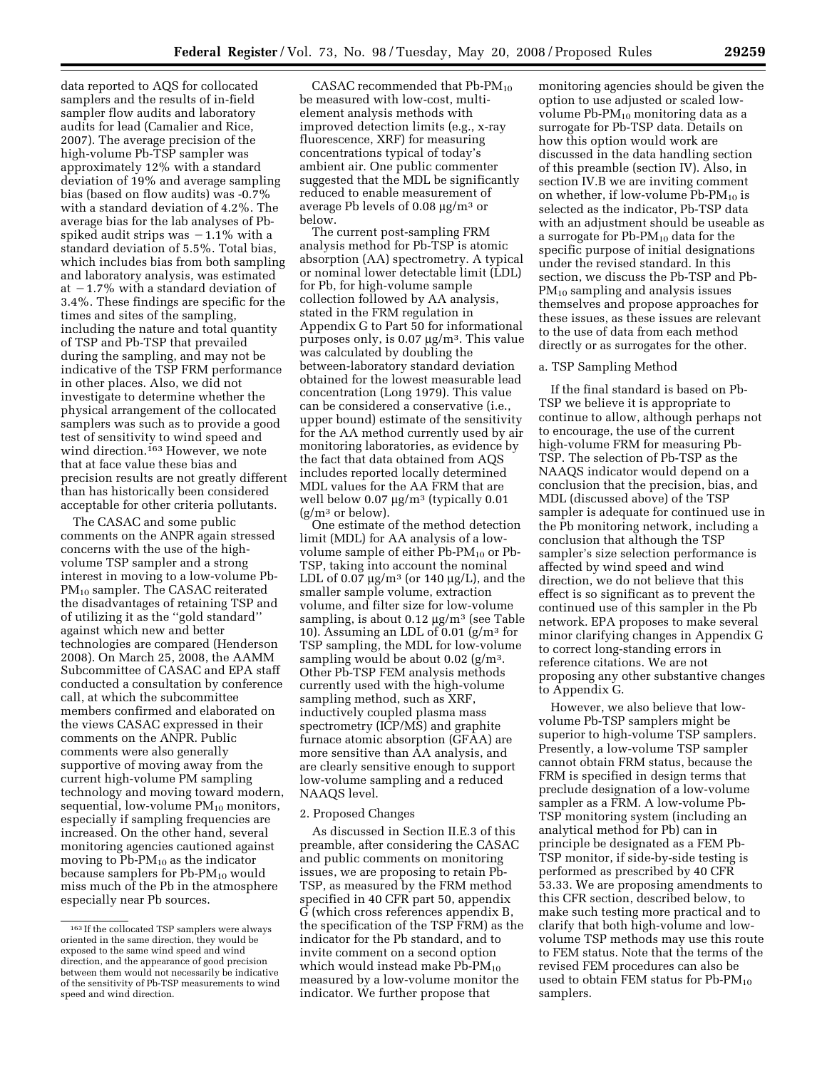data reported to AQS for collocated samplers and the results of in-field sampler flow audits and laboratory audits for lead (Camalier and Rice, 2007). The average precision of the high-volume Pb-TSP sampler was approximately 12% with a standard deviation of 19% and average sampling bias (based on flow audits) was -0.7% with a standard deviation of 4.2%. The average bias for the lab analyses of Pbspiked audit strips was  $-1.1\%$  with a standard deviation of 5.5%. Total bias, which includes bias from both sampling and laboratory analysis, was estimated at  $-1.7\%$  with a standard deviation of 3.4%. These findings are specific for the times and sites of the sampling, including the nature and total quantity of TSP and Pb-TSP that prevailed during the sampling, and may not be indicative of the TSP FRM performance in other places. Also, we did not investigate to determine whether the physical arrangement of the collocated samplers was such as to provide a good test of sensitivity to wind speed and wind direction.<sup>163</sup> However, we note that at face value these bias and precision results are not greatly different than has historically been considered acceptable for other criteria pollutants.

The CASAC and some public comments on the ANPR again stressed concerns with the use of the highvolume TSP sampler and a strong interest in moving to a low-volume Pb-PM<sub>10</sub> sampler. The CASAC reiterated the disadvantages of retaining TSP and of utilizing it as the ''gold standard'' against which new and better technologies are compared (Henderson 2008). On March 25, 2008, the AAMM Subcommittee of CASAC and EPA staff conducted a consultation by conference call, at which the subcommittee members confirmed and elaborated on the views CASAC expressed in their comments on the ANPR. Public comments were also generally supportive of moving away from the current high-volume PM sampling technology and moving toward modern, sequential, low-volume  $PM_{10}$  monitors, especially if sampling frequencies are increased. On the other hand, several monitoring agencies cautioned against moving to Pb-PM10 as the indicator because samplers for Pb-PM<sub>10</sub> would miss much of the Pb in the atmosphere especially near Pb sources.

CASAC recommended that Pb-PM10 be measured with low-cost, multielement analysis methods with improved detection limits (e.g., x-ray fluorescence, XRF) for measuring concentrations typical of today's ambient air. One public commenter suggested that the MDL be significantly reduced to enable measurement of average Pb levels of 0.08 µg/m3 or below.

The current post-sampling FRM analysis method for Pb-TSP is atomic absorption (AA) spectrometry. A typical or nominal lower detectable limit (LDL) for Pb, for high-volume sample collection followed by AA analysis, stated in the FRM regulation in Appendix G to Part 50 for informational purposes only, is 0.07 µg/m3. This value was calculated by doubling the between-laboratory standard deviation obtained for the lowest measurable lead concentration (Long 1979). This value can be considered a conservative (i.e., upper bound) estimate of the sensitivity for the AA method currently used by air monitoring laboratories, as evidence by the fact that data obtained from AQS includes reported locally determined MDL values for the AA FRM that are well below  $0.07 \mu g/m^3$  (typically  $0.01$ ) (g/m3 or below).

One estimate of the method detection limit (MDL) for AA analysis of a lowvolume sample of either  $Pb-PM_{10}$  or  $Pb-$ TSP, taking into account the nominal LDL of 0.07  $\mu$ g/m<sup>3</sup> (or 140  $\mu$ g/L), and the smaller sample volume, extraction volume, and filter size for low-volume sampling, is about  $0.12 \mu g/m^3$  (see Table 10). Assuming an LDL of 0.01 (g/m3 for TSP sampling, the MDL for low-volume sampling would be about  $0.02$  (g/m<sup>3</sup>. Other Pb-TSP FEM analysis methods currently used with the high-volume sampling method, such as XRF, inductively coupled plasma mass spectrometry (ICP/MS) and graphite furnace atomic absorption (GFAA) are more sensitive than AA analysis, and are clearly sensitive enough to support low-volume sampling and a reduced NAAQS level.

### 2. Proposed Changes

As discussed in Section II.E.3 of this preamble, after considering the CASAC and public comments on monitoring issues, we are proposing to retain Pb-TSP, as measured by the FRM method specified in 40 CFR part 50, appendix G (which cross references appendix B, the specification of the TSP FRM) as the indicator for the Pb standard, and to invite comment on a second option which would instead make  $Pb-PM_{10}$ measured by a low-volume monitor the indicator. We further propose that

monitoring agencies should be given the option to use adjusted or scaled lowvolume  $Pb-PM_{10}$  monitoring data as a surrogate for Pb-TSP data. Details on how this option would work are discussed in the data handling section of this preamble (section IV). Also, in section IV.B we are inviting comment on whether, if low-volume Pb-P $M_{10}$  is selected as the indicator, Pb-TSP data with an adjustment should be useable as a surrogate for Pb-PM10 data for the specific purpose of initial designations under the revised standard. In this section, we discuss the Pb-TSP and Pb-PM10 sampling and analysis issues themselves and propose approaches for these issues, as these issues are relevant to the use of data from each method directly or as surrogates for the other.

## a. TSP Sampling Method

If the final standard is based on Pb-TSP we believe it is appropriate to continue to allow, although perhaps not to encourage, the use of the current high-volume FRM for measuring Pb-TSP. The selection of Pb-TSP as the NAAQS indicator would depend on a conclusion that the precision, bias, and MDL (discussed above) of the TSP sampler is adequate for continued use in the Pb monitoring network, including a conclusion that although the TSP sampler's size selection performance is affected by wind speed and wind direction, we do not believe that this effect is so significant as to prevent the continued use of this sampler in the Pb network. EPA proposes to make several minor clarifying changes in Appendix G to correct long-standing errors in reference citations. We are not proposing any other substantive changes to Appendix G.

However, we also believe that lowvolume Pb-TSP samplers might be superior to high-volume TSP samplers. Presently, a low-volume TSP sampler cannot obtain FRM status, because the FRM is specified in design terms that preclude designation of a low-volume sampler as a FRM. A low-volume Pb-TSP monitoring system (including an analytical method for Pb) can in principle be designated as a FEM Pb-TSP monitor, if side-by-side testing is performed as prescribed by 40 CFR 53.33. We are proposing amendments to this CFR section, described below, to make such testing more practical and to clarify that both high-volume and lowvolume TSP methods may use this route to FEM status. Note that the terms of the revised FEM procedures can also be used to obtain FEM status for  $Pb-PM_{10}$ samplers.

<sup>163</sup> If the collocated TSP samplers were always oriented in the same direction, they would be exposed to the same wind speed and wind direction, and the appearance of good precision between them would not necessarily be indicative of the sensitivity of Pb-TSP measurements to wind speed and wind direction.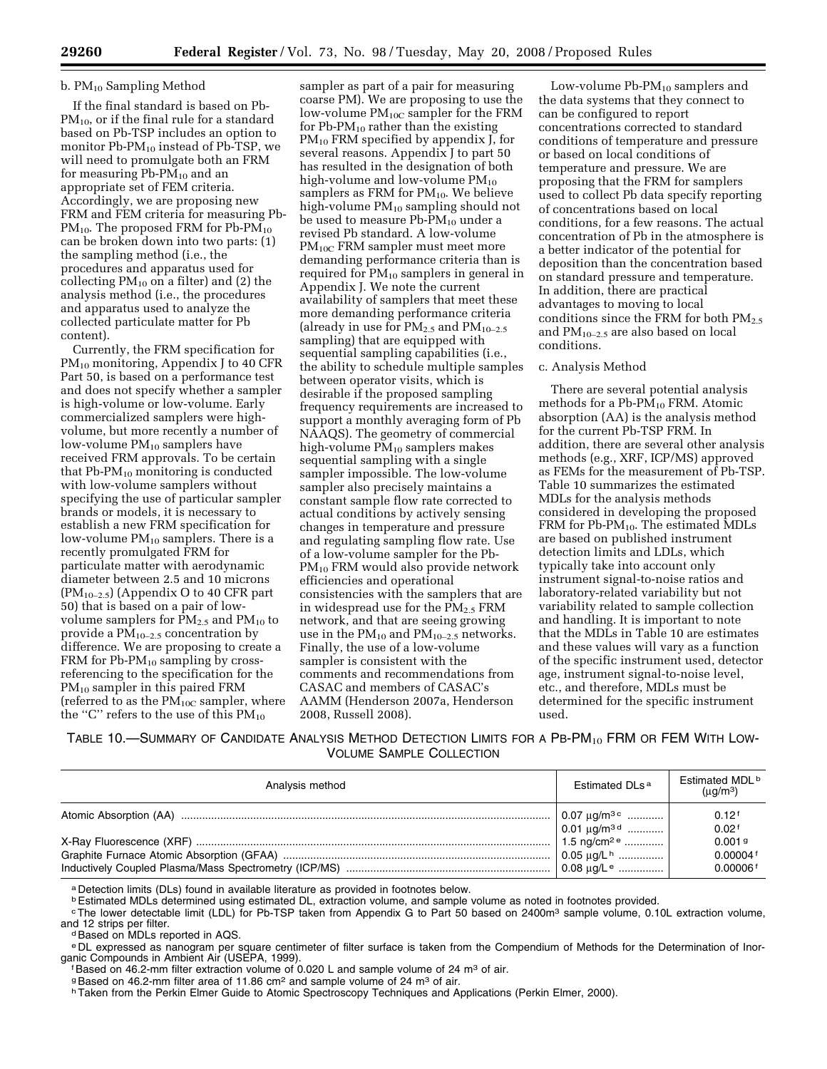### b. PM10 Sampling Method

If the final standard is based on Pb-PM<sub>10</sub>, or if the final rule for a standard based on Pb-TSP includes an option to monitor  $Pb-PM_{10}$  instead of Pb-TSP, we will need to promulgate both an FRM for measuring  $Pb-PM_{10}$  and an appropriate set of FEM criteria. Accordingly, we are proposing new FRM and FEM criteria for measuring Pb- $PM_{10}$ . The proposed FRM for Pb-PM<sub>10</sub> can be broken down into two parts: (1) the sampling method (i.e., the procedures and apparatus used for collecting  $PM_{10}$  on a filter) and (2) the analysis method (i.e., the procedures and apparatus used to analyze the collected particulate matter for Pb content).

Currently, the FRM specification for PM<sub>10</sub> monitoring, Appendix J to 40 CFR Part 50, is based on a performance test and does not specify whether a sampler is high-volume or low-volume. Early commercialized samplers were highvolume, but more recently a number of low-volume PM<sub>10</sub> samplers have received FRM approvals. To be certain that  $Pb-PM_{10}$  monitoring is conducted with low-volume samplers without specifying the use of particular sampler brands or models, it is necessary to establish a new FRM specification for low-volume PM<sub>10</sub> samplers. There is a recently promulgated FRM for particulate matter with aerodynamic diameter between 2.5 and 10 microns  $(PM_{10-2.5})$  (Appendix O to 40 CFR part 50) that is based on a pair of lowvolume samplers for  $PM_{2.5}$  and  $PM_{10}$  to provide a  $PM_{10-2.5}$  concentration by difference. We are proposing to create a FRM for  $Pb-PM_{10}$  sampling by crossreferencing to the specification for the PM<sub>10</sub> sampler in this paired FRM (referred to as the  $PM_{10C}$  sampler, where the "C" refers to the use of this  $PM_{10}$ 

sampler as part of a pair for measuring coarse PM). We are proposing to use the low-volume  $PM_{10C}$  sampler for the FRM for Pb-P $M_{10}$  rather than the existing PM<sub>10</sub> FRM specified by appendix J, for several reasons. Appendix J to part 50 has resulted in the designation of both high-volume and low-volume  $PM_{10}$ samplers as FRM for  $PM_{10}$ . We believe high-volume  $PM_{10}$  sampling should not be used to measure Pb-PM10 under a revised Pb standard. A low-volume PM<sub>10C</sub> FRM sampler must meet more demanding performance criteria than is required for  $PM_{10}$  samplers in general in Appendix J. We note the current availability of samplers that meet these more demanding performance criteria (already in use for  $PM_{2.5}$  and  $PM_{10-2.5}$ sampling) that are equipped with sequential sampling capabilities (i.e., the ability to schedule multiple samples between operator visits, which is desirable if the proposed sampling frequency requirements are increased to support a monthly averaging form of Pb NAAQS). The geometry of commercial high-volume  $PM_{10}$  samplers makes sequential sampling with a single sampler impossible. The low-volume sampler also precisely maintains a constant sample flow rate corrected to actual conditions by actively sensing changes in temperature and pressure and regulating sampling flow rate. Use of a low-volume sampler for the Pb-PM<sub>10</sub> FRM would also provide network efficiencies and operational consistencies with the samplers that are in widespread use for the  $PM_{2.5}$  FRM network, and that are seeing growing use in the  $PM_{10}$  and  $PM_{10-2.5}$  networks. Finally, the use of a low-volume sampler is consistent with the comments and recommendations from CASAC and members of CASAC's AAMM (Henderson 2007a, Henderson 2008, Russell 2008).

Low-volume Pb-PM<sub>10</sub> samplers and the data systems that they connect to can be configured to report concentrations corrected to standard conditions of temperature and pressure or based on local conditions of temperature and pressure. We are proposing that the FRM for samplers used to collect Pb data specify reporting of concentrations based on local conditions, for a few reasons. The actual concentration of Pb in the atmosphere is a better indicator of the potential for deposition than the concentration based on standard pressure and temperature. In addition, there are practical advantages to moving to local conditions since the FRM for both PM2.5 and  $PM_{10-2.5}$  are also based on local conditions.

### c. Analysis Method

There are several potential analysis methods for a Pb-PM<sub>10</sub> FRM. Atomic absorption (AA) is the analysis method for the current Pb-TSP FRM. In addition, there are several other analysis methods (e.g., XRF, ICP/MS) approved as FEMs for the measurement of Pb-TSP. Table 10 summarizes the estimated MDLs for the analysis methods considered in developing the proposed FRM for Pb-PM<sub>10</sub>. The estimated MDLs are based on published instrument detection limits and LDLs, which typically take into account only instrument signal-to-noise ratios and laboratory-related variability but not variability related to sample collection and handling. It is important to note that the MDLs in Table 10 are estimates and these values will vary as a function of the specific instrument used, detector age, instrument signal-to-noise level, etc., and therefore, MDLs must be determined for the specific instrument used.

TABLE 10.—SUMMARY OF CANDIDATE ANALYSIS METHOD DETECTION LIMITS FOR A PB-PM<sub>10</sub> FRM OR FEM WITH LOW-VOLUME SAMPLE COLLECTION

| Analysis method | Estimated DLs <sup>a</sup>                                                                                               | Estimated MDL <sup>b</sup><br>$(\mu q/m^3)$      |  |
|-----------------|--------------------------------------------------------------------------------------------------------------------------|--------------------------------------------------|--|
|                 | 0.07 $\mu$ g/m <sup>3 c</sup><br>$\begin{bmatrix} 0.01 \ \mu g/m^{3 d} \ \dots \ \end{bmatrix}$ 1.5 ng/cm <sup>2 e</sup> | 0.12 <sup>f</sup><br>0.02 <sup>†</sup><br>0.0019 |  |
|                 | 0.05 $\mu$ g/L <sup>h</sup>  <br><sup> </sup> 0.08 μg/L <sup>e</sup>                                                     | $0.00004$ <sup>f</sup><br>$0.00006$ <sup>f</sup> |  |

a Detection limits (DLs) found in available literature as provided in footnotes below.

**b** Estimated MDLs determined using estimated DL, extraction volume, and sample volume as noted in footnotes provided.

<sup>c</sup>The lower detectable limit (LDL) for Pb-TSP taken from Appendix G to Part 50 based on 2400m<sup>3</sup> sample volume, 0.10L extraction volume, and 12 strips per filter.

d Based on MDLs reported in AQS.

e DL expressed as nanogram per square centimeter of filter surface is taken from the Compendium of Methods for the Determination of Inor-<br>ganic Compounds in Ambient Air (USEPA, 1999).

f Based on 46.2-mm filter extraction volume of 0.020 L and sample volume of 24 m<sup>3</sup> of air.<br>9 Based on 46.2-mm filter area of 11.86 cm<sup>2</sup> and sample volume of 24 m<sup>3</sup> of air.<br><sup>h</sup> Taken from the Perkin Elmer Guide to Atomic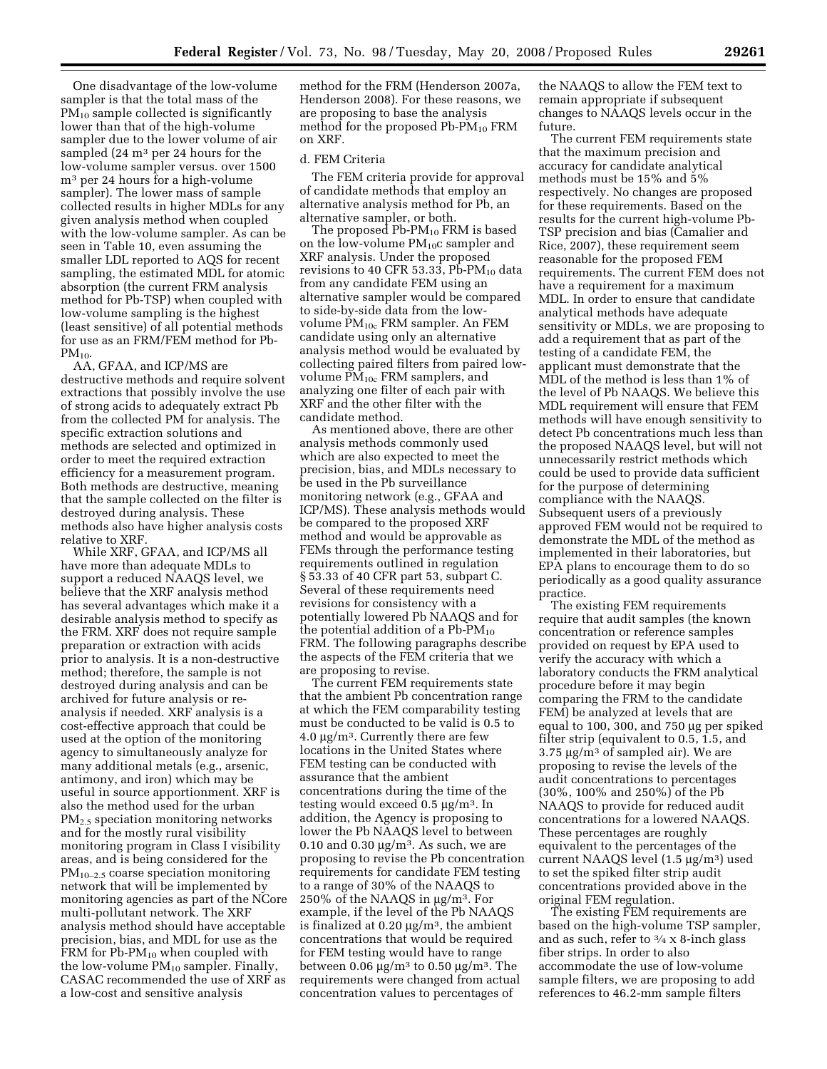One disadvantage of the low-volume sampler is that the total mass of the  $PM_{10}$  sample collected is significantly lower than that of the high-volume sampler due to the lower volume of air sampled (24 m<sup>3</sup> per 24 hours for the low-volume sampler versus. over 1500 m3 per 24 hours for a high-volume sampler). The lower mass of sample collected results in higher MDLs for any given analysis method when coupled with the low-volume sampler. As can be seen in Table 10, even assuming the smaller LDL reported to AQS for recent sampling, the estimated MDL for atomic absorption (the current FRM analysis method for Pb-TSP) when coupled with low-volume sampling is the highest (least sensitive) of all potential methods for use as an FRM/FEM method for Pb-PM10.

AA, GFAA, and ICP/MS are destructive methods and require solvent extractions that possibly involve the use of strong acids to adequately extract Pb from the collected PM for analysis. The specific extraction solutions and methods are selected and optimized in order to meet the required extraction efficiency for a measurement program. Both methods are destructive, meaning that the sample collected on the filter is destroyed during analysis. These methods also have higher analysis costs relative to XRF.

While XRF, GFAA, and ICP/MS all have more than adequate MDLs to support a reduced NAAQS level, we believe that the XRF analysis method has several advantages which make it a desirable analysis method to specify as the FRM. XRF does not require sample preparation or extraction with acids prior to analysis. It is a non-destructive method; therefore, the sample is not destroyed during analysis and can be archived for future analysis or reanalysis if needed. XRF analysis is a cost-effective approach that could be used at the option of the monitoring agency to simultaneously analyze for many additional metals (e.g., arsenic, antimony, and iron) which may be useful in source apportionment. XRF is also the method used for the urban  $PM<sub>2.5</sub>$  speciation monitoring networks and for the mostly rural visibility monitoring program in Class I visibility areas, and is being considered for the  $PM_{10-2.5}$  coarse speciation monitoring network that will be implemented by monitoring agencies as part of the NCore multi-pollutant network. The XRF analysis method should have acceptable precision, bias, and MDL for use as the FRM for  $Pb-PM_{10}$  when coupled with the low-volume  $PM_{10}$  sampler. Finally, CASAC recommended the use of XRF as a low-cost and sensitive analysis

method for the FRM (Henderson 2007a, Henderson 2008). For these reasons, we are proposing to base the analysis method for the proposed  $Pb-PM_{10}$  FRM on XRF.

#### d. FEM Criteria

The FEM criteria provide for approval of candidate methods that employ an alternative analysis method for Pb, an alternative sampler, or both.

The proposed Pb-PM<sub>10</sub> FRM is based on the low-volume PM<sub>10</sub>c sampler and XRF analysis. Under the proposed revisions to 40 CFR 53.33, Pb-P $M_{10}$  data from any candidate FEM using an alternative sampler would be compared to side-by-side data from the lowvolume PM10c FRM sampler. An FEM candidate using only an alternative analysis method would be evaluated by collecting paired filters from paired lowvolume  $\overline{PM}_{10c}$  FRM samplers, and analyzing one filter of each pair with XRF and the other filter with the candidate method.

As mentioned above, there are other analysis methods commonly used which are also expected to meet the precision, bias, and MDLs necessary to be used in the Pb surveillance monitoring network (e.g., GFAA and ICP/MS). These analysis methods would be compared to the proposed XRF method and would be approvable as FEMs through the performance testing requirements outlined in regulation § 53.33 of 40 CFR part 53, subpart C. Several of these requirements need revisions for consistency with a potentially lowered Pb NAAQS and for the potential addition of a  $Pb-PM_{10}$ FRM. The following paragraphs describe the aspects of the FEM criteria that we are proposing to revise.

The current FEM requirements state that the ambient Pb concentration range at which the FEM comparability testing must be conducted to be valid is 0.5 to 4.0  $\mu$ g/m<sup>3</sup>. Currently there are few locations in the United States where FEM testing can be conducted with assurance that the ambient concentrations during the time of the testing would exceed 0.5 µg/m3. In addition, the Agency is proposing to lower the Pb NAAQS level to between 0.10 and 0.30  $\mu$ g/m<sup>3</sup>. As such, we are proposing to revise the Pb concentration requirements for candidate FEM testing to a range of 30% of the NAAQS to 250% of the NAAQS in µg/m3. For example, if the level of the Pb NAAQS is finalized at  $0.20 \mu g/m^3$ , the ambient concentrations that would be required for FEM testing would have to range between 0.06  $\mu$ g/m<sup>3</sup> to 0.50  $\mu$ g/m<sup>3</sup>. The requirements were changed from actual concentration values to percentages of

the NAAQS to allow the FEM text to remain appropriate if subsequent changes to NAAQS levels occur in the future.

The current FEM requirements state that the maximum precision and accuracy for candidate analytical methods must be 15% and 5% respectively. No changes are proposed for these requirements. Based on the results for the current high-volume Pb-TSP precision and bias (Camalier and Rice, 2007), these requirement seem reasonable for the proposed FEM requirements. The current FEM does not have a requirement for a maximum MDL. In order to ensure that candidate analytical methods have adequate sensitivity or MDLs, we are proposing to add a requirement that as part of the testing of a candidate FEM, the applicant must demonstrate that the MDL of the method is less than 1% of the level of Pb NAAQS. We believe this MDL requirement will ensure that FEM methods will have enough sensitivity to detect Pb concentrations much less than the proposed NAAQS level, but will not unnecessarily restrict methods which could be used to provide data sufficient for the purpose of determining compliance with the NAAQS. Subsequent users of a previously approved FEM would not be required to demonstrate the MDL of the method as implemented in their laboratories, but EPA plans to encourage them to do so periodically as a good quality assurance practice.

The existing FEM requirements require that audit samples (the known concentration or reference samples provided on request by EPA used to verify the accuracy with which a laboratory conducts the FRM analytical procedure before it may begin comparing the FRM to the candidate FEM) be analyzed at levels that are equal to 100, 300, and 750 µg per spiked filter strip (equivalent to 0.5, 1.5, and 3.75  $\mu$ g/m<sup>3</sup> of sampled air). We are proposing to revise the levels of the audit concentrations to percentages (30%, 100% and 250%) of the Pb NAAQS to provide for reduced audit concentrations for a lowered NAAQS. These percentages are roughly equivalent to the percentages of the current NAAQS level (1.5 µg/m3) used to set the spiked filter strip audit concentrations provided above in the original FEM regulation.

The existing FEM requirements are based on the high-volume TSP sampler, and as such, refer to  $\frac{3}{4} \times 8$ -inch glass fiber strips. In order to also accommodate the use of low-volume sample filters, we are proposing to add references to 46.2-mm sample filters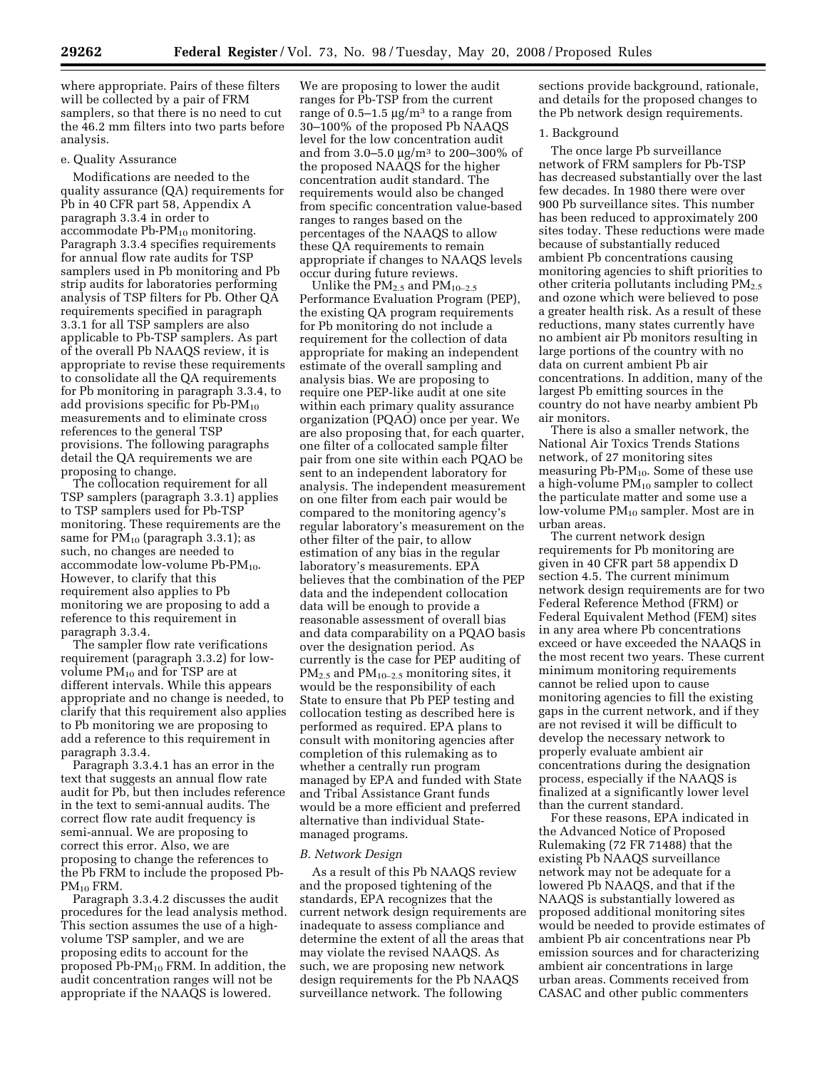where appropriate. Pairs of these filters will be collected by a pair of FRM samplers, so that there is no need to cut the 46.2 mm filters into two parts before analysis.

#### e. Quality Assurance

Modifications are needed to the quality assurance (QA) requirements for Pb in 40 CFR part 58, Appendix A paragraph 3.3.4 in order to accommodate Pb-PM<sub>10</sub> monitoring. Paragraph 3.3.4 specifies requirements for annual flow rate audits for TSP samplers used in Pb monitoring and Pb strip audits for laboratories performing analysis of TSP filters for Pb. Other QA requirements specified in paragraph 3.3.1 for all TSP samplers are also applicable to Pb-TSP samplers. As part of the overall Pb NAAQS review, it is appropriate to revise these requirements to consolidate all the QA requirements for Pb monitoring in paragraph 3.3.4, to add provisions specific for  $Pb-PM_{10}$ measurements and to eliminate cross references to the general TSP provisions. The following paragraphs detail the QA requirements we are proposing to change.

The collocation requirement for all TSP samplers (paragraph 3.3.1) applies to TSP samplers used for Pb-TSP monitoring. These requirements are the same for  $\bar{PM}_{10}$  (paragraph 3.3.1); as such, no changes are needed to accommodate low-volume Pb-PM<sub>10</sub>. However, to clarify that this requirement also applies to Pb monitoring we are proposing to add a reference to this requirement in paragraph 3.3.4.

The sampler flow rate verifications requirement (paragraph 3.3.2) for lowvolume  $PM_{10}$  and for TSP are at different intervals. While this appears appropriate and no change is needed, to clarify that this requirement also applies to Pb monitoring we are proposing to add a reference to this requirement in paragraph 3.3.4.

Paragraph 3.3.4.1 has an error in the text that suggests an annual flow rate audit for Pb, but then includes reference in the text to semi-annual audits. The correct flow rate audit frequency is semi-annual. We are proposing to correct this error. Also, we are proposing to change the references to the Pb FRM to include the proposed Pb- $PM_{10}$  FRM.

Paragraph 3.3.4.2 discusses the audit procedures for the lead analysis method. This section assumes the use of a highvolume TSP sampler, and we are proposing edits to account for the proposed  $Pb-PM_{10}$  FRM. In addition, the audit concentration ranges will not be appropriate if the NAAQS is lowered.

We are proposing to lower the audit ranges for Pb-TSP from the current range of  $0.5-1.5 \mu g/m^3$  to a range from 30–100% of the proposed Pb NAAQS level for the low concentration audit and from 3.0–5.0  $\mu$ g/m<sup>3</sup> to 200–300% of the proposed NAAQS for the higher concentration audit standard. The requirements would also be changed from specific concentration value-based ranges to ranges based on the percentages of the NAAQS to allow these QA requirements to remain appropriate if changes to NAAQS levels occur during future reviews.

Unlike the  $PM_{2.5}$  and  $PM_{10-2.5}$ Performance Evaluation Program (PEP), the existing QA program requirements for Pb monitoring do not include a requirement for the collection of data appropriate for making an independent estimate of the overall sampling and analysis bias. We are proposing to require one PEP-like audit at one site within each primary quality assurance organization (PQAO) once per year. We are also proposing that, for each quarter, one filter of a collocated sample filter pair from one site within each PQAO be sent to an independent laboratory for analysis. The independent measurement on one filter from each pair would be compared to the monitoring agency's regular laboratory's measurement on the other filter of the pair, to allow estimation of any bias in the regular laboratory's measurements. EPA believes that the combination of the PEP data and the independent collocation data will be enough to provide a reasonable assessment of overall bias and data comparability on a PQAO basis over the designation period. As currently is the case for PEP auditing of  $PM_{2.5}$  and  $PM_{10-2.5}$  monitoring sites, it would be the responsibility of each State to ensure that Pb PEP testing and collocation testing as described here is performed as required. EPA plans to consult with monitoring agencies after completion of this rulemaking as to whether a centrally run program managed by EPA and funded with State and Tribal Assistance Grant funds would be a more efficient and preferred alternative than individual Statemanaged programs.

#### *B. Network Design*

As a result of this Pb NAAQS review and the proposed tightening of the standards, EPA recognizes that the current network design requirements are inadequate to assess compliance and determine the extent of all the areas that may violate the revised NAAQS. As such, we are proposing new network design requirements for the Pb NAAQS surveillance network. The following

sections provide background, rationale, and details for the proposed changes to the Pb network design requirements.

### 1. Background

The once large Pb surveillance network of FRM samplers for Pb-TSP has decreased substantially over the last few decades. In 1980 there were over 900 Pb surveillance sites. This number has been reduced to approximately 200 sites today. These reductions were made because of substantially reduced ambient Pb concentrations causing monitoring agencies to shift priorities to other criteria pollutants including PM<sub>2.5</sub> and ozone which were believed to pose a greater health risk. As a result of these reductions, many states currently have no ambient air Pb monitors resulting in large portions of the country with no data on current ambient Pb air concentrations. In addition, many of the largest Pb emitting sources in the country do not have nearby ambient Pb air monitors.

There is also a smaller network, the National Air Toxics Trends Stations network, of 27 monitoring sites measuring  $Pb-PM_{10}$ . Some of these use a high-volume  $PM_{10}$  sampler to collect the particulate matter and some use a low-volume  $PM_{10}$  sampler. Most are in urban areas.

The current network design requirements for Pb monitoring are given in 40 CFR part 58 appendix D section 4.5. The current minimum network design requirements are for two Federal Reference Method (FRM) or Federal Equivalent Method (FEM) sites in any area where Pb concentrations exceed or have exceeded the NAAQS in the most recent two years. These current minimum monitoring requirements cannot be relied upon to cause monitoring agencies to fill the existing gaps in the current network, and if they are not revised it will be difficult to develop the necessary network to properly evaluate ambient air concentrations during the designation process, especially if the NAAQS is finalized at a significantly lower level than the current standard.

For these reasons, EPA indicated in the Advanced Notice of Proposed Rulemaking (72 FR 71488) that the existing Pb NAAQS surveillance network may not be adequate for a lowered Pb NAAQS, and that if the NAAQS is substantially lowered as proposed additional monitoring sites would be needed to provide estimates of ambient Pb air concentrations near Pb emission sources and for characterizing ambient air concentrations in large urban areas. Comments received from CASAC and other public commenters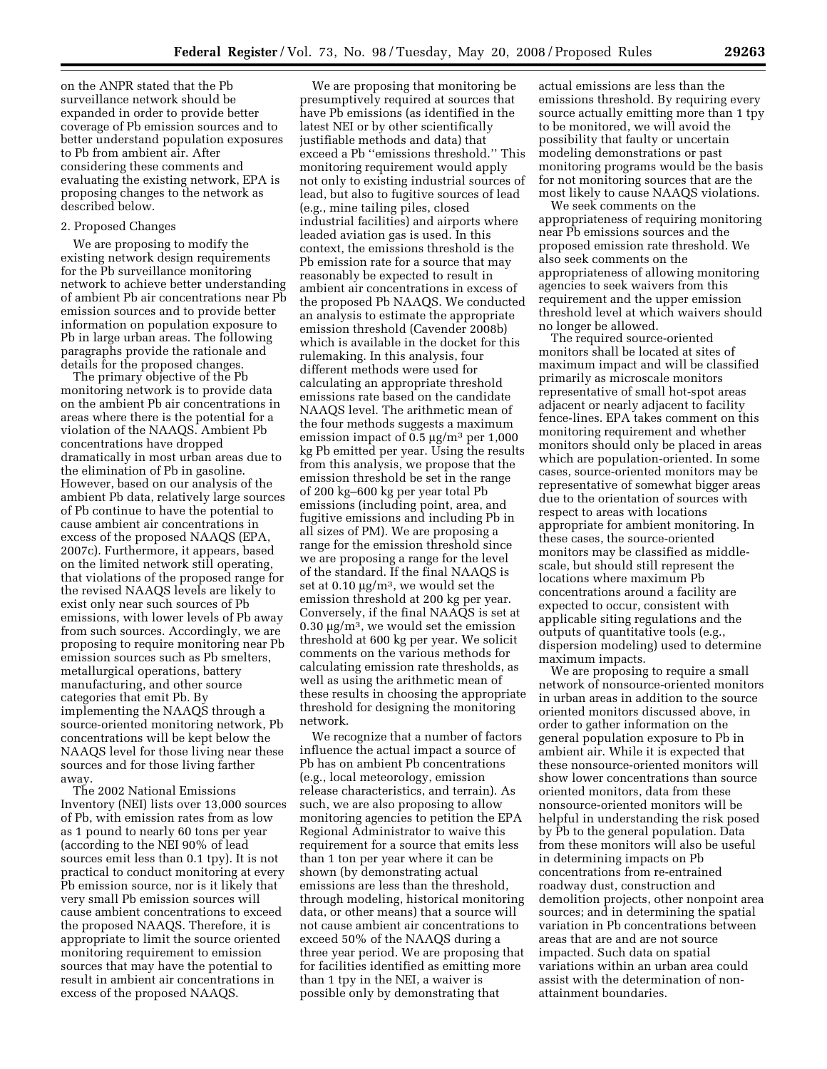on the ANPR stated that the Pb surveillance network should be expanded in order to provide better coverage of Pb emission sources and to better understand population exposures to Pb from ambient air. After considering these comments and evaluating the existing network, EPA is proposing changes to the network as described below.

### 2. Proposed Changes

We are proposing to modify the existing network design requirements for the Pb surveillance monitoring network to achieve better understanding of ambient Pb air concentrations near Pb emission sources and to provide better information on population exposure to Pb in large urban areas. The following paragraphs provide the rationale and details for the proposed changes.

The primary objective of the Pb monitoring network is to provide data on the ambient Pb air concentrations in areas where there is the potential for a violation of the NAAQS. Ambient Pb concentrations have dropped dramatically in most urban areas due to the elimination of Pb in gasoline. However, based on our analysis of the ambient Pb data, relatively large sources of Pb continue to have the potential to cause ambient air concentrations in excess of the proposed NAAQS (EPA, 2007c). Furthermore, it appears, based on the limited network still operating, that violations of the proposed range for the revised NAAQS levels are likely to exist only near such sources of Pb emissions, with lower levels of Pb away from such sources. Accordingly, we are proposing to require monitoring near Pb emission sources such as Pb smelters, metallurgical operations, battery manufacturing, and other source categories that emit Pb. By implementing the NAAQS through a source-oriented monitoring network, Pb concentrations will be kept below the NAAQS level for those living near these sources and for those living farther away.

The 2002 National Emissions Inventory (NEI) lists over 13,000 sources of Pb, with emission rates from as low as 1 pound to nearly 60 tons per year (according to the NEI 90% of lead sources emit less than 0.1 tpy). It is not practical to conduct monitoring at every Pb emission source, nor is it likely that very small Pb emission sources will cause ambient concentrations to exceed the proposed NAAQS. Therefore, it is appropriate to limit the source oriented monitoring requirement to emission sources that may have the potential to result in ambient air concentrations in excess of the proposed NAAQS.

We are proposing that monitoring be presumptively required at sources that have Pb emissions (as identified in the latest NEI or by other scientifically justifiable methods and data) that exceed a Pb ''emissions threshold.'' This monitoring requirement would apply not only to existing industrial sources of lead, but also to fugitive sources of lead (e.g., mine tailing piles, closed industrial facilities) and airports where leaded aviation gas is used. In this context, the emissions threshold is the Pb emission rate for a source that may reasonably be expected to result in ambient air concentrations in excess of the proposed Pb NAAQS. We conducted an analysis to estimate the appropriate emission threshold (Cavender 2008b) which is available in the docket for this rulemaking. In this analysis, four different methods were used for calculating an appropriate threshold emissions rate based on the candidate NAAQS level. The arithmetic mean of the four methods suggests a maximum emission impact of  $0.5 \mu g/m^3$  per 1,000 kg Pb emitted per year. Using the results from this analysis, we propose that the emission threshold be set in the range of 200 kg–600 kg per year total Pb emissions (including point, area, and fugitive emissions and including Pb in all sizes of PM). We are proposing a range for the emission threshold since we are proposing a range for the level of the standard. If the final NAAQS is set at  $0.10 \mu g/m^3$ , we would set the emission threshold at 200 kg per year. Conversely, if the final NAAQS is set at  $0.30 \mu g/m^3$ , we would set the emission threshold at 600 kg per year. We solicit comments on the various methods for calculating emission rate thresholds, as well as using the arithmetic mean of these results in choosing the appropriate threshold for designing the monitoring network.

We recognize that a number of factors influence the actual impact a source of Pb has on ambient Pb concentrations (e.g., local meteorology, emission release characteristics, and terrain). As such, we are also proposing to allow monitoring agencies to petition the EPA Regional Administrator to waive this requirement for a source that emits less than 1 ton per year where it can be shown (by demonstrating actual emissions are less than the threshold, through modeling, historical monitoring data, or other means) that a source will not cause ambient air concentrations to exceed 50% of the NAAQS during a three year period. We are proposing that for facilities identified as emitting more than 1 tpy in the NEI, a waiver is possible only by demonstrating that

actual emissions are less than the emissions threshold. By requiring every source actually emitting more than 1 tpy to be monitored, we will avoid the possibility that faulty or uncertain modeling demonstrations or past monitoring programs would be the basis for not monitoring sources that are the most likely to cause NAAQS violations.

We seek comments on the appropriateness of requiring monitoring near Pb emissions sources and the proposed emission rate threshold. We also seek comments on the appropriateness of allowing monitoring agencies to seek waivers from this requirement and the upper emission threshold level at which waivers should no longer be allowed.

The required source-oriented monitors shall be located at sites of maximum impact and will be classified primarily as microscale monitors representative of small hot-spot areas adjacent or nearly adjacent to facility fence-lines. EPA takes comment on this monitoring requirement and whether monitors should only be placed in areas which are population-oriented. In some cases, source-oriented monitors may be representative of somewhat bigger areas due to the orientation of sources with respect to areas with locations appropriate for ambient monitoring. In these cases, the source-oriented monitors may be classified as middlescale, but should still represent the locations where maximum Pb concentrations around a facility are expected to occur, consistent with applicable siting regulations and the outputs of quantitative tools (e.g., dispersion modeling) used to determine maximum impacts.

We are proposing to require a small network of nonsource-oriented monitors in urban areas in addition to the source oriented monitors discussed above, in order to gather information on the general population exposure to Pb in ambient air. While it is expected that these nonsource-oriented monitors will show lower concentrations than source oriented monitors, data from these nonsource-oriented monitors will be helpful in understanding the risk posed by Pb to the general population. Data from these monitors will also be useful in determining impacts on Pb concentrations from re-entrained roadway dust, construction and demolition projects, other nonpoint area sources; and in determining the spatial variation in Pb concentrations between areas that are and are not source impacted. Such data on spatial variations within an urban area could assist with the determination of nonattainment boundaries.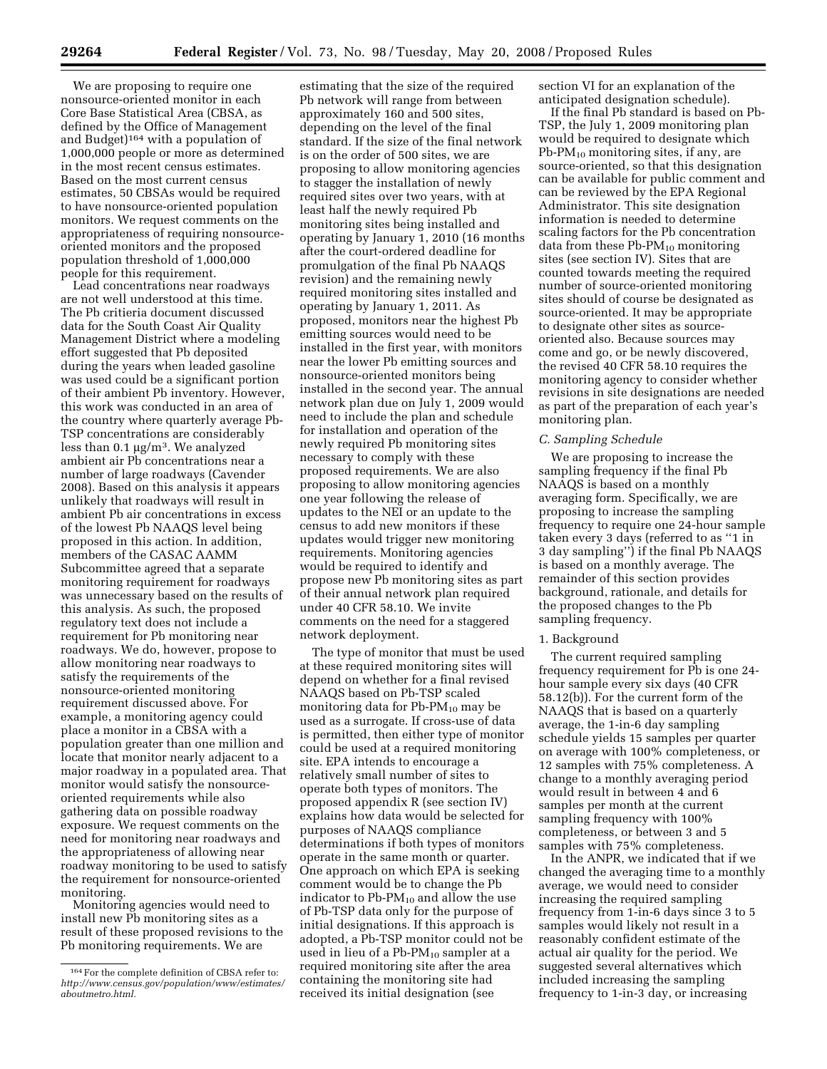We are proposing to require one nonsource-oriented monitor in each Core Base Statistical Area (CBSA, as defined by the Office of Management and Budget)164 with a population of 1,000,000 people or more as determined in the most recent census estimates. Based on the most current census estimates, 50 CBSAs would be required to have nonsource-oriented population monitors. We request comments on the appropriateness of requiring nonsourceoriented monitors and the proposed population threshold of 1,000,000 people for this requirement.

Lead concentrations near roadways are not well understood at this time. The Pb critieria document discussed data for the South Coast Air Quality Management District where a modeling effort suggested that Pb deposited during the years when leaded gasoline was used could be a significant portion of their ambient Pb inventory. However, this work was conducted in an area of the country where quarterly average Pb-TSP concentrations are considerably less than 0.1 µg/m3. We analyzed ambient air Pb concentrations near a number of large roadways (Cavender 2008). Based on this analysis it appears unlikely that roadways will result in ambient Pb air concentrations in excess of the lowest Pb NAAQS level being proposed in this action. In addition, members of the CASAC AAMM Subcommittee agreed that a separate monitoring requirement for roadways was unnecessary based on the results of this analysis. As such, the proposed regulatory text does not include a requirement for Pb monitoring near roadways. We do, however, propose to allow monitoring near roadways to satisfy the requirements of the nonsource-oriented monitoring requirement discussed above. For example, a monitoring agency could place a monitor in a CBSA with a population greater than one million and locate that monitor nearly adjacent to a major roadway in a populated area. That monitor would satisfy the nonsourceoriented requirements while also gathering data on possible roadway exposure. We request comments on the need for monitoring near roadways and the appropriateness of allowing near roadway monitoring to be used to satisfy the requirement for nonsource-oriented monitoring.

Monitoring agencies would need to install new Pb monitoring sites as a result of these proposed revisions to the Pb monitoring requirements. We are

estimating that the size of the required Pb network will range from between approximately 160 and 500 sites, depending on the level of the final standard. If the size of the final network is on the order of 500 sites, we are proposing to allow monitoring agencies to stagger the installation of newly required sites over two years, with at least half the newly required Pb monitoring sites being installed and operating by January 1, 2010 (16 months after the court-ordered deadline for promulgation of the final Pb NAAQS revision) and the remaining newly required monitoring sites installed and operating by January 1, 2011. As proposed, monitors near the highest Pb emitting sources would need to be installed in the first year, with monitors near the lower Pb emitting sources and nonsource-oriented monitors being installed in the second year. The annual network plan due on July 1, 2009 would need to include the plan and schedule for installation and operation of the newly required Pb monitoring sites necessary to comply with these proposed requirements. We are also proposing to allow monitoring agencies one year following the release of updates to the NEI or an update to the census to add new monitors if these updates would trigger new monitoring requirements. Monitoring agencies would be required to identify and propose new Pb monitoring sites as part of their annual network plan required under 40 CFR 58.10. We invite comments on the need for a staggered network deployment.

The type of monitor that must be used at these required monitoring sites will depend on whether for a final revised NAAQS based on Pb-TSP scaled monitoring data for  $Pb-PM_{10}$  may be used as a surrogate. If cross-use of data is permitted, then either type of monitor could be used at a required monitoring site. EPA intends to encourage a relatively small number of sites to operate both types of monitors. The proposed appendix R (see section IV) explains how data would be selected for purposes of NAAQS compliance determinations if both types of monitors operate in the same month or quarter. One approach on which EPA is seeking comment would be to change the Pb indicator to  $Pb-PM_{10}$  and allow the use of Pb-TSP data only for the purpose of initial designations. If this approach is adopted, a Pb-TSP monitor could not be used in lieu of a  $Pb-PM_{10}$  sampler at a required monitoring site after the area containing the monitoring site had received its initial designation (see

section VI for an explanation of the anticipated designation schedule).

If the final Pb standard is based on Pb-TSP, the July 1, 2009 monitoring plan would be required to designate which  $Pb-PM_{10}$  monitoring sites, if any, are source-oriented, so that this designation can be available for public comment and can be reviewed by the EPA Regional Administrator. This site designation information is needed to determine scaling factors for the Pb concentration data from these  $Pb-PM_{10}$  monitoring sites (see section IV). Sites that are counted towards meeting the required number of source-oriented monitoring sites should of course be designated as source-oriented. It may be appropriate to designate other sites as sourceoriented also. Because sources may come and go, or be newly discovered, the revised 40 CFR 58.10 requires the monitoring agency to consider whether revisions in site designations are needed as part of the preparation of each year's monitoring plan.

### *C. Sampling Schedule*

We are proposing to increase the sampling frequency if the final Pb NAAQS is based on a monthly averaging form. Specifically, we are proposing to increase the sampling frequency to require one 24-hour sample taken every 3 days (referred to as ''1 in 3 day sampling'') if the final Pb NAAQS is based on a monthly average. The remainder of this section provides background, rationale, and details for the proposed changes to the Pb sampling frequency.

### 1. Background

The current required sampling frequency requirement for Pb is one 24 hour sample every six days (40 CFR 58.12(b)). For the current form of the NAAQS that is based on a quarterly average, the 1-in-6 day sampling schedule yields 15 samples per quarter on average with 100% completeness, or 12 samples with 75% completeness. A change to a monthly averaging period would result in between 4 and 6 samples per month at the current sampling frequency with 100% completeness, or between 3 and 5 samples with 75% completeness.

In the ANPR, we indicated that if we changed the averaging time to a monthly average, we would need to consider increasing the required sampling frequency from 1-in-6 days since 3 to 5 samples would likely not result in a reasonably confident estimate of the actual air quality for the period. We suggested several alternatives which included increasing the sampling frequency to 1-in-3 day, or increasing

<sup>164</sup>For the complete definition of CBSA refer to: *http://www.census.gov/population/www/estimates/ aboutmetro.html.*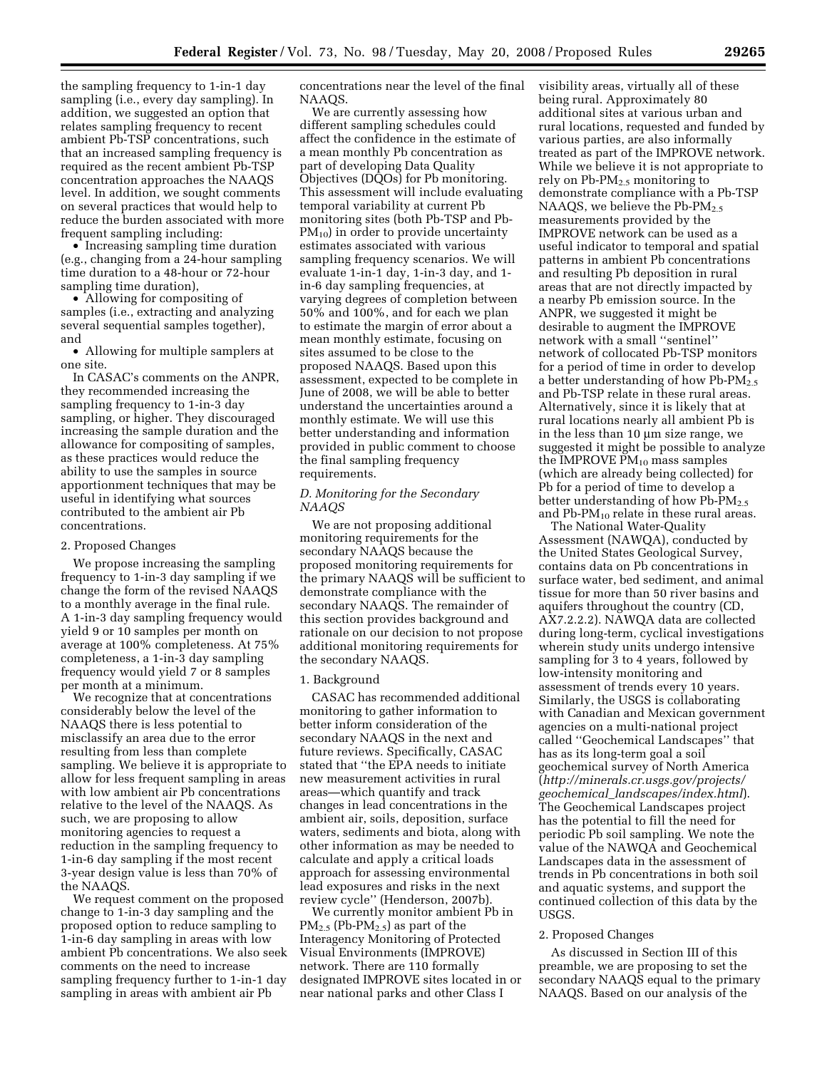the sampling frequency to 1-in-1 day sampling (i.e., every day sampling). In addition, we suggested an option that relates sampling frequency to recent ambient Pb-TSP concentrations, such that an increased sampling frequency is required as the recent ambient Pb-TSP concentration approaches the NAAQS level. In addition, we sought comments on several practices that would help to reduce the burden associated with more frequent sampling including:

• Increasing sampling time duration (e.g., changing from a 24-hour sampling time duration to a 48-hour or 72-hour sampling time duration),

• Allowing for compositing of samples (i.e., extracting and analyzing several sequential samples together), and

• Allowing for multiple samplers at one site.

In CASAC's comments on the ANPR, they recommended increasing the sampling frequency to 1-in-3 day sampling, or higher. They discouraged increasing the sample duration and the allowance for compositing of samples, as these practices would reduce the ability to use the samples in source apportionment techniques that may be useful in identifying what sources contributed to the ambient air Pb concentrations.

### 2. Proposed Changes

We propose increasing the sampling frequency to 1-in-3 day sampling if we change the form of the revised NAAQS to a monthly average in the final rule. A 1-in-3 day sampling frequency would yield 9 or 10 samples per month on average at 100% completeness. At 75% completeness, a 1-in-3 day sampling frequency would yield 7 or 8 samples per month at a minimum.

We recognize that at concentrations considerably below the level of the NAAQS there is less potential to misclassify an area due to the error resulting from less than complete sampling. We believe it is appropriate to allow for less frequent sampling in areas with low ambient air Pb concentrations relative to the level of the NAAQS. As such, we are proposing to allow monitoring agencies to request a reduction in the sampling frequency to 1-in-6 day sampling if the most recent 3-year design value is less than 70% of the NAAQS.

We request comment on the proposed change to 1-in-3 day sampling and the proposed option to reduce sampling to 1-in-6 day sampling in areas with low ambient Pb concentrations. We also seek comments on the need to increase sampling frequency further to 1-in-1 day sampling in areas with ambient air Pb

concentrations near the level of the final NAAQS.

We are currently assessing how different sampling schedules could affect the confidence in the estimate of a mean monthly Pb concentration as part of developing Data Quality Objectives (DQOs) for Pb monitoring. This assessment will include evaluating temporal variability at current Pb monitoring sites (both Pb-TSP and Pb- $PM_{10}$ ) in order to provide uncertainty estimates associated with various sampling frequency scenarios. We will evaluate 1-in-1 day, 1-in-3 day, and 1 in-6 day sampling frequencies, at varying degrees of completion between 50% and 100%, and for each we plan to estimate the margin of error about a mean monthly estimate, focusing on sites assumed to be close to the proposed NAAQS. Based upon this assessment, expected to be complete in June of 2008, we will be able to better understand the uncertainties around a monthly estimate. We will use this better understanding and information provided in public comment to choose the final sampling frequency requirements.

### *D. Monitoring for the Secondary NAAQS*

We are not proposing additional monitoring requirements for the secondary NAAQS because the proposed monitoring requirements for the primary NAAQS will be sufficient to demonstrate compliance with the secondary NAAQS. The remainder of this section provides background and rationale on our decision to not propose additional monitoring requirements for the secondary NAAQS.

#### 1. Background

CASAC has recommended additional monitoring to gather information to better inform consideration of the secondary NAAQS in the next and future reviews. Specifically, CASAC stated that ''the EPA needs to initiate new measurement activities in rural areas—which quantify and track changes in lead concentrations in the ambient air, soils, deposition, surface waters, sediments and biota, along with other information as may be needed to calculate and apply a critical loads approach for assessing environmental lead exposures and risks in the next review cycle'' (Henderson, 2007b).

We currently monitor ambient Pb in  $PM_{2.5}$  (Pb-PM<sub>2.5</sub>) as part of the Interagency Monitoring of Protected Visual Environments (IMPROVE) network. There are 110 formally designated IMPROVE sites located in or near national parks and other Class I

visibility areas, virtually all of these being rural. Approximately 80 additional sites at various urban and rural locations, requested and funded by various parties, are also informally treated as part of the IMPROVE network. While we believe it is not appropriate to rely on  $Pb-PM_{2.5}$  monitoring to demonstrate compliance with a Pb-TSP NAAQS, we believe the Pb-PM<sub>2.5</sub> measurements provided by the IMPROVE network can be used as a useful indicator to temporal and spatial patterns in ambient Pb concentrations and resulting Pb deposition in rural areas that are not directly impacted by a nearby Pb emission source. In the ANPR, we suggested it might be desirable to augment the IMPROVE network with a small ''sentinel'' network of collocated Pb-TSP monitors for a period of time in order to develop a better understanding of how  $Pb-PM_{2.5}$ and Pb-TSP relate in these rural areas. Alternatively, since it is likely that at rural locations nearly all ambient Pb is in the less than 10 µm size range, we suggested it might be possible to analyze the IMPROVE PM<sub>10</sub> mass samples (which are already being collected) for Pb for a period of time to develop a better understanding of how  $Pb-PM_{2.5}$ and Pb-P $M_{10}$  relate in these rural areas.

The National Water-Quality Assessment (NAWQA), conducted by the United States Geological Survey, contains data on Pb concentrations in surface water, bed sediment, and animal tissue for more than 50 river basins and aquifers throughout the country (CD, AX7.2.2.2). NAWQA data are collected during long-term, cyclical investigations wherein study units undergo intensive sampling for 3 to 4 years, followed by low-intensity monitoring and assessment of trends every 10 years. Similarly, the USGS is collaborating with Canadian and Mexican government agencies on a multi-national project called ''Geochemical Landscapes'' that has as its long-term goal a soil geochemical survey of North America (*http://minerals.cr.usgs.gov/projects/ geochemical*\_*landscapes/index.html*). The Geochemical Landscapes project has the potential to fill the need for periodic Pb soil sampling. We note the value of the NAWQA and Geochemical Landscapes data in the assessment of trends in Pb concentrations in both soil and aquatic systems, and support the continued collection of this data by the USGS.

#### 2. Proposed Changes

As discussed in Section III of this preamble, we are proposing to set the secondary NAAQS equal to the primary NAAQS. Based on our analysis of the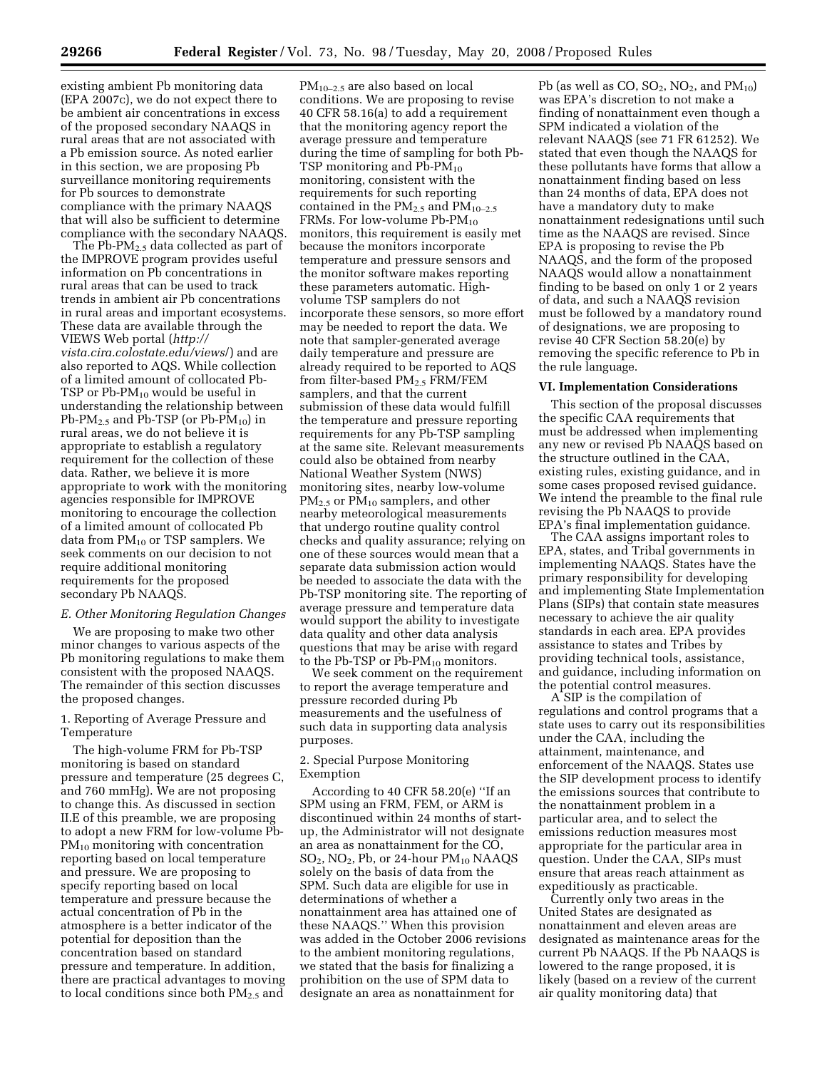existing ambient Pb monitoring data (EPA 2007c), we do not expect there to be ambient air concentrations in excess of the proposed secondary NAAQS in rural areas that are not associated with a Pb emission source. As noted earlier in this section, we are proposing Pb surveillance monitoring requirements for Pb sources to demonstrate compliance with the primary NAAQS that will also be sufficient to determine compliance with the secondary NAAQS.

The Pb-PM2.5 data collected as part of the IMPROVE program provides useful information on Pb concentrations in rural areas that can be used to track trends in ambient air Pb concentrations in rural areas and important ecosystems. These data are available through the VIEWS Web portal (*http:// vista.cira.colostate.edu/views*/) and are also reported to AQS. While collection of a limited amount of collocated Pb-TSP or  $Pb-PM_{10}$  would be useful in understanding the relationship between Pb-P $M_{2.5}$  and Pb-TSP (or Pb-P $M_{10}$ ) in rural areas, we do not believe it is appropriate to establish a regulatory requirement for the collection of these data. Rather, we believe it is more appropriate to work with the monitoring agencies responsible for IMPROVE monitoring to encourage the collection of a limited amount of collocated Pb data from PM10 or TSP samplers. We seek comments on our decision to not require additional monitoring requirements for the proposed secondary Pb NAAQS.

### *E. Other Monitoring Regulation Changes*

We are proposing to make two other minor changes to various aspects of the Pb monitoring regulations to make them consistent with the proposed NAAQS. The remainder of this section discusses the proposed changes.

### 1. Reporting of Average Pressure and Temperature

The high-volume FRM for Pb-TSP monitoring is based on standard pressure and temperature (25 degrees C, and 760 mmHg). We are not proposing to change this. As discussed in section II.E of this preamble, we are proposing to adopt a new FRM for low-volume Pb- $PM_{10}$  monitoring with concentration reporting based on local temperature and pressure. We are proposing to specify reporting based on local temperature and pressure because the actual concentration of Pb in the atmosphere is a better indicator of the potential for deposition than the concentration based on standard pressure and temperature. In addition, there are practical advantages to moving to local conditions since both PM<sub>2.5</sub> and

PM10–2.5 are also based on local conditions. We are proposing to revise 40 CFR 58.16(a) to add a requirement that the monitoring agency report the average pressure and temperature during the time of sampling for both Pb-TSP monitoring and  $Pb-PM_{10}$ monitoring, consistent with the requirements for such reporting contained in the  $PM_{2.5}$  and  $PM_{10-2.5}$ FRMs. For low-volume Pb-PM10 monitors, this requirement is easily met because the monitors incorporate temperature and pressure sensors and the monitor software makes reporting these parameters automatic. Highvolume TSP samplers do not incorporate these sensors, so more effort may be needed to report the data. We note that sampler-generated average daily temperature and pressure are already required to be reported to AQS from filter-based  $PM_{2.5}$  FRM/FEM samplers, and that the current submission of these data would fulfill the temperature and pressure reporting requirements for any Pb-TSP sampling at the same site. Relevant measurements could also be obtained from nearby National Weather System (NWS) monitoring sites, nearby low-volume  $PM_{2.5}$  or  $PM_{10}$  samplers, and other nearby meteorological measurements that undergo routine quality control checks and quality assurance; relying on one of these sources would mean that a separate data submission action would be needed to associate the data with the Pb-TSP monitoring site. The reporting of average pressure and temperature data would support the ability to investigate data quality and other data analysis questions that may be arise with regard to the Pb-TSP or Pb-P $M_{10}$  monitors.

We seek comment on the requirement to report the average temperature and pressure recorded during Pb measurements and the usefulness of such data in supporting data analysis purposes.

### 2. Special Purpose Monitoring Exemption

According to 40 CFR 58.20(e) ''If an SPM using an FRM, FEM, or ARM is discontinued within 24 months of startup, the Administrator will not designate an area as nonattainment for the CO,  $SO_2$ , NO<sub>2</sub>, Pb, or 24-hour  $PM_{10}$  NAAQS solely on the basis of data from the SPM. Such data are eligible for use in determinations of whether a nonattainment area has attained one of these NAAQS.'' When this provision was added in the October 2006 revisions to the ambient monitoring regulations, we stated that the basis for finalizing a prohibition on the use of SPM data to designate an area as nonattainment for

Pb (as well as CO,  $SO_2$ ,  $NO_2$ , and  $PM_{10}$ ) was EPA's discretion to not make a finding of nonattainment even though a SPM indicated a violation of the relevant NAAQS (see 71 FR 61252). We stated that even though the NAAQS for these pollutants have forms that allow a nonattainment finding based on less than 24 months of data, EPA does not have a mandatory duty to make nonattainment redesignations until such time as the NAAQS are revised. Since EPA is proposing to revise the Pb NAAQS, and the form of the proposed NAAQS would allow a nonattainment finding to be based on only 1 or 2 years of data, and such a NAAQS revision must be followed by a mandatory round of designations, we are proposing to revise 40 CFR Section 58.20(e) by removing the specific reference to Pb in the rule language.

#### **VI. Implementation Considerations**

This section of the proposal discusses the specific CAA requirements that must be addressed when implementing any new or revised Pb NAAQS based on the structure outlined in the CAA, existing rules, existing guidance, and in some cases proposed revised guidance. We intend the preamble to the final rule revising the Pb NAAQS to provide EPA's final implementation guidance.

The CAA assigns important roles to EPA, states, and Tribal governments in implementing NAAQS. States have the primary responsibility for developing and implementing State Implementation Plans (SIPs) that contain state measures necessary to achieve the air quality standards in each area. EPA provides assistance to states and Tribes by providing technical tools, assistance, and guidance, including information on the potential control measures.

A SIP is the compilation of regulations and control programs that a state uses to carry out its responsibilities under the CAA, including the attainment, maintenance, and enforcement of the NAAQS. States use the SIP development process to identify the emissions sources that contribute to the nonattainment problem in a particular area, and to select the emissions reduction measures most appropriate for the particular area in question. Under the CAA, SIPs must ensure that areas reach attainment as expeditiously as practicable.

Currently only two areas in the United States are designated as nonattainment and eleven areas are designated as maintenance areas for the current Pb NAAQS. If the Pb NAAQS is lowered to the range proposed, it is likely (based on a review of the current air quality monitoring data) that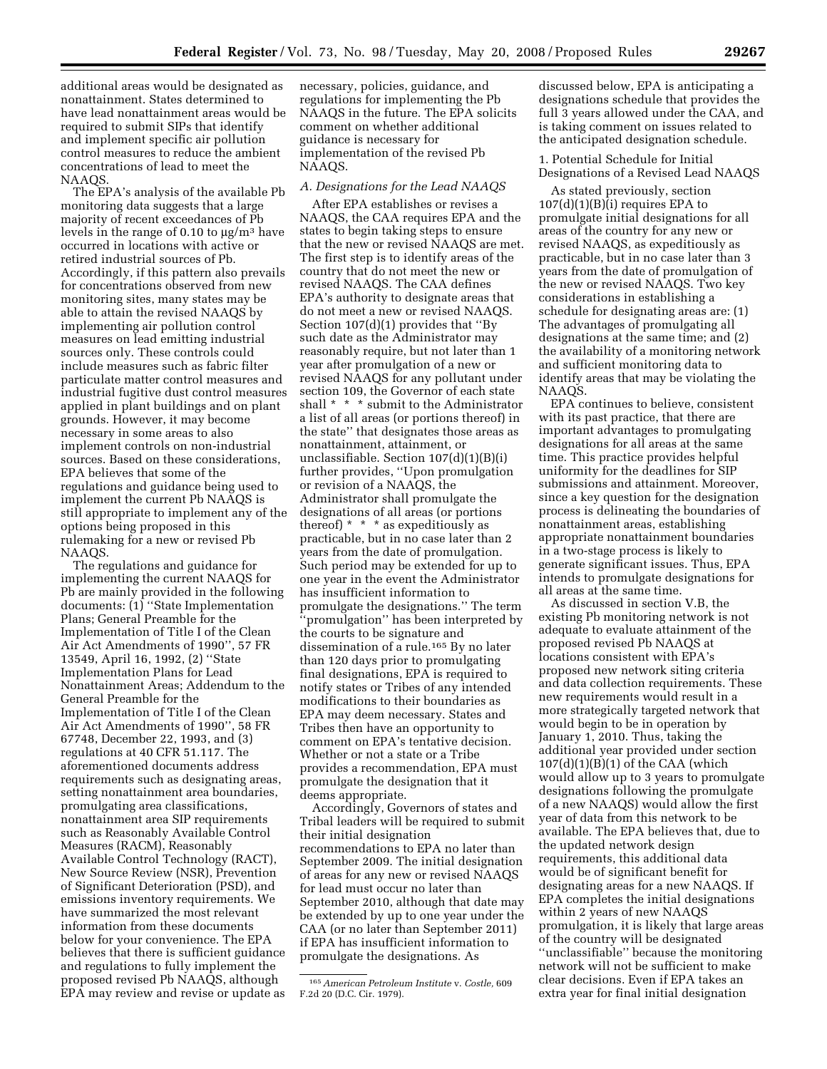additional areas would be designated as nonattainment. States determined to have lead nonattainment areas would be required to submit SIPs that identify and implement specific air pollution control measures to reduce the ambient concentrations of lead to meet the NAAQS.

The EPA's analysis of the available Pb monitoring data suggests that a large majority of recent exceedances of Pb levels in the range of 0.10 to  $\mu$ g/m<sup>3</sup> have occurred in locations with active or retired industrial sources of Pb. Accordingly, if this pattern also prevails for concentrations observed from new monitoring sites, many states may be able to attain the revised NAAQS by implementing air pollution control measures on lead emitting industrial sources only. These controls could include measures such as fabric filter particulate matter control measures and industrial fugitive dust control measures applied in plant buildings and on plant grounds. However, it may become necessary in some areas to also implement controls on non-industrial sources. Based on these considerations, EPA believes that some of the regulations and guidance being used to implement the current Pb NAAQS is still appropriate to implement any of the options being proposed in this rulemaking for a new or revised Pb NAAQS.

The regulations and guidance for implementing the current NAAQS for Pb are mainly provided in the following documents: (1) ''State Implementation Plans; General Preamble for the Implementation of Title I of the Clean Air Act Amendments of 1990'', 57 FR 13549, April 16, 1992, (2) ''State Implementation Plans for Lead Nonattainment Areas; Addendum to the General Preamble for the Implementation of Title I of the Clean Air Act Amendments of 1990'', 58 FR 67748, December 22, 1993, and (3) regulations at 40 CFR 51.117. The aforementioned documents address requirements such as designating areas, setting nonattainment area boundaries, promulgating area classifications, nonattainment area SIP requirements such as Reasonably Available Control Measures (RACM), Reasonably Available Control Technology (RACT), New Source Review (NSR), Prevention of Significant Deterioration (PSD), and emissions inventory requirements. We have summarized the most relevant information from these documents below for your convenience. The EPA believes that there is sufficient guidance and regulations to fully implement the proposed revised Pb NAAQS, although EPA may review and revise or update as necessary, policies, guidance, and regulations for implementing the Pb NAAQS in the future. The EPA solicits comment on whether additional guidance is necessary for implementation of the revised Pb NAAQS.

# *A. Designations for the Lead NAAQS*

After EPA establishes or revises a NAAQS, the CAA requires EPA and the states to begin taking steps to ensure that the new or revised NAAQS are met. The first step is to identify areas of the country that do not meet the new or revised NAAQS. The CAA defines EPA's authority to designate areas that do not meet a new or revised NAAQS. Section 107(d)(1) provides that ''By such date as the Administrator may reasonably require, but not later than 1 year after promulgation of a new or revised NAAQS for any pollutant under section 109, the Governor of each state shall \* \* \* submit to the Administrator a list of all areas (or portions thereof) in the state'' that designates those areas as nonattainment, attainment, or unclassifiable. Section 107(d)(1)(B)(i) further provides, ''Upon promulgation or revision of a NAAQS, the Administrator shall promulgate the designations of all areas (or portions thereof) \* \* \* as expeditiously as practicable, but in no case later than 2 years from the date of promulgation. Such period may be extended for up to one year in the event the Administrator has insufficient information to promulgate the designations." The term 'promulgation'' has been interpreted by the courts to be signature and dissemination of a rule.165 By no later than 120 days prior to promulgating final designations, EPA is required to notify states or Tribes of any intended modifications to their boundaries as EPA may deem necessary. States and Tribes then have an opportunity to comment on EPA's tentative decision. Whether or not a state or a Tribe provides a recommendation, EPA must promulgate the designation that it deems appropriate.

Accordingly, Governors of states and Tribal leaders will be required to submit their initial designation recommendations to EPA no later than September 2009. The initial designation of areas for any new or revised NAAQS for lead must occur no later than September 2010, although that date may be extended by up to one year under the CAA (or no later than September 2011) if EPA has insufficient information to promulgate the designations. As

discussed below, EPA is anticipating a designations schedule that provides the full 3 years allowed under the CAA, and is taking comment on issues related to the anticipated designation schedule.

1. Potential Schedule for Initial Designations of a Revised Lead NAAQS

As stated previously, section  $107(d)(1)(B)(i)$  requires EPA to promulgate initial designations for all areas of the country for any new or revised NAAQS, as expeditiously as practicable, but in no case later than 3 years from the date of promulgation of the new or revised NAAQS. Two key considerations in establishing a schedule for designating areas are: (1) The advantages of promulgating all designations at the same time; and (2) the availability of a monitoring network and sufficient monitoring data to identify areas that may be violating the NAAQS.

EPA continues to believe, consistent with its past practice, that there are important advantages to promulgating designations for all areas at the same time. This practice provides helpful uniformity for the deadlines for SIP submissions and attainment. Moreover, since a key question for the designation process is delineating the boundaries of nonattainment areas, establishing appropriate nonattainment boundaries in a two-stage process is likely to generate significant issues. Thus, EPA intends to promulgate designations for all areas at the same time.

As discussed in section V.B, the existing Pb monitoring network is not adequate to evaluate attainment of the proposed revised Pb NAAQS at locations consistent with EPA's proposed new network siting criteria and data collection requirements. These new requirements would result in a more strategically targeted network that would begin to be in operation by January 1, 2010. Thus, taking the additional year provided under section  $107(d)(1)(B)(1)$  of the CAA (which would allow up to 3 years to promulgate designations following the promulgate of a new NAAQS) would allow the first year of data from this network to be available. The EPA believes that, due to the updated network design requirements, this additional data would be of significant benefit for designating areas for a new NAAQS. If EPA completes the initial designations within 2 years of new NAAQS promulgation, it is likely that large areas of the country will be designated ''unclassifiable'' because the monitoring network will not be sufficient to make clear decisions. Even if EPA takes an extra year for final initial designation

<sup>165</sup>*American Petroleum Institute* v. *Costle,* 609 F.2d 20 (D.C. Cir. 1979).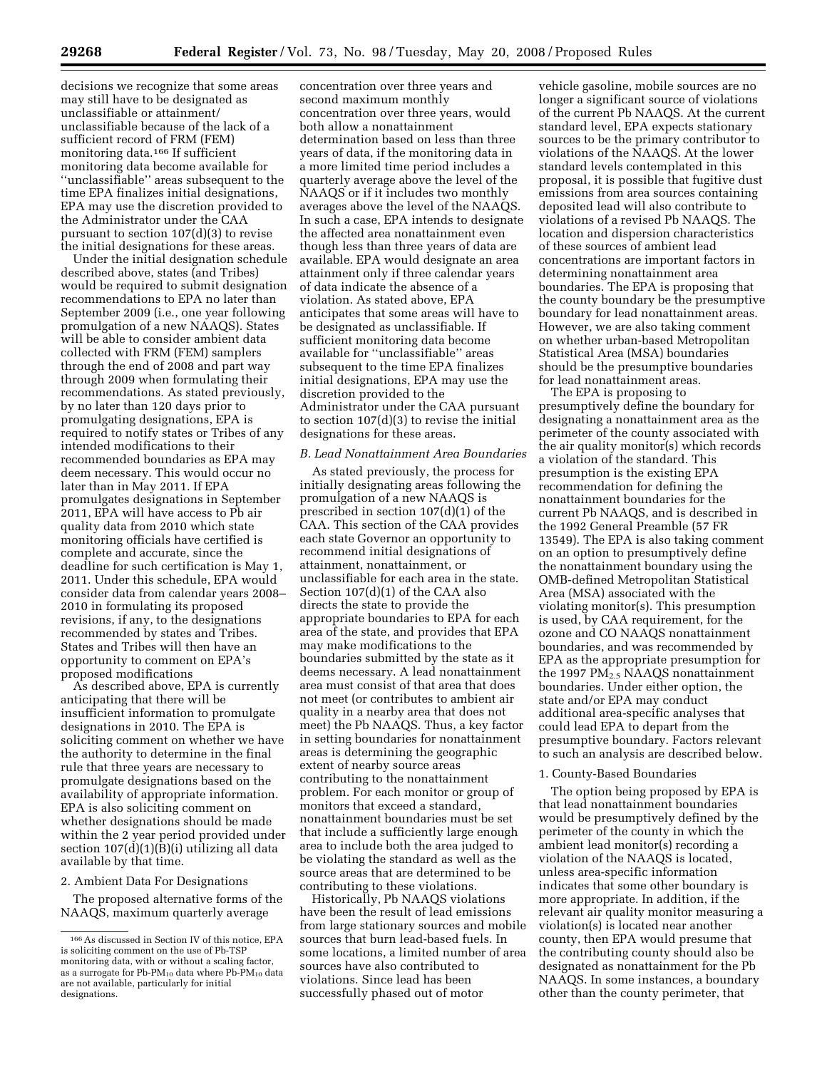decisions we recognize that some areas may still have to be designated as unclassifiable or attainment/ unclassifiable because of the lack of a sufficient record of FRM (FEM) monitoring data.166 If sufficient monitoring data become available for ''unclassifiable'' areas subsequent to the time EPA finalizes initial designations, EPA may use the discretion provided to the Administrator under the CAA pursuant to section 107(d)(3) to revise the initial designations for these areas.

Under the initial designation schedule described above, states (and Tribes) would be required to submit designation recommendations to EPA no later than September 2009 (i.e., one year following promulgation of a new NAAQS). States will be able to consider ambient data collected with FRM (FEM) samplers through the end of 2008 and part way through 2009 when formulating their recommendations. As stated previously, by no later than 120 days prior to promulgating designations, EPA is required to notify states or Tribes of any intended modifications to their recommended boundaries as EPA may deem necessary. This would occur no later than in May 2011. If EPA promulgates designations in September 2011, EPA will have access to Pb air quality data from 2010 which state monitoring officials have certified is complete and accurate, since the deadline for such certification is May 1, 2011. Under this schedule, EPA would consider data from calendar years 2008– 2010 in formulating its proposed revisions, if any, to the designations recommended by states and Tribes. States and Tribes will then have an opportunity to comment on EPA's proposed modifications

As described above, EPA is currently anticipating that there will be insufficient information to promulgate designations in 2010. The EPA is soliciting comment on whether we have the authority to determine in the final rule that three years are necessary to promulgate designations based on the availability of appropriate information. EPA is also soliciting comment on whether designations should be made within the 2 year period provided under section 107(d)(1)(B)(i) utilizing all data available by that time.

### 2. Ambient Data For Designations

The proposed alternative forms of the NAAQS, maximum quarterly average

concentration over three years and second maximum monthly concentration over three years, would both allow a nonattainment determination based on less than three years of data, if the monitoring data in a more limited time period includes a quarterly average above the level of the NAAQS or if it includes two monthly averages above the level of the NAAQS. In such a case, EPA intends to designate the affected area nonattainment even though less than three years of data are available. EPA would designate an area attainment only if three calendar years of data indicate the absence of a violation. As stated above, EPA anticipates that some areas will have to be designated as unclassifiable. If sufficient monitoring data become available for ''unclassifiable'' areas subsequent to the time EPA finalizes initial designations, EPA may use the discretion provided to the Administrator under the CAA pursuant to section 107(d)(3) to revise the initial designations for these areas.

### *B. Lead Nonattainment Area Boundaries*

As stated previously, the process for initially designating areas following the promulgation of a new NAAQS is prescribed in section 107(d)(1) of the CAA. This section of the CAA provides each state Governor an opportunity to recommend initial designations of attainment, nonattainment, or unclassifiable for each area in the state. Section 107(d)(1) of the CAA also directs the state to provide the appropriate boundaries to EPA for each area of the state, and provides that EPA may make modifications to the boundaries submitted by the state as it deems necessary. A lead nonattainment area must consist of that area that does not meet (or contributes to ambient air quality in a nearby area that does not meet) the Pb NAAQS. Thus, a key factor in setting boundaries for nonattainment areas is determining the geographic extent of nearby source areas contributing to the nonattainment problem. For each monitor or group of monitors that exceed a standard, nonattainment boundaries must be set that include a sufficiently large enough area to include both the area judged to be violating the standard as well as the source areas that are determined to be contributing to these violations.

Historically, Pb NAAQS violations have been the result of lead emissions from large stationary sources and mobile sources that burn lead-based fuels. In some locations, a limited number of area sources have also contributed to violations. Since lead has been successfully phased out of motor

vehicle gasoline, mobile sources are no longer a significant source of violations of the current Pb NAAQS. At the current standard level, EPA expects stationary sources to be the primary contributor to violations of the NAAQS. At the lower standard levels contemplated in this proposal, it is possible that fugitive dust emissions from area sources containing deposited lead will also contribute to violations of a revised Pb NAAQS. The location and dispersion characteristics of these sources of ambient lead concentrations are important factors in determining nonattainment area boundaries. The EPA is proposing that the county boundary be the presumptive boundary for lead nonattainment areas. However, we are also taking comment on whether urban-based Metropolitan Statistical Area (MSA) boundaries should be the presumptive boundaries for lead nonattainment areas.

The EPA is proposing to presumptively define the boundary for designating a nonattainment area as the perimeter of the county associated with the air quality monitor(s) which records a violation of the standard. This presumption is the existing EPA recommendation for defining the nonattainment boundaries for the current Pb NAAQS, and is described in the 1992 General Preamble (57 FR 13549). The EPA is also taking comment on an option to presumptively define the nonattainment boundary using the OMB-defined Metropolitan Statistical Area (MSA) associated with the violating monitor(s). This presumption is used, by CAA requirement, for the ozone and CO NAAQS nonattainment boundaries, and was recommended by EPA as the appropriate presumption for the 1997  $PM<sub>2.5</sub> NAAQS$  nonattainment boundaries. Under either option, the state and/or EPA may conduct additional area-specific analyses that could lead EPA to depart from the presumptive boundary. Factors relevant to such an analysis are described below.

### 1. County-Based Boundaries

The option being proposed by EPA is that lead nonattainment boundaries would be presumptively defined by the perimeter of the county in which the ambient lead monitor(s) recording a violation of the NAAQS is located, unless area-specific information indicates that some other boundary is more appropriate. In addition, if the relevant air quality monitor measuring a violation(s) is located near another county, then EPA would presume that the contributing county should also be designated as nonattainment for the Pb NAAQS. In some instances, a boundary other than the county perimeter, that

<sup>166</sup>As discussed in Section IV of this notice, EPA is soliciting comment on the use of Pb-TSP monitoring data, with or without a scaling factor, as a surrogate for Pb-PM<sub>10</sub> data where Pb-PM<sub>10</sub> data are not available, particularly for initial designations.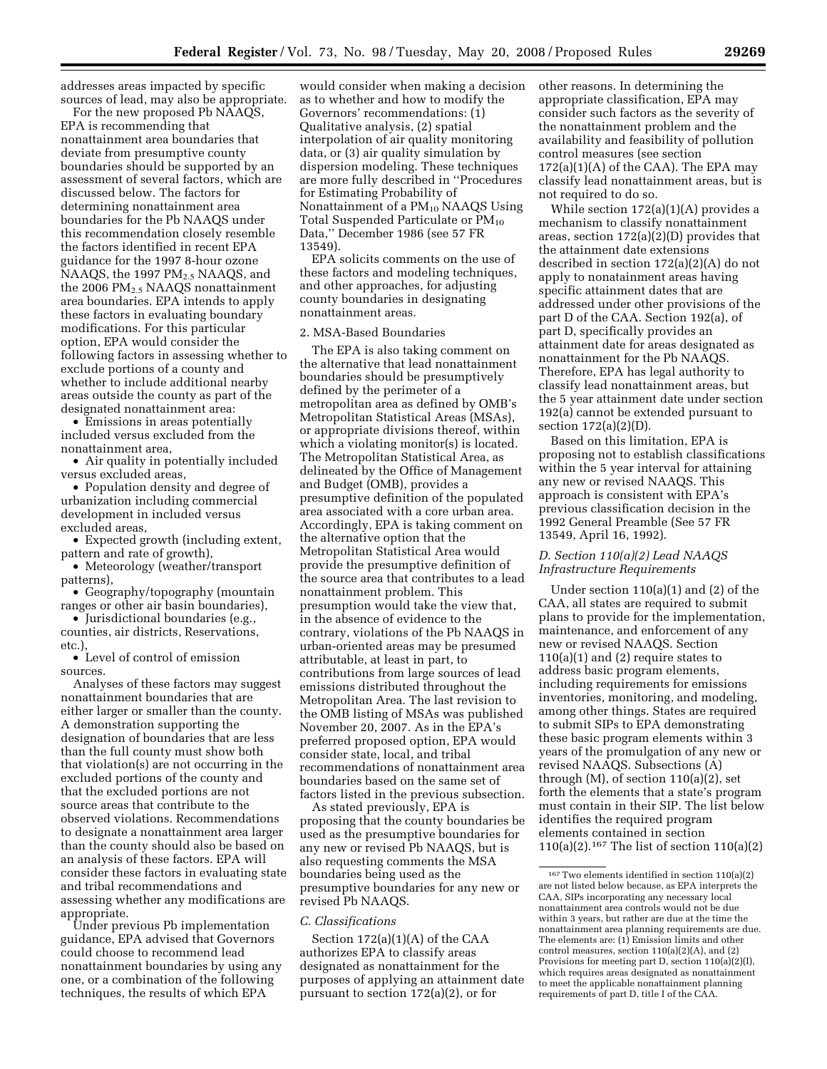addresses areas impacted by specific sources of lead, may also be appropriate.

For the new proposed Pb NAAQS, EPA is recommending that nonattainment area boundaries that deviate from presumptive county boundaries should be supported by an assessment of several factors, which are discussed below. The factors for determining nonattainment area boundaries for the Pb NAAQS under this recommendation closely resemble the factors identified in recent EPA guidance for the 1997 8-hour ozone NAAQS, the 1997  $PM<sub>2.5</sub>$  NAAQS, and the 2006 PM2.5 NAAQS nonattainment area boundaries. EPA intends to apply these factors in evaluating boundary modifications. For this particular option, EPA would consider the following factors in assessing whether to exclude portions of a county and whether to include additional nearby areas outside the county as part of the designated nonattainment area:

• Emissions in areas potentially included versus excluded from the nonattainment area,

• Air quality in potentially included versus excluded areas,

• Population density and degree of urbanization including commercial development in included versus excluded areas,

• Expected growth (including extent, pattern and rate of growth),

• Meteorology (weather/transport patterns),

• Geography/topography (mountain ranges or other air basin boundaries),

• Jurisdictional boundaries (e.g., counties, air districts, Reservations, etc.),

• Level of control of emission sources.

Analyses of these factors may suggest nonattainment boundaries that are either larger or smaller than the county. A demonstration supporting the designation of boundaries that are less than the full county must show both that violation(s) are not occurring in the excluded portions of the county and that the excluded portions are not source areas that contribute to the observed violations. Recommendations to designate a nonattainment area larger than the county should also be based on an analysis of these factors. EPA will consider these factors in evaluating state and tribal recommendations and assessing whether any modifications are appropriate.

Under previous Pb implementation guidance, EPA advised that Governors could choose to recommend lead nonattainment boundaries by using any one, or a combination of the following techniques, the results of which EPA

would consider when making a decision as to whether and how to modify the Governors' recommendations: (1) Qualitative analysis, (2) spatial interpolation of air quality monitoring data, or (3) air quality simulation by dispersion modeling. These techniques are more fully described in ''Procedures for Estimating Probability of Nonattainment of a PM<sub>10</sub> NAAQS Using Total Suspended Particulate or PM<sub>10</sub> Data,'' December 1986 (see 57 FR 13549).

EPA solicits comments on the use of these factors and modeling techniques, and other approaches, for adjusting county boundaries in designating nonattainment areas.

#### 2. MSA-Based Boundaries

The EPA is also taking comment on the alternative that lead nonattainment boundaries should be presumptively defined by the perimeter of a metropolitan area as defined by OMB's Metropolitan Statistical Areas (MSAs), or appropriate divisions thereof, within which a violating monitor(s) is located. The Metropolitan Statistical Area, as delineated by the Office of Management and Budget (OMB), provides a presumptive definition of the populated area associated with a core urban area. Accordingly, EPA is taking comment on the alternative option that the Metropolitan Statistical Area would provide the presumptive definition of the source area that contributes to a lead nonattainment problem. This presumption would take the view that, in the absence of evidence to the contrary, violations of the Pb NAAQS in urban-oriented areas may be presumed attributable, at least in part, to contributions from large sources of lead emissions distributed throughout the Metropolitan Area. The last revision to the OMB listing of MSAs was published November 20, 2007. As in the EPA's preferred proposed option, EPA would consider state, local, and tribal recommendations of nonattainment area boundaries based on the same set of factors listed in the previous subsection.

As stated previously, EPA is proposing that the county boundaries be used as the presumptive boundaries for any new or revised Pb NAAQS, but is also requesting comments the MSA boundaries being used as the presumptive boundaries for any new or revised Pb NAAQS.

### *C. Classifications*

Section 172(a)(1)(A) of the CAA authorizes EPA to classify areas designated as nonattainment for the purposes of applying an attainment date pursuant to section 172(a)(2), or for

other reasons. In determining the appropriate classification, EPA may consider such factors as the severity of the nonattainment problem and the availability and feasibility of pollution control measures (see section  $172(a)(1)(A)$  of the CAA). The EPA may classify lead nonattainment areas, but is not required to do so.

While section 172(a)(1)(A) provides a mechanism to classify nonattainment areas, section 172(a)(2)(D) provides that the attainment date extensions described in section 172(a)(2)(A) do not apply to nonatainment areas having specific attainment dates that are addressed under other provisions of the part D of the CAA. Section 192(a), of part D, specifically provides an attainment date for areas designated as nonattainment for the Pb NAAQS. Therefore, EPA has legal authority to classify lead nonattainment areas, but the 5 year attainment date under section 192(a) cannot be extended pursuant to section 172(a)(2)(D).

Based on this limitation, EPA is proposing not to establish classifications within the 5 year interval for attaining any new or revised NAAQS. This approach is consistent with EPA's previous classification decision in the 1992 General Preamble (See 57 FR 13549, April 16, 1992).

### *D. Section 110(a)(2) Lead NAAQS Infrastructure Requirements*

Under section 110(a)(1) and (2) of the CAA, all states are required to submit plans to provide for the implementation, maintenance, and enforcement of any new or revised NAAQS. Section  $110(a)(1)$  and  $(2)$  require states to address basic program elements, including requirements for emissions inventories, monitoring, and modeling, among other things. States are required to submit SIPs to EPA demonstrating these basic program elements within 3 years of the promulgation of any new or revised NAAQS. Subsections (A) through  $(M)$ , of section  $110(a)(2)$ , set forth the elements that a state's program must contain in their SIP. The list below identifies the required program elements contained in section 110(a)(2).167 The list of section 110(a)(2)

 $^{167}\mathrm{Two}$  elements identified in section  $110(a)(2)$ are not listed below because, as EPA interprets the CAA, SIPs incorporating any necessary local nonattainment area controls would not be due within 3 years, but rather are due at the time the nonattainment area planning requirements are due. The elements are: (1) Emission limits and other control measures, section 110(a)(2)(A), and (2) Provisions for meeting part D, section 110(a)(2)(I), which requires areas designated as nonattainment to meet the applicable nonattainment planning requirements of part D, title I of the CAA.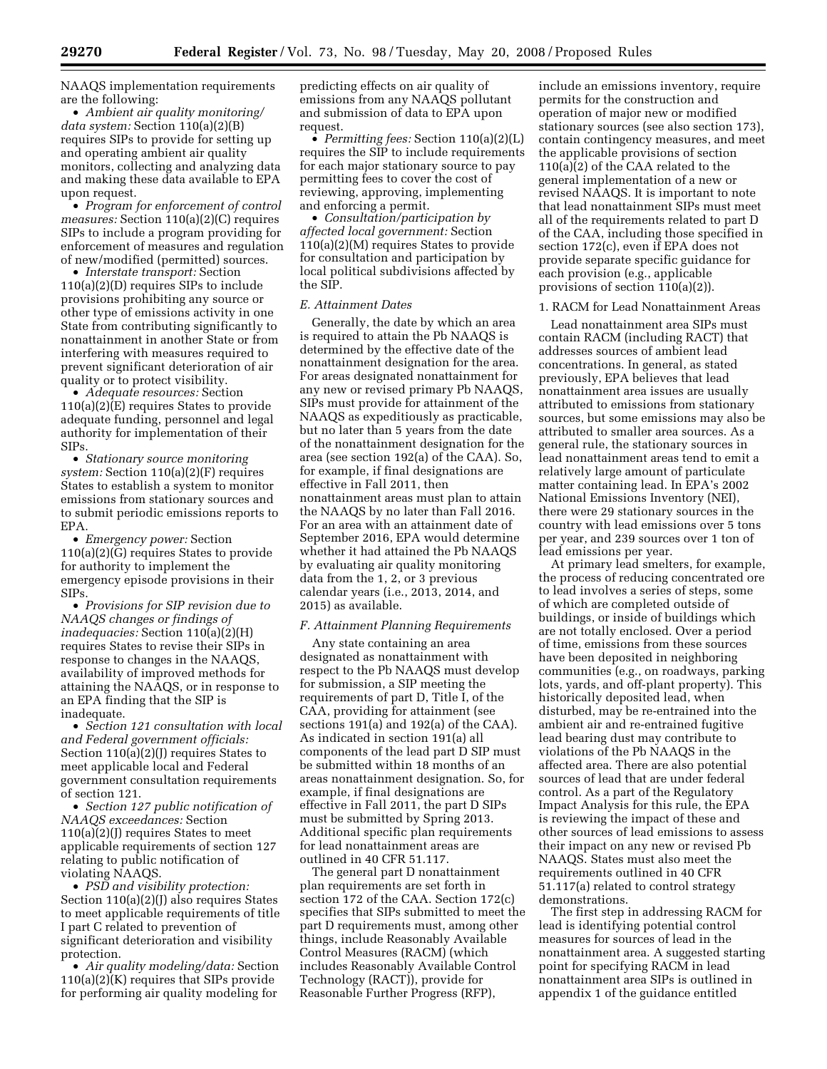NAAQS implementation requirements are the following:

• *Ambient air quality monitoring/ data system:* Section 110(a)(2)(B) requires SIPs to provide for setting up and operating ambient air quality monitors, collecting and analyzing data and making these data available to EPA upon request.

• *Program for enforcement of control measures:* Section 110(a)(2)(C) requires SIPs to include a program providing for enforcement of measures and regulation of new/modified (permitted) sources.

• *Interstate transport:* Section 110(a)(2)(D) requires SIPs to include provisions prohibiting any source or other type of emissions activity in one State from contributing significantly to nonattainment in another State or from interfering with measures required to prevent significant deterioration of air quality or to protect visibility.

• *Adequate resources:* Section 110(a)(2)(E) requires States to provide adequate funding, personnel and legal authority for implementation of their SIPs.

• *Stationary source monitoring system:* Section 110(a)(2)(F) requires States to establish a system to monitor emissions from stationary sources and to submit periodic emissions reports to EPA.

• *Emergency power:* Section 110(a)(2)(G) requires States to provide for authority to implement the emergency episode provisions in their SIPs.

• *Provisions for SIP revision due to NAAQS changes or findings of inadequacies:* Section 110(a)(2)(H) requires States to revise their SIPs in response to changes in the NAAQS, availability of improved methods for attaining the NAAQS, or in response to an EPA finding that the SIP is inadequate.

• *Section 121 consultation with local and Federal government officials:*  Section 110(a)(2)(J) requires States to meet applicable local and Federal government consultation requirements of section 121.

• *Section 127 public notification of NAAQS exceedances:* Section 110(a)(2)(J) requires States to meet applicable requirements of section 127 relating to public notification of violating NAAQS.

• *PSD and visibility protection:*  Section 110(a)(2)(J) also requires States to meet applicable requirements of title I part C related to prevention of significant deterioration and visibility protection.

• *Air quality modeling/data:* Section 110(a)(2)(K) requires that SIPs provide for performing air quality modeling for

predicting effects on air quality of emissions from any NAAQS pollutant and submission of data to EPA upon request.

• *Permitting fees:* Section 110(a)(2)(L) requires the SIP to include requirements for each major stationary source to pay permitting fees to cover the cost of reviewing, approving, implementing and enforcing a permit.

• *Consultation/participation by affected local government:* Section 110(a)(2)(M) requires States to provide for consultation and participation by local political subdivisions affected by the SIP.

## *E. Attainment Dates*

Generally, the date by which an area is required to attain the Pb NAAQS is determined by the effective date of the nonattainment designation for the area. For areas designated nonattainment for any new or revised primary Pb NAAQS, SIPs must provide for attainment of the NAAQS as expeditiously as practicable, but no later than 5 years from the date of the nonattainment designation for the area (see section 192(a) of the CAA). So, for example, if final designations are effective in Fall 2011, then nonattainment areas must plan to attain the NAAQS by no later than Fall 2016. For an area with an attainment date of September 2016, EPA would determine whether it had attained the Pb NAAQS by evaluating air quality monitoring data from the 1, 2, or 3 previous calendar years (i.e., 2013, 2014, and 2015) as available.

#### *F. Attainment Planning Requirements*

Any state containing an area designated as nonattainment with respect to the Pb NAAQS must develop for submission, a SIP meeting the requirements of part D, Title I, of the CAA, providing for attainment (see sections 191(a) and 192(a) of the CAA). As indicated in section 191(a) all components of the lead part D SIP must be submitted within 18 months of an areas nonattainment designation. So, for example, if final designations are effective in Fall 2011, the part D SIPs must be submitted by Spring 2013. Additional specific plan requirements for lead nonattainment areas are outlined in 40 CFR 51.117.

The general part D nonattainment plan requirements are set forth in section 172 of the CAA. Section 172(c) specifies that SIPs submitted to meet the part D requirements must, among other things, include Reasonably Available Control Measures (RACM) (which includes Reasonably Available Control Technology (RACT)), provide for Reasonable Further Progress (RFP),

include an emissions inventory, require permits for the construction and operation of major new or modified stationary sources (see also section 173), contain contingency measures, and meet the applicable provisions of section 110(a)(2) of the CAA related to the general implementation of a new or revised NAAQS. It is important to note that lead nonattainment SIPs must meet all of the requirements related to part D of the CAA, including those specified in section 172(c), even if EPA does not provide separate specific guidance for each provision (e.g., applicable provisions of section 110(a)(2)).

### 1. RACM for Lead Nonattainment Areas

Lead nonattainment area SIPs must contain RACM (including RACT) that addresses sources of ambient lead concentrations. In general, as stated previously, EPA believes that lead nonattainment area issues are usually attributed to emissions from stationary sources, but some emissions may also be attributed to smaller area sources. As a general rule, the stationary sources in lead nonattainment areas tend to emit a relatively large amount of particulate matter containing lead. In EPA's 2002 National Emissions Inventory (NEI), there were 29 stationary sources in the country with lead emissions over 5 tons per year, and 239 sources over 1 ton of lead emissions per year.

At primary lead smelters, for example, the process of reducing concentrated ore to lead involves a series of steps, some of which are completed outside of buildings, or inside of buildings which are not totally enclosed. Over a period of time, emissions from these sources have been deposited in neighboring communities (e.g., on roadways, parking lots, yards, and off-plant property). This historically deposited lead, when disturbed, may be re-entrained into the ambient air and re-entrained fugitive lead bearing dust may contribute to violations of the Pb NAAQS in the affected area. There are also potential sources of lead that are under federal control. As a part of the Regulatory Impact Analysis for this rule, the EPA is reviewing the impact of these and other sources of lead emissions to assess their impact on any new or revised Pb NAAQS. States must also meet the requirements outlined in 40 CFR 51.117(a) related to control strategy demonstrations.

The first step in addressing RACM for lead is identifying potential control measures for sources of lead in the nonattainment area. A suggested starting point for specifying RACM in lead nonattainment area SIPs is outlined in appendix 1 of the guidance entitled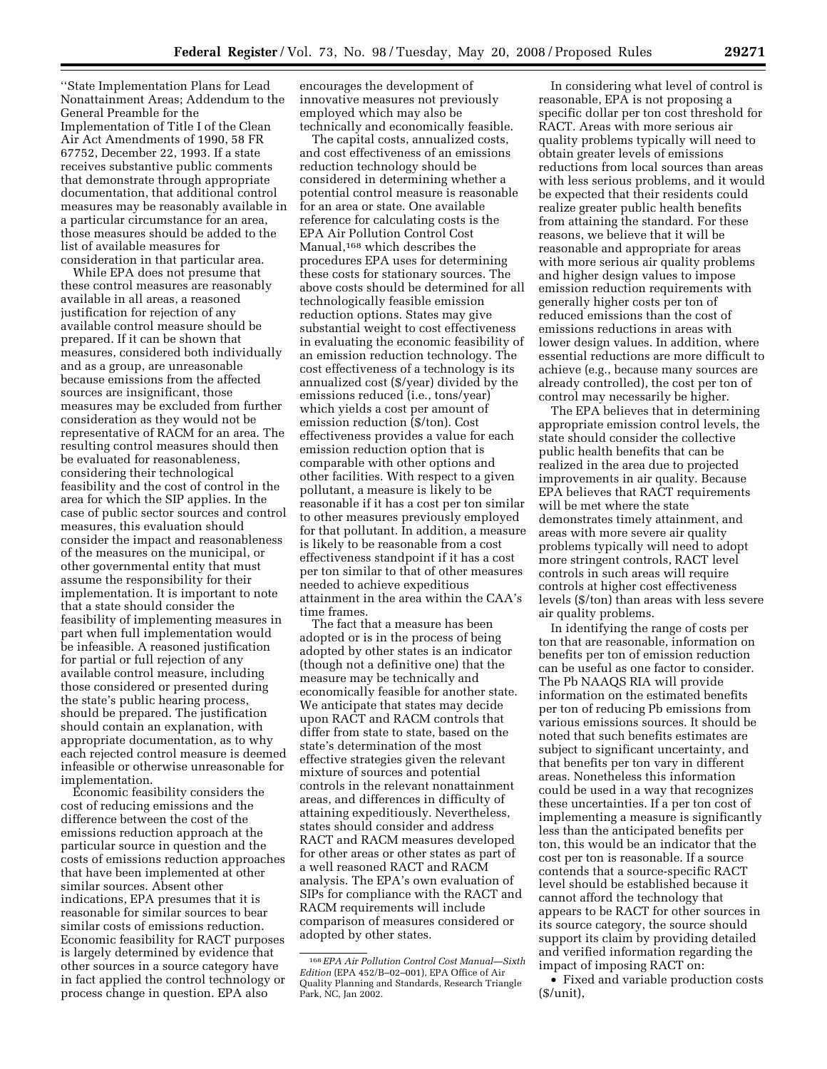''State Implementation Plans for Lead Nonattainment Areas; Addendum to the General Preamble for the Implementation of Title I of the Clean Air Act Amendments of 1990, 58 FR 67752, December 22, 1993. If a state receives substantive public comments that demonstrate through appropriate documentation, that additional control measures may be reasonably available in a particular circumstance for an area, those measures should be added to the list of available measures for consideration in that particular area.

While EPA does not presume that these control measures are reasonably available in all areas, a reasoned justification for rejection of any available control measure should be prepared. If it can be shown that measures, considered both individually and as a group, are unreasonable because emissions from the affected sources are insignificant, those measures may be excluded from further consideration as they would not be representative of RACM for an area. The resulting control measures should then be evaluated for reasonableness, considering their technological feasibility and the cost of control in the area for which the SIP applies. In the case of public sector sources and control measures, this evaluation should consider the impact and reasonableness of the measures on the municipal, or other governmental entity that must assume the responsibility for their implementation. It is important to note that a state should consider the feasibility of implementing measures in part when full implementation would be infeasible. A reasoned justification for partial or full rejection of any available control measure, including those considered or presented during the state's public hearing process, should be prepared. The justification should contain an explanation, with appropriate documentation, as to why each rejected control measure is deemed infeasible or otherwise unreasonable for implementation.

Economic feasibility considers the cost of reducing emissions and the difference between the cost of the emissions reduction approach at the particular source in question and the costs of emissions reduction approaches that have been implemented at other similar sources. Absent other indications, EPA presumes that it is reasonable for similar sources to bear similar costs of emissions reduction. Economic feasibility for RACT purposes is largely determined by evidence that other sources in a source category have in fact applied the control technology or process change in question. EPA also

encourages the development of innovative measures not previously employed which may also be technically and economically feasible.

The capital costs, annualized costs, and cost effectiveness of an emissions reduction technology should be considered in determining whether a potential control measure is reasonable for an area or state. One available reference for calculating costs is the EPA Air Pollution Control Cost Manual,<sup>168</sup> which describes the procedures EPA uses for determining these costs for stationary sources. The above costs should be determined for all technologically feasible emission reduction options. States may give substantial weight to cost effectiveness in evaluating the economic feasibility of an emission reduction technology. The cost effectiveness of a technology is its annualized cost (\$/year) divided by the emissions reduced (i.e., tons/year) which yields a cost per amount of emission reduction (\$/ton). Cost effectiveness provides a value for each emission reduction option that is comparable with other options and other facilities. With respect to a given pollutant, a measure is likely to be reasonable if it has a cost per ton similar to other measures previously employed for that pollutant. In addition, a measure is likely to be reasonable from a cost effectiveness standpoint if it has a cost per ton similar to that of other measures needed to achieve expeditious attainment in the area within the CAA's time frames.

The fact that a measure has been adopted or is in the process of being adopted by other states is an indicator (though not a definitive one) that the measure may be technically and economically feasible for another state. We anticipate that states may decide upon RACT and RACM controls that differ from state to state, based on the state's determination of the most effective strategies given the relevant mixture of sources and potential controls in the relevant nonattainment areas, and differences in difficulty of attaining expeditiously. Nevertheless, states should consider and address RACT and RACM measures developed for other areas or other states as part of a well reasoned RACT and RACM analysis. The EPA's own evaluation of SIPs for compliance with the RACT and RACM requirements will include comparison of measures considered or adopted by other states.

In considering what level of control is reasonable, EPA is not proposing a specific dollar per ton cost threshold for RACT. Areas with more serious air quality problems typically will need to obtain greater levels of emissions reductions from local sources than areas with less serious problems, and it would be expected that their residents could realize greater public health benefits from attaining the standard. For these reasons, we believe that it will be reasonable and appropriate for areas with more serious air quality problems and higher design values to impose emission reduction requirements with generally higher costs per ton of reduced emissions than the cost of emissions reductions in areas with lower design values. In addition, where essential reductions are more difficult to achieve (e.g., because many sources are already controlled), the cost per ton of control may necessarily be higher.

The EPA believes that in determining appropriate emission control levels, the state should consider the collective public health benefits that can be realized in the area due to projected improvements in air quality. Because EPA believes that RACT requirements will be met where the state demonstrates timely attainment, and areas with more severe air quality problems typically will need to adopt more stringent controls, RACT level controls in such areas will require controls at higher cost effectiveness levels (\$/ton) than areas with less severe air quality problems.

In identifying the range of costs per ton that are reasonable, information on benefits per ton of emission reduction can be useful as one factor to consider. The Pb NAAQS RIA will provide information on the estimated benefits per ton of reducing Pb emissions from various emissions sources. It should be noted that such benefits estimates are subject to significant uncertainty, and that benefits per ton vary in different areas. Nonetheless this information could be used in a way that recognizes these uncertainties. If a per ton cost of implementing a measure is significantly less than the anticipated benefits per ton, this would be an indicator that the cost per ton is reasonable. If a source contends that a source-specific RACT level should be established because it cannot afford the technology that appears to be RACT for other sources in its source category, the source should support its claim by providing detailed and verified information regarding the impact of imposing RACT on:

• Fixed and variable production costs (\$/unit),

<sup>168</sup>*EPA Air Pollution Control Cost Manual—Sixth Edition* (EPA 452/B–02–001), EPA Office of Air Quality Planning and Standards, Research Triangle Park, NC, Jan 2002.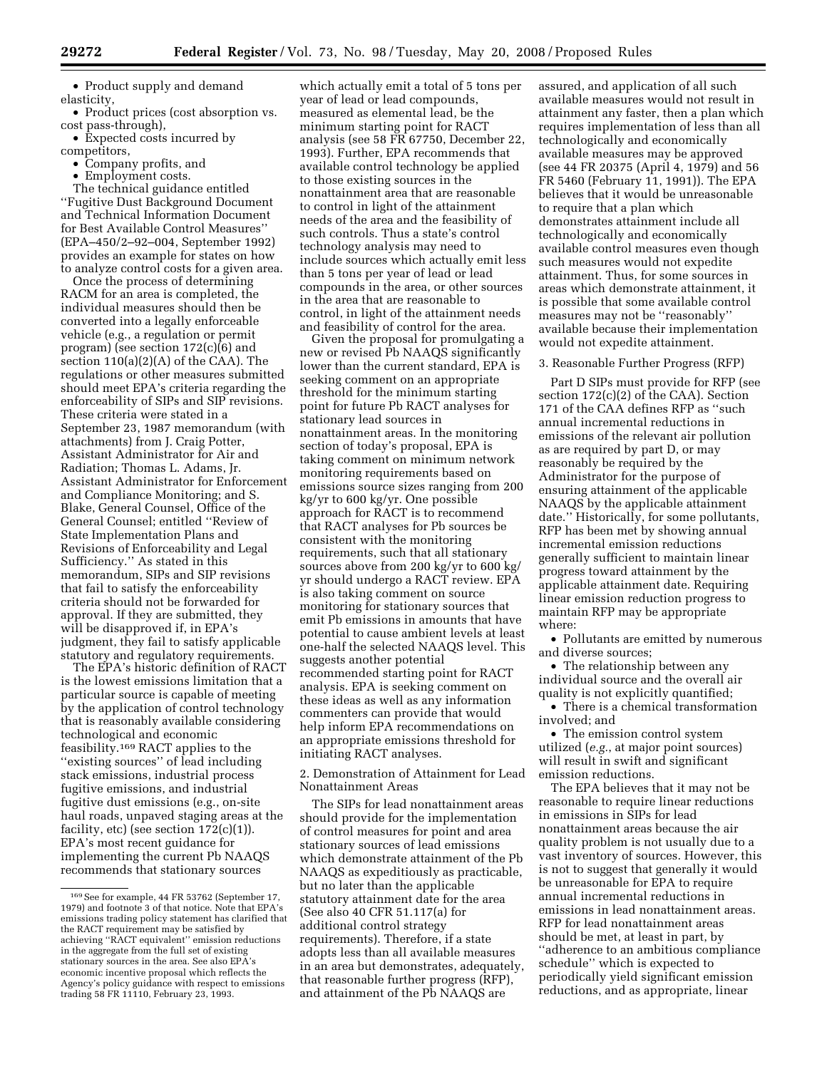• Product supply and demand elasticity,

• Product prices (cost absorption vs. cost pass-through),

• Expected costs incurred by competitors,

• Company profits, and

• Employment costs.

The technical guidance entitled ''Fugitive Dust Background Document and Technical Information Document for Best Available Control Measures'' (EPA–450/2–92–004, September 1992) provides an example for states on how to analyze control costs for a given area.

Once the process of determining RACM for an area is completed, the individual measures should then be converted into a legally enforceable vehicle (e.g., a regulation or permit program) (see section 172(c)(6) and section 110(a)(2)(A) of the CAA). The regulations or other measures submitted should meet EPA's criteria regarding the enforceability of SIPs and SIP revisions. These criteria were stated in a September 23, 1987 memorandum (with attachments) from J. Craig Potter, Assistant Administrator for Air and Radiation; Thomas L. Adams, Jr. Assistant Administrator for Enforcement and Compliance Monitoring; and S. Blake, General Counsel, Office of the General Counsel; entitled ''Review of State Implementation Plans and Revisions of Enforceability and Legal Sufficiency.'' As stated in this memorandum, SIPs and SIP revisions that fail to satisfy the enforceability criteria should not be forwarded for approval. If they are submitted, they will be disapproved if, in EPA's judgment, they fail to satisfy applicable statutory and regulatory requirements.

The EPA's historic definition of RACT is the lowest emissions limitation that a particular source is capable of meeting by the application of control technology that is reasonably available considering technological and economic feasibility.169 RACT applies to the ''existing sources'' of lead including stack emissions, industrial process fugitive emissions, and industrial fugitive dust emissions (e.g., on-site haul roads, unpaved staging areas at the facility, etc) (see section  $172(c)(1)$ ). EPA's most recent guidance for implementing the current Pb NAAQS recommends that stationary sources

which actually emit a total of 5 tons per year of lead or lead compounds, measured as elemental lead, be the minimum starting point for RACT analysis (see 58 FR 67750, December 22, 1993). Further, EPA recommends that available control technology be applied to those existing sources in the nonattainment area that are reasonable to control in light of the attainment needs of the area and the feasibility of such controls. Thus a state's control technology analysis may need to include sources which actually emit less than 5 tons per year of lead or lead compounds in the area, or other sources in the area that are reasonable to control, in light of the attainment needs and feasibility of control for the area.

Given the proposal for promulgating a new or revised Pb NAAQS significantly lower than the current standard, EPA is seeking comment on an appropriate threshold for the minimum starting point for future Pb RACT analyses for stationary lead sources in nonattainment areas. In the monitoring section of today's proposal, EPA is taking comment on minimum network monitoring requirements based on emissions source sizes ranging from 200 kg/yr to 600 kg/yr. One possible approach for RACT is to recommend that RACT analyses for Pb sources be consistent with the monitoring requirements, such that all stationary sources above from 200 kg/yr to 600 kg/ yr should undergo a RACT review. EPA is also taking comment on source monitoring for stationary sources that emit Pb emissions in amounts that have potential to cause ambient levels at least one-half the selected NAAQS level. This suggests another potential recommended starting point for RACT analysis. EPA is seeking comment on these ideas as well as any information commenters can provide that would help inform EPA recommendations on an appropriate emissions threshold for initiating RACT analyses.

2. Demonstration of Attainment for Lead Nonattainment Areas

The SIPs for lead nonattainment areas should provide for the implementation of control measures for point and area stationary sources of lead emissions which demonstrate attainment of the Pb NAAQS as expeditiously as practicable, but no later than the applicable statutory attainment date for the area (See also 40 CFR 51.117(a) for additional control strategy requirements). Therefore, if a state adopts less than all available measures in an area but demonstrates, adequately, that reasonable further progress (RFP), and attainment of the Pb NAAQS are

assured, and application of all such available measures would not result in attainment any faster, then a plan which requires implementation of less than all technologically and economically available measures may be approved (see 44 FR 20375 (April 4, 1979) and 56 FR 5460 (February 11, 1991)). The EPA believes that it would be unreasonable to require that a plan which demonstrates attainment include all technologically and economically available control measures even though such measures would not expedite attainment. Thus, for some sources in areas which demonstrate attainment, it is possible that some available control measures may not be ''reasonably'' available because their implementation would not expedite attainment.

3. Reasonable Further Progress (RFP)

Part D SIPs must provide for RFP (see section 172(c)(2) of the CAA). Section 171 of the CAA defines RFP as ''such annual incremental reductions in emissions of the relevant air pollution as are required by part D, or may reasonably be required by the Administrator for the purpose of ensuring attainment of the applicable NAAQS by the applicable attainment date.'' Historically, for some pollutants, RFP has been met by showing annual incremental emission reductions generally sufficient to maintain linear progress toward attainment by the applicable attainment date. Requiring linear emission reduction progress to maintain RFP may be appropriate where:

• Pollutants are emitted by numerous and diverse sources;

• The relationship between any individual source and the overall air quality is not explicitly quantified;

• There is a chemical transformation involved; and

• The emission control system utilized (*e.g.*, at major point sources) will result in swift and significant emission reductions.

The EPA believes that it may not be reasonable to require linear reductions in emissions in SIPs for lead nonattainment areas because the air quality problem is not usually due to a vast inventory of sources. However, this is not to suggest that generally it would be unreasonable for EPA to require annual incremental reductions in emissions in lead nonattainment areas. RFP for lead nonattainment areas should be met, at least in part, by ''adherence to an ambitious compliance schedule'' which is expected to periodically yield significant emission reductions, and as appropriate, linear

<sup>169</sup>See for example, 44 FR 53762 (September 17, 1979) and footnote 3 of that notice. Note that EPA's emissions trading policy statement has clarified that the RACT requirement may be satisfied by achieving ''RACT equivalent'' emission reductions in the aggregate from the full set of existing stationary sources in the area. See also EPA's economic incentive proposal which reflects the Agency's policy guidance with respect to emissions trading 58 FR 11110, February 23, 1993.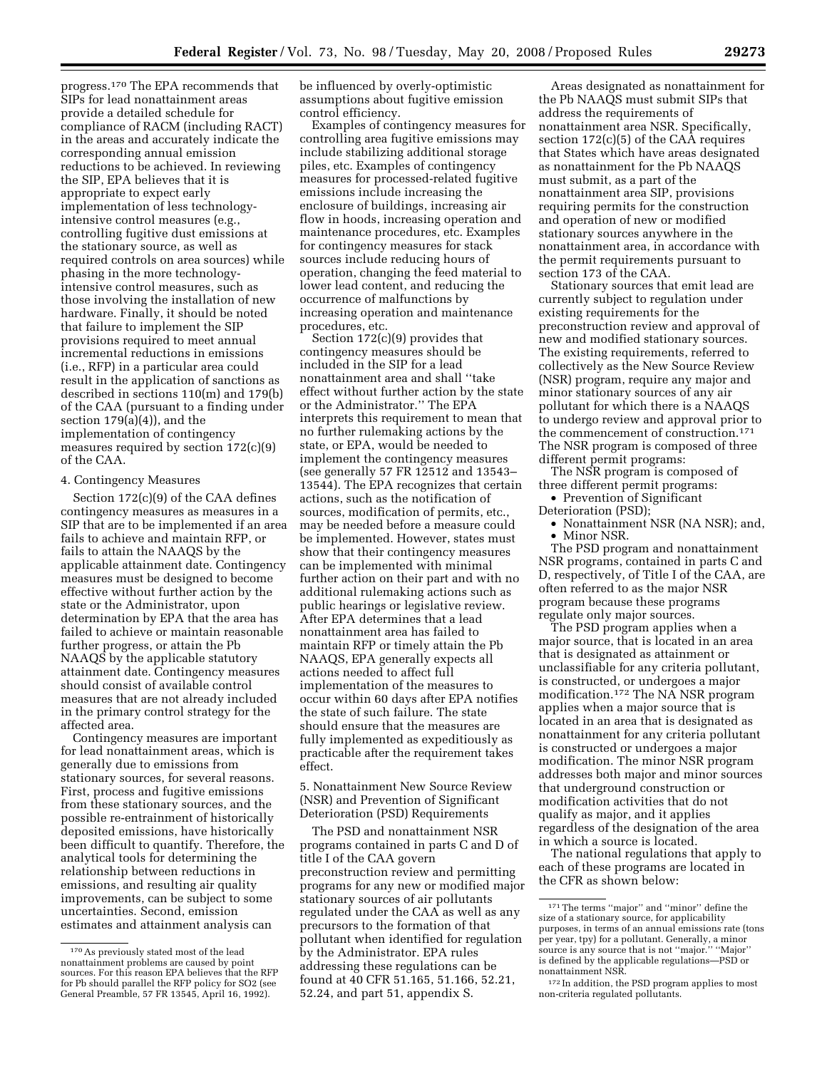progress.170 The EPA recommends that SIPs for lead nonattainment areas provide a detailed schedule for compliance of RACM (including RACT) in the areas and accurately indicate the corresponding annual emission reductions to be achieved. In reviewing the SIP, EPA believes that it is appropriate to expect early implementation of less technologyintensive control measures (e.g., controlling fugitive dust emissions at the stationary source, as well as required controls on area sources) while phasing in the more technologyintensive control measures, such as those involving the installation of new hardware. Finally, it should be noted that failure to implement the SIP provisions required to meet annual incremental reductions in emissions (i.e., RFP) in a particular area could result in the application of sanctions as described in sections 110(m) and 179(b) of the CAA (pursuant to a finding under section 179(a)(4)), and the implementation of contingency measures required by section 172(c)(9) of the CAA.

## 4. Contingency Measures

Section 172(c)(9) of the CAA defines contingency measures as measures in a SIP that are to be implemented if an area fails to achieve and maintain RFP, or fails to attain the NAAQS by the applicable attainment date. Contingency measures must be designed to become effective without further action by the state or the Administrator, upon determination by EPA that the area has failed to achieve or maintain reasonable further progress, or attain the Pb NAAQS by the applicable statutory attainment date. Contingency measures should consist of available control measures that are not already included in the primary control strategy for the affected area.

Contingency measures are important for lead nonattainment areas, which is generally due to emissions from stationary sources, for several reasons. First, process and fugitive emissions from these stationary sources, and the possible re-entrainment of historically deposited emissions, have historically been difficult to quantify. Therefore, the analytical tools for determining the relationship between reductions in emissions, and resulting air quality improvements, can be subject to some uncertainties. Second, emission estimates and attainment analysis can

be influenced by overly-optimistic assumptions about fugitive emission control efficiency.

Examples of contingency measures for controlling area fugitive emissions may include stabilizing additional storage piles, etc. Examples of contingency measures for processed-related fugitive emissions include increasing the enclosure of buildings, increasing air flow in hoods, increasing operation and maintenance procedures, etc. Examples for contingency measures for stack sources include reducing hours of operation, changing the feed material to lower lead content, and reducing the occurrence of malfunctions by increasing operation and maintenance procedures, etc.

Section 172(c)(9) provides that contingency measures should be included in the SIP for a lead nonattainment area and shall ''take effect without further action by the state or the Administrator.'' The EPA interprets this requirement to mean that no further rulemaking actions by the state, or EPA, would be needed to implement the contingency measures (see generally 57 FR 12512 and 13543– 13544). The EPA recognizes that certain actions, such as the notification of sources, modification of permits, etc., may be needed before a measure could be implemented. However, states must show that their contingency measures can be implemented with minimal further action on their part and with no additional rulemaking actions such as public hearings or legislative review. After EPA determines that a lead nonattainment area has failed to maintain RFP or timely attain the Pb NAAQS, EPA generally expects all actions needed to affect full implementation of the measures to occur within 60 days after EPA notifies the state of such failure. The state should ensure that the measures are fully implemented as expeditiously as practicable after the requirement takes effect.

5. Nonattainment New Source Review (NSR) and Prevention of Significant Deterioration (PSD) Requirements

The PSD and nonattainment NSR programs contained in parts C and D of title I of the CAA govern preconstruction review and permitting programs for any new or modified major stationary sources of air pollutants regulated under the CAA as well as any precursors to the formation of that pollutant when identified for regulation by the Administrator. EPA rules addressing these regulations can be found at 40 CFR 51.165, 51.166, 52.21, 52.24, and part 51, appendix S.

Areas designated as nonattainment for the Pb NAAQS must submit SIPs that address the requirements of nonattainment area NSR. Specifically, section  $172(c)(5)$  of the CAA requires that States which have areas designated as nonattainment for the Pb NAAQS must submit, as a part of the nonattainment area SIP, provisions requiring permits for the construction and operation of new or modified stationary sources anywhere in the nonattainment area, in accordance with the permit requirements pursuant to section 173 of the CAA.

Stationary sources that emit lead are currently subject to regulation under existing requirements for the preconstruction review and approval of new and modified stationary sources. The existing requirements, referred to collectively as the New Source Review (NSR) program, require any major and minor stationary sources of any air pollutant for which there is a NAAQS to undergo review and approval prior to the commencement of construction.171 The NSR program is composed of three different permit programs:

The NSR program is composed of three different permit programs:

• Prevention of Significant Deterioration (PSD);

• Nonattainment NSR (NA NSR); and, • Minor NSR.

The PSD program and nonattainment NSR programs, contained in parts C and D, respectively, of Title I of the CAA, are often referred to as the major NSR program because these programs regulate only major sources.

The PSD program applies when a major source, that is located in an area that is designated as attainment or unclassifiable for any criteria pollutant, is constructed, or undergoes a major modification.172 The NA NSR program applies when a major source that is located in an area that is designated as nonattainment for any criteria pollutant is constructed or undergoes a major modification. The minor NSR program addresses both major and minor sources that underground construction or modification activities that do not qualify as major, and it applies regardless of the designation of the area in which a source is located.

The national regulations that apply to each of these programs are located in the CFR as shown below:

<sup>170</sup>As previously stated most of the lead nonattainment problems are caused by point sources. For this reason EPA believes that the RFP for Pb should parallel the RFP policy for SO2 (see General Preamble, 57 FR 13545, April 16, 1992).

<sup>171</sup>The terms ''major'' and ''minor'' define the size of a stationary source, for applicability purposes, in terms of an annual emissions rate (tons per year, tpy) for a pollutant. Generally, a minor source is any source that is not ''major.'' ''Major'' is defined by the applicable regulations—PSD or nonattainment NSR.

<sup>172</sup> In addition, the PSD program applies to most non-criteria regulated pollutants.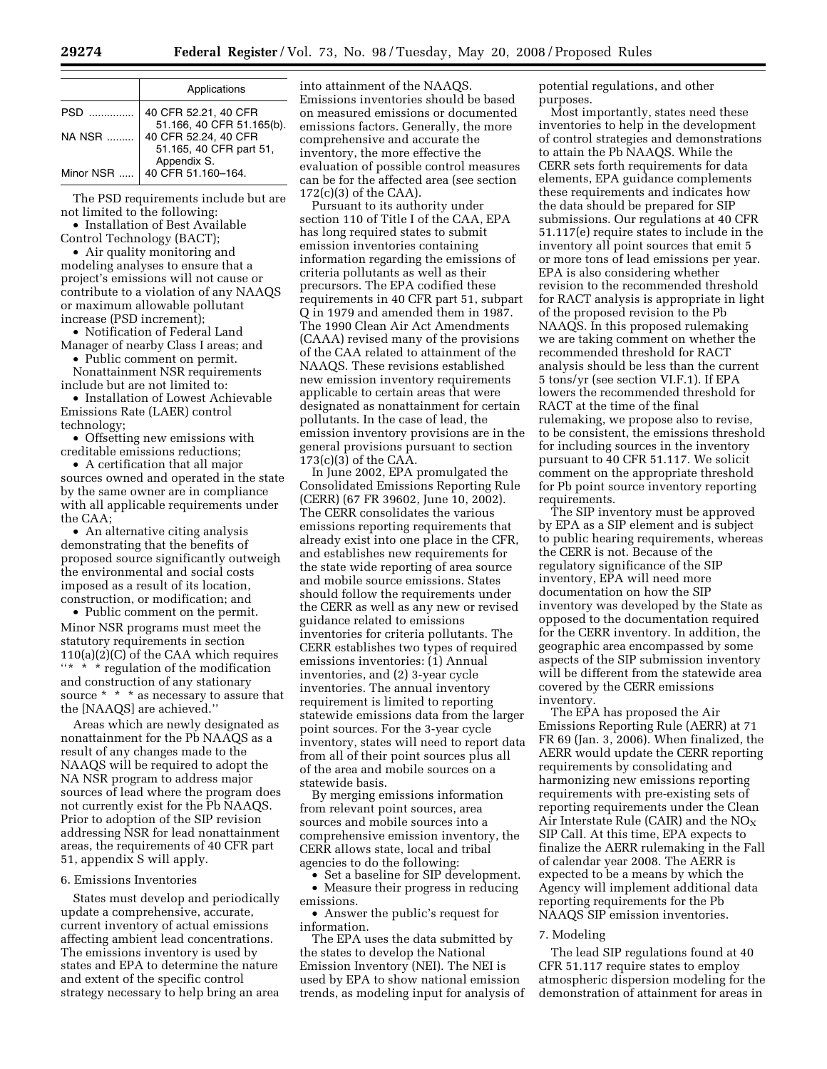|               | Applications                                    |
|---------------|-------------------------------------------------|
| PSD           | 40 CFR 52.21, 40 CFR                            |
|               | 51.166, 40 CFR 51.165(b).                       |
| <b>NA NSR</b> | 40 CFR 52.24, 40 CFR<br>51.165, 40 CFR part 51, |
|               | Appendix S.                                     |
| Minor NSR     | 40 CFR 51.160-164.                              |

The PSD requirements include but are not limited to the following:

• Installation of Best Available Control Technology (BACT);

• Air quality monitoring and modeling analyses to ensure that a project's emissions will not cause or contribute to a violation of any NAAQS or maximum allowable pollutant increase (PSD increment);

• Notification of Federal Land

Manager of nearby Class I areas; and

• Public comment on permit. Nonattainment NSR requirements

include but are not limited to:

• Installation of Lowest Achievable Emissions Rate (LAER) control technology;

• Offsetting new emissions with creditable emissions reductions;

• A certification that all major sources owned and operated in the state by the same owner are in compliance with all applicable requirements under the CAA;

• An alternative citing analysis demonstrating that the benefits of proposed source significantly outweigh the environmental and social costs imposed as a result of its location, construction, or modification; and

• Public comment on the permit. Minor NSR programs must meet the statutory requirements in section 110(a)(2)(C) of the CAA which requires \* regulation of the modification and construction of any stationary source \* \* \* as necessary to assure that the [NAAQS] are achieved.''

Areas which are newly designated as nonattainment for the Pb NAAQS as a result of any changes made to the NAAQS will be required to adopt the NA NSR program to address major sources of lead where the program does not currently exist for the Pb NAAQS. Prior to adoption of the SIP revision addressing NSR for lead nonattainment areas, the requirements of 40 CFR part 51, appendix S will apply.

### 6. Emissions Inventories

States must develop and periodically update a comprehensive, accurate, current inventory of actual emissions affecting ambient lead concentrations. The emissions inventory is used by states and EPA to determine the nature and extent of the specific control strategy necessary to help bring an area

into attainment of the NAAQS. Emissions inventories should be based on measured emissions or documented emissions factors. Generally, the more comprehensive and accurate the inventory, the more effective the evaluation of possible control measures can be for the affected area (see section 172(c)(3) of the CAA).

Pursuant to its authority under section 110 of Title I of the CAA, EPA has long required states to submit emission inventories containing information regarding the emissions of criteria pollutants as well as their precursors. The EPA codified these requirements in 40 CFR part 51, subpart Q in 1979 and amended them in 1987. The 1990 Clean Air Act Amendments (CAAA) revised many of the provisions of the CAA related to attainment of the NAAQS. These revisions established new emission inventory requirements applicable to certain areas that were designated as nonattainment for certain pollutants. In the case of lead, the emission inventory provisions are in the general provisions pursuant to section 173(c)(3) of the CAA.

In June 2002, EPA promulgated the Consolidated Emissions Reporting Rule (CERR) (67 FR 39602, June 10, 2002). The CERR consolidates the various emissions reporting requirements that already exist into one place in the CFR, and establishes new requirements for the state wide reporting of area source and mobile source emissions. States should follow the requirements under the CERR as well as any new or revised guidance related to emissions inventories for criteria pollutants. The CERR establishes two types of required emissions inventories: (1) Annual inventories, and (2) 3-year cycle inventories. The annual inventory requirement is limited to reporting statewide emissions data from the larger point sources. For the 3-year cycle inventory, states will need to report data from all of their point sources plus all of the area and mobile sources on a statewide basis.

By merging emissions information from relevant point sources, area sources and mobile sources into a comprehensive emission inventory, the CERR allows state, local and tribal agencies to do the following:

Set a baseline for SIP development. • Measure their progress in reducing emissions.

• Answer the public's request for information.

The EPA uses the data submitted by the states to develop the National Emission Inventory (NEI). The NEI is used by EPA to show national emission trends, as modeling input for analysis of potential regulations, and other purposes.

Most importantly, states need these inventories to help in the development of control strategies and demonstrations to attain the Pb NAAQS. While the CERR sets forth requirements for data elements, EPA guidance complements these requirements and indicates how the data should be prepared for SIP submissions. Our regulations at 40 CFR 51.117(e) require states to include in the inventory all point sources that emit 5 or more tons of lead emissions per year. EPA is also considering whether revision to the recommended threshold for RACT analysis is appropriate in light of the proposed revision to the Pb NAAQS. In this proposed rulemaking we are taking comment on whether the recommended threshold for RACT analysis should be less than the current 5 tons/yr (see section VI.F.1). If EPA lowers the recommended threshold for RACT at the time of the final rulemaking, we propose also to revise, to be consistent, the emissions threshold for including sources in the inventory pursuant to 40 CFR 51.117. We solicit comment on the appropriate threshold for Pb point source inventory reporting requirements.

The SIP inventory must be approved by EPA as a SIP element and is subject to public hearing requirements, whereas the CERR is not. Because of the regulatory significance of the SIP inventory, EPA will need more documentation on how the SIP inventory was developed by the State as opposed to the documentation required for the CERR inventory. In addition, the geographic area encompassed by some aspects of the SIP submission inventory will be different from the statewide area covered by the CERR emissions inventory.

The EPA has proposed the Air Emissions Reporting Rule (AERR) at 71 FR 69 (Jan. 3, 2006). When finalized, the AERR would update the CERR reporting requirements by consolidating and harmonizing new emissions reporting requirements with pre-existing sets of reporting requirements under the Clean Air Interstate Rule (CAIR) and the  $NO<sub>x</sub>$ SIP Call. At this time, EPA expects to finalize the AERR rulemaking in the Fall of calendar year 2008. The AERR is expected to be a means by which the Agency will implement additional data reporting requirements for the Pb NAAQS SIP emission inventories.

### 7. Modeling

The lead SIP regulations found at 40 CFR 51.117 require states to employ atmospheric dispersion modeling for the demonstration of attainment for areas in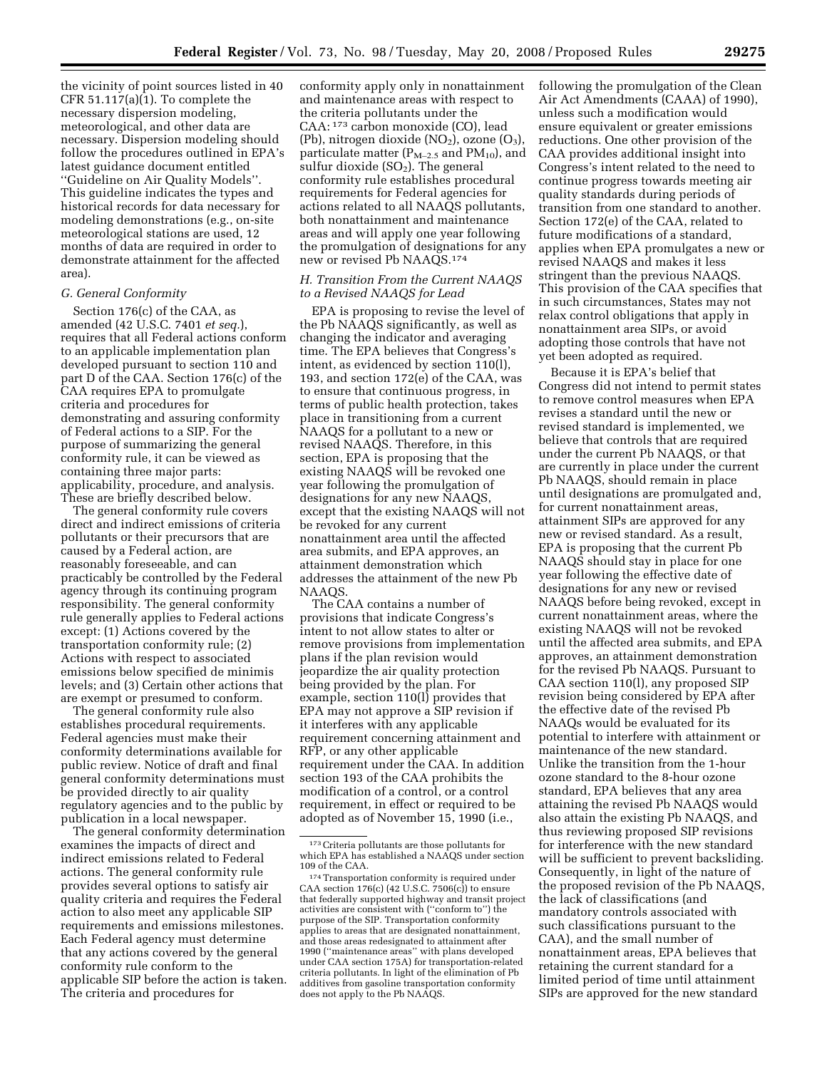the vicinity of point sources listed in 40 CFR 51.117(a)(1). To complete the necessary dispersion modeling, meteorological, and other data are necessary. Dispersion modeling should follow the procedures outlined in EPA's latest guidance document entitled ''Guideline on Air Quality Models''. This guideline indicates the types and historical records for data necessary for modeling demonstrations (e.g., on-site meteorological stations are used, 12 months of data are required in order to demonstrate attainment for the affected area).

### *G. General Conformity*

Section 176(c) of the CAA, as amended (42 U.S.C. 7401 *et seq.*), requires that all Federal actions conform to an applicable implementation plan developed pursuant to section 110 and part D of the CAA. Section 176(c) of the CAA requires EPA to promulgate criteria and procedures for demonstrating and assuring conformity of Federal actions to a SIP. For the purpose of summarizing the general conformity rule, it can be viewed as containing three major parts: applicability, procedure, and analysis. These are briefly described below.

The general conformity rule covers direct and indirect emissions of criteria pollutants or their precursors that are caused by a Federal action, are reasonably foreseeable, and can practicably be controlled by the Federal agency through its continuing program responsibility. The general conformity rule generally applies to Federal actions except: (1) Actions covered by the transportation conformity rule; (2) Actions with respect to associated emissions below specified de minimis levels; and (3) Certain other actions that are exempt or presumed to conform.

The general conformity rule also establishes procedural requirements. Federal agencies must make their conformity determinations available for public review. Notice of draft and final general conformity determinations must be provided directly to air quality regulatory agencies and to the public by publication in a local newspaper.

The general conformity determination examines the impacts of direct and indirect emissions related to Federal actions. The general conformity rule provides several options to satisfy air quality criteria and requires the Federal action to also meet any applicable SIP requirements and emissions milestones. Each Federal agency must determine that any actions covered by the general conformity rule conform to the applicable SIP before the action is taken. The criteria and procedures for

conformity apply only in nonattainment and maintenance areas with respect to the criteria pollutants under the CAA: 173 carbon monoxide (CO), lead (Pb), nitrogen dioxide  $(NO<sub>2</sub>)$ , ozone  $(O<sub>3</sub>)$ , particulate matter  $(P_{M-2.5}$  and  $PM_{10}$ ), and sulfur dioxide  $(SO<sub>2</sub>)$ . The general conformity rule establishes procedural requirements for Federal agencies for actions related to all NAAQS pollutants, both nonattainment and maintenance areas and will apply one year following the promulgation of designations for any new or revised Pb NAAQS.174

### *H. Transition From the Current NAAQS to a Revised NAAQS for Lead*

EPA is proposing to revise the level of the Pb NAAQS significantly, as well as changing the indicator and averaging time. The EPA believes that Congress's intent, as evidenced by section 110(l), 193, and section 172(e) of the CAA, was to ensure that continuous progress, in terms of public health protection, takes place in transitioning from a current NAAQS for a pollutant to a new or revised NAAQS. Therefore, in this section, EPA is proposing that the existing NAAQS will be revoked one year following the promulgation of designations for any new NAAQS, except that the existing NAAQS will not be revoked for any current nonattainment area until the affected area submits, and EPA approves, an attainment demonstration which addresses the attainment of the new Pb NAAQS.

The CAA contains a number of provisions that indicate Congress's intent to not allow states to alter or remove provisions from implementation plans if the plan revision would jeopardize the air quality protection being provided by the plan. For example, section 110(l) provides that EPA may not approve a SIP revision if it interferes with any applicable requirement concerning attainment and RFP, or any other applicable requirement under the CAA. In addition section 193 of the CAA prohibits the modification of a control, or a control requirement, in effect or required to be adopted as of November 15, 1990 (i.e.,

following the promulgation of the Clean Air Act Amendments (CAAA) of 1990), unless such a modification would ensure equivalent or greater emissions reductions. One other provision of the CAA provides additional insight into Congress's intent related to the need to continue progress towards meeting air quality standards during periods of transition from one standard to another. Section 172(e) of the CAA, related to future modifications of a standard, applies when EPA promulgates a new or revised NAAQS and makes it less stringent than the previous NAAQS. This provision of the CAA specifies that in such circumstances, States may not relax control obligations that apply in nonattainment area SIPs, or avoid adopting those controls that have not yet been adopted as required.

Because it is EPA's belief that Congress did not intend to permit states to remove control measures when EPA revises a standard until the new or revised standard is implemented, we believe that controls that are required under the current Pb NAAQS, or that are currently in place under the current Pb NAAQS, should remain in place until designations are promulgated and, for current nonattainment areas, attainment SIPs are approved for any new or revised standard. As a result, EPA is proposing that the current Pb NAAQS should stay in place for one year following the effective date of designations for any new or revised NAAQS before being revoked, except in current nonattainment areas, where the existing NAAQS will not be revoked until the affected area submits, and EPA approves, an attainment demonstration for the revised Pb NAAQS. Pursuant to CAA section 110(l), any proposed SIP revision being considered by EPA after the effective date of the revised Pb NAAQs would be evaluated for its potential to interfere with attainment or maintenance of the new standard. Unlike the transition from the 1-hour ozone standard to the 8-hour ozone standard, EPA believes that any area attaining the revised Pb NAAQS would also attain the existing Pb NAAQS, and thus reviewing proposed SIP revisions for interference with the new standard will be sufficient to prevent backsliding. Consequently, in light of the nature of the proposed revision of the Pb NAAQS, the lack of classifications (and mandatory controls associated with such classifications pursuant to the CAA), and the small number of nonattainment areas, EPA believes that retaining the current standard for a limited period of time until attainment SIPs are approved for the new standard

<sup>173</sup>Criteria pollutants are those pollutants for which EPA has established a NAAQS under section<br>109 of the CAA.

 $174$  Transportation conformity is required under  $CAA$  section 176(c) (42 U.S.C.  $7506(c)$ ) to ensure that federally supported highway and transit project activities are consistent with (''conform to'') the purpose of the SIP. Transportation conformity applies to areas that are designated nonattainment, and those areas redesignated to attainment after 1990 (''maintenance areas'' with plans developed under CAA section 175A) for transportation-related criteria pollutants. In light of the elimination of Pb additives from gasoline transportation conformity does not apply to the Pb NAAQS.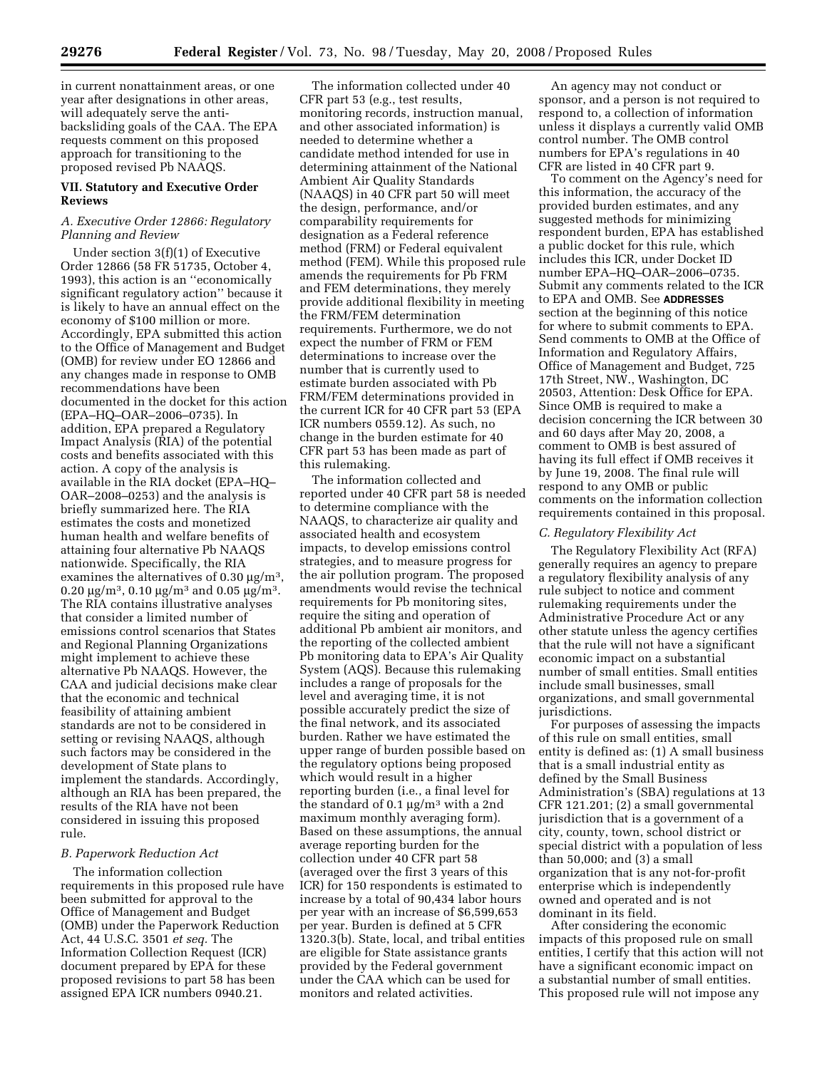in current nonattainment areas, or one year after designations in other areas, will adequately serve the antibacksliding goals of the CAA. The EPA requests comment on this proposed approach for transitioning to the proposed revised Pb NAAQS.

### **VII. Statutory and Executive Order Reviews**

# *A. Executive Order 12866: Regulatory Planning and Review*

Under section 3(f)(1) of Executive Order 12866 (58 FR 51735, October 4, 1993), this action is an ''economically significant regulatory action'' because it is likely to have an annual effect on the economy of \$100 million or more. Accordingly, EPA submitted this action to the Office of Management and Budget (OMB) for review under EO 12866 and any changes made in response to OMB recommendations have been documented in the docket for this action (EPA–HQ–OAR–2006–0735). In addition, EPA prepared a Regulatory Impact Analysis (RIA) of the potential costs and benefits associated with this action. A copy of the analysis is available in the RIA docket (EPA–HQ– OAR–2008–0253) and the analysis is briefly summarized here. The RIA estimates the costs and monetized human health and welfare benefits of attaining four alternative Pb NAAQS nationwide. Specifically, the RIA examines the alternatives of  $0.30 \mu g/m^3$ , 0.20  $\mu$ g/m<sup>3</sup>, 0.10  $\mu$ g/m<sup>3</sup> and 0.05  $\mu$ g/m<sup>3</sup>. The RIA contains illustrative analyses that consider a limited number of emissions control scenarios that States and Regional Planning Organizations might implement to achieve these alternative Pb NAAQS. However, the CAA and judicial decisions make clear that the economic and technical feasibility of attaining ambient standards are not to be considered in setting or revising NAAQS, although such factors may be considered in the development of State plans to implement the standards. Accordingly, although an RIA has been prepared, the results of the RIA have not been considered in issuing this proposed rule.

## *B. Paperwork Reduction Act*

The information collection requirements in this proposed rule have been submitted for approval to the Office of Management and Budget (OMB) under the Paperwork Reduction Act, 44 U.S.C. 3501 *et seq.* The Information Collection Request (ICR) document prepared by EPA for these proposed revisions to part 58 has been assigned EPA ICR numbers 0940.21.

The information collected under 40 CFR part 53 (e.g., test results, monitoring records, instruction manual, and other associated information) is needed to determine whether a candidate method intended for use in determining attainment of the National Ambient Air Quality Standards (NAAQS) in 40 CFR part 50 will meet the design, performance, and/or comparability requirements for designation as a Federal reference method (FRM) or Federal equivalent method (FEM). While this proposed rule amends the requirements for Pb FRM and FEM determinations, they merely provide additional flexibility in meeting the FRM/FEM determination requirements. Furthermore, we do not expect the number of FRM or FEM determinations to increase over the number that is currently used to estimate burden associated with Pb FRM/FEM determinations provided in the current ICR for 40 CFR part 53 (EPA ICR numbers 0559.12). As such, no change in the burden estimate for 40 CFR part 53 has been made as part of this rulemaking.

The information collected and reported under 40 CFR part 58 is needed to determine compliance with the NAAQS, to characterize air quality and associated health and ecosystem impacts, to develop emissions control strategies, and to measure progress for the air pollution program. The proposed amendments would revise the technical requirements for Pb monitoring sites, require the siting and operation of additional Pb ambient air monitors, and the reporting of the collected ambient Pb monitoring data to EPA's Air Quality System (AQS). Because this rulemaking includes a range of proposals for the level and averaging time, it is not possible accurately predict the size of the final network, and its associated burden. Rather we have estimated the upper range of burden possible based on the regulatory options being proposed which would result in a higher reporting burden (i.e., a final level for the standard of 0.1 µg/m3 with a 2nd maximum monthly averaging form). Based on these assumptions, the annual average reporting burden for the collection under 40 CFR part 58 (averaged over the first 3 years of this ICR) for 150 respondents is estimated to increase by a total of 90,434 labor hours per year with an increase of \$6,599,653 per year. Burden is defined at 5 CFR 1320.3(b). State, local, and tribal entities are eligible for State assistance grants provided by the Federal government under the CAA which can be used for monitors and related activities.

An agency may not conduct or sponsor, and a person is not required to respond to, a collection of information unless it displays a currently valid OMB control number. The OMB control numbers for EPA's regulations in 40 CFR are listed in 40 CFR part 9.

To comment on the Agency's need for this information, the accuracy of the provided burden estimates, and any suggested methods for minimizing respondent burden, EPA has established a public docket for this rule, which includes this ICR, under Docket ID number EPA–HQ–OAR–2006–0735. Submit any comments related to the ICR to EPA and OMB. See **ADDRESSES** section at the beginning of this notice for where to submit comments to EPA. Send comments to OMB at the Office of Information and Regulatory Affairs, Office of Management and Budget, 725 17th Street, NW., Washington, DC 20503, Attention: Desk Office for EPA. Since OMB is required to make a decision concerning the ICR between 30 and 60 days after May 20, 2008, a comment to OMB is best assured of having its full effect if OMB receives it by June 19, 2008. The final rule will respond to any OMB or public comments on the information collection requirements contained in this proposal.

## *C. Regulatory Flexibility Act*

The Regulatory Flexibility Act (RFA) generally requires an agency to prepare a regulatory flexibility analysis of any rule subject to notice and comment rulemaking requirements under the Administrative Procedure Act or any other statute unless the agency certifies that the rule will not have a significant economic impact on a substantial number of small entities. Small entities include small businesses, small organizations, and small governmental jurisdictions.

For purposes of assessing the impacts of this rule on small entities, small entity is defined as: (1) A small business that is a small industrial entity as defined by the Small Business Administration's (SBA) regulations at 13 CFR 121.201; (2) a small governmental jurisdiction that is a government of a city, county, town, school district or special district with a population of less than 50,000; and (3) a small organization that is any not-for-profit enterprise which is independently owned and operated and is not dominant in its field.

After considering the economic impacts of this proposed rule on small entities, I certify that this action will not have a significant economic impact on a substantial number of small entities. This proposed rule will not impose any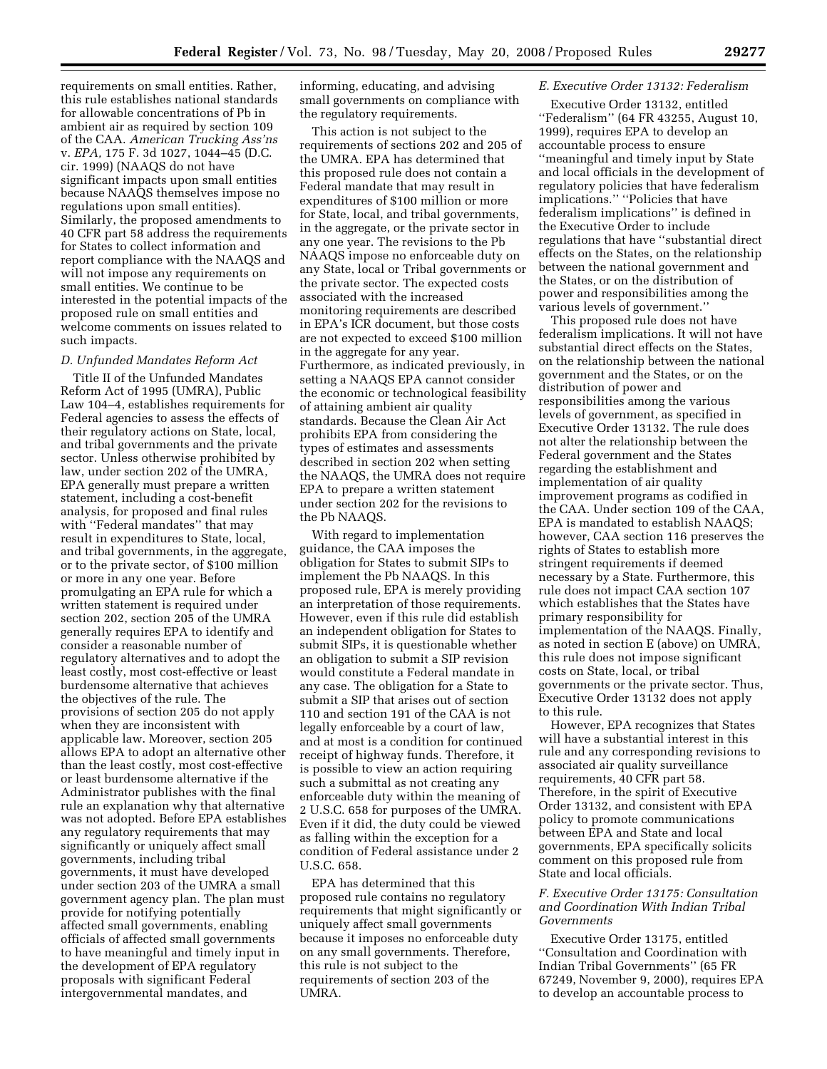requirements on small entities. Rather, this rule establishes national standards for allowable concentrations of Pb in ambient air as required by section 109 of the CAA. *American Trucking Ass'ns*  v. *EPA,* 175 F. 3d 1027, 1044–45 (D.C. cir. 1999) (NAAQS do not have significant impacts upon small entities because NAAQS themselves impose no regulations upon small entities). Similarly, the proposed amendments to 40 CFR part 58 address the requirements for States to collect information and report compliance with the NAAQS and will not impose any requirements on small entities. We continue to be interested in the potential impacts of the proposed rule on small entities and welcome comments on issues related to such impacts.

# *D. Unfunded Mandates Reform Act*

Title II of the Unfunded Mandates Reform Act of 1995 (UMRA), Public Law 104–4, establishes requirements for Federal agencies to assess the effects of their regulatory actions on State, local, and tribal governments and the private sector. Unless otherwise prohibited by law, under section 202 of the UMRA, EPA generally must prepare a written statement, including a cost-benefit analysis, for proposed and final rules with ''Federal mandates'' that may result in expenditures to State, local, and tribal governments, in the aggregate, or to the private sector, of \$100 million or more in any one year. Before promulgating an EPA rule for which a written statement is required under section 202, section 205 of the UMRA generally requires EPA to identify and consider a reasonable number of regulatory alternatives and to adopt the least costly, most cost-effective or least burdensome alternative that achieves the objectives of the rule. The provisions of section 205 do not apply when they are inconsistent with applicable law. Moreover, section 205 allows EPA to adopt an alternative other than the least costly, most cost-effective or least burdensome alternative if the Administrator publishes with the final rule an explanation why that alternative was not adopted. Before EPA establishes any regulatory requirements that may significantly or uniquely affect small governments, including tribal governments, it must have developed under section 203 of the UMRA a small government agency plan. The plan must provide for notifying potentially affected small governments, enabling officials of affected small governments to have meaningful and timely input in the development of EPA regulatory proposals with significant Federal intergovernmental mandates, and

informing, educating, and advising small governments on compliance with the regulatory requirements.

This action is not subject to the requirements of sections 202 and 205 of the UMRA. EPA has determined that this proposed rule does not contain a Federal mandate that may result in expenditures of \$100 million or more for State, local, and tribal governments, in the aggregate, or the private sector in any one year. The revisions to the Pb NAAQS impose no enforceable duty on any State, local or Tribal governments or the private sector. The expected costs associated with the increased monitoring requirements are described in EPA's ICR document, but those costs are not expected to exceed \$100 million in the aggregate for any year. Furthermore, as indicated previously, in setting a NAAQS EPA cannot consider the economic or technological feasibility of attaining ambient air quality standards. Because the Clean Air Act prohibits EPA from considering the types of estimates and assessments described in section 202 when setting the NAAQS, the UMRA does not require EPA to prepare a written statement under section 202 for the revisions to the Pb NAAQS.

With regard to implementation guidance, the CAA imposes the obligation for States to submit SIPs to implement the Pb NAAQS. In this proposed rule, EPA is merely providing an interpretation of those requirements. However, even if this rule did establish an independent obligation for States to submit SIPs, it is questionable whether an obligation to submit a SIP revision would constitute a Federal mandate in any case. The obligation for a State to submit a SIP that arises out of section 110 and section 191 of the CAA is not legally enforceable by a court of law, and at most is a condition for continued receipt of highway funds. Therefore, it is possible to view an action requiring such a submittal as not creating any enforceable duty within the meaning of 2 U.S.C. 658 for purposes of the UMRA. Even if it did, the duty could be viewed as falling within the exception for a condition of Federal assistance under 2 U.S.C. 658.

EPA has determined that this proposed rule contains no regulatory requirements that might significantly or uniquely affect small governments because it imposes no enforceable duty on any small governments. Therefore, this rule is not subject to the requirements of section 203 of the UMRA.

# *E. Executive Order 13132: Federalism*

Executive Order 13132, entitled ''Federalism'' (64 FR 43255, August 10, 1999), requires EPA to develop an accountable process to ensure ''meaningful and timely input by State and local officials in the development of regulatory policies that have federalism implications.'' ''Policies that have federalism implications'' is defined in the Executive Order to include regulations that have ''substantial direct effects on the States, on the relationship between the national government and the States, or on the distribution of power and responsibilities among the various levels of government.''

This proposed rule does not have federalism implications. It will not have substantial direct effects on the States, on the relationship between the national government and the States, or on the distribution of power and responsibilities among the various levels of government, as specified in Executive Order 13132. The rule does not alter the relationship between the Federal government and the States regarding the establishment and implementation of air quality improvement programs as codified in the CAA. Under section 109 of the CAA, EPA is mandated to establish NAAQS; however, CAA section 116 preserves the rights of States to establish more stringent requirements if deemed necessary by a State. Furthermore, this rule does not impact CAA section 107 which establishes that the States have primary responsibility for implementation of the NAAQS. Finally, as noted in section E (above) on UMRA, this rule does not impose significant costs on State, local, or tribal governments or the private sector. Thus, Executive Order 13132 does not apply to this rule.

However, EPA recognizes that States will have a substantial interest in this rule and any corresponding revisions to associated air quality surveillance requirements, 40 CFR part 58. Therefore, in the spirit of Executive Order 13132, and consistent with EPA policy to promote communications between EPA and State and local governments, EPA specifically solicits comment on this proposed rule from State and local officials.

## *F. Executive Order 13175: Consultation and Coordination With Indian Tribal Governments*

Executive Order 13175, entitled ''Consultation and Coordination with Indian Tribal Governments'' (65 FR 67249, November 9, 2000), requires EPA to develop an accountable process to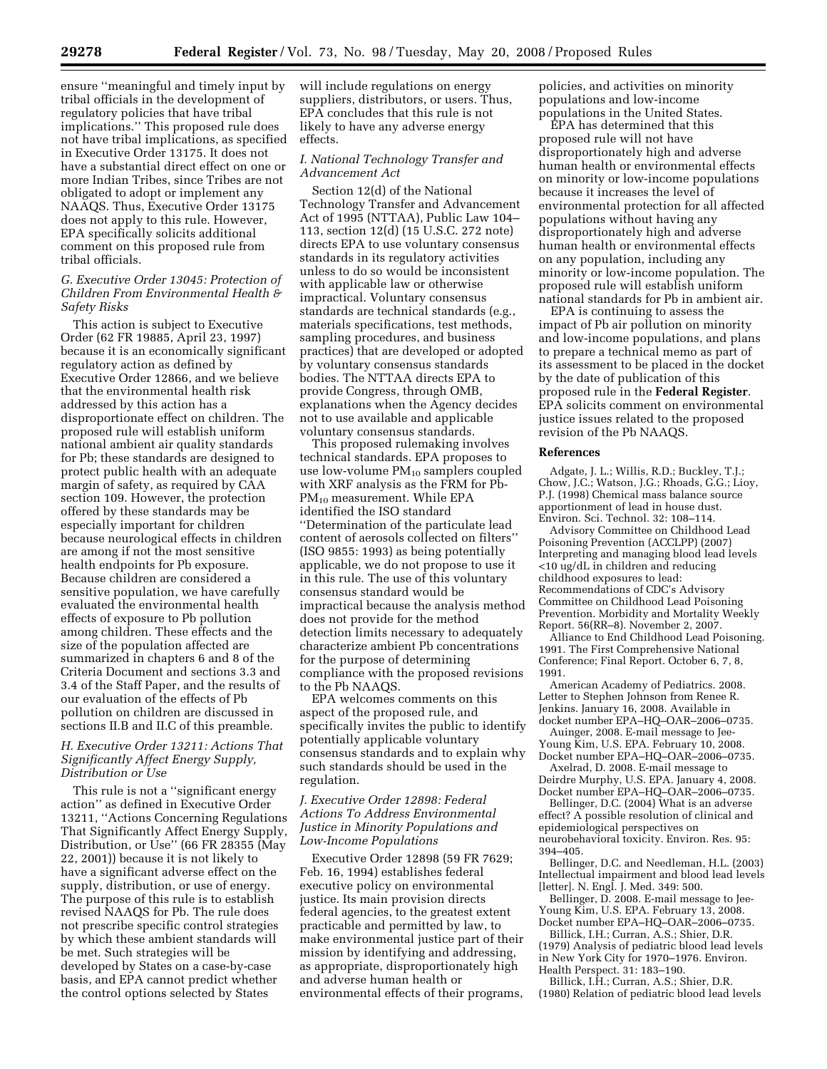ensure ''meaningful and timely input by tribal officials in the development of regulatory policies that have tribal implications.'' This proposed rule does not have tribal implications, as specified in Executive Order 13175. It does not have a substantial direct effect on one or more Indian Tribes, since Tribes are not obligated to adopt or implement any NAAQS. Thus, Executive Order 13175 does not apply to this rule. However, EPA specifically solicits additional comment on this proposed rule from tribal officials.

## *G. Executive Order 13045: Protection of Children From Environmental Health & Safety Risks*

This action is subject to Executive Order (62 FR 19885, April 23, 1997) because it is an economically significant regulatory action as defined by Executive Order 12866, and we believe that the environmental health risk addressed by this action has a disproportionate effect on children. The proposed rule will establish uniform national ambient air quality standards for Pb; these standards are designed to protect public health with an adequate margin of safety, as required by CAA section 109. However, the protection offered by these standards may be especially important for children because neurological effects in children are among if not the most sensitive health endpoints for Pb exposure. Because children are considered a sensitive population, we have carefully evaluated the environmental health effects of exposure to Pb pollution among children. These effects and the size of the population affected are summarized in chapters 6 and 8 of the Criteria Document and sections 3.3 and 3.4 of the Staff Paper, and the results of our evaluation of the effects of Pb pollution on children are discussed in sections II.B and II.C of this preamble.

## *H. Executive Order 13211: Actions That Significantly Affect Energy Supply, Distribution or Use*

This rule is not a ''significant energy action'' as defined in Executive Order 13211, ''Actions Concerning Regulations That Significantly Affect Energy Supply, Distribution, or Use'' (66 FR 28355 (May 22, 2001)) because it is not likely to have a significant adverse effect on the supply, distribution, or use of energy. The purpose of this rule is to establish revised NAAQS for Pb. The rule does not prescribe specific control strategies by which these ambient standards will be met. Such strategies will be developed by States on a case-by-case basis, and EPA cannot predict whether the control options selected by States

will include regulations on energy suppliers, distributors, or users. Thus, EPA concludes that this rule is not likely to have any adverse energy effects.

### *I. National Technology Transfer and Advancement Act*

Section 12(d) of the National Technology Transfer and Advancement Act of 1995 (NTTAA), Public Law 104– 113, section 12(d) (15 U.S.C. 272 note) directs EPA to use voluntary consensus standards in its regulatory activities unless to do so would be inconsistent with applicable law or otherwise impractical. Voluntary consensus standards are technical standards (e.g., materials specifications, test methods, sampling procedures, and business practices) that are developed or adopted by voluntary consensus standards bodies. The NTTAA directs EPA to provide Congress, through OMB, explanations when the Agency decides not to use available and applicable voluntary consensus standards.

This proposed rulemaking involves technical standards. EPA proposes to use low-volume  $PM_{10}$  samplers coupled with XRF analysis as the FRM for Pb-PM<sub>10</sub> measurement. While EPA identified the ISO standard ''Determination of the particulate lead content of aerosols collected on filters'' (ISO 9855: 1993) as being potentially applicable, we do not propose to use it in this rule. The use of this voluntary consensus standard would be impractical because the analysis method does not provide for the method detection limits necessary to adequately characterize ambient Pb concentrations for the purpose of determining compliance with the proposed revisions to the Pb NAAQS.

EPA welcomes comments on this aspect of the proposed rule, and specifically invites the public to identify potentially applicable voluntary consensus standards and to explain why such standards should be used in the regulation.

## *J. Executive Order 12898: Federal Actions To Address Environmental Justice in Minority Populations and Low-Income Populations*

Executive Order 12898 (59 FR 7629; Feb. 16, 1994) establishes federal executive policy on environmental justice. Its main provision directs federal agencies, to the greatest extent practicable and permitted by law, to make environmental justice part of their mission by identifying and addressing, as appropriate, disproportionately high and adverse human health or environmental effects of their programs,

policies, and activities on minority populations and low-income populations in the United States.

EPA has determined that this proposed rule will not have disproportionately high and adverse human health or environmental effects on minority or low-income populations because it increases the level of environmental protection for all affected populations without having any disproportionately high and adverse human health or environmental effects on any population, including any minority or low-income population. The proposed rule will establish uniform national standards for Pb in ambient air.

EPA is continuing to assess the impact of Pb air pollution on minority and low-income populations, and plans to prepare a technical memo as part of its assessment to be placed in the docket by the date of publication of this proposed rule in the **Federal Register**. EPA solicits comment on environmental justice issues related to the proposed revision of the Pb NAAQS.

#### **References**

Adgate, J. L.; Willis, R.D.; Buckley, T.J.; Chow, J.C.; Watson, J.G.; Rhoads, G.G.; Lioy, P.J. (1998) Chemical mass balance source apportionment of lead in house dust. Environ. Sci. Technol. 32: 108–114.

Advisory Committee on Childhood Lead Poisoning Prevention (ACCLPP) (2007) Interpreting and managing blood lead levels <10 ug/dL in children and reducing childhood exposures to lead: Recommendations of CDC's Advisory Committee on Childhood Lead Poisoning Prevention. Morbidity and Mortality Weekly Report. 56(RR–8). November 2, 2007.

Alliance to End Childhood Lead Poisoning. 1991. The First Comprehensive National Conference; Final Report. October 6, 7, 8, 1991.

American Academy of Pediatrics. 2008. Letter to Stephen Johnson from Renee R. Jenkins. January 16, 2008. Available in docket number EPA–HQ–OAR–2006–0735.

Auinger, 2008. E-mail message to Jee-Young Kim, U.S. EPA. February 10, 2008. Docket number EPA–HQ–OAR–2006–0735.

Axelrad, D. 2008. E-mail message to Deirdre Murphy, U.S. EPA. January 4, 2008. Docket number EPA–HQ–OAR–2006–0735.

Bellinger, D.C. (2004) What is an adverse effect? A possible resolution of clinical and epidemiological perspectives on neurobehavioral toxicity. Environ. Res. 95: 394–405.

Bellinger, D.C. and Needleman, H.L. (2003) Intellectual impairment and blood lead levels [letter]. N. Engl. J. Med. 349: 500.

Bellinger, D. 2008. E-mail message to Jee-Young Kim, U.S. EPA. February 13, 2008. Docket number EPA–HQ–OAR–2006–0735.

Billick, I.H.; Curran, A.S.; Shier, D.R. (1979) Analysis of pediatric blood lead levels in New York City for 1970–1976. Environ. Health Perspect. 31: 183–190.

Billick, I.H.; Curran, A.S.; Shier, D.R. (1980) Relation of pediatric blood lead levels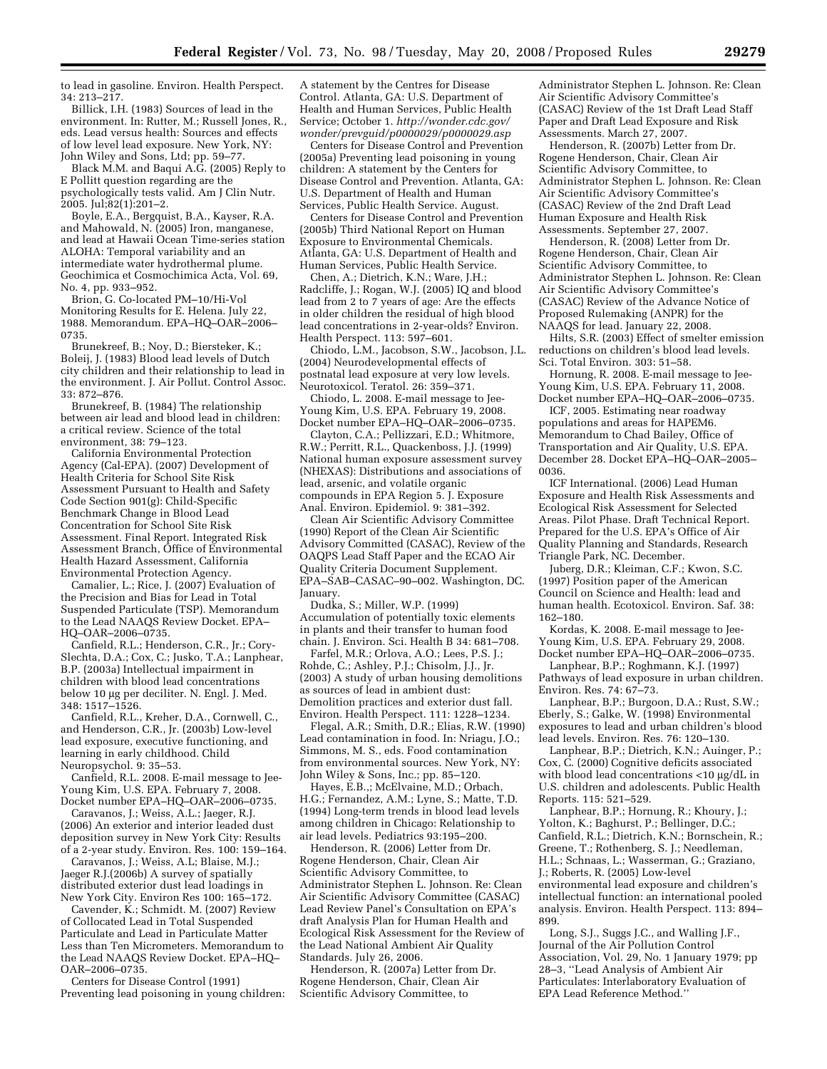to lead in gasoline. Environ. Health Perspect. 34: 213–217.

Billick, I.H. (1983) Sources of lead in the environment. In: Rutter, M.; Russell Jones, R., eds. Lead versus health: Sources and effects of low level lead exposure. New York, NY: John Wiley and Sons, Ltd; pp. 59–77.

Black M.M. and Baqui A.G. (2005) Reply to E Pollitt question regarding are the psychologically tests valid. Am J Clin Nutr. 2005. Jul;82(1):201–2.

Boyle, E.A., Bergquist, B.A., Kayser, R.A. and Mahowald, N. (2005) Iron, manganese, and lead at Hawaii Ocean Time-series station ALOHA: Temporal variability and an intermediate water hydrothermal plume. Geochimica et Cosmochimica Acta, Vol. 69, No. 4, pp. 933–952.

Brion, G. Co-located PM–10/Hi-Vol Monitoring Results for E. Helena. July 22, 1988. Memorandum. EPA–HQ–OAR–2006– 0735.

Brunekreef, B.; Noy, D.; Biersteker, K.; Boleij, J. (1983) Blood lead levels of Dutch city children and their relationship to lead in the environment. J. Air Pollut. Control Assoc. 33: 872–876.

Brunekreef, B. (1984) The relationship between air lead and blood lead in children: a critical review. Science of the total environment, 38: 79–123.

California Environmental Protection Agency (Cal-EPA). (2007) Development of Health Criteria for School Site Risk Assessment Pursuant to Health and Safety Code Section 901(g): Child-Specific Benchmark Change in Blood Lead Concentration for School Site Risk Assessment. Final Report. Integrated Risk Assessment Branch, Office of Environmental Health Hazard Assessment, California Environmental Protection Agency.

Camalier, L.; Rice, J. (2007) Evaluation of the Precision and Bias for Lead in Total Suspended Particulate (TSP). Memorandum to the Lead NAAQS Review Docket. EPA– HQ–OAR–2006–0735.

Canfield, R.L.; Henderson, C.R., Jr.; Cory-Slechta, D.A.; Cox, C.; Jusko, T.A.; Lanphear, B.P. (2003a) Intellectual impairment in children with blood lead concentrations below 10 µg per deciliter. N. Engl. J. Med. 348: 1517–1526.

Canfield, R.L., Kreher, D.A., Cornwell, C., and Henderson, C.R., Jr. (2003b) Low-level lead exposure, executive functioning, and learning in early childhood. Child Neuropsychol. 9: 35–53.

Canfield, R.L. 2008. E-mail message to Jee-Young Kim, U.S. EPA. February 7, 2008. Docket number EPA–HQ–OAR–2006–0735.

Caravanos, J.; Weiss, A.L.; Jaeger, R.J. (2006) An exterior and interior leaded dust deposition survey in New York City: Results of a 2-year study. Environ. Res. 100: 159–164.

Caravanos, J.; Weiss, A.L; Blaise, M.J.; Jaeger R.J.(2006b) A survey of spatially distributed exterior dust lead loadings in New York City. Environ Res 100: 165–172.

Cavender, K.; Schmidt. M. (2007) Review of Collocated Lead in Total Suspended Particulate and Lead in Particulate Matter Less than Ten Micrometers. Memorandum to the Lead NAAQS Review Docket. EPA–HQ– OAR–2006–0735.

Centers for Disease Control (1991) Preventing lead poisoning in young children: A statement by the Centres for Disease Control. Atlanta, GA: U.S. Department of Health and Human Services, Public Health Service; October 1. *http://wonder.cdc.gov/ wonder/prevguid/p0000029/p0000029.asp* 

Centers for Disease Control and Prevention (2005a) Preventing lead poisoning in young children: A statement by the Centers for Disease Control and Prevention. Atlanta, GA: U.S. Department of Health and Human Services, Public Health Service. August.

Centers for Disease Control and Prevention (2005b) Third National Report on Human Exposure to Environmental Chemicals. Atlanta, GA: U.S. Department of Health and Human Services, Public Health Service.

Chen, A.; Dietrich, K.N.; Ware, J.H.; Radcliffe, J.; Rogan, W.J. (2005) IQ and blood lead from 2 to 7 years of age: Are the effects in older children the residual of high blood lead concentrations in 2-year-olds? Environ. Health Perspect. 113: 597–601.

Chiodo, L.M., Jacobson, S.W., Jacobson, J.L. (2004) Neurodevelopmental effects of postnatal lead exposure at very low levels. Neurotoxicol. Teratol. 26: 359–371.

Chiodo, L. 2008. E-mail message to Jee-Young Kim, U.S. EPA. February 19, 2008. Docket number EPA–HQ–OAR–2006–0735.

Clayton, C.A.; Pellizzari, E.D.; Whitmore, R.W.; Perritt, R.L., Quackenboss, J.J. (1999) National human exposure assessment survey (NHEXAS): Distributions and associations of lead, arsenic, and volatile organic compounds in EPA Region 5. J. Exposure Anal. Environ. Epidemiol. 9: 381–392.

Clean Air Scientific Advisory Committee (1990) Report of the Clean Air Scientific Advisory Committed (CASAC), Review of the OAQPS Lead Staff Paper and the ECAO Air Quality Criteria Document Supplement. EPA–SAB–CASAC–90–002. Washington, DC. January.

Dudka, S.; Miller, W.P. (1999) Accumulation of potentially toxic elements in plants and their transfer to human food chain. J. Environ. Sci. Health B 34: 681–708.

Farfel, M.R.; Orlova, A.O.; Lees, P.S. J.; Rohde, C.; Ashley, P.J.; Chisolm, J.J., Jr. (2003) A study of urban housing demolitions as sources of lead in ambient dust: Demolition practices and exterior dust fall. Environ. Health Perspect. 111: 1228–1234.

Flegal, A.R.; Smith, D.R.; Elias, R.W. (1990) Lead contamination in food. In: Nriagu, J.O.; Simmons, M. S., eds. Food contamination from environmental sources. New York, NY: John Wiley & Sons, Inc.; pp. 85–120.

Hayes, E.B.,; McElvaine, M.D.; Orbach, H.G.; Fernandez, A.M.; Lyne, S.; Matte, T.D. (1994) Long-term trends in blood lead levels among children in Chicago: Relationship to air lead levels. Pediatrics 93:195–200.

Henderson, R. (2006) Letter from Dr. Rogene Henderson, Chair, Clean Air Scientific Advisory Committee, to Administrator Stephen L. Johnson. Re: Clean Air Scientific Advisory Committee (CASAC) Lead Review Panel's Consultation on EPA's draft Analysis Plan for Human Health and Ecological Risk Assessment for the Review of the Lead National Ambient Air Quality Standards. July 26, 2006.

Henderson, R. (2007a) Letter from Dr. Rogene Henderson, Chair, Clean Air Scientific Advisory Committee, to

Administrator Stephen L. Johnson. Re: Clean Air Scientific Advisory Committee's (CASAC) Review of the 1st Draft Lead Staff Paper and Draft Lead Exposure and Risk Assessments. March 27, 2007.

Henderson, R. (2007b) Letter from Dr. Rogene Henderson, Chair, Clean Air Scientific Advisory Committee, to Administrator Stephen L. Johnson. Re: Clean Air Scientific Advisory Committee's (CASAC) Review of the 2nd Draft Lead Human Exposure and Health Risk Assessments. September 27, 2007.

Henderson, R. (2008) Letter from Dr. Rogene Henderson, Chair, Clean Air Scientific Advisory Committee, to Administrator Stephen L. Johnson. Re: Clean Air Scientific Advisory Committee's (CASAC) Review of the Advance Notice of Proposed Rulemaking (ANPR) for the NAAQS for lead. January 22, 2008.

Hilts, S.R. (2003) Effect of smelter emission reductions on children's blood lead levels. Sci. Total Environ. 303: 51–58.

Hornung, R. 2008. E-mail message to Jee-Young Kim, U.S. EPA. February 11, 2008. Docket number EPA–HQ–OAR–2006–0735.

ICF, 2005. Estimating near roadway populations and areas for HAPEM6. Memorandum to Chad Bailey, Office of Transportation and Air Quality, U.S. EPA. December 28. Docket EPA–HQ–OAR–2005– 0036.

ICF International. (2006) Lead Human Exposure and Health Risk Assessments and Ecological Risk Assessment for Selected Areas. Pilot Phase. Draft Technical Report. Prepared for the U.S. EPA's Office of Air Quality Planning and Standards, Research Triangle Park, NC. December.

Juberg, D.R.; Kleiman, C.F.; Kwon, S.C. (1997) Position paper of the American Council on Science and Health: lead and human health. Ecotoxicol. Environ. Saf. 38: 162–180.

Kordas, K. 2008. E-mail message to Jee-Young Kim, U.S. EPA. February 29, 2008. Docket number EPA–HQ–OAR–2006–0735.

Lanphear, B.P.; Roghmann, K.J. (1997) Pathways of lead exposure in urban children. Environ. Res. 74: 67–73.

Lanphear, B.P.; Burgoon, D.A.; Rust, S.W.; Eberly, S.; Galke, W. (1998) Environmental exposures to lead and urban children's blood lead levels. Environ. Res. 76: 120–130.

Lanphear, B.P.; Dietrich, K.N.; Auinger, P.; Cox, C. (2000) Cognitive deficits associated with blood lead concentrations <10  $\mu$ g/dL in U.S. children and adolescents. Public Health Reports. 115: 521–529.

Lanphear, B.P.; Hornung, R.; Khoury, J.; Yolton, K.; Baghurst, P.; Bellinger, D.C.; Canfield, R.L.; Dietrich, K.N.; Bornschein, R.; Greene, T.; Rothenberg, S. J.; Needleman, H.L.; Schnaas, L.; Wasserman, G.; Graziano, J.; Roberts, R. (2005) Low-level environmental lead exposure and children's intellectual function: an international pooled analysis. Environ. Health Perspect. 113: 894– 899.

Long, S.J., Suggs J.C., and Walling J.F., Journal of the Air Pollution Control Association, Vol. 29, No. 1 January 1979; pp 28–3, ''Lead Analysis of Ambient Air Particulates: Interlaboratory Evaluation of EPA Lead Reference Method.''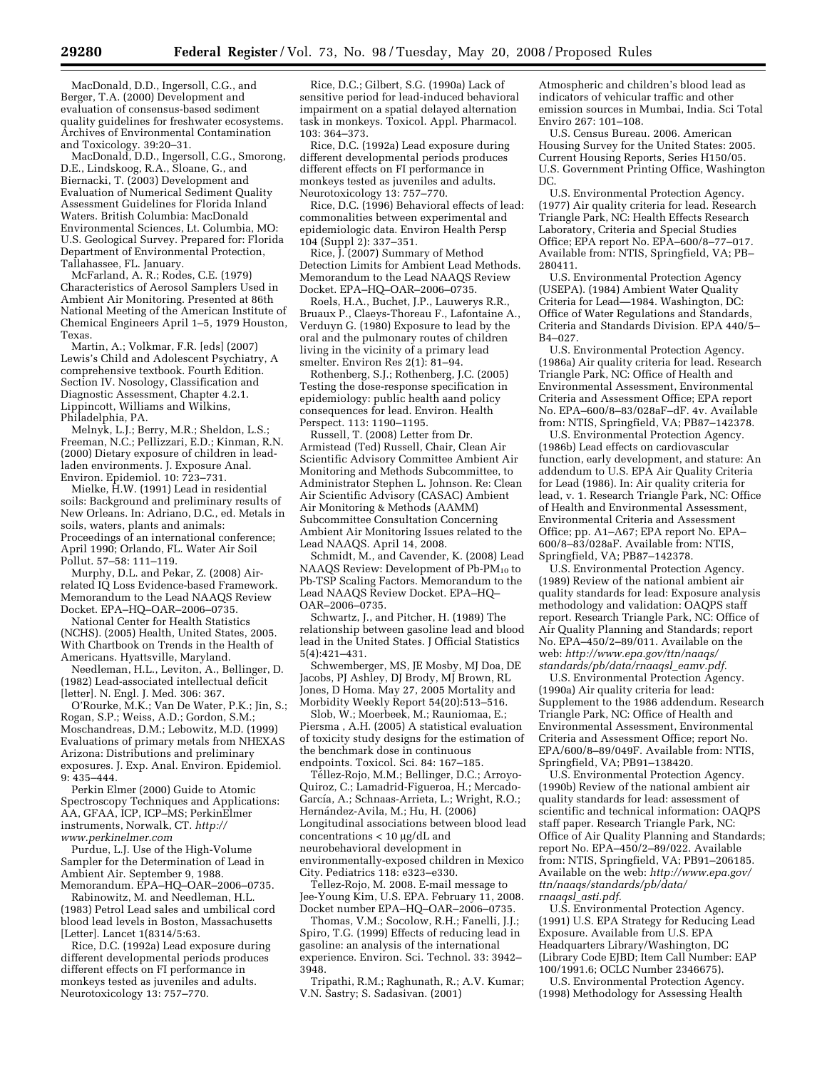MacDonald, D.D., Ingersoll, C.G., and Berger, T.A. (2000) Development and evaluation of consensus-based sediment quality guidelines for freshwater ecosystems. Archives of Environmental Contamination and Toxicology. 39:20–31.

MacDonald, D.D., Ingersoll, C.G., Smorong, D.E., Lindskoog, R.A., Sloane, G., and Biernacki, T. (2003) Development and Evaluation of Numerical Sediment Quality Assessment Guidelines for Florida Inland Waters. British Columbia: MacDonald Environmental Sciences, Lt. Columbia, MO: U.S. Geological Survey. Prepared for: Florida Department of Environmental Protection, Tallahassee, FL. January.

McFarland, A. R.; Rodes, C.E. (1979) Characteristics of Aerosol Samplers Used in Ambient Air Monitoring. Presented at 86th National Meeting of the American Institute of Chemical Engineers April 1–5, 1979 Houston, Texas.

Martin, A.; Volkmar, F.R. [eds] (2007) Lewis's Child and Adolescent Psychiatry, A comprehensive textbook. Fourth Edition. Section IV. Nosology, Classification and Diagnostic Assessment, Chapter 4.2.1. Lippincott, Williams and Wilkins, Philadelphia, PA.

Melnyk, L.J.; Berry, M.R.; Sheldon, L.S.; Freeman, N.C.; Pellizzari, E.D.; Kinman, R.N. (2000) Dietary exposure of children in leadladen environments. J. Exposure Anal. Environ. Epidemiol. 10: 723–731.

Mielke, H.W. (1991) Lead in residential soils: Background and preliminary results of New Orleans. In: Adriano, D.C., ed. Metals in soils, waters, plants and animals: Proceedings of an international conference; April 1990; Orlando, FL. Water Air Soil Pollut. 57–58: 111–119.

Murphy, D.L. and Pekar, Z. (2008) Airrelated IQ Loss Evidence-based Framework. Memorandum to the Lead NAAQS Review Docket. EPA–HQ–OAR–2006–0735.

National Center for Health Statistics (NCHS). (2005) Health, United States, 2005. With Chartbook on Trends in the Health of Americans. Hyattsville, Maryland.

Needleman, H.L., Leviton, A., Bellinger, D. (1982) Lead-associated intellectual deficit [letter]. N. Engl. J. Med. 306: 367.

O'Rourke, M.K.; Van De Water, P.K.; Jin, S.; Rogan, S.P.; Weiss, A.D.; Gordon, S.M.; Moschandreas, D.M.; Lebowitz, M.D. (1999) Evaluations of primary metals from NHEXAS Arizona: Distributions and preliminary exposures. J. Exp. Anal. Environ. Epidemiol. 9: 435–444.

Perkin Elmer (2000) Guide to Atomic Spectroscopy Techniques and Applications: AA, GFAA, ICP, ICP–MS; PerkinElmer instruments, Norwalk, CT. *http:// www.perkinelmer.com* 

Purdue, L.J. Use of the High-Volume Sampler for the Determination of Lead in Ambient Air. September 9, 1988. Memorandum. EPA–HQ–OAR–2006–0735.

Rabinowitz, M. and Needleman, H.L. (1983) Petrol Lead sales and umbilical cord blood lead levels in Boston, Massachusetts [Letter]. Lancet 1(8314/5:63.

Rice, D.C. (1992a) Lead exposure during different developmental periods produces different effects on FI performance in monkeys tested as juveniles and adults. Neurotoxicology 13: 757–770.

Rice, D.C.; Gilbert, S.G. (1990a) Lack of sensitive period for lead-induced behavioral impairment on a spatial delayed alternation task in monkeys. Toxicol. Appl. Pharmacol. 103: 364–373.

Rice, D.C. (1992a) Lead exposure during different developmental periods produces different effects on FI performance in monkeys tested as juveniles and adults. Neurotoxicology 13: 757–770.

Rice, D.C. (1996) Behavioral effects of lead: commonalities between experimental and epidemiologic data. Environ Health Persp 104 (Suppl 2): 337–351.

Rice, J. (2007) Summary of Method Detection Limits for Ambient Lead Methods. Memorandum to the Lead NAAQS Review Docket. EPA–HQ–OAR–2006–0735.

Roels, H.A., Buchet, J.P., Lauwerys R.R., Bruaux P., Claeys-Thoreau F., Lafontaine A., Verduyn G. (1980) Exposure to lead by the oral and the pulmonary routes of children living in the vicinity of a primary lead smelter. Environ Res 2(1): 81–94.

Rothenberg, S.J.; Rothenberg, J.C. (2005) Testing the dose-response specification in epidemiology: public health aand policy consequences for lead. Environ. Health Perspect. 113: 1190–1195.

Russell, T. (2008) Letter from Dr. Armistead (Ted) Russell, Chair, Clean Air Scientific Advisory Committee Ambient Air Monitoring and Methods Subcommittee, to Administrator Stephen L. Johnson. Re: Clean Air Scientific Advisory (CASAC) Ambient Air Monitoring & Methods (AAMM) Subcommittee Consultation Concerning Ambient Air Monitoring Issues related to the Lead NAAQS. April 14, 2008.

Schmidt, M., and Cavender, K. (2008) Lead NAAQS Review: Development of Pb-PM<sub>10</sub> to Pb-TSP Scaling Factors. Memorandum to the Lead NAAQS Review Docket. EPA–HQ– OAR–2006–0735.

Schwartz, J., and Pitcher, H. (1989) The relationship between gasoline lead and blood lead in the United States. J Official Statistics 5(4):421–431.

Schwemberger, MS, JE Mosby, MJ Doa, DE Jacobs, PJ Ashley, DJ Brody, MJ Brown, RL Jones, D Homa. May 27, 2005 Mortality and Morbidity Weekly Report 54(20):513–516.

Slob, W.; Moerbeek, M.; Rauniomaa, E.; Piersma , A.H. (2005) A statistical evaluation of toxicity study designs for the estimation of the benchmark dose in continuous endpoints. Toxicol. Sci. 84: 167–185.

Tellez-Rojo, M.M.; Bellinger, D.C.; Arroyo-Quiroz, C.; Lamadrid-Figueroa, H.; Mercado-García, A.; Schnaas-Arrieta, L.; Wright, R.O.; Hernández-Avila, M.; Hu, H. (2006) Longitudinal associations between blood lead concentrations < 10 µg/dL and neurobehavioral development in environmentally-exposed children in Mexico City. Pediatrics 118: e323–e330.

Tellez-Rojo, M. 2008. E-mail message to Jee-Young Kim, U.S. EPA. February 11, 2008. Docket number EPA–HQ–OAR–2006–0735.

Thomas, V.M.; Socolow, R.H.; Fanelli, J.J.; Spiro, T.G. (1999) Effects of reducing lead in gasoline: an analysis of the international experience. Environ. Sci. Technol. 33: 3942– 3948.

Tripathi, R.M.; Raghunath, R.; A.V. Kumar; V.N. Sastry; S. Sadasivan. (2001)

Atmospheric and children's blood lead as indicators of vehicular traffic and other emission sources in Mumbai, India. Sci Total Enviro 267: 101–108.

U.S. Census Bureau. 2006. American Housing Survey for the United States: 2005. Current Housing Reports, Series H150/05. U.S. Government Printing Office, Washington DC.

U.S. Environmental Protection Agency. (1977) Air quality criteria for lead. Research Triangle Park, NC: Health Effects Research Laboratory, Criteria and Special Studies Office; EPA report No. EPA–600/8–77–017. Available from: NTIS, Springfield, VA; PB– 280411.

U.S. Environmental Protection Agency (USEPA). (1984) Ambient Water Quality Criteria for Lead—1984. Washington, DC: Office of Water Regulations and Standards, Criteria and Standards Division. EPA 440/5– B4–027.

U.S. Environmental Protection Agency. (1986a) Air quality criteria for lead. Research Triangle Park, NC: Office of Health and Environmental Assessment, Environmental Criteria and Assessment Office; EPA report No. EPA–600/8–83/028aF–dF. 4v. Available from: NTIS, Springfield, VA; PB87–142378.

U.S. Environmental Protection Agency. (1986b) Lead effects on cardiovascular function, early development, and stature: An addendum to U.S. EPA Air Quality Criteria for Lead (1986). In: Air quality criteria for lead, v. 1. Research Triangle Park, NC: Office of Health and Environmental Assessment, Environmental Criteria and Assessment Office; pp. A1–A67; EPA report No. EPA– 600/8–83/028aF. Available from: NTIS, Springfield, VA; PB87–142378.

U.S. Environmental Protection Agency. (1989) Review of the national ambient air quality standards for lead: Exposure analysis methodology and validation: OAQPS staff report. Research Triangle Park, NC: Office of Air Quality Planning and Standards; report No. EPA–450/2–89/011. Available on the web: *http://www.epa.gov/ttn/naaqs/ standards/pb/data/rnaaqsl*\_*eamv.pdf*.

U.S. Environmental Protection Agency. (1990a) Air quality criteria for lead: Supplement to the 1986 addendum. Research Triangle Park, NC: Office of Health and Environmental Assessment, Environmental Criteria and Assessment Office; report No. EPA/600/8–89/049F. Available from: NTIS, Springfield, VA; PB91–138420.

U.S. Environmental Protection Agency. (1990b) Review of the national ambient air quality standards for lead: assessment of scientific and technical information: OAQPS staff paper. Research Triangle Park, NC: Office of Air Quality Planning and Standards; report No. EPA–450/2–89/022. Available from: NTIS, Springfield, VA; PB91–206185. Available on the web: *http://www.epa.gov/ ttn/naaqs/standards/pb/data/ rnaaqsl*\_*asti.pdf*.

U.S. Environmental Protection Agency. (1991) U.S. EPA Strategy for Reducing Lead Exposure. Available from U.S. EPA Headquarters Library/Washington, DC (Library Code EJBD; Item Call Number: EAP 100/1991.6; OCLC Number 2346675).

U.S. Environmental Protection Agency. (1998) Methodology for Assessing Health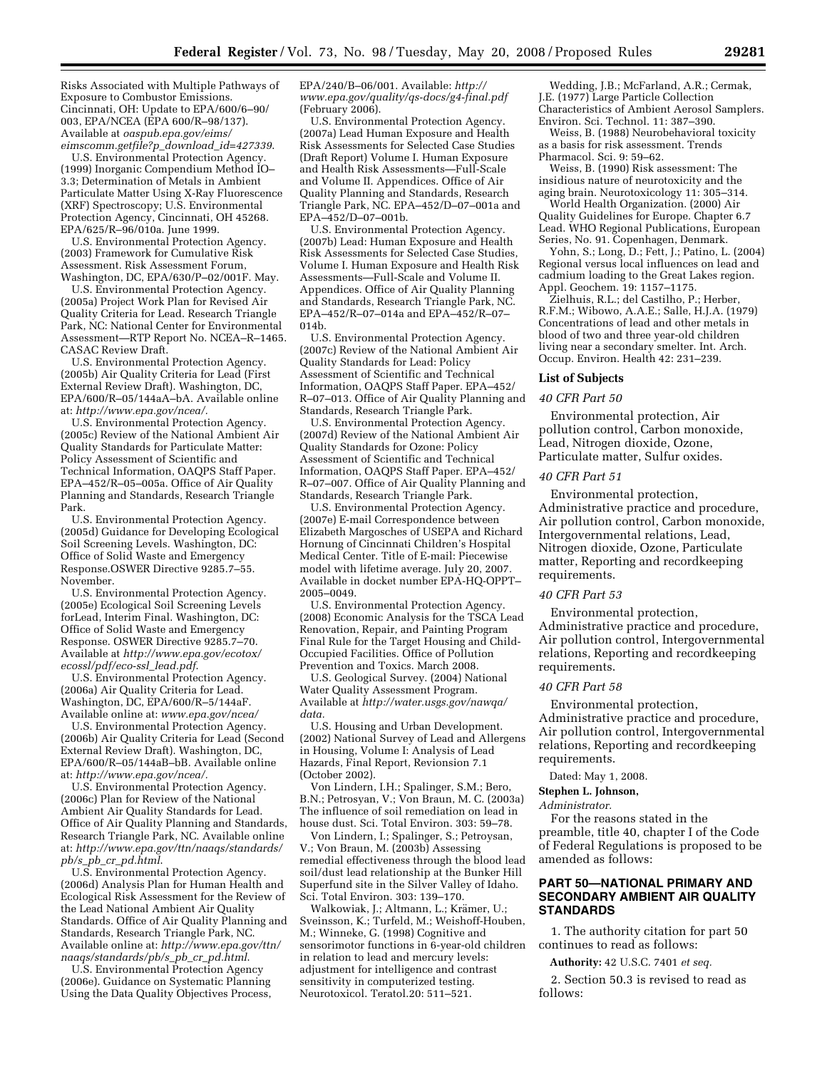Risks Associated with Multiple Pathways of Exposure to Combustor Emissions. Cincinnati, OH: Update to EPA/600/6–90/ 003, EPA/NCEA (EPA 600/R–98/137). Available at *oaspub.epa.gov/eims/ eimscomm.getfile?p*\_*download*\_*id=427339*.

U.S. Environmental Protection Agency. (1999) Inorganic Compendium Method IO– 3.3; Determination of Metals in Ambient Particulate Matter Using X-Ray Fluorescence (XRF) Spectroscopy; U.S. Environmental Protection Agency, Cincinnati, OH 45268. EPA/625/R–96/010a. June 1999.

U.S. Environmental Protection Agency. (2003) Framework for Cumulative Risk Assessment. Risk Assessment Forum, Washington, DC, EPA/630/P–02/001F. May.

U.S. Environmental Protection Agency. (2005a) Project Work Plan for Revised Air Quality Criteria for Lead. Research Triangle Park, NC: National Center for Environmental Assessment—RTP Report No. NCEA–R–1465. CASAC Review Draft.

U.S. Environmental Protection Agency. (2005b) Air Quality Criteria for Lead (First External Review Draft). Washington, DC, EPA/600/R–05/144aA–bA. Available online at: *http://www.epa.gov/ncea/.* 

U.S. Environmental Protection Agency. (2005c) Review of the National Ambient Air Quality Standards for Particulate Matter: Policy Assessment of Scientific and Technical Information, OAQPS Staff Paper. EPA–452/R–05–005a. Office of Air Quality Planning and Standards, Research Triangle Park.

U.S. Environmental Protection Agency. (2005d) Guidance for Developing Ecological Soil Screening Levels. Washington, DC: Office of Solid Waste and Emergency Response.OSWER Directive 9285.7–55. November.

U.S. Environmental Protection Agency. (2005e) Ecological Soil Screening Levels forLead, Interim Final. Washington, DC: Office of Solid Waste and Emergency Response. OSWER Directive 9285.7–70. Available at *http://www.epa.gov/ecotox/ ecossl/pdf/eco-ssl*\_*lead.pdf*.

U.S. Environmental Protection Agency. (2006a) Air Quality Criteria for Lead. Washington, DC, EPA/600/R–5/144aF. Available online at: *www.epa.gov/ncea/* 

U.S. Environmental Protection Agency. (2006b) Air Quality Criteria for Lead (Second External Review Draft). Washington, DC, EPA/600/R–05/144aB–bB. Available online at: *http://www.epa.gov/ncea/.* 

U.S. Environmental Protection Agency. (2006c) Plan for Review of the National Ambient Air Quality Standards for Lead. Office of Air Quality Planning and Standards, Research Triangle Park, NC. Available online at: *http://www.epa.gov/ttn/naaqs/standards/ pb/s*\_*pb*\_*cr*\_*pd.html*.

U.S. Environmental Protection Agency. (2006d) Analysis Plan for Human Health and Ecological Risk Assessment for the Review of the Lead National Ambient Air Quality Standards. Office of Air Quality Planning and Standards, Research Triangle Park, NC. Available online at: *http://www.epa.gov/ttn/ naaqs/standards/pb/s*\_*pb*\_*cr*\_*pd.html*.

U.S. Environmental Protection Agency (2006e). Guidance on Systematic Planning Using the Data Quality Objectives Process, EPA/240/B–06/001. Available: *http:// www.epa.gov/quality/qs-docs/g4-final.pdf*  (February 2006).

U.S. Environmental Protection Agency. (2007a) Lead Human Exposure and Health Risk Assessments for Selected Case Studies (Draft Report) Volume I. Human Exposure and Health Risk Assessments—Full-Scale and Volume II. Appendices. Office of Air Quality Planning and Standards, Research Triangle Park, NC. EPA–452/D–07–001a and EPA–452/D–07–001b.

U.S. Environmental Protection Agency. (2007b) Lead: Human Exposure and Health Risk Assessments for Selected Case Studies, Volume I. Human Exposure and Health Risk Assessments—Full-Scale and Volume II. Appendices. Office of Air Quality Planning and Standards, Research Triangle Park, NC. EPA–452/R–07–014a and EPA–452/R–07– 014b.

U.S. Environmental Protection Agency. (2007c) Review of the National Ambient Air Quality Standards for Lead: Policy Assessment of Scientific and Technical Information, OAQPS Staff Paper. EPA–452/ R–07–013. Office of Air Quality Planning and Standards, Research Triangle Park.

U.S. Environmental Protection Agency. (2007d) Review of the National Ambient Air Quality Standards for Ozone: Policy Assessment of Scientific and Technical Information, OAQPS Staff Paper. EPA–452/ R–07–007. Office of Air Quality Planning and Standards, Research Triangle Park.

U.S. Environmental Protection Agency. (2007e) E-mail Correspondence between Elizabeth Margosches of USEPA and Richard Hornung of Cincinnati Children's Hospital Medical Center. Title of E-mail: Piecewise model with lifetime average. July 20, 2007. Available in docket number EPA-HQ-OPPT– 2005–0049.

U.S. Environmental Protection Agency. (2008) Economic Analysis for the TSCA Lead Renovation, Repair, and Painting Program Final Rule for the Target Housing and Child-Occupied Facilities. Office of Pollution Prevention and Toxics. March 2008.

U.S. Geological Survey. (2004) National Water Quality Assessment Program. Available at *http://water.usgs.gov/nawqa/ data.* 

U.S. Housing and Urban Development. (2002) National Survey of Lead and Allergens in Housing, Volume I: Analysis of Lead Hazards, Final Report, Revionsion 7.1 (October 2002).

Von Lindern, I.H.; Spalinger, S.M.; Bero, B.N.; Petrosyan, V.; Von Braun, M. C. (2003a) The influence of soil remediation on lead in house dust. Sci. Total Environ. 303: 59–78.

Von Lindern, I.; Spalinger, S.; Petroysan, V.; Von Braun, M. (2003b) Assessing remedial effectiveness through the blood lead soil/dust lead relationship at the Bunker Hill Superfund site in the Silver Valley of Idaho. Sci. Total Environ. 303: 139–170.

Walkowiak, J.; Altmann, L.; Krämer, U.; Sveinsson, K.; Turfeld, M.; Weishoff-Houben, M.; Winneke, G. (1998) Cognitive and sensorimotor functions in 6-year-old children in relation to lead and mercury levels: adjustment for intelligence and contrast sensitivity in computerized testing. Neurotoxicol. Teratol.20: 511–521.

Wedding, J.B.; McFarland, A.R.; Cermak, J.E. (1977) Large Particle Collection Characteristics of Ambient Aerosol Samplers. Environ. Sci. Technol. 11: 387–390.

Weiss, B. (1988) Neurobehavioral toxicity as a basis for risk assessment. Trends Pharmacol. Sci. 9: 59–62.

Weiss, B. (1990) Risk assessment: The insidious nature of neurotoxicity and the aging brain. Neurotoxicology 11: 305–314.

World Health Organization. (2000) Air Quality Guidelines for Europe. Chapter 6.7 Lead. WHO Regional Publications, European Series, No. 91. Copenhagen, Denmark.

Yohn, S.; Long, D.; Fett, J.; Patino, L. (2004) Regional versus local influences on lead and cadmium loading to the Great Lakes region. Appl. Geochem. 19: 1157–1175.

Zielhuis, R.L.; del Castilho, P.; Herber, R.F.M.; Wibowo, A.A.E.; Salle, H.J.A. (1979) Concentrations of lead and other metals in blood of two and three year-old children living near a secondary smelter. Int. Arch. Occup. Environ. Health 42: 231–239.

## **List of Subjects**

### *40 CFR Part 50*

Environmental protection, Air pollution control, Carbon monoxide, Lead, Nitrogen dioxide, Ozone, Particulate matter, Sulfur oxides.

### *40 CFR Part 51*

Environmental protection, Administrative practice and procedure, Air pollution control, Carbon monoxide, Intergovernmental relations, Lead, Nitrogen dioxide, Ozone, Particulate matter, Reporting and recordkeeping requirements.

### *40 CFR Part 53*

Environmental protection, Administrative practice and procedure, Air pollution control, Intergovernmental relations, Reporting and recordkeeping requirements.

#### *40 CFR Part 58*

Environmental protection, Administrative practice and procedure, Air pollution control, Intergovernmental relations, Reporting and recordkeeping requirements.

#### Dated: May 1, 2008.

#### **Stephen L. Johnson,**

*Administrator.* 

For the reasons stated in the preamble, title 40, chapter I of the Code of Federal Regulations is proposed to be amended as follows:

# **PART 50—NATIONAL PRIMARY AND SECONDARY AMBIENT AIR QUALITY STANDARDS**

1. The authority citation for part 50 continues to read as follows:

**Authority:** 42 U.S.C. 7401 *et seq.* 

2. Section 50.3 is revised to read as follows: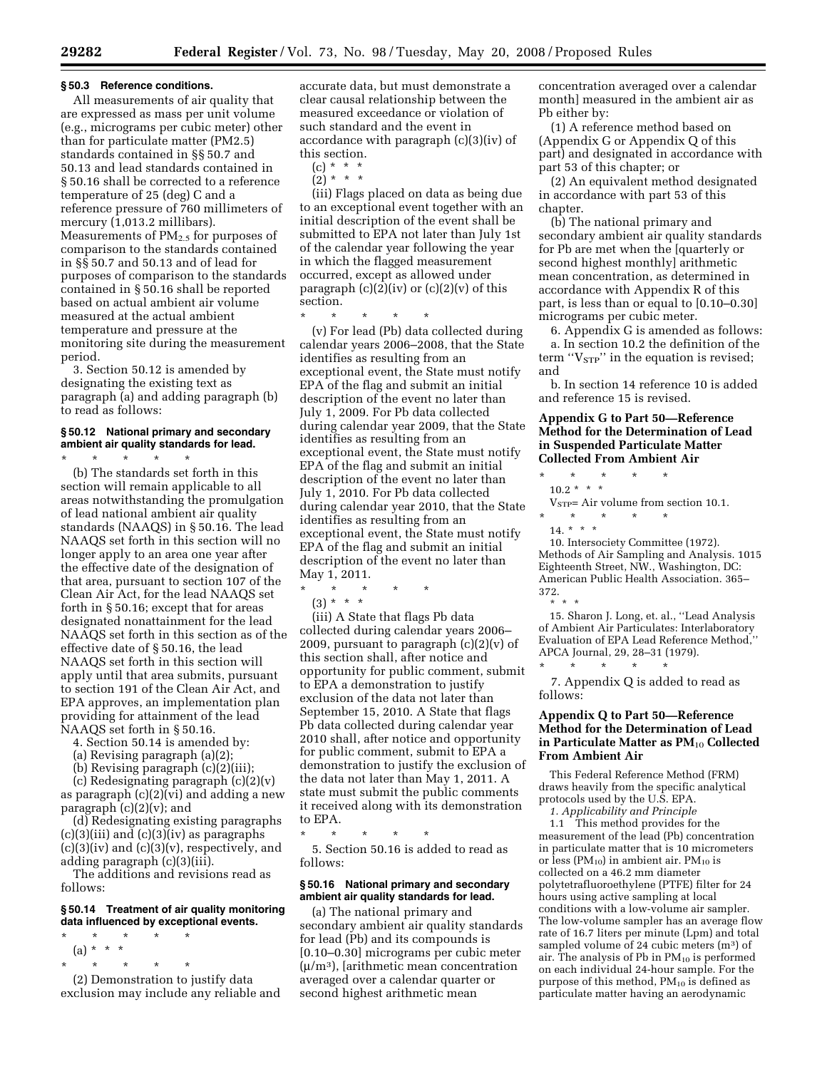### **§ 50.3 Reference conditions.**

All measurements of air quality that are expressed as mass per unit volume (e.g., micrograms per cubic meter) other than for particulate matter (PM2.5) standards contained in §§ 50.7 and 50.13 and lead standards contained in § 50.16 shall be corrected to a reference temperature of 25 (deg) C and a reference pressure of 760 millimeters of mercury (1,013.2 millibars). Measurements of PM<sub>2.5</sub> for purposes of comparison to the standards contained in §§ 50.7 and 50.13 and of lead for purposes of comparison to the standards contained in § 50.16 shall be reported based on actual ambient air volume measured at the actual ambient temperature and pressure at the monitoring site during the measurement period.

3. Section 50.12 is amended by designating the existing text as paragraph (a) and adding paragraph (b) to read as follows:

### **§ 50.12 National primary and secondary ambient air quality standards for lead.**  \* \* \* \* \*

(b) The standards set forth in this section will remain applicable to all areas notwithstanding the promulgation of lead national ambient air quality standards (NAAQS) in § 50.16. The lead NAAQS set forth in this section will no longer apply to an area one year after the effective date of the designation of that area, pursuant to section 107 of the Clean Air Act, for the lead NAAQS set forth in § 50.16; except that for areas designated nonattainment for the lead NAAQS set forth in this section as of the effective date of § 50.16, the lead NAAQS set forth in this section will apply until that area submits, pursuant to section 191 of the Clean Air Act, and EPA approves, an implementation plan providing for attainment of the lead NAAQS set forth in § 50.16.

4. Section 50.14 is amended by:

- (a) Revising paragraph (a)(2);
- (b) Revising paragraph (c)(2)(iii);

(c) Redesignating paragraph (c)(2)(v) as paragraph (c)(2)(vi) and adding a new paragraph  $(c)(2)(v)$ ; and

(d) Redesignating existing paragraphs  $(c)(3)(iii)$  and  $(c)(3)(iv)$  as paragraphs  $(c)(3)(iv)$  and  $(c)(3)(v)$ , respectively, and adding paragraph (c)(3)(iii).

The additions and revisions read as follows:

# **§ 50.14 Treatment of air quality monitoring data influenced by exceptional events.**

- \* \* \* \* \* (a) \* \* \*
- \* \* \* \* \*

(2) Demonstration to justify data exclusion may include any reliable and

accurate data, but must demonstrate a clear causal relationship between the measured exceedance or violation of such standard and the event in accordance with paragraph (c)(3)(iv) of this section.

(c) \* \* \*

 $(2) * * * *$ 

(iii) Flags placed on data as being due to an exceptional event together with an initial description of the event shall be submitted to EPA not later than July 1st of the calendar year following the year in which the flagged measurement occurred, except as allowed under paragraph  $(c)(2)(iv)$  or  $(c)(2)(v)$  of this section.

\* \* \* \* \*

(v) For lead (Pb) data collected during calendar years 2006–2008, that the State identifies as resulting from an exceptional event, the State must notify EPA of the flag and submit an initial description of the event no later than July 1, 2009. For Pb data collected during calendar year 2009, that the State identifies as resulting from an exceptional event, the State must notify EPA of the flag and submit an initial description of the event no later than July 1, 2010. For Pb data collected during calendar year 2010, that the State identifies as resulting from an exceptional event, the State must notify EPA of the flag and submit an initial description of the event no later than May 1, 2011.

\* \* \* \* \*  $(3) * * * *$ 

(iii) A State that flags Pb data collected during calendar years 2006– 2009, pursuant to paragraph  $(c)(2)(v)$  of this section shall, after notice and opportunity for public comment, submit to EPA a demonstration to justify exclusion of the data not later than September 15, 2010. A State that flags Pb data collected during calendar year 2010 shall, after notice and opportunity for public comment, submit to EPA a demonstration to justify the exclusion of the data not later than May 1, 2011. A state must submit the public comments it received along with its demonstration to EPA.

\* \* \* \* \* 5. Section 50.16 is added to read as follows:

### **§ 50.16 National primary and secondary ambient air quality standards for lead.**

(a) The national primary and secondary ambient air quality standards for lead (Pb) and its compounds is [0.10–0.30] micrograms per cubic meter  $(\mu/m^3)$ , [arithmetic mean concentration averaged over a calendar quarter or second highest arithmetic mean

concentration averaged over a calendar month] measured in the ambient air as Pb either by:

(1) A reference method based on (Appendix G or Appendix Q of this part) and designated in accordance with part 53 of this chapter; or

(2) An equivalent method designated in accordance with part 53 of this chapter.

(b) The national primary and secondary ambient air quality standards for Pb are met when the [quarterly or second highest monthly] arithmetic mean concentration, as determined in accordance with Appendix R of this part, is less than or equal to [0.10–0.30] micrograms per cubic meter.

6. Appendix G is amended as follows: a. In section 10.2 the definition of the term " $V_{STP}$ " in the equation is revised; and

b. In section 14 reference 10 is added and reference 15 is revised.

## **Appendix G to Part 50—Reference Method for the Determination of Lead in Suspended Particulate Matter Collected From Ambient Air**

- \* \* \* \* \*  $10.2$  \* \* \*
- V<sub>STP</sub>= Air volume from section 10.1. \* \* \* \* \*
- 14. \* \* \*

10. Intersociety Committee (1972). Methods of Air Sampling and Analysis. 1015 Eighteenth Street, NW., Washington, DC: American Public Health Association. 365– 372. \* \* \*

15. Sharon J. Long, et. al., ''Lead Analysis of Ambient Air Particulates: Interlaboratory Evaluation of EPA Lead Reference Method,'' APCA Journal, 29, 28–31 (1979). \* \* \* \* \*

7. Appendix Q is added to read as follows:

## **Appendix Q to Part 50—Reference Method for the Determination of Lead in Particulate Matter as PM**10 **Collected From Ambient Air**

This Federal Reference Method (FRM) draws heavily from the specific analytical protocols used by the U.S. EPA.

*1. Applicability and Principle* 

1.1 This method provides for the measurement of the lead (Pb) concentration in particulate matter that is 10 micrometers or less ( $PM_{10}$ ) in ambient air.  $PM_{10}$  is collected on a 46.2 mm diameter polytetrafluoroethylene (PTFE) filter for 24 hours using active sampling at local conditions with a low-volume air sampler. The low-volume sampler has an average flow rate of 16.7 liters per minute (Lpm) and total sampled volume of 24 cubic meters (m3) of air. The analysis of Pb in  $PM_{10}$  is performed on each individual 24-hour sample. For the purpose of this method, PM10 is defined as particulate matter having an aerodynamic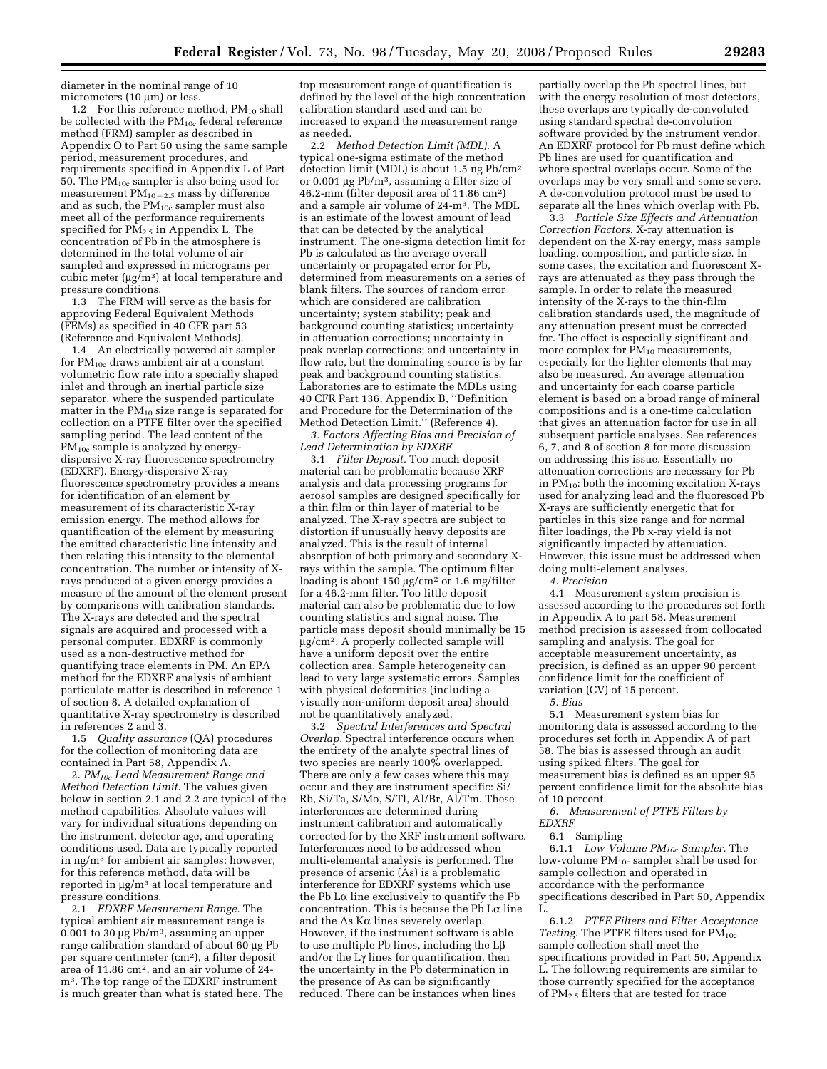diameter in the nominal range of 10 micrometers  $(10 \mu m)$  or less.

1.2 For this reference method,  $PM_{10}$  shall be collected with the  $PM_{10c}$  federal reference method (FRM) sampler as described in Appendix O to Part 50 using the same sample period, measurement procedures, and requirements specified in Appendix L of Part 50. The PM10c sampler is also being used for measurement  $PM_{10-2.5}$  mass by difference and as such, the  $PM_{10c}$  sampler must also meet all of the performance requirements specified for PM2.5 in Appendix L. The concentration of Pb in the atmosphere is determined in the total volume of air sampled and expressed in micrograms per cubic meter  $(\mu g/m^3)$  at local temperature and pressure conditions.

1.3 The FRM will serve as the basis for approving Federal Equivalent Methods (FEMs) as specified in 40 CFR part 53 (Reference and Equivalent Methods).

1.4 An electrically powered air sampler for PM10c draws ambient air at a constant volumetric flow rate into a specially shaped inlet and through an inertial particle size separator, where the suspended particulate matter in the  $PM_{10}$  size range is separated for collection on a PTFE filter over the specified sampling period. The lead content of the PM<sub>10c</sub> sample is analyzed by energydispersive X-ray fluorescence spectrometry (EDXRF). Energy-dispersive X-ray fluorescence spectrometry provides a means for identification of an element by measurement of its characteristic X-ray emission energy. The method allows for quantification of the element by measuring the emitted characteristic line intensity and then relating this intensity to the elemental concentration. The number or intensity of Xrays produced at a given energy provides a measure of the amount of the element present by comparisons with calibration standards. The X-rays are detected and the spectral signals are acquired and processed with a personal computer. EDXRF is commonly used as a non-destructive method for quantifying trace elements in PM. An EPA method for the EDXRF analysis of ambient particulate matter is described in reference 1 of section 8. A detailed explanation of quantitative X-ray spectrometry is described in references 2 and 3.

1.5 *Quality assurance* (QA) procedures for the collection of monitoring data are contained in Part 58, Appendix A.

2. *PM10c Lead Measurement Range and Method Detection Limit.* The values given below in section 2.1 and 2.2 are typical of the method capabilities. Absolute values will vary for individual situations depending on the instrument, detector age, and operating conditions used. Data are typically reported in ng/m3 for ambient air samples; however, for this reference method, data will be reported in µg/m3 at local temperature and pressure conditions.

2.1 *EDXRF Measurement Range.* The typical ambient air measurement range is  $0.001$  to 30 µg Pb/m<sup>3</sup>, assuming an upper range calibration standard of about 60 µg Pb per square centimeter (cm2), a filter deposit area of 11.86 cm2, and an air volume of 24 m3. The top range of the EDXRF instrument is much greater than what is stated here. The

top measurement range of quantification is defined by the level of the high concentration calibration standard used and can be increased to expand the measurement range as needed.

2.2 *Method Detection Limit (MDL).* A typical one-sigma estimate of the method detection limit (MDL) is about 1.5 ng Pb/cm2 or 0.001 µg Pb/m3, assuming a filter size of 46.2-mm (filter deposit area of 11.86 cm2) and a sample air volume of 24-m3. The MDL is an estimate of the lowest amount of lead that can be detected by the analytical instrument. The one-sigma detection limit for Pb is calculated as the average overall uncertainty or propagated error for Pb, determined from measurements on a series of blank filters. The sources of random error which are considered are calibration uncertainty; system stability; peak and background counting statistics; uncertainty in attenuation corrections; uncertainty in peak overlap corrections; and uncertainty in flow rate, but the dominating source is by far peak and background counting statistics. Laboratories are to estimate the MDLs using 40 CFR Part 136, Appendix B, ''Definition and Procedure for the Determination of the Method Detection Limit.'' (Reference 4).

*3. Factors Affecting Bias and Precision of Lead Determination by EDXRF* 

3.1 *Filter Deposit.* Too much deposit material can be problematic because XRF analysis and data processing programs for aerosol samples are designed specifically for a thin film or thin layer of material to be analyzed. The X-ray spectra are subject to distortion if unusually heavy deposits are analyzed. This is the result of internal absorption of both primary and secondary Xrays within the sample. The optimum filter loading is about  $150 \mu g/cm^2$  or  $1.6 \text{ mg/filter}$ for a 46.2-mm filter. Too little deposit material can also be problematic due to low counting statistics and signal noise. The particle mass deposit should minimally be 15 µg/cm2. A properly collected sample will have a uniform deposit over the entire collection area. Sample heterogeneity can lead to very large systematic errors. Samples with physical deformities (including a visually non-uniform deposit area) should not be quantitatively analyzed.

3.2 *Spectral Interferences and Spectral Overlap.* Spectral interference occurs when the entirety of the analyte spectral lines of two species are nearly 100% overlapped. There are only a few cases where this may occur and they are instrument specific: Si/ Rb, Si/Ta, S/Mo, S/Tl, Al/Br, Al/Tm. These interferences are determined during instrument calibration and automatically corrected for by the XRF instrument software. Interferences need to be addressed when multi-elemental analysis is performed. The presence of arsenic (As) is a problematic interference for EDXRF systems which use the Pb L $\alpha$  line exclusively to quantify the Pb concentration. This is because the Pb  $L\alpha$  line and the As  $K\alpha$  lines severely overlap. However, if the instrument software is able to use multiple Pb lines, including the Lb and/or the  $Ly$  lines for quantification, then the uncertainty in the Pb determination in the presence of As can be significantly reduced. There can be instances when lines

partially overlap the Pb spectral lines, but with the energy resolution of most detectors, these overlaps are typically de-convoluted using standard spectral de-convolution software provided by the instrument vendor. An EDXRF protocol for Pb must define which Pb lines are used for quantification and where spectral overlaps occur. Some of the overlaps may be very small and some severe. A de-convolution protocol must be used to separate all the lines which overlap with Pb.

3.3 *Particle Size Effects and Attenuation Correction Factors*. X-ray attenuation is dependent on the X-ray energy, mass sample loading, composition, and particle size. In some cases, the excitation and fluorescent Xrays are attenuated as they pass through the sample. In order to relate the measured intensity of the X-rays to the thin-film calibration standards used, the magnitude of any attenuation present must be corrected for. The effect is especially significant and more complex for  $PM_{10}$  measurements, especially for the lighter elements that may also be measured. An average attenuation and uncertainty for each coarse particle element is based on a broad range of mineral compositions and is a one-time calculation that gives an attenuation factor for use in all subsequent particle analyses. See references 6, 7, and 8 of section 8 for more discussion on addressing this issue. Essentially no attenuation corrections are necessary for Pb in PM10: both the incoming excitation X-rays used for analyzing lead and the fluoresced Pb X-rays are sufficiently energetic that for particles in this size range and for normal filter loadings, the Pb x-ray yield is not significantly impacted by attenuation. However, this issue must be addressed when doing multi-element analyses.

*4. Precision* 

4.1 Measurement system precision is assessed according to the procedures set forth in Appendix A to part 58. Measurement method precision is assessed from collocated sampling and analysis. The goal for acceptable measurement uncertainty, as precision, is defined as an upper 90 percent confidence limit for the coefficient of variation (CV) of 15 percent.

*5. Bias* 

5.1 Measurement system bias for monitoring data is assessed according to the procedures set forth in Appendix A of part 58. The bias is assessed through an audit using spiked filters. The goal for measurement bias is defined as an upper 95 percent confidence limit for the absolute bias of 10 percent.

*6. Measurement of PTFE Filters by EDXRF* 

6.1 Sampling

6.1.1 *Low-Volume PM10c Sampler.* The low-volume PM<sub>10c</sub> sampler shall be used for sample collection and operated in accordance with the performance specifications described in Part 50, Appendix L.

6.1.2 *PTFE Filters and Filter Acceptance Testing.* The PTFE filters used for  $\hat{PM_{10c}}$ sample collection shall meet the specifications provided in Part 50, Appendix L. The following requirements are similar to those currently specified for the acceptance of PM<sub>2.5</sub> filters that are tested for trace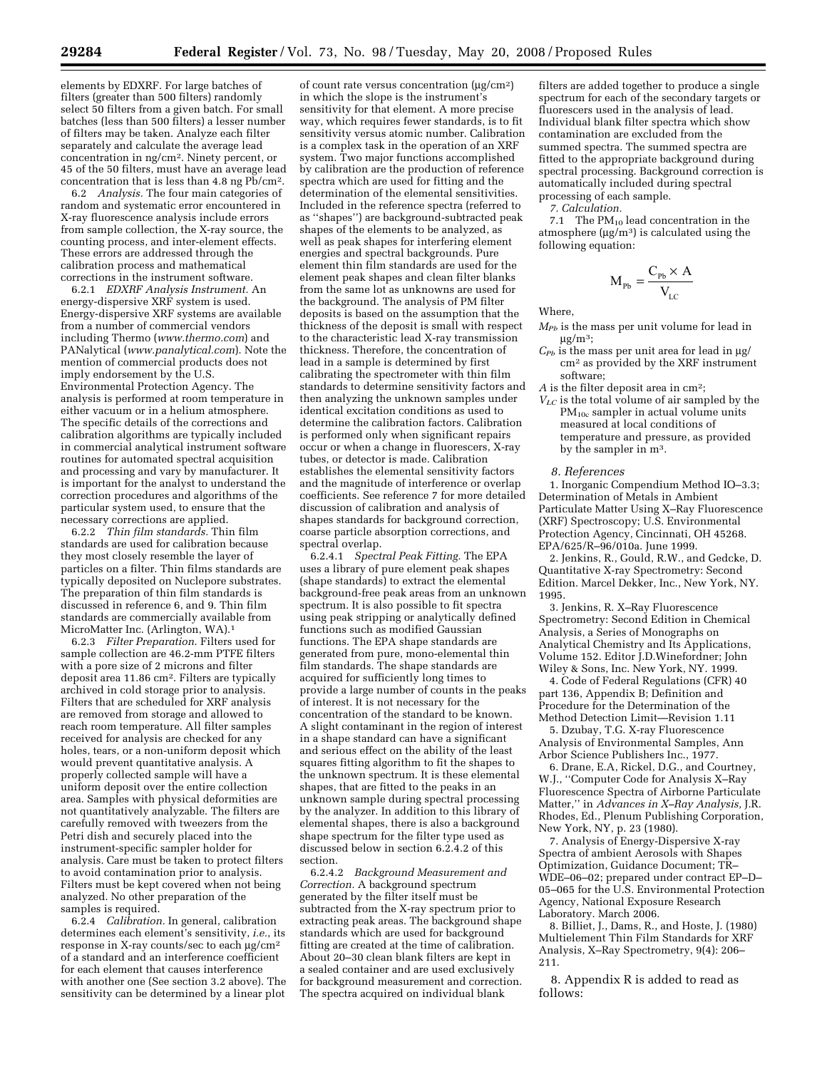concentration that is less than 4.8 ng Pb/cm2. 6.2 *Analysis.* The four main categories of random and systematic error encountered in X-ray fluorescence analysis include errors from sample collection, the X-ray source, the counting process, and inter-element effects. These errors are addressed through the calibration process and mathematical corrections in the instrument software.

6.2.1 *EDXRF Analysis Instrument.* An energy-dispersive XRF system is used. Energy-dispersive XRF systems are available from a number of commercial vendors including Thermo (*www.thermo.com*) and PANalytical (*www.panalytical.com*). Note the mention of commercial products does not imply endorsement by the U.S. Environmental Protection Agency. The analysis is performed at room temperature in either vacuum or in a helium atmosphere. The specific details of the corrections and calibration algorithms are typically included in commercial analytical instrument software routines for automated spectral acquisition and processing and vary by manufacturer. It is important for the analyst to understand the correction procedures and algorithms of the particular system used, to ensure that the necessary corrections are applied.

6.2.2 *Thin film standards.* Thin film standards are used for calibration because they most closely resemble the layer of particles on a filter. Thin films standards are typically deposited on Nuclepore substrates. The preparation of thin film standards is discussed in reference 6, and 9. Thin film standards are commercially available from MicroMatter Inc. (Arlington, WA).1

6.2.3 *Filter Preparation*. Filters used for sample collection are 46.2-mm PTFE filters with a pore size of 2 microns and filter deposit area 11.86 cm2. Filters are typically archived in cold storage prior to analysis. Filters that are scheduled for XRF analysis are removed from storage and allowed to reach room temperature. All filter samples received for analysis are checked for any holes, tears, or a non-uniform deposit which would prevent quantitative analysis. A properly collected sample will have a uniform deposit over the entire collection area. Samples with physical deformities are not quantitatively analyzable. The filters are carefully removed with tweezers from the Petri dish and securely placed into the instrument-specific sampler holder for analysis. Care must be taken to protect filters to avoid contamination prior to analysis. Filters must be kept covered when not being analyzed. No other preparation of the samples is required.

6.2.4 *Calibration.* In general, calibration determines each element's sensitivity, *i.e.*, its response in X-ray counts/sec to each  $\mu$ g/cm<sup>2</sup> of a standard and an interference coefficient for each element that causes interference with another one (See section 3.2 above). The sensitivity can be determined by a linear plot

of count rate versus concentration  $(\mu g/cm^2)$ in which the slope is the instrument's sensitivity for that element. A more precise way, which requires fewer standards, is to fit sensitivity versus atomic number. Calibration is a complex task in the operation of an XRF system. Two major functions accomplished by calibration are the production of reference spectra which are used for fitting and the determination of the elemental sensitivities. Included in the reference spectra (referred to as ''shapes'') are background-subtracted peak shapes of the elements to be analyzed, as well as peak shapes for interfering element energies and spectral backgrounds. Pure element thin film standards are used for the element peak shapes and clean filter blanks from the same lot as unknowns are used for the background. The analysis of PM filter deposits is based on the assumption that the thickness of the deposit is small with respect to the characteristic lead X-ray transmission thickness. Therefore, the concentration of lead in a sample is determined by first calibrating the spectrometer with thin film standards to determine sensitivity factors and then analyzing the unknown samples under identical excitation conditions as used to determine the calibration factors. Calibration is performed only when significant repairs occur or when a change in fluorescers, X-ray tubes, or detector is made. Calibration establishes the elemental sensitivity factors and the magnitude of interference or overlap coefficients. See reference 7 for more detailed discussion of calibration and analysis of shapes standards for background correction, coarse particle absorption corrections, and spectral overlap.

6.2.4.1 *Spectral Peak Fitting.* The EPA uses a library of pure element peak shapes (shape standards) to extract the elemental background-free peak areas from an unknown spectrum. It is also possible to fit spectra using peak stripping or analytically defined functions such as modified Gaussian functions. The EPA shape standards are generated from pure, mono-elemental thin film standards. The shape standards are acquired for sufficiently long times to provide a large number of counts in the peaks of interest. It is not necessary for the concentration of the standard to be known. A slight contaminant in the region of interest in a shape standard can have a significant and serious effect on the ability of the least squares fitting algorithm to fit the shapes to the unknown spectrum. It is these elemental shapes, that are fitted to the peaks in an unknown sample during spectral processing by the analyzer. In addition to this library of elemental shapes, there is also a background shape spectrum for the filter type used as discussed below in section 6.2.4.2 of this section.

6.2.4.2 *Background Measurement and Correction.* A background spectrum generated by the filter itself must be subtracted from the X-ray spectrum prior to extracting peak areas. The background shape standards which are used for background fitting are created at the time of calibration. About 20–30 clean blank filters are kept in a sealed container and are used exclusively for background measurement and correction. The spectra acquired on individual blank

filters are added together to produce a single spectrum for each of the secondary targets or fluorescers used in the analysis of lead. Individual blank filter spectra which show contamination are excluded from the summed spectra. The summed spectra are fitted to the appropriate background during spectral processing. Background correction is automatically included during spectral processing of each sample.

*7. Calculation.* 

7.1 The PM10 lead concentration in the atmosphere ( $\mu$ g/m<sup>3</sup>) is calculated using the following equation:

$$
M_{\rm Pb} = \frac{C_{\rm Pb} \times A}{V_{\rm LC}}
$$

Where,

- *MPb* is the mass per unit volume for lead in  $\mu$ g/m<sup>3</sup>;
- $C_{Pb}$  is the mass per unit area for lead in  $\mu$ g/ cm2 as provided by the XRF instrument software;

*A* is the filter deposit area in cm2;

*VLC* is the total volume of air sampled by the PM<sub>10c</sub> sampler in actual volume units measured at local conditions of temperature and pressure, as provided by the sampler in m3.

#### *8. References*

1. Inorganic Compendium Method IO–3.3; Determination of Metals in Ambient Particulate Matter Using X–Ray Fluorescence (XRF) Spectroscopy; U.S. Environmental Protection Agency, Cincinnati, OH 45268. EPA/625/R–96/010a. June 1999.

2. Jenkins, R., Gould, R.W., and Gedcke, D. Quantitative X-ray Spectrometry: Second Edition. Marcel Dekker, Inc., New York, NY. 1995.

3. Jenkins, R. X–Ray Fluorescence Spectrometry: Second Edition in Chemical Analysis, a Series of Monographs on Analytical Chemistry and Its Applications, Volume 152. Editor J.D.Winefordner; John Wiley & Sons, Inc. New York, NY. 1999.

4. Code of Federal Regulations (CFR) 40 part 136, Appendix B; Definition and Procedure for the Determination of the Method Detection Limit—Revision 1.11

5. Dzubay, T.G. X-ray Fluorescence Analysis of Environmental Samples, Ann Arbor Science Publishers Inc., 1977.

6. Drane, E.A, Rickel, D.G., and Courtney, W.J., ''Computer Code for Analysis X–Ray Fluorescence Spectra of Airborne Particulate Matter,'' in *Advances in X–Ray Analysis,* J.R. Rhodes, Ed., Plenum Publishing Corporation, New York, NY, p. 23 (1980).

7. Analysis of Energy-Dispersive X-ray Spectra of ambient Aerosols with Shapes Optimization, Guidance Document; TR– WDE–06–02; prepared under contract EP–D– 05–065 for the U.S. Environmental Protection Agency, National Exposure Research Laboratory. March 2006.

8. Billiet, J., Dams, R., and Hoste, J. (1980) Multielement Thin Film Standards for XRF Analysis, X–Ray Spectrometry, 9(4): 206– 211.

8. Appendix R is added to read as follows: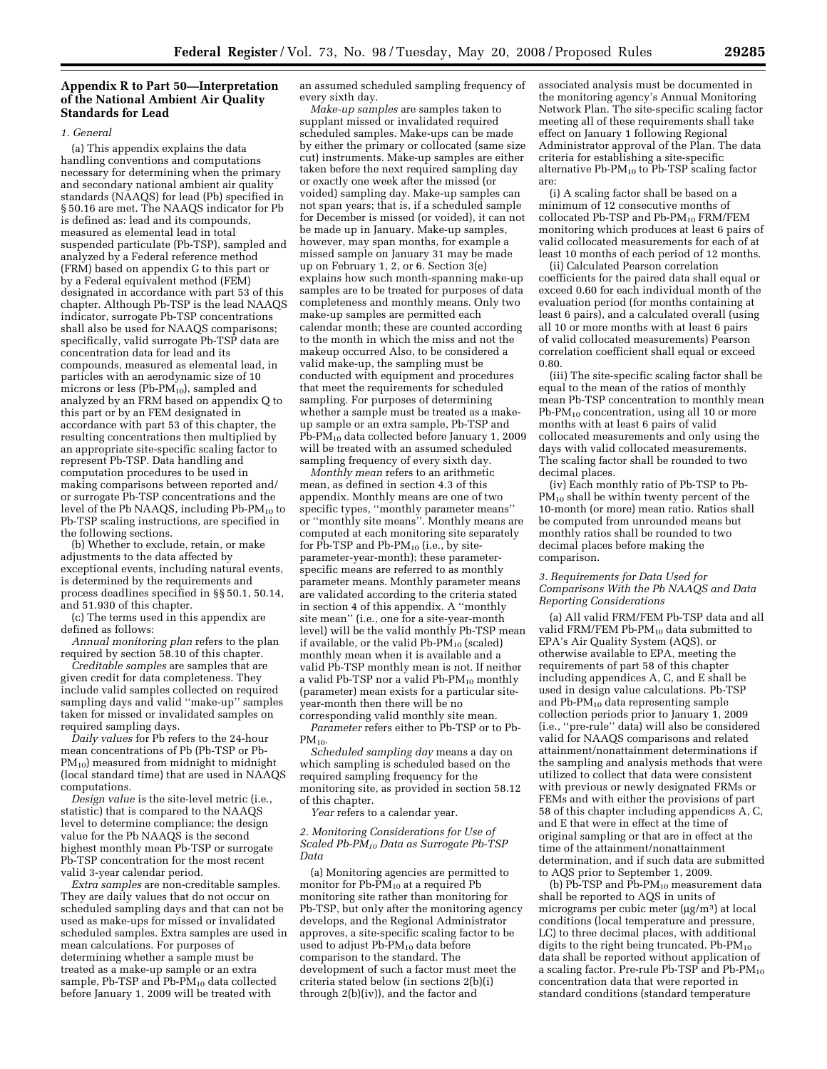# **Appendix R to Part 50—Interpretation of the National Ambient Air Quality Standards for Lead**

#### *1. General*

(a) This appendix explains the data handling conventions and computations necessary for determining when the primary and secondary national ambient air quality standards (NAAQS) for lead (Pb) specified in § 50.16 are met. The NAAQS indicator for Pb is defined as: lead and its compounds, measured as elemental lead in total suspended particulate (Pb-TSP), sampled and analyzed by a Federal reference method (FRM) based on appendix G to this part or by a Federal equivalent method (FEM) designated in accordance with part 53 of this chapter. Although Pb-TSP is the lead NAAQS indicator, surrogate Pb-TSP concentrations shall also be used for NAAQS comparisons; specifically, valid surrogate Pb-TSP data are concentration data for lead and its compounds, measured as elemental lead, in particles with an aerodynamic size of 10 microns or less (Pb-P $\widetilde{M}_{10}$ ), sampled and analyzed by an FRM based on appendix Q to this part or by an FEM designated in accordance with part 53 of this chapter, the resulting concentrations then multiplied by an appropriate site-specific scaling factor to represent Pb-TSP. Data handling and computation procedures to be used in making comparisons between reported and/ or surrogate Pb-TSP concentrations and the level of the Pb NAAQS, including  $Pb-PM_{10}$  to Pb-TSP scaling instructions, are specified in the following sections.

(b) Whether to exclude, retain, or make adjustments to the data affected by exceptional events, including natural events, is determined by the requirements and process deadlines specified in §§ 50.1, 50.14, and 51.930 of this chapter.

(c) The terms used in this appendix are defined as follows:

*Annual monitoring plan* refers to the plan required by section 58.10 of this chapter.

*Creditable samples* are samples that are given credit for data completeness. They include valid samples collected on required sampling days and valid ''make-up'' samples taken for missed or invalidated samples on required sampling days.

*Daily values* for Pb refers to the 24-hour mean concentrations of Pb (Pb-TSP or Pb-PM10) measured from midnight to midnight (local standard time) that are used in NAAQS computations.

*Design value* is the site-level metric (i.e., statistic) that is compared to the NAAQS level to determine compliance; the design value for the Pb NAAQS is the second highest monthly mean Pb-TSP or surrogate Pb-TSP concentration for the most recent valid 3-year calendar period.

*Extra samples* are non-creditable samples. They are daily values that do not occur on scheduled sampling days and that can not be used as make-ups for missed or invalidated scheduled samples. Extra samples are used in mean calculations. For purposes of determining whether a sample must be treated as a make-up sample or an extra sample, Pb-TSP and Pb- $\tilde{PM}_{10}$  data collected before January 1, 2009 will be treated with

an assumed scheduled sampling frequency of every sixth day.

*Make-up samples* are samples taken to supplant missed or invalidated required scheduled samples. Make-ups can be made by either the primary or collocated (same size cut) instruments. Make-up samples are either taken before the next required sampling day or exactly one week after the missed (or voided) sampling day. Make-up samples can not span years; that is, if a scheduled sample for December is missed (or voided), it can not be made up in January. Make-up samples, however, may span months, for example a missed sample on January 31 may be made up on February 1, 2, or 6. Section 3(e) explains how such month-spanning make-up samples are to be treated for purposes of data completeness and monthly means. Only two make-up samples are permitted each calendar month; these are counted according to the month in which the miss and not the makeup occurred Also, to be considered a valid make-up, the sampling must be conducted with equipment and procedures that meet the requirements for scheduled sampling. For purposes of determining whether a sample must be treated as a makeup sample or an extra sample, Pb-TSP and Pb-PM10 data collected before January 1, 2009 will be treated with an assumed scheduled sampling frequency of every sixth day.

*Monthly mean* refers to an arithmetic mean, as defined in section 4.3 of this appendix. Monthly means are one of two specific types, ''monthly parameter means'' or ''monthly site means''. Monthly means are computed at each monitoring site separately for  $\bar{\text{Pb}}$ -TSP and  $\text{Pb-PM}_{10}$  (i.e., by siteparameter-year-month); these parameterspecific means are referred to as monthly parameter means. Monthly parameter means are validated according to the criteria stated in section 4 of this appendix. A ''monthly site mean'' (i.e., one for a site-year-month level) will be the valid monthly Pb-TSP mean if available, or the valid  $Pb-PM_{10}$  (scaled) monthly mean when it is available and a valid Pb-TSP monthly mean is not. If neither a valid Pb-TSP nor a valid Pb- $PM_{10}$  monthly (parameter) mean exists for a particular siteyear-month then there will be no corresponding valid monthly site mean.

*Parameter* refers either to Pb-TSP or to Pb- $PM_{10}$ 

*Scheduled sampling day* means a day on which sampling is scheduled based on the required sampling frequency for the monitoring site, as provided in section 58.12 of this chapter.

*Year* refers to a calendar year.

*2. Monitoring Considerations for Use of Scaled Pb-PM10 Data as Surrogate Pb-TSP Data* 

(a) Monitoring agencies are permitted to monitor for Pb- $\tilde{P}M_{10}$  at a required Pb monitoring site rather than monitoring for Pb-TSP, but only after the monitoring agency develops, and the Regional Administrator approves, a site-specific scaling factor to be used to adjust  $Pb-PM_{10}$  data before comparison to the standard. The development of such a factor must meet the criteria stated below (in sections 2(b)(i) through 2(b)(iv)), and the factor and

associated analysis must be documented in the monitoring agency's Annual Monitoring Network Plan. The site-specific scaling factor meeting all of these requirements shall take effect on January 1 following Regional Administrator approval of the Plan. The data criteria for establishing a site-specific alternative Pb-P $M_{10}$  to Pb-TSP scaling factor are:

(i) A scaling factor shall be based on a minimum of 12 consecutive months of collocated Pb-TSP and Pb- $PM_{10}$  FRM/FEM monitoring which produces at least 6 pairs of valid collocated measurements for each of at least 10 months of each period of 12 months.

(ii) Calculated Pearson correlation coefficients for the paired data shall equal or exceed 0.60 for each individual month of the evaluation period (for months containing at least 6 pairs), and a calculated overall (using all 10 or more months with at least 6 pairs of valid collocated measurements) Pearson correlation coefficient shall equal or exceed 0.80.

(iii) The site-specific scaling factor shall be equal to the mean of the ratios of monthly mean Pb-TSP concentration to monthly mean Pb-PM<sub>10</sub> concentration, using all 10 or more months with at least 6 pairs of valid collocated measurements and only using the days with valid collocated measurements. The scaling factor shall be rounded to two decimal places.

(iv) Each monthly ratio of Pb-TSP to Pb-PM<sub>10</sub> shall be within twenty percent of the 10-month (or more) mean ratio. Ratios shall be computed from unrounded means but monthly ratios shall be rounded to two decimal places before making the comparison.

### *3. Requirements for Data Used for Comparisons With the Pb NAAQS and Data Reporting Considerations*

(a) All valid FRM/FEM Pb-TSP data and all valid FRM/FEM Pb-PM10 data submitted to EPA's Air Quality System (AQS), or otherwise available to EPA, meeting the requirements of part 58 of this chapter including appendices A, C, and E shall be used in design value calculations. Pb-TSP and Pb-PM10 data representing sample collection periods prior to January 1, 2009 (i.e., ''pre-rule'' data) will also be considered valid for NAAQS comparisons and related attainment/nonattainment determinations if the sampling and analysis methods that were utilized to collect that data were consistent with previous or newly designated FRMs or FEMs and with either the provisions of part 58 of this chapter including appendices A, C, and E that were in effect at the time of original sampling or that are in effect at the time of the attainment/nonattainment determination, and if such data are submitted to AQS prior to September 1, 2009.

(b)  $Pb$ -TSP and  $\tilde{P}b$ - $PM_{10}$  measurement data shall be reported to AQS in units of micrograms per cubic meter (µg/m<sup>3</sup>) at local conditions (local temperature and pressure, LC) to three decimal places, with additional digits to the right being truncated. Pb-P $M_{10}$ data shall be reported without application of a scaling factor. Pre-rule Pb-TSP and Pb-PM<sub>10</sub> concentration data that were reported in standard conditions (standard temperature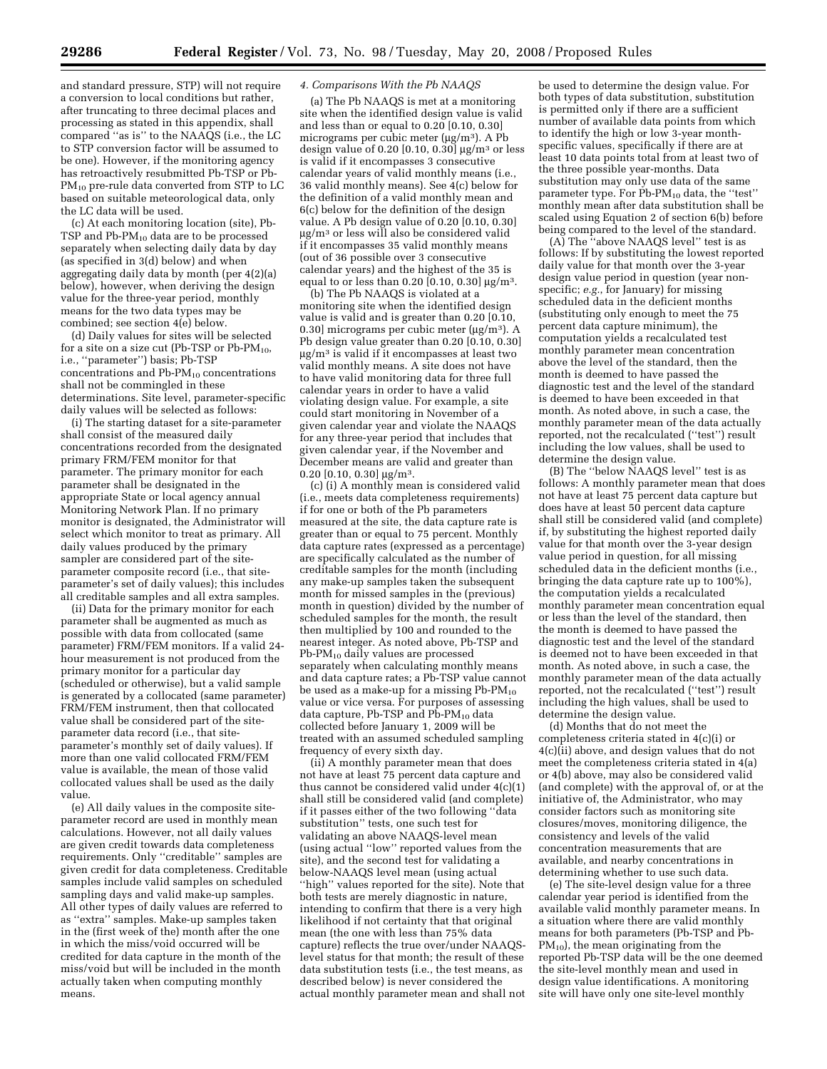and standard pressure, STP) will not require a conversion to local conditions but rather, after truncating to three decimal places and processing as stated in this appendix, shall compared ''as is'' to the NAAQS (i.e., the LC to STP conversion factor will be assumed to be one). However, if the monitoring agency has retroactively resubmitted Pb-TSP or Pb-PM<sub>10</sub> pre-rule data converted from STP to LC based on suitable meteorological data, only the LC data will be used.

(c) At each monitoring location (site), Pb-TSP and Pb-PM10 data are to be processed separately when selecting daily data by day (as specified in 3(d) below) and when aggregating daily data by month (per 4(2)(a) below), however, when deriving the design value for the three-year period, monthly means for the two data types may be combined; see section 4(e) below.

(d) Daily values for sites will be selected for a site on a size cut (Pb-TSP or Pb- $PM_{10}$ , i.e., ''parameter'') basis; Pb-TSP  $concentrations$  and  $Pb-PM<sub>10</sub>$  concentrations shall not be commingled in these determinations. Site level, parameter-specific daily values will be selected as follows:

(i) The starting dataset for a site-parameter shall consist of the measured daily concentrations recorded from the designated primary FRM/FEM monitor for that parameter. The primary monitor for each parameter shall be designated in the appropriate State or local agency annual Monitoring Network Plan. If no primary monitor is designated, the Administrator will select which monitor to treat as primary. All daily values produced by the primary sampler are considered part of the siteparameter composite record (i.e., that siteparameter's set of daily values); this includes all creditable samples and all extra samples.

(ii) Data for the primary monitor for each parameter shall be augmented as much as possible with data from collocated (same parameter) FRM/FEM monitors. If a valid 24 hour measurement is not produced from the primary monitor for a particular day (scheduled or otherwise), but a valid sample is generated by a collocated (same parameter) FRM/FEM instrument, then that collocated value shall be considered part of the siteparameter data record (i.e., that siteparameter's monthly set of daily values). If more than one valid collocated FRM/FEM value is available, the mean of those valid collocated values shall be used as the daily value.

(e) All daily values in the composite siteparameter record are used in monthly mean calculations. However, not all daily values are given credit towards data completeness requirements. Only ''creditable'' samples are given credit for data completeness. Creditable samples include valid samples on scheduled sampling days and valid make-up samples. All other types of daily values are referred to as ''extra'' samples. Make-up samples taken in the (first week of the) month after the one in which the miss/void occurred will be credited for data capture in the month of the miss/void but will be included in the month actually taken when computing monthly means.

### *4. Comparisons With the Pb NAAQS*

(a) The Pb NAAQS is met at a monitoring site when the identified design value is valid and less than or equal to 0.20 [0.10, 0.30] micrograms per cubic meter  $(\mu g/m^3)$ . A Pb design value of 0.20  $[0.10, 0.30]$   $\mu$ g/m<sup>3</sup> or less is valid if it encompasses 3 consecutive calendar years of valid monthly means (i.e., 36 valid monthly means). See 4(c) below for the definition of a valid monthly mean and 6(c) below for the definition of the design value. A Pb design value of 0.20 [0.10, 0.30] µg/m3 or less will also be considered valid if it encompasses 35 valid monthly means (out of 36 possible over 3 consecutive calendar years) and the highest of the 35 is equal to or less than  $0.20$  [0.10, 0.30]  $\mu$ g/m<sup>3</sup>.

(b) The Pb NAAQS is violated at a monitoring site when the identified design value is valid and is greater than 0.20 [0.10, 0.30] micrograms per cubic meter  $(\mu g/m^3)$ . A Pb design value greater than 0.20 [0.10, 0.30] µg/m3 is valid if it encompasses at least two valid monthly means. A site does not have to have valid monitoring data for three full calendar years in order to have a valid violating design value. For example, a site could start monitoring in November of a given calendar year and violate the NAAQS for any three-year period that includes that given calendar year, if the November and December means are valid and greater than  $0.20$  [0.10, 0.30]  $\mu$ g/m<sup>3</sup>.

(c) (i) A monthly mean is considered valid (i.e., meets data completeness requirements) if for one or both of the Pb parameters measured at the site, the data capture rate is greater than or equal to 75 percent. Monthly data capture rates (expressed as a percentage) are specifically calculated as the number of creditable samples for the month (including any make-up samples taken the subsequent month for missed samples in the (previous) month in question) divided by the number of scheduled samples for the month, the result then multiplied by 100 and rounded to the nearest integer. As noted above, Pb-TSP and Pb-PM<sub>10</sub> daily values are processed separately when calculating monthly means and data capture rates; a Pb-TSP value cannot be used as a make-up for a missing  $Pb-PM_{10}$ value or vice versa. For purposes of assessing data capture, Pb-TSP and  $\vec{Pb}$ -PM<sub>10</sub> data collected before January 1, 2009 will be treated with an assumed scheduled sampling frequency of every sixth day.

(ii) A monthly parameter mean that does not have at least 75 percent data capture and thus cannot be considered valid under  $4(c)(1)$ shall still be considered valid (and complete) if it passes either of the two following ''data substitution'' tests, one such test for validating an above NAAQS-level mean (using actual ''low'' reported values from the site), and the second test for validating a below-NAAQS level mean (using actual ''high'' values reported for the site). Note that both tests are merely diagnostic in nature, intending to confirm that there is a very high likelihood if not certainty that that original mean (the one with less than 75% data capture) reflects the true over/under NAAQSlevel status for that month; the result of these data substitution tests (i.e., the test means, as described below) is never considered the actual monthly parameter mean and shall not

be used to determine the design value. For both types of data substitution, substitution is permitted only if there are a sufficient number of available data points from which to identify the high or low 3-year monthspecific values, specifically if there are at least 10 data points total from at least two of the three possible year-months. Data substitution may only use data of the same parameter type. For Pb-PM<sub>10</sub> data, the "test" monthly mean after data substitution shall be scaled using Equation 2 of section 6(b) before being compared to the level of the standard.

(A) The ''above NAAQS level'' test is as follows: If by substituting the lowest reported daily value for that month over the 3-year design value period in question (year nonspecific; *e.g.*, for January) for missing scheduled data in the deficient months (substituting only enough to meet the 75 percent data capture minimum), the computation yields a recalculated test monthly parameter mean concentration above the level of the standard, then the month is deemed to have passed the diagnostic test and the level of the standard is deemed to have been exceeded in that month. As noted above, in such a case, the monthly parameter mean of the data actually reported, not the recalculated (''test'') result including the low values, shall be used to determine the design value.

(B) The ''below NAAQS level'' test is as follows: A monthly parameter mean that does not have at least 75 percent data capture but does have at least 50 percent data capture shall still be considered valid (and complete) if, by substituting the highest reported daily value for that month over the 3-year design value period in question, for all missing scheduled data in the deficient months (i.e., bringing the data capture rate up to 100%), the computation yields a recalculated monthly parameter mean concentration equal or less than the level of the standard, then the month is deemed to have passed the diagnostic test and the level of the standard is deemed not to have been exceeded in that month. As noted above, in such a case, the monthly parameter mean of the data actually reported, not the recalculated (''test'') result including the high values, shall be used to determine the design value.

(d) Months that do not meet the completeness criteria stated in 4(c)(i) or 4(c)(ii) above, and design values that do not meet the completeness criteria stated in 4(a) or 4(b) above, may also be considered valid (and complete) with the approval of, or at the initiative of, the Administrator, who may consider factors such as monitoring site closures/moves, monitoring diligence, the consistency and levels of the valid concentration measurements that are available, and nearby concentrations in determining whether to use such data.

(e) The site-level design value for a three calendar year period is identified from the available valid monthly parameter means. In a situation where there are valid monthly means for both parameters (Pb-TSP and Pb- $PM_{10}$ , the mean originating from the reported Pb-TSP data will be the one deemed the site-level monthly mean and used in design value identifications. A monitoring site will have only one site-level monthly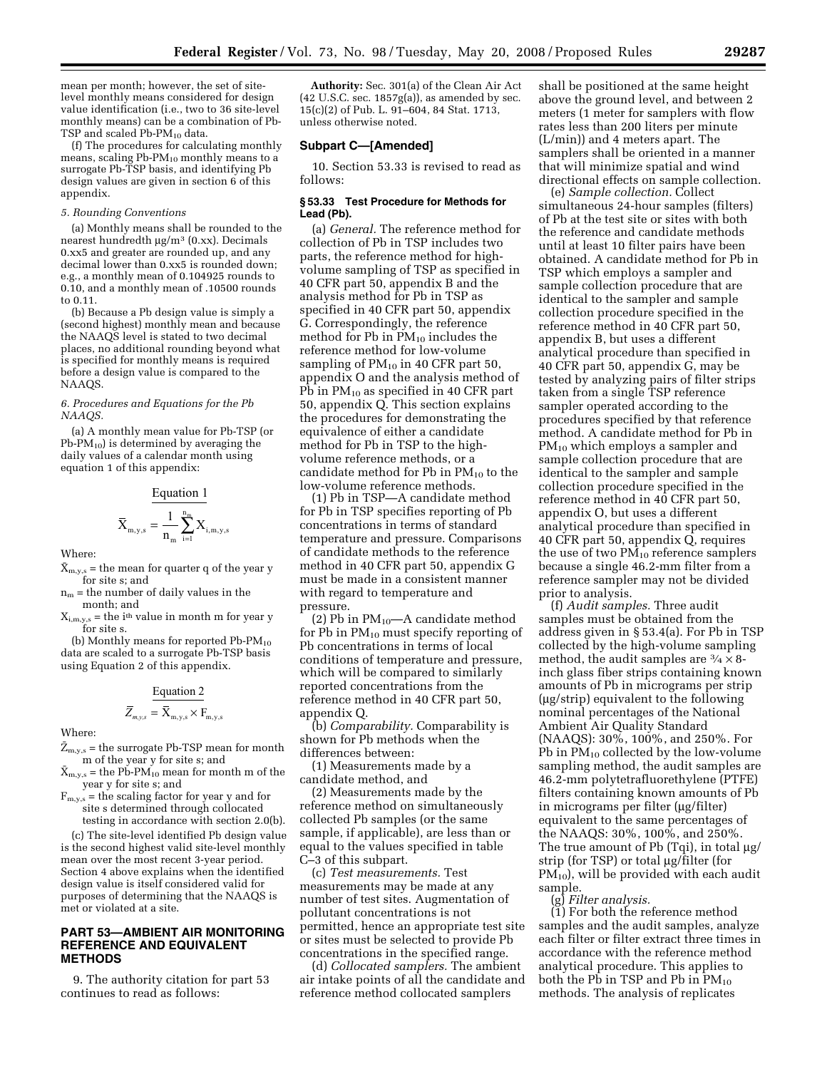mean per month; however, the set of sitelevel monthly means considered for design value identification (i.e., two to 36 site-level monthly means) can be a combination of Pb-TSP and scaled Pb-PM<sub>10</sub> data.

(f) The procedures for calculating monthly means, scaling  $Pb-PM_{10}$  monthly means to a surrogate Pb-TSP basis, and identifying Pb design values are given in section 6 of this appendix.

#### *5. Rounding Conventions*

(a) Monthly means shall be rounded to the nearest hundredth µg/m3 (0.xx). Decimals 0.xx5 and greater are rounded up, and any decimal lower than 0.xx5 is rounded down; e.g., a monthly mean of 0.104925 rounds to 0.10, and a monthly mean of .10500 rounds to 0.11.

(b) Because a Pb design value is simply a (second highest) monthly mean and because the NAAQS level is stated to two decimal places, no additional rounding beyond what is specified for monthly means is required before a design value is compared to the NAAQS.

#### *6. Procedures and Equations for the Pb NAAQS.*

(a) A monthly mean value for Pb-TSP (or  $Pb-PM_{10}$ ) is determined by averaging the daily values of a calendar month using equation 1 of this appendix:

#### Equation 1

$$
\overline{X}_{m,y,s} = \frac{1}{n_m} \sum_{i=1}^{n_m} X_{i,m,y,s}
$$

Where:

- $\bar{X}_{m,y,s}$  = the mean for quarter q of the year y for site s; and
- $n_m$  = the number of daily values in the month; and
- $X_{i,m,y,s}$  = the i<sup>th</sup> value in month m for year y for site s.

(b) Monthly means for reported Pb- $PM_{10}$ data are scaled to a surrogate Pb-TSP basis using Equation 2 of this appendix.

$$
\frac{\text{Equation 2}}{\bar{Z}_{m,y,s}} = \overline{X}_{m,y,s} \times F_{m,y,s}
$$

Where:

- $\bar{Z}_{m,y,s}$  = the surrogate Pb-TSP mean for month m of the year y for site s; and
- $\bar{X}_{m,y,s}$  = the Pb-PM<sub>10</sub> mean for month m of the year y for site s; and
- $F_{m,y,s}$  = the scaling factor for year y and for site s determined through collocated testing in accordance with section 2.0(b).

(c) The site-level identified Pb design value is the second highest valid site-level monthly mean over the most recent 3-year period. Section 4 above explains when the identified design value is itself considered valid for purposes of determining that the NAAQS is met or violated at a site.

## **PART 53—AMBIENT AIR MONITORING REFERENCE AND EQUIVALENT METHODS**

9. The authority citation for part 53 continues to read as follows:

**Authority:** Sec. 301(a) of the Clean Air Act  $(42 \text{ U.S.C. sec. } 1857g(a))$ , as amended by sec. 15(c)(2) of Pub. L. 91–604, 84 Stat. 1713, unless otherwise noted.

### **Subpart C—[Amended]**

10. Section 53.33 is revised to read as follows:

#### **§ 53.33 Test Procedure for Methods for Lead (Pb).**

(a) *General.* The reference method for collection of Pb in TSP includes two parts, the reference method for highvolume sampling of TSP as specified in 40 CFR part 50, appendix B and the analysis method for Pb in TSP as specified in 40 CFR part 50, appendix G. Correspondingly, the reference method for Pb in  $PM_{10}$  includes the reference method for low-volume sampling of  $PM_{10}$  in 40 CFR part 50, appendix O and the analysis method of Pb in  $PM_{10}$  as specified in 40 CFR part 50, appendix Q. This section explains the procedures for demonstrating the equivalence of either a candidate method for Pb in TSP to the highvolume reference methods, or a candidate method for Pb in  $PM_{10}$  to the low-volume reference methods.

(1) Pb in TSP—A candidate method for Pb in TSP specifies reporting of Pb concentrations in terms of standard temperature and pressure. Comparisons of candidate methods to the reference method in 40 CFR part 50, appendix G must be made in a consistent manner with regard to temperature and pressure.

(2) Pb in  $PM_{10}$ —A candidate method for Pb in PM10 must specify reporting of Pb concentrations in terms of local conditions of temperature and pressure, which will be compared to similarly reported concentrations from the reference method in 40 CFR part 50, appendix Q.

(b) *Comparability.* Comparability is shown for Pb methods when the differences between:

(1) Measurements made by a candidate method, and

(2) Measurements made by the reference method on simultaneously collected Pb samples (or the same sample, if applicable), are less than or equal to the values specified in table C–3 of this subpart.

(c) *Test measurements.* Test measurements may be made at any number of test sites. Augmentation of pollutant concentrations is not permitted, hence an appropriate test site or sites must be selected to provide Pb concentrations in the specified range.

(d) *Collocated samplers.* The ambient air intake points of all the candidate and reference method collocated samplers

shall be positioned at the same height above the ground level, and between 2 meters (1 meter for samplers with flow rates less than 200 liters per minute (L/min)) and 4 meters apart. The samplers shall be oriented in a manner that will minimize spatial and wind directional effects on sample collection.

(e) *Sample collection.* Collect simultaneous 24-hour samples (filters) of Pb at the test site or sites with both the reference and candidate methods until at least 10 filter pairs have been obtained. A candidate method for Pb in TSP which employs a sampler and sample collection procedure that are identical to the sampler and sample collection procedure specified in the reference method in 40 CFR part 50, appendix B, but uses a different analytical procedure than specified in 40 CFR part 50, appendix G, may be tested by analyzing pairs of filter strips taken from a single TSP reference sampler operated according to the procedures specified by that reference method. A candidate method for Pb in PM<sub>10</sub> which employs a sampler and sample collection procedure that are identical to the sampler and sample collection procedure specified in the reference method in 40 CFR part 50, appendix O, but uses a different analytical procedure than specified in 40 CFR part 50, appendix Q, requires the use of two  $\mathrm{PM_{10}}$  reference samplers because a single 46.2-mm filter from a reference sampler may not be divided prior to analysis.

(f) *Audit samples.* Three audit samples must be obtained from the address given in § 53.4(a). For Pb in TSP collected by the high-volume sampling method, the audit samples are  $\frac{3}{4} \times 8$ inch glass fiber strips containing known amounts of Pb in micrograms per strip (µg/strip) equivalent to the following nominal percentages of the National Ambient Air Quality Standard (NAAQS): 30%, 100%, and 250%. For Pb in  $PM_{10}$  collected by the low-volume sampling method, the audit samples are 46.2-mm polytetrafluorethylene (PTFE) filters containing known amounts of Pb in micrograms per filter (µg/filter) equivalent to the same percentages of the NAAQS: 30%, 100%, and 250%. The true amount of Pb (Tqi), in total  $\mu$ g/ strip (for TSP) or total µg/filter (for PM10), will be provided with each audit sample.

(g) *Filter analysis.* 

(1) For both the reference method samples and the audit samples, analyze each filter or filter extract three times in accordance with the reference method analytical procedure. This applies to both the Pb in TSP and Pb in  $PM_{10}$ methods. The analysis of replicates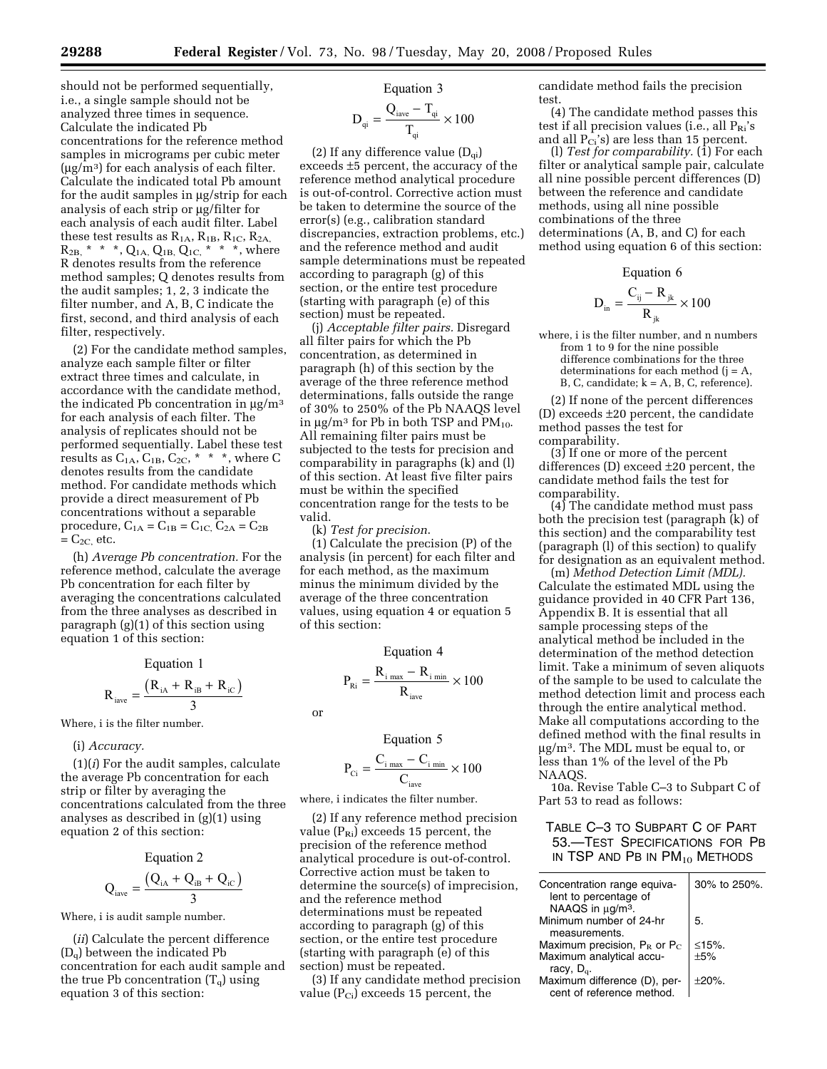should not be performed sequentially, i.e., a single sample should not be analyzed three times in sequence. Calculate the indicated Pb concentrations for the reference method samples in micrograms per cubic meter  $(\mu g/m^3)$  for each analysis of each filter. Calculate the indicated total Pb amount for the audit samples in µg/strip for each analysis of each strip or µg/filter for each analysis of each audit filter. Label these test results as  $R_{1A}$ ,  $R_{1B}$ ,  $R_{1C}$ ,  $R_{2A}$ ,  $R_{2B}$ , \* \* \*,  $Q_{1A}$ ,  $Q_{1B}$ ,  $Q_{1C}$ , \* \* \*, where R denotes results from the reference method samples; Q denotes results from the audit samples; 1, 2, 3 indicate the filter number, and A, B, C indicate the first, second, and third analysis of each filter, respectively.

(2) For the candidate method samples, analyze each sample filter or filter extract three times and calculate, in accordance with the candidate method, the indicated Pb concentration in  $\mu$ g/m<sup>3</sup> for each analysis of each filter. The analysis of replicates should not be performed sequentially. Label these test results as  $C<sub>1A</sub>$ ,  $C<sub>1B</sub>$ ,  $C<sub>2C</sub>$ , \* \* \*, where C denotes results from the candidate method. For candidate methods which provide a direct measurement of Pb concentrations without a separable procedure,  $C_{1A} = C_{1B} = C_{1C}$ ,  $C_{2A} = C_{2B}$  $=C_{2C}$ , etc.

(h) *Average Pb concentration.* For the reference method, calculate the average Pb concentration for each filter by averaging the concentrations calculated from the three analyses as described in paragraph (g)(1) of this section using equation 1 of this section:

Equation 1  

$$
R_{iave} = \frac{(R_{iA} + R_{iB} + R_{ic})}{3}
$$

Where, i is the filter number.

#### (i) *Accuracy.*

(1)(*i*) For the audit samples, calculate the average Pb concentration for each strip or filter by averaging the concentrations calculated from the three analyses as described in (g)(1) using equation 2 of this section:

#### Equation 2

$$
Q_{\text{iave}} = \frac{(Q_{iA} + Q_{iB} + Q_{iC})}{3}
$$

Where, i is audit sample number.

(*ii*) Calculate the percent difference (Dq) between the indicated Pb concentration for each audit sample and the true Pb concentration  $(T_q)$  using equation 3 of this section:

# Equation 3

$$
D_{qi} = \frac{Q_{iave} - T_{qi}}{T_{qi}} \times 100
$$

(2) If any difference value  $(D_{qi})$ exceeds ±5 percent, the accuracy of the reference method analytical procedure is out-of-control. Corrective action must be taken to determine the source of the error(s) (e.g., calibration standard discrepancies, extraction problems, etc.) and the reference method and audit sample determinations must be repeated according to paragraph (g) of this section, or the entire test procedure (starting with paragraph (e) of this section) must be repeated.

(j) *Acceptable filter pairs.* Disregard all filter pairs for which the Pb concentration, as determined in paragraph (h) of this section by the average of the three reference method determinations, falls outside the range of 30% to 250% of the Pb NAAQS level in  $\mu$ g/m<sup>3</sup> for Pb in both TSP and PM<sub>10</sub>. All remaining filter pairs must be subjected to the tests for precision and comparability in paragraphs (k) and (l) of this section. At least five filter pairs must be within the specified concentration range for the tests to be valid.

(k) *Test for precision*.

(1) Calculate the precision (P) of the analysis (in percent) for each filter and for each method, as the maximum minus the minimum divided by the average of the three concentration values, using equation 4 or equation 5 of this section:

Equation 4  
\n
$$
P_{\text{Ri}} = \frac{R_{i \text{ max}} - R_{i \text{ min}}}{R_{\text{iave}}} \times 100
$$

or

## Equation 5

$$
P_{\rm Ci} = \frac{C_{i \text{ max}} - C_{i \text{ min}}}{C_{\rm iave}} \times 100
$$

where, i indicates the filter number.

(2) If any reference method precision value  $(P_{\text{Ri}})$  exceeds 15 percent, the precision of the reference method analytical procedure is out-of-control. Corrective action must be taken to determine the source(s) of imprecision, and the reference method determinations must be repeated according to paragraph (g) of this section, or the entire test procedure (starting with paragraph (e) of this section) must be repeated.

(3) If any candidate method precision value  $(P_{Ci})$  exceeds 15 percent, the

candidate method fails the precision test.

(4) The candidate method passes this test if all precision values (i.e., all  $P_{Ri}$ 's and all  $P_{Ci}$ 's) are less than 15 percent.

(l) *Test for comparability.* (1) For each filter or analytical sample pair, calculate all nine possible percent differences (D) between the reference and candidate methods, using all nine possible combinations of the three determinations (A, B, and C) for each method using equation 6 of this section:

Equation 6

$$
D_{\text{in}} = \frac{C_{\text{ij}} - R_{\text{jk}}}{R_{\text{jk}}} \times 100
$$

where, i is the filter number, and n numbers from 1 to 9 for the nine possible difference combinations for the three determinations for each method  $(i = A,$  $B, C,$  candidate;  $k = A, B, C$ , reference).

(2) If none of the percent differences (D) exceeds ±20 percent, the candidate method passes the test for comparability.

(3) If one or more of the percent differences (D) exceed ±20 percent, the candidate method fails the test for comparability.

(4) The candidate method must pass both the precision test (paragraph (k) of this section) and the comparability test (paragraph (l) of this section) to qualify for designation as an equivalent method.

(m) *Method Detection Limit (MDL).*  Calculate the estimated MDL using the guidance provided in 40 CFR Part 136, Appendix B. It is essential that all sample processing steps of the analytical method be included in the determination of the method detection limit. Take a minimum of seven aliquots of the sample to be used to calculate the method detection limit and process each through the entire analytical method. Make all computations according to the defined method with the final results in µg/m3. The MDL must be equal to, or less than 1% of the level of the Pb NAAQS.

10a. Revise Table C–3 to Subpart C of Part 53 to read as follows:

# TABLE C–3 TO SUBPART C OF PART 53.—TEST SPECIFICATIONS FOR PB IN TSP AND PB IN  $PM_{10}$  Methods

| Concentration range equiva-<br>lent to percentage of<br>NAAQS in µg/m <sup>3</sup> . | 30% to 250%.  |
|--------------------------------------------------------------------------------------|---------------|
| Minimum number of 24-hr                                                              | 5.            |
| measurements.                                                                        |               |
| Maximum precision, $P_R$ or $P_C$                                                    | $\leq 15\%$ . |
| Maximum analytical accu-                                                             | $+5%$         |
| racy, $D_{\alpha}$ .                                                                 |               |
| Maximum difference (D), per-                                                         | $+20%$        |
| cent of reference method.                                                            |               |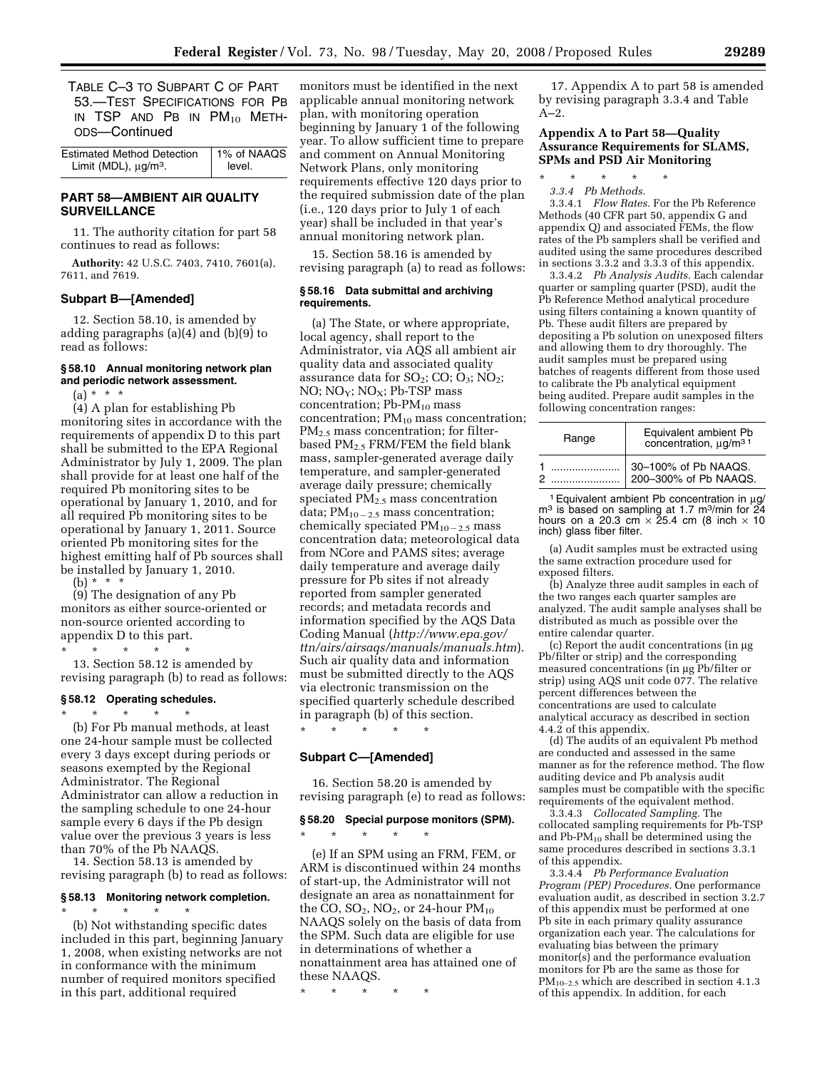TABLE C–3 TO SUBPART C OF PART 53.—TEST SPECIFICATIONS FOR PB IN TSP AND PB IN  $PM_{10}$  METH-ODS—Continued

| <b>Estimated Method Detection</b>     | 1% of NAAQS |  |
|---------------------------------------|-------------|--|
| Limit (MDL), $\mu$ g/m <sup>3</sup> . | level.      |  |

## **PART 58—AMBIENT AIR QUALITY SURVEILLANCE**

11. The authority citation for part 58 continues to read as follows:

**Authority:** 42 U.S.C. 7403, 7410, 7601(a), 7611, and 7619.

### **Subpart B—[Amended]**

12. Section 58.10, is amended by adding paragraphs (a)(4) and (b)(9) to read as follows:

### **§ 58.10 Annual monitoring network plan and periodic network assessment.**

 $(a) * * * *$ (4) A plan for establishing Pb monitoring sites in accordance with the requirements of appendix D to this part shall be submitted to the EPA Regional Administrator by July 1, 2009. The plan shall provide for at least one half of the required Pb monitoring sites to be operational by January 1, 2010, and for all required Pb monitoring sites to be operational by January 1, 2011. Source oriented Pb monitoring sites for the highest emitting half of Pb sources shall be installed by January 1, 2010. (b)  $* * * *$ 

(9) The designation of any Pb monitors as either source-oriented or non-source oriented according to appendix D to this part.

\* \* \* \* \* 13. Section 58.12 is amended by revising paragraph (b) to read as follows:

### **§ 58.12 Operating schedules.**  \* \* \* \* \*

(b) For Pb manual methods, at least one 24-hour sample must be collected every 3 days except during periods or seasons exempted by the Regional Administrator. The Regional Administrator can allow a reduction in the sampling schedule to one 24-hour sample every 6 days if the Pb design value over the previous 3 years is less than 70% of the Pb NAAQS.

14. Section 58.13 is amended by revising paragraph (b) to read as follows:

### **§ 58.13 Monitoring network completion.**   $\star$   $\qquad$   $\star$   $\qquad$   $\star$

(b) Not withstanding specific dates included in this part, beginning January 1, 2008, when existing networks are not in conformance with the minimum number of required monitors specified in this part, additional required

monitors must be identified in the next applicable annual monitoring network plan, with monitoring operation beginning by January 1 of the following year. To allow sufficient time to prepare and comment on Annual Monitoring Network Plans, only monitoring requirements effective 120 days prior to the required submission date of the plan (i.e., 120 days prior to July 1 of each year) shall be included in that year's annual monitoring network plan.

15. Section 58.16 is amended by revising paragraph (a) to read as follows:

### **§ 58.16 Data submittal and archiving requirements.**

(a) The State, or where appropriate, local agency, shall report to the Administrator, via AQS all ambient air quality data and associated quality assurance data for  $SO_2$ ;  $CO$ ;  $O_3$ ;  $NO_2$ ;  $NO$ ;  $NO<sub>X</sub>$ ;  $NO<sub>X</sub>$ ;  $Pb$ -TSP mass concentration;  $Pb-PM_{10}$  mass concentration;  $PM_{10}$  mass concentration; PM2.5 mass concentration; for filterbased  $PM_{2.5}$  FRM/FEM the field blank mass, sampler-generated average daily temperature, and sampler-generated average daily pressure; chemically speciated  $PM<sub>2.5</sub>$  mass concentration data;  $PM_{10-2.5}$  mass concentration; chemically speciated  $PM_{10-2.5}$  mass concentration data; meteorological data from NCore and PAMS sites; average daily temperature and average daily pressure for Pb sites if not already reported from sampler generated records; and metadata records and information specified by the AQS Data Coding Manual (*http://www.epa.gov/ ttn/airs/airsaqs/manuals/manuals.htm*). Such air quality data and information must be submitted directly to the AQS via electronic transmission on the specified quarterly schedule described in paragraph (b) of this section.

\* \* \* \* \*

### **Subpart C—[Amended]**

16. Section 58.20 is amended by revising paragraph (e) to read as follows:

### **§ 58.20 Special purpose monitors (SPM).**

\* \* \* \* \* (e) If an SPM using an FRM, FEM, or ARM is discontinued within 24 months of start-up, the Administrator will not designate an area as nonattainment for the CO,  $SO_2$ ,  $NO_2$ , or 24-hour  $PM_{10}$ NAAQS solely on the basis of data from the SPM. Such data are eligible for use in determinations of whether a nonattainment area has attained one of these NAAQS.

\* \* \* \* \*

17. Appendix A to part 58 is amended by revising paragraph 3.3.4 and Table A–2.

## **Appendix A to Part 58—Quality Assurance Requirements for SLAMS, SPMs and PSD Air Monitoring**

\* \* \* \* \* *3.3.4 Pb Methods.* 

3.3.4.1 *Flow Rates.* For the Pb Reference Methods (40 CFR part 50, appendix G and appendix Q) and associated FEMs, the flow rates of the Pb samplers shall be verified and audited using the same procedures described in sections 3.3.2 and 3.3.3 of this appendix.

3.3.4.2 *Pb Analysis Audits.* Each calendar quarter or sampling quarter (PSD), audit the Pb Reference Method analytical procedure using filters containing a known quantity of Pb. These audit filters are prepared by depositing a Pb solution on unexposed filters and allowing them to dry thoroughly. The audit samples must be prepared using batches of reagents different from those used to calibrate the Pb analytical equipment being audited. Prepare audit samples in the following concentration ranges:

| Range | Equivalent ambient Pb concentration, $\mu g/m^{3.1}$ |
|-------|------------------------------------------------------|
|       | 30-100% of Pb NAAQS.<br>200-300% of Pb NAAQS.        |

1Equivalent ambient Pb concentration in µg/ m3 is based on sampling at 1.7 m3/min for 24 hours on a 20.3 cm  $\times$  25.4 cm (8 inch  $\times$  10 inch) glass fiber filter.

(a) Audit samples must be extracted using the same extraction procedure used for exposed filters.

(b) Analyze three audit samples in each of the two ranges each quarter samples are analyzed. The audit sample analyses shall be distributed as much as possible over the entire calendar quarter.

(c) Report the audit concentrations (in µg Pb/filter or strip) and the corresponding measured concentrations (in µg Pb/filter or strip) using AQS unit code 077. The relative percent differences between the concentrations are used to calculate analytical accuracy as described in section 4.4.2 of this appendix.

(d) The audits of an equivalent Pb method are conducted and assessed in the same manner as for the reference method. The flow auditing device and Pb analysis audit samples must be compatible with the specific requirements of the equivalent method.

3.3.4.3 *Collocated Sampling.* The collocated sampling requirements for Pb-TSP and  $Pb-PM_{10}$  shall be determined using the same procedures described in sections 3.3.1 of this appendix.

3.3.4.4 *Pb Performance Evaluation Program (PEP) Procedures.* One performance evaluation audit, as described in section 3.2.7 of this appendix must be performed at one Pb site in each primary quality assurance organization each year. The calculations for evaluating bias between the primary monitor(s) and the performance evaluation monitors for Pb are the same as those for PM10–2.5 which are described in section 4.1.3 of this appendix. In addition, for each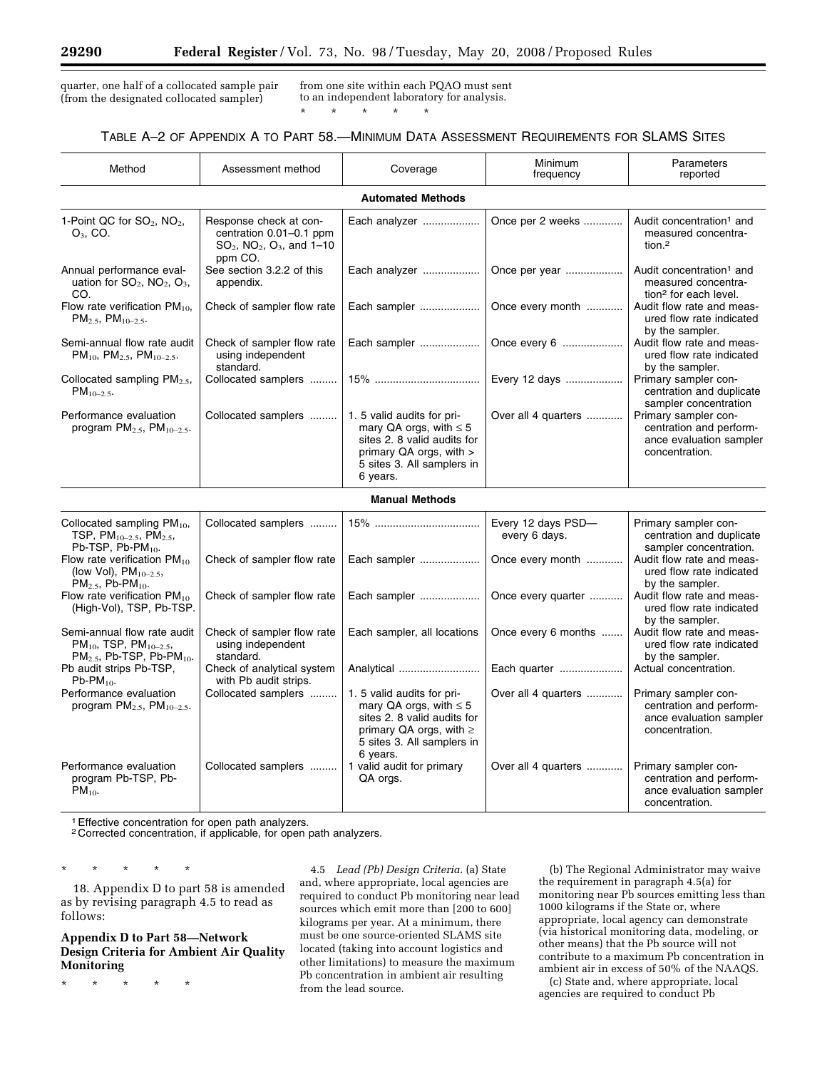quarter, one half of a collocated sample pair (from the designated collocated sampler)

from one site within each PQAO must sent to an independent laboratory for analysis. \* \* \* \* \*

# TABLE A–2 OF APPENDIX A TO PART 58.—MINIMUM DATA ASSESSMENT REQUIREMENTS FOR SLAMS SITES

| Method                                                                                                                   | Assessment method                                                                                                      | Coverage                                                                                                                                                           | Minimum<br>frequency                | Parameters<br>reported                                                                           |
|--------------------------------------------------------------------------------------------------------------------------|------------------------------------------------------------------------------------------------------------------------|--------------------------------------------------------------------------------------------------------------------------------------------------------------------|-------------------------------------|--------------------------------------------------------------------------------------------------|
|                                                                                                                          |                                                                                                                        | <b>Automated Methods</b>                                                                                                                                           |                                     |                                                                                                  |
| 1-Point QC for $SO_2$ , $NO_2$ ,<br>$O_3$ , CO.                                                                          | Response check at con-<br>centration 0.01-0.1 ppm<br>$SO_2$ , NO <sub>2</sub> , O <sub>3</sub> , and $1-10$<br>ppm CO. | Each analyzer                                                                                                                                                      | Once per 2 weeks                    | Audit concentration <sup>1</sup> and<br>measured concentra-<br>tion <sup>2</sup>                 |
| Annual performance eval-<br>uation for $SO_2$ , $NO_2$ , $O_3$ ,<br>CO.                                                  | See section 3.2.2 of this<br>appendix.                                                                                 | Each analyzer                                                                                                                                                      | Once per year                       | Audit concentration <sup>1</sup> and<br>measured concentra-<br>tion <sup>2</sup> for each level. |
| Flow rate verification $PM_{10}$ ,<br>$PM_{2.5}$ , $PM_{10-2.5}$ .                                                       | Check of sampler flow rate                                                                                             | Each sampler                                                                                                                                                       | Once every month                    | Audit flow rate and meas-<br>ured flow rate indicated<br>by the sampler.                         |
| Semi-annual flow rate audit<br>$PM_{10}$ , PM <sub>2.5</sub> , PM <sub>10-2.5</sub> .                                    | Check of sampler flow rate<br>using independent<br>standard.                                                           | Each sampler                                                                                                                                                       | Once every 6                        | Audit flow rate and meas-<br>ured flow rate indicated<br>by the sampler.                         |
| Collocated sampling PM <sub>2.5</sub> ,<br>$PM_{10-2.5}$ .                                                               | Collocated samplers                                                                                                    |                                                                                                                                                                    | Every 12 days                       | Primary sampler con-<br>centration and duplicate<br>sampler concentration                        |
| Performance evaluation<br>program $PM_{2.5}$ , $PM_{10-2.5}$ .                                                           | Collocated samplers                                                                                                    | 1. 5 valid audits for pri-<br>mary QA orgs, with $\leq 5$<br>sites 2. 8 valid audits for<br>primary QA orgs, with ><br>5 sites 3. All samplers in<br>6 years.      | Over all 4 quarters                 | Primary sampler con-<br>centration and perform-<br>ance evaluation sampler<br>concentration.     |
|                                                                                                                          |                                                                                                                        | <b>Manual Methods</b>                                                                                                                                              |                                     |                                                                                                  |
| Collocated sampling $PM_{10}$ ,<br>TSP, $PM_{10-2.5}$ , $PM_{2.5}$<br>Pb-TSP, Pb-PM10.                                   | Collocated samplers                                                                                                    |                                                                                                                                                                    | Every 12 days PSD-<br>every 6 days. | Primary sampler con-<br>centration and duplicate<br>sampler concentration.                       |
| Flow rate verification $PM_{10}$<br>(low Vol), $PM_{10-2.5}$ ,<br>$PM_{2.5}$ , Pb-PM <sub>10</sub> .                     | Check of sampler flow rate                                                                                             | Each sampler                                                                                                                                                       | Once every month                    | Audit flow rate and meas-<br>ured flow rate indicated<br>by the sampler.                         |
| Flow rate verification $PM_{10}$<br>(High-Vol), TSP, Pb-TSP.                                                             | Check of sampler flow rate                                                                                             | Each sampler                                                                                                                                                       | Once every quarter                  | Audit flow rate and meas-<br>ured flow rate indicated<br>by the sampler.                         |
| Semi-annual flow rate audit<br>PM <sub>10</sub> , TSP, PM <sub>10-2.5</sub> ,<br>$PM2.5$ , Pb-TSP, Pb-PM <sub>10</sub> . | Check of sampler flow rate<br>using independent<br>standard.                                                           | Each sampler, all locations                                                                                                                                        | Once every 6 months                 | Audit flow rate and meas-<br>ured flow rate indicated<br>by the sampler.                         |
| Pb audit strips Pb-TSP,<br>$Pb-PM_{10}$                                                                                  | Check of analytical system<br>with Pb audit strips.                                                                    | Analytical                                                                                                                                                         | Each quarter                        | Actual concentration.                                                                            |
| Performance evaluation<br>program $PM_{2.5}$ , $PM_{10-2.5}$ .                                                           | Collocated samplers                                                                                                    | 1. 5 valid audits for pri-<br>mary QA orgs, with $\leq 5$<br>sites 2. 8 valid audits for<br>primary QA orgs, with $\geq$<br>5 sites 3. All samplers in<br>6 years. | Over all 4 quarters                 | Primary sampler con-<br>centration and perform-<br>ance evaluation sampler<br>concentration.     |
| Performance evaluation<br>program Pb-TSP, Pb-<br>$PM_{10}$ .                                                             | Collocated samplers                                                                                                    | 1 valid audit for primary<br>QA orgs.                                                                                                                              | Over all 4 quarters                 | Primary sampler con-<br>centration and perform-<br>ance evaluation sampler<br>concentration.     |

1Effective concentration for open path analyzers.

2 Corrected concentration, if applicable, for open path analyzers.

\* \* \* \* \*

18. Appendix D to part 58 is amended as by revising paragraph 4.5 to read as follows:

**Appendix D to Part 58—Network Design Criteria for Ambient Air Quality Monitoring** 

\* \* \* \* \*

4.5 *Lead (Pb) Design Criteria.* (a) State and, where appropriate, local agencies are required to conduct Pb monitoring near lead sources which emit more than [200 to 600] kilograms per year. At a minimum, there must be one source-oriented SLAMS site located (taking into account logistics and other limitations) to measure the maximum Pb concentration in ambient air resulting from the lead source.

(b) The Regional Administrator may waive the requirement in paragraph 4.5(a) for monitoring near Pb sources emitting less than 1000 kilograms if the State or, where appropriate, local agency can demonstrate (via historical monitoring data, modeling, or other means) that the Pb source will not contribute to a maximum Pb concentration in ambient air in excess of 50% of the NAAQS.

(c) State and, where appropriate, local agencies are required to conduct Pb